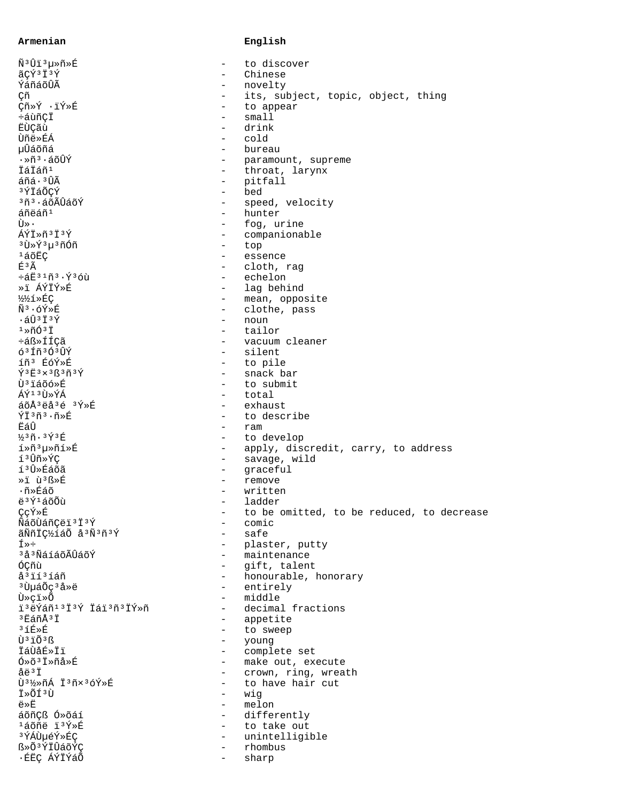## Armenian

## English

| Ñ <sup>3</sup> Ûï <sup>3</sup> µ≫ñ»É                                                              |                                        | to discover                               |
|---------------------------------------------------------------------------------------------------|----------------------------------------|-------------------------------------------|
| ãçý <sup>3</sup> Ï <sup>3</sup> Ý                                                                 |                                        | Chinese                                   |
| ÝáñáõÛÃ                                                                                           | $\qquad \qquad -$                      | novelty                                   |
| Çñ                                                                                                | $\overline{\phantom{a}}$               | its, subject, topic, object, thing        |
| Çñ»Ý ·ïÝ»É                                                                                        | $\overline{\phantom{0}}$               | to appear                                 |
| ÷áùñÇÏ                                                                                            | $\overline{\phantom{0}}$               | small1                                    |
| <b>E</b> ÙÇãù                                                                                     | $\overline{\phantom{0}}$               | drink                                     |
| Ùñë»ÉÁ                                                                                            | $\qquad \qquad -$                      | cold                                      |
| µÛáõñá                                                                                            | $\overline{\phantom{0}}$               | bureau                                    |
| ∙»ñª∙áõÛÝ                                                                                         | $\qquad \qquad -$                      | paramount, supreme                        |
| İáİáñ <sup>1</sup>                                                                                | $\overline{\phantom{a}}$               | throat, larynx                            |
| áñá·ªÛÃ                                                                                           | $\qquad \qquad -$                      | pitfall                                   |
| <sup>3</sup> ÝÏáÕÇÝ                                                                               | $\qquad \qquad -$                      | bed                                       |
| <sup>3</sup> ñª •áõÃÛáõÝ                                                                          | $\qquad \qquad -$                      | speed, velocity                           |
| áñëáñ <sup>1</sup>                                                                                | $\overline{\phantom{0}}$               | hunter                                    |
| Ù».                                                                                               | $\overline{\phantom{0}}$               | fog, urine                                |
| ÁÝÏ»ñ3Ï3Ý                                                                                         | $\qquad \qquad -$                      | companionable                             |
| <sup>3</sup> Ù»Ý <sup>3</sup> µ <sup>3</sup> ñÓñ                                                  | $\overline{\phantom{0}}$               | top                                       |
| 160E                                                                                              | $\overline{\phantom{a}}$               | essence                                   |
| É <sup>3</sup> Ã                                                                                  | $\qquad \qquad -$                      | cloth, rag                                |
| ÷áË31ñ3.Ý3óù                                                                                      | $\overline{\phantom{0}}$               | echelon                                   |
| »i ÁÝÏÝ»É                                                                                         |                                        | lag behind                                |
| 1/21>ÉÇ                                                                                           | $\overline{\phantom{0}}$               | mean, opposite                            |
| $\tilde{N}^3 \cdot 6\tilde{Y} \times \tilde{E}$                                                   | $\qquad \qquad -$                      | clothe, pass                              |
| $\cdot$ áÛ $3$ Ï $3$ Ý                                                                            | $\overline{\phantom{0}}$               | noun                                      |
| $1*ñ631$                                                                                          |                                        | tailor                                    |
| ÷áß»ÍÍÇã                                                                                          |                                        | vacuum cleaner                            |
| 63Íñ3Ó3ÛÝ                                                                                         | $\qquad \qquad -$                      | silent                                    |
| íñ <sup>3</sup> ÉóÝ»É                                                                             | -                                      | to pile                                   |
| $\tilde{Y}$ <sup>3</sup> $\ddot{E}$ <sup>3</sup> $\times$ <sup>3</sup> ß <sup>3</sup> $\tilde{Y}$ | $\overline{\phantom{0}}$               | snack bar                                 |
| Ùªïáõó»É                                                                                          | $\overline{\phantom{0}}$               | to submit                                 |
| ÁÝ <sup>13</sup> Ù»ÝÁ                                                                             | $-$                                    | total                                     |
| áõÅ3ëå3é 3Ý»É                                                                                     | $\qquad \qquad -$                      | exhaust                                   |
| ÝÏ3ñ3.ñ»É                                                                                         |                                        | to describe                               |
| ËáÛ                                                                                               | $\qquad \qquad -$                      | ram                                       |
| $\frac{1}{2}$ <sup>3</sup> $\tilde{n}$ . $\frac{3}{2}$ $\tilde{Y}$ <sup>3</sup> $\tilde{E}$       | $\overline{\phantom{a}}$               | to develop                                |
| í»ñ3µ»ñí»É                                                                                        | $\qquad \qquad -$                      | apply, discredit, carry, to address       |
| í3Ûñ»ÝÇ                                                                                           | $\overline{\phantom{a}}$               | savage, wild                              |
| íªÛ»Éáõã                                                                                          | $\qquad \qquad -$                      | qraceful                                  |
| »i ù B»É                                                                                          | $\qquad \qquad -$                      | remove                                    |
| ∙ñ»Éáõ                                                                                            | $\overline{\phantom{0}}$               | written                                   |
| ë <sup>3</sup> Ý <sup>1</sup> áõÕù                                                                | $\overline{\phantom{0}}$               | ladder                                    |
| ÇçÝ»É                                                                                             |                                        | to be omitted, to be reduced, to decrease |
| ÑáõÙáñÇëï 3 Ï 3 Ý                                                                                 |                                        | comic                                     |
| ãÑñÏǽíáÕ å3Ñ3ñ3Ý                                                                                  |                                        | safe                                      |
| Í≫÷                                                                                               |                                        | plaster, putty                            |
| <sup>3</sup> å <sup>3</sup> ÑáíáõÃÛáõÝ                                                            |                                        | maintenance                               |
| ÓÇñù                                                                                              |                                        | gift, talent                              |
| å <sup>3</sup> ií <sup>3</sup> íáñ                                                                | $\overline{\phantom{0}}$               | honourable, honorary                      |
| <sup>3</sup> ÙµáÕç <sup>3</sup> å»ë                                                               | $\qquad \qquad =$                      | entirely                                  |
| Ù»çï»Õ                                                                                            | $\qquad \qquad -$                      | middle                                    |
| ï <sup>3</sup> ëÝáñ <sup>13</sup> Ï <sup>3</sup> Ý Ïáï <sup>3</sup> ñ <sup>3</sup> ÏÝ»ñ           | $\qquad \qquad -$                      | decimal fractions                         |
| $3F2$ ñÅ $3T$                                                                                     | $\qquad \qquad -$                      |                                           |
| $3f$ <sub>E</sub> $\rightarrow$ E                                                                 |                                        | appetite<br>to sweep                      |
| Ù <sup>3</sup> ïÕ <sup>3</sup> ß                                                                  | -<br>$-$                               |                                           |
| <i><b>İá</b>ÙåÉ</i> »İï                                                                           |                                        | young<br>complete set                     |
| $0*0*1*n4*E$                                                                                      | $\overline{\phantom{0}}$               | make out, execute                         |
| åë <sup>3</sup> Ï                                                                                 | $\qquad \qquad -$                      | crown, ring, wreath                       |
| Ù3½»ñÁ Ï3ñx3óÝ»É                                                                                  | $-$                                    | to have hair cut                          |
| Ï»ÕÍ3Ù                                                                                            |                                        |                                           |
| ë»Ë                                                                                               | $\qquad \qquad -$<br>$\qquad \qquad -$ | wig                                       |
| áõñÇß Ó»õáí                                                                                       | $\overline{\phantom{0}}$               | melon<br>differently                      |
| <sup>1</sup> áõñë ï <sup>3</sup> Ý»É                                                              |                                        | to take out                               |
| <sup>3</sup> ÝÁÙµéÝ»ÉÇ                                                                            |                                        | unintelligible                            |
| ß»Õ <sup>3</sup> ÝÏÛáõÝÇ                                                                          | $\qquad \qquad -$                      | rhombus                                   |
| ·ÉËÇ ÁÝÏÝáÕ                                                                                       | $-$                                    | sharp                                     |
|                                                                                                   |                                        |                                           |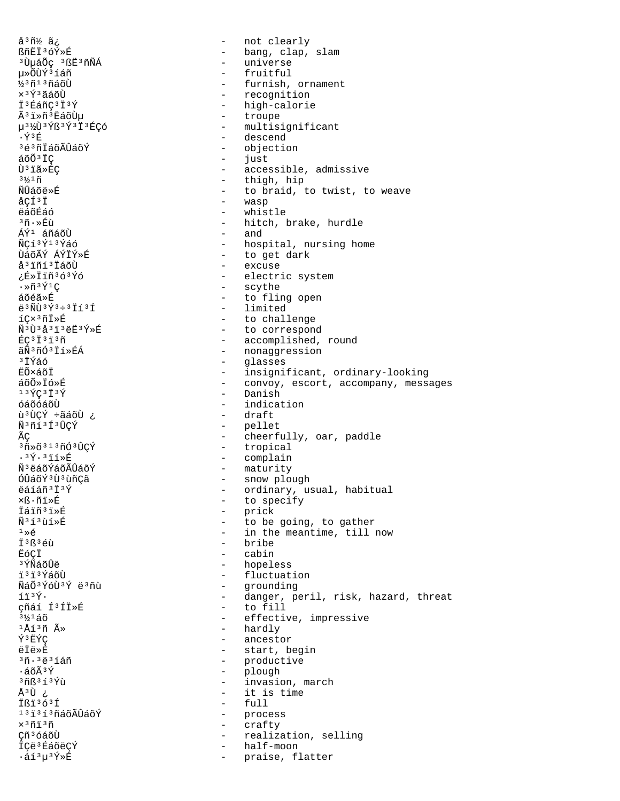å<sup>3</sup>ñ½ ã¿ - not clearly ßñËÏ3óÝ»É - universe <sup>3</sup>ÙµáÕç <sup>3</sup>ßË<sup>3</sup>ñÑÁ µ»ÕÙݪíáñ fruitful ½3ñ13ñáõÙ  $\times$ <sup>3</sup> $\acute{\text{Y}}$ <sup>3</sup> ãáõÙ I<sup>3</sup>EáñC<sup>3</sup>I<sup>3</sup>Ý Ã<sup>3</sup>i»ñ<sup>3</sup>EáõÙµ - troupe µ<sup>31</sup>ZÙ<sup>3</sup>Ýß<sup>3</sup>Ý<sup>3</sup>Ï<sup>3</sup>ÉÇÓ  $\cdot \tilde{Y}$ <sup>3</sup> $F$ - descend 3é3ñÏáõÃÛáõÝ  $a\tilde{o}\tilde{o}$ <sup>3</sup> $\ddot{c}$ - just Ù<sup>3</sup>ïã»ÉC  $3\frac{1}{2}$ 1 $\tilde{\rm n}$ ÑÛáõë»É - wasp åÇͪÏ ëáõÉáó  $\sim$  10  $\,$ whistle 3ñ.»Éù  $-$  and ÁÝ<sup>1</sup> áñáõÙ ÑÇí 3Ý13Ýáó ÙáõÃÝ ÁÝÏÝ»É å<sup>3</sup>iñí<sup>3</sup> İáõÙ - excuse ¿É»Ïïñ3ó3Ýó  $\cdot \times \tilde{n} \times \tilde{Y} \times C$ - scythe áõéã»É  $e^{3}$ ÑÙ $3$ Ý $3+3$ Ïí $3$ Í - limited  $1C \times 3 \tilde{n} \tilde{l} \times \tilde{E}$ Ñ3Ù3å3ï3ëË3Ý»É  $EC$ <sup>3 $1$ 3 $1$ 3 $\tilde{n}$ </sup> ãÑ3ñÓ3Ïí»ÉÁ <sup>3</sup>ÏÝáó  $\frac{1}{2}$ glasses **EÕ×áõÏ** áõÕ»Ïó»É - Danish  $13\,$   $\sqrt{}C3\,$   $\frac{1}{2}3\,$   $\sqrt{}$ óáõóáõÙ ù<sup>3</sup>ÙCÝ ÷ãáõÙ ¿ - draft - pellet Ñ3ñí3Í3ÛÇÝ ÃС - tropical  $3\tilde{\rm n}\times\tilde{\rm O}$  $313\tilde{\rm n}\tilde{\rm O}$  $3\tilde{\rm U}$ CÝ - complain  $.3\overline{Y}$ .  $3\overline{11}$ ȃ - maturity Ñ<sup>3</sup>ëáõÝáõÃÛáõÝ ÓÛáõÝ 3 Ù 3 ùñÇã ëáíáñ<sup>3</sup>İ<sup>3</sup>Ý ×ß∙ñï»É - prick İáiñ<sup>3</sup>i»É Ñ3í3ùí»É  $1 \times 6$ - bribe  $73R36$ EÓCI - cabin - hopeless <sup>3</sup>ÝÑáõÛë ï<sup>3</sup>ïªÝáõÙ - grounding ÑáÕ3ÝóÙ3Ý ë3ñù íïªÝ• - to fill çñáí Í<sup>3</sup>ÍÏ»É  $3\frac{1}{2}$ 1áõ <sup>1</sup>Åí<sup>3</sup>ñ û hardly  $\sim$ Ý3ËÝC - ancestor **ëÏë**ȃ 3ñ. 3ë 3 í áñ  $\cdot$ áõÃ $3\acute{\text{Y}}$ - plough  $368313Y$ u ن Úً<sup>3</sup> Ißi<sup>363</sup>Í  $-$  full  $1313136$ õÃÛáõÝ - process  $\times$ <sup>3</sup> $\tilde{\rm n}$ i<sup>3 $\tilde{\rm n}$ </sup>  $\sim$ crafty Çñ<sup>3</sup>óáõÙ  $\sim$ - half-moon İÇë<sup>3</sup> ÉáõëÇÝ  $\cdot$ áí $^3\mu$  $^3\acute{Y}$ ȃ  $\sim$ praise, flatter

- bang, clap, slam - furnish, ornament - recognition - high-calorie - multisignificant - objection - accessible, admissive - thigh, hip - to braid, to twist, to weave - hitch, brake, hurdle - hospital, nursing home - to get dark - electric system - to fling open - to challenge - to correspond - accomplished, round - nonaggression - insignificant, ordinary-looking - convoy, escort, accompany, messages - indication - cheerfully, oar, paddle - snow plough - ordinary, usual, habitual - to specify - to be going, to gather - in the meantime, till now - fluctuation - yrounarny<br>- danger, peril, risk, hazard, threat - effective, impressive - start, begin - productive - invasion, march - it is time realization, selling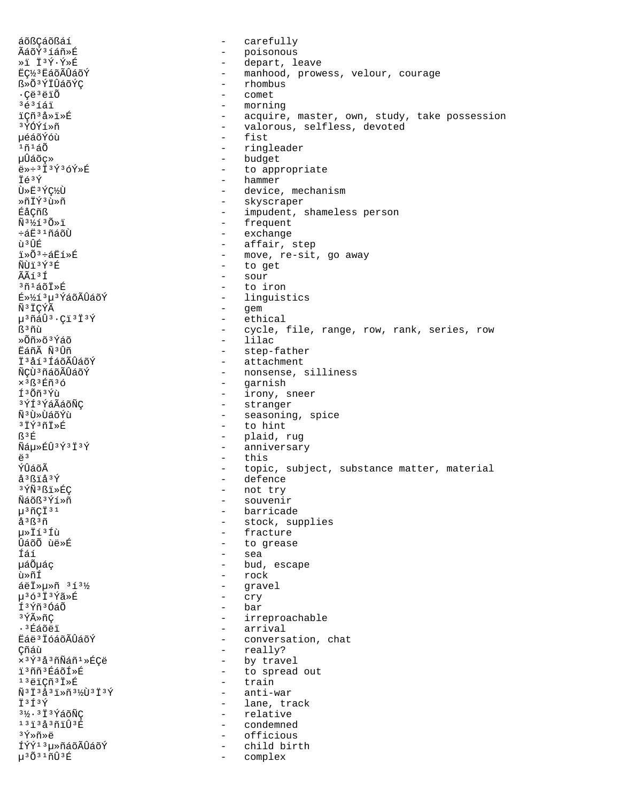áõßCáõßáí carefully  $\equiv$ ÃáõÝ3íáñ»É  $\equiv$ poisonous ȕ Ï3Ý·Ý»É  $\sim$ depart, leave - manhood, prowess, velour, courage Eǽ3 EáõÃÛáõÝ - rhombus ß»Õ<sup>3</sup>ÝÏÛáõÝÇ  $\cdot$ Çë $^3$ ëï $\tilde{O}$ comet  $363161$  $\sim$ morning iCñ3å»i»É - acquire, master, own, study, take possession - valorous, selfless, devoted 3ÝÓÝí»ñ 悠õÝóù - fist ≀ก≀ล∩ั - ringleader uÛáõc» - budget  $e*+313936$ <sup>y</sup> - to appropriate  $-$  hammer Ïé<sup>3</sup>Ý Ù»Ë3ÝǽÙ - device, mechanism ȖÏݪù»ñ - skyscraper ÉåÇñß - impudent, shameless person - frequent  $\tilde{N}$ <sup>3</sup> $\frac{1}{2}$   $\tilde{O}$   $\frac{1}{2}$ - exchange ևË31ñáõÙ ប់ <sup>3</sup> អ៊ែក - affair, step - move, re-sit, go away i»Õ<sup>3</sup>÷áËí»É ÑÙï <sup>3 Ý 3</sup> É - to get - sour  $\widetilde{\Delta} \widetilde{\Delta}$ í3Í  $371507$ - to iron - linquistics É»½í3µ3ÝáõÃÛáõÝ - gem ѪÏCÝÃ - ethical µ<sup>3</sup>ñáÛ<sup>3</sup>·Çï<sup>3</sup>Ï<sup>3</sup>Ý - cycle, file, range, row, rank, series, row ß<sup>3</sup>ñù - lilac »Õñ»õªÝáõ Eáñà Ñ3Ûñ - step-father - attachment İ<sup>3</sup>åí<sup>3</sup>ÍáõÃÛáõÝ ÑÇÙ 3 ñáõÃÛáõÝ - nonsense, silliness  $\times$ <sup>3</sup>ß<sup>3</sup>Éñ<sup>3</sup>ó - garnish - irony, sneer Í<sup>3</sup>Õñ<sup>3</sup>Ýù - stranger ªÝͪÝáÃáõÑÇ พื®นิ่∍นิล์กั∕น - seasoning, spice - to hint  $3793778F$ B<sup>3</sup>E - plaid, rug Ñáµ»ÉÛ3Ý3Ï3Ý  $\sim$   $$ anniversary  $\ddot{e}^3$  $-$  this ÝÛáõÃ - topic, subject, substance matter, material - defence å<sup>3</sup>ßïå<sup>3</sup>Ý 3 YÑ 3 Bï > ÉÇ - not try Ñáõß<sup>3</sup>Ýí»ñ - souvenir  $\mu$ <sup>3</sup> $n$ <sup>3</sup> $1$ - barricade - stock, supplies  $A^3R^3\tilde{n}$ - fracture u»Ïí<sup>3</sup>Íù - to grease ÛáõÕ ùë»É - sea fáí - bud, escape uáÕuác - rock ù»ñÍ áëİ»µ»ñ 313½  $\sim$   $$ gravel µ363Ï3Ýã»É  $\frac{1}{2}$  . cry Í<sup>3</sup>Ýñ<sup>3</sup>ÓáÕ - bar 3 ÝûñC - irreproachable - arrival .<sup>3</sup>Éáõëï Eáë<sup>3</sup> IóáõÃÛáõÝ - conversation, chat - really? Çñáù - by travel x 3 Ý 3 å 3 ñÑáñ 1 »ÉÇë i<sup>3</sup>ññ<sup>3</sup>ÉáõÍ»É - to spread out - train  $13e$ icñ $3I$ ȃ  $\tilde{N}$ <sup>3  $\ddagger$  3  $\acute{a}$  3  $\ddagger$  >  $\tilde{m}$  3  $\frac{1}{2}$   $\tilde{V}$  3  $\ddot{I}$  3  $\acute{Y}$ </sup> - anti-war - lane, track I3f3Ý  $3\frac{1}{2}$ .  $3\ddot{1}3\acute{2}3\tilde{0}\tilde{N}\tilde{C}$ - relative  $1313230103E$  $\sim$ condemned з́Ý»ñ»ё  $\sim$ officious ÍÝÝ<sup>13</sup>µ»ñáõÃÛáõÝ child birth  $\sim$  $\mu$ <sup>3 $\tilde{O}$ <sup>31</sup> $\tilde{n}\hat{U}$ <sup>3 $\tilde{E}$ </sup></sup>  $\sim$ complex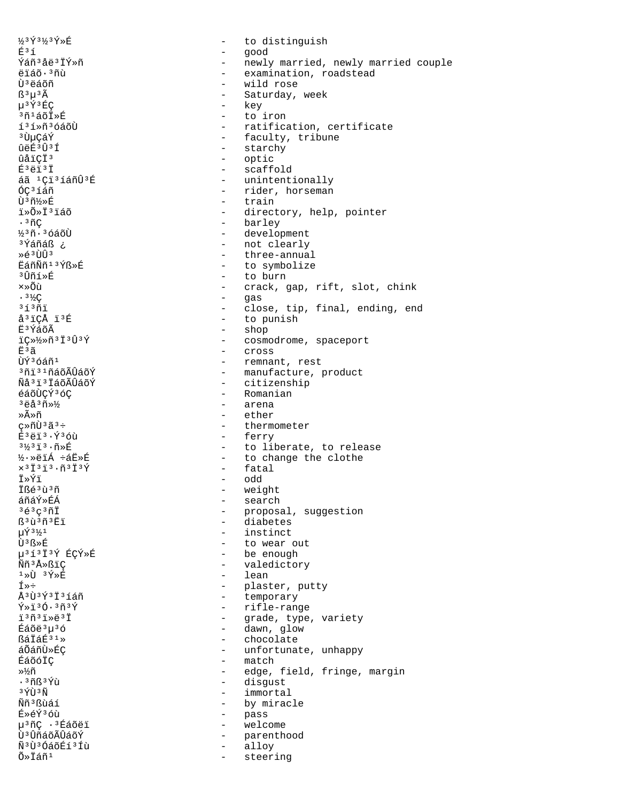1/3 Ý 3 1/3 Ý » É  $\Delta$ É<sup>3</sup>í - good Ýáñ 3 åë 3 ÏÝ»ñ ëïáõ·3ñù Ù<sup>3</sup>ëáõñ - wild rose  $B^3u^3A$  $\mu$ <sup>3</sup> $\tilde{Y}$ <sup>3</sup> $\tilde{E}C$ - key  $3\tilde{n}$ 1 áõ $\tilde{I}$  ȃ - to iron í<sup>3</sup>í»ñ<sup>3</sup>óáõÙ ªÙuCáÝ  $\hat{u}$ គ្នារាំ $\hat{f}$ - starchy ûåïCÏ<sup>3</sup> - optic  $E^3$ ëi $^3$  I - scaffold áã <sup>1</sup>Çi<sup>3</sup>íáñÛ<sup>3</sup>É ÓC<sup>3</sup>íáñ Ù3ñ½»É  $-$  train ï»Õ»Ï<sup>3</sup>ïáõ  $\cdot$   $\tilde{\rm n}$ C - barley  $\frac{1}{2}$ <sup>3</sup> $\tilde{n}$  ·  $\tilde{3}$  óáõÙ - development <sup>3</sup>Ýáñáß ¿ - not clearly - three-annual Ȏ<sup>3</sup>ÙÛ<sup>3</sup> EáñÑñ<sup>13</sup>Ýß»É - to symbolize - to burn <sup>3</sup> ⊔ิกัร ≫ นิ  $x \ge 0$ າ້າ - gas  $.3\frac{1}{2}C$  $31371$ å<sup>3</sup>iÇÅ ï<sup>3</sup>É - to punish - shop ĖªÝáõÃ  $i \zeta * \frac{1}{2} \hat{\eta} i i \hat{\eta} i \hat{\eta} j$ Ė3ã - cross - remnant, rest ÙÝ<sup>3</sup>óáñ<sup>1</sup> <sup>3</sup>ñi 31 ñáõÃÛáõÝ - citizenship Ñå<sup>3</sup>i<sup>3</sup>İáõÃÛáõÝ - Romanian éáõÙÇÝ36C  $3eA3n*$ - arena »Ã»ñ  $-$  ether  $C*\tilde{n}\tilde{U}^3\tilde{a}^3+$ - thermometer - ferry  $E^{3}$ ëi $^{3}$ . Ý $^{3}$ óù  $3\frac{1}{2}3\ddot{1}3\cdot\widetilde{n}*\acute{E}$ ½·»ëïÁ ÷áË»É - fatal  $\hspace*{0.3mm}\times^3\hspace*{0.1mm}\mathring{\rm{ I}}^{\,3}\hspace*{0.1mm}\mathring{\rm{ I}}^{\,3}\cdot\widetilde{\rm{ n}}^{\,3}\hspace*{0.1mm}\mathring{\rm{ I}}^{\,3}\hspace*{0.1mm}\mathring{\rm{ Y}}$ Ï≫Ýï - odd Ißé3ù3ñ - weight - search áñáÝ»ÉÁ  $363C3\tilde{1}$ - diabetes ß<sup>3</sup>ù<sup>3</sup>ñ<sup>3</sup>Ëï  $\mu\acute{\Upsilon}$ <sup>31</sup>/<sub>2</sub><sup>1</sup> - instinct - to wear out  $\tilde{\Pi}$ <sup>3</sup>  $R \gg \tilde{E}$ u313I3Ý ÉCÝ»É - be enough Ññ<sup>3</sup>Å»ßiC - valedictory - lean  $1 \times \mathbf{U}$   $3 \times \mathbf{K}$  $f*f$ Å3Ù3Ý3Ï3íáñ - rifle-range  $\tilde{Y}*\tilde{1}^3\tilde{0}\cdot 3\tilde{n}^3\tilde{Y}$ ï3ñ3ï»ë3Ï - dawn, glow Éáõë<sup>3</sup>µ<sup>3</sup>ó BáiáÉ<sup>31</sup>» - chocolate áÕáñÙ»ÉÇ  $-$  match ÉáõóÏÇ »½ñ  $.36837$ - disgust  $3\,\tilde{\gamma}$ i  $3\,\tilde{\rm N}$ - immortal - by miracle <u> Ññ 3 Bùá í</u> - pass É»éݪóù µ<sup>3</sup>ñÇ ·<sup>3</sup>Éáõëï  $\sim$   $^{-1}$ welcome Ù<sup>3</sup>ÛñáõÃÛáõÝ - parenthood Ñ<sup>3</sup>Ù<sup>3</sup>ÓáõÉí<sup>3</sup>Íù  $\sim$ alloy  $\tilde{O} \gg \tilde{I}$ áñ<sup>1</sup> steering

to distinguish - newly married, newly married couple - examination, roadstead - Saturday, week - ratification, certificate - faculty, tribune - unintentionally - rider, horseman - directory, help, pointer - crack, gap, rift, slot, chink - close, tip, final, ending, end - cosmodrome, spaceport - manufacture, product - to liberate, to release - to change the clothe - proposal, suggestion - plaster, putty<br>- temporary - grade, type, variety - unfortunate, unhappy - edge, field, fringe, margin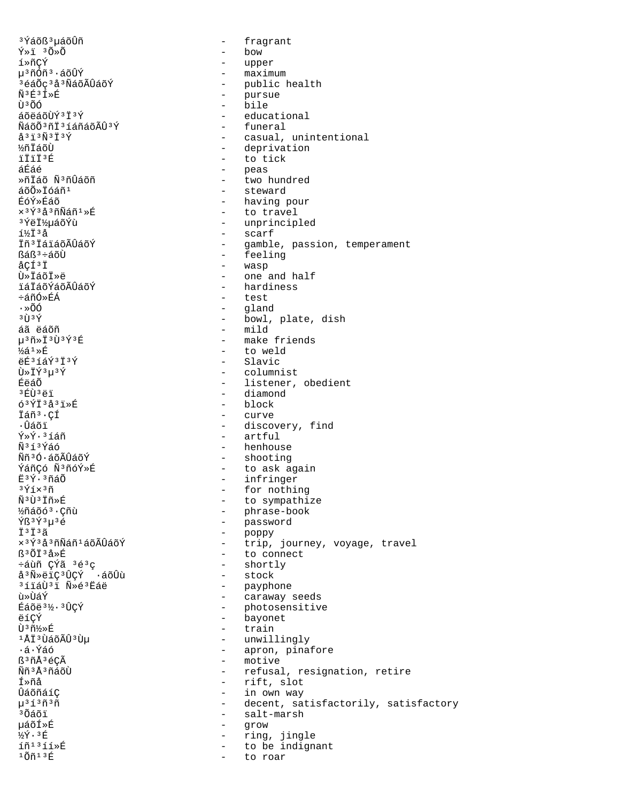<sup>3</sup>Ýáõß<sup>3</sup>uáõÛñ  $\tilde{Y} \times \tilde{I}$   $3\tilde{O} \times \tilde{O}$ í»ñÇÝ µ<sup>3</sup>ñÓñ<sup>3</sup>·áõÛÝ <sup>3</sup>éáÕç<sup>3</sup>å<sup>3</sup>ÑáõÃÛáõÝ Ñ3É3Í»É น้างกล áõëáõÙݪϪÝ ÑáõÕ3ñÏ3íáñáõÃÛ3Ý  $A^3$   $\bar{1}$   $3$   $\tilde{N}$   $3$   $\tilde{T}$   $3$   $\tilde{Y}$ **หการอั**น **TTTT3F** áÉáé Ȗİáõ Ñ3ñÛáõñ áõÕ»Ïóáñ<sup>1</sup> ÉóÝ»Éáõ  $\times$ <sup>3</sup>Ý<sup>3</sup>å<sup>3</sup>ñÑáñ<sup>1</sup>»É 3ÝëI½µáõÝù í½Ï3å Ĭñ<sup>3</sup> ĬáïáõÃÛáõÝ ßáß<sup>3</sup>÷áõÙ åCͪÏ Ù»ÏáõÏ»ë **ïáÏáõÝáõÃÛáõÝ** ևñÓ»ÉÁ  $\cdot \times$ ÕÓ  $3 \tilde{U}$   $3 \tilde{Y}$ áã ëáõñ µ3ñ»Ï3Ù3Ý3É  $\frac{1}{2}$ á $\frac{1}{2}$  $\frac{1}{2}$  $\frac{1}{2}$ ëÉ3íáÝ3Ï3Ý Ù»ÏÝ3µ3Ý ÉëáÕ  $3$   $F$ t) $3$   $F$   $1$  $63\overline{Y}$   $\overline{1}$   $3\overline{a}$   $3\overline{1}$   $\overline{2}$   $\overline{E}$ İáñ<sup>3</sup>·CÍ • นิล์กั  $\tilde{Y}*\tilde{Y}\cdot$  3 í áñ Ñ3í3Ýáó Ññ<sup>3</sup>Ó·áõÃÛáõÝ ÝáñÇó Ñ3ñóÝ»É E3Ý.3ñáÕ  $3\,$ Ýíx $3\,$ ñ Ñ3Ù3Ïñ»É ½ñáõó<sup>3</sup>·Çñù Ýß<sup>3</sup>Ý<sup>3</sup>µ<sup>3</sup>é тізтіза  $x$ <sup>3 $\acute{\gamma}$ 3 å 3 ñ $\widetilde{\text{N}}$ áñ  $^1$  á õ $\widetilde{\text{A}}$ Û á õ $\acute{\text{Y}}$ </sup> ß<sup>3</sup>ÕÏ<sup>3</sup>å≫É ևùñ CÝã 3é3c å<sup>3</sup>Ñ»ëiÇ<sup>3</sup>ÛÇÝ ·áõÛù <sup>3</sup>íiáÙ<sup>3</sup>i Ñ»é<sup>3</sup>Eaë ù»ÙáÝ Éáõë 3½· 3ÛÇÝ ëíÇÝ Ù3ñ½»É <sup>1</sup>ÅÏ<sup>3</sup>ÙáõÃÛ<sup>3</sup>Ùµ .á.Ýáó ß<sup>3</sup>ñÅ3éCÃ Ññ<sup>3</sup>Å3ñáõÙ fȖå นิล์กักล์ 10  $\mu$ <sup>313</sup>กั<sup>3</sup>กั <sup>3</sup>Õáõï µáõÍ≫É ½Ý.3É íñ<sup>13</sup>íí»É  $10n13E$ 

 $\Delta$ fragrant  $\qquad \qquad$ bow  $\sim$  10  $\pm$ upper - maximum - public health - pursue - bile - educational - funeral - casual, unintentional - deprivation - to tick - peas - two hundred - steward - having pour - to travel - unprincipled - scarf - gamble, passion, temperament - feeling - wasp - one and half - hardiness - test - aland - bowl, plate, dish  $-$  mild - make friends - to weld - Slavic - columnist - listener, obedient - diamond  $-$  block - curve - discovery, find - artful - henhouse - shooting - to ask again - infringer - for nothing - to sympathize - phrase-book - password - poppy - trip, journey, voyage, travel - to connect - shortly - stock - payphone<br>- caraway seeds - photosensitive - bayonet - train - unwillingly - apron, pinafore - motive - refusal, resignation, retire - rift, slot - in own way - decent, satisfactorily, satisfactory - salt-marsh  $\sim$ grow - ring, jingle - to be indignant

to roar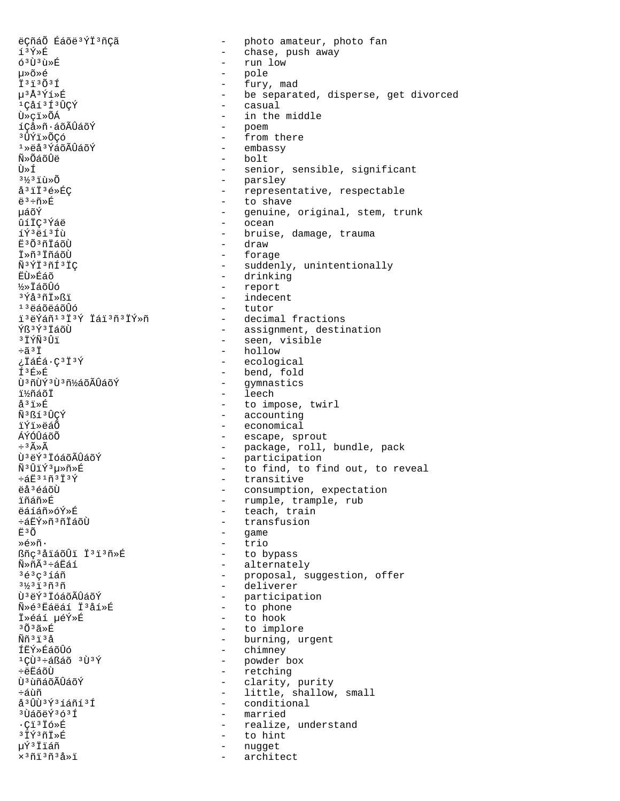ëÇñáÕ Éáõë<sup>3</sup>ÝÏ<sup>3</sup>ñÇã - photo amateur, photo fan í3Ý»É - chase, push away - run low  $63\overline{U}$  $3\overline{u}$  $\overline{x}$ µ»õ»é - pole - fury, mad  $7373037$ µ3Å3Ýí»É - be separated, disperse, get divorced 1Cåí3Í3ÛÇÝ - casual Ù»çï»ÕÁ - in the middle - poem íÇå»ñ·áõÃÛáõÝ - from there ªÛÝï≫ÕCó  $1*$ ëå $3*$ áõÃÛáõÝ - embassy - bolt Ñิ≫Oีล์∩ันื้คื Ù≫Í - senior, sensible, significant - parsley<br>- representative, respectable  $3\frac{1}{3}$  $3\frac{1}{1}$  $\tilde{u}$  $\geqslant$  $\tilde{0}$ å<sup>3</sup>iÏ<sup>3</sup>é»ÉC - to shave  $e^3$ ֖»É μáõÝ - genuine, original, stem, trunk - ocean ûíÏÇ<sup>3</sup>Ýáë - bruise, damage, trauma íݪëíªÍù **Ë**<sup>3</sup>Õ<sup>3</sup>ñIáõÙ - draw - forage Ï»ñªÏñáõÙ Ñ<sup>3</sup>ÝÏ<sup>3</sup>ñÍ<sup>3</sup>ÏC - suddenly, unintentionally - drinking EUȃáõ - report  $\frac{1}{2}$   $\times$   $\frac{1}{2}$   $\times$   $\frac{1}{2}$   $\times$   $\frac{1}{2}$   $\times$   $\frac{1}{2}$   $\times$   $\frac{1}{2}$   $\times$   $\frac{1}{2}$ - indecent  $3\overline{Y}$ å $3\overline{Y}$ i $\overline{X}$ - tutor  $13$ ëáõëáõÛó ïªëÝáñ1ªÏªÝ ÏáïªñªÏÝ»ñ - decimal fractions - assignment, destination Ýß<sup>3</sup>ݪÏáõÙ - seen, visible **BİÝÑBÛï** - hollow  $\div$ ã3Ï ¿ÏáÉá·Ç3Ï3Ý - ecological - bend, fold **f**<sup>3</sup>Ē»É Ù<sup>3</sup>ñÙÝ<sup>3</sup>Ù<sup>3</sup>ñ½áõÃÛáõÝ - gymnastics - leech ï½ñáõÏ - to impose, twirl  $A^3$  i » $E$ - accounting Ñ3Rí3ĤCÝ - economical ïÝï»ëáõ ÁÝÓÛáõÕ - escape, sprout - package, roll, bundle, pack<br>- participation<br>- to find, to find out, to reveal  $\div$ <sup>3</sup> $\widetilde{A} \times \widetilde{A}$ Ù<sup>3</sup>ëÝ<sup>3</sup> ÏóáõÃÛáõÝ Ñ<sup>3</sup>ÛïÝ<sup>3</sup>µ≫ñ≫É - transitive  $\div$ áE $31$ ñ $313$ Ý ëå<sup>3</sup>éáõÙ - consumption, expectation - rumple, trample, rub ⊺็กัล์กั≫É็ - teach, train ëáíáñ»óÝ»É - transfusion ևËÝ»ñªñÍáõÙ - game  $F30$ - trio Ȏ»ñ∙ ßñc<sup>3</sup>åïáõÛï Ï<sup>3</sup>ï<sup>3</sup>ñ»Ŕ - to bypass - alternately  $\widetilde{N} \gg \widetilde{D} \widetilde{A}^3 + \widetilde{A} \widetilde{E} \widetilde{A} \widetilde{1}$ - proposal, suggestion, offer<br>- deliverer  $363c315n$  $3\frac{1}{2}3\frac{1}{1}3\frac{1}{1}3\frac{3}{1}$ - participation<br>- to phone Ù<sup>3</sup>ëÝ<sup>3</sup> ÏóáõÃÛáõÝ Ñ»é'Éáëáí Ï'åí»É - to hook Ï»éáí µéÝ»É зõзã»É - to implore <u>พิ๊กั<sup>3</sup> เ็<sup>3</sup> ล้</u> - burning, urgent ÍEÝ»ÉáõÛó - chimney - powder box  $1$ CÙ $3$ ևßáõ  $3$ Ù $3$ Ý - retching ֑ËáõÙ - clarity, purity บิ<sup>3</sup> นิทีล์ดีA็บิล์ดีY์ - little, shallow, small ÷ล์บัที å 3 UU 3 Ý 3 í áñ í 3 Í - conditional <sup>3</sup>ÙáõëÝ363Í - married - realize, understand  $\cdot$ Ci $^3$ Ió»É <sup>3</sup>İÝ3ñÏ»É  $-$  to hint µÝªÏïáñ nugget  $\sim$  $\times$ <sup>3</sup> $\tilde{\text{1}}$ <sup>3</sup> $\tilde{\text{1}}$ <sup>3</sup> $\tilde{\text{2}}$  $\ast$  $\tilde{\text{1}}$ architect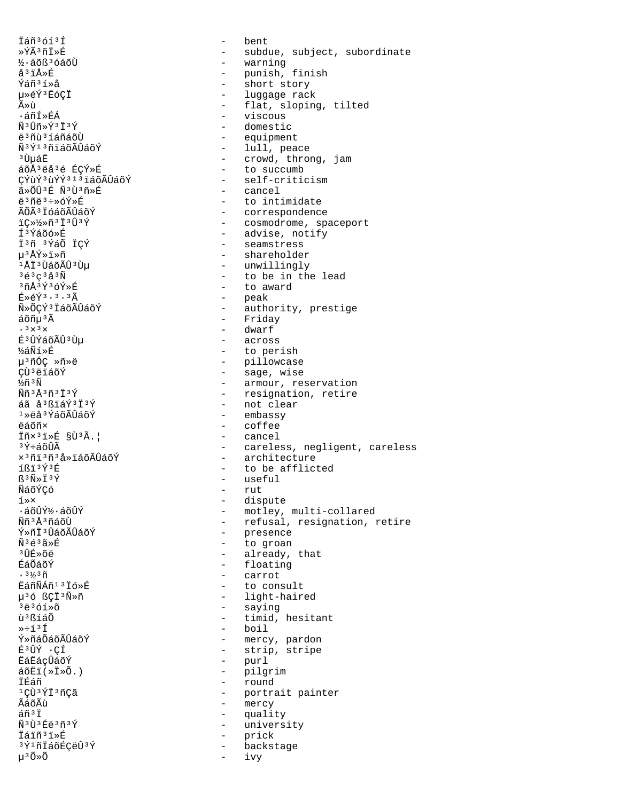İáñ<sup>3</sup>óí<sup>3</sup>Í »ÝÃ3ñÏ»É ½·áõß<sup>3</sup>óáõÙ å<sup>3</sup>ïÅ»É Ýáñ<sup>3</sup>í»å 毂Ý3ËóÇÏ Ã≫ù ∙áñÍ»ÉÁ  $\tilde{N}$ <sup>3</sup> $\hat{U}$ ñ» $\check{Y}$ <sup>3</sup> $\check{T}$ <sup>3</sup> $\check{Y}$ ë 3 ñù 3 í áñáõÙ Ñ<sup>3</sup>Ý<sup>13</sup>ñiáõÃÛáõÝ <sup>3</sup> ปั้นล์E áõÅ3ëå3é ÉCÝ»É CÝùݪùÝݪ1ªïáõÃÛáõÝ ã»õû∃É Ñªùªñ»É ë3ñë3÷»óÝ»É ÃÕÃ<sup>3</sup> IóáõÃÛáõÝ iC»1/>n313034 ͪÝáõó»É İ3ñ 3ÝáÕ İÇÝ µ3ÅÝ»ï»ñ 1ÅÏ3ÙáõÃÛ3Ùu  $363c333W$  $37A393698E$  $E \times \tilde{F}$ <sup>3</sup>.3.3 $\tilde{A}$ Ñ»ÕCÝ3 ÏáõÃÛáõÝ áõñu<sup>3</sup>Ã  $.3 \times 3 \times$ É<sup>3</sup>ÛÝáõÃÛ<sup>3</sup>Ùµ ½áÑí≫É µ<sup>3</sup>ñÓC »ñ»ë **CÙ**3ëïáõÝ ½ñ ªÑ  $\widetilde{N}$ ñ  $3\widetilde{A}$  $3\widetilde{n}$  $3\widetilde{T}$  $3\widetilde{Y}$ áã å<sup>3</sup>ßïáÝ<sup>3</sup>Ï<sup>3</sup>Ý  $1\overline{)}$ ëå $3\overline{Y}$ áõ $\widetilde{A}$ Ûáõ $\overline{Y}$ **A**ล์ก็ที่x Iñx<sup>3</sup>i»É §Ù<sup>3</sup>Ã.| ªÝ÷áõÛÃ x<sup>3</sup>ñi<sup>3</sup>ñ<sup>3</sup>å»iáõÃÛáõÝ íßï<sup>3Ý3É</sup>  $\mathbb{S}^3 \widetilde{\mathbb{N}} \times \mathbb{T}^3 \check{\mathbb{Y}}$ ÑáõÝÇó  $1 \times x$  $\cdot$ áõÛݽ $\cdot$ áõÛÝ <u> พิธี 3 ผิว กล์ กับ</u> Ý»ñi3ÛáõÃÛáõÝ  $\tilde{N}$ 3 $\tilde{A}$ 3 $\tilde{A}$   $\tilde{R}$ <sup>3</sup> ⊔ិក៌» ភូមិ ÉáÕáõÝ  $.3\frac{1}{2}$  $3\tilde{n}$ EáñÑÁñ<sup>13</sup>İó»É µ36 ßÇİ3Ñ»ñ  $3\ddot{e}3\dot{0}1\dot{0}$ ù<sup>3</sup>ßíáÕ  $\rightarrow$   $\div$   $\uparrow$   $\upbeta$   $\uparrow$ Ý»ñáÕáõÃÛáõÝ É3ÛÝ · CÍ **EáEácÛáõÝ**  $\tilde{a}$ õËi $(\times \tilde{I} \times \tilde{O})$ .) İÉáñ <sup>1</sup>CÙ<sup>3</sup>ÝÏ<sup>3</sup>ñCã ÃáõÃù áñ<sup>3</sup>İ Ñ<sup>3</sup>Ù<sup>3</sup>Éë<sup>3</sup>ñ<sup>3</sup>Ý İáïñ<sup>3</sup>ï»É 3Ý1ñİáõÉÇëÛ3Ý  $\mu$ <sup>3</sup> $\tilde{O} \times \tilde{O}$ 

bent  $\equiv$ - subdue, subject, subordinate - warning - punish, finish<br>- short story - luggage rack - flat, sloping, tilted - viscous - domestic - equipment - lull, peace - crowd, throng, jam - to succumb - self-criticism - cancel - to intimidate - correspondence<br>- cosmodrome, spaceport<br>- advise, notify - seamstress - shareholder - unwillingly - to be in the lead - to award - peak - authority, prestige - Friday - dwarf - across - to perish - pillowcase<br>- sage, wise - armour, reservation - resignation, retire - not clear - embassy  $-$  coffee - cancel - careless, negligent, careless - architecture - to be afflicted - useful  $-$  rut - dispute - motley, multi-collared - refusal, resignation, retire - presence - to groan - already, that - floating - carrot - to consult - light-haired - saying - timid, hesitant - boil - mercy, pardon - strip, stripe - purl - pilgrim - round - portrait painter - mercy - quality - university  $\sim$ prick - backstage ivy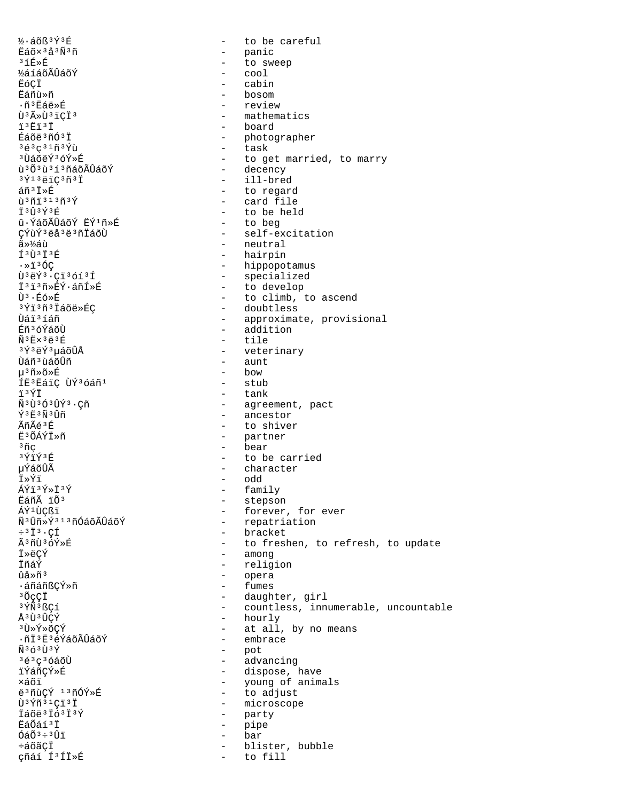1/3·áõß<sup>3</sup>Ý3É  $\Delta$ to be careful Eáõx 3 å 3 Ñ 3 ñ - panic  $3$ íÉ»É  $\sim$ to sweep **½áíáõÃÛáõÝ**  $\text{cool}$ ËóCÏ cabin **Eáñù**Ȗ bosom ᖻĖáë»É - review - mathematics Ù<sup>3</sup>ûÙ<sup>3</sup>iCÏ<sup>3</sup> - board ï'Ëï'Ï - photographer Éáõë<sup>3</sup>ñÓ<sup>3</sup>Ï - task  $36303193$ - to get married, to marry <sup>3</sup> UáõëÝ<sup>3</sup>óÝ»É - decency น<sup>3</sup> 0 3 นิ<sup>3</sup> 1 <sup>3</sup> ก็ล์ 0 Aปีล์ 0 Y - ill-bred  $3\overline{Y}$ <sup>13</sup>ëïÇ<sup>3</sup>ñ<sup>3</sup>Ï - to regard áñªÏ»É - card file  $\tilde{u}$ <sup>3</sup> $\tilde{n}$ i<sup>313 $\tilde{p}$ </sup> Ϊ<sup>3</sup>Û3Ý3É - to be held - to beg û·ÝáõÃÛáõÝ ËÝ<sup>1</sup>ñ»É - self-excitation ÇÝùÝ<sup>3</sup>ëå<sup>3</sup>ë<sup>3</sup>ñÏáõÙ 㻽áù - neutral - hairpin f<sup>3</sup>Ù<sup>3</sup>Ï<sup>3</sup>É - hippopotamus  $\cdot$  »1360  $\tilde{U}$ <sup>3</sup> $e^{\frac{r}{2}3}$ .  $C_1^{13}$   $613$   $f$ - specialized - to develop Ï'i'M>ÉÝ·áñÍ»É - to climb, to ascend  $\hat{U}^3$   $\cdot$   $\hat{E}$   $\hat{\circ}$   $\ast$   $\hat{E}$ 3Ýï 3ñ 3 Ïáõë»ÉC - doubtless Ùáï 3íáñ - approximate, provisional - addition Éñ<sup>3</sup>óÝáõÙ - tile  $\tilde{N}$ <sup>3</sup> $E$ ×<sup>3</sup> $E$ <sup>3</sup> $E$ <sup>3</sup>Ý3ëÝ3µáõÛÅ - veterinary - aunt Ùáñ<sup>3</sup>ùáõÛñ - bow u<sup>3</sup>ñ»õ»É ÍË<sup>3</sup> EáiÇ ÙÝ<sup>3</sup>óáñ<sup>1</sup> - stub - tank ïªÝÏ Ñ3Ù3Ó3ÛÝ3.Cñ - agreement, pact - ancestor Ý3 F3Ñ3 Îñ - to shiver ⊿ิก็∩ัี⊿์<sup>3</sup>ที่ E3ÕÁÝÏ»ñ - partner - bear <sup>3</sup>ÑÇ 3ÝïÝ3É - to be carried - character µÝáõÛÃ - odd Ï≫Ýï - family ÁÝï3Ý»Ï3Ý - stepson Eáñà ïÕ<sup>3</sup> - forever, for ever ÁÝ<sup>1</sup>ÙCßï  $\tilde{\rm N}$   $^3\hat{\rm U}\tilde{\rm n}$ » Ý  $^3$   $^1$   $^3\tilde{\rm n}$ Óáõ $\tilde{\rm A}\tilde{\rm U}$ áõ $\tilde{\rm Y}$ - repatriation - bracket  $\div$ <sup>3</sup>  $\ddot{I}$ <sup>3</sup>  $\cdot$  C $\acute{I}$ Ã3ñÙ3óÝ»É - to freshen, to refresh, to update - among **T**»ACÝ - religion İñáÝ - opera ûå»ñ<sup>3</sup> - fumes ∙áñáñßÇÝ»ñ - daughter, girl <sup>3</sup>ÕçÇÏ <sup>3</sup>ÝÑ<sup>3</sup>ßÇí - countless, innumerable, uncountable -  $hourly$ Å<sup>3</sup>Ù<sup>3</sup>ÛCÝ - at all, by no means 3ٻݻõÇÝ ·ñÏ<sup>3</sup>Ë3éÝáõÃÛáõÝ - embrace  $\tilde{N}$ <sup>3</sup> $\tilde{O}$ <sup>3</sup> $\tilde{Y}$ - pot 3é3ç3óáõÙ - advancing - dispose, have iÝáñÇÝ»É xáõï - young of animals - to adjust ë3ñùCÝ 13ñÓÝ»É - microscope  $\tilde{U}$ <sup>3</sup> $\tilde{Y}$  $\tilde{n}$ <sup>31</sup> $C$ <sup>31</sup> Ïáõë<sup>3</sup>Ïó<sup>3</sup>Ï<sup>3</sup>Ý  $\sim$   $$ party **EáÕáí**<sup>3</sup>I  $\sim$ pipe  $6a\tilde{0}$ <sup>3</sup> $\div$ <sup>3</sup> $\hat{U}$ i bar  $\sim$ ևõãÇÏ blister, bubble  $\sim$ çñáí Í<sup>3</sup>ÍÏ»É  $\sim$ to fill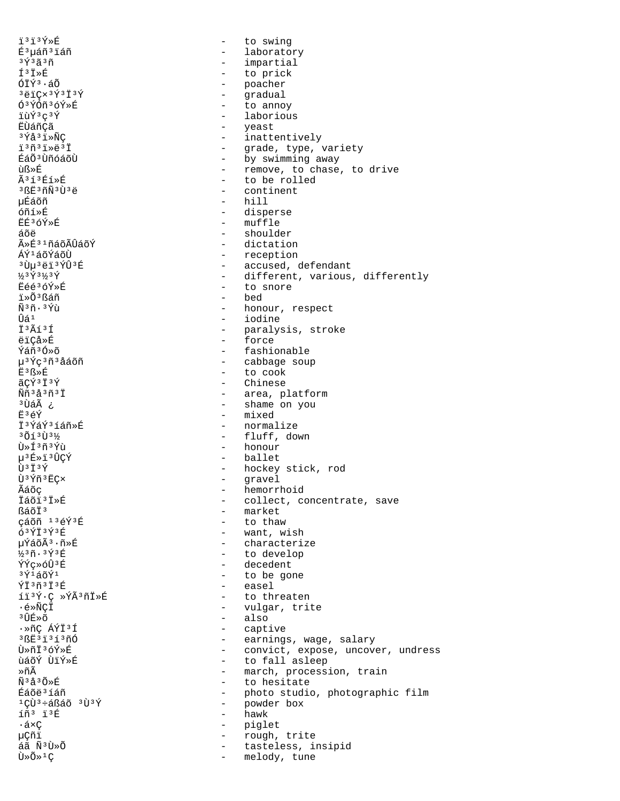ï³ï³Ý»É - to swing É<sup>3</sup>µáñ<sup>3</sup>ïáñ - laboratory<br><sup>3Ý3</sup>ã3ñ - lampartial - lampartial  $3\check{Y}$ <sup>3</sup> $\check{Y}$ <sup>3</sup> $\check{Y}$ <sup>3</sup> $\check{Y}$ <sup>3</sup> $\check{Y}$ <sup>3</sup> $\check{Y}$ Í³Ï»É - to prick - poacher<br>- gradual <sup>3</sup>ëïÇ×<sup>3</sup>Ý<sup>3</sup>Ï<sup>3</sup>Ý - gradual<br>Ó<sup>3</sup>ÝÓñ<sup>3</sup>ÓÝ»É - to anno <sup>5</sup> <sup>5</sup> <sup>5</sup> <sup>6</sup> <sup>5</sup> <sup>6</sup> <sup>5</sup> <sup>6</sup> <sup>5</sup> <sup>6</sup> <sup>5</sup> <sup>6</sup> <sup>5</sup> <sup>6</sup> <sup>5</sup> <sup>6</sup> <sup>5</sup> <sup>6</sup> <sup>5</sup> <sup>6</sup> <sup>5</sup> <sup>6</sup> <sup>5</sup> <sup>6</sup> <sup>5</sup> <sup>6</sup> <sup>5</sup> <sup>6</sup> <sup>5</sup> <sup>6</sup> <sup>5</sup> <sup>6</sup> <sup>5</sup> <sup>6</sup> <sup>5</sup> <sup>6</sup> <sup>5</sup> <sup>6</sup> <sup>5</sup> <sup>6</sup> <sup>5</sup> <sup>6</sup> <sup>5</sup> <sup>6</sup> <sup>5</sup> <sup>6</sup> <sup>5</sup> <sup>5</sup> <sup>6</sup> <sup>5</sup> <sup>5</sup> <sup>5</sup> <sup>5</sup> <sup>5</sup> <sup>5</sup> <sup></sup> īùݺçºÝ - laborious<br>ËÙáñCã - laborious - veast ËÙáñÇã - yeast - yeast - yeast<br>3 Yå 3 i xÑC - yeast - inatte  $3\acute{\gamma}A3i\acute{\gamma}$ <sup>3</sup> $\acute{\gamma}A3i\acute{\gamma}$ <sup>3</sup>ñ<sup>3</sup>ï»ÅÇ - inattentively ïºñºï»ëºÏ - grade, type, variety<br>ÉáÕºÌñóáõÙ - - by swimming away ÉáÕ<sup>3</sup>ÙñóáõÙ - by swimming away<br>ùᯐ - remove, to chase ùᯐ - remove, to chase, to drive Ã<sup>3</sup>í<sup>3</sup>Éí»É - to be rolled<br><sup>3</sup>ßË<sup>3</sup>ñÑ<sup>3</sup>Ù<sup>3</sup>ë - - - - continent <sup>3</sup>ßË<sup>3</sup>ñÑ<sup>3</sup>Ù<sup>3</sup>ë - continent<br>μÉáõñ - hill - hill µÉáõñ - hill óñí»É - disperse - disperse - disperse - disperse - disperse - disperse - disperse - disperse - disperse - disperse - disperse - disperse - disperse - disperse - disperse - disperse - disperse - disperse - disperse - dispe  $\dot{E}$ <sup> $\dot{E}$ </sup><sup>3</sup>óÝ»É - muffle<br>áõë - should áõë - shoulder<br>ûÉ<sup>31</sup>ñáõÃÛáõÝ - shoulder - shoulder ûÉ<sup>31</sup>ñáõÃÛáõÝ - dictation<br>ÁÝ<sup>1</sup>áõÝáõÙ - - - reception ÁÝ<sup>1</sup>áõÝáõÙ - reception<br><sup>3</sup>Ùu<sup>3</sup>ëï<sup>3</sup>ÝÛ<sup>3</sup>É - accused, d <sup>3</sup>Ùµ<sup>3</sup>ëï<sup>3</sup>ÝÛ<sup>3</sup>É - accused, defendant<br>43Ý3½3Ý - accused, defendant ½<sup>3</sup>Ý<sup>3</sup><sup>½</sup><sup>3</sup>Ý<sub>2</sub><sup>5</sup>∕<sub>2</sub><sup>3</sup>Ý<br>Ëéé<sup>3</sup>óÝ»É - different, various, differently Ëéé<sup>3</sup>óÝ»É - to snore<br>ï»Õ<sup>3</sup>ßáñ - to snore is - to snore ï»Õ³ßáñ - bed  $\tilde{N}^{3}\tilde{n} \cdot {}^{3}\acute{Y}$ ù - honour, respect $\hat{U}$ aille - honour, respect Ûá<sup>1</sup> - iodine<br>Ï<sup>3</sup>Ãí<sup>3</sup>Í - Iodine - paralys I<sup>3</sup>Ãí<sup>3</sup>Í - paralysis, stroke ëïÇå»É - force Ýáñ<sup>3</sup>Ó»õ - fashionable<br>µ<sup>3Ý</sup>Ç<sup>3</sup>ñªåáõñ - fashionable - rabbaqe sou µ<sup>3Ý</sup>Ç<sup>3</sup>ñªåáõñ - cabbage soup<br>˪ᯐ - to cook  $E^3$ ᯐ  $\tilde{E}^3$ gȃ  $\tilde{E}^4$ ãÇÝ³Ï³Ý - Chinese ÑñªåªñªÏ - area, platform<br>ªÙáà ; - - - - - - - - - - - - - - shame on you َعْهَلَّاتِ = shame on you<br>بَاحِمَةِ = shame on you<br>– mixed Ë<sup>3</sup>ếÝ - mixed<br>Ï<sup>3ÝáÝ3</sup>íáñ»É - mormal آ<sup>ء</sup>َ¥ُáÝُ∙íáñ»É - normalize<br>(1) - normalize - المؤثرة - fluff.do  $3\tilde{O}13\tilde{U}3\frac{1}{2}\tilde{U}3\frac{1}{2}\tilde{U}3\frac{1}{2}\tilde{U}$  - fluff, down  $\tilde{U}*\tilde{I}3\tilde{U}3\frac{1}{2}\tilde{U}$ ٻͪñªÝù - honour<br>μªÉ»ïªÛÇÝ - → ballet p<sup>3</sup>É»ï<sup>3</sup>ÛÇÝ - ballet<br>Ù<sup>3</sup>Ï<sup>3</sup>Ý - bockey  $\hat{U}^3$ <sup> $\hat{I}^3$ </sup><sup> $\hat{Y}$ </sup><sup>3</sup> $\hat{I}$ <sup>3</sup> $\hat{Y}$  $\hat{n}$ <sup>3</sup> $\hat{E}$ C<sub>x</sub>  $\hat{U}$ <sup>3</sup> $\hat{Y}$  $\hat{n}$ <sup>3</sup> $\hat{E}$ C<sub>x</sub>  $\hat{U}$ Ù³Ýñ³ËÇ× - gravel Ãáõç - hemorrhoid Ïáõï³Ï»É - collect, concentrate, save - market<br>- to thaw çáõñ <sup>13</sup>éÝ<sup>3</sup>É<br>6<sup>3</sup>ÝÏ<sup>3Ý3É</sup> óªÝϪݪÉ - want, wish<br>uÝáõê·ñ»É - characteri pÝáõÃ<sup>3</sup>·ñ»É - characterize<br>½3ñ·3Ý3É - characterize  $\frac{1}{2}$ <sup>3</sup>ñ·<sup>3</sup>ݪÉ - to develop<br>ÝÝc»óûªÉ - te decedent  $\frac{y_1^2}{x_2^2}$   $\frac{y_2^2}{x_1^2}$  decedent  $\frac{y_1^2}{x_2^2}$  decedent <sup>3</sup>Ý<sup>1</sup>áõÝ<sup>1</sup> - to be gone<br>ÝÏ<sup>3</sup>ñ<sup>3</sup>Ï<sup>3</sup>É - easel  $\tilde{Y}$  $I^3$ ñ ${}^3$  $I^3$ É  ${}^5$  easel<br>  $I^1$  ${}^3$  ${}^5$  ${}^6$ ,  ${}^9$  ${}^5$  ${}^8$  ${}^7$  ${}^3$ ñ ${}^1$  ${}^9$  ${}^6$  ${}^6$  easel íï³Ý·Ç »ÝóñÏ»É - to threaten ·é»ÑÇÏ - vulgar, trite <sup>3</sup>ÛÉ»õ - also<br>•»ñC ÁÝÏ<sup>3</sup>Í - also - also - also ·»ñÇ ÁÝÏ³Í - captive <sup>3</sup>ßË<sup>3</sup>ï<sup>3</sup>í<sup>3</sup>ñÓ - earnings, wage, salary<br>Ù ilí - earnings, wage, salary Ù»ñϳóÝ»É - convict, expose, uncover, undress ùáõÝ ÙïÝ»É - to fall asleep ȖÃ<br>  $\frac{3}{4}$ <sup>3</sup>ñ»̃n
(1) - march, procession, train
(1) - to hesitate
(1) - to hesitate
(1) - to hesitate
(1) - to hesitate
(1) - to hesitate
(1) - to hesitate
(1) - to hesitate
(1) - to hesitate
(1) - to hesitate
(1) - t Ñ<sup>3</sup>å<sup>3Õ»É - to hesitate<br>Éáõë<sup>3</sup>Íáñ - to hesitate - to hesitate</sup> Éáõë³íáñ - photo studio, photographic film  $^{1}$ ÇÙ $^{3}$ ևßáõ $^{3}$ Ù $^{3}$ Ý - powder box - powder box íñ<sup>3</sup> ï<sup>3</sup>É - hawk<br>•á×Ç - pigle - piglet 怤ï - rough, trite<br>áã Ñ<sup>3</sup>Ù»Õ - rough, trite áã Ñ³Ù»Õ - tasteless, insipid - melody, tune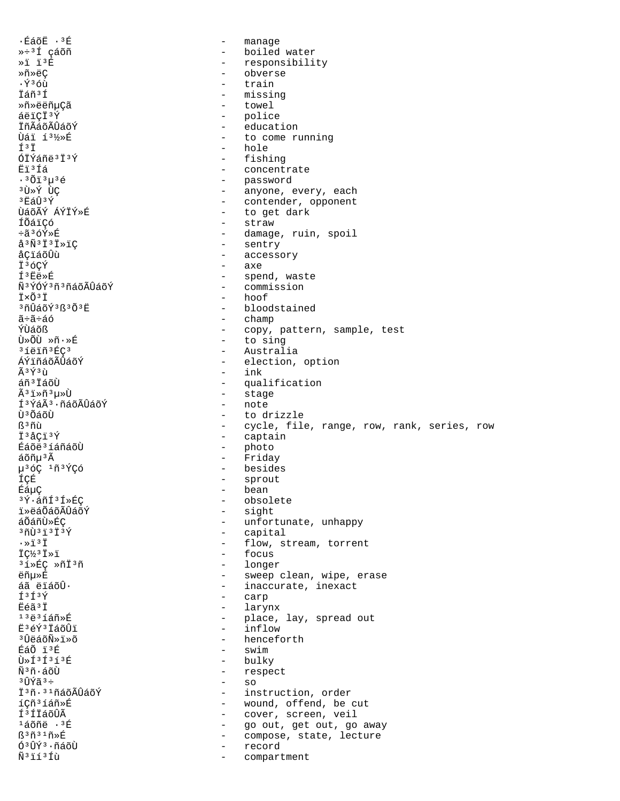$\cdot$ ÉáõË $\cdot$ <sup>3É</sup>  $\sim$ manage »÷3Í çáõñ - boiled water  $*1$   $13E$ - responsibility Ȗ»ëÇ obverse  $\cdot$ Ý $36\mathring{u}$ train İáñ<sup>3</sup>Í missing Ȗ»ëëñµÇã - towel áëïÇÏ<sup>3</sup>Ý - police İñÃáõÃÛáõÝ - education - to come running *Uái 131/>>*É f3 i - hole  $674443737$ - fishing - concentrate Ëï<sup>3</sup>Íá - password<br>- anyone, every, each  $.3013u36$ <sup>3</sup>Ù → Ý ÙÇ - contender, opponent ªËáÛªÝ - to get dark ÙáõÃÝ ÁÝÏÝ»É - straw íõáicó ֋3óÝ»É - damage, ruin, spoil - sentry  $a^3\tilde{N}$ <sup>3</sup> $\ddot{I}$ <sup>3</sup> $\ddot{I}$ <sup>2</sup> $\ddot{I}$ - accessory åÇïáõÛù  $-$  axe Ï36CÝ ͪËë»É - spend, waste - commission ѪÝÓݪñªñáõÃÛáõÝ I×Õ<sup>3</sup>I  $-$  hoof <sup>3</sup>ñÛáõÝ<sup>3</sup>ß<sup>3</sup>Õ<sup>3</sup>Ë - bloodstained  $-$  champ ã÷ã÷áó ÝÙáõß - copy, pattern, sample, test - to sing Ù»ÕÙ »ñ.»É <sup>3</sup>íëiñ<sup>3</sup>ÉÇ<sup>3</sup> - Australia ÁÝïñáõÃÛáõÝ - election, option  $\tilde{A}$  3  $\tilde{Y}$  3  $\tilde{U}$  $-$  ink áñ<sup>3</sup> ÍáõÙ - qualification - stage Ã3ï»ñ3µ»Ù - note Í<sup>3</sup>ÝáÃ<sup>3</sup>·ñáõÃÛáõÝ - to drizzle นิงกลัก  $R3n$ - cycle, file, range, row, rank, series, row I<sup>3</sup>åCi<sup>3</sup>Ý - captain Éáõë<sup>3</sup> í áñáõÙ - photo - Friday áõñu 3 Ã - besides µ36Ç 1ñ3ÝÇó ÍÇÉ - sprout ÉáµÇ - bean <sup>3</sup>Ý·áñÍ<sup>3</sup>Í»ÉÇ - obsolete - sight *i*ȑáÕáõÃÛáõÝ - unfortunate, unhappy áÕáñÙ»ÉC - capital  $371373737$  $\cdot$  >  $\overline{1}$  3 $\overline{1}$ - flow, stream, torrent  $\ddot{\mathsf{T}} \mathsf{C}^{1/3}$   $\ddot{\mathsf{T}} \times \ddot{\mathsf{T}}$ - focus - longer <sup>3</sup>í»ÉC »ñÏ<sup>3</sup>ñ - sweep clean, wipe, erase ëñu»É - inaccurate, inexact áã ëïáõÛ.  $f3f3$  $\frac{1}{2}$  . carp Ëéã<sup>3</sup>Ï larynx  $\sim$  $13\ddot{e}31\acute{a}$ ñ»É - place, lay, spread out  $\omega_{\rm{max}}$ E3éÝ3IáõÛi inflow <sup>3</sup>ÛëáõÑ»ï»õ - henceforth ÉáÕ ï3É - swim - bulky  $\tilde{U}$ » $\tilde{T}$ 3 $\tilde{T}$ 3 $\tilde{T}$ 3 $\tilde{R}$ - respect พิ<sup>ร</sup>ิกั•ล์กัโ  $-$  so  $3$  Tr $\sqrt{2}$  $3 \div$ Ï<sup>3</sup>ñ·<sup>31</sup>ñáõÃÛáõÝ - instruction, order íCñ<sup>3</sup>íáñ»É - wound, offend, be cut í<sup>3</sup>íiáõÛÃ - cover, screen, veil - go out, get out, go away <sup>ı</sup>áõñë ·<sup>3</sup>É - compose, state, lecture  $\mathbb{S}^3$ ñ $^3$  $\mathbb{1}$ ñ»É Ó<sup>3</sup>ÛÝ<sup>3</sup>·ñáõÙ record Ñ<sup>3</sup>ií<sup>3</sup>Íù compartment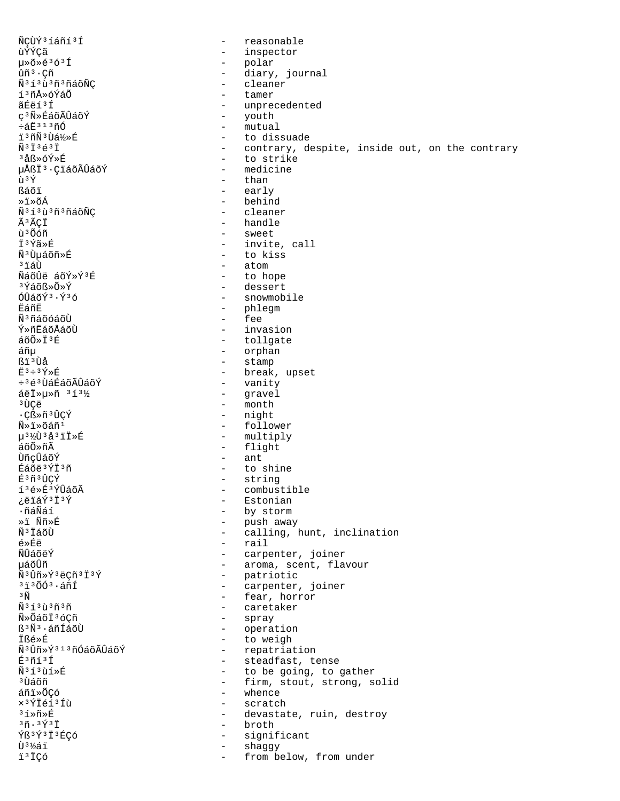ÑCÙÝ3íáñí3Í reasonable  $\sim$ ùÝÝ¢ã - inspector - polar<br>- diary, journal µ»õ»é3ó3Í ûñ<sup>3</sup>·Çñ - cleaner Ñ<sup>313</sup>ù<sup>3</sup>ñ<sup>3</sup>ñáõÑÇ í3ñÅ»óÝáÕ tamer ãÉëí<sup>3</sup>Í - unprecedented ç<sup>3</sup>Ñ»ÉáõÃÛáõÝ - youth - mutual ևË313ñÓ i<sup>3</sup>ñÑ<sup>3</sup>Ùá½»É - to dissuade  $\tilde{N}$ 3 $\tilde{T}$ 3 $\tilde{A}$ 3 $\tilde{T}$ - contrary, despite, inside out, on the contrary  $3A8\times6V\times F$ - to strike - medicine uÅßÏ<sup>3</sup>·CiáõÃÛáõÝ ù 3Ý - than - early ßáõï - behind ≫ï≫õÁ Ñ<sup>313</sup>ù<sup>3</sup>ñ<sup>3</sup>ñáõÑÇ - cleaner - handle Ã3ÃÇÏ - sweet ù<sup>3</sup>Õóñ - invite, call ϪÝã»É Ñ<sup>3</sup>Ùµáõñ»É - to kiss <sup>3</sup>iáÙ - atom ÑáõÛë áõÝ»Ý3É - to hope - dessert <sup>3</sup>Ýáõ߻ջÝ  $60a\tilde{a}$  $\tilde{y}$ <sup>3</sup> $\tilde{y}$ <sup>3</sup> $\tilde{6}$ - snowmobile - phlegm ËáñË Ñ<sup>3</sup>ñáõóáõÙ - fee - invasion Ý»ñËáõÅáõÙ áõÕ»Ï3É - tollgate - orphan áñµ - stamp ßï<sup>3</sup>Ùå  $E$ <sup>3</sup> ÷ <sup>3</sup> $Y$  » $E$ - break, upset ֻéªÙáÉáõÃÛáõÝ - vanity - gravel áëÏ»µ»ñ 313½ - month з ÙСë ·Cß»ñ<sup>3</sup>ÛCÝ - night - follower  $\tilde{\text{N}} \times \tilde{\text{N}} \times \tilde{\text{N}}$ ล์ที่ u<sup>31</sup><sup>2</sup>U<sup>3</sup>å<sup>3</sup>iI»É - multiply - flight áõÕ»ñÃ  $-$  ant ÙñcÛáõÝ - to shine Éáõë3ÝÏ3ñ - string É3ñ3ÛCÝ í3é»É3ÝÛáõÃ - combustible - Estonian ¿ëïáÝ3Ï3Ý - by storm ∙ñáÑáí »i Ññ»É - push away - calling, hunt, inclination Ñ<sup>3</sup>ÏáõÙ - rail  $A \times \hat{E}$ พี∪ิล์∩ัื้⇔ัั<sup></sup> - carpenter, joiner µáõÛñ - aroma, scent, flavour - patriotic<br>- carpenter, Ñ<sup>3</sup>Ûñ»Ý3ëCñ3Ï3Ý  $3\overline{1}$  $3\overline{0}$ Ó $3\cdot$ áñÍ carpenter, joiner - fear, horror  $3\tilde{\rm N}$ - caretaker  $\tilde{\rm N}$ <sup>313</sup> $\tilde{\rm u}$ <sup>3</sup> $\tilde{\rm n}$ <sup>3</sup> $\tilde{\rm n}$ - spray Ñ»ÕáõÏ3óCñ - operation ß<sup>3</sup>Ñ<sup>3</sup>·áñÍáõÙ - to weigh **짎ȃ** - repatriation Ñ<sup>3</sup>Ûñ»Ý<sup>313</sup>ñÓáõÃÛáõÝ - steadfast, tense  $E<sup>3</sup>$ ñí $<sup>3</sup>$ Í</sup>  $\tilde{N}$ <sup>3</sup> $\tilde{1}$ <sup>3</sup> $\tilde{1}$  $\tilde{1}$  $\tilde{2}$  $\tilde{R}$ - to be going, to gather <sup>3</sup> ปีล์กัก - firm, stout, strong, solid - whence áñi»ÕCó - scratch x<sup>3</sup>ÝÏéí<sup>3</sup>Íù 3í≫ñ≫É - devastate, ruin, destroy  $3\tilde{n}$ .  $3\tilde{Y}$  $3\tilde{1}$ - broth Ýß<sup>3</sup>Ý<sup>3</sup>Ï<sup>3</sup>ÉÇÓ - significant Ù<sup>31</sup>⁄áï shaggy  $\sim$ ï<sup>3</sup>ÏÇó from below, from under  $\sim$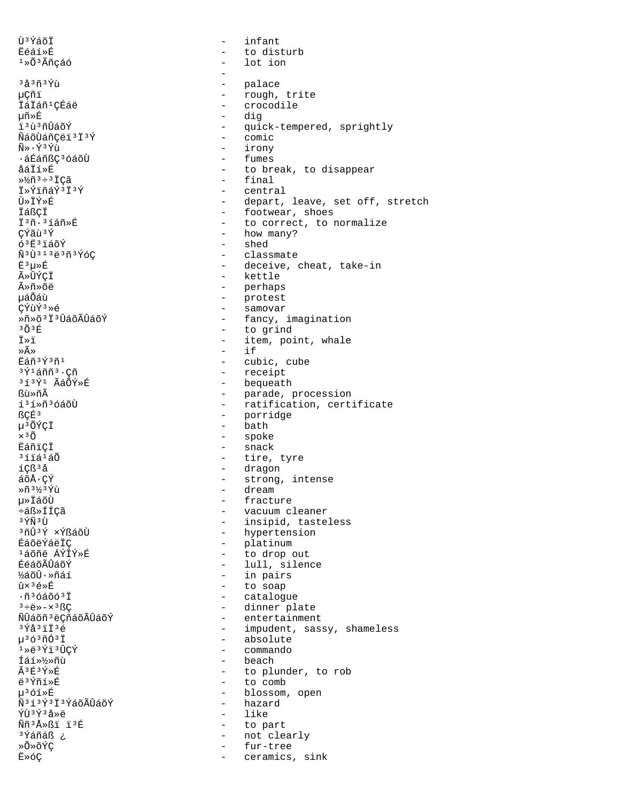Ù<sup>3</sup>Ýáõİ infant  $\overline{a}$ **Eéáí**ȃ  $\qquad \qquad$ to disturb 1»Õ3Ãñçáó  $\equiv$ lot ion <sup>3</sup>å<sup>3</sup>ñ<sup>3</sup>Ýù palace - rough, trite 怤ï - crocodile İáİáñ<sup>1</sup>ÇÉáë - dig 椯É - quick-tempered, sprightly ï ªù ªñÛáõÝ - comic ÑáõÙáñCëï 'i'Ý  $\tilde{N}$ »  $\cdot$   $\tilde{Y}$ <sup>3</sup> $\tilde{Y}$ ì - irony ᇃáñßC<sup>3</sup>óáõÙ - fumes åáÏí»É - to break, to disappear  $-$  final  $\frac{1}{2}$ ñ 3 ÷ 3 ÏÇã - central İ»ÝiñáÝ3Ï3Ý Ù≫ÏÝ≫É - depart, leave, set off, stretch - footwear, shoes İáßçi - to correct, to normalize I<sup>3</sup>ñ·<sup>3</sup>íáñ»É - how many? **C**Ýãù<sup>3</sup>Ý  $63E3140Y$ - shed  $\tilde{N}$ <sup>3</sup>Ù<sup>313</sup>ë<sup>3</sup>ñ<sup>3</sup>ÝóÇ - classmate  $E^3\mu\nu E$ - deceive, cheat, take-in - kettle ûÛÝCÏ - perhaps  $\widetilde{A} \gg \widetilde{n} \gg \widetilde{G} \widetilde{P}$ - protest นล์0ิ้ล์น้ - samovar CÝùÝ<sup>3</sup>»é Ȗ»õ<sup>3</sup>Ï<sup>3</sup>ÛáõÃÛáõÝ - fancy, imagination - to grind  $303E$ Ï≫ï - item, point, whale  $i$ f ≫Ã≫  $\sim$ Eáñ<sup>3</sup>Ý3ñ1 - cubic, cube  $3\tilde{Y}$  $1\tilde{a}$ ññ $3\cdot$ Çñ - receipt - bequeath 313Ý1 ÃáÕÝ»É - parade, procession ßù»ñÃ - ratification, certificate í<sup>3</sup>í»ñ<sup>3</sup>óáõÙ **RCÉ3** - porridge - bath µ<sup>3</sup>ÕÝÇÏ  $\times$ <sup>3</sup> $\tilde{O}$ - spoke **Eáñici**  $-$  snack - tire, tyre <sup>3</sup>íïá<sup>1</sup>áÕ - dragon íÇß<sup>3</sup>å áõÅ·ÇÝ - strong, intense  $*\tilde{n}$ 3½3Ýù - dream µ»ÏáõÙ - fracture ևß»ÍÍÇã - vacuum cleaner - insipid, tasteless <sup>3</sup>ÝÑ ªÙ <sup>3</sup>ñÛ<sup>3</sup>Ý ×ÝßáõÙ - hypertension - platinum **É**AÕÄÝÁÄTC  $1500 - 150$ - to drop out - lull, silence ÉéáõÃÛáõÝ - in pairs ½áõÛ·»ñáí - to soap û×<sup>3</sup>é»É - catalogue  $\cdot$ ñ 3 óáõó 3 Ï - dinner plate  $3 \div 4 \times - \times 3$   $C$ ÑÛáõñ<sup>3</sup>ëÇñáõÃÛáõÝ - entertainment - impudent, sassy, shameless  $3\overline{Y}a3\overline{1}\overline{1}3\overline{6}$  $\mu$ <sup>3</sup> ó<sup>3</sup> $\tilde{\text{m}}$ Ó<sup>3</sup> Ï - absolute  $1*e^3$   $Y1*0C$ - commando - beach Íáí»½»ñù  $\tilde{A}$  3  $\tilde{F}$  3  $\tilde{Y}$   $\gg$   $\tilde{E}$ - to plunder, to rob - to comb ë3Ýñí»É  $\mu^3$ óí» $\widehat{F}$ - blossom, open  $\tilde{N}$ <sup>313</sup> $\tilde{Y}$ <sup>313</sup> $\tilde{Y}$ áõÃ $\tilde{U}$ áõ $\tilde{Y}$ - hazard ÝÙ3Ý3å»ë - like Ññ3Å > ßï ï 3É - to part ¿ <sup>3</sup>Ýáñáß - not clearly »Õ»õÝÇ  $\sim$ fur-tree E»óÇ ceramics, sink  $\sim$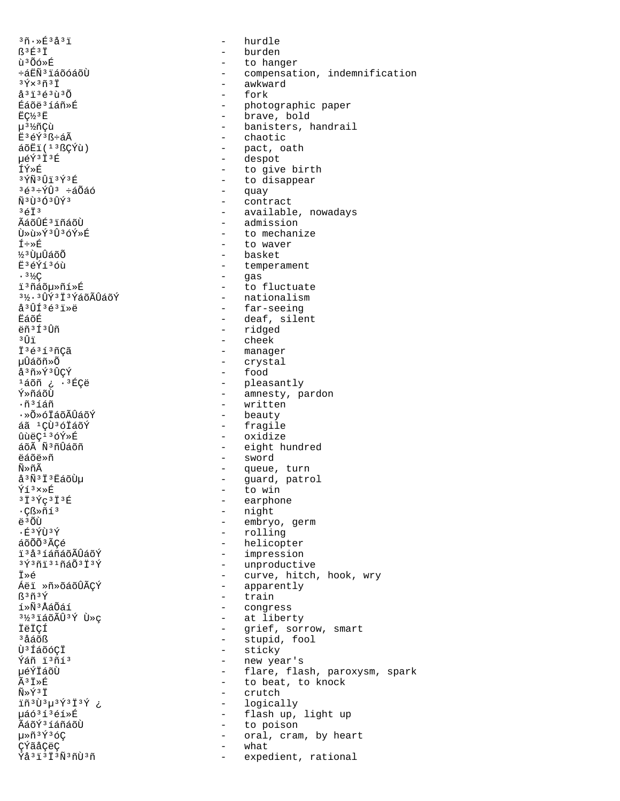$30.853231$ ß3É3İ ù 3 Õó »É ևËÑ3ïáõóáõÙ  $3\bar{Y} \times 3\tilde{n}$  $3\bar{1}$ å<sup>3</sup>ï<sup>3</sup>é<sup>3</sup>ù<sup>3</sup>Õ Éáõë<sup>3</sup>íáñ»É  $EC/3E$ µ3½ñÇù Ë3éÝ3ß÷áÃ  $\tilde{a}$ õËi $(136C\hat{Y}u)$ uéÝ3Ï3É ÍÝ»É  $3\overline{\Upsilon} \widetilde{\rm N}$  $3\overline{\Upsilon}$  $\overline{\rm 1}$  $3\overline{\Upsilon}$  $3\overline{\Upsilon}$  $363 \div \hat{Y} \hat{U}$ 3  $\div \hat{A} \tilde{O} \hat{A} \hat{O}$ ѪÙªÓªÛݪ  $3613$ ÃáõÛÉ3 ïñáõÙ Ù»ù»Ý3Û3óÝ»É Í÷»É <sup>3</sup>y<sup>3</sup>UuÛáõÕ Ë3éÝí3óù  $.3\frac{1}{2}C$ i<sup>3</sup>ñáõu»ñí»É 31, 3 0 9 3 1 3 Y a O AU a O Y  $a^{3}$ ÛÍ $36^{3}$ iȑ EáõÉ ëñ<sup>3</sup>Í<sup>3</sup>Ûñ зûї İ<sup>3</sup>é<sup>3</sup>í<sup>3</sup>ñÇã µÛáõñ≫Õ å<sup>3</sup>ñ»Ý<sup>3</sup>ÛCÝ 1áõñ ¿ · 3ÉÇë Ý≫ñáõÙ  $\cdot$ ñ $\frac{3}{4}$ ñ ·»Õ»óÏáõÃÛáõÝ áã <sup>1</sup>CÙ<sup>3</sup>óIáõÝ ûùëC<sup>13</sup>óÝ»É áõÃ Ñ3ñÛáõñ ëáõë»ñ Ñ»ñÃ å<sup>3</sup>Ñ<sup>3</sup>Ï<sup>3</sup>EaoÙµ Ýí3×»É  $3134C313E$  $\cdot$ Cᯤí<sup>3</sup> ë 3 ÕÙ  $\cdot$   $\rm \hat{F}$   $\rm$   $\rm \hat{V}$   $\rm \hat{V}$   $\rm \hat{V}$ áõÕÕ<sup>3</sup>ÃCé i'à iáñáõÃÛáõÝ  $3\overline{Y}$  $3\overline{1}$  $3\overline{1}$  $3\overline{1}$  $3\overline{1}$  $3\overline{Y}$ İ»é 瑕 Ȗ»õáõÛÃÇÝ ß<sup>3</sup>ñ3Ý í»ÑªÅáÕáí <sup>31</sup>/<sub>2</sub><sup>3</sup>iáõÃÛ<sup>3</sup>Ý Ù »ç **ÏëÏCÍ** <sup>3</sup>åáõß Ù<sup>3</sup>ÍáõóCI Ýáñ ï3ñí3 µéÝÏáõÙ  $\tilde{A}$ <sup>3</sup> $\vec{T}$  » $\tilde{R}$  $\tilde{N} \gg \tilde{Y}$ <sup>3</sup> $\tilde{T}$ iñ3Ù3µ3Ý3Ï3Ý ¿ 栢3í3éí»É ÃáõÝ3 íáñáõÙ 毤<sup>3</sup>Ý3óÇ ÇÝãåÇëÇ Ýå<sup>3</sup>i<sup>3</sup>İ<sup>3</sup>Ñ<sup>3</sup>ñÙ<sup>3</sup>ñ

 $\Delta \phi$ hurdle - burden - to hanger - compensation, indemnification - awkward fork - photographic paper - brave, bold - banisters, handrail - chaotic - pact, oath - despot - to give birth - to disappear - quay - contract - available, nowadays - admission - to mechanize - to waver - basket - temperament - gas - to fluctuate - nationalism - far-seeing - deaf, silent - ridged - cheek - manager - crystal - food - pleasantly<br>- amnesty, pardon - written - beauty - fragile - oxidize - eight hundred - sword - queue, turn - guard, patrol<br>- to win - earphone - night - embryo, germ - rolling - helicopter - impression - unproductive - curve, hitch, hook, wry<br>- apparently - train - congress - at liberty - grief, sorrow, smart - stupid, fool - sticky - new year's - flare, flash, paroxysm, spark - to beat, to knock - crutch - logically - flash up, light up - to poison - oral, cram, by heart what expedient, rational  $\sim$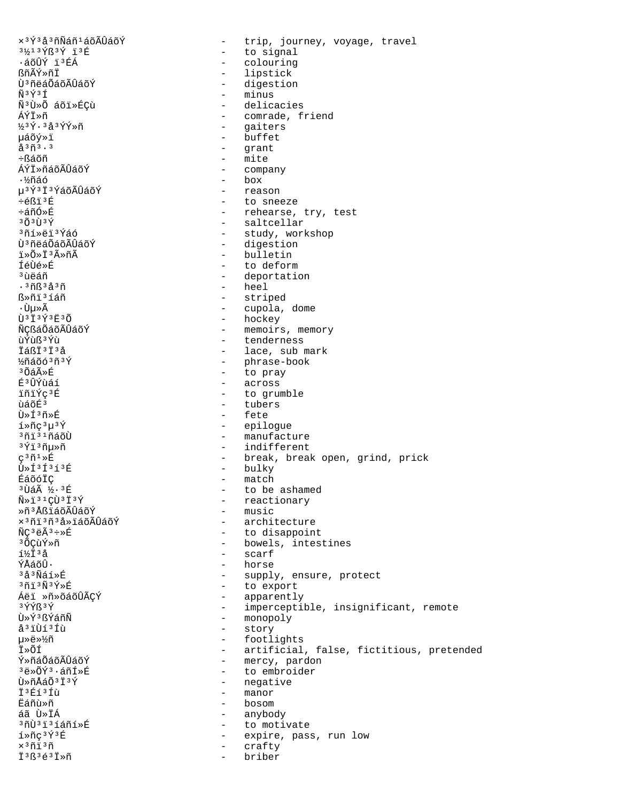$x$ <sup>3 $\acute{\gamma}$ 3 å 3 ñ $\widetilde{\text{Na}}$ ñ  $^1$  á õ $\widetilde{\text{Al}}$ Ũá õ $\acute{\text{Y}}$ </sup> - trip, journey, voyage, travel 3½13Ýß3Ý ï3É - to signal ·áõÛÝ ï3ÉÁ  $\frac{1}{2}$  ,  $\frac{1}{2}$ colouring - lipstick ßñÃÝ»ñÏ Ù<sup>3</sup>ñëáÕáõÃÛáõÝ - digestion - minus  $\tilde{N}$ <sup>3</sup> $\tilde{Y}$ <sup>3</sup> $\tilde{I}$ Ñ3Ù»Õ áõï»ÉÇù - delicacies - comrade, friend ÁÝÏ≫ñ - gaiters  $343\tilde{Y}\cdot 3a3\tilde{Y}\tilde{Y}\times \tilde{\Pi}$ - buffet µáõý»ï  $A^{3} \tilde{n}^{3} \cdot 3$ - qrant - mite ֧ล์õñ ÁÝÏ»ñáõÃÛáõÝ - company  $-$  box ∙½ñáó - reason u<sup>3</sup>Ý<sup>3</sup>I<sup>3</sup>ÝáõÃÛáõÝ ֎ßï<sup>3</sup>É - to sneeze ևñÓ»É - rehearse, try, test - saltcellar  $303134$ - study, workshop 3ñí»ëï 3Ýáó - digestion Ù<sup>3</sup>ñëáÕáõÃÛáõÝ i»õ»ī3ûñÃ - bulletin ้<br>Térìe»É - to deform <sup>3</sup> บิคล์ที - deportation  $-$  heel  $.3ñR3A3ñ$ - striped ᯤi3íáñ - cupola, dome ∙ Ùu»Ã Ù3Ï3Ý3Ë3Õ - hockey ÑÇßáÕáõÃÛáõÝ - memoirs, memory ùÝùß 3 Ýù - tenderness - lace, sub mark İáßi<sup>3</sup>i<sup>3</sup>å - phrase-book 16063ñ3Ý - to pray  $3048$ - across **หิงบิ**่ทำลัง - to grumble ïñïÝc3É นิล์ดินี้<sup>3</sup> - tubers  $\tilde{H} \gg \tilde{H}^3 \tilde{H} \gg \tilde{H}$  $-Fate$ - epiloque - manufacture <sup>3</sup>ñi<sup>31</sup>ñáõÙ - indifferent  $3413n\mu$  $\varsigma$ <sup>3</sup> $\tilde{n}$ <sup>1</sup>  $\triangleright$  $\tilde{E}$ - break, break open, grind, prick - bulky Ù»Í3Í3í3É - match ÉáõóÏÇ <sup>3</sup>Ùáà ½·3丘 - to be ashamed - reactionary  $\tilde{N} \gg \tilde{1}^{31}$ CÙ  $3\tilde{1}^{3}$   $\tilde{Y}$ - music Ȗ3ÅßïáõÃÛáõÝ - architecture x<sup>3</sup>ñi<sup>3</sup>ñ<sup>3</sup>å»ïáõÃÛáõÝ - to disappoint  $\widetilde{N}C^3e\widetilde{A}^3\div x\widetilde{E}$ <sup>3</sup> OCuÝ»ñ - bowels, intestines  $1\frac{1}{4}$  $3\frac{1}{4}$  $-$  scarf ÝÅáõÛ. - horse <sup>3</sup>å<sup>3</sup>Ñáí»É - supply, ensure, protect - to export  $30130340$ - apparently Áëi »ñ»õáõÛÃÇÝ 3ÝÝß3Ý - imperceptible, insignificant, remote - monopoly Ù»Ý3ßÝáñÑ å<sup>3</sup>iÙí<sup>3</sup>Íù - story - footlights 毉»½ñ - artificial, false, fictitious, pretended İ»õí - mercy, pardon Ý»ñáÕáõÃÛáõÝ  $3\overline{e}$ » $\tilde{O}$ Ý $3.5$ ñ $\overline{f}$ » $\overline{R}$ - to embroider  $\tilde{\Pi} \gg \tilde{\Pi} \tilde{\Delta} \tilde{\Delta} \tilde{\Omega}$   $3\tilde{\Pi} \tilde{\Delta} \tilde{\Psi}$ - negative - manor <u> 73 R í 3 Í ú</u> Eáñù≫ñ  $-$  bosom áã Ù»ÏÁ - anybody - to motivate í»ñç<sup>3</sup>Ý3É - expire, pass, run low  $\times$ <sup>3</sup> $\tilde{\rm n}$ i<sup>3 $\tilde{\rm n}$ </sup> - crafty I3B3é3I»ñ briber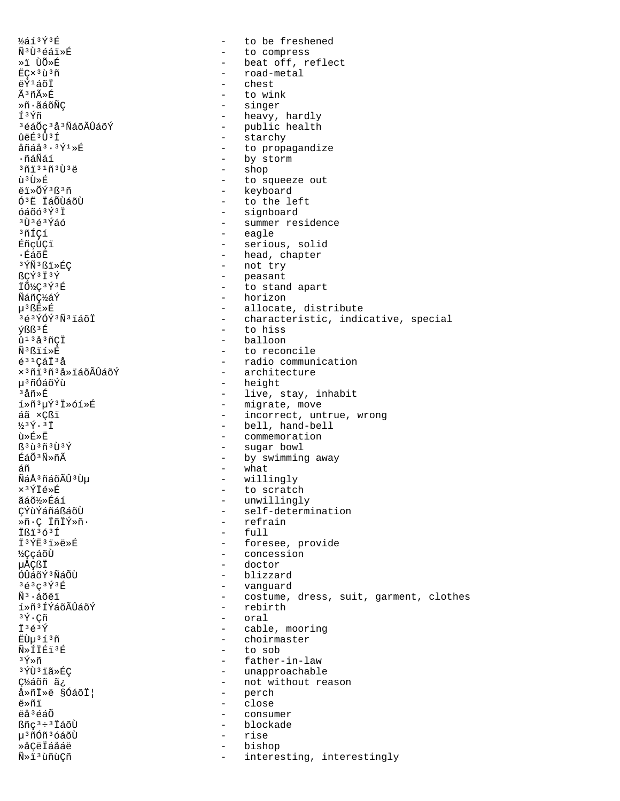$\frac{1}{6}$ í $\frac{1}{2}$ ý $\frac{1}{2}$ É to be freshened  $\sim$ Ñ<sup>3</sup>Ù<sup>3</sup>éáï»É  $\frac{1}{2}$  . to compress »i ÙÕ»É - beat off, reflect - road-metal ECx<sup>3</sup>ù<sup>3</sup>ñ ëÝ<sup>1</sup>áõÏ chest Ã3ñûÉ to wink ≫ñ∙ãáõÑÇ - singer Í3Ýñ - heavy, hardly - public health <sup>3</sup>éáÕç<sup>3</sup>å<sup>3</sup>ÑáõÃÛáõÝ - starchy ûëÉ3Û3Í  $A\tilde{n}A\tilde{A}3.3\tilde{v}1\$ - to propagandize - by storm .กัล์Nัล์ 1 - shop  $3013103e$ ù ª Ù»É - to squeeze out - keyboard ëï»ÕÝ3ß3ñ Ó<sup>3</sup>Ë ÏáÕÙáõÙ - to the left - signboard  $64063931$ - summer residence 3Ù3é3Ýáó - eagle 3ñÍCí ÉñcÙCï - serious, solid - head, chapter ∙ÉáõË <sup>3</sup>ÝÑ<sup>3</sup>ßï»ÉC - not try - peasant RCÝ3Ï3Ý IÕ¼C3Ý3É - to stand apart - horizon ÑáñC½áÝ u<sup>3</sup> ßE»É - allocate, distribute 3é3ÝÓÝ3Ñ3ïáõÏ - characteristic, indicative, special - to hiss ýßß<sup>3</sup>É - balloon  $\hat{u}$ <sup>13</sup>å<sup>3</sup> $\tilde{n}$ çÏ  $\tilde{\rm N}^3$ ßií»É - to reconcile - radio communication  $\acute{e}^{31}$ CáÏ $^3$ å x<sup>3</sup>ñi<sup>3</sup>ñ<sup>3</sup>å»iáõÃÛáõÝ - architecture - height µ<sup>3</sup>ñÓáõÝù <sup>3</sup>åñ»É - live, stay, inhabit - migrate, move í»ñ3µÝ3Ï»óí»É - incorrect, untrue, wrong áã xCßï  $1/34.37$ - bell, hand-bell ù»É»Ë - commemoration - sugar bowl  $\mathbb{S}^3\tilde{\mathfrak{u}}^3\tilde{\mathfrak{n}}^3\tilde{\mathfrak{V}}^3\tilde{\mathfrak{Y}}$ - by swimming away ÉáÕ<sup>3</sup>Ñ»ñÃ - what áñ ÑáÅ3ñáõÃÛ3Ùµ - willingly - to scratch ×<sup>3</sup>ÝÏé»É - unwillingly ãáõ½»Éáí ÇÝùÝáñáßáõÙ - self-determination Ȗ C ÏñÏÝ»ñ · - refrain  $-$  full TRi363f I3ÝE3I»ë»É - foresee, provide **½CcáõÙ** - concession 揀ßÏ - doctor - blizzard ÓÛáõݪÑáÕÙ - vanguard зезсзұзв - costume, dress, suit, garment, clothes  $\tilde{\rm N}^3$ ·áõëï - rebirth í»ñ3 ÍÝáõÃÛáõÝ - oral  $3\hat{Y} \cdot C\tilde{n}$ Ï<sup>3</sup>é<sup>3</sup>Ý - cable, mooring EÙu<sup>313</sup>ñ - choirmaster Ñ»ÍİÉi3É - to sob  $\sqrt[3]{2} \times \widetilde{n}$ - father-in-law ªÝÙªïã»ÉC - unapproachable - not without reason c½áõñ ã¿ - perch å»ñİ»ë §ÓáõϦ ë»ñï - close ëå<sup>3</sup>éáÕ  $\sim$   $$ consumer - blockade ßñç<sup>3</sup>÷<sup>3</sup> İáõÙ µ<sup>3</sup>ñÓñ<sup>3</sup>óáõÙ rise  $\sim$ ȌÇëÏáåáë bishop  $\sim$ Ñ»ï3ùñùÇñ interesting, interestingly  $\sim$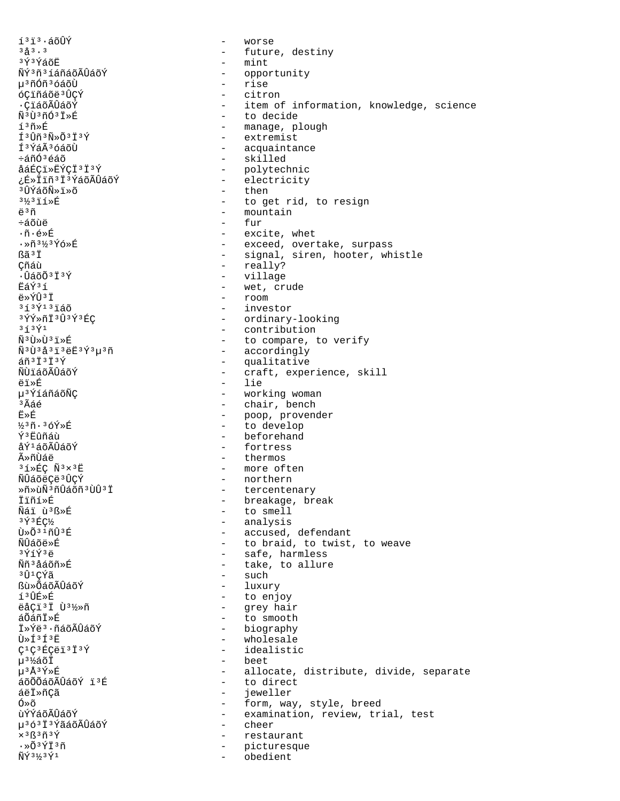$1313.5009$  $3^{2}$  $\frac{3}{2}$   $\frac{3}{2}$ 3Ý3ÝáõË ÑÝ3ñ3íáñáõÃÛáõÝ µ<sup>3</sup>ñÓñ<sup>3</sup>óáõÙ óÇiñáõë<sup>3</sup>ÛÇÝ ·ÇïáõÃÛáõÝ Ñ<sup>3</sup>Ù<sup>3</sup>ñÓ<sup>3</sup>Ï»É íªñ»É  $f3f\tilde{m}3\tilde{N}\$ f 3 Ýá Ã 3 Ó á Õ Ì  $\div \sin \hat{\theta}$   $\angle \sin \hat{\theta}$ åáÉCï»ËÝCÏ<sup>3</sup>Ï<sup>3</sup>Ý ¿É»ÏïñªïªÝáõÃÛáõÝ <sup>3</sup>ÛÝáõÑ»ï»õ  $3\frac{1}{2}3\ddot{1}\acute{1}\times\acute{E}$ ë<sup>3</sup>ñ ևõùë ∙ñ∙é»É ·»ñ3½3Ýó»É Rã<sup>3</sup>T Çñáù  $\cdot$ ÛáõÕ $3\overline{1}$  $3\overline{Y}$ FÁÝ3í ë»ÝÛ3Ï  $313$  $\tilde{Y}$  $13$  $\tilde{1}$  $\tilde{4}$  $\tilde{0}$ 3ÝÝ»ñÏ3Û3Ý3ÉC  $3f3\overline{Y}1$ Ñ<sup>3</sup>Ù >Ù 3ï >É Ñ<sup>3</sup>Ù3å3ï3ëË3Ý3µ3ñ  $\tilde{a}$ ñ  $3\tilde{1}$   $3\tilde{1}$   $3\tilde{Y}$ ÑÙïáõÃÛáõÝ ëï»É µ<sup>3</sup>ÝíáñáõÑÇ  $3\tilde{A}$ áé  $\ddot{\mathbf{E}} \times \dot{\mathbf{E}}$  $\frac{1}{3}$ 3ñ. 3óÝ»É ݪ Eûñáù åݪáõÃÛáõÝ ûñÙáë  $31*EC \tN3*3E$ ÑÛáõëÇë 3 ÛÇÝ Ȗ»ùÑ3ñÛáõñ3ÙÛ3Ï İïñí»É Nái ù B>É  $3\,$   $\rm \acute{Y}$   $3\,$   $\rm \acute{E}$   $\rm \rm C$   $\rm \acute{V}$  $\tilde{U} \times \tilde{O}^3$   $1 \tilde{H} \tilde{U}$  $3 \tilde{H}$ Ñ้⊔ิล์∩ัื้⇔นิ่  $3\sqrt{11}\sqrt{3}a$ Ññ<sup>3</sup>åáõñ»É 3Û1ÇÝã **Bù»ÕáõÃÛáõÝ** íªÛÉ≫É ëåÇï<sup>3</sup>Ï Ù<sup>31</sup>⁄2»ñ áÕáñÏ»É I»Ýë<sup>3</sup>·ñáõÃÛáõÝ Ù»Í3Í3Ë  $C^1C^3$ ÉCëï<sup>3</sup>Ï<sup>3</sup>Ý µ3½áõÏ µ3Å3Ý»É áõÕÕáõÃÛáõÝ i3É áëÏ»ñCã Ó»õ ùÝÝáõÃÛáõÝ µ363Ï3ÝãáõÃÛáõÝ x 3 ß 3 ñ 3 Ý  $\cdot \times 03\tilde{\Upsilon} \tilde{\mathbb{I}}^3 \tilde{\mathbb{I}}$  $\tilde{\rm N}\tilde{\rm Y}$ 3½3 $\tilde{\rm Y}$ 1

worse  $\equiv$  $\equiv$ future, destiny  $\equiv$ mint  $\sim$ opportunity rise  $\sim$ citron - item of information, knowledge, science - to decide - manage, plough - extremist - acquaintance - skilled - polytechnic  $\sim$   $$ electricity  $-$  then - to get rid, to resign - mountain fur - excite, whet - exceed, overtake, surpass - signal, siren, hooter, whistle - really? - village - wet, crude  $-$  room - investor - ordinary-looking - contribution - to compare, to verify - accordingly - qualitative - craft, experience, skill  $-$  lie - working woman - chair, bench - poop, provender  $\Delta \sim 10^4$ to develop - beforehand - fortress - thermos - more often - northern - tercentenary - breakage, break - to smell - analysis - accused, defendant - to braid, to twist, to weave - safe, harmless - take, to allure  $\,$  such - luxury - to enjoy - grey hair  $\sim$ to smooth - biography  $\sim$ wholesale - idealistic - beet - allocate, distribute, divide, separate - to direct  $\sim$   $$ jeweller - form, way, style, breed - examination, review, trial, test  $\sim$ cheer  $\sim$ restaurant picturesque

obedient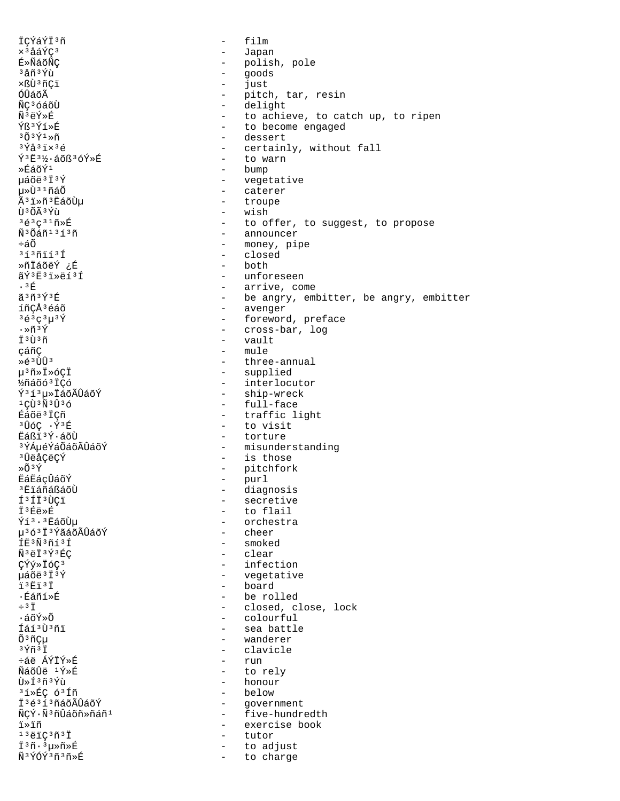ÏCÝáÝÏ<sup>3</sup>ñ - film ׳åáÝdz - Japan - polish, pole  $3\text{ and } \frac{3}{4}$ ñ $3\text{ } \frac{3}{4}$ ù  $-$  goods ×ßÙªñÇï - just<br>ÓÛáõà - just - just ÓÛáõÃ - pitch, tar, resin<br>ÑC<sup>3</sup>óáõÙ - - - - - - - - - - delight ÑÇ<sup>3</sup>óáõÙ - delight<br>Ñ<sup>3</sup>ëÝ»É - delight - delight Ñ<sup>3</sup>ëÝ»É - to achieve, to catch up, to ripen<br>ÝR<sup>3</sup>ÝÍ»É - to become engaged  $\frac{Y}{B}$ <sup>3</sup> $\frac{Y}{Y}$ í $\frac{Y}{B}$ <sup>3</sup> $\frac{Y}{Y}$ <sub>3</sub> $\frac{Y}{B}$ <sub>3</sub> $\frac{Y}{B}$ <sub>3</sub> $\frac{Y}{B}$ <sub>3</sub> $\frac{Y}{B}$ <sub>3</sub> $\frac{Y}{B}$ <sub>3</sub> $\frac{Y}{B}$ <sub>3</sub> $\frac{Y}{B}$ <sub>3</sub> $\frac{Y}{B}$ <sub>3</sub> $\frac{Y}{B}$ <sub>3</sub> $\frac{Y}{B}$  $3\tilde{O}$  $3\tilde{V}^1$ Ȗ - dessert<br> $3\tilde{V}$ â $3\tilde{V}$ a $5\tilde{V}$ - certainly, without fall<br>- to warn ݪ˪½·áõߪóÝ»É<br>»Éáõݪ - bump µáõë<sup>3</sup>Ï<sup>3</sup>Ý - vegetative µ»Ù<sup>31</sup>ñáÕ - caterer<br>êï»ñªËáõÙu - - troupe êï»ñªËáõÙµ<br>ÙªÕêÝù ÙºÕúÝù - wish<br>
→ vish - wish - boot  $3\acute{e}3\varsigma^3$ <sup>3</sup> $\acute{e}3\acute{e}3\varsigma^3$ <sup>3</sup> $\acute{e}3\acute{a}1^3$  $\acute{1}3\acute{a}3\acute{b}$  announcer  $\ddot{N}^3$ ѪÕáñºªíªñ e announcer<br>€áÕ - announcer - announcer - announcer ÷áÕ - money, pipe - closed<br>- both ȖÏáõëÝ ¿É<br>ãݪ˪ï»ëíªÍ ãÝ<sup>3</sup>Ë<sup>3</sup>ï»ëí<sup>3</sup>Í - unforeseen<br>∙3É - arrive co ·³É - arrive, come ã<sup>3</sup>ñ<sup>3Ý3É</sup> - be angry, embitter, be angry, embitter<br>íñCÅ<sup>3</sup>éáõ íñÇÅ<sup>3</sup>éáõ - avenger - avenger - avenger - avenger - avenger - avenger - foreword  $3e^3e^3\mu^3\acute{Y}$ <br>  $\cdot$   $\tilde{m}^3\acute{Y}$  - foreword, preface<br>
- cross-bar, log ·»ñ³Ý - cross-bar, log  $\ddot{\Gamma}$ <sup>3</sup>Ù<sup>3</sup>ñ - vault<br>cáñÇ - mule cáñÇ - mule<br>
>
éªÙÛª - three Ȏ<sup>3</sup>ÙÛ<sup>3</sup> - three-annual<br>µ<sup>3</sup>ñ»Ï»óÇÏ - three-annual µ³ñ»Ï»óÇÏ - supplied .<br>½ñáõó<sup>3</sup>ÏÇó - interlocutor<br>Ý<sup>3</sup>í<sup>3</sup>μ»ΪáõÃÛáõÝ - ship-wreck ݪíªµ»ÏáõÃÛáõÝ - ship-wreck<br>¤C٪ѪÛªó - full-face ιςῢιδιότητας της τρίτης της τρίτης της τρίτης της τρίτης της προϊότητας της προϊότητας της τρίτης της τρίτης τ<br>Εργασία της προσπάθειας της προσπάθειας της προσπάθειας της προσπάθειας της προσπάθειας της προσπάθειας της π Éáõë<sup>3</sup>ÏÇñ - traffic light<br>3 the state of the state of the state of the state of the state of the state of the state of the state of the s <sup>3</sup>ÛóÇ ·Ý<sup>3</sup>É - to visit<br>Ëáßi<sup>3</sup>Ý·áõÙ - torture - torture ËáßÏ<sup>3</sup>Ý·áõÙ - torture<br><sup>3</sup>ÝÁµéÝáÕáõÃÛáõÝ - - misunder - misunderstanding <sup>3</sup>󑌂ëÇÝ - is those<br>»Õ<sup>3</sup>Ý - is those - is those - is those - pitchfork<br>- purl ËáËáçÛáõÝ<br><sup>3</sup>ËïáñáßáõÙ ³ËïáñáßáõÙ - diagnosis Τ<sup>3</sup>ÍÏ<sup>3</sup>ÙÇï - secretive<br>Ï<sup>3</sup>Éë»É - contrator - contrator Ϊ<sup>3</sup>Éë»É<br>Ýí<sup>3.3</sup>Ëáõῢμ - to flail - orchestra<br>- cheer 榢ªÏªÝãáõÃÛáõÝ<br>Í˪ѪñíªÍ ÍË<sup>3</sup>Ñ<sup>3</sup>ñí<sup>3</sup>Í - smoked<br>ѪëÏ<sup>3</sup>ݪÉC - smoked - clear ѪëϪݪÉÇ - clear - clear<br>CÝý»ÏóCª - clear - infect ÇÝý»Ïódz - infection uáõë<sup>3</sup>Ï<sup>3</sup>Ý - vegetative - vegetative<br>ï<sup>3Ëï3Ï</sup> - board ï³Ëï³Ï - board ·Éáñí»É - be rolled ÷³Ï - closed, close, lock ·áõÝ»Õ - colourful Íáí<sup>3</sup>Ù<sup>3</sup>ñï - sea battle - sea battle - sea battle - sea battle - sea battle - sea battle - sea battle - sea battle - sea battle - sea battle - sea battle - sea battle - sea battle - sea battle - sea battle - sea battle -Õ³ñǵ - wanderer - clavicle<br>- run ևë ÁÝÏÝ»É<br>ÑáõÛë <sup>ı</sup>Ý»É ÑáõÛë ¹Ý»É - to rely - honour<br>- below <sup>3</sup>í»ÉÇ ó<sup>3</sup>Íñ<br>Ï<sup>3</sup>é3í3ñáõÃÛáõÝ - government  $\tilde{\texttt{N}}$ c $\tilde{\texttt{N}}$ <sup>3</sup>ñÛáõñ»ñáñ<sup>1</sup> - five-hundredth ï»ïñ - exercise book  $i^3$ ëï $\zeta^3$ ñ $i^3$ Ï - tutor<br>Ï $i^3$ ñ $\cdot$  $i^3$ uȖ»É - to ad Ϊ<sup>3</sup>ñ·<sup>3</sup>μ»ñ»É - to adjust<br>Ñ<sup>3</sup>ÝÓÝ<sup>3</sup>ñªñ»É - - to charge - to charge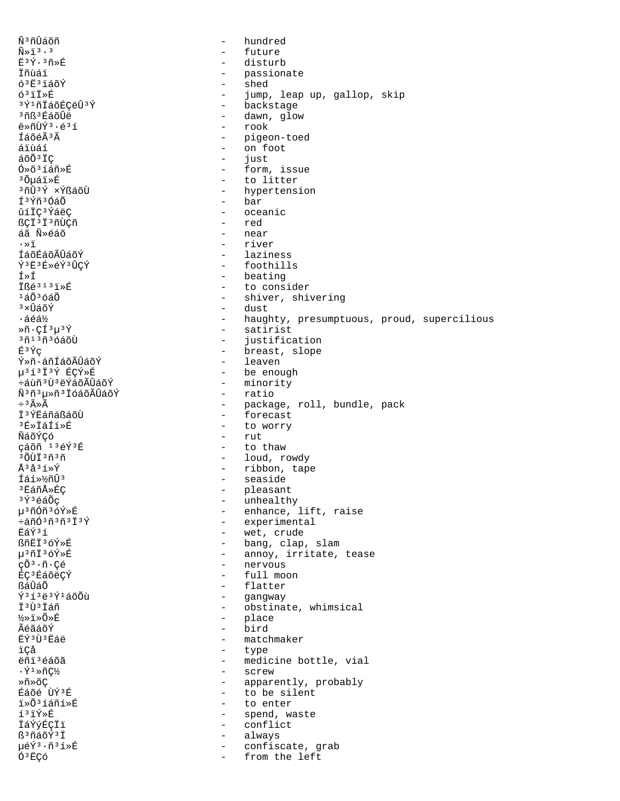Ñ<sup>3</sup>ñÛáõñ hundred  $\overline{a}$  $\widetilde{\rm N}\!\!\gg\!\widetilde{\rm 1}^{\,3}\cdot$  3 future  $\equiv$  $E3\tilde{Y}\cdot 3\tilde{n}*\tilde{E}$  $\equiv$  . disturb Ïñùáï passionate  $\sim$  $63E3160Y$ shed  $\sim$ 6<sup>3</sup>iIȃ jump, leap up, gallop, skip  $\sim$ - backstage 3Ý1ñÏáõÉÇëÛ3Ý <sup>3</sup>ñß<sup>3</sup>ÉáõÛë - dawn, glow - rook ë»ñÙÝ3.é3í - pigeon-toed ÍáõéÃ<sup>3</sup>Ã áïùáí - on foot  $50037C$  $\sim$ iust  $0*0*314n*E$ - form, issue <sup>3</sup>Õµáï»É  $\sim$ to litter - hypertension <sup>3</sup>ñÛ<sup>3</sup>Ý ×ÝßáõÙ Í<sup>3</sup>Ýñ<sup>3</sup>ÓáÕ - bar ûíÏÇ<sup>3</sup>ÝáëÇ - oceanic ßçï<sup>3</sup>ï<sup>3</sup>ñÙçñ red  $\sim$ áã Ñ»éáõ near  $\sim$  $\cdot$   $\overline{5}$ - river - laziness ÍáõÉáõÃÛáõÝ Ý3Ë3É»éÝ3ÛÇÝ - foothills - beating Í»Í  $\ddot{T}$  $R\acute{\theta}$  $313\ddot{7}\acute{R}$ - to consider  $1\acute{a}0\acute{a}3\acute{a}0\acute{a}0$ - shiver, shivering - dust  $3 \times \hat{U}$ áõÝ - haughty, presumptuous, proud, supercilious ∙áéá½ - satirist  $*\tilde{n} \cdot \tilde{\mathcal{C}}$ í $3\mu$  $3\tilde{\mathcal{C}}$  $30130300$  $\sim$   $$ justification - breast, slope É3Ýç Ý»ñ·áñÍáõÃÛáõÝ - leaven µ31313Ý ÉÇÝ»É - be enough ևùñ<sup>3</sup>Ù<sup>3</sup>ëÝáõÃÛáõÝ - minority - ratio Ñ<sup>3</sup>ñ<sup>3</sup>µ»ñ<sup>3</sup> IóáõÃÛáõÝ  $\div$ <sup>3</sup> $\widetilde{A} \gg \widetilde{A}$ - package, roll, bundle, pack İ<sup>3</sup>ÝËÁñáßáõÙ - forecast - to worry  $3E*TAT5*F$ ÑáõÝCó  $-$  rut çáõñ 13éÝ3É  $\omega_{\rm{max}}$ to thaw - loud, rowdy <sup>3</sup>ÕÙÏ<sup>3</sup>ñ<sup>3</sup>ñ - ribbon, tape Å3å3í»Ý - seaside Íáí»½ñÛ3 <sup>3</sup> EáñÅ»ÉÇ - pleasant  $3\acute{Y}$  $3\acute{e}a\tilde{O}c$  $\frac{1}{2}$ unhealthy µ3ñÓñ3óÝ»É - enhance, lift, raise - experimental  $\div$ áñÓ $3$ ñ $3$ ñ $3$ Ï $3$ Ý - wet, crude Ëáݪí ßñËÏ3óÝ»Ŕ - bang, clap, slam u<sup>3</sup>ñI<sup>3</sup>óÝ»É - annoy, irritate, tease - nervous  $c\tilde{O}^3\cdot\tilde{n}\cdot$ Cé ÉÇ<sup>3</sup>ÉáõëÇÝ - full moon - flatter ßáÛáÕ  $\tilde{Y}$ <sup>313</sup>ë<sup>3</sup>Ý<sup>1</sup>áõÕù  $\sim$  10  $\,$ gangway İ<sup>3</sup>Ù<sup>3</sup>İáñ  $\sim$ obstinate, whimsical ½»i»õ»É  $\overline{a}$ place ÃéãáõÝ bird  $\overline{a}$ EÝ3Ù3Eáë  $\overline{a}$ matchmaker ïÇå  $\mathbf{r}$ type ëñi<sup>3</sup>éáõã - medicine bottle, vial  $\cdot$ Ý $\cdot$ \*ñǽ - screw - apparently, probably Ȗ»õC  $F = \hat{H}$ - to be silent i»Õ3íáñí»É  $\sim$ to enter í3ïÝ»É  $\sim$ spend, waste İáÝýÉÇÏï  $\sim$ conflict ß<sup>3</sup>ñáõÝ<sup>3</sup>Ï  $\sim$ always µéÝ3·ñ3í»É confiscate, grab  $\sim$ Ó<sup>3</sup>ËÇó from the left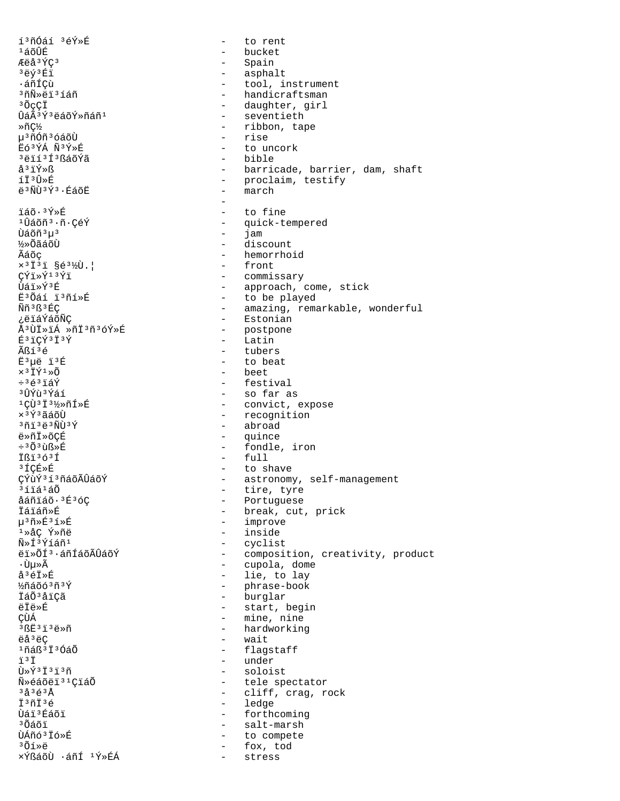í<sup>3</sup>ñÓáí <sup>3</sup>éÝ»É to rent  $\sim$  $1400E$ - bucket Æëå<sup>3</sup>ÝÇ<sup>3</sup> - Spain - asphalt <sup>3</sup>ëý<sup>3</sup>Éï ᇖꂝ - tool, instrument - handicraftsman <sup>3</sup>ñÑ»ëï<sup>3</sup>íáñ - daughter, girl  $30^\circ$ c $\ddot{\rm C}$ - seventieth ÛáÃ3Ý3ëáõÝ»ñáñ1 - ribbon, tape Ȗǽ - rise u<sup>3</sup>ñÓñ<sup>3</sup>óáõÙ  $F63VA \tilde{N}3V*F$ - to uncork <sup>3</sup>ëïí<sup>3</sup>Í3ßáõÝã  $hihle$  $\mathring{a}^3$ iÝ»ß - barricade, barrier, dam, shaft - proclaim, testify<br>- march íÏ3Û≫É ë<sup>3</sup>ÑÙ<sup>3</sup>Ý<sup>3</sup> · ÉáõË ïáõ·<sup>3</sup>Ý»É  $\sim$ to fine <sup>1</sup>Ûáõñ<sup>3</sup>·ñ·ÇéÝ - quick-tempered Ùáõñ 3µ 3  $\sim$ jam ½»ÕãáõÙ - discount - hemorrhoid Ãáõç  $x$ <sup>3</sup>I<sup>3</sup>i §é<sup>3</sup>½Ù.| - front  $\check{\mathrm{T}}\check{\mathrm{T}}\ast\check{\mathrm{Y}}$ 13 $\check{\mathrm{Y}}$ i - commissary - approach, come, stick ਸੇ੬∀ੋਂ ≼ਸੇ - to be played E30áí i3ñí»É - amazing, remarkable, wonderful Ññ3ß3ÉC - Estonian ¿ëïáÝáõÑÇ - postpone Å<sup>3</sup>ÙI»iÁ »ñİ<sup>3</sup>ñ<sup>3</sup>óÝ»É - Latin É<sup>3</sup>iÇÝ<sup>3</sup>Ï<sup>3</sup>Ý - tubers Ãßí<sup>3</sup>é Ë<sup>3</sup>uë ï<sup>3</sup>É - to beat  $\times$ <sup>3</sup> IÝ<sup>1</sup>»Õ - beet  $\div$ <sup>3</sup> $\in$ <sup>3</sup> $i$  $\notin$ Y - festival - so far as <sup>3</sup>ÛÝù ≟Ýáí - convict, expose <sup>1</sup>CÙ<sup>3</sup>İ<sup>31</sup>⁄>ñÍ>É - recognition  $x$ <sup>3 $\acute{\text{Y}}$ <sup>3</sup> $\tilde{a}$ áõÙ</sup> - abroad  $371323$  $\overline{1}373$ ë»ñÏ»õCÉ - quince ÷<sup>3</sup>Õ<sup>3</sup>ùß»É - fondle, iron  $-$  full Ißi3631 - to shave ªÍÇÉ≫É - astronomy, self-management ÇÝùÝ313ñáõÃÛáõÝ - tire, tyre ªíïáªáÕ - Portuguese åáñïáõ·3É3óÇ - break, cut, prick İáïáñ»É µ3ñ»É3í»É - improve - inside 1ȌC Ý»ñë  $\tilde{N}$ »Í $3\tilde{Y}$ íáñ $1$ - cyclist ëi»ÕÍ3·áñÍáõÃÛáõÝ - composition, creativity, product - cupola, dome ∙Ùu≫Ã - lie, to lay  $\hat{a}^3 \hat{e} \vec{1} \times \hat{E}$ - phrase-book 12ñáõó 3ñ 3Ý - burglar İáÕ<sup>3</sup>åïÇã - start, begin ëÏë»É - mine, nine ÇÙÁ  $3BE313E\$ - hardworking ëå<sup>3</sup>ëÇ - wait  $1$ ñáß $3$ Ï $3$ ÓáÕ - flagstaff - under i 3 T Ù»Ý3Ï3ï3ñ - soloist - tele spectator Ñ»éáõëï<sup>31</sup>CïáÕ - cliff, crag, rock  $3 \overset{a}{\sim} 3 \overset{c}{\sim} 3 \overset{a}{\sim}$ - ledge I<sup>3</sup>ñI<sup>3</sup>é Ùáï 3 Éáõï - forthcoming ªÕáõï - salt-marsh ÙÁñó<sup>3</sup> Ïó»É  $\sim$   $$ to compete - fox, tod 3͒ȑ ×ÝßáõÙ ·áñÍ <sup>1</sup>Ý»ÉÁ  $\sim$ stress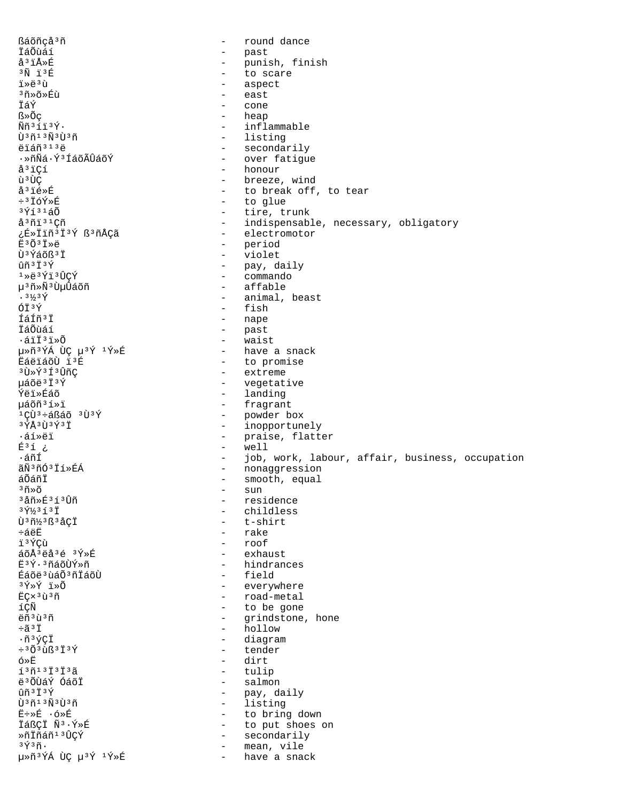ßáõñcå<sup>3</sup>ñ round dance  $\sim$ İáÕùáí - past å<sup>3</sup>ïÅ»É punish, finish  $\sim$ - to scare  $3\tilde{N}$  13 $\tilde{E}$ ï»ë3ù - aspect <sup>3</sup>ñ»õ»Éù east  $\overline{a}$ ÏáÝ  $\overline{a}$ cone - heap ß»Õc - inflammable  $\tilde{N}\tilde{n}$ <sup>313 $\tilde{Y}$ .</sup> - listing ti<sup>3</sup>ñ13Ñ3ti3ñ ëïáñ<sup>313</sup>ë - secondarily  $\cdot$ ȖÑá $\cdot$ ݪÍáõÃÛáõÝ - over fatique - honour å<sup>3</sup>iCí - breeze, wind ù 3 ÙC å<sup>3</sup>ié»É - to break off, to tear ÷3ÏóÝ»É - to glue  $3\acute{q}$ í $31\acute{a}\tilde{0}$ - tire, trunk å<sup>3</sup>ñi<sup>31</sup>Cñ - indispensable, necessary, obligatory - electromotor ¿É»Ïiñ<sup>3</sup>Ï<sup>3</sup>Ý ß<sup>3</sup>ñÅÇã - period Ë<sup>3</sup>Õ<sup>3</sup>Ï»ë Ù<sup>3</sup>Ýáõß<sup>3</sup>Ï  $\sim 10^{-10}$ violet - pay, daily  $ûñ³I³Y$  $1*e^{3Y_1^13}$ - commando น<sup>3</sup>ทั⊁ฟ์<sup>3</sup> ปันปิล์oัที - affable  $.3\frac{1}{3}$   $\frac{1}{1}$ - animal, beast ÓÏ3Ý - fish Íáíñ<sup>3</sup>İ - nape İáÕùáí - past  $\omega_{\rm{max}}$  $\cdot$ áïÏ $3$ ï»Õ waist - have a snack μ»ñ<sup>3</sup>ÝÁ ÙÇ μ<sup>3</sup>Ý<sup>1</sup>Ý»É EáëïáõÙ ï'É - to promise <sup>3</sup>Ù»Ý<sup>3</sup>Í<sup>3</sup>ÛñC - extreme µáõë<sup>3</sup>Ï<sup>3</sup>Ý - vegetative - landing **Ýëi**ȃáõ µáõñ3í»ï - fragrant  $1C\ddot{U}$ <sup>3</sup>ևßáõ  $3\ddot{U}$ 3Ý - powder box  $3\overline{y}$ Å $3\overline{1}$  $3\overline{y}$  $3\overline{1}$ - inopportunely ᇒȑï - praise, flatter  $E^3$ í ¿ - well ∙áñÍ - job, work, labour, affair, business, occupation - nonaggression ãÑ3ñÓ3Ïí»ÉÁ - smooth, equal áÕáñÏ  $-$  sun  $35x$ <sup>3</sup>åñ»É<sup>3</sup>í<sup>3</sup>Ûñ - residence  $3\,$   $\frac{7}{3}\,$   $3\,$   $\frac{7}{1}$   $3\,$   $\frac{7}{1}$ - childless - t-shirt Ù<sup>3</sup>ñ½3ß3åÇÏ - rake ևëË  $-$  roof i 3 ÝCù áõÅ3ëå3é 3Ý»É  $-$  exhaust - hindrances ˪Ý·ªñáõÙÝ≫ñ - field Éáõë<sup>3</sup> ùáÕ<sup>3</sup>ñĪáõÙ - everywhere 3Ý»Ý ï»Õ - road-metal EÇx<sup>3</sup>ù<sup>3</sup>ñ íÇÑ - to be gone ëñ<sup>3</sup>ù<sup>3</sup>ñ - grindstone, hone - hollow ֋ªÏ  $\cdot$ ñ3ýçÏ - diagram  $\div$ <sup>3</sup> $\tilde{O}$ <sup>3</sup> $\tilde{u}$ ß<sup>3</sup> $\tilde{I}$ <sup>3</sup> $\tilde{Y}$ - tender - dirt ó≫Ë  $137137373$ - tulip - salmon ë 30 Ta Y Gaoi  $\hat{1}$  $\tilde{1}$  $\tilde{3}$  $\tilde{1}$  $\tilde{3}$  $\tilde{Y}$ - pay, daily - listing tì 3 กั 1 3 กั 3 tì 3 กั - to bring down Ë÷»É ·ó»É ÏáßÇÏ Ñ3.Ý»É - to put shoes on  $\ast$ ñ İñáñ $^1$   $^3$ ÛÇÝ - secondarily - mean, vile  $3\tilde{\Upsilon}$  $3\tilde{\Pi}$ . μ»ñ<sup>3</sup>ÝÁ ÙÇ μ<sup>3</sup>Ý <sup>1</sup>Ý»É - have a snack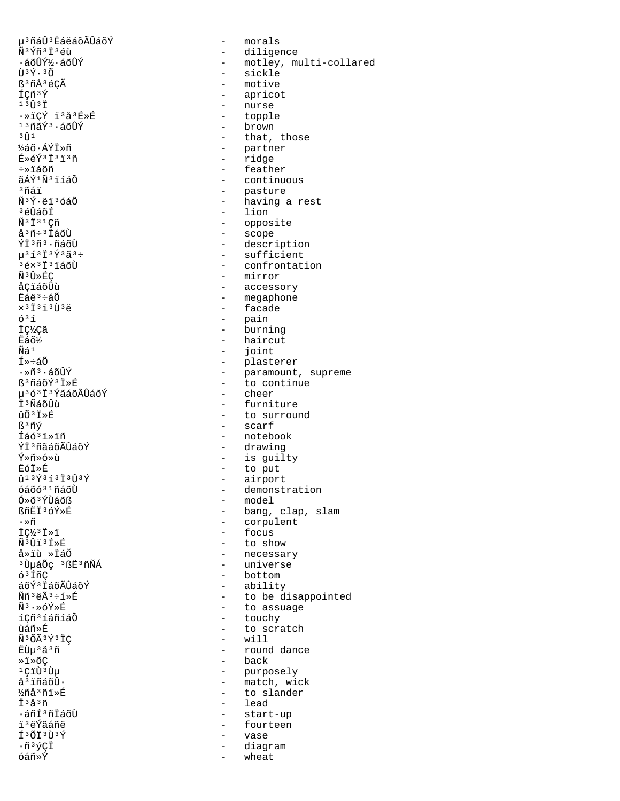µ<sup>3</sup>ñáÛ<sup>3</sup>ËáëáõÃÛáõÝ - morals<br>Ñ<sup>3</sup>Ýñ<sup>3</sup>Ϫéù ѪÝñªÏªéù - diligence<br>-áõÛݽ·áõÛÝ - - motley, m  $\tilde{U}^{3}\acute{Y}\cdot{}^{3}\tilde{O}$  - sickle<br>  $\tilde{E}^{3}\tilde{n}\tilde{A}^{3}\acute{e}\tilde{\zeta}\tilde{A}$  - motive B<sup>3</sup>ñÅ<sup>3</sup>éÇà - motive<br>ÍÇñ<sup>3</sup>Ý - aprico  $\overrightarrow{1}$ Cñ<sup>3</sup>Ý - apricot<br>  $\overrightarrow{1}$ <sup>3</sup> $\overrightarrow{1}$ <sup>3</sup> $\overrightarrow{1}$ <sup>3</sup> ·»ïÇÝ ï³å³É»É - topple  $\frac{13}{13}$ ñãÝ $\frac{3}{1}$ ½áõ∙ÁÝÏ»ñ - partner - partner<br>É»éý∃ï∃ï∃ñ - ridge - ridge É»éÝ<sup>3</sup>ï3ï3ñ - ridge<br>÷»ïáõñ - reathe ÷»ïáõñ - feather <sup>3</sup>ñáï - pasture<br>Ñ<sup>3</sup>Ý·ëï<sup>3</sup>óáÕ - baving a <sup>3</sup>éÛáõÍ - lion<br>Ñ<sup>3</sup>Ï<sup>31</sup>Cñ - lion - lion  $\tilde{N}$ <sup>3</sup> $\tilde{I}$ <sup>3</sup> $\tilde{I}$ <sup>3</sup> $\tilde{I}$ <sup>3</sup> $\tilde{I}$ <sup>3</sup> $\tilde{I}$ <sup>3</sup> $\tilde{I}$ <sup>3</sup> $\tilde{I}$ <sup>3</sup> $\tilde{I}$ 3 $\tilde{U}$   $\tilde{I}$   $\tilde{I}$   $\tilde{I}$   $\tilde{I}$   $\tilde{I}$   $\tilde{I}$   $\tilde{I}$   $\tilde{I}$   $\tilde{I}$   $\tilde{I}$   $\tilde{I}$   $\tilde{I}$   $\tilde{I}$ åªñ÷ªḮáõÙ - scope<br>ÝϪñª∙ñáõÙ - descri  $\tilde{M}$ <sup>3</sup>  $\tilde{U}$ <sup>3</sup>  $\tilde{U}$ <sup>3</sup>  $\tilde{U}$ <sub>2</sub>  $\tilde{M}$ <sup>3</sup>  $\tilde{U}$ <sub>2</sub>  $\tilde{M}$ <sup>3</sup>  $\tilde{U}$ <sub>2</sub>  $\tilde{M}$ <sub>2</sub>  $\tilde{M}$ <sub>2</sub>  $\tilde{M}$ <sub>2</sub>  $\tilde{M}$ <sub>2</sub>  $\tilde{M}$ 3  $\tilde{M}$ 3  $\tilde{M}$ 3  $\tilde{M}$ 3  $\tilde{M}$ 3  $\tilde{M}$ 3  $\tilde{M}$ 3  $\tilde{M}$ åÇïáõÛù  $\overline{E}$ áð<sup>i</sup> - accessory<br> $\overline{E}$ áë<sup>3</sup>÷áÕ - accessory - megaphone  $E\acute{a}$ é $\ddot{a}$ <sup>3</sup>ևÕ - megaphone - megaphone - megaphone - megaphone - megaphone - megaphone - megaphone - megaphone - megaphone - megaphone - megaphone - megaphone - megaphone - megaphone - megaphone - megaphone - meg  $\times$ <sup>3</sup>Ï<sup>3</sup>Ï<sup>3</sup>Ù<sup>3</sup>ë - facade - facade - facade ó³í - pain ÏǽÇã - burning  $\frac{\text{E45}}{\text{E45}}$   $\frac{\text{E45}}{\text{E4}}$   $\frac{\text{E45}}{\text{E4}}$   $\frac{\text{E45}}{\text{E4}}$ Ñá<sup>1</sup> - joint<br>Í»÷áÕ - international - joint  $I^*$   $\neq$   $\tilde{A}$ <sup>5</sup>  $\tilde{B}$   $\tilde{B}$   $\tilde{B}$   $\tilde{B}$   $\tilde{C}$   $\tilde{C}$   $\tilde{C}$   $\tilde{C}$   $\tilde{C}$   $\tilde{C}$   $\tilde{C}$   $\tilde{C}$   $\tilde{C}$   $\tilde{C}$   $\tilde{C}$   $\tilde{C}$   $\tilde{C}$   $\tilde{C}$   $\tilde{C}$   $\tilde{C}$   $\tilde{C}$   $\tilde{C}$ 榢ªÏªÝãáõÃÛáõÝ<br>ϪÑáõÛù Ϊ<sup>3</sup>ÑáõÛù - furniture - furniture<br>ôÕ<sup>3Ť»Ŕ</sup> - fo surrou  $\frac{1}{3}$ ñý - scarf<br>Íáó<sup>3</sup>i»iñ - hoteb Íáó³ï»ïñ - notebook ÝĪ<sup>3</sup>ñãáõÃÛáõÝ - drawing - drawing<br>Ý»ñ»ó»ù - is quil Ý»ñ»ó»ù - is guilty ËóÏ»É - to put  $\hat{u}^{13}\hat{Y}^{3}\hat{1}^{3}\hat{T}^{3}\hat{Y}$ <br>  $\hat{d} \hat{d} \hat{d} \hat{d} \hat{d} \hat{d}$  - airport<br>  $\hat{d} \hat{d} \hat{d} \hat{d}$  - demonst Ó»õ<sup>3</sup>ÝÙáõß - model - model<br>BñËÏ<sup>3</sup>óÝ»É - - bang, ·»ñ - corpulent  $\ddot{I}$  $\ddot{C}$  $\ddot{B}$  $\ddot{J}$  $\ddot{J}$  $\ddot{J}$  $\ddot{J}$  $\ddot{J}$  $\ddot{J}$  $\ddot{J}$  $\ddot{J}$  $\ddot{J}$  $\ddot{J}$  $\ddot{J}$  $\ddot{J}$  $\ddot{J}$  $\ddot{J}$  $\ddot{J}$  $\ddot{J}$  $\ddot{J}$  $\ddot{J}$  $\ddot{J}$  $\ddot{J}$  $\ddot{J}$  $\ddot{J}$  $\ddot{J}$  $\ddot{J}$  $\ddot{$ ѪÛïªÍ»É - to show<br>å»ïù »ÏáÕ - to show - to show <sup>3</sup>ÙµáÕç <sup>3</sup>ßË<sup>3</sup>ñÑÁ<br>ó<sup>3</sup>ÍñC óºÍñC - bottom - bottom - bottom - bottom - bottom - bottom - bottom - bottom - bottom - bottom - bottom - bottom - bottom - bottom - bottom - bottom - bottom - bottom - bottom - bottom - bottom - bottom - bottom - bottom áõÝ<sup>3</sup>ÏáõÃÛáõÝ - ability<br>Ññ<sup>3</sup>ëÃ<sup>3</sup>÷í»É - - - - - - - - - - - - - - - - - be d íçñ<sup>3</sup>íáñíáÕ - touchy - touchy<br>ùáñ»É - to scra ѪÕêݪÏÇ<br>ËÙµªåªñ »ï»õÇ - back <sup>1</sup>Çïῢ<sup>3</sup>ῢμ - purposely<br>åªïñáõη - purposely - match wi تَ اللَّهُ تَعْلَى اللَّهُ عَلَيْهِ أَنْ اللَّهُ عَلَيْهِ مِنْ اللَّهُ عَلَيْهِ مِنْ اللَّهُ عَلَيْهِ أَنْ ال<br>أَمَّانَ اللَّهُ عَلَيْهِ مِنْ اللَّهُ عَلَيْهِ مِنْ اللَّهُ عَلَيْهِ مِنْ اللَّهُ عَلَيْهِ مِنْ اللَّهُ عَلَي i<sup>3</sup>ãñͪñÏáõÙ - start-up - start-up - start-up - start-up - start-up - start-up Τ<sup>3</sup>ÕÏ<sup>3</sup>Ù<sup>3</sup>Ý - vase - vase - vase - vase - vase - vase - vase - vase - vase - vase - vase - vase - vase - vase - vase - vase - vase - vase - vase - vase - vase - vase - vase - vase - vase - vase - vase - vase - vase - v -ñªýÇÏ - diagram - diagram<br>óáñ»Ý - wheat

·áõÛݽ·áõÛÝ - motley, multi-collared<br>Ù <sup>3</sup>Ý· 3Õ - nurse<br>- topple ³Û¹ - that, those - continuous nai<br>Ñ<sup>3</sup>Ý·ëï<sup>3</sup>óáÕ - having a rest<br>ªéÛáõÍ - lion  $\tilde{Y}$ i $\tilde{Y}$ <sup>3</sup>i $\tilde{Y}$ <sup>3</sup>i $\tilde{Y}$ <sup>3</sup>i $\tilde{Y}$ <sup>3</sup>i $\tilde{Y}$ <sup>3</sup>i $\tilde{Y}$ <sup>3</sup>i $\tilde{Z}$ <sup>3</sup> $\tilde{Y}$  $\mu^{3}$ í $\mu^{3}$ í $\mu^{3}$ í $\mu^{3}$ í $\mu^{3}$ í $\mu^{3}$ í $\mu^{3}$ í $\mu^{3}$ í $\mu^{3}$ í $\mu^{3}$ í $\mu^{3}$ í $\mu^{3}$ í $\mu^{3}$ í $\mu^{3}$ í $\mu^{3}$ í $\mu^{3}$ í $\mu^{3}$ í $\mu^{3}$ í $\mu^{3}$ í $\mu^{3}$ í $\mu^{3}$ í $\mu^{3}$ í $\mu^{3}$ í $\mu^{3}$ í $\mu^{3}$ í $\mu^{3}$ í $\mu^{3}$ í $\mu^{3$  $3e\times3\overline{1}3\overline{1}3\overline{1}6\overline{0}$ <br> $\widetilde{N}3\overline{0}*\overline{E}C$  - mirror ·»ñª·áõÛÝ - paramount, supreme<br>ߪñáõݪÏ»É - - e continue - to continue<br>- cheer ûÕ<sup>3</sup>Ï»É  $\overline{S}$ <sup>3</sup>ñv́ - to surround R<sup>3</sup>ñv́ - scarf óáõó<sup>31</sup>ñáõÙ  $\frac{6a^2a^3a^2b^2 - a}{b^2a^2b^2}$  demonstration ßñËÏ<sup>3</sup>óÝ»É - bang, clap, slam<br>∙»ñ - corpulent – necessary<br>– universe Ññ<sup>3</sup>ëÃ<sup>3</sup>÷í»É - to be disappointed<br>Ñ<sup>3</sup>·»óÝ»É - - to assuage  $\tilde{N}^3 \cdot \tilde{\gg}$ óÝ»É  $\tilde{E}$  - to assuage  $\tilde{1}$ Çñ $^3$ íáñíáÕ  $-$  touchy - to scratch<br>- will ËÙµ³å³ñ - round dance å<sup>3</sup>ïñáõÛ· - match, wick<br>½ñå<sup>3</sup>ñï»É - to slander ½ñå³ñï»É - to slander - fourteen wheat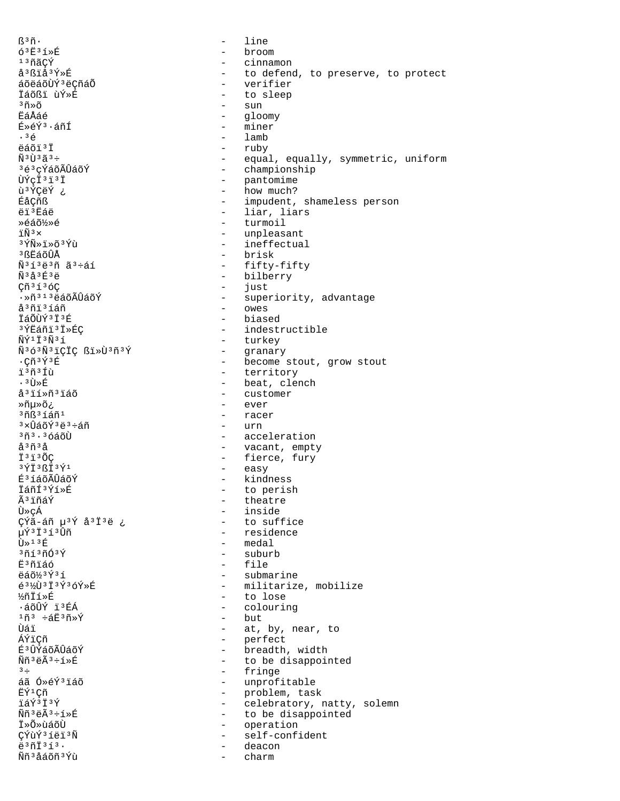$R^3$ ñ. line  $\sim$  $63E31*E$ broom  $\sim$  $13ñ$ ãCÝ  $\sim$   $$ cinnamon å<sup>3</sup>ßïå<sup>3</sup>Ý»É - to defend, to preserve, to protect áõëáõÙÝ ªëÇñáÕ verifier  $\sim$ İáõßi ùÝ»É to sleep  $\sim$  $350$  $\overline{a}$ sun **EáÅáé**  $\mathbf{L}^{\text{max}}$ gloomy - miner É»éÝ3·áñÍ  $.36$  $-$  lamb  $A\tilde{a}$  $\tilde{a}$  $\tilde{b}$  $\tilde{c}$  $\tilde{d}$ - ruby  $\tilde{N}$ <sup>3</sup> $\tilde{1}$ <sup>3</sup> $\tilde{a}$ <sup>3</sup> $\div$ - equal, equally, symmetric, uniform 3é3cÝáõÃÛáõÝ - championship ÙÝcÏ'i'i  $\sim$   $$ pantomime - how much? ù <sup>3</sup>ÝÇëÝ ¿  $\frac{1}{2}$  . ÉåÇñß impudent, shameless person ëï<sup>3</sup>Ëáë liar, liars  $\sim$ Ȏáõ½»é  $\sim$ turmoil  $\overline{N}$ <sup>3</sup>  $\times$  $\overline{a}$ unpleasant 3 ÝÑ» i » õ 3 Ýù - ineffectual - brisk 3 ßËáõÛÅ  $\tilde{N}$ <sup>313</sup>ë<sup>3</sup> $\tilde{n}$   $\tilde{a}$ <sup>3</sup> $\div$  $\tilde{a}$ 1 - fifty-fifty - bilberry  $\tilde{N}$ <sup>3</sup> $\tilde{A}$ <sup>3 $\tilde{E}$ <sup>3</sup> $\tilde{e}$ </sup>  $C\tilde{n}$ <sup>3 $1$ </sup> $3$  $6$ C  $\sim$ just  $\cdot$ Ȗ  $^{3}$   $^{1}$   $^{3}$  ë áõ $\tilde{\lambda}$ ÛáõÝ - superiority, advantage å<sup>3</sup>ñi<sup>3</sup>íáñ  $\alpha$ wes ÏáÕÙÝ<sup>3</sup>Ï<sup>3</sup>É - biased <sup>3</sup>ÝËáñi<sup>3</sup>Ï»ÉÇ - indestructible - turkey  $\tilde{\rm N}\tilde{\rm Y}$ <sup>1</sup> İ  $\rm{^3}$  $\tilde{\rm N}$ <sup>3</sup> í Ñ363Ñ3ïÇÏÇ ßï»Ù3ñ3Ý  $\sim$ granary - become stout, grow stout  $\cdot$ Cñ $\frac{363}{4}$ £ ï3ñ3Íù - territory  $.3$ ti $\ast$ ƙ - beat, clench - customer å<sup>3</sup>ií»ñ<sup>3</sup>iáõ - ever Ȗµ»õ¿ - racer  $36836571$  $-$  urn  $3 \times \hat{1}$ ล์กี $\hat{Y}$  $3 \overset{1}{\leftrightarrow} 3 \overset{1}{\leftrightarrow} 6 \overset{1}{\land} 3$  $3\tilde{n}$  $3.36$ áõÙ - acceleration å<sup>3</sup>ñ<sup>3</sup>å  $\omega_{\rm{max}}$ vacant, empty - fierce, fury Ï<sup>3</sup>ï<sup>3</sup>ÕC - easy  $3\,$  $\rm Y\ddot I\,$   $3\,$   $\rm \ddot S\ddot I\,$   $3\,$   $\rm \ddot Y\,$   $1$ É<sup>3</sup>íáõÃÛáõÝ kindness  $\sim$ İáñÍ<sup>3</sup>Ýí»É to perish  $\sim$ êïñáÝ - theatre Ù»çÁ - inside - to suffice çýã-áñ µ<sup>3</sup>Ý å<sup>3</sup>Ï<sup>3</sup>ë ¿ µÝ3Ï3í3Ûñ - residence - medal  $\overline{1} \times 13$   $\overline{E}$  $3713703$  $-$  suburb E<sup>3</sup>ñiáó - file ëáõ½3Ý3í - submarine é3½Ù3Ï3Ý3óÝ»É - militarize, mobilize ½ñİí»É  $\sim$ to lose ·áõÛÝ ï3ÉÁ - colouring  $1\tilde{n}$ <sup>3</sup>  $\div$ áË $3\tilde{n}$ »Ý but  $\sim$ Ùáï  $\overline{a}$ at, by, near, to ÁÝïÇñ  $\frac{1}{2}$  and  $\frac{1}{2}$ perfect É<sup>3</sup>ÛÝáõÃÛáõÝ - breadth, width - to be disappointed  $\widetilde{N}$ ñ<sup>3</sup>ë $\widetilde{A}$ <sup>3</sup>֒»É  $3 \div$ - fringe áã Ó»éÝ3ïáõ - unprofitable FÝ1Cñ - problem, task ïáÝ3Ï3Ý - celebratory, natty, solemn Ññ<sup>3</sup>ëÃ<sup>3</sup>÷í»É - to be disappointed ݻջùáõÙ  $\sim$ operation ÇÝùÝ3íëï3Ñ self-confident  $\sim$  $e^{3}$ ñ $\overline{1}$  $3$ í $3$ . deacon Ññ<sup>3</sup>åáõñ<sup>3</sup>Ýù charm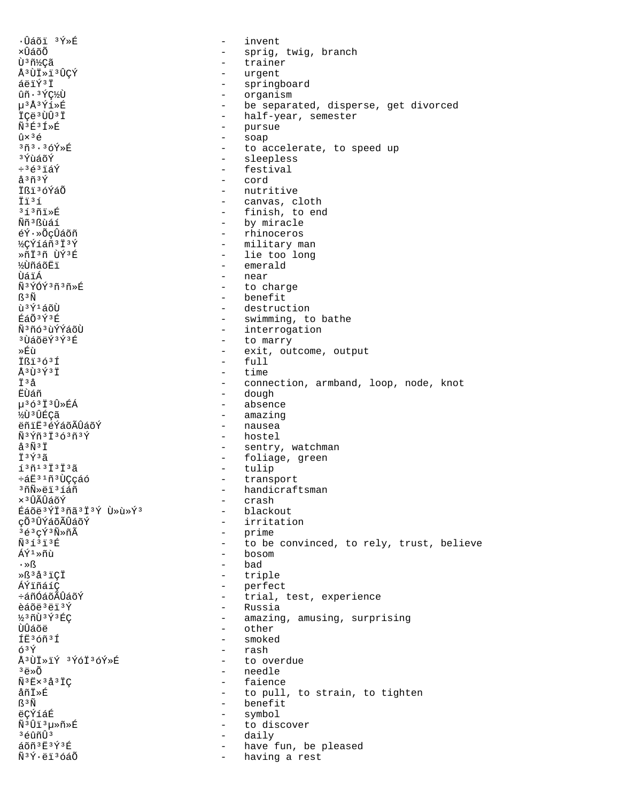·Ûáõi 3Ý»É invent  $\equiv$ xûáõõ  $\qquad \qquad$ sprig, twig, branch Ù 3 ñ½çã  $\equiv$ trainer Å<sup>3</sup>ÙÏ»ï<sup>3</sup>ÛÇÝ  $\overline{a}$ urgent áëïÝ<sup>3</sup>Ï springboard  $\sim$ ûñ · 3 ÝC½Ù  $\sim$ organism µ3Å3Ýí»É - be separated, disperse, get divorced ICë<sup>3</sup>ÙÛ<sup>3</sup>I - half-year, semester - pursue  $\tilde{N}$ <sup>3</sup> $F$ <sup>3</sup> $\tilde{T}$ <sup>2</sup> $F$ - soap  $\hat{U} \times 36$  $373.369$ »R - to accelerate, to speed up - sleepless 3 ที่กลัก*ที*่ - festival  $\div$ <sup>3</sup> $\acute{\text{e}}$ <sup>3</sup> $\ddot{\text{1}}\acute{\text{a}}\acute{\text{Y}}$  $a^{3}$ ñ $3\acute{Y}$ - cord İßi<sup>3</sup>óÝáÕ - nutritive İï3í  $\sim$ canvas, cloth  $353737$ - finish, to end **Ññ**3Bùáí - by miracle éÝ·»ÕçÛáõñ - rhinoceros ½¢Ýíáñ3Ï3Ý - military man - lie too long ȖÏ3ñ ÙÝ3É **½**ÙñáõËï - emerald - near บิล์ï Á ѪÝÓݪñªñ»É  $\sim$ to charge - benefit  $R^3\tilde{N}$ นิง ิั้ง 1 ล์ดีบิ - destruction **丘áÕ3** Ý3 fi - swimming, to bathe - interrogation Ñ3ñó3ùÝÝáõÙ - to marry <sup>3</sup>ÙáõëÝ<sup>3</sup>Ý3É ȃù exit, outcome, output  $\sim$ Ißi<sup>363</sup>Í  $\overline{a}$ full Å<sup>3</sup>Ù<sup>3</sup>Ý<sup>3</sup>Ï  $\sim$ time Ť3å - connection, armband, loop, node, knot - dough ห้น้ำล์กั µ363Ï3Û»ÉÁ - absence - amazing ĶÙ 3 ÛÉCÃ - nausea ëñiË3éÝáõÃÛáõÝ Ñ3Ýñ3Ï363ñ3Ý - hostel  $\mathring{a}^3\tilde{N}^3\ddot{1}$ - sentry, watchman - foliage, green İ<sup>3</sup>Ý3ã  $1371313133$ - tulip ևË31ñ3ÙÇçáó - transport <sup>3</sup>ñÑ»ëï<sup>3</sup>íáñ - handicraftsman x 3 ÛÃÛáõÝ  $\sim$ crash Éáõë<sup>3</sup>ÝÏ<sup>3</sup>ñã<sup>3</sup>Ï<sup>3</sup>Ý Ù »ù »Ý<sup>3</sup> - blackout - irritation çÕ<sup>3</sup>ÛÝáõÃÛáõÝ - prime 3é3cÝ3Ñ»ñÃ  $\widetilde{N}$ 3  $f$  3  $\widetilde{H}$  $\sim$ to be convinced, to rely, trust, believe ี<br>AิÝี 1 ≫ñiì  $-$  bosom  $\cdot \times \mathbb{S}$ - bad ȧ<sup>3</sup>å<sup>3</sup>iCİ - triple - perfect ÁÝïñáíÇ  $\omega_{\rm{max}}$ ևñÓáõÃÛáõÝ trial, test, experience - Russia èáõë ªëï ªÝ ½3ñÙ3Ý3ÉC - amazing, amusing, surprising ÙÛáõë  $\overline{a}$ other ÍË36ñ3Í  $\sim$ smoked ó<sup>3</sup>Ý - rash Å<sup>3</sup>ÙÏ»ïÝ <sup>3</sup>ÝóÏ<sup>3</sup>óÝ»É  $\sim$ to overdue  $3 \ddot{\text{e}} \times \widetilde{O}$ - needle - faience  $\tilde{N}$ <sup>3</sup>Ex<sup>3</sup>a<sup>3</sup>IC åñİ»É - to pull, to strain, to tighten - benefit ß<sup>3</sup>Ñ ëCÝíáÉ  $\sim$ symbol  $\tilde{\rm N}^3\hat{\rm U}\tilde{\rm 1}^3$ μ»ñ»É  $\sim$ to discover ªéûñÛª daily  $\sim$ áõñ 3Ë 3Ý 3É have fun, be pleased  $\overline{a}$ Ñ<sup>3</sup>Ý·ëï<sup>3</sup>óáÕ  $\sim$ having a rest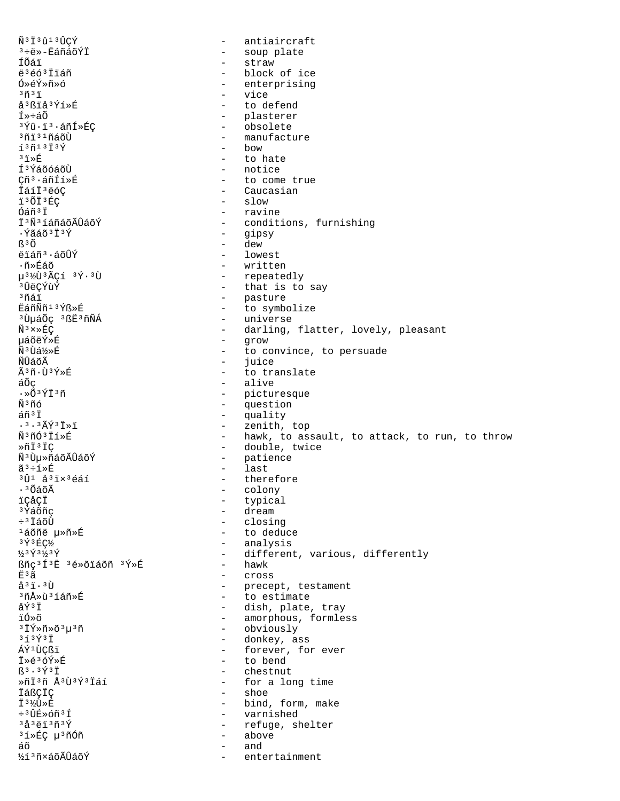$\tilde{N}$ <sup>3</sup> $\ddot{1}$ <sup>3</sup> $\hat{U}$ 1<sup>3</sup> $\hat{U}$ CÝ - antiaircraft ª÷ë»-ËáñáõÝÏ - soup plate - straw ÍÕáï ë<sup>3</sup>éó<sup>3</sup> İiáñ - block of ice Ó»éÝ»ñ»ó - enterprising  $3\tilde{n}$  $3\tilde{1}$  $\sim$ vice å<sup>3</sup>ßïå<sup>3</sup>Ýí»É - to defend Í»÷áõ - plasterer - obsolete <sup>з</sup>Ýû⋅ï'∙áñÍ≫ÉC - manufacture <sup>3</sup>ñi 31ñáõÙ  $1371373$  $-$  bow  $31 \times F$  $-$  to hate - notice Í<sup>3</sup>ÝáõóáõÙ Cñ<sup>3</sup>·áñÍí»É - to come true - Caucasian ÏáíÏ<sup>3</sup>ëóC i<sup>3</sup>ÕÏ<sup>3</sup>ÉÇ  $-$  slow - ravine Óáñ<sup>3</sup>Ï - conditions, furnishing İ<sup>3</sup>Ñ<sup>3</sup>íáñáõÃÛáõÝ - gipsy . Ýãáõ ª Ï ª Ý - dew  $R^3$  $\tilde{O}$ ëïáñ<sup>3</sup>·áõÛÝ - lowest ∙ñ»Éáõ - written - repeatedly  $u^{3}\sqrt{u^{3}}\sqrt{2}C1$   $3\sqrt{2}\cdot3U$ - that is to say <sup>3</sup>ÛëCÝùÝ - pasture <sup>3</sup>ñáï EáñÑñ13Ýß»É - to symbolize <sup>3</sup>UµáÕç <sup>3</sup>ßË<sup>3</sup>ñÑÁ - universe  $\tilde{N}$ <sup>3</sup>  $\times$  » EC - darling, flatter, lovely, pleasant µáõëÝ»É - grow - to convince, to persuade Ñ<sup>3</sup>Ùá½»É - juice ÑÛáõÃ Ã3ñ·Ù3Ý»É - to translate - alive áÕç - picturesque  $\cdot \times 034136$ - question พิ®กัล - quality  $arān$  $.3.3$  $\tilde{A}$  $\tilde{V}$  $3$  $\tilde{T}$  $\tilde{S}$  $\tilde{T}$ - zenith, top Ñ3ñÓ3Ïí»É - hawk, to assault, to attack, to run, to throw - double, twice ȖÏ3ÏC - patience Ñ<sup>3</sup>Ùµ»ñáõÃÛáõÝ - last ãª÷í»É  $3\hat{U}$ <sup>1</sup> å $3\hat{1}\times3$ éáí - therefore  $\cdot$   $^3$   $\tilde{O}$ á $\tilde{O}$ Ã - colony - typical ïÇåÇÏ <sup>3</sup>Ýáõñç - dream - closing ÷<sup>3</sup>ÏáõÙ - to deduce <sup>1</sup>áõñë µ»ñ»É - analysis 3 Y 3 EC1/2  $1/3$   $\sqrt{3}$   $1/3$   $\sqrt{7}$ - different, various, differently ßñc<sup>3</sup>Í<sup>3</sup>Ë 3é»õiáõñ 3Ý»É - hawk Ë3ã - cross - precept, testament<br>- to estimate  $a^3i \cdot 3\overline{U}$ <sup>3</sup>ñÅ»ù<sup>3</sup>íáñ»É åݪÏ - dish, plate, tray - amorphous, formless ïó»õ  $3\overline{1}\overline{Y}*\widetilde{n}*\widetilde{o}^3\mu^3\widetilde{n}$ - obviously  $313$   $\acute{Y}$   $3\ddot{T}$ - donkey, ass ÁÝ<sup>1</sup>ÙCßï - forever, for ever - to bend Ï»é3óÝ»É  $R^3 \cdot 3 \overline{Y}3 \overline{T}$ - chestnut  $*\tilde{n}\tilde{1}^3\tilde{n}$  Å $3\tilde{U}^3\tilde{Y}^3\tilde{1}\tilde{a}1$ - for a long time - shoe *IáßCIC* Ⅰ31⁄①》P - bind, form, make ÷<sup>3</sup>ÛÉ»óñ<sup>3</sup>Í  $\sim$   $$ varnished  $3\text{a}^3$ ëï $3\text{m}^3$ Ý - refuge, shelter - above <sup>3</sup>í»ÉÇ µ<sup>3</sup>ñÓñ áõ and ½í 3 ñ×áõÃÛáõÝ entertainment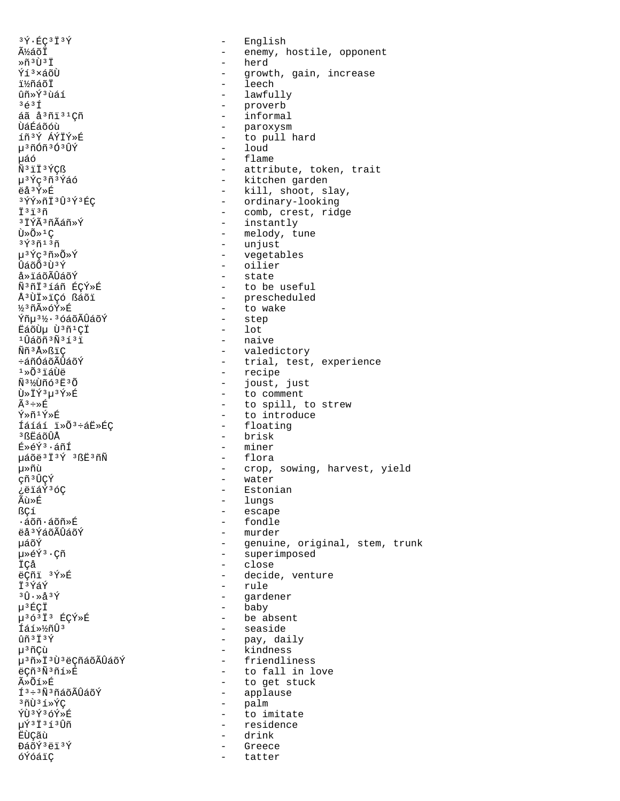$3\overline{Y}$   $\cdot$  EC  $3\overline{1}$   $3\overline{Y}$  $\equiv$ English ýáõÏ  $\equiv$ enemy, hostile, opponent - herd Ȗ3Ù3Ï Ýí<sup>3</sup>×áõÙ  $\omega_{\rm{max}}$ growth, gain, increase - leech ï½ñáõÏ ûñ»Ý3ùáí - lawfully  $363f$ - proverb - informal áã å<sup>3</sup>ñi<sup>31</sup>Çñ - paroxysm 􇃇õóù íñ3Ý ÁÝÏÝ»É - to pull hard น<sup>3</sup>ที6์ที<sup>3</sup>0์<sup>3</sup>บี้Y์  $-$  1 oud นล์ด์  $-$  flame  $\tilde{N}$ <sup>3</sup> $\ddot{1}$  $\ddot{1}$ <sup>3</sup> $\acute{Y}$ Cß - attribute, token, trait µ<sup>3</sup>Ýç<sup>3</sup>ñ<sup>3</sup>Ýáó - kitchen garden ëå<sup>3</sup>Ý»É - kill, shoot, slay, -----,<br>-- ordinary-looking<br>-- comb, crest, ridge **3ÝÝ**ȖÏ<sup>3</sup>Û<sup>3</sup>Ý<sup>3</sup>ÉÇ Ï<sup>3</sup>ï<sup>3</sup>ñ - instantly <sup>3</sup> IÝÃ<sup>3</sup>ñÃáñ»Ý - melody, tune  $\tilde{U} \times \tilde{O} \times 1C$ - unjust  $3\overline{y}3\overline{n}13\overline{n}$ µ<sup>3</sup>Ýç<sup>3</sup>ñ»Õ»Ý - vegetables ÛáõÕ ª Ù ª Ý - oilier - state å»ïáõÃÛáõÝ ѪñϪíáñ ÉCÝ»É - to be useful ŪÙÏ»ïCó ßáõï - prescheduled - to wake ½3ñûóÝ»É Ýñµ<sup>31</sup>⁄2·<sup>3</sup>óáõÃÛáõÝ - step  $-$  lot ËáõÙμ Ù3ñ1ÇÏ - naive <sup>1</sup>Ûáõñ 3Ñ 3í 3ï - valedictory Ññ<sup>3</sup>Å»ßïÇ - trial, test, experience ևñÓáõÃÛáõÝ - recipe  $1*0*$  iáÙë Ñ<sup>31</sup>VUñó<sup>3</sup>E<sup>3</sup>Õ - joust, just - to comment Ù»ÏÝ3μ3Ý»É - to spill, to strew  $\widetilde{A}^3 \div \gg \widehat{H}$ - to introduce  $\tilde{Y} \times \tilde{n} 1 \tilde{Y} \times \tilde{R}$ Íáíáí i»Õ<sup>3</sup>÷áË»ÉC - floating <sup>3</sup> ßEáõÛÅ - brisk É»éÝ3·áñÍ - miner - flora µáõë<sup>3</sup>Ï<sup>3</sup>Ý 3ßË3ñÑ - crop, sowing, harvest, yield µ≫ñù çñ<sup>3</sup>ÛÇÝ - water - Estonian ¿ëïáÝ3óÇ - lungs Ãù≫É ßCí - escape - fondle ∙áõñ∙áõñ»É - murder ëå<sup>3</sup>ÝáõÃÛáõÝ - genuine, original, stem, trunk นล์õิิ์ - superimposed 毂Ý3 · Cñ - close İCå ëCñi 3Ý»É - decide, venture - rule İ<sup>3</sup>ÝáÝ - gardener  $3\hat{U}\cdot \times \hat{A}^3 \hat{Y}$ - baby  $\mu$ <sup>3</sup> $E$ CÏ - be absent µ363I3 ÉÇÝ»É - seaside Íáí» ½ñÛ3  $ûñ3I3Y$ - pay, daily - kindness µ<sup>3</sup>ñÇù µ<sup>3</sup>ñ»İ<sup>3</sup>Ù<sup>3</sup>ëÇñáõÃÛáõÝ - friendliness ëÇñ<sup>3</sup>Ñ<sup>3</sup>ñí»É - to fall in love - to get stuck Ã≫Õí»É - applause  $I^3 \div 3 \tilde{N}^3$ ñáõÃÛáõÝ - palm  $30135\times$ ÝÙ3Ý36Ý»É  $\sim$   $$ to imitate  $\mu\acute{\texttt{T}}$ <sup>3</sup> $\ddot{\texttt{I}}$ <sup>3</sup> $\acute{\texttt{I}}$ <sup>3</sup> $\hat{\texttt{U}}$ ñ - residence EÙÇãù drink  $\sim$ ĐáõÝ<sup>3</sup>ëï<sup>3</sup>Ý Greece óÝóáïÇ tatter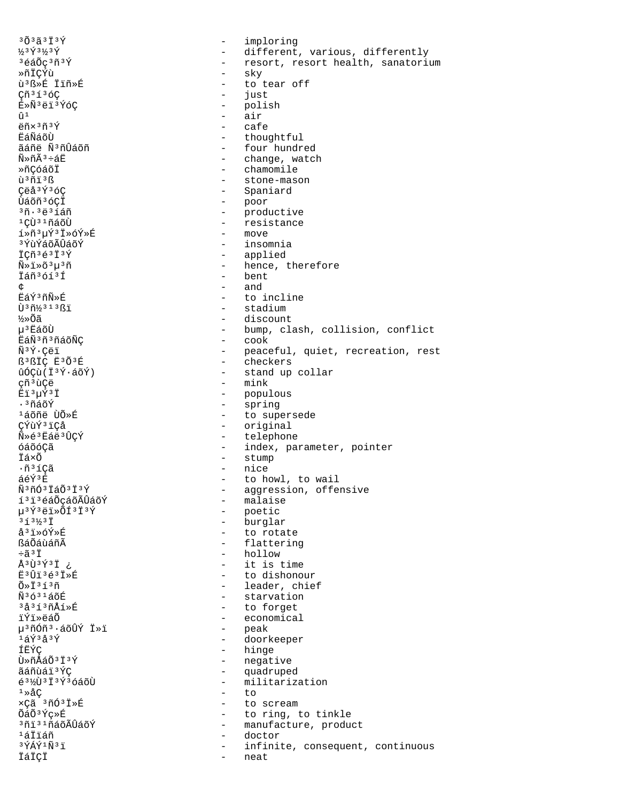$30333739$ imploring  $\equiv$ 1/3  $\dot{\gamma}$  3 1/3  $\dot{\gamma}$ - different, various, differently 3éáÕç3ñ3Ý - resort, resort health, sanatorium  $-$  sky ȖÏÇÝù ù<sup>3</sup>ᯐ Ïïñ»É - to tear off Cñ<sup>3</sup>í<sup>3</sup>óC - just É»Ñ3ëï3ÝóÇ - polish  $-$  air  $\hat{u}$  1 - cafe  $\frac{\pi}{2}$ ñx<sup>3</sup>ñ<sup>3</sup>Ý - thoughtful หลังกลัก ãáñë Ñ3ñÛáõñ - four hundred - change, watch  $\widetilde{N} \gg \widetilde{D} \widetilde{A}^3 - \widetilde{A} \widetilde{F}$ - chamomile ȖCóáõÏ ù<sup>3</sup>ñï<sup>3</sup>ß - stone-mason Çëå<sup>3</sup>Ý<sup>3</sup>óC - Spaniard - poor<br>- productive<br>- resistance Ùáõñ<sup>3</sup>óÇÏ  $3\tilde{n} \cdot 3\tilde{e}31$ áñ <sup>1</sup>CÙ<sup>31</sup>ñáõÙ - move í»ñ3µÝ3Ï»óÝ»É <sup>3</sup>ÝùÝáõÃÛáõÝ - insomnia ICñ3é3I3Ý - applied - hence, therefore  $\tilde{N} \times \tilde{I} \times \tilde{O}^3 u^3 \tilde{n}$ - bent İáñ<sup>3</sup>óí<sup>3</sup>Í  $-$  and උ Eัล์ݪñÑ»É - to incline Ù 3 ñ½ 3 1 3 ß ï - stadium - discount ½»õã - bump, clash, collision, conflict μ<sup>3</sup> Ελάδῢ - cook 臄3ñ3ñáõÑÇ - peaceful, quiet, recreation, rest<br>- checkers  $\tilde{N}^3 \tilde{Y}$  · Cëi B<sup>3</sup>BIC E303丘 - stand up collar  $\hat{u}$ ÓÇ $\hat{u}$ (İ $\frac{3\hat{v}}{2}$ . áõÝ)  $-$  mink cñ<sup>3</sup>ùCë - populous Ëï3uÝ3Ï - spring . 3ทีล์กีฬ์ <sup>1</sup>áõñë ÙÕ»É - to supersede - original CÝùÝ<sup>3</sup>iCå Ñ»é3Eáë3ÛÇÝ - telephone - index, parameter, pointer óáõóÇã - stump Ïá×õ - nice  $\cdot$ ñ $31$ Çã áéÝ3É - to howl, to wail - aggression, offensive Ñ3ñÓ3ÏáÕ3Ï3Ý - malaise í<sup>3</sup>i<sup>3</sup>éáŐçáõÃÛáõÝ - poetic  $\mu$ <sup>3</sup>Ý<sup>3</sup>ëï»ÕÍ<sup>3</sup>Ï<sup>3</sup>Ý - burglar  $313/31$ - to rotate å<sup>3</sup>ï»óÝ»É - flattering ßáÕáùáñÃ  $-33\ddot{7}$  $-$  hollow ј Геұздай - it is time - to dishonour  $E$ <sup>3</sup> $\hat{U}$ <sup>1</sup><sup>3 $\acute{e}$ </sup><sup>3</sup> $\check{I}$ <sup>\*</sup> $\acute{E}$ - leader, chief  $\tilde{O}*\tilde{I}^3\tilde{1}^3\tilde{n}$ - starvation  $\tilde{N}$ <sup>3631</sup>áõÉ - to forget <sup>3</sup>å<sup>313</sup>ñÅí»É - economical ïÝï»ëáÕ – peak<br>– doorkeeper µ<sup>3</sup>ñÓñ<sup>3</sup>·áõÛÝ Ï»ï  $1\acute{a}\acute{y}$  $3\acute{a}3\acute{y}$ - hinge ÍËÝC Ù»ñÅáÕ3Ï3Ý - negative - quadruped ãáñùáï3ÝC - militarization  $63\%$ U3 I3 Y3 6 4 6 U  $1 \times \text{\AA} \text{C}$  $-$  to  $xC\tilde{a}$ <sup>3 $\tilde{n}$ Q<sup>3</sup> $\tilde{I}$ <sup>\*</sup> $\tilde{E}$ </sup> - to scream ÕáÕ<sup>3</sup>Ýc»É - to ring, to tinkle <sup>3</sup>ñi<sup>31</sup>ñáõÃÛáõÝ - manufacture, product 'áÏïáñ  $\sim$   $$ doctor  $3\overline{Y}$ ÁÝ $1\overline{N}$  $3\overline{1}$ infinite, consequent, continuous ÏáÏÇÏ neat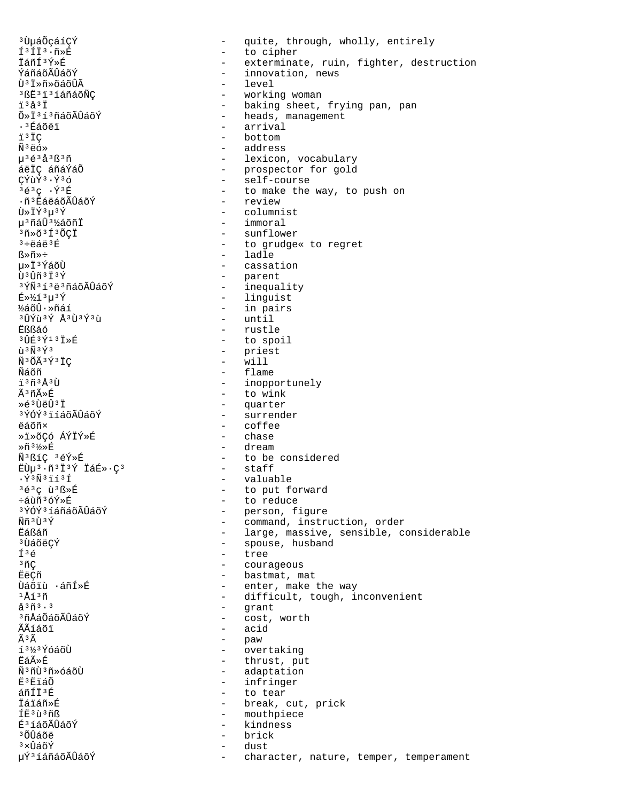<sup>3</sup> ÙµáÕçáíCÝ - quite, through, wholly, entirely 13113.ñ»É - to cipher İáñí<sup>3</sup>Ý»É - exterminate, ruin, fighter, destruction ÝáñáõÃÛáõÝ - innovation, news - level Ù<sup>3</sup> İ»ñ»õáõÛÃ <sup>3</sup>ßE<sup>3</sup>i<sup>3</sup>íáñáõÑÇ working woman - baking sheet, frying pan, pan  $7337$ - heads, management Õ»Ï3í3ñáõÃÛáõÝ - arrival . 3 Éáõëï ï<sup>3</sup>ÏC  $-$  bottom  $\tilde{N}$ <sup>3</sup> $\ddot{e}$ ó» - address - lexicon, vocabulary  $u^3$ é  $3a^3$ ß $3\tilde{n}$ áëÏC áñáÝáÕ - prospector for gold - self-course CÝùÝ3·Ý36 - to make the way, to push on  $363C.73E$ - review ·ñ<sup>3</sup> EáëáõÃÛáõÝ Ù»ÏÝ3µ3Ý - columnist - immoral µ<sup>3</sup>ñáÛ<sup>3</sup>½áõñÏ  $3\tilde{n}*\tilde{o}3\tilde{1}3\tilde{o}CI$ - sunflower - to grudge« to regret  $3 \div 464$ <sup>3</sup> $E$ - ladle  $R \gg \widetilde{n} \gg \div$ u»Ï3ÝáõÙ - cassation  $\hat{1}$  3  $\hat{1}$   $\hat{1}$   $\hat{1}$   $\hat{3}$   $\hat{1}$   $\hat{4}$   $\hat{5}$ - parent - inequality <sup>3</sup>ÝÑ 3 í 3 ë 3 ñáõÃÛáõÝ - linquist  $E*54$ - in pairs ½áõÛ·»ñáí <sup>3</sup>ÛÝù<sup>3</sup>Ý Å<sup>3</sup>Ù<sup>3</sup>Ý3ù  $-$  until - rustle Eßßáó - to spoil 30É3Ý13Ï»É - priest  $\tilde{u}$ <sup>3 $\tilde{N}$ 3 $\tilde{Y}$ 3</sup> Ñ3ÕÃ3Ý3ÏÇ  $\sim$ will - flame Ñáõñ ï3ñ3Å3Ù - inopportunely - to wink êñÃ≫É - quarter  $\ast$   $\mathbf{A}$   $\mathbf{3}$   $\mathbf{1}$   $\mathbf{A}$   $\mathbf{1}$   $\mathbf{3}$   $\mathbf{1}$ **3ÝÓÝ3ïíáõÃÛáõÝ** - surrender **A**ล์ก็ที่x  $-$  coffee ȕ»õCó ÁÝÏÝ»É - chase - dream Ȗ3½»É Ñ3ßíÇ 3éÝ»É - to be considered EÙµ<sup>3</sup>·ñ<sup>3</sup>Ï<sup>3</sup>Ý ÏáÉ»·Ç<sup>3</sup> - staff  $\cdot$   $\tilde{Y}$ <sup>3</sup> $\tilde{N}$ <sup>3</sup> $\tilde{1}$ 1<sup>3</sup> $\tilde{1}$ - valuable 3é3c ù3ß»É - to put forward ևùñ<sup>3</sup>óÝ»É - to reduce <sup>3</sup>ÝÓÝ<sup>3</sup>íáñáõÃÛáõÝ - person, figure - command, instruction, order <u> Ññ 3 Ù 3 Ý</u> - large, massive, sensible, considerable Ëáßáñ - spouse, husband <sup>3</sup>ÙáõëCÝ  $f36$ - tree  $3 \tilde{n}$ C - courageous - bastmat, mat 葂ñ - enter, make the way Ùáõiù ∙áñÍ»É - difficult, tough, inconvenient ∸Åí∍ñ  $a^{3} \tilde{n}^{3} \cdot 3$ - grant <sup>3</sup>ñÅáÕáõÃÛáõÝ - cost, worth - acid ÃÃíáõï ÃЗÃ - paw í<sup>31/3</sup>ÝóáõÙ  $\mathbf{L}$ overtaking - thrust, put ਸੈ≲∩ੱ⊳ਸ Ñ<sup>3</sup>ñÙ<sup>3</sup>ñ»óáõÙ - adaptation - infringer **πី**ះការកំ  $ATT3E$ - to tear - break, cut, prick İáiáñ»É ÍË3ù3ñß - mouthpiece É<sup>3</sup>íáõÃÛáõÝ kindness  $\sim$ ªÕÛáõë brick  $\sim$  $3 \times \hat{U}$ áõÝ dust µÝ3íáñáõÃÛáõÝ character, nature, temper, temperament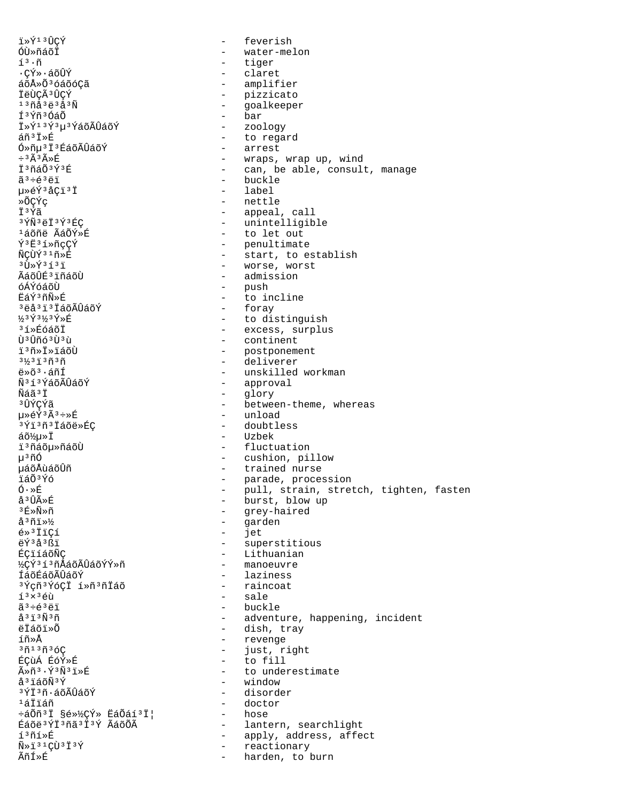ï»Ý<sup>13</sup>ÛÇÝ - feverish - feverish - feverish - feverish - feverish - feverish - feverish - feverish - feverish - feverish - feverish - feverish - feverish - feverish - feverish - feverish - feverish - feverish - feverish - ÓÙ»ñáõÏ - water-melon<br>íº.ñ - tiger - tiger íª·ñ - tiger<br>·çÝ»·áõÛÝ - tiger - claret ·ÇÝ»·áõÛÝ - claret<br>áõŻժóáõóÇã - claret - amplif áõŻճóáõóÇã - amplifier ÏëÙÇóÛÇÝ - pizzicato <sup>13</sup>ñå<sup>3</sup>ë<sup>3</sup>å<sup>3</sup>Ñ - goalkeeper<br>Í<sup>3</sup>Ýñ<sup>3</sup>ÓáÕ - Communication - bar - bar<br>- zoology Ϊ»Ý<sup>13</sup>Ý<sup>3</sup>μ<sup>3</sup>ÝáõÃÛáõÝ<br>áñ<sup>3</sup>Ï»É - to regard<br>- arrest  $\tilde{O} \gg \tilde{n} \mu^3 \tilde{I}^3$ ÉáõÃÛáõÝ<br>÷ $3 \tilde{A}^3 \tilde{R} \gg \tilde{E}$ ּúûÉ - wraps, wrap up, wind<br>ϺñáպݺÉ - can. be able. consult - can, be able, consult, manage ãª÷éªëï - buckle<br>u»éݪåÇïªÏ - label - label 毂ݪåÇïªÏ - label<br>»ÕÇÝç - nettle »ÕÇÝç<br>T<sup>9</sup>Ýã - nettle - nettle اَ تَابَعَ بِهِ تَبْسَلَ الْمَعْرَةِ وَالْمَعْرَفَةِ بِهِ مَعْهُمْ وَالْمَعْرَفَةِ بِهِ مَعْهُمْ وَالْمَعْرَ<br>وَالْمَالِيَّةِ مِنْ الْمَعْرَفَةِ بِهِ مَا يَقْطِعُونَ مِنْ الْمَعْرِفَةِ بِهِ مِنْ الْمَوْرَةِ وَالْمَوْرَةِ <sup>3</sup>ÝÑ<sup>3</sup>ëÏ<sup>3</sup>Ý<sup>3</sup>ÉÇ - unintelligible<br><sup>1</sup>áõñë ÃáÕÝ»É - - - - to let out <sup>1</sup>áõñë ÃáÕÝ»É - to let out<br>Ý<sup>3</sup>Ë<sup>3</sup>í»ñcCÝ - - - - - - - - - - - - - penultimat ݳ˳í»ñçÇÝ - penultimate ÑÇÙݳ¹ñ»É - start, to establish <sup>э</sup>ٻݪíªï - worse, worst<br>ÃáõûɪïñáõÙ - → → admission ÃáõÛɳïñáõÙ - admission óÁÝóáõÙ - push - to incline<br>- foray  $3$ ëå $3$ ï3ÏáõÃÛáõÝ<br>½3Ý3½3Ý»É ½3Ý3½3Ý»É - to distinguish<br>3í»ÉóáõÏ - to distinguish - excess, surplu  $\frac{3}{3}$ í»ÉóáõÏ  $\frac{3}{3}$ í»ÉóáõÏ - excess, surplus ÙªÛñóªÙªù - continent<br>ïªñ»Ï»ÏáõÙ - postponeme ï³ñ»Ï»ïáõÙ - postponement <sup>31</sup>/<sub>2</sub><sup>3</sup>i<sup>3</sup>ñ<sup>3</sup>ñ - deliverer ë»õ³·áñÍ - unskilled workman Ñ<sup>3</sup>í<sup>3</sup>ÍáõÃÛáõÝ - approval<br>Ñáã<sup>3Ť</sup> - alory - alory Ñáã³Ï - glory ³ÛÝÇÝã - between-theme, whereas – unload<br>e doubtless ªÝïªñªÏáõë»ÉÇ<br>áõ½u»Ï áõ½µ»Ï - Uzbek ï³ñáõµ»ñáõÙ - fluctuation u<sup>3</sup>ñÓ - cushion, pillow<br>µáõÅùáõÛñ - cushion, pillow uáõÅùáõÛñ en la manda nurse de la manda nurse de la manda nurse de la manda nurse de la manda nurse de la manda<br>La manda nurse de la manda nurse de la manda nurse de la manda nurse de la manda nurse de la manda nurse de la ïáÕ³Ýó - parade, procession Ó·»É - pull, strain, stretch, tighten, fasten å³ÛÃ»É - burst, blow up  $3E \times \tilde{N} \times \tilde{n}$ <br>  $\tilde{a}^3 \tilde{n} \tilde{i} \times \tilde{n}$ <br>  $\tilde{a}^3 \tilde{n} \tilde{i} \times \tilde{n}$ <br>  $\tilde{a}^3 \tilde{n} \tilde{i} \times \tilde{n}$ – garden<br>– jet é»<sup>3</sup>ÏïÇí<br>ëÝ3å3ßï ë <sup>ý j</sup>å<sup>3</sup>ßï - superstitious<br>ÉCIÍÁÕÑC - superstitious - Lithuanian<br>- manoeuvre ½ÇݪíªñÅáõÃÛáõÝÝ»ñ<br>ÍáõÉáõÃÛáõÝ <sup>-</sup> laziness<br>- raincoat <sup>3</sup>Ýçñ<sup>3</sup>ÝóÇÏ í»ñ<sup>3</sup>ñÏáõ<br>í<sup>3</sup>×<sup>3</sup>éù  $\tilde{a}$ <sup>3</sup>×<sup>3</sup>éù - sale - sale - sale - sale ãª÷éªëï - buckle<br>åªïªÑªñ - adventi å<sup>3</sup>ï<sup>3</sup>Ñ<sup>3</sup>ñ - adventure, happening, incident<br>ëÏáõï»Õ - dish, trav ëÏáõï»Õ - dish, tray  $\hat{I}$ ñ»Å - revenge  $\hat{I}$  revenge  $\hat{I}$  revenge  $\hat{I}$  revenge  $\hat{I}$  revenge  $\hat{I}$ <sup>3</sup>ñ<sup>13</sup>ñ<sup>3</sup>óÇ - in - just, right<br>ÉÇùÁ ÉóÝ»É - - - - - - - - to fill ÉÇùÁ ÉóÝ»É - to fill ûñ<sup>3</sup>⋅Ý<sup>3</sup>Ñ<sup>3</sup>ï»É - to underestimate<br>åªïáõѪÝ - window – window<br>– disorder ªÝϪñ·áõÃÛáõÝ<br>ªáÏiáñ - doctor<br>- hose ևÕñªÏ §é»½ÇÝ» ËáÕáíªÏ¦<br>ÉáõëªÝϪñãªÏªÝ ÃáõÕÃ Éáõë<sup>3</sup>ÝÏ<sup>3</sup>ñã<sup>3</sup>Ï<sup>3</sup>Ý ÃáõÕà - lantern, searchlight<br>í<sup>3</sup>ñí»É - apply, address, affe í<sup>3</sup>ñí»É<br>Ñ»ï<sup>31</sup>ÇÙ<sup>3</sup>Ï<sup>3</sup>Ý - Apply, address, affect Ñ»ï<sup>31</sup>ÇÙ<sup>3</sup>Ï<sup>3</sup>Ý - reactionary<br>ÃñÍ»É - harden, to l - harden, to burn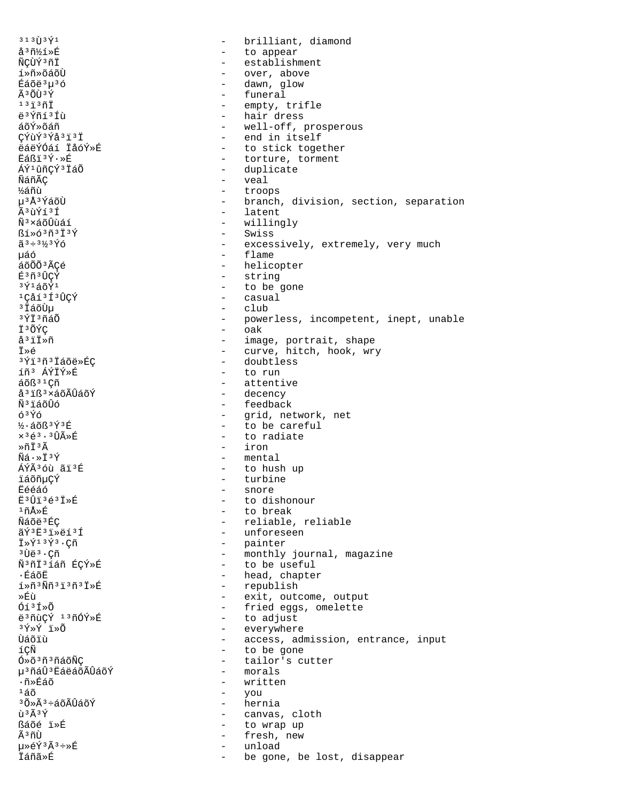$313$   $\tilde{1}3\tilde{1}$ brilliant, diamond  $\sim$ å<sup>3</sup>ñ½í»É - to appear ÑÇÙÝ<sup>3</sup>ñÏ - establishment í»ñ»õáõÙ - over, above Éáõë<sup>3</sup>µ<sup>3</sup>ó - dawn, glow - funeral Ã3ÕÙ3Ý  $13130$ - empty, trifle - hair dress ë<sup>3</sup>Ýñí<sup>3</sup>Íù - well-off, prosperous áõÝ»õáñ CÝùÝ3Ýå3ï3Ï - end in itself ëáëÝÓáí ÏåóÝ»É - to stick together  $FAR13V \cdot R$ - torture, torment - duplicate ÁÝ1ûñCÝ3ÏáÕ - veal ÑáñÃC ½áñù  $\omega_{\rm{max}}$ troops µ3Å3ÝáõÙ - branch, division, section, separation - latent Ã3ùÝí3Í Ñ<sup>3</sup>×áõÛùáí - willingly  $\frac{1}{2}$ - Swiss  $\tilde{a}^3 \div 3\frac{1}{2}3\,\tilde{Y}\tilde{O}$ - excessively, extremely, very much - flame μáό áõÕÕ<sup>3</sup>ÃCé - helicopter - string É3ñ3ÛCÝ - to be gone 3 γ์1 สกัγ์ 1 1Cåí<sup>3</sup>Í<sup>3</sup>ÛCÝ - casual <sup>3</sup> IáõÙu  $\operatorname{club}$ 3ÝÏ3ñáÕ - powerless, incompetent, inept, unable  $\omega_{\rm{max}}$ Ī3ÕÝÇ oak - image, portrait, shape å<sup>3</sup>ïÏ»ñ - curve, hitch, hook, wry Ï≫é - doubtless 3Ýï3ñ3Ïáõë»ÉÇ íñ<sup>3</sup> ÁÝÏÝ»É - to run áõß<sup>31</sup>Çñ - attentive - decency å<sup>3</sup>iß<sup>3</sup>×áõÃÛáõÝ ѪïáõÛó - feedback  $6396$ - grid, network, net  $\frac{1}{2}$ . áõß $\frac{3\acute{Y}}{13\acute{F}}$ - to be careful  $x^36^3 \cdot 3 \hat{U} \tilde{A} \times \tilde{E}$ - to radiate - iron ȖÏ3Ã - mental  $\tilde{N}\tilde{a}\cdot\pi\tilde{I}^3\tilde{Y}$ - to hush up ÁÝÃ36ù ãï3É - turbine ïáõñµÇÝ **Ëééáó** - snore E3U13é3I»É - to dishonour  $1\,\tilde{n}$ Å»É - to break - reliable, reliable Ñáõë<sup>3</sup>ÉC - unforeseen ãݪ˪ï»ëíªÍ - painter  $\dot{\mathbb{I}} \times \acute{\mathbb{Y}}$ <sup>13 $\acute{\mathbb{Y}}$ 3. $\dot{\mathbb{C}}$ ñ</sup> <sup>3</sup>Ùë<sup>3</sup>.Çñ - monthly journal, magazine - to be useful Ñ3ñÏ3íáñ ÉCÝ»É ∙ÉáõË - head, chapter - republish  $1*$ ñ  $3$   $\tilde{N}$ ñ  $3$   $1*$   $3*$   $1*$  $\tilde{E}$ ȃù - exit, outcome, output Óí<sup>3</sup>Í»Õ - fried eggs, omelette - to adjust ë<sup>3</sup>ñùCÝ <sup>13</sup>ñÓÝ»É 3Ý»Ý ï»Õ - everywhere Ùáõïù - access, admission, entrance, input íCÑ - to be gone - tailor's cutter Ó»õ<sup>3</sup>ñ<sup>3</sup>ñáõÑÇ - morals µ<sup>3</sup>ñáÛ<sup>3</sup> EáëáõÃÛáõÝ ∙ñ»Éáõ - written - you  $150$ - hernia  $30*$  $\tilde{A}$  $3*$ a $\tilde{A}$  $\tilde{C}$  $\tilde{A}$  $\tilde{C}$  $\tilde{A}$  $\tilde{C}$  $\tilde{Y}$ ù 3Ã 3Ý - canvas, cloth ßáõé ï»É  $\sim$ to wrap up Ã3ñÙ fresh, new  $\sim$ 毂Ý3Ã3÷»É  $\sim$ unload Ïáñã»É  $\sim$ be gone, be lost, disappear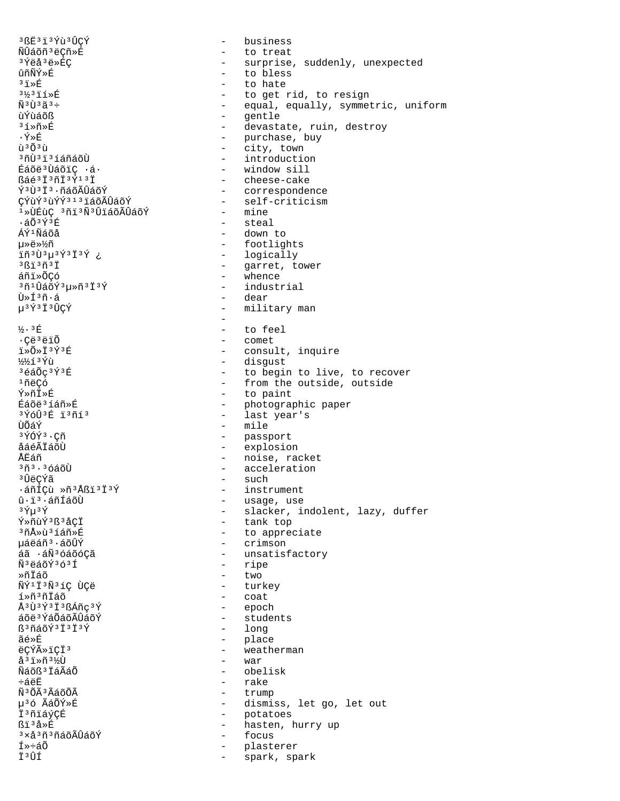3 BË 3 1 3 Ýù 3 ÛCÝ business  $\sim$ ÑÛáõñ<sup>3</sup>ëCñ»É - to treat 3 Ýëå 3ë »ÉC - surprise, suddenly, unexpected ûñÑÝ»É - to bless  $31*$ - to hate  $3\frac{1}{3}3\frac{1}{1}$   $\frac{2}{1}$   $\frac{1}{8}$   $\frac{1}{1}$ to get rid, to resign  $\sim$  $\tilde{N}$ <sup>3</sup> $\tilde{1}$ <sup>3</sup> $\tilde{a}$ <sup>3</sup> $\div$ - equal, equally, symmetric, uniform - gentle ùÝùáõß - devastate, ruin, destroy  $3.1 \times 10^{-4}$ - purchase, buy  $\cdot \tilde{Y} \times \tilde{E}$  $\tilde{\mathbf{u}}$  3  $\tilde{\mathbf{u}}$  3  $\tilde{\mathbf{u}}$ - city, town - introduction <sup>3</sup>กีบ้<sup>3</sup> เ้<sup>3</sup> ไล์กีล์oีบ้ Éáõë<sup>3</sup>ÙáõiC ·á· - window sill - cheese-cake ßáé<sup>3</sup>Ï<sup>3</sup>ñÏ<sup>3</sup>Ý<sup>13</sup>Ï - correspondence Ý3Ù3Ï3.ñáõÃÛáõÝ - self-criticism ÇÝùݪùÝݪ1ªïáõÃÛáõÝ - mine <sup>1</sup>»ÙÉùC 3ñi<sup>3</sup>Ñ<sup>3</sup>ÛiáõÃÛáõÝ - steal  $\cdot$ áÕ $3\acute{Y}$  $3\acute{E}$ ÁÝ<sup>1</sup>Ñáõå - down to - footlights uȑ»¼ñ - logically iñ 3 Ù 3 µ 3 Ý 3 Ï 3 Ý ¿ - garret, tower  $3613031$ - whence áñi»õCó <sup>3</sup>ñ'ÛáõÝ3µ≫ñ3Ï3Ý - industrial - dear  $\tilde{U} \gg \tilde{I}^3 \tilde{n} \cdot \tilde{a}$ u<sup>3</sup>Ý<sup>3</sup>Ï<sup>3</sup>ÛCÝ - military man  $\equiv$  $\frac{1}{2}$ . 3 $E$ to feel  $\equiv$ - comet ·Çë<sup>3</sup>ëïÕ i»Õ»Ï3Ý3É - consult, inquire 1/2/21<sup>3</sup> Ýù - disgust 3éáÕç3Ý3É - to begin to live, to recover <sup>1</sup>ñëCó - from the outside, outside - to paint Ý≫ñÏ≫É - photographic paper Éáõë<sup>3</sup>íáñ»É - last year's 3 *Y*oU<sup>3</sup> E 13 กั13 - mile นิดัล์ท์  $3\bar{Y}$ Q $\bar{Y}$  $3\cdot$ C $\tilde{n}$ - passport - explosion åáéÃÏáõÙ - noise, racket ÅËáñ - acceleration  $3\tilde{n}$  $3.36$ áõÙ - such ªûëcÝã ᇖꂝ »ñ<sup>3</sup>Åßï<sup>3</sup>Ï<sup>3</sup>Ý - instrument  $\hat{u}$ · i  $\overline{\ }$ · áñÍáõÙ - usage, use - slacker, indolent, lazy, duffer  $3 \, \rm \tilde{Y} \mu$  $3 \, \rm \tilde{Y}$ - tank top Ý»ñùÝ3ß3åCÏ - to appreciate <sup>3</sup>ñÅ»ù 3íáñ»É uáëáñ<sup>3</sup>·áõÛÝ - crimson áã ·áÑ3óáõóCã - unsatisfactory - ripe ѪëáõݪóªÍ - two Ȗİáõ ÑÝ<sup>1</sup>Ï<sup>3</sup>Ñ<sup>3</sup>íÇ ÙÇë - turkey - coat í»ñªñİáõ Å<sup>3</sup>Ù<sup>3</sup>Ý<sup>3</sup>Ï<sup>3</sup>ßÁñç<sup>3</sup>Ý - epoch áõë<sup>3</sup>ÝáÕáõÃÛáõÝ - students - long  $$3\tilde{0}\tilde{4}\tilde{3}\tilde{1}^3\tilde{1}^3\tilde{1}^3\tilde{Y}$ ãé»É - place ëCÝûïCÏ3 - weatherman - war å<sup>3</sup>i»ñ<sup>3</sup>½Ù Ñáõß<sup>3</sup> ÏáÃáÕ - obelisk - rake  $-5$  $-5$  $-5$ Ñ3ÕÃ3ÃáõÕÃ - trump µ36 ÃáÕÝ»É - dismiss, let go, let out Ï3ñiáýÇÉ  $\sim$ potatoes hasten, hurry up ßï3å»É  $\sim$ <sup>3</sup>×å <sup>3</sup>ñ 3ñáõÃÛáõÝ focus  $\sim$ Í»÷áõ plasterer Ï3ÛÍ spark, spark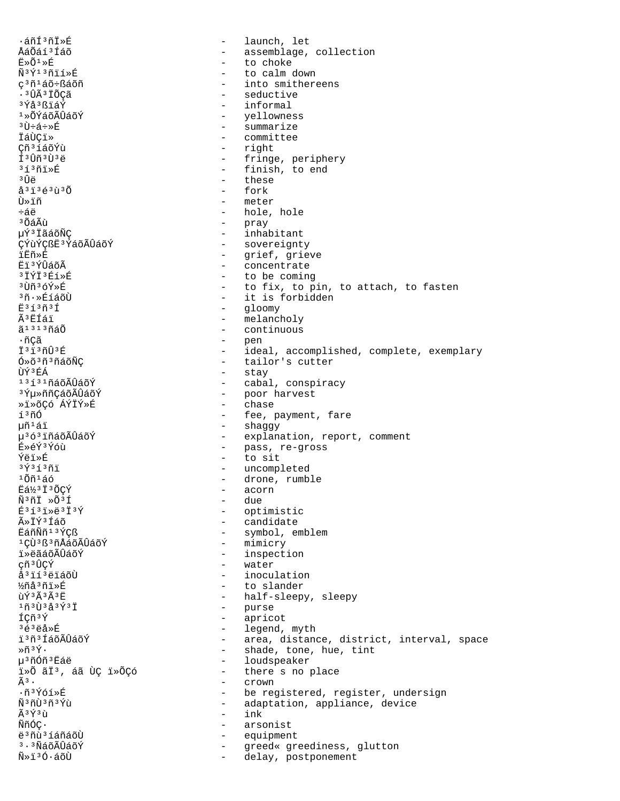.áñí 3ñi »É launch, let  $\sim$ ÅáÕáí3Íáõ - assemblage, collection Ë»Õ1»É - to choke Ñ3Ý13ñïí»É to calm down ç<sup>3</sup>ñ<sup>1</sup>áõ÷ßáõñ into smithereens . 3 ÛÃ 3 ÏÕCã seductive <sup>3</sup>Ýå<sup>3</sup>ßïáÝ - informal 1»ÕÝáõÃÛáõÝ - yellowness - summarize  $3\tilde{U}$ և÷»É - committee ⊤ànci ≫ Cñ<sup>3</sup>íáõÝù - right  $f3$  $\hat{f}3\hat{f}3$ - fringe, periphery  $31371 \times E$ - finish, to end зûё - these - fork  $a^{3}i^{3}e^{3}u^{3}0$ - meter Ù≫ïñ ևë - hole, hole <sup>3</sup> ͇̝ - pray - inhabitant µÝª ÏãáõÑÇ - sovereignty CÝùÝCßË<sup>3</sup>ÝáõÃÛáõÝ - grief, grieve iËñ≫É Ei 3 ÝÛáõÃ - concentrate - to be coming  $379736586$  $3$ โท๊ $36$ ݻE - to fix, to pin, to attach, to fasten 3ñ.»ÉíáõÙ - it is forbidden  $E31373$ - gloomy êËÍáï - melancholy ã<sup>1313</sup>ñáÕ  $\sim$ continuous ∙ñÇã  $\sim$ pen - ideal, accomplished, complete, exemplary I<sup>3</sup>I<sup>3</sup>ñÛ<sup>3</sup>É Ó»õ<sup>3</sup>ñ<sup>3</sup>ñáõÑÇ - tailor's cutter ÙÝ<sup>3</sup>ÉÁ - stay 13131ñáõÃÛáõÝ - cabal, conspiracy - poor harvest <sup>3</sup>ݵ»ññÇáõÃÛáõÝ - chase ȕ»õÇó ÁÝÏÝ»É - fee, payment, fare <u>รงกั</u>ก  $\mathfrak{u} \tilde{\mathfrak{n}}^1$ ái - shaggy u<sup>363</sup>iñáõÃÛáõÝ - explanation, report, comment - pass, re-gross É»éÝ3Ýóù  $-$  to sit Ýëï»É - uncompleted  $3\overline{Y}$  $3\overline{1}$  $3\overline{1}$  $1$ Õñ $1$ áó - drone, rumble Eá½3 I 3 ÕÇÝ - acorn  $\tilde{N}$ <sup>3</sup> $\tilde{L}$   $\gg$   $\tilde{O}$ <sup>3 $\tilde{I}$ </sup> - due  $E3131*e313Y$ - optimistic - candidate ûÏݪÍáõ - symbol, emblem ËáñÑñ13ÝCß - mimicry 1CÙ 3 ß 3 ñÅáõÃÛáõÝ ï»ëãáõÃÛáõÝ - inspection - water cñ 3 ÛCÝ - inoculation å<sup>3</sup>ïí<sup>3</sup>ëïáõÙ - to slander ½ñå3ñï»É ùÝ3Ã3Ã3Ë - half-sleepy, sleepy  $1$ ñ $3$ Ù $3$ å $3$ Ý $3$ Ï - purse ÍÇñ<sup>3</sup>Ý  $\sim$   $$ apricot  $363e3*E$ - legend, myth ï3ñ3 ÍáõÃÛáõÝ - area, distance, district, interval, space Ȗ3Ý. - shade, tone, hue, tint µ<sup>3</sup>ñÓñ<sup>3</sup>Eáë - loudspeaker i»õ ãi3, áã ùç i»õçó - there s no place  $\tilde{A}$ з.  $\Delta \sim 10$ crown  $\cdot$ ñ $\vec{v}$ óí» $\vec{F}$ - be registered, register, undersign <u> พิงกับิงกังทำ</u> - adaptation, appliance, device Ã3Ý3ù  $-$  ink ÑñÓC•  $\sim$ arsonist ë 3 ñù 3 í áñáõÙ equipment  $\sim$ <sup>3</sup>·<sup>3</sup>ÑáõÃÛáõÝ  $\sim$   $$ greed« greediness, glutton  $\tilde{N} \gg \tilde{1}^3 \tilde{0} \cdot \tilde{a} \tilde{0} \tilde{U}$ delay, postponement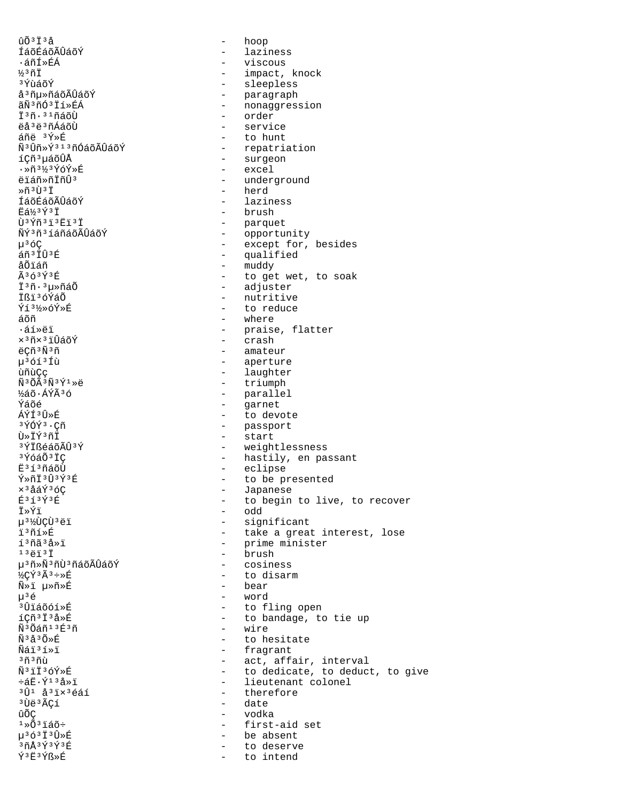ûõ<sup>3</sup>Ï<sup>3</sup>å - hoop<br>ÍáõÉáõÃÛáõÝ - hoop - hazi: ÍáõÉáõÃÛáõÝ - laziness ·áñÍ»ÉÁ - viscous <sup>}</sup>∕<sup>3</sup>ñÏ - impact, knock<br><sup>3</sup>ΎùáõÝ - sleepless <sup>3</sup>ÝùáõÝ - sleepless<br>å<sup>3</sup>ñu»ñáõÃÛáõÝ - sleepless - sleepless å³ñµ»ñáõÃÛáõÝ - paragraph ãѺñÓºÏí»ÉÁ - nonaggression<br>Ϻñ⋅ººñáõÙ - order Ϊ<sup>3</sup>ñ·<sup>31</sup>ñáõÙ - order - order<br>ëåªëªñÁáõÙ - - servi ëåªëªñÁáõÙ - service<br>áñë ªÝ»É - service - service - to hunt<br>- repatriation ѪÛñ»Ýª1ªñÓáõÃÛáõÝ<br>íCñªuáõÛÅ <sup>-</sup> surgeon<br>- excel ·»ñª½ªÝóÝ»É<br>ëïáñ»ñÏñÛª - underground »ñ³Ù³Ï - herd ÍáõÉáõÃÛáõÝ - laziness ียื่ส่½<sup>3</sup>ััั้ง รับ = brush = brush = brush = brush = brush = brush = brush = brush = brush = brush = brush = brush = brush = brush = brush = brush = brush = brush = brush = brush = brush = brush = brush = brush = brush Ù³Ýñ³ï³Ëï³Ï - parquet ÑݪñªíáñáõÃÛáõÝ - opportunity µ³óÇ - except for, besides  $\frac{2}{3}$  $\frac{1}{10}$ <sup>3</sup>É  $\frac{1}{10}$  - qualified  $\frac{1}{2}$  - qualified åÕïáñ - muddy  $\tilde{a}$ ∂õïáñ - muddy - muddy - muddy - muddy - muddy - muddy - muddy - muddy - muddy - muddy - muddy - muddy - muddy - muddy - muddy - muddy - muddy - muddy - muddy - muddy - muddy - muddy - muddy - muddy -Ã<sup>3</sup>ó<sup>3Ý3É</sup> - to get wet, to soak<br>Ï<sup>3</sup>ñ·<sup>3</sup>u>ñáÕ - - - - - - - - - - - adjuster ϳñ·³µ»ñáÕ - adjuster Ïßï³óÝáÕ - nutritive - to reduce áõñ - where ·áí»ëï - praise, flatter ×<sup>3</sup>ñ×<sup>3</sup>ïÛáõÝ - crash ëÇñ<sup>3</sup>Ñ<sup>3</sup>ñ - amateur - amateur - amateur µ³óí³Íù - aperture ùñùÇç - laughter Ñ<sup>3</sup>ÕÃ<sup>3</sup>Ñ<sup>3</sup>Ý<sup>1</sup>»ë - triumph<br>½áõ∙ÁÝÃ<sup>3</sup>ó - triumph - triumph ½áõ∙ÁÝêó - parallel<br>Ýáõé - parallel - parallel Ýáõé - garnet<br>ÁÝÍ3Ô»É - controller - to devi ÁÝÍ³Û»É - to devote ³ÝÓݳ·Çñ - passport Ù»ÏݳñÏ - start <sup>3</sup>ÝÏßéáõÃÛ<sup>3</sup>Ý - weightlessness<br><sup>3</sup>ÝóáÕ<sup>3</sup>ÏC - - - - - - - hastily, en pa <sup>3</sup>ÝóáÕ<sup>3</sup>ÏÇ - hastily, en passant<br>Ë<sup>3</sup>í<sup>3</sup>ñáõÙ - - - - - - - - eclipse Ë<sup>3</sup>í<sup>3</sup>ñáõÙ - eclipse<br>Ý»ñÏ<sup>3</sup>۪ݪÉ - to be pr  $\tilde{Y} \times \tilde{\Pi}^3 \hat{U}^3 \hat{Y}^3 \hat{E}$  - to be presented  $\times^3 \hat{\Delta} \hat{\Delta} \hat{Y}^3 \hat{C}$ ׳åáݳóÇ - Japanese É<sup>313Ý3</sup>É - to begin to live, to recover<br>Ï»Ýï Ï»Ýï - odd<br>µ<sup>3</sup>½ÙÇÙ<sup>3</sup>ëï - codd - siqr µ<sup>3½</sup>ÙÇÙ<sup>3</sup>ëï - significant<br>ïºñí»É - take a grea ï³ñí»É - take a great interest, lose í³ñã³å»ï - prime minister - brush<br>- cosiness µ<sup>3</sup>ñ»Ñ<sup>3</sup>ñÙ<sup>3</sup>ñáõÃÛáõÝ<br>½Cݪê÷»É – to disarm<br>– bear Ñ»ï µ»ñ»É - bear µ³é - word ³Ûïáõóí»É - to fling open - to bandage, to tie up<br>- wire Ñ 3 Õáñ 1 ªÉ 3 ñ<br>Ñ ªå 3 Õ »É  $\tilde{N}$ <sup>3</sup>å<sup>3</sup>Õ»É - to hesitate<br> $\tilde{N}$ ái<sup>3</sup>í»i - tragrant Ñáï<sup>3</sup>í»ï - fragrant<br><sup>3</sup>ñ<sup>3</sup>ñù - ect, affa <sup>3</sup>ñ<sup>3</sup>ñù - act, affair, interval<br>Ñ<sup>3</sup>iï3óÝ»É - codedicate to deduct ѳïϳóÝ»É - to dedicate, to deduct, to give ևË⋅Ý<sup>13</sup>å»ï - lieutenant colonel<br><sup>3</sup>Û<sup>1</sup> å<sup>3</sup>ïx<sup>3</sup>éáí - - therefore <sup>3</sup>Û<sup>1</sup> å<sup>3</sup>ï×<sup>3</sup>éáí - therefore<br><sup>3</sup>Ùë<sup>3</sup>ÃCí - e date - date ûÕÇ - vodka  $1*\tilde{O}^{3}$ iáõ÷ - first-aid set<br> $\mu^{3}\tilde{O}^{3}$ Ï $^{3}\tilde{U}*\tilde{E}$  - be absent p<sup>3</sup>ó<sup>3</sup>Ï<sup>3</sup>Û»É - be absent<br><sup>3</sup>ñÅ<sup>3Ý3Ý3É - - - - to deserve</sup> <sup>3</sup>ñÅ<sup>3Ý3Ý3É - to deserve<br>Ý<sup>3Ë3Ýß</sup>»É - to intend</sup> to intend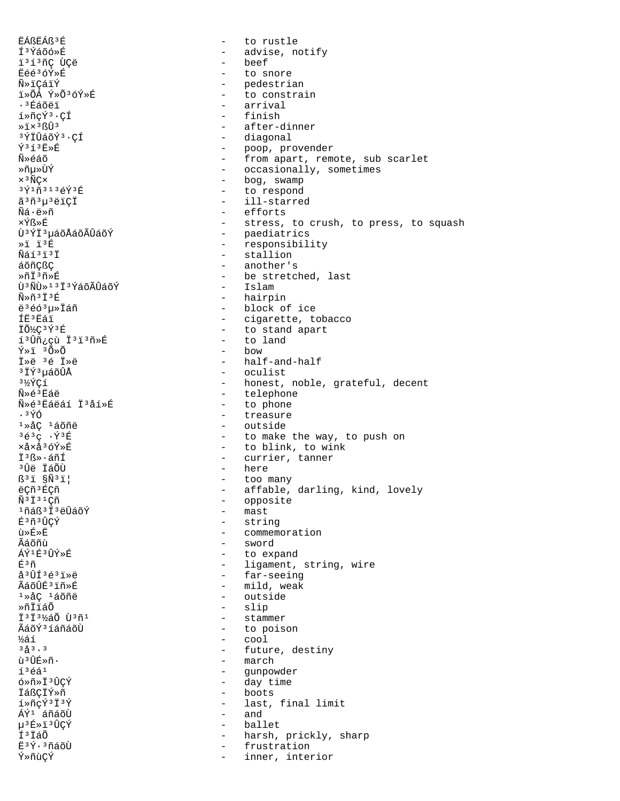EÁßEÁß<sup>3</sup>É to rustle  $\sim$ ͪÝáõó»É - advise, notify beef i<sup>313</sup>ñC ÙCë  $\sim$ Ëéé3óÝ»É to snore Ñ»ïÇáïÝ - pedestrian - to constrain ï»ÕÁ Ý»Õ3óÝ»É - arrival .<sup>3</sup>Éáõëï  $i * \tilde{n} c \tilde{Y}$ <sup>3</sup>·CÍ - finish - after-dinner  $*i \times 3$ ßÛ<sup>3</sup> - diagonal ªÝÏÛáõݪ∙CÍ  $\sqrt{353}$   $\frac{1}{12}$ - poop, provender - from apart, remote, sub scarlet Ñ»éáõ - occasionally, sometimes ≫ñu≫ÙÝ - bog, swamp  $\times$ <sup>3</sup> $\widetilde{\rm N}$ C $\times$ - to respond 3  $\check{\gamma}$  1  $\tilde{\text{n}}$  3 1 3 é $\check{\text{Y}}$  3 É - ill-starred ã 3ñ 3 µ 3 ë i Ç İ Ñá∙ë»ñ - efforts ×Ýß≫É - stress, to crush, to press, to squash - paediatrics<br>- responsibility Ù<sup>3</sup>ÝÏ<sup>3</sup>µáõÅáõÃÛáõÝ  $*$ i ï $*$ É - stallion Ñáí<sup>3</sup>i<sup>3</sup>İ áõñCßC - another's Ȗİ3ñ»É - be stretched, last บิ<sup>3</sup> Nับิ่ » 1 3 1 3 YaoAบิล o Y - Islam - hairpin  $\widetilde{N} \gg \widetilde{L}^3$   $\widetilde{L}^3$   $\widetilde{E}$ - block of ice  $e^{3}663u$ <sup>x</sup> ÍË3Ëáï - cigarette, tobacco - to stand apart ÏÕ½Ç3Ý3É - to land í<sup>3</sup>Ûñ¿çù Ï<sup>3</sup>ï<sup>3</sup>ñ»É Ý»ï 3Õ»Õ  $-$  how İ»ë 3é İ»ë - half-and-half <sup>3</sup> IÝ<sup>3</sup>µáõÛÅ - oculist - honest, noble, grateful, decent  $3\frac{1}{2}$ ÝÇí - telephone  $\tilde{N}$ » $\in$ <sup>3</sup> $E$ áë - to phone Ñ»é'Éáëáí Ï'åí»É  $.3\,$ Ý $\acute{\odot}$ - treasure - outside  $1 \times AC$   $160$  $363C \cdot Y^3E$ - to make the way, to push on xåxå<sup>3</sup>óÝ»É - to blink, to wink İ<sup>3</sup>ß»·áñÍ - currier, tanner - here <sup>3</sup>Ûë ÏáÕÙ  $\mathbb{S}^3$ i  $\widetilde{\mathbb{S}}$ Ñ $^3$ i - too many ëÇñ<sup>3</sup>ÉÇñ - affable, darling, kind, lovely  $\tilde{N}$ <sup>3</sup> İ<sup>31</sup>Çñ - opposite - mast 1ñáß3 İ 3ëÛáõÝ É3ñ3ÛÇÝ - string - commemoration ù»É»Ë - sword ∡ีล์∩ัทึบั ÁÝ1É3ÛÝ»É - to expand É3ñ - ligament, string, wire - far-seeing  $a^{3}$ ÛÍ $36^{3}$ iȑ - mild, weak ÃáõÛÉ3ïñ»É 1ȌÇ 1áõñë - outside ≫ñÏïáÕ slip  $\sim$ 13131%ao ù3ñ1 stammer  $\sim$ ÃáõÝ<sup>3</sup>íáñáõÙ  $\sim$ to poison  $\sim$  cool ½áí  $3^{8}_{0}3^{3}.3$ - future, destiny ù 3 ÛÉ»ñ. - march  $1<sup>3</sup>$ éá $<sup>1</sup>$ </sup>  $\sim$ gunpowder ó»ñ»Ï3ÛCÝ - day time - boots İáßCIÝ»ñ  $1*\n$ ñcÝ $313$ Ý - last, final limit ÁÝ<sup>1</sup> áñáõÙ - and µ3É»ï3ÛÇÝ ballet  $\sim$ Í<sup>3</sup>IáÕ harsh, prickly, sharp  $\sim$ Ë3Ý·3ñáõÙ frustration  $\sim$ Ý»ñùÇÝ inner, interior  $\overline{a}$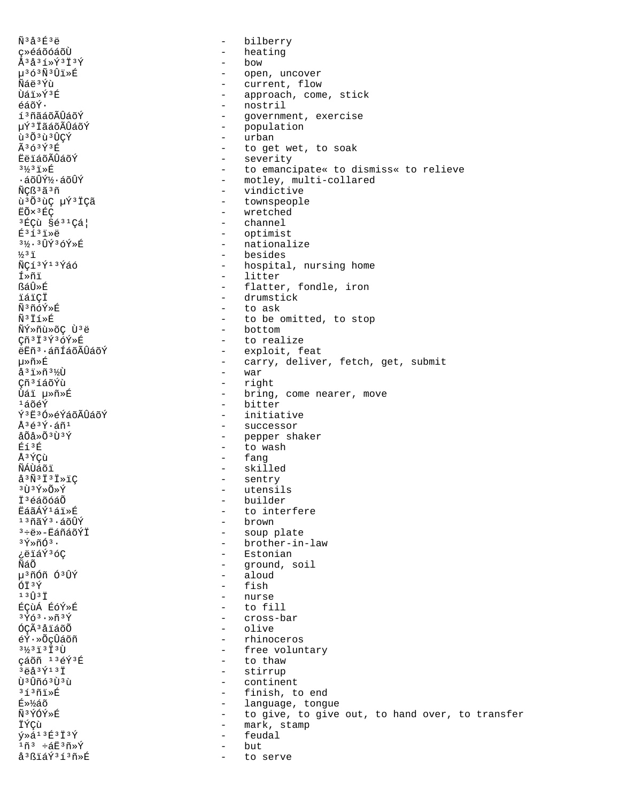$\tilde{N}$ <sup>3</sup> $\AA$ <sup>3 $E$ </sup><sup>3 $\ddot{E}$ </sup> bilberry  $\equiv$ ç»éáõóáõÙ  $\equiv$ heating  $Å$ <sup>3</sup>å<sup>3</sup> $1$ \*Ý<sup>3</sup> $1$ <sup>3</sup>Ý - bow µ363Ñ3Ûï»É - open, uncover Ñáë3Ýù - current, flow Ùái»Ý3É - approach, come, stick - nostril  $\tilde{\epsilon}$ áõÝ $\cdot$ í<sup>3</sup>ñãáõÃÛáõÝ - government, exercise - population µÝª ÏãáõÃÛáõÝ - urban ù 303 ù 30CÝ  $\tilde{\Delta}$ 3 $\tilde{\Omega}$ 3 $\tilde{\Psi}$ 3 $\tilde{\text{E}}$ - to get wet, to soak - severity **FALÁÕÃ**ÛÁÕÝ  $3\frac{1}{3}3\frac{1}{1}\times E$ - to emancipate« to dismiss« to relieve ·áõÛݽ·áõÛÝ - motley, multi-collared  $\omega_{\rm{max}}$ ÑÇß ªã ªñ vindictive ù<sup>3</sup>Õ<sup>3</sup>ùÇ µÝ<sup>3</sup>ÏÇã - townspeople - wretched EÕ×<sup>3</sup>ÉÇ <sup>3</sup>ÉÇù §é<sup>31</sup>Çá| - channel  $E$ <sup>313</sup>1ȑ - optimist - nationalize 3½. 3ÛÝ36Ý»É - besides  $\frac{1}{2}$ <sup>3</sup>i ÑCí<sup>3</sup>Ý<sup>13</sup>Ýáó - hospital, nursing home - litter fȖi หลนิ≽นิ - flatter, fondle, iron - drumstick ïáïCÏ - to ask Ñ3ñóÝ»É  $\tilde{\rm N}^3$ İí»É - to be omitted, to stop - bottom ÑÝ»ñù»õÇ Ù3ë Çñ<sup>3</sup>Ï<sup>3</sup>Ý3óÝ»É - to realize ëËñ<sup>3</sup>·áñÍáõÃÛáõÝ - exploit, feat 毤»É - carry, deliver, fetch, get, submit  $a^{3}$ iȖ $3\frac{1}{2}$ Ù - war Çñ<sup>3</sup>íáõÝù - right - bring, come nearer, move บ้ล์ï µ»กั»É - bitter  $1506$ ݪ˪Ó»éÝáõÃÛáõÝ - initiative - successor  $\lambda$ 3 $\acute{\alpha}$ 3 $\acute{\gamma}$ . $\acute{\alpha}$ ñ1  $a\tilde{O}a * \tilde{O}3\tilde{U}3\tilde{Y}$ - pepper shaker - to wash Éí<sup>3</sup>É - fang Å<sup>3</sup>ÝÇù - skilled ÑÁÙáõi  $a^{3}\tilde{N}^{3}\tilde{1}^{3}\tilde{1}^{3}\tilde{1}$ - sentry  $3\tilde{U}$  $3\tilde{Y}$  $\frac{1}{2}\tilde{V}$ - utensils **T**<sup>3</sup>éáõóáÕ - builder EáãÁÝ<sup>1</sup>ái»É - to interfere - brown  $13000$ riar $3.600$ - soup plate <sup>3</sup>֑»-ËáñáõÝÏ - brother-in-law  $34\pi$ nó $3.$ ¿ëïáÝ3óC - Estonian ÑáÕ - ground, soil - aloud µ<sup>3</sup>ñÓñ Ó<sup>3</sup>ÛÝ - fish ÓÏ3Ý - nurse  $13 \hat{U}$  $3 \hat{I}$ ÉÇÙÁ ÉÓÝ»É - to fill  $3\overline{Y}63.8\overline{Y}3\overline{Y}$ - cross-bar ÓÇÃ<sup>3</sup>åïáõÕ - olive éÝ·»ÕçÛáõñ - rhinoceros  $3\frac{1}{2}3\frac{1}{2}3\frac{1}{2}3\frac{1}{2}$ - free voluntary çáõñ 13éÝ3É - to thaw  $36337137$ - stirrup บิงบิกัดงบิงก - continent  $3f3f1$ » $E$ - finish, to end É»¼áõ - language, tongue Ñ3ÝÓÝ»É - to give, to give out, to hand over, to transfer - mark, stamp ÏÝÇù  $\tilde{Y}$ ȇ<sup>13</sup>É<sup>3</sup>Ï<sup>3</sup>Ý feudal  $\sim$  $1\tilde{n}$ <sup>3</sup>  $\div$ áË $3\tilde{n}$ »Ý but. å<sup>3</sup>ßïáÝ<sup>3</sup>í<sup>3</sup>ñ»É to serve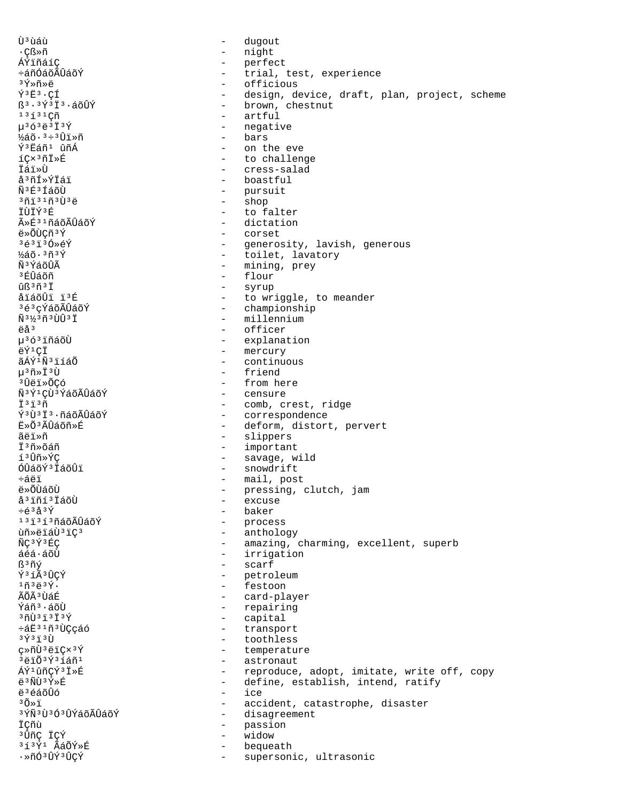บิ<sup>3</sup>นิล์น้ dugout  $\overline{a}$ ∙Çß≫ñ  $\equiv$ night ÁÝïñáíÇ  $\sim$  10  $\,$ perfect ևñÓáõÃÛáõÝ  $\sim$ trial, test, experience - officious ªÝ≫ñ≫ë  $\tilde{Y}$ <sup>3</sup> $E$ <sup>3</sup> · CÍ design, device, draft, plan, project, scheme  $\sim$ - brown, chestnut  $5^3 \cdot 3 \check{\Upsilon}$ <sup>3</sup>  $\check{\I}$ <sup>3</sup> · áõÛÝ  $1313$ - artful - negative  $u^{3} 6^{3} 6^{3} 1^{3} 9$ - bars  $\frac{1}{2}$ áõ $\cdot$   $3 \div 3 \hat{U}$ iȖ Ý<sup>3</sup>Eáñ<sup>1</sup> ûñÁ - on the eve - to challenge  $1C \times 3$ ñ $1 \times E$ İáï≫Ù - cress-salad å<sup>3</sup>ñÍ»ÝÏáï - boastful Ñ<sup>3</sup>É<sup>3</sup>ÍáõÙ - pursuit<br>- shop  $301310303$ shop ÏÙÏÝ3É to falter  $\sim$ ûÉ31ñáõÃÛáõÝ dictation  $\sim$ ë»ÕÙÇñ3Ý  $\overline{a}$ corset  $363130*6Y$  $\Delta \sim 10^4$ generosity, lavish, generous - toilet, lavatory  $\frac{1}{2}$ áõ $\cdot$   $\frac{3}{1}$ ñ $\frac{3}{1}$ Ý พื®ห์ล์อันิ - mining, prey - flour ง ศ์นิล์กัก - syrup  $nR3n3T$ åïáõÛï ï3É - to wriggle, to meander - championship 3é3cÝáõÃÛáõÝ Ñ<sup>31</sup>2<sup>3</sup>ñ<sup>3</sup>ÙÛ<sup>3</sup>Ï - millennium ëå<sup>3</sup>  $\sim$ officer µ<sup>363</sup>iñáõÙ - explanation - mercury ëÝ<sup>1</sup>CÏ ãÁÝ<sup>1</sup>Ñ'iíáÕ  $\sim$ continuous  $\mu$ <sup>3</sup> $\tilde{\Pi}$ » $\ddot{\Pi}$ <sup>3</sup> $\tilde{\Pi}$ - friend <sup>3</sup>Ûëï»ÕCó - from here - censure ѪÝ1ÇÙªÝáõÃÛáõÝ  $\ddot{\texttt{I}}$  3  $\ddot{\texttt{I}}$  3  $\tilde{\texttt{I}}$ - comb, crest, ridge - correspondence ݪ٪Ϫ·ñáõÃÛáõÝ ∄ื»∩ึ<sup>3</sup>≀ มีนิสต์กั≫ที่ - deform, distort, pervert ãëï»ñ - slippers - important İ<sup>3</sup>ñ»õáñ - savage, wild í<sup>3</sup>Ûñ»ÝÇ - snowdrift ÓÛáõÝ<sup>3</sup> ÏáõÛï - mail, post ևëï ë»õùáõù - pressing, clutch, jam å<sup>3</sup> iñí<sup>3</sup> IáõÙ  $\frac{1}{2}$ excuse  $\div \acute{\mathrm e}^3\mathrm{\AA}^3\mathrm{\acute Y}$  $\sim$ baker - process 131313ñáõÃÛáõÝ - anthology ùñ»ëiáÙ3iÇ3 ÑC3Ý3ÉC - amazing, charming, excellent, superb  $áéá·áõÙ$ - irrigation - scarf ß<sup>3</sup>ñý Ŷ<sup>3</sup>íêÛÇÝ  $\omega_{\rm{max}}$ petroleum - festoon  $1\tilde{n}$  $3\ddot{e}$  $3\acute{Y}$ . - card-player ÃÕÃ<sup>3</sup>ÙáÉ Ýáñ<sup>3</sup>·áõÙ - repairing  $300313737$  $\sim$ capital ևË31ñ3ÙÇçáó  $\sim$ transport  $3\,$  $\rm \tilde{Y}$  $3\,$  $\rm \tilde{1}$  $3\,$  $\rm \tilde{U}$  $\sim$ toothless ç»ñÙ<sup>3</sup>ëïÇx<sup>3</sup>Ý - temperature - astronaut 3ëïÕ3Ý3íáñ1 ÁÝ<sup>1</sup>ûñCÝ<sup>3</sup>Ï»É - reproduce, adopt, imitate, write off, copy  $e^{3}$ ÑÙ $3$ Ý»É - define, establish, intend, ratify - ice e 3 é á õftó  $30x1$ - accident, catastrophe, disaster <sup>3</sup>ÝÑ<sup>3</sup>Ù<sup>3</sup>Ó<sup>3</sup>ÛÝáõÃÛáõÝ - disagreement ÏÇñù  $\sim$ passion <sup>3</sup>ÛñÇ ÏÇÝ widow  $\sim$ 313Ý1 ÃáÕÝ»É bequeath ·»ñÓ<sup>3</sup>ÛÝ<sup>3</sup>ÛÇÝ supersonic, ultrasonic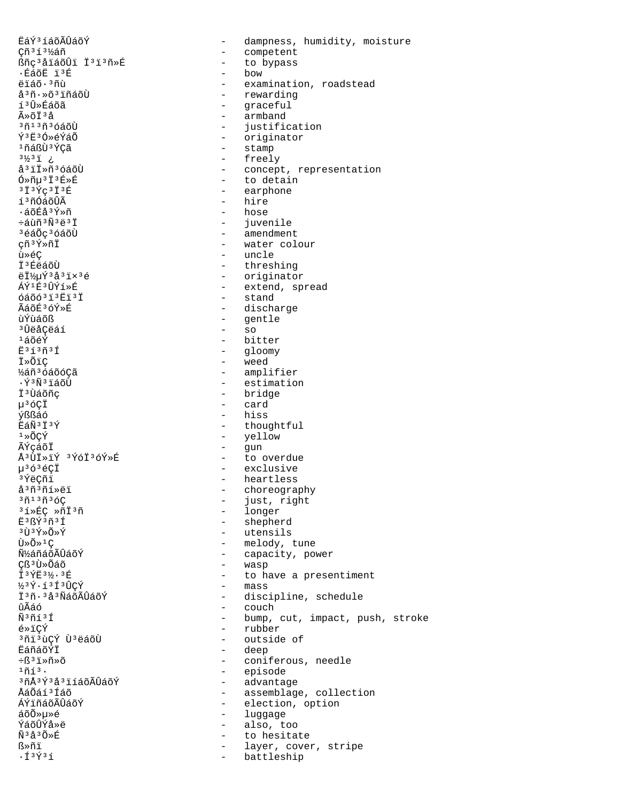EáݪíáõÃÛáõÝ  $\equiv$ dampness, humidity, moisture Cñ<sup>3</sup>í<sup>3</sup>½áñ  $\equiv$ competent ßñç3åïáõÛï Ï3ï3ñ»É - to bypass - bow ∙ÉáõË ïªÉ  $e$ iáõ $\cdot$  3 ñù - examination, roadstead - rewarding å<sup>3</sup>ñ·»õ<sup>3</sup>iñáõÙ - graceful íªÛ»Éáõã  $\tilde{A} \times \tilde{C}$  $\tilde{T}$   $3\tilde{A}$ - armband <sup>3</sup>ñ13ñ3óáõÙ - justification Ý3E3Ó»ÁÝÁÕ - originator 1ñáßÙ3ÝCã - stamp - freely  $3\frac{1}{2}3\frac{1}{2}$  : å<sup>3</sup>il»ñ<sup>3</sup>óáõÙ - concept, representation  $6*\tilde{n} \mu$ <sup>3</sup>  $\tilde{I}$ <sup>3</sup> $\tilde{E}*\tilde{E}$ - to detain - earphone  $313$  $9C313E$ í<sup>3</sup>ñÓáõÛÃ - hire - hose ∙áõÉå3Ý»ñ ևùñ<sup>3</sup>Ñ<sup>3</sup>ë<sup>3</sup>Ï - juvenile - amendment <sup>3</sup>éáÕç<sup>3</sup>óáõÙ çñ<sup>3</sup>Ý»ñÏ - water colour - uncle ù»é¢ I<sup>3</sup>ÉëáõÙ - threshing - originator  $eI\$ {3}uY3å3 $1\times$ 3 $e$ - extend, spread  $\Delta \hat{V}$ 1 E3 $\hat{H}$  $\hat{V}$ í » É  $6400313E13I$ - stand ÃáõÉ3óÝ»É - discharge ùÝùáõß - gentle  $-$  so <sup>3</sup>󑌂ëáí - bitter  $1400$ - gloomy  $E313031$ - weed *i*»õic ½áñ3óáõóÇã - amplifier ·ÝªÑªïáõÙ - estimation - bridge Ï<sup>3</sup>Ùáõñc  $\mu$ <sup>3</sup>óÇÏ - card **Ýßßáó**  $-$  hiss - thoughtful EáÑ3Ï3Ý - yellow  $1*0CY$ - gun<br>- to overdue ÃÝçáõÏ Å<sup>3</sup>ÙÏ»ïÝ <sup>3</sup>ÝóÏ<sup>3</sup>óÝ»É - exclusive  $\mu$ <sup>363</sup>éÇİ - heartless <sup>3</sup>ÝëÇñï - choreography<br>- just, right å<sup>3</sup>ñ<sup>3</sup>ñí»ëï  $3013036C$ - longer <sup>3</sup>í»ÉC »ñÏ<sup>3</sup>ñ - shepherd  $F3R\overline{Y}3\widetilde{n}3\overline{1}$ - utensils 3Ù3Ý≫Õ≫Ý - melody, tune  $\tilde{U} \times \tilde{O} \times 1C$ Ñ<sup>1</sup>⁄áñáõÃÛáõÝ - capacity, power - wasp Cß<sup>3</sup>Ù»Õáõ İ3 ÝË 3½· 3 É - to have a presentiment - mass  $\frac{1}{2}$ <sup>3</sup> $\hat{Y}$   $\cdot$  í<sup>3</sup> $\hat{U}$ cÝ Ï3ñ. 3å3ÑáõÃÛáõÝ - discipline, schedule ûÃáó - couch - bump, cut, impact, push, stroke  $\tilde{N}$ <sup>3 $\tilde{n}$ 1 $\tilde{1}$ </sup> - rubber é»ïCÝ <sup>3</sup>ñi<sup>3</sup>ùÇÝ Ù<sup>3</sup>ëáõÙ - outside of - deep **EáñáõÝİ**  $\div$ ß<sup>3</sup>i»ñ»õ - coniferous, needle - episode  $1ñf3.$ - advantage 3ñÅ3Ý3å3ïíáõÃÛáõÝ - assemblage, collection **Å**ล์∩ัล์ f 3 โล์กั ÁÝïñáõÃÛáõÝ - election, option - luggage áõÕ»µ»é - also, too ÝáõÛÝå»ë Ñ3å3Õ»É  $\sim$ to hesitate ᯤï layer, cover, stripe  $\sim$  $\cdot$ Í $\frac{3431}{1}$  $\sim$ battleship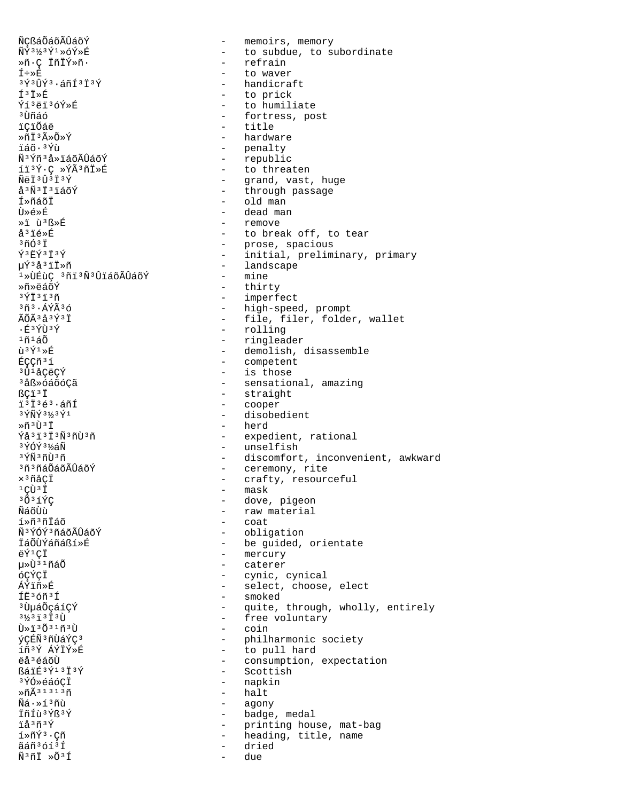ÑCßáÕáõÃÛáõÝ ÑÝ3½3Ý1»óÝ»É Ȗ.ç İñİÝ»ñ.  $I \div B$  $3\acute{\gamma}3\acute{\gamma}3\acute{\gamma}3.5\acute{\gamma}13\acute{\gamma}$  $I^3I$ Ýí3ëï3óÝ»É <sup>3</sup>Ùñáó ïCïÕáë ȖÏ3ûÕ»Ý ïáõ·<sup>3</sup>Ýù Ñ<sup>3</sup>Ýñ<sup>3</sup>å »ïáõÃÎÎáõÝ íï3Ý·C »ÝÃ3ñÏ»É  $\tilde{N}$ ë I 3 $\hat{U}$  3 I 3 $\hat{Y}$ å<sup>3</sup>Ñ<sup>3</sup>Ï<sup>3</sup>iáõÝ Í»ñáõÏ  $\tilde{H} \times \tilde{H} \times \tilde{H}$ »i ù B»É å<sup>3</sup>ié»É  $37037$  $\tilde{Y}$ <sup>3</sup> $E\tilde{Y}$ <sup>3</sup> $\tilde{I}$ <sup>3</sup> $\tilde{Y}$ µÝ3å3ïÏ»ñ <sup>1</sup>»ÙÉùC 3ñï3Ñ3ÛïáõÃÛáõÝ »กั»⊨ืส์∩ั∀์  $3\overline{Y}$  $\overline{1}$  $3\overline{1}$  $3\overline{1}$  $3\tilde{n}$  $3.4\tilde{Y}$  $\tilde{A}$  $3\tilde{o}$ ÃÕÃ 3 å 3 Ý 3 Ï .É3ÝÙ3Ý  $1ñ$  $1a\tilde{0}$  $\hat{U}$ <sup>3</sup> $\hat{V}$ <sup>1</sup> $\gg$  $\hat{E}$ ÉÇÇñ<sup>3</sup>í <sup>3</sup>Û<sup>1</sup>åÇëÇÝ <sup>3</sup>åß»óáõóÇã ßCï<sup>3</sup>Ï 1313é3.áñÍ  $3\overline{\gamma}$ Ñ $\overline{\gamma}$  $3\frac{1}{3}$  $3\overline{\gamma}$ 1  $*$ ñ  $3$  $\overline{1}$  $3\overline{1}$  $\tilde{Y}$ å 3  $\tilde{1}$  3  $\tilde{N}$  3  $\tilde{N}$  1  $\tilde{Y}$  3  $\tilde{Y}$ 3ÝÓÝ 3½áÑ <sup>3</sup>ÝÑ<sup>3</sup>ñÙ3ñ <sup>3</sup>ñ<sup>3</sup>ñáÕáõÃÛáõÝ  $\times$ <sup>3</sup> $ñ$ åC $\ddot{\text{I}}$  $1C\tilde{U}$  $3\tilde{I}$  $3031$ พีล์ก็น้ำ  $1*n*3n*4n$ ѪÝÓݪñáŏÃÛáõÝ ÏáÕÙÝáñáßí»É ÄÝ1CŤ น≫ิบิ<sup>๋ั</sup>ั้งากัล์∩ั óCÝCÏ ÁÝïñ»É ÍË36ñ3Í <sup>3</sup> UµáÕçáíÇÝ  $3\frac{1}{2}3\frac{1}{1}3\frac{1}{1}3\frac{1}{1}$  $\tilde{U} \gg \tilde{I}^3 \tilde{O}^3$ <sup>1</sup> $\tilde{H}^3 \tilde{U}$ ýÇÉÑ3ñÙáÝÇ3 íñ3Ý ÁÝÏÝ»É ëå 3 éáõÙ ßáïÉ3Ý13Ï3Ý <sup>3</sup>ÝÓ≫éáóCI  $\sqrt{n\widetilde{\Delta}}$ 31313 $\widetilde{\eta}$  $\tilde{\rm N}$ á $\cdot\! \times\! 1$  $\,$ 3 $\tilde{\rm n}$ ù ÏñÍù 3Ýß 3Ý ïåªñªÝ  $1*\tilde{n}\tilde{Y}$ <sup>3</sup> · C $\tilde{n}$ ãáñ3óí3Í  $\tilde{N}$ <sup>3</sup> $\tilde{L}$   $\gg$   $\tilde{O}$ <sup>3 $\tilde{I}$ </sup>

- memoirs, memory - to subdue, to subordinate - refrain to waver - handicraft - to prick - to humiliate - fortress, post - title - hardware - penalty - republic - to threaten - grand, vast, huge<br>- through passage  $-$  old man - dead man remove - to break off, to tear - prose, spacious - initial, preliminary, primary - landscape - mine - thirty - imperfect - high-speed, prompt - file, filer, folder, wallet - rolling - ringleader - demolish, disassemble - competent - is those - sensational, amazing - straight - cooper - disobedient  $-$  herd - expedient, rational - unselfish - discomfort, inconvenient, awkward - ceremony, rite - crafty, resourceful - mask - dove, pigeon - raw material - coat - obligation - be guided, orientate - mercury - caterer - cynic, cynical - select, choose, elect - smoked - quite, through, wholly, entirely - free voluntary  $-$  coin - philharmonic society - to pull hard - consumption, expectation - Scottish - napkin - halt - agony - badge, medal  $\omega_{\rm{eff}}$ printing house, mat-bag - heading, title, name dried

due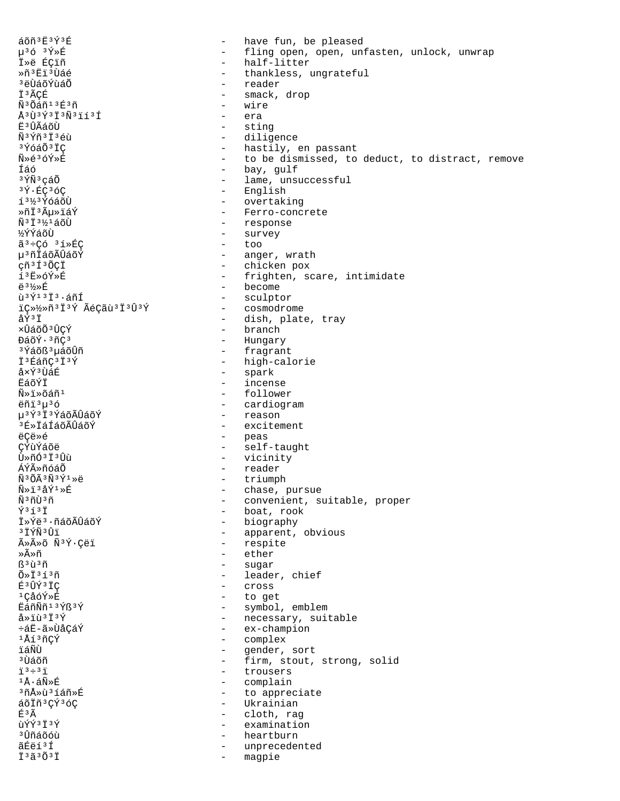áõñ 3Ë 3Ý 3É have fun, be pleased  $\equiv$  $\mu$ <sup>3</sup> $6$ <sup>3 $\tilde{Y}$ \*E</sup> - fling open, open, unfasten, unlock, unwrap - half-litter İ»ë ÉÇiñ Ȗ<sup>3</sup>Ëï<sup>3</sup>Ùáé - thankless, ungrateful <sup>3</sup>ëÙáõÝùáÕ - reader İ3ÃCÉ smack, drop  $\sim$ Ñ<sup>3</sup>Õáñ<sup>13</sup>É3ñ - wire  $\mathring{A}$  3  $\mathring{U}$  3  $\mathring{Y}$  3  $\mathring{I}$  3  $\mathring{N}$  3  $\mathring{I}$  1  $\mathring{I}$  3  $\mathring{I}$ - era - sting Ë<sup>3</sup>ÛÃáõÙ - diligence  $\tilde{N}$ <sup>3</sup> $\tilde{Y}$  $\tilde{n}$ <sup>3</sup> $\tilde{T}$ <sup>3</sup> $\tilde{A}$  $\tilde{n}$ <sup>3</sup>ÝóáÕ<sup>3</sup>IC - hastily, en passant - to be dismissed, to deduct, to distract, remove Ñ»é3óÝ»É - bay, gulf Íáó <sup>3</sup>ÝÑ<sup>3</sup>cáÕ - lame, unsuccessful - English 3Ý·ÉC3ÓC - overtaking 1<sup>31/3</sup> ÝóáõÙ - Ferro-concrete ≫ñϪõ≫ïáÝ  $\tilde{N}$ <sup>3  $\ddagger$  3  $\frac{1}{2}$  4 á õÙ</sup> - response - survey *\*YYáõÙ  $\tilde{a}^3$  ÷ Çó  $3$  í » É Ç  $-$  too - anger, wrath µ<sup>3</sup>ñÏáõÃÛáõÝ - chicken pox çñ<sup>3</sup>Í<sup>3</sup>ÕCÏ í3Ë»óÝ»É - frighten, scare, intimidate - become <u> 습 31</u>/<sub>≫</sub> 丘 - sculptor ù 3 Ý 1 3 Ï 3 · áñÍ iC»1/2»ñ<sup>3</sup>Ï<sup>3</sup>Ý ÃéCãù<sup>3</sup>Ï<sup>3</sup>Û<sup>3</sup>Ý - cosmodrome åÝ3İ - dish, plate, tray xÛáõÕ<sup>3</sup>ÛÇÝ  $\hbox{--}$  branch - Hungary ĐáõÝ·3ñÇ3 - fragrant <sup>3</sup>Ýáõß<sup>3</sup>µáõÛñ - high-calorie I<sup>3</sup>EáñÇ<sup>3</sup>I<sup>3</sup>Ý - spark å×Ý3ÙáÉ **ËáõÝÏ** - incense - follower  $\tilde{N} \gg \tilde{I} \gg \tilde{O} \tilde{A} \tilde{n}^1$ - cardiogram ëñi<sup>3</sup>u<sup>3</sup>ó u<sup>3</sup>Ý<sup>3</sup>Ï<sup>3</sup>ÝáõÃÛáõÝ - reason - excitement <sup>3</sup>É»ÏáÍáõÃÛáõÝ ëCë»é - peas - self-taught CÝùÝáõë - vicinity Ù»ñӪϪÛù - reader ÁÝûñóáÕ - triumph  $\tilde{N}$ <sup>3</sup> $\tilde{O}$  $\tilde{A}$ <sup>3</sup> $\tilde{N}$ <sup>3</sup> $\tilde{Y}$ <sup>1</sup> $\gg$ ë - chase, pursue<br>- convenient, suitable, proper  $\tilde{N} \gg \tilde{1}^3 \tilde{d} \tilde{Y}^1 \gg \tilde{E}$ Ñ3ñÙ3ñ - boat, rook  $\sqrt{7353}$ - biography Ï»Ýëª∙ñáõÃÛáõÝ - apparent, obvious <sup>3</sup>ΪÝÑ3Ûï - respite ûûõ Ñ3Ý·Çëï »Ã»ñ - ether - sugar  $B^3$ ù $^3$ ñ - leader, chief  $0*1313n$ É<sup>3</sup>ÛÝ<sup>3</sup>ÏÇ - cross - to get <sup>1</sup>ÇåóÝ»É EáñÑñ<sup>13</sup>Ýß<sup>3</sup>Ý - symbol, emblem  $a * i u * i * f$ - necessary, suitable - ex-champion ևË-ã»ÙåÇáÝ 1Åí3ñÇÝ - complex ïáÑÙ - gender, sort - firm, stout, strong, solid <sup>3</sup>Ùáõñ  $73 \div 37$ - trousers - complain ่ 1 ∆ิ. ล์Ñั≫πิ์ - to appreciate 3ñÅ»ù3íáñ»É - Ukrainian áõÏñ3CÝ3óC É3Ã - cloth, rag ùÝÝ3Ï3Ý  $\sim$  10  $\,$ examination <sup>3</sup> Ûñáõóù heartburn  $\sim$ ãÉëí<sup>3</sup>Í unprecedented İ<sup>3</sup>ã<sup>3</sup>Õ<sup>3</sup>İ magpie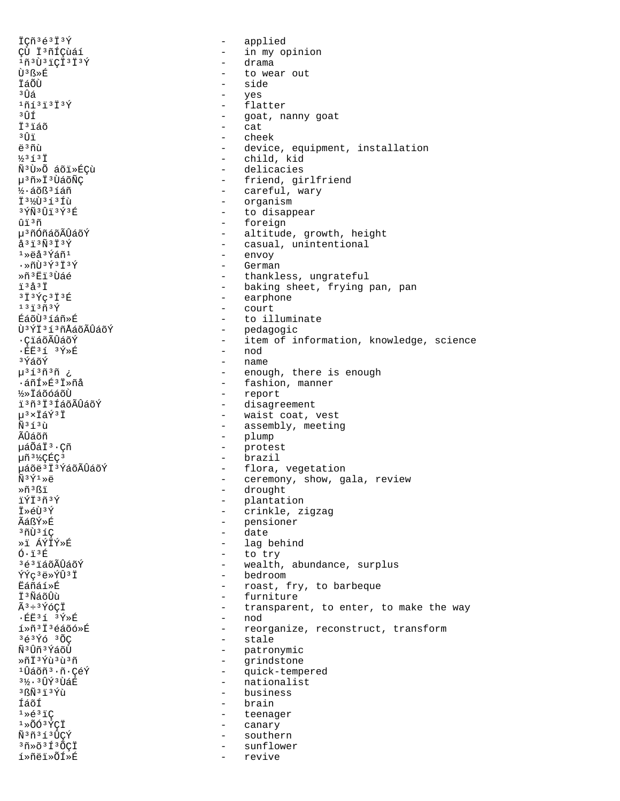ICñ3é3I3Ý applied  $\sim$ CÙ Ï'ñÍÇùáí - in my opinion - drama  $103031C1313$ Ù<sup>3</sup> ß » É to wear out ÏáÕÙ side <sup>3</sup> ปี้ล์ yes - flatter  $10131373$ - goat, nanny goat  $3<sup>1</sup>$  $-$  cat **T**<sup>3</sup>iáõ  $3 \hat{1}$ - cheek  $\ddot{a}$ 3 ñi) - device, equipment, installation  $1/3$   $7$   $3$   $7$ - child, kid Ñ3Ù»Õ áõï»ÉÇù - delicacies - friend, girlfriend µ<sup>3</sup>ñ»Ï<sup>3</sup>ÙáõÑÇ - careful, wary ½·áõß<sup>3</sup>íáñ 13% 031310 - organism - to disappear 3ÝÑ3Ûï3Ý3É - foreign  $\hat{u}$ i 3 $\tilde{n}$ µ<sup>3</sup>ñÓñáõÃÛáõÝ - altitude, growth, height - casual, unintentional  $a31303137$ - envoy  $1*$ ëå $3Y$ áñ $1$  $\cdot$  » ñli  $34373737$ - German Ȗ3Ëï3Ùáé - thankless, ungrateful  $73237$ - baking sheet, frying pan, pan  $3139C313E$ - earphone - court  $131373$ ÉáõÙ3íáñ»É - to illuminate - pedagogic<br>- item of information, knowledge, science Ù<sup>3</sup>ÝÏ<sup>3</sup>í<sup>3</sup>ñÅáõÃÛáõÝ ∙ÇïáõÃÛáõÝ - nod  $\cdot$  EE31 3 $\acute{\text{Y}}$  » E ªÝáõÝ - name - enough, there is enough น<sup>313</sup>ที<sup>3</sup>ที ¿ - fashion, manner  $\cdot$ áñÍ»É $3$ İ»ñå - report **1/2** TáõóáõÙ - disagreement ï'ñ'i'íáõÃÛáõÝ u<sup>3</sup>×İáÝ<sup>3</sup>İ - waist coat, vest  $\tilde{N}$  3 1 3  $\tilde{N}$ - assembly, meeting ÃÛáõñ - plump µáÕáÏ<sup>3</sup>·Çñ  $\omega_{\rm{max}}$ protest - brazil µñ 3½ÇÉÇ 3 µáõë<sup>3</sup>Ï<sup>3</sup>ÝáõÃÛáõÝ - flora, vegetation  $\tilde{N}$ <sup>3</sup> $\tilde{Y}$ <sup>1</sup> $\gg$ ë - ceremony, show, gala, review Ȗ3ßi - drought ïÝÏ3ñ3Ý - plantation  $\ddot{T} \times \acute{e} \dot{T}$  $\ddot{T} \times \acute{Y}$  $\frac{1}{2}$  and  $\frac{1}{2}$ crinkle, zigzag - pensioner ÃáßÝ»É  $37136C$  $\sim$ date »i ÁÝIÝ»F - lag behind  $0.13E$ - to try - wealth, abundance, surplus 3é3ïáõÃÛáõÝ - bedroom ÝÝç<sup>3</sup>ë»ÝÛ<sup>3</sup>Ï Ëáñáí»É - roast, fry, to barbeque - furniture Ï<sup>3</sup>ÑáõÛù  $\tilde{A}^3 \div 3 \tilde{Y}$ ÓCI - transparent, to enter, to make the way - nod · 丘庄3 1 3 9 > 丘 í»ñ<sup>3</sup>Ï<sup>3</sup>éáõó»É - reorganize, reconstruct, transform - stale  $363\overline{Y}63\overline{0}$ Ñ<sup>3</sup>Ûñ<sup>3</sup>ÝáõÙ - patronymic - grindstone Ȗ†3Ýù3ù3ñ  $10$ áõñ $3.7.$ CéÝ - quick-tempered 3½, 3行Ý 3 ÙáÉ - nationalist  $3f\tilde{\text{N}}$  $3f\tilde{\text{1}}$  $3f\tilde{\text{1}}$ - business - brain ÍáõÍ  $1*63*C$  $\sim$   $$ teenager  $1*00*5C1$  $\sim$ canary Ñ3ñ3í3ÛÇÝ southern  $\sim$  $30*$  $631*$  $0$ CÏ sunflower í»ñëï»ÕÍ»É revive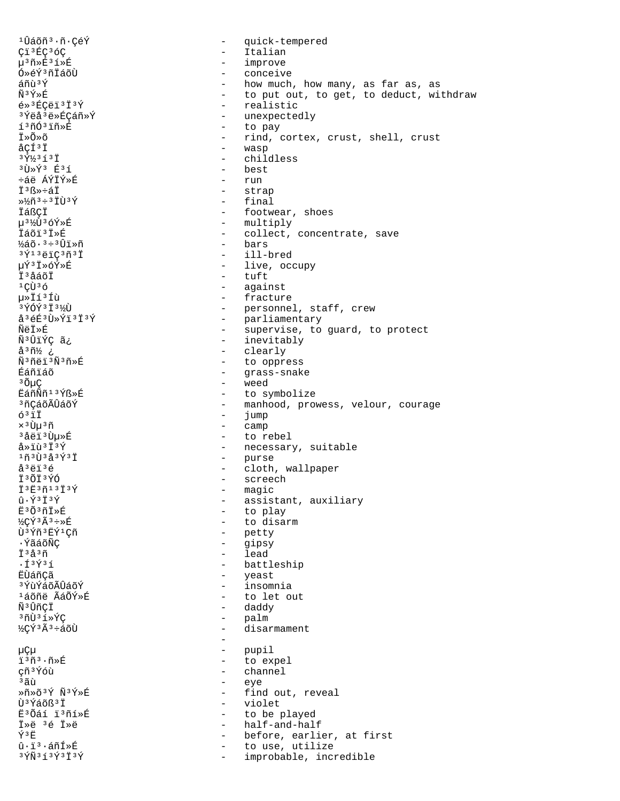1Ûáõñ<sup>3</sup>·ñ·CéÝ quick-tempered  $\sim$ Ci<sup>3</sup>ÉC<sup>3</sup>ÓC - Italian - improve µ3ñ»É3í»É Ó»éݪñÏáõÙ conceive  $\tilde{a} \tilde{n} \tilde{u}$   $\tilde{v}$ - how much, how many, as far as, as - to put out, to get, to deduct, withdraw  $\widetilde{N}$ <sup>3</sup> $\widetilde{Y}$ » $\widetilde{F}$ - realistic  $6*$ <sup>3</sup>ÉÇëï<sup>3</sup>Ï<sup>3</sup>Ý <sup>3</sup>Ýëå<sup>3</sup>ë»ÉÇáñ»Ý - unexpectedly - to pay í<sup>3</sup>ñÓ<sup>3</sup>ïñ»É Ť≫Õ≫õ - rind, cortex, crust, shell, crust  $ACI^3I$ - wasp  $3\overline{y}$ <sup>1</sup>/<sub>3</sub> $\overline{1}$ 3 $\overline{T}$ - childless  $3 \tilde{U} \times \tilde{Y}$  $3 \tilde{E}$  $3 \tilde{1}$ - best ևë ÁÝÏÝ»É  $-$  run ݪß»÷áÏ - strap  $-$  final  $*\frac{1}{2}\tilde{n}^3 \div 3\ddot{1}\tilde{U}^3\acute{Y}$ İáßÇİ - footwear, shoes - multiply µ3½Ù3óÝ»É İáõi<sup>3</sup>İ»É - collect, concentrate, save - bars  $\frac{1}{2}$ áõ $\cdot$ <sup>3 ÷ 3</sup>Ûï»ñ - ill-bred  $3\overline{Y}$ <sup>13</sup>ëïÇ<sup>3</sup>ñ<sup>3</sup>Ï µÝ3Ï»óÝ»É - live, occupy - tuft İ<sup>3</sup>åáõI - aqainst  $1$ CU $3$ ó µ»Ïí3Íù - fracture  $3\bar{Y}$   $0\bar{Y}$  $3\bar{1}$   $3\bar{Y}$  $\bar{U}$ - personnel, staff, crew - parliamentary<br>- supervise, to guard, to protect å<sup>3</sup>éÉ<sup>3</sup>Ù»Ýï<sup>3</sup>Ï<sup>3</sup>Ý ÑëÏ≫É - inevitably ѪÛïÝÇ ã¿ - clearly ¿ 4<sup>3</sup>ñ½ Ñ3ñëï3Ñ3ñ»É  $\sim$ to oppress Éáñïáõ - grass-snake <sup>3</sup>ÕµÇ  $\sim$ weed EáñÑñ<sup>13</sup>Ýß»É - to symbolize <sup>3</sup>ñCáõÃÛáõÝ - manhood, prowess, velour, courage  $63$ ii  $\sim$ jump - camp  $\times$ <sup>3</sup> Uu<sup>3</sup>ñ <sup>3</sup>åëï<sup>3</sup>Ùu»É - to rebel  $a * i u * i * f$ - necessary, suitable - purse<br>- cloth, wallpaper  $1$ ñ $3$ Ù $3$ å $3$ Ý $3$ Ï å<sup>3</sup>ëï<sup>3</sup>é - screech Ï3ÕÏ3ÝÓ  $I3E3n13I3Y$ - magic  $\hat{u} \cdot \hat{Y}$ <sup>3</sup> $\check{T}$ <sup>3</sup> $\check{Y}$ - assistant, auxiliary Ë3Õ3ñÏ»É - to play - to disarm ½ÇÝ3Ã3÷»É - petty Ù3Ýñ3ËÝ1Cñ ∙ÝãáõÑC  $\sim$ gipsy  $-$  lead  $\ddot{T}$  3  $\AA$  3  $\ddot{\eta}$  $\cdot$   $\tilde{1}$   $\tilde{3}$   $\tilde{Y}$   $\tilde{3}$   $\tilde{1}$ - battleship - yeast<br>- insomnia ËÙáñ¢ã <sup>3</sup>ÝùÝáõÃÛáõÝ - to let out <sup>1</sup>áõñë ÃáÕÝ»É Ñ<sup>3</sup>ÛñÇÏ - daddy <sup>3</sup>ñÙ<sup>3</sup>í»ÝC  $\equiv$ palm ½çÝ3Ã3÷áõÙ  $\overline{a}$ disarmament  $\sim$ μÇμ pupil - to expel i<sup>3</sup>ñ<sup>3</sup>·ñ»É çñ<sup>3</sup>Ýóù - channel - eye <sup>3</sup>ลีนิ Ȗ»õ3Ý Ñ3Ý»É - find out, reveal Ù<sup>3</sup>Ýáõß<sup>3</sup>I - violet Ë3Õáí ï3ñí»É  $\sim$  100  $\mu$ to be played İ»ë 3é İ»ë - half-and-half Ý3Ë before, earlier, at first  $\sim$  $\hat{u} \cdot \hat{i}$ <sup>3</sup>·áñÍ»É  $\sim$   $$ to use, utilize  $3\,\rm \tilde{Y}\tilde{N}$  $3\,\rm \tilde{1}\,$  $3\,\rm \tilde{Y}\,$  $3\,\rm \tilde{1}\,$  $3\,\rm \tilde{Y}$ improbable, incredible  $\sim$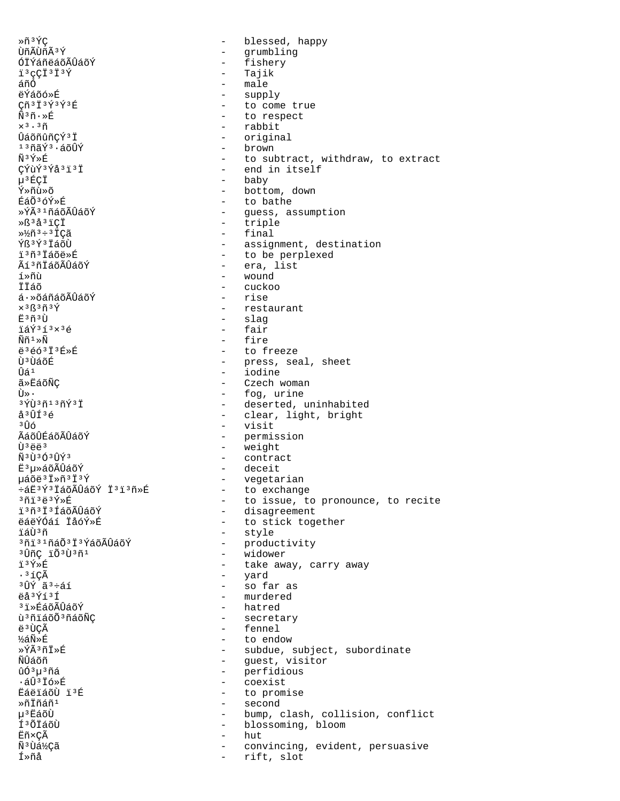Ȗ3ÝC  $\equiv$ blessed, happy ÙñÃÙñÃ3Ý - grumbling - fishery ÓÏÝáñëáõÃÛáõÝ  $i$ <sup>3</sup> $\varsigma$ C $i$ <sup>3</sup> $i$ <sup>3</sup> $\acute{\Upsilon}$ - Tajik áñÓ - male - supply ëÝáõó»É - to come true  $C\tilde{n}$ <sup>3</sup> $\tilde{1}$ <sup>3</sup> $\tilde{Y}$ <sup>3</sup> $\tilde{Y}$ <sup>3</sup> $\tilde{E}$ - to respect Ñ3ñ.»É - rabbit  $x^3 \cdot 3\tilde{n}$ ÛáõñûñCÝ3Ï - original  $13001$  $(13001)$ - brown Ñ₿Ý»É - to subtract, withdraw, to extract - end in itself  $C\acute{Y}u\acute{Y}$ <sup>3 $\acute{Y}$ </sup>a<sup>3</sup> $\ddot{1}$ <sup>3</sup> $\ddot{1}$ - baby μ<sup>3</sup>ÉÇÏ - bottom, down Ý≫ñù≫õ ÉáÕ<sup>3</sup>óÝ»É - to bathe »ÝÃ31ñáõÃÛáõÝ - guess, assumption - triple ȧ<sup>3</sup>å<sup>3</sup>ïCÏ - final  $\frac{1}{2}$  $\frac{1}{2}$ ñ  $\frac{3}{4}$   $\frac{1}{2}$   $\frac{1}{2}$   $\frac{3}{4}$   $\frac{1}{2}$   $\frac{3}{4}$   $\frac{1}{2}$   $\frac{3}{4}$   $\frac{1}{2}$   $\frac{3}{4}$   $\frac{1}{2}$   $\frac{3}{4}$   $\frac{1}{2}$   $\frac{3}{4}$   $\frac{1}{2}$   $\frac{3}{4}$   $\frac{1}{2}$   $\frac{3}{4}$   $\frac{1}{2}$   $\frac{3}{4}$  Ýß<sup>3</sup>ݪ ÏáõÙ - assignment, destination 13ñ3Táõë»Ŕ - to be perplexed - era, list Ãí 3 ñ I á õ Á Û á õ Ý า์ »ñบ้  $-$  wound İÏÁõ  $\alpha$ uckoo  $\acute{\text{a}}\cdot\text{*}$ õáñáõ $\acute{\text{a}}\tilde{\text{b}}$ ãõÝ - rise  $\times$ <sup>3</sup>ß<sup>3</sup>ñ<sup>3</sup>Ý - restaurant  $E^3$ ñ $^3$ Ù - slag - fair ïáÝ3í3×3é - fire  $\widetilde{\rm N}\widetilde{\rm n}$  1 » $\widetilde{\rm N}$ **ë** 3 é ó 3 Ï 3 É » É - to freeze - press, seal, sheet<br>- iodine Ù<sup>3</sup>ÙáõÉ นิล์ $1$ - Czech woman ã»ËáõÑÇ  $\tilde{U} \times \cdot$ - fog, urine - deserted, uninhabited  $3\overline{Y}$ i  $3\overline{1}$   $3\overline{1}$   $3\overline{1}$   $\overline{Y}$   $3\overline{1}$ - clear, light, bright  $A311536$  $3$ Îλ - visit ÃáõÛÉáõÃÛáõÝ - permission - weight  $\tilde{U}$ <sup>3</sup> $\ddot{\tilde{e}}$  $\tilde{e}$ <sup>3</sup> - contract  $\tilde{N}$ <sup>3</sup>Ù<sup>3</sup>Ó<sup>3</sup>ÛÝ<sup>3</sup> - deceit Ë<sup>3</sup>µ»áõÃÛáõÝ µáõë<sup>3</sup>Ï»ñ<sup>3</sup>Ï<sup>3</sup>Ý - vegetarian - to exchange ևË3Ý3ÏáõÃÛáõÝ Ï3ï3ñ»É - to issue, to pronounce, to recite  $361383$ - disagreement ï'ñ'i'íáõÃÛáõÝ - to stick together ëáëÝÓáí ÏåóÝ»É - style ⊤ี ≲ีเπิรกี <sup>3</sup>ñi 31ñá Õ<sup>3</sup> İ3Ýá õ Ã Û á õÝ - productivity <sup>3</sup>ÛñC ïÕ<sup>3Ù3</sup>ñ1 - widower ï3Ý»É - take away, carry away - yard<br>- so far as  $.31C\tilde{A}$ <sup>3</sup>ÛÝ ã<sup>3</sup>÷áí - murdered ëå<sup>3</sup>Ýí<sup>3</sup>Í <sup>3</sup>iȃáõÃÛáõÝ - hatred - secretary ù<sup>3</sup>ñiáõÕ<sup>3</sup>ñáõÑÇ - fennel ë<sup>3</sup>ÙCÃ ½áÑ»É - to endow »ÝÃ3ñÏ»É - subdue, subject, subordinate - guest, visitor <u>พีนิล์</u>คัก - perfidious ิ บิด์<sup>3</sup> บ<sup>3</sup> ทีล์ - coexist  $.50376\times F$ **EáëiáõÙ ï3É** - to promise - second Ȗİñáñ<sup>1</sup> u<sup>3</sup>EáõÙ - bump, clash, collision, conflict Í<sup>3</sup>ÕÏáõÙ - blossoming, bloom  $-$  hut Ëñ×ÇÃ Ñ<sup>3</sup>Ùá½¢ã - convincing, evident, persuasive Í»ñå rift, slot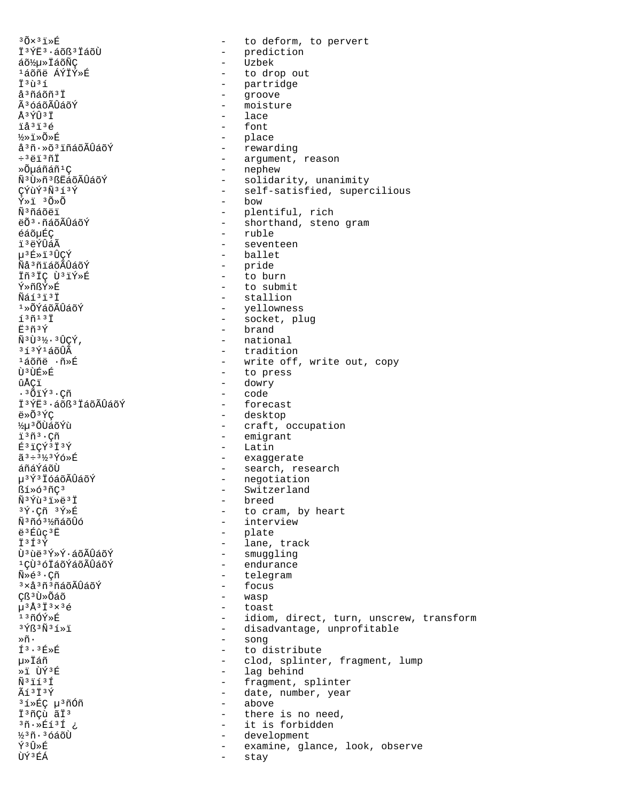$30x31xE$ - to deform, to pervert - prediction I<sup>3</sup>ÝË<sup>3</sup>·áõß<sup>3</sup>IáõÙ - Uzbek áõ½µ»ÏáõÑÇ <sup>1</sup>áõñë ÁÝÏÝ»É - to drop out Ï<sup>3</sup>ù<sup>3</sup>í - partridge  $\omega_{\rm{max}}$ å<sup>3</sup>ñáõñ<sup>3</sup>I groove - moisture Ã<sup>3</sup>óáõÃÛáõÝ Å3ÝÛ3Ï - lace - font ïå<sup>3</sup>ï<sup>3</sup>é - place  $\frac{1}{2}$   $\frac{1}{2}$   $\frac{1}{2}$   $\frac{1}{2}$   $\frac{1}{2}$   $\frac{1}{2}$   $\frac{1}{2}$   $\frac{1}{2}$   $\frac{1}{2}$   $\frac{1}{2}$ å<sup>3</sup>ñ·»õ<sup>3</sup>iñáõÃÛáõÝ - rewarding - argument, reason  $-3\overline{5}$   $\overline{1}$   $3\overline{7}$   $\overline{1}$ - nephew »Õuáñáñ<sup>1</sup>C - solidarity, unanimity ѪÙ»ñªßËáõÃÛáõÝ - self-satisfied, supercilious CÝùÝ3Ñ3í3Ý - bow  $\tilde{Y} \times \tilde{I}$   $3\tilde{O} \times \tilde{O}$ - plentiful, rich<br>- shorthand, steno gram Ñ<sup>3</sup>ñáõëï ëÕ<sup>3</sup>·ñáõÃÛáõÝ - ruble éáõµÉÇ ï3ëÝÛáÃ - seventeen µ3É»ï3ÛCÝ - ballet ÑåªñïáõÃÛáõÝ - pride - to burn Iñ<sup>3</sup>IC Ù<sup>3</sup>IÝ»É - to submit **Ý»ñRÝ»É**  $\widetilde{N}$ áí $3$ i $3$ i $\overline{1}$ - stallion  $1*0$ ÝáõÃÛáõÝ - yellowness  $137131$ - socket, plug - brand Ë<sup>3</sup>ñ3Ý Ñ3Ù3½.3ÛÇÝ, - national - tradition  $313$  $\acute{\rm{Y}}$ láõ $\hat{\rm{U}}$ Ã - write off, write out, copy <sup>1</sup>áõñë ·ñ»É - to press Ù3ÙÉ»É - dowry ûÅCï  $.301133$ . $Cñ$ - code Ï<sup>3</sup>ÝË<sup>3</sup>·áõß<sup>3</sup> ÏáõÃÛáõÝ - forecast - desktop  $\ddot{\rho} \times \tilde{O}$   $\dot{\gamma}$ C - craft, occupation ½u3 ÕÙáõÝù - emigrant i<sup>3</sup>ñ<sup>3</sup>·Cñ - Latin É3ïCÝ3Ï3Ý - exaggerate ã3÷3½3Ýó»É - search, research áñáÝáõÙ - sunder.<br>- negotiation µ<sup>3</sup>Ý<sup>3</sup> IóáõÃÛáõÝ - Switzerland  $$1*6"$ - breed Ñ3Ýù3ï»ë3Ï  $3\tilde{\Upsilon}$ . Cñ  $3\tilde{\Upsilon}*\tilde{E}$ - to cram, by heart - interview Ñ3ñó3½ñáõÛó - plate ë 3 Éûc 3 Ë  $\ddot{T}$  3  $\acute{\tau}$  3  $\acute{\tau}$ - lane, track - smuggling บ้<sup>3</sup>น้อ<sup>3</sup>ݻݷล์oÃUิล์oÝ - endurance <sup>1</sup>CÙ<sup>3</sup>óÏáõÝáõÃÛáõÝ - telegram  $\widetilde{N} * \widetilde{e}^3 \cdot \widetilde{C} \widetilde{n}$ - focus <sup>3</sup>xå<sup>3</sup>ñ<sup>3</sup>ñáõÃÛáõÝ - wasp Çß<sup>3</sup>Ù»Õáõ  $\mu$ <sup>3</sup>Å<sup>3</sup>Ï<sup>3</sup>×<sup>3</sup>é - toast - idiom, direct, turn, unscrew, transform  $1300$ - disadvantage, unprofitable  $3\,\mathrm{Y} \beta\,3\,\mathrm{N} \,3\,\mathrm{1} \times \mathrm{1}$ - song Ȗ•  $f$ 3.3 $f$ » $f$ - to distribute µ≫Ïáñ - clod, splinter, fragment, lump ≫ਾਂ ਹੇÝ<sup>3</sup> ਸ਼ਿ - lag behind  $\tilde{N}$ <sup>3</sup> $\tilde{1}$   $\tilde{1}$   $\tilde{3}$   $\tilde{1}$ - fragment, splinter  $\tilde{A}$ í $\tilde{I}$ 3 $\tilde{Y}$ - date, number, year - above <sup>3</sup>í»ÉC u<sup>3</sup>ñÓñ İ<sup>3</sup>ñÇù ãÏ<sup>3</sup> - there is no need, <sup>3</sup>ñ.»Éí3Í ¿ - it is forbidden - development ½3ñ.3óáõÙ Ý3Û»É - examine, glance, look, observe ÙÝ<sup>3</sup>ÉÁ stay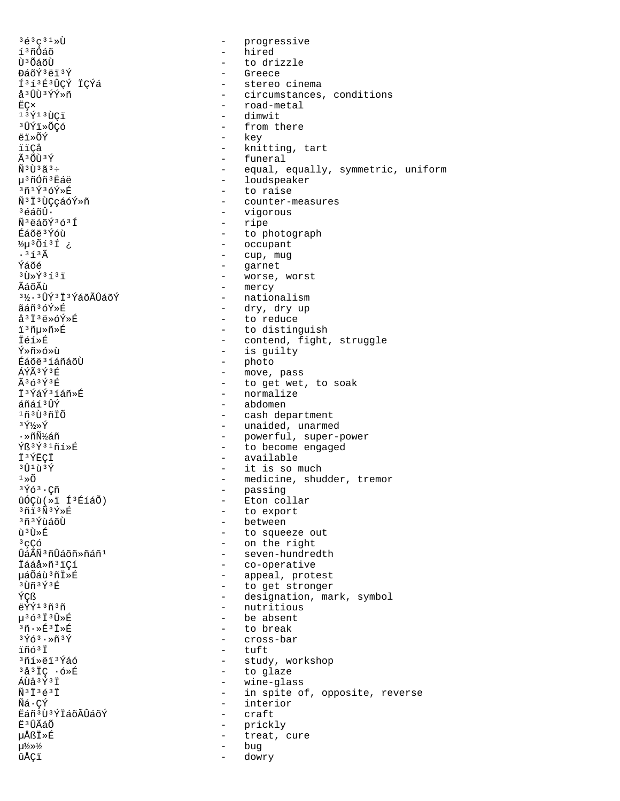$363C31$   $\sqrt{1}$ - progressive í<sup>3</sup>ñÓáõ - hired Ù<sup>3</sup>ÕáõÙ - to drizzle - Greece ĐáõÝ ªëï 3Ý Í3í3É3ÛÇÝ ÏÇÝá å<sup>3</sup>ÛÙ<sup>3</sup>ÝÝ»ñ - road-metal  $E C \times$  $137137C7$ - dimwit 3ÛÝï»ÕÇó - from there - key ëï»õÝ ïïCå  $\tilde{A}$  3  $\tilde{C}$ rt 3  $\tilde{V}$ - funeral  $\tilde{N}$ <sup>3</sup> $\tilde{U}$ <sup>3</sup> $\tilde{a}$ <sup>3</sup> $\div$ - loudspeaker µ<sup>3</sup>ñÓñ<sup>3</sup>Eáë  $3\tilde{n}$ 1Ý36Ý»É - to raise Ñ<sup>3</sup>Ï<sup>3</sup>ÙÇçáóÝ»ñ ªéáõÛ∙ - vigorous - ripe Ñ<sup>3</sup>ëáõÝ3ó3Í Éáõë3Ýóù - occupant  $\frac{1}{2} \mu$ <sup>3</sup>Õí<sup>3</sup>Í ¿  $.363$ - cup, mug - garnet Ýáõé  $3 \tilde{U} \times \tilde{Y}$  $3 \tilde{1}$  $3 \tilde{1}$ - mercy ÃáõÃù 3½, 3 ÛÝ 3 Ï 3 Ý á õ Ã Û á õ Ý - nationalism ãáñ3óÝ»É - dry, dry up å<sup>3</sup>Ï<sup>3</sup>ë»óÝ»É - to reduce i3ñu»ñ»É İéí»É - is guilty Ý»ñ»ó»ù - photo Éáõë<sup>3</sup>íáñáõÙ ÁÝÃ3Ý3F - move, pass  $\tilde{A}$ 363 $\tilde{Y}$ 3 $F$ - normalize İ<sup>3</sup>ÝáÝ<sup>3</sup>íáñ»É - abdomen áñáí 3 ÛÝ 1ที่ งิทิงที่ที่  $3\sqrt{1}/\sqrt{2}$ ∙ »ñѽáñ  $\overline{Y}$ ß $\overline{Y}$ 31ñí»É - available Ï3ÝËÇÏ  $301$ ù $3$ Ý  $1 \times \widetilde{O}$ - passing<br>- Eton collar  $3\overline{Y}63$ . Çñ ûÓÇù(»ï ͪÉíáÕ)  $3713N3$ - to export - between <sup>3</sup>ñ<sup>3</sup>ÝùáõÙ ù<sup>3</sup>Ù»É  $3<sub>CC</sub>$ บิล์Aิพี<sup>3</sup>ที่บิล์oีที»ที่ล์ที<sup>1</sup> İááå»ñ<sup>3</sup>iCí µáÕáù 3ñÏ »É <sup>3</sup>Ùñ 3Ý 3É ÝÇß ëÝÝ<sup>13</sup>ñ3ñ - nutritious µ363Ï3Û»É - be absent  $3\tilde{n}\cdot \times \tilde{E}$  $3\tilde{I} \times \tilde{E}$ - to break  $3\overline{Y}63.8\overline{Y}3\overline{Y}$ - cross-bar  $-$  tuft ïñó<sup>3</sup>Ï 3ñí»ëï 3Ýáó - to glaze  $3a37C$   $6B$  $A\tilde{U}$ å $3\tilde{Y}$  $3\tilde{T}$ - wine-glass  $\tilde{N}$  $3\ddot{7}$  $3\acute{6}$  $3\ddot{7}$ Ñá · CÝ - interior Ëáñ<sup>3</sup>Ù<sup>3</sup>ÝÏáõÃÛáõÝ - craft Ë<sup>3</sup>ÛÃáÕ  $\sim$   $$ prickly µÅßÏ»É  $\sim$ treat, cure  $\mu\frac{1}{2}\rightarrow\frac{1}{2}$ bug ûÅÇï dowry

- stereo cinema - circumstances, conditions - knitting, tart - equal, equally, symmetric, uniform - counter-measures - to photograph - worse, worst - to distinguish - contend, fight, struggle - to get wet, to soak - cash department - unaided, unarmed - powerful, super-power - to become engaged - it is so much - medicine, shudder, tremor - to squeeze out - on the right - seven-hundredth - co-operative - appeal, protest - to get stronger - designation, mark, symbol - study, workshop - in spite of, opposite, reverse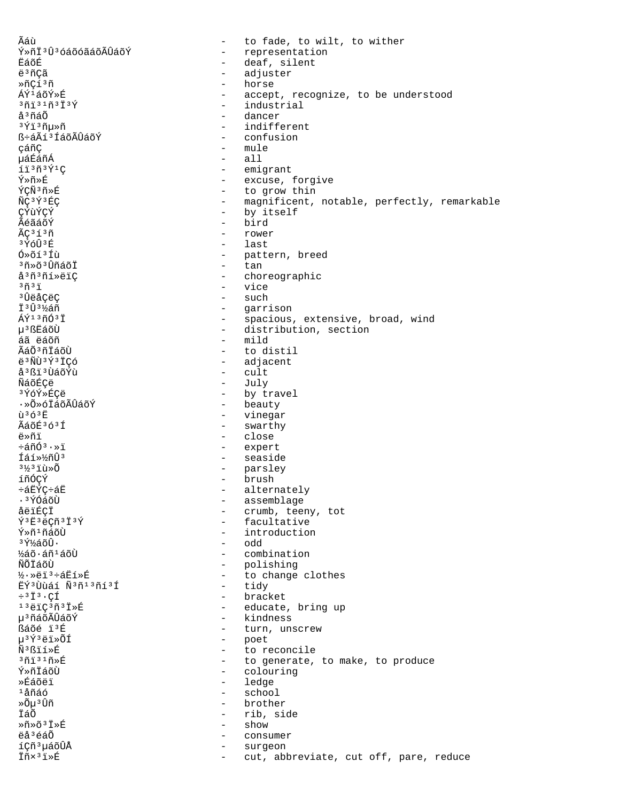Ãáù to fade, to wilt, to wither  $\sim$ Ý»ñÏ3Û3óáõóãáõÃÛáõÝ - representation - deaf, silent ËáõÉ ë<sup>3</sup>ñÇã adjuster  $\sim$ horse ȖÇí3ñ  $\sim$ ÁÝ1áõÝ»É - accept, recognize, to be understood  $3013103137$ - industrial å<sup>3</sup>ñáÕ - dancer  $3413n\mu$ - indifferent - confusion ß÷áÃíªÍáõÃÛáõÝ - mule cáñC uáÉáñÁ  $-$  all  $1130391C$ - emigrant Ý≫ñ≫É - excuse, forgive ÝÇÑ3ñ»É - to grow thin ÑÇ<sup>3</sup>Ý<sup>3</sup>ÉÇ - magnificent, notable, perfectly, remarkable - by itself ÇÝùÝÇÝ bird ÃéãáõÝ  $\sim$ ÃÇ<sup>3</sup>í<sup>3</sup>ñ  $\mathbf{r}$ rower 3ÝóÛ3É  $\mathbf{r}$ last - pattern, breed Ó»õí<sup>3</sup>Íù <sup>3</sup>ñ»õ<sup>3</sup>ÛñáõÏ  $\sim$ tan å<sup>3</sup>ñ<sup>3</sup>ñí»ëïÇ - choreographic - vice  $3737$ - such <sup>3</sup>ÛëåCëC - garrison 13031/áñ ÁÝ<sup>13</sup>ñÓ<sup>3</sup>İ - spacious, extensive, broad, wind - distribution, section µ<sup>3</sup>ßËáõÙ  $-$  mild áã ëáõñ Ãáõ<sup>3</sup>ñÏáõÙ - to distil - adjacent ë<sup>3</sup>ÑÙ<sup>3</sup>Ý<sup>3</sup>ÏÇó å<sup>3</sup>ßï<sup>3</sup>ÙáõÝù  $-$  cult ÑáõÉÇë - July - by travel 3ÝóÝ≫ÉCë - beauty ∙»Õ»óÏáõÃÛáõÝ - vinegar  $\overline{1}$  $\overline{3}$  $\overline{6}$  $\overline{3}$  $\overline{F}$ - swarthy **ÃáõÉ363f** ë»ñï - close  $\div \tilde{a} \tilde{n} \tilde{0}^3 \cdot \times \tilde{n}$ - expert Íáí»½ñÛ3 - seaside  $3\frac{1}{2}3\ddot{1}\ddot{u}\times\tilde{0}$  $\sim$ parsley - brush íñóçý ևËÝÇ÷áË - alternately - assemblage · 3 ÝÓáõÙ åëïÉÇÏ - crumb, teeny, tot - facultative Y<sup>3</sup>E3ëCñ<sup>3</sup>I<sup>3</sup>Ý - introduction Ý»ñ<sup>1</sup>ñáõÙ  $-$  odd  $34/360$ ½áõ·áñ<sup>1</sup>áõÙ - combination - polishing ÑÕÏáõÙ  $\frac{1}{2}$ . ȑi<sup>3</sup>÷áËí»É  $\sim$   $$ to change clothes EÝ3Ùùáí Ñ3ñ13ñí3Í - tidy - bracket  $\div$ <sup>3</sup>  $\ddot{I}$ <sup>3</sup>  $\cdot$  CI  $13\rho$ iç $3\rho$  $1\pi$ - educate, bring up µ<sup>3</sup>ñáõÃÛáõÝ kindness  $\sim$ ßáõé ï3É - turn, unscrew µ<sup>3</sup>Ý3ëï»ÕÍ - poet Ñ<sup>3</sup>ßïí»É  $\sim$ to reconcile - to generate, to make, to produce งก็⊺ังงากั≫ที่ Ý»ñÏáõÙ - colouring - ledge ≫Éáõëï  $1$ ล้ทีล์ก์ - school »Õu 3 Ûñ brother  $\sim$ İáÕ - rib, side Ȗ»õ<sup>3</sup>Ï»É show  $\sim$ ëå<sup>3</sup>éáÕ consumer  $\sim$ íÇñ<sup>3</sup>µáõÛÅ surgeon Iñx31»É cut, abbreviate, cut off, pare, reduce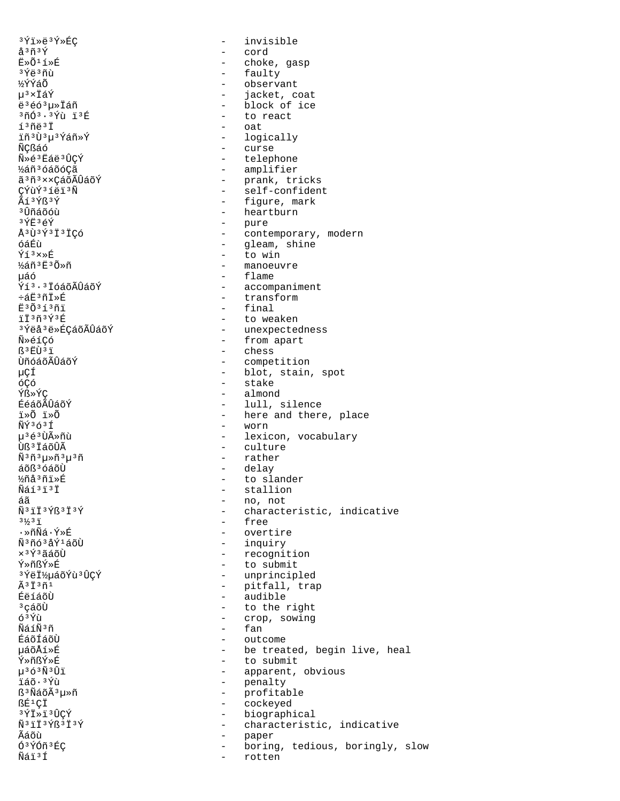3Ýï»ë<sup>3</sup>Ý»ÉC å<sup>3</sup>ñ<sup>3</sup>Ý Ë»Õ<sup>1</sup>í»É <sup>3</sup>Ýë 3ñù **½ÝÝáÕ** µ3×ÏáÝ ë<sup>3</sup>éó<sup>3</sup>µ»Ïáñ 3ñó3.3Ýù ï3É í<sup>3</sup>ñë<sup>3</sup>İ ïñ ªÙ ªµ ªÝáñ »Ý ÑCßáó Ñ»é3Ëáë3ÛCÝ ½áñ3óáõó¢ã ã 3 ñ 3 x x Cá õ Ã Û á õ Ý CÝùÝ3íëï3Ñ Ãí 3Ýß 3Ý <sup>3</sup> Ûñáõóù  $3\overline{Y}E$  $3\overline{e}\overline{Y}$ Å3Ù3Ý3Ï3ÏÇÓ óáÉù  $\sqrt{13} \times \sqrt{6}$ ½áñ ªË ªÕ»ñ นล์ด์ Ýí<sup>3.3</sup>IóáõÃÛáõÝ ևË3ñÏ»É E3Õ3í3ñi ïÏ3ñ3Ý3É <sup>3</sup>Ýëå<sup>3</sup>ë»ÉÇáõÃÛáõÝ Ñ»éíÇó ß3EÙ3i ÙñóáõÃÛáõÝ μÇÍ óÇó Ýß»ÝC ÉéáõÃÛáõÝ ⊤ื»∩ี ï»∩ี  $\tilde{N}$  $\tilde{Y}$  $363$  $\tilde{T}$ µ3é3Ùûñù Ùß<sup>3</sup>ÏáõÛÃ  $\tilde{\rm N}^3 \tilde{\rm n}^3 \mu \ast \tilde{\rm n}^3 \mu^3 \tilde{\rm n}$ áõß<sup>3</sup> óáõÙ ½ñå3ñï»É Ñáí3ï3Ï áã Ñ<sup>3</sup>iÏ<sup>3</sup>Ýß<sup>3</sup>Ï<sup>3</sup>Ý  $3\frac{1}{3}$   $3\frac{1}{1}$ • »กิÑิล์ • Yิ่»ทิ่ <u>พิงกลงสรับสุดทิ</u>  $x$ <sup>3 $\acute{\gamma}$ 3 $\widetilde{a}$  $\acute{a}$  $\widetilde{c}$ it</sup> Ý»ñßÝ»É <sup>3</sup>ÝëϽµáõÝù3ÛÇÝ  $\tilde{A}$ <sup>3</sup> $\tilde{I}$ <sup>3</sup> $\tilde{n}$ <sup>1</sup> ÉëíáõÙ <sup>3</sup>çáõÙ ó<sup>3</sup>Ýù ÑáíÑ3ñ ÉáõÍáõÙ µáõÅí»É Ý≫ñßÝ≫É  $\mu$ <sup>3</sup> $\delta$ <sup>3 $\tilde{N}$ 3 $\hat{U}$ i</sup> ïáõ·<sup>3</sup>Ýù ß<sup>3</sup>ÑáõÃ<sup>3</sup>µ»ñ ßÉ<sup>1</sup>CÏ 3ÝÏ≫ï<sup>3</sup>ÛÇÝ Ñ<sup>3</sup>ÏÏ<sup>3</sup>Ýß<sup>3</sup>Ï<sup>3</sup>Ý Ãáõù Ó3ÝÓñ3ÉC Ñáï<sup>3</sup>Í

 $\Delta$ invisible  $\sim$ cord - choke, gasp - faulty - observant  $\equiv$  . jacket, coat - block of ice - to react - oat - logically - curse - telephone - amplifier - prank, tricks<br>- self-confident - figure, mark - heartburn - pure - contemporary, modern - gleam, shine  $-$  to win - manoeuvre - flame - accompaniment - transform - final - to weaken - unexpectedness - from apart - chess - competition - blot, stain, spot - stake - almond - lull, silence - here and there, place - worn - lexicon, vocabulary - culture - rather - delay - to slander - stallion  $-$  no, not - characteristic, indicative - free - overtire - inquiry - recognition - to submit - unprincipled - pitfall, trap<br>- pitfall, trap<br>- audible - to the right - crop, sowing fan  $\overline{a}$  $\sim$ outcome - be treated, begin live, heal - to submit - apparent, obvious - penalty - profitable  $\sim$ cockeyed - biographical - characteristic, indicative  $\sim$ paper boring, tedious, boringly, slow  $\sim$  $\equiv$ rotten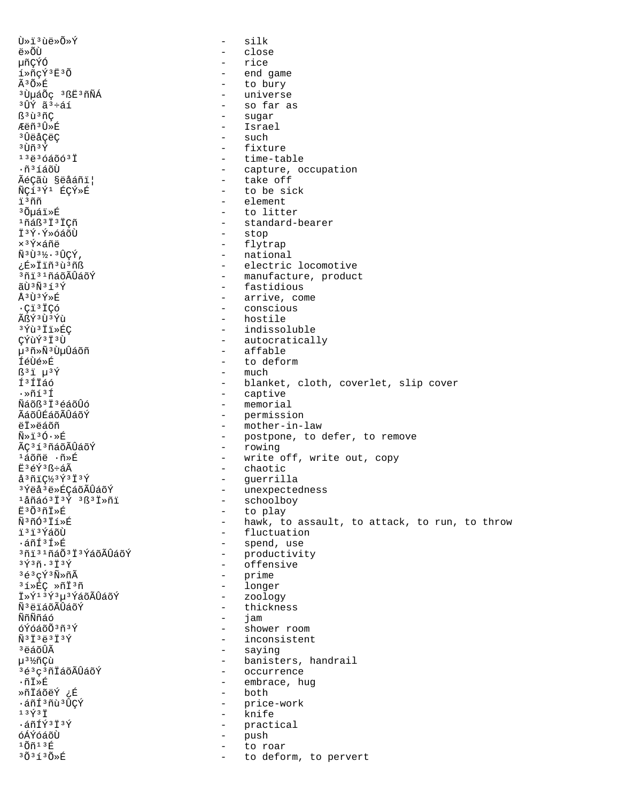$\tilde{U} \times \tilde{I}^3 \tilde{U} \ddot{e} \times \tilde{O} \times \tilde{Y}$ silk  $\equiv$ ë»õù close  $\equiv$ 椛ÝÓ rice  $\equiv$ í»ñçÝ3Ë3Õ end game  $\sim$ Ã3Õ»É to bury  $\equiv$ <sup>3</sup>UµáÕç <sup>3</sup>ßE<sup>3</sup>ñÑÁ universe  $\sim$ <sup>3</sup>ÛÝ ã<sup>3</sup>÷áí - so far as ß<sup>3</sup>ù<sup>3</sup>ñÇ - sugar - Israel Æëñ<sup>3</sup>Û≫É - such <sup>3</sup>ÛëåCëC  $3$  IIñ  $3\overline{Y}$  $-$  fixture  $1343640031$ - time-table - capture, occupation  $\cdot$ ñ $3$ íáõÙ Ãéçãù §ëåáñi| - take off - to be sick ÑÇí<sup>3</sup>Ý<sup>1</sup> ÉÇÝ»É ï3ññ - element <sup>3</sup> Õµáï»É - to litter <sup>1</sup>ñáß<sup>3</sup> İ<sup>3</sup> İCñ - standard-bearer I<sup>3</sup>Ý·Ý»óáõÙ  $\overline{a}$ stop x<sup>3</sup>Ý×áñë - flytrap Ñ3Ù3½.3ÛCÝ, - national ¿É»İïñ<sup>3</sup>ù<sup>3</sup>ñß - electric locomotive - manufacture, product <sup>3</sup>ñi 31ñáõÃÛáõÝ  $\tilde{a}$ rì  $\tilde{b}$   $\tilde{b}$   $\tilde{d}$   $\tilde{d}$   $\tilde{f}$   $\tilde{f}$ - fastidious  $Å3\tilde{U}3\tilde{Y}\times\tilde{E}$ - arrive, come  $\cdot$ Ci<sup>3</sup>ICó - conscious ÃßÝ3Ù3Ýù - hostile 3 Yù 3 I I > ÉÇ - indissoluble ÇÝùÝ<sup>3</sup>Ï<sup>3</sup>Ù - autocratically µ<sup>3</sup>ñ»Ñ<sup>3</sup>ÙµÛáõñ affable  $\sim$ **ÍéÙé»É**  $\mathbf{r}$ to deform  $B^3$ i  $\mu^3$ Ý  $-$  much Í<sup>3</sup>ÍIÁÓ - blanket, cloth, coverlet, slip cover - captive  $\cdot \times$ ñí3Í - memorial <u> Ñáõß 3 ปี 3 éáõUó</u> - permission ÃáõÛÉáõÃÛáõÝ AT»Aáõñ - mother-in-law  $\tilde{N} \gg \tilde{1}^3 \tilde{O} \cdot \gg \tilde{E}$ - postpone, to defer, to remove ÃÇ<sup>3</sup>í<sup>3</sup>ñáõÃÛáõÝ - rowing - write off, write out, copy <sup>ı</sup>áõñë ∙ñ»É Ë3éÝ3ß÷áÃ - chaotic  $a3\tilde{n}c\frac{1}{2}3\tilde{Y}3\tilde{1}3\tilde{Y}$ - guerrilla <sup>3</sup>Ýëå<sup>3</sup>ë»ÉÇáõÃÛáõÝ - unexpectedness - schoolboy  $1$ åñáó $3\ddot{1}$  $3\acute{Y}$   $3\ddot{1}$  $3\ddot{1}$  $3\ddot{1}$ - to play Ë3Õ3ñÏ»É Ñ3ñÓ3Ïí»É - hawk, to assault, to attack, to run, to throw - fluctuation ï'i'ÝáõÙ - spend, use ∙áñͪÍ»É 3ñi 31ñá Ö3 İ 3 Ýá ÖA Û A ÖÝ - productivity - offensive  $3\overline{Y}$  $3\overline{n}$ .  $3\overline{1}$  $3\overline{Y}$  $363C\overline{Y}$  $3\overline{N}$  $3\overline{R}$ - prime - longer <sup>3</sup>í»ÉC »ñÏ<sup>3</sup>ñ - zoology Ï»Ý<sup>13</sup>Ý<sup>3</sup>µ<sup>3</sup>ÝáõÃÛáõÝ Ñ<sup>3</sup>ëïáõÃÛáõÝ  $\sim$ thickness ÑñÑñáó  $\sim$ jam óÝóáõÕ3ñ3Ý - shower room  $\tilde{N}$ <sup>3</sup> $\tilde{I}$ <sup>3</sup> $\tilde{e}$ <sup>3</sup> $\tilde{I}$ <sup>3</sup> $\tilde{Y}$ - inconsistent <sup>3</sup>ëáõÛÃ - saying µ3½ñÇù - banisters, handrail <sup>3</sup>é<sup>3</sup>c<sup>3</sup>ñİáõÃÛáõÝ - occurrence ∙ñÏ≫É - embrace, hug - both ȖİáõëÝ ¿É .áñÍ 3ñù 3 ÛCÝ - price-work  $13\overline{Y}3\overline{1}$ - knife .áñÍÝ3Ï3Ý - practical óÁÝóáõÙ  $\sim$ push  $10n13E$ to roar  $303130*E$ to deform, to pervert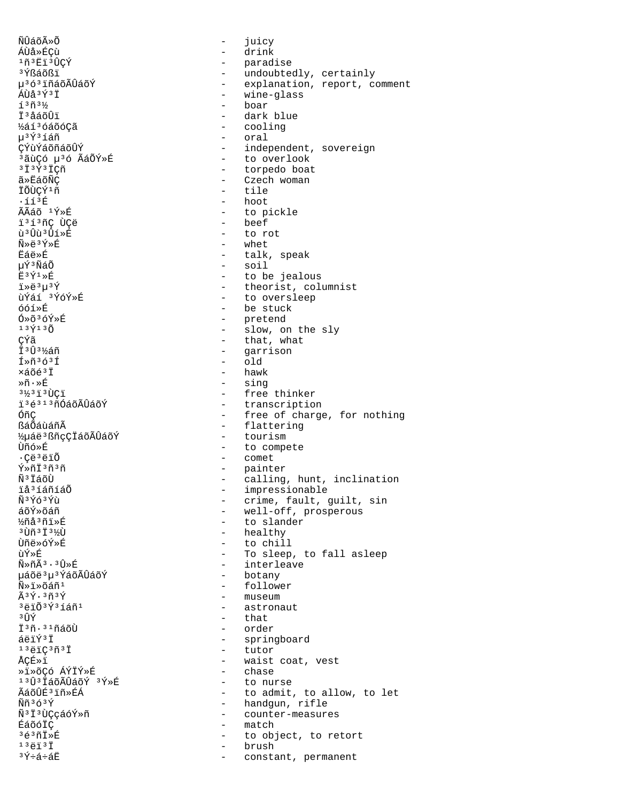ÑÛáõÃ»Õ - juicy ÁÙå»ÉÇù - drink <sup>1</sup>ñ<sup>3</sup>Ëï<sup>3</sup>ÛÇÝ - paradise <sup>3</sup>Ýßáõßï - undoubtedly, certainly µ<sup>3</sup>ó<sup>3</sup>ïñáõÃÛáõÝ - explanation, report, comment<br>ÁÙå<sup>3Ý3</sup>Ï  $\overleftrightarrow{A}$ Ùå $3\overleftrightarrow{Y}$ <sup>3</sup> i en andredes - wine-glass - wine-glass - wine-glass - wine-glass - wine-glass - wine-glass - wine-glass - wine-glass - wine-glass - wine-glass - wine-glass - wine-glass - wine-glass - wine-glass íªñª½ - boar - boar - boar - boar - boar - boar - boar - boar - boar - boar - boar - boar - boar - boar - boar ϳåáõÛï - dark blue ½áí³óáõóÇã - cooling μ<sup>3</sup>Ý<sup>3</sup>íáñ - oral<br>CÝùÝáõñáõÛÝ - - inder CÝùÝáõñáõÛÝ - independent, sovereign<br>ªãùCó uªó ÃáÕÝ»É - - - to overlook ,<br><sup>3</sup>ãùÇó μ<sup>3</sup>ó ÃáÕÝ»É - → to overlook<br>3ϪݪÏCñ - torpedo boat ³Ï³Ý³ÏÇñ - torpedo boat ã»ËáõÑÇ<br>ÏÕÙÇÝ<sup>1</sup>ñ - Czech woman<br>iÕÙÇÝ<sup>1</sup>ñ - tile ÏÕÙÇÝ<sup>1</sup>ñ - tile<br>iíi<sup>3</sup>É - tile - hoot ·ííªÉ - hoot<br>ÃÃáõ ªÝ»É - hoot - hoot - to pickle<br>- beef ï<sup>3</sup>í<sup>3</sup>ñÇ ÙÇë<br>ù<sup>3</sup>Ûù<sup>3</sup>Ûí≫É ù³Ûù³Ûí»É - to rot  $\tilde{N} \gg \tilde{e}^3 \tilde{Y} \gg \tilde{E}$ <br>  $\ddot{E}$  and  $\ddot{E}$  and  $\ddot{E}$  and  $\ddot{E}$  and  $\ddot{E}$  and  $\ddot{E}$ 臑ȃ - talk, speak µÝ³ÑáÕ - soil  $\ddot{E}$ <sup>3</sup> $\acute{Y}$ <sup>1</sup>  $\times$   $\ddot{E}$ <sup>3</sup> $\ddot{Y}$  +  $\ddot{E}$ <sup>3</sup> $\ddot{Y}$  +  $\ddot{E}$  +  $\ddot{E}$  +  $\ddot{E}$  +  $\ddot{E}$  +  $\ddot{E}$  +  $\ddot{E}$  +  $\ddot{E}$  +  $\ddot{E}$  +  $\ddot{E}$  +  $\ddot{E}$  +  $\ddot{E}$  +  $\ddot{E}$  +  $\ddot{E}$  +  $\ddot{E}$  $i*e^{3}u^{3}\acute{Y}$ <br> $i*\acute{e}i*\acute{Y}$  - theorist, columnist<br> $i*\acute{e}i*\acute{Y}$  - to oversleep ùÝáí <sup>3</sup>ÝóÝ»É - to oversleep<br>óóí»É - to oversleep óóí»É - be stuck Ó»õªóÝ»É - pretend  $13\tilde{Y}$ <sup>13</sup> $\tilde{O}$  - slow, on the sly CÝã - that, what<br>Ï<sup>3</sup>Û<sup>3</sup>½áñ - that, what  $\frac{1}{1}$ <sup>3</sup> $\frac{1}{1}$ <sup>3</sup> $\frac{1}{2}$ <sup>3</sup> $\frac{1}{2}$  $\frac{1}{1}$   $\frac{1}{2}$   $\frac{1}{2}$   $\frac{1}{2}$   $\frac{1}{2}$   $\frac{1}{2}$   $\frac{1}{2}$   $\frac{1}{2}$   $\frac{1}{2}$   $\frac{1}{2}$   $\frac{1}{2}$   $\frac{1}{2}$   $\frac{1}{2}$   $\frac{1}{2}$   $\frac{1}{2}$   $\frac{1}{2}$   $\frac{1}{2}$   $\frac{1}{$ Í»ñ<sup>3</sup>ó<sup>3</sup>Í - old<br>xáõé<sup>3</sup>Ï - hawk ×áõé<sup>3</sup>Ï - hawk<br>»ñ∙»É - sing  $\frac{1}{3}$   $\frac{1}{3}$   $\frac{1}{3}$   $\frac{1}{3}$   $\frac{1}{3}$   $\frac{1}{3}$   $\frac{1}{3}$   $\frac{1}{3}$   $\frac{1}{3}$   $\frac{1}{3}$   $\frac{1}{3}$   $\frac{1}{3}$   $\frac{1}{3}$   $\frac{1}{3}$   $\frac{1}{3}$   $\frac{1}{3}$   $\frac{1}{3}$   $\frac{1}{3}$   $\frac{1}{3}$   $\frac{1}{3}$   $\frac{1}{3}$   $\frac{1}{3}$  <sup>31</sup>⁄2<sup>3</sup>ï<sup>3</sup>ÙÇï - free thinker<br>ï<sup>3</sup>é<sup>313</sup>ñÓáõÃÛáõÝ - franscriptio ï<sup>3</sup>é<sup>313</sup>ñÓáõÃÛáõÝ - transcription<br>ÓñC - free of charge  - free of charge, for nothing - flattering<br>- tourism ½µáëªßñçÇÏáõÃÛáõÝ<br>Ùñó»É Ùñó»É - to compete .<br>
- Comet - comet - comet - comet - comet - paint<br>
- paint Ý»ñÏ<sup>3</sup>ñ<sup>3</sup>ñ - painter ѳÏáõÙ - calling, hunt, inclination n anns<br>iå<sup>3</sup>íáñíáÕ - impressionable<br>Ñ<sup>3</sup>Ýó<sup>3</sup>Ýù - crime, fault, c Ñ<sup>3</sup>Ýô<sup>3</sup>Ýù - crime, fault, guilt, sin<br>áõÝ»õáñ - crime, fault, guilt, sin áõÝ»õáñ - well-off, prosperous ½ñå³ñï»É - to slander <sup>э</sup>Ùñ<sup>э</sup>Ï<sup>з</sup>½Ù - healthy<br>Ùñë»óÝ»É - to chil Ùñë»óÝ»É - to chill ùÝ»É - To sleep, to fall asleep – interleave<br>– botany µáõë3µ3ÝáõÃÛáõÝ  $\tilde{N} \gg \tilde{1} \gg \tilde{G}$ áñ<sup>1</sup> - follower  $\tilde{A}$ <sup>3</sup> $\tilde{Y}$  -  $\tilde{A}$ <sup>3</sup> $\tilde{Y}$  -  $\tilde{A}$ <sup>3</sup> $\tilde{Y}$ êÝ·ªñªÝ - museum - museum - museum - museum - museum - museum - museum - museum - museum - museum - museum - <br>Politicae  $3\overline{e}$ i $\overline{0}$ <sup>3</sup> $\overline{e}$ i $\overline{0}$ <sup>3</sup> $\overline{f}$ <sup>3</sup> $\overline{f}$ <sup>3</sup> $\overline{f}$ <sup>3</sup> $\overline{f}$ <sup>3</sup> $\overline{f}$ <sup>3</sup> $\overline{f}$ <sup>3</sup> $\overline{f}$ <sup>3</sup> <sup>3</sup>ÛÝ - that<br>Ï<sup>3</sup>ñ.<sup>31</sup>ñáõÙ - order Ϊ<sup>3</sup>ñ·<sup>31</sup>ñáõÙ - order<br>áëïÝ<sup>3</sup>Ï - spring áëïÝ<sup>3</sup>Ï - springboard<br><sup>13</sup>ëïÇ<sup>3</sup>ñ<sup>3</sup>Ï - tutor <sup>13</sup>ëïÇ<sup>3</sup>ñ<sup>3</sup>Ï - tutor<br>ÅÇÉ»ï - waist – waist coat, vest<br>– chase ȕ»õÇó ÁÝÏÝ»É<br>13fì3ïáõÃfìáõÝ 3Ý»É 1ªῢªÏáõÃÛáõÝ ªÝ»É - to nurse<br>Ãáõûɪïñ»ÉÁ - to admit ÃáõÛÉ<sup>3</sup>iñ»ÉÁ - to admit, to allow, to let<br>Ññ<sup>3</sup>ó<sup>3Ý</sup> - handgun, rifle Ññ³ó³Ý - handgun, rifle ѳϳÙÇçáóÝ»ñ - counter-measures ÉáõóÏÇ - match <sup>3</sup>é<sup>3</sup>ñÏ»É - to object, to retort<br><sup>13</sup>ëi<sup>3</sup>i <sup>13</sup>ëï<sup>3</sup>Ï - brush - brush - brush - brush - constant, permanent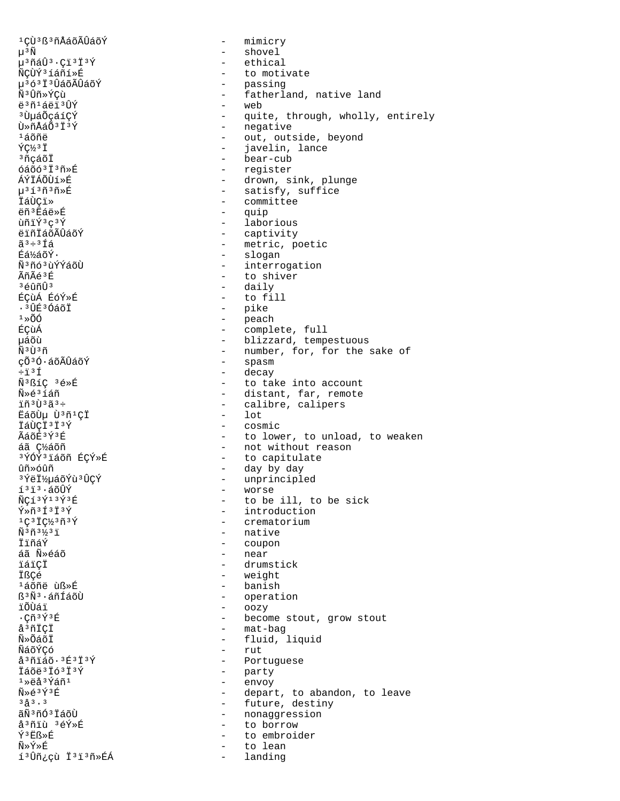1 CÙ 3 ß 3 ñ Å á õ Ã Û á õ Ý  $\mu$ <sup>3</sup> $\tilde{N}$  $\mu$ <sup>3</sup>ñáÛ<sup>3</sup>·Çï<sup>3</sup>Ï<sup>3</sup>Ý ÑÇÙÝ<sup>3</sup>íáñí»É µ363Ï3ÛáõÃÛáõÝ Ñ<sup>3</sup>Ûñ»ÝÇù ë 3ñ 1 áë i 3 ÛÝ <sup>3</sup>UuáÕçáíÇÝ Ù»ñÅáÕ<sup>3</sup>Ï<sup>3</sup>Ý  $1500<sup>2</sup>$  $\sqrt{C}$   $\frac{1}{3}$   $\sqrt{7}$ <sup>3</sup>ñcáõÏ  $640631398$ **ÁÝÏÁÕÙí»É**  $\mu$ <sup>313 $\tilde{n}$ 3 $\tilde{n}$ > $\tilde{E}$ </sup> İáÙÇi» ëñ<sup>3</sup> Ëáë»É ùñiÝ3c3Ý ëïñÏáõÃÛáõÝ  $\tilde{a}^3 \div 3 \tilde{1} \tilde{a}$ Éá½áõÝ· ѪñóªùÝÝáõÙ ⊿ิก็ฉัี⊿<sup>3</sup>ที่ ึ่ 3 ค์กิกิกิ ิ ิ ÉCUÁ ÉÓÝ»É  $\cdot$   $\hat{J}$  $1*00$ ÉÇùÁ µáõù  $\tilde{N}$ <sup>3 $\tilde{U}$ 3 $\tilde{n}$ </sup> çõ<sup>3</sup>Ó·áõÃÛáõÝ  $\div 131$ Ñ<sup>3</sup>ßíÇ<sup>3</sup>é»É Ñ»é3íáñ ïñ 3Ù 3ã 3÷ EáõÙu Ù3ñ1CÏ Tárici3i3Ý ÃáõÉ3Ý3É áã ǽáõñ 3ÝÓÝ3ïáõñ ÉÇÝ≫É ûñ»óûñ <sup>3</sup>ÝëϽµáõÝù<sup>3</sup>ÛÇÝ  $1313.4000$ Ý  $\tilde{N}C13\tilde{Y}13\tilde{Y}3E$  $\tilde{Y}*\tilde{n}$ <sup>3</sup> $\tilde{1}$ <sup>3</sup> $\tilde{Y}$  $1C37C^{1/3}\tilde{n}^{3}\tilde{Y}$  $\tilde{N}$ <sup>3</sup> $\tilde{H}$ <sup>3</sup> $\frac{1}{2}$ <sup>3</sup> $\tilde{I}$ ⊺ำ้กัล์∀ิ áã Ñ»éáõ ïáïCÏ İßÇé <sup>1</sup>áõñë ùß»É ß<sup>3</sup>Ñ<sup>3</sup>·áñÍáõÙ ïÕÙáï  $\cdot$ çñ $\frac{355}{12}$ å<sup>3</sup>ñİÇİ Ñ»ÕáõÏ ÑáõÝCó  $a^3$ ñiáõ $\cdot$  $3E^3$ i $3\acute{Y}$ Ïáõë 3 Ïó 3 Ï 3 Ý  $1\overline{5}$  $\overline{5}$  $3\overline{7}$  $\overline{2}$ ñ $1$  $\widetilde{N}\gg \widetilde{\triangle}$  3  $\widetilde{Y}$  3  $\widetilde{E}$  $3^{2}$  $\frac{3}{2}$   $\frac{3}{2}$ ãÑ 3 ñÓ 3 ÏáõÙ å<sup>3</sup>ñiù 3éÝ»É ݪËß»É Ñ≫Ý≫É í<sup>3</sup>Ûñ¿çù Ï<sup>3</sup>i<sup>3</sup>ñ >ÉÁ

- mimicry - shovel - ethical - to motivate - passing<br>- fatherland, native land - web - quite, through, wholly, entirely - negative - out, outside, beyond - javelin, lance - bear-cub - register - drown, sink, plunge - satisfy, suffice - committee  $\Delta \sim 10^{-1}$ quip - laborious - captivity - metric, poetic - slogan - interrogation - to shiver - daily - to fill - pike  $-$  peach<br> $-$  comple complete, full - blizzard, tempestuous - number, for, for the sake of - spasm - decay - to take into account - distant, far, remote - calibre, calipers  $-$  lot - cosmic - to lower, to unload, to weaken - not without reason - to capitulate - day by day - unprincipled - worse - to be ill, to be sick - introduction - crematorium - native - coupon - near - drumstick - weight - banish - operation - oozy - become stout, grow stout - mat-bag - fluid, liquid  $-$  rut - Portuguese - party  $\sim$  10  $\pm$ envoy - depart, to abandon, to leave - future, destiny - nonaggression - to borrow to embroider  $\sim$ to lean  $\sim$ landing  $\sim$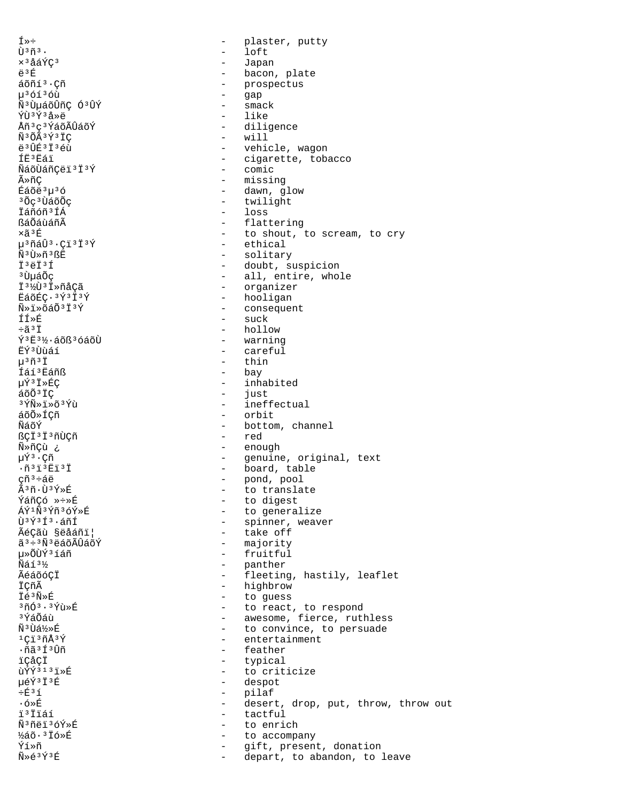Í»÷  $\tilde{U}$ <sup>3 $\tilde{n}$ 3.</sup> x<sup>3</sup>åáÝÇ<sup>3</sup> ë<sup>3</sup>É áõñí<sup>3</sup>·Cñ µ<sup>3</sup>óí<sup>3</sup>óù Ñ<sup>3</sup>ÙµáõÛñÇ Ó<sup>3</sup>ÛÝ ÝÙ3Ý3å»ë Åñ<sup>3</sup>ç<sup>3</sup>ÝáõÃÛáõÝ Ñ<sup>3</sup>ÕÃ<sup>3</sup>Ý<sup>3</sup>ÏC  $43$ ft $5373$   $61$ **TR3RAT** ÑáõÙáñÇëï 3 Ï 3 Ý ûñÇ Éáõë<sup>3</sup>µ<sup>3</sup>ó <sup>3</sup>Õç<sup>3</sup>ÙáõÕç İáñóñ<sup>3</sup>ÍÁ ßáÕáùáñÃ xã<sup>3</sup>É µ<sup>3</sup>ñáÛ<sup>3</sup>·Çï<sup>3</sup>Ï<sup>3</sup>Ý Ñ<sup>3</sup>Ù»ñ<sup>3</sup>ßË Ï'ëÏ'Í <sup>3</sup> ปั้นล์0๊c Ï<sup>31</sup>⁄2U3 Ï »ñåÇã EáõÉC. 3Ý3İ3Ý  $\tilde{N}$ » i » õá $\tilde{O}$ <sup>3</sup> i  $\tilde{Y}$ **ÍÍ»É**  $\div$ ã $3\ddot{1}$ Ý<sup>3</sup>Ë<sup>3</sup>½·áõß<sup>3</sup>óáõÙ ËÝ3Ùùáí  $\mu$ <sup>3 $\tilde{\Pi}$ 3 $\ddot{\Gamma}$ </sup> Íáí<sup>3</sup>Eáñß µÝ3Ï»ÉÇ áõÕ<sup>3</sup>ÏÇ <sup>3</sup>ÝÑ»ï»õ<sup>3</sup>Ýù áõõ»íçñ Ñัล์∩ั∀์ ßCÏ<sup>3</sup>Ï<sup>3</sup>ñÙCñ ¿ Ñ»ñÇù µÝª · Çñ  $\cdot$ ñ<sup>3</sup> $1$ <sup>3</sup> $E$ i<sup>3</sup> $I$ çñª÷áë Ã3ñ·Ù3Ý»É ÝáñÇó »÷»É ÁÝ1Ñ3Ýñ3óÝ»É Ù3Ý3Í3.áñÍ ÃéÇãù §ëåáñi¦  $\tilde{a}^3 \div 3 \tilde{N}^3$ ë á õ $\tilde{\Lambda}$ Û á õ $\tilde{Y}$ u»õऐÝ3íáñ  $\tilde{N}$ áí $3\frac{1}{2}$ ÃéáõóÇÏ İÇñÃ İé3Ñ»É 3ñó3.3Ýù»É 3 ÝáÕáù Ñ<sup>3</sup>Ùá½»É  $1C13\tilde{n}\AA3\tilde{Y}$ .ñã 3 Í 3 Ûñ ïCåCÏ  $\tilde{\mathbf{u}}$   $\tilde{\mathbf{v}}$   $\tilde{\mathbf{v}}$   $\tilde{\mathbf{v}}$   $\tilde{\mathbf{v}}$   $\tilde{\mathbf{v}}$   $\tilde{\mathbf{v}}$   $\tilde{\mathbf{v}}$ µéÝ3Ï3É  $\div$ F $35$  $\cdot$  ó»É ï<sup>3</sup>Ïïáí Ñ3ñëï3óÝ»É ½áõ·<sup>3</sup> Ïó»É Ýí≫ñ  $\widetilde{N} \geq \widetilde{e}^3 \widetilde{Y}^3 \widetilde{E}$ 

plaster, putty  $\equiv$  $\qquad \qquad$ loft  $\sim$ Japan bacon, plate  $\sim$ - prospectus  $\sim$ gap  $\sim$ smack  $-$  like - diligence  $-$  will - vehicle, wagon - cigarette, tobacco - comic - missing - dawn, glow - twilight  $-$  loss  $\sim$ flattering - to shout, to scream, to cry - ethical - solitary - doubt, suspicion - all, entire, whole - organizer - hooligan - consequent  $-$  suck - hollow - warning - careful  $-$  thin - bay - inhabited  $\sim$ just - ineffectual - orbit - bottom, channel - red - enough - genuine, original, text - board, table - pond, pool<br>- to translate - to digest - to generalize - spinner, weaver - take off - majority - fruitful - panther - fleeting, hastily, leaflet - highbrow - to guess - to react, to respond - awesome, fierce, ruthless - to convince, to persuade  $\mathbf{r}$ entertainment  $\mathbf{r}$ feather - typical - to criticize - despot - pilaf - desert, drop, put, throw, throw out - tactful to enrich  $\sim$  $\sim$ to accompany gift, present, donation  $\sim$  $\sim$ depart, to abandon, to leave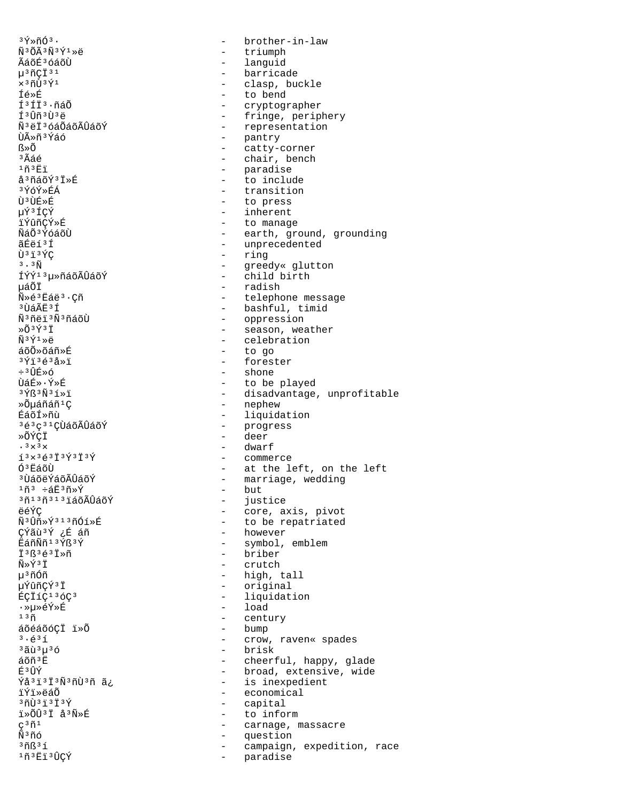$3\bar{Y}\times\tilde{n}\tilde{O}^3$ .  $\Delta$ brother-in-law  $\tilde{N}$ <sup>3</sup> $\tilde{O}$  $\tilde{A}$ <sup>3</sup> $\tilde{N}$ <sup>3</sup> $\tilde{Y}$ <sup>1</sup> $\gg$ ë - triumph ÃáõÉ<sup>3</sup>óáõÙ - languid - barricade µ3ñÇÏ 31  $\times$ <sup>3</sup>ñÙ<sup>3</sup>Ý<sup>1</sup> - clasp, buckle - to bend Íé»É í<sup>3</sup>íi<sup>3</sup>·ñáÕ - cryptographer - fringe, periphery ͪÛñªÙªë - representation ѪëϪóáÕáõÃÛáõÝ - pantry ÙûñªÝáó - catty-corner  $R \times \widetilde{O}$ - chair, bench  $3\tilde{\Delta}$ ล์ค์ - paradise  $1\tilde{n}$  $3E1$ å<sup>3</sup>ñáõÝ<sup>3</sup>I»É - to include - transition 3ÝóÝ≫ÉÁ Ù3ÙÉ»É - to press - inherent µÝ3ÍÇÝ - to manage ïÝûñCÝ»É - earth, ground, grounding ÑáÕ<sup>3</sup>ÝóáõÙ - unprecedented ãÉëí<sup>3</sup>Í - ring Ù3ï3ÝC - greedy« glutton  $3.3\tilde{N}$ - child birth ÍÝÝ<sup>13</sup>µ»ñáõÃÛáõÝ uáÕÏ - radish .<br>Ñ»é3Ëáë3 · Cñ - telephone message - bashful, timid <sup>3</sup>ÙáÃË ≟Í Ñ<sup>3</sup>ñëi<sup>3</sup>Ñ<sup>3</sup>ñáõÙ - oppression - season, weather »Õ3Ý3Ï - celebration  $\tilde{N}$ <sup>3</sup> $\tilde{Y}$ <sup>1</sup> $\gg$ ë - to go áõÕ»õáñ»É - forester  $3\overline{Y}$ ï $3\overline{e}3\overline{a}3\overline{w}$  $\div$   $3$   $\hat{U}$   $\hat{F} \times \hat{O}$ - shone - to be played ÙáÉ»·Ý»É - disadvantage, unprofitable  $3\,\mathrm{Y}$ ß $3\,\mathrm{N}$  $3\,\mathrm{1} \times \mathrm{1}$ - nephew »Õµáñáñ<sup>1</sup>Ç - liquidation ÉáõÍ≫ñù 3é3c31CÙáõÃÛáõÝ - progress »ÕÝCĪ - deer .  $3 \times 3 \times$ - dwarf  $13 \times 36313$   $1393$ - commerce - at the left, on the left<br>- marriage, wedding Ó<sup>3</sup>ËáõÙ <sup>3</sup> ÙáõëÝáõÃÛáõÝ  $1\tilde{n}^3$  ևĖ $3\tilde{n}*\tilde{Y}$  $-$  but <sup>3</sup>ñ<sup>13</sup>ñ<sup>313</sup>iáõÃÛáõÝ - justice - core, axis, pivot ëéÝÇ - to be repatriated Ñ<sup>3</sup>Ûñ»Ý<sup>313</sup>ñÓí»É CÝãù 3Ý ¿É áñ - however  $R$ ล์ก็พัก13 $\sqrt{R}$ 3 $\sqrt{}$ - symbol, emblem  $T$ <sup>3</sup> $R$ <sup>3 $4$ 3 $T$ Ȗ</sup> - hriber  $\tilde{N} \times \tilde{Y}$ <sup>3</sup> İ - crutch - high, tall µ<sup>3</sup>ñÓñ - original µÝûñÇÝ3Ï - liquidation ÉÇÏíÇ<sup>13</sup>óÇ<sup>3</sup>  $-$  load .ȵȎÝ»É - century  $13n$ - bump áõéáõóÇĪ ï»Õ  $3.631$ - crow, raven« spades <sup>3</sup>ãù<sup>3</sup>u<sup>3</sup>ó - brisk - cheerful, happy, glade  $A\tilde{o}$ ñ<sup>3</sup> $\ddot{F}$ - broad, extensive, wide E3 ÛÝ Ýå<sup>31313</sup>Ñ<sup>3</sup>ñÙ3ñ ã¿ - is inexpedient - economical بَمَ≃َ≪⊤rَ ّi  $371313737$ - capital - to inform ï»ÕÛ3Ï å3Ñ»É - carnage, massacre  $\varphi^3$ ñ<sup>1</sup>  $\tilde{\tilde{\mathrm{N}}}^3$ ñó - question  $3ñB31$ - campaign, expedition, race 1ñ3 Ëï 3ÛÇÝ - paradise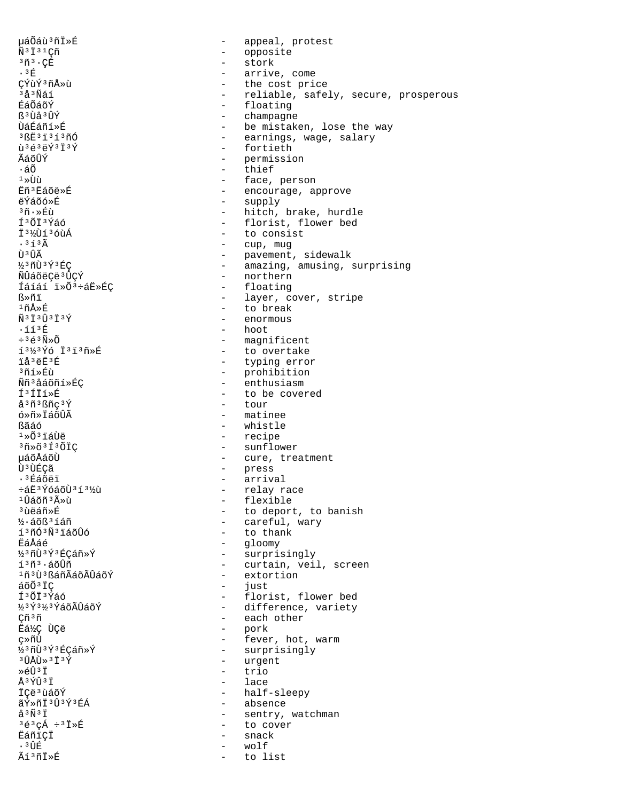uáÕáù 3 ñ İ »É appeal, protest  $\equiv$  $\tilde{N}$ <sup>3</sup> $\ddot{I}$ <sup>3</sup><sup>1</sup> $C$  $\tilde{n}$ - opposite - stork  $3\tilde{n}$  $3\cdot$ ÇÉ  $.3E$ - arrive, come ÇÝùÝ3ñÅ»ù - the cost price - reliable, safely, secure, prosperous <sup>3</sup>å<sup>3</sup>Ñáí - floating ÉáÕáõÝ R3UÃ3UÝ - champagne - be mistaken, lose the way **􇃇ñí**ȃ - earnings, wage, salary  $3RF3737370$ ù 3é 3ë Ý 3 Ï 3Ý - fortieth ⊥กัล์ลับิ¥์ - permission ٠áÕ - thief - face, person  $1 \times \overrightarrow{U}$ Eñ<sup>3</sup> Eáõë»É - encourage, approve -  $\supply$ ëÝáõó»É - hitch, brake, hurdle งกั⊷≽ที่เปิ Í<sup>3</sup>ÕÏ<sup>3</sup>Ýáó - florist, flower bed - to consist I316136ùÁ  $.363$ - cup, mug - pavement, sidewalk<br>- amazing, amusing, surprising tì 3 tî Ã ½3ñÙ3Ý3ÉC - northern ÑÛáõëCë3ÛCÝ Íáíáí i»Õ<sup>3</sup>÷áË»ÉC - floating ᯤï - layer, cover, stripe  $1ñÅ*f$ - to break  $\tilde{N}$ <sup>3 $\ddot{1}$ 3 $\dot{U}$ 3 $\ddot{1}$ 3 $\acute{Y}$ </sup> - enormous - hoot  $\cdot$ íí $^3$ É  $\div$ <sup>3</sup> $\acute{\text{e}}$ <sup>3</sup> $\tilde{\text{N}}$  $\times$ Õ - magnificent 13½3Ýó Ï3ï3ñ»É - to overtake - typing error ïå<sup>3</sup>ëË<sup>3</sup>É  $365 \times 51$ - prohibition - enthusiasm Ññ<sup>3</sup>åáõñí»ÉÇ - to be covered íªíïí»É - tour å<sup>3</sup>ñ<sup>3</sup>ßñc<sup>3</sup>Ý ó»ñ»ÏáõÛÃ - matinee **Rãáó**  $-$  whistle  $1*0*3i40e$ - recipe - sunflower  $30*$  $031*$  $01C$ µáõÅáõÙ - cure, treatment - press<br>- arrival Ù ª ÙÉCÃ .<sup>3</sup>Éáõëï - relay race ևË3ÝóáõÙ3í3½ù - flexible  $1$ Ûáõñ $3\r{A} \times \tilde{u}$ - to deport, to banish <sup>3</sup>ùëáñ»É - careful, wary 1/3·áõß<sup>3</sup>íáñ - to thank í<sup>3</sup>ñÓ<sup>3</sup>Ñ<sup>3</sup>iáõÛó - qloomy Fáåáé ½3ñÙ3Ý3ÉCáñ»Ý - surprisingly - curtain, veil, screen  $1303 \cdot 5000$ 1ñ3Ù3BáñÃáõÃÛáõÝ - extortion áõÕ<sup>3</sup>ÏC  $\sim$   $$ just - florist, flower bed ͪÕϪÝáó ½3Ý3½3ÝáõÃÛáõÝ - difference, variety - each other Çñ<sup>3</sup>ñ - pork Ëá½Ç ÙÇë - fever, hot, warm ç»ñÙ k3ñÙ3Ý3ÉCáñ»Ý - surprisingly - urgent  $3$   $\hat{1}$   $\hat{A}$   $\hat{1}$   $\hat{B}$   $\hat{B}$   $\hat{B}$   $\hat{B}$   $\hat{B}$   $\hat{B}$   $\hat{C}$   $\hat{B}$   $\hat{C}$   $\hat{B}$   $\hat{C}$   $\hat{B}$   $\hat{C}$   $\hat{C}$   $\hat{C}$   $\hat{C}$   $\hat{C}$   $\hat{C}$   $\hat{C}$   $\hat{C}$   $\hat{C}$   $\hat{C}$   $\hat{C}$   $\hat{C}$  - trio Ȏtt<sup>3</sup> t  $-$  lace  $\Delta$  3  $\sqrt{T}$  3  $\ddot{T}$ - half-sleepy TCA3056Y - absence ãÝ≫ñÏ 3û 3Ý 3ÉÁ  $\mathring{a}^3\tilde{N}^3\ddot{1}$ - sentry, watchman  $3\acute{e}3\acute{c}\acute{A}$   $\div 3\ddot{1}\times \acute{E}$ - to cover Ëáñiçi snack  $\sim$  $.3$  $w \cap T$  f Ãí<sup>3</sup>ñİ»É to list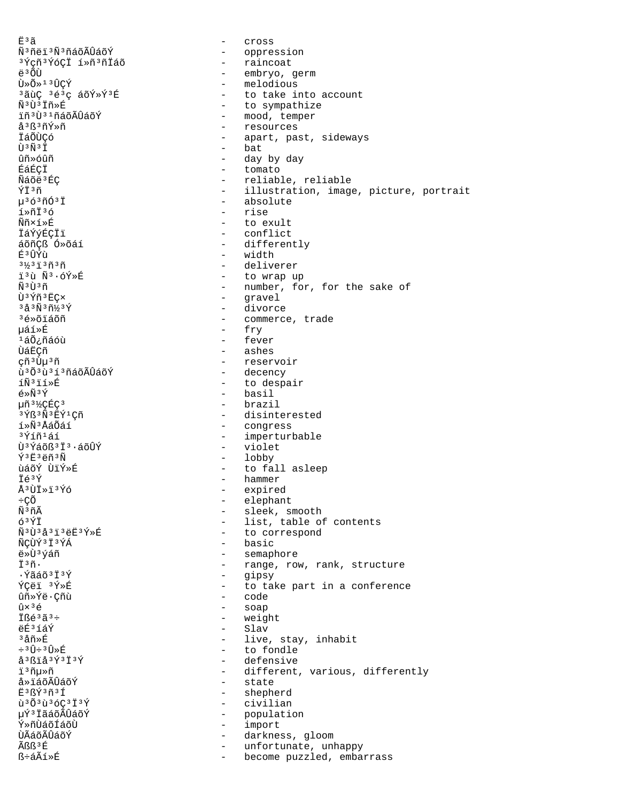កុំះគ  $\sim$ Cross ѪñëïªÑªñáõÃÛáõÝ - oppression - raincoat <sup>3</sup>Ýçñ<sup>3</sup>ÝóÇİ í»ñ<sup>3</sup>ñİáõ - embryo, germ ë<sup>3</sup>ÕÙ - melodious  $\tilde{U} \times \tilde{O} \times 1$  3  $\hat{U} \times \hat{Y}$ <sup>3</sup>ãùÇ 3é3ç áõÝ»Ý3É - to take into account Ñ3Ù3Ïñ»É - to sympathize ïñ 3 Ù 3 1 ñáõÃÛáõÝ - mood, temper - resources å<sup>3</sup>ß<sup>3</sup>ñÝ»ñ - apart, past, sideways Táõttcó  $\tilde{\Pi}$ <sup>3 $\tilde{\Pi}$ 3 $\tilde{\Pi}$ </sup> - bat กิที»ด์กิที - day by day - tomato ÉáÉCI Ñáõë<sup>3</sup>ÉC - reliable, reliable - illustration, image, picture, portrait ÝÏ3ñ µ363ñÓ3Ï - absolute í»ñÏ3ó rise  $\sim$ Ññ×í»É  $\sim$ to exult **İáÝýÉÇÏï** - conflict áõñÇß Ó»õáí - differently É<sup>3</sup>ÛÝù - width  $3\frac{1}{3}3\frac{1}{1}3\frac{1}{1}3\frac{1}{1}$ - deliverer - to wrap up 13ù Ñ3.6Ý»É - number, for, for the sake of <u> ស៊ី 3 រ៉ា 3 ក</u> - gravel Ù<sup>3</sup>Ýñ<sup>3</sup>EC×  $343\tilde{N}3\tilde{1}/3\tilde{Y}$ - divorce <sup>3</sup>é»õiáõñ - commerce, trade - fry 校»É - fever  $140$ ¿ñáóù - ashes ÙáËÇñ çñ 3 Ùµ 3 ñ - reservoir ù<sup>3</sup>Õ<sup>3</sup>ù<sup>313</sup>ñáõÃÛáõÝ - decency íÑ<sup>3</sup>ïí»É - to despair - basil  $\tilde{P} \times \tilde{N}$ <sup>3</sup> $\tilde{Y}$ µñ<sup>31</sup>⁄2CÉC<sup>3</sup> - brazil  $3\bar{Y}R3\tilde{N}3E\tilde{Y}1C\tilde{n}$ - disinterested - congress ร์≫Ñั<sup>3</sup> ∆ิล์∩ัล์ร์ - imperturbable 3Ýíñ1áí - violet Ù<sup>3</sup>Ýáõß<sup>3</sup>Ï<sup>3</sup>·áõÛÝ - lobby ݪ˪ëñªÑ - to fall asleep ùáõÝ ÙïÝ»É - hammer Ïé<sup>3</sup>Ý Å3ÙÏ»ï3Ýó - expired ւÕ - elephant Ñ<sup>3</sup>ñÃ - sleek, smooth - list, table of contents óªÝÏ  $\tilde{N}$ <sup>3</sup>Ù<sup>3</sup>å<sup>3</sup>ï<sup>3</sup>ëË<sup>3</sup>Ý»É - to correspond - basic ÑCÙÝ 3 Ï 3ÝÁ ë»Ù3ýáñ - semaphore ī3ñ. - range, row, rank, structure . Ýãáõ ª Ï ª Ý  $\sim$  10  $\pm$ gipsy ÝÇëï 3Ý»É - to take part in a conference - code ûñ»Ýë∙Çñù  $\hat{u} \times$ <sup>3</sup> $\acute{e}$  $\sim$ soap İßé<sup>3</sup>ã<sup>3</sup>÷ weight  $\sim$ ëÉ3íáÝ  $\sim$ Slav  $3\text{a}$ ñ»É - live, stay, inhabit  $\div$  3  $\hat{U}$  $\div$  3  $\hat{U}$ »  $\hat{E}$ - to fondle - defensive å<sup>3</sup>ßïå<sup>3</sup>Ý<sup>3</sup>Ï<sup>3</sup>Ý i3ñµ»ñ - different, various, differently - state å»ïáõÃÛáõÝ  $F3R\overline{Y}3\widetilde{n}3\overline{1}$ - shepherd  $\tilde{u}$ <sup>3</sup> $\tilde{O}$ <sup>3</sup> $\tilde{u}$ <sup>3</sup> $\tilde{O}$ C<sup>3</sup> $\tilde{I}$ <sup>3</sup> $\tilde{Y}$ - civilian µÝ3 ÏãáõÃÛáõÝ  $\sim$   $$ population Ý»ñऐáõÍáõऐ  $\sim$ import ÙÃáõÃÛáõÝ - darkness, gloom ÃRR3 É  $\sim$ unfortunate, unhappy ß÷áÃí»É  $\sim$ become puzzled, embarrass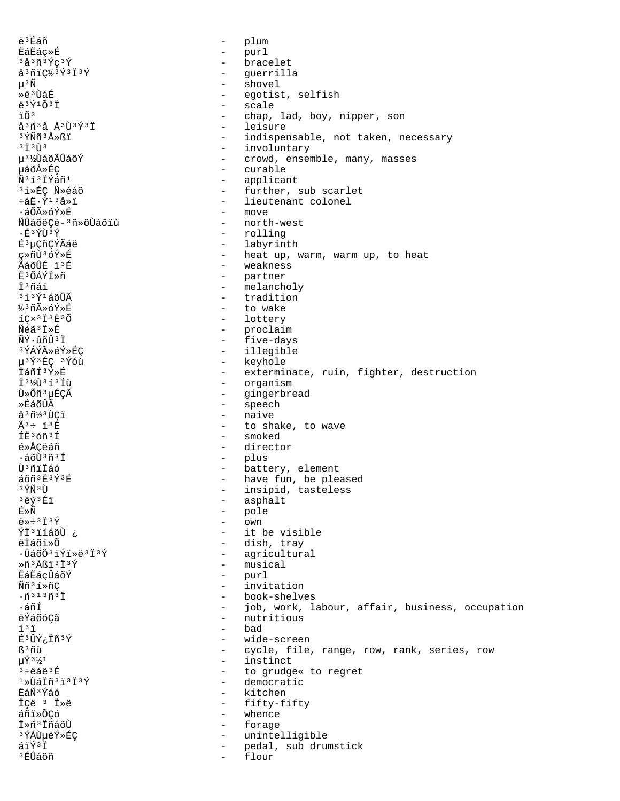ë<sup>3</sup>Éáñ plum  $\equiv$ **ËáËác**ȃ  $\sim$ purl - bracelet  $3\text{a}3\text{m}3\text{m}3\text{m}3\text{m}$ å<sup>3</sup>ñiǽ<sup>3</sup>Ý<sup>3</sup>Ï<sup>3</sup>Ý - guerrilla  $\mu$ <sup>3</sup> $\tilde{N}$ shovel  $\sim$ ȑ 3 ÙáÉ egotist, selfish  $\sim$  $\ddot{e}$ <sup>3 $\acute{Y}$ 10 $\ddot{0}$ <sup>3</sup> İ</sup> - scale iõ<sup>3</sup>  $\sim$ chap, lad, boy, nipper, son - leisure  $a^3$ ñ 3 å Å 3 Ù 3 Ý 3 Ï <sup>3</sup>ÝÑñ<sup>3</sup>Å≫ßï - indispensable, not taken, necessary  $37373$ - involuntary น<sup>31</sup>%ปีล์oีA็บิล์oีิ¥์ - crowd, ensemble, many, masses µáõÅ≫ÉC - curable Ñ3í3İÝáñ1  $\sim$   $$ applicant 3í»ÉC Ñ»éáõ - further, sub scarlet  $\div$ áË $\cdot$ Ý $^{13}$ å»ï - lieutenant colonel - move ∙áÕÃ≫óÝ≫É ÑÛáõëÇë-<sup>3</sup>ñ»õÙáõïù  $\sim$ north-west  $\cdot$ É $^3$ ÝÙ $^3$ Ý - rolling É<sup>3</sup>µÇñÇÝÃáë - labyrinth ç»ñÙ3óÝ»É - heat up, warm, warm up, to heat ÃáõÛÉ ï3É - weakness Ё<sup>з</sup>ÕÁÝÏ»ñ - partner - melancholy ⊤ี่ ≀ีกล์ ï - tradition 3í3Ý1áõÛÃ - to wake ½3ñûóÝ»É  $I$ Ç $\times$ <sup>3</sup> İ<sup>3</sup>E<sup>3</sup>Õ - lottery Ñéã<sup>3</sup>Ï»É - proclaim - five-days ÑÝ·ûñÛ<sup>3</sup>Ï - illegible 3ÝÁÝûéÝ»ÉÇ - keyhole µ<sup>3</sup>Ý<sup>3</sup>ÉÇ<sup>3</sup>Ýóù İáñí<sup>3</sup>Ý»É - exterminate, ruin, fighter, destruction 131/031310 - organism - gingerbread Ù»Õñ<sup>3</sup>µÉÇÃ - speech ≫ÉáõÛÃ - naive å<sup>3</sup>ñ½3ÙCï  $\widetilde{\Delta}$  3  $\div$   $\div$   $\div$  3  $\widetilde{\mathrm{E}}$ - to shake, to wave ÍË3óñ3Í - smoked é»ÅÇëáñ - director  $\sim$ .áõ̀ù,ñ,í plus Ù<sup>3</sup>ñiÏáó - battery, element áõñ 3 Ë 3 Ý 3 É - have fun, be pleased  $3\,\rm \tilde{Y}\tilde{N}$  $3\,\rm \tilde{U}$ - insipid, tasteless - asphalt 3ëý3Éï É≫Ñ - pole  $\ddot{\rho}$   $\gg$   $\div$  3  $\ddot{\gamma}$  3  $\acute{\gamma}$  $\sim$  10  $\,$ Own ÝĪ<sup>3</sup>ïíáõÙ ¿ - it be visible - dish, tray ëÏáõï»Õ .ÛáõÕ∃ïÝï≫ë∃Ï∃Ý - agricultural - musical  $*\tilde{n}$ <sup>3</sup>Åßï<sup>3</sup>Ï<sup>3</sup>Ý **ËáËáçÛáõÝ**  $\sim$   $$ purl  $\sim$   $-$ Ññ<sup>3</sup>í»ñC invitation  $\cdot$ ñ<sup>313</sup>ñ<sup>3</sup>Ï - book-shelves ∙áñÍ  $\sim$   $$ job, work, labour, affair, business, occupation - nutritious ëÝáõóÇã bad  $1<sup>3</sup>$  i  $\overline{a}$ É<sup>3</sup>ÛÝ¿Ïñ<sup>3</sup>Ý  $\sim$ wide-screen ß<sup>3</sup>ñù  $\sim$ cycle, file, range, row, rank, series, row - instinct  $\mu \hat{Y}$ <sup>3</sup> $\frac{1}{2}$ <sup>1</sup>  $3 \div 44 + 3E$ - to grudge« to regret - democratic  $1 \times 1377373737$ EáÑ<sup>3</sup>Ýáó - kitchen - fifty-fifty ICë <sup>3</sup> I»ë áñi»ÕÇó  $\sim$ whence IȖ<sup>3</sup> IñáõÙ  $\sim$ forage <sup>3</sup>ÝÁÙµéÝ»ÉÇ  $\sim$ unintelligible  $\tilde{a}$ i $\tilde{Y}$ <sup>3</sup> I pedal, sub drumstick  $\sim$ <sup>3</sup>ÉÛáõñ flour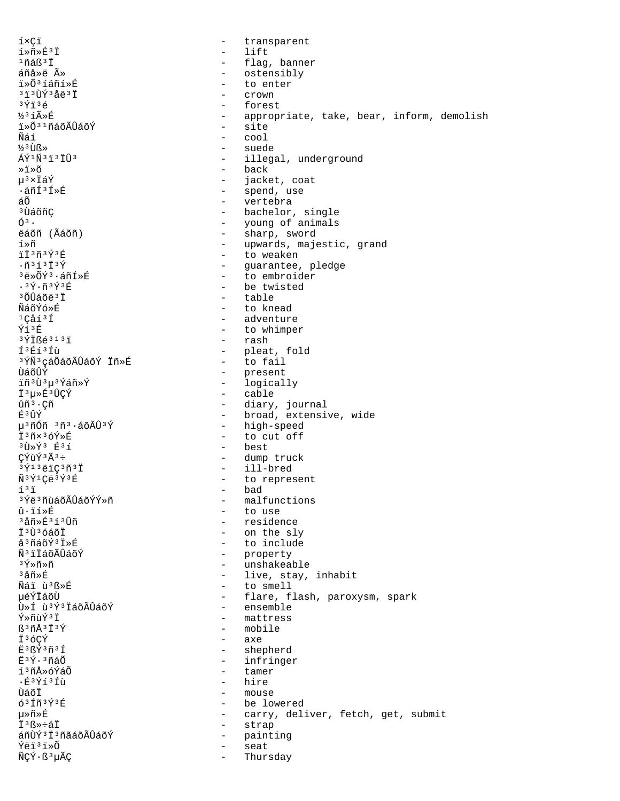íxCï transparent  $\sim$  $1*\tilde{n}*\tilde{E}^3\tilde{I}$  $\equiv$ lift  $1ñ$ áß $3I$ - flag, banner áñå»ë û - ostensibly i»Õ3íáñí»É to enter  $3130$ Ý $34031$ Crown  $3\overline{Y}$ ï $3\overline{e}$  $\overline{a}$ forest ½3íûÉ - appropriate, take, bear, inform, demolish - site ï»Õ31ñáõÃÛáõÝ  $\sim$   $\sim$   $\sim$ ิ<br>Nัล์ 1์  $\frac{1}{3}$  if  $\frac{1}{3}$ - suede  $A\tilde{v}$ 1 $\tilde{N}$ 3 $\ddot{1}$ 3 $\ddot{T}$ î $\ddot{1}$ 3 - illegal, underground - back ≫ï≫õ µ3×ÏáÝ  $\sim$   $$ jacket, coat - spend, use ∙áñͪÍ»É áõ  $\omega_{\rm{max}}$ vertebra - bachelor, single <sup>3</sup> ÙáõñÇ - young of animals<br>- sharp, sword  $\mathcal{O}^3$ . ëáõñ (Ãáõñ) - upwards, majestic, grand í»ñ iï3ñ3Ý3É - to weaken  $. 9353739$ - guarantee, pledge 3ë»õÝ3.áñÍ»É - to embroider  $.39.93936$ - be twisted  $30040831$ - table ÑáõÝó»É - to knead  $1$ Cåí $3$ Í - adventure - to whimper Ýí3É - rash  $3\overline{Y}$  I  $6313$  I Í<sup>3</sup>Éí<sup>3</sup>Íù - pleat, fold - to fail <sup>3</sup>ÝÑ<sup>3</sup>çáÕáõÃÛáõÝ Ïñ»É ÙáõÛÝ - present - logically ïñ 3 Ù 3 µ 3 Ýáñ » Ý - cable Ï<sup>3</sup>µ»É<sup>3</sup>ÛÇÝ ûñ<sup>3</sup>·Cñ - diary, journal - broad, extensive, wide **F3 TTY**  $u^3$ ñÓñ  $3\tilde{n}^3$ ·áõÃÛ $3\tilde{Y}$ - high-speed I3ñx3óÝ»É - to cut off - best  $3\overline{U}*\stackrel{\textstyle <}{Y}3$   $\overline{E}3\stackrel{\textstyle <}{1}$ CÝùÝ3Ã3÷ - dump truck - ill-bred  $3\overline{Y}$ <sup>13</sup>ëiÇ<sup>3</sup>ñ<sup>3</sup>Ï - to represent Ñ3Ý1Çë3Ý3É - bad  $1<sup>3</sup>$  i <sup>3</sup>Ýë ªñùáõÃÛáõÝÝ≫ñ - malfunctions û·ïí»É - to use - residence  $327 \times 5317$ - on the sly Ï<sup>3</sup>Ù3óáõÏ - to include  $A3n40V378F$ ѪïÏáõÃÛáõÝ - property - unshakeable <sup>3</sup>Ý»ñ»ñ - live, stay, inhabit <sup>3</sup>åñ»É Nai u<sup>3</sup>ᯐ - to smell - flare, flash, paroxysm, spark μéÝΪáõÙ Ù»Í ù<sup>3</sup>Ý<sup>3</sup>ÏáõÃÛáõÝ - ensemble - mattress Ý»ñùÝ3Ï ß<sup>3</sup>ñÅ<sup>3</sup>Ï<sup>3</sup>Ý - mobile Ï36ÇÝ - axe E3ßÝ3ñ3Í - shepherd - infringer Ë3Ý.3ñáÕ íªñÅ»óÝáÕ - tamer  $\cdot$ É $^3$ Ýí $^3$ Íù  $-$  hire นิล์ก็ - mouse  $631\tilde{n}3\tilde{Y}3E$ - be lowered 毤»É - carry, deliver, fetch, get, submit İ<sup>3</sup>ß»÷áÏ - strap áñÙÝ<sup>3</sup> Ï 3 ñãáõÃÛáõÝ  $\sim$ painting Ýëï3ï»Õ seat ÑÇÝ·ß<sup>3</sup>µÃÇ  $\sim$ Thursday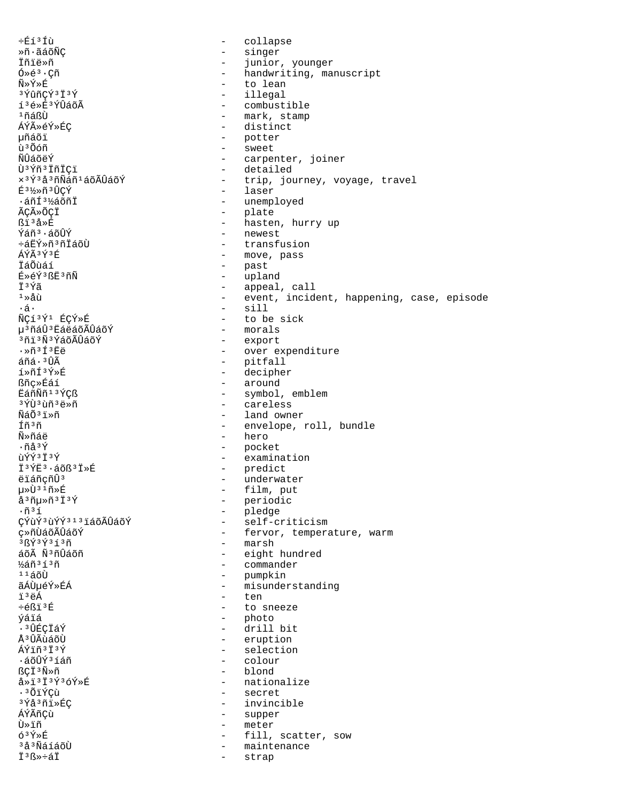փí<sup>3</sup>Íù - collapse »ñ·ãáõÑÇ - singer Ïñïë»ñ - junior, younger  $\tilde{O} \geq \tilde{e}^3 \cdot \tilde{C}$ ñ - handwriting, manuscript<br>ѻݻÉ - to lean Ñ»Ý»É - to lean <sup>3</sup>ÝûñÇÝ<sup>3</sup>Ï<sup>3</sup>Ý - illegal<br>íªé»É<sup>3</sup>ÝÛáõà - illegal - combust íªé»ÉªÝÛáõà - combustible<br>PíáßÙ - mark, stamp <sup>1</sup>ñáßÙ - mark, stamp<br>ÁÝûéÝ»ÉÇ - stampark - distinct ÁÝ»ÉÝ»ÉÇ - distinct<br>
pháði - distinct<br>
- potter příáõi - potter – potter – potter – potter – potter – potter – potter – potter – potter – potter – potter – potter – potter – potter – potter – potter – potter – potter – potter – potter – potter – potter – potter – potter ù<sup>3</sup>Õóñ - sweet<br>ÑÎÂÕÃÝ - sweet ÑÛáõëÝ<br>Ù<sup>3Ýñ</sub>3ÏñiCï - carpenter, joiner</sup> Ù<sup>3</sup>Ýñ<sup>3</sup>ÏñİÇï - detailed<br>x<sup>3Ý3</sup>å<sup>3</sup>ñÑáñ<sup>1</sup>áõÃÛáõÝ - - trip, jou - trip, journey, voyage, travel ɳ½»ñ³ÛÇÝ - laser ·áñÍ<sup>3</sup>½áõñÏ - unemployed<br>ÃÇûÕÇÏ - plate - plate ÃÇûÕÇÏ - plate ዦå»É<br>Ýáñª∙á∂ÛÝ - hasten, hurry up Ýáñª·áõÛÝ - newest<br>÷áËÝ»ñªñÏáõÙ - - transfı ÷áËÝ»ñ³ñÏáõÙ - transfusion ÁÝÃ<sup>3Ý3</sup>É - move, pass<br>ÏáÕùáí - move - move, pass ÏáÕùáí - past<br>É»éݪß˪ñÑ - uplar É»éÝ<sup>3</sup>ßË<sup>3</sup>ñÑ - upland<br>†3Ýã - appeal  $\ddot{I}$ <sup>3</sup>Ýã - appeal, call<br><sup>1</sup>»åù - event incid ¹»åù - event, incident, happening, case, episode ·á· - sill - to be sick<br>- morals µ<sup>3</sup>ñáÛ<sup>3</sup>ËáëáõÃÛáõÝ - morals<br><sup>3</sup>ñï<sup>3</sup>ѪÝáõÃÛáõÝ - - export <sup>3</sup>ñï<sup>3</sup>ѪÝáõÃÛáõÝ<br>∙ ≫ñªÍªËë ·»ñ<sup>3</sup>Í<sup>3</sup>Ëë - over expenditure<br>áñá·<sup>3</sup>Ûà - contralador - over expenditure áñá·<sup>3</sup>Ûà - pitfall<br>í»ñí<sup>3</sup>Ý»É - pitfall - pitfall í»ñÍ³Ý»É - decipher  $\angle$  főr $\angle$ ȃáí - around  $\angle$  around  $\angle$  and  $\angle$  around  $\angle$  around  $\angle$ ËáñÑñ¹³ÝÇß - symbol, emblem <sup>3</sup>ÝÙ<sup>3</sup>ùñ<sup>3</sup>ë»ñ - careless - careless - careless - careless - careless - careless - careless - careless - careless - careless - careless - careless - careless - careless - careless - careless - careless - careless - carel ÑáÕ<sup>3</sup>ï»ñ → land owner<br>fñ<sup>3</sup>ñ → land owner Íñ<sup>3</sup>ñ - envelope, roll, bundle<br>Ñ»ñáë - hero - hero ·ñå<sup>3Ý</sup> - pocket ùÝÝ³Ï³Ý - examination Ï<sup>3</sup>ÝË<sup>3</sup>·áõß<sup>3</sup>Ï»É - predict<br>ëÏáñçñÛ<sup>3</sup> - underwat ëïáñçñÛ³ - underwater  $\mu \rightarrow \tilde{U}^{3}$ <sup>1</sup>  $\tilde{H} \rightarrow \tilde{E}$   $\tilde{d}^{3}$   $\tilde{H} \mu \rightarrow \tilde{H}^{3}$   $\tilde{I}^{3}$   $\tilde{Y}$   $\tilde{d}$   $\tilde{d}$   $\tilde{H}$   $\tilde{H}$   $\tilde{H}$   $\tilde{I}$   $\tilde{Y}$   $\tilde{G}$   $\tilde{G}$   $\tilde{H}$   $\tilde{H}$   $\tilde{H}$   $\tilde{H}$   $\tilde{H}$   $\tilde$ åªñµ»ñªÏªÝ - periodic<br>∙ñªí - periodic .ñ<sup>3</sup>í - pledge<br>CÝùÝ<sup>3</sup>ùÝÝ<sup>313</sup>ĽáõÃÛáõÝ - self-cı CÝùݺ<sup>313</sup>iáõÃÛáõÝ - self-criticism<br>c»ñÙáõÃÛáõÝ - - fervor, tempera ์cุ≫ñÙáõÃÛáõÝ - fervor, temperature, warm<br>งครั้งสรุงที่ รักษ์ - marsh  $\frac{3}{8}$  $\frac{8}{3}$  $\frac{3}{3}$  $\frac{3}{3}$  $\frac{3}{1}$  $\frac{3}{1}$  $\frac{3}{1}$  $\frac{3}{1}$  $\frac{3}{1}$  $\frac{3}{1}$  $\frac{3}{1}$  $\frac{3}{1}$  $\frac{3}{1}$  $\frac{3}{1}$  $\frac{3}{1}$  $\frac{3}{1}$  $\frac{3}{1}$  $\frac{3}{1}$  $\frac{3}{1}$  $\frac{3}{1}$  $\frac{3}{1}$  $\frac{3}{1}$  $\frac{3}{1}$ áõÃ Ñ<sup>3</sup>ñÛáõñ  $\frac{1}{60}$  - eight hundred  $\frac{1}{60}$  $\frac{1}{4}$  $\frac{1}{4}$ áñ $\frac{3}{1}$ ñ  $\frac{1}{4}$  - commander <sup>11</sup>áõÙ - pumpkin ãÁÙµéÝ»ÉÁ - misunderstanding ïªëÁ - ten<br>÷éßïªÉ - to s ÷éßï³É - to sneeze ýáïá - photo ·³ÛÉÇÏáÝ - drill bit Å<sup>3</sup>ÛÃùáõÙ - eruption<br>ÁÝiñ<sup>3</sup>Ï<sup>3</sup>Ý - eruption - eruption ÁÝïñ³Ï³Ý - selection ·áõÛݳíáñ - colour  $B\zeta\ddot{\mathbf{i}}^3\overset{\sim}{\mathbf{M}}\overset{\sim}{\mathbf{n}}\widetilde{\mathbf{M}}\overset{\sim}{\mathbf{n}}\widetilde{\mathbf{M}}\overset{\sim}{\mathbf{n}}\widetilde{\mathbf{M}}\overset{\sim}{\mathbf{n}}\widetilde{\mathbf{M}}\overset{\sim}{\mathbf{n}}\widetilde{\mathbf{M}}\overset{\sim}{\mathbf{n}}\widetilde{\mathbf{M}}\overset{\sim}{\mathbf{n}}\widetilde{\mathbf{M}}\overset{\sim}{\mathbf{n}}\widetilde{\mathbf{M}}\overset{\sim}{\mathbf{n}}\widetilde{\mathbf{n}}\widetilde{\math$ å»ï<sup>3</sup>Ï<sup>3</sup>ݪóÝ»É - nationalize<br>∙ªÕiÝCù - secret ·³ÕïÝÇù - secret <sup>3</sup>Ýå<sup>3</sup>ñï»ÉÇ - invincible<br>ÁÝÃñ¢ù - supper - supper ÁÝÃñÇù - supper Ù»ïñ  $\frac{1}{6}$ <sup>3</sup>Ý»É – meter  $\frac{63\text{Y}\times E}{\text{A}^3\text{N}\times\text{A}}$  - fill, scatter, sow<br> $\frac{3\text{A}^3\text{N}\times\text{A}}{\text{A}^3\text{N}\times\text{A}}$  - maintenance - maintenance ϳ߻÷áÏ - strap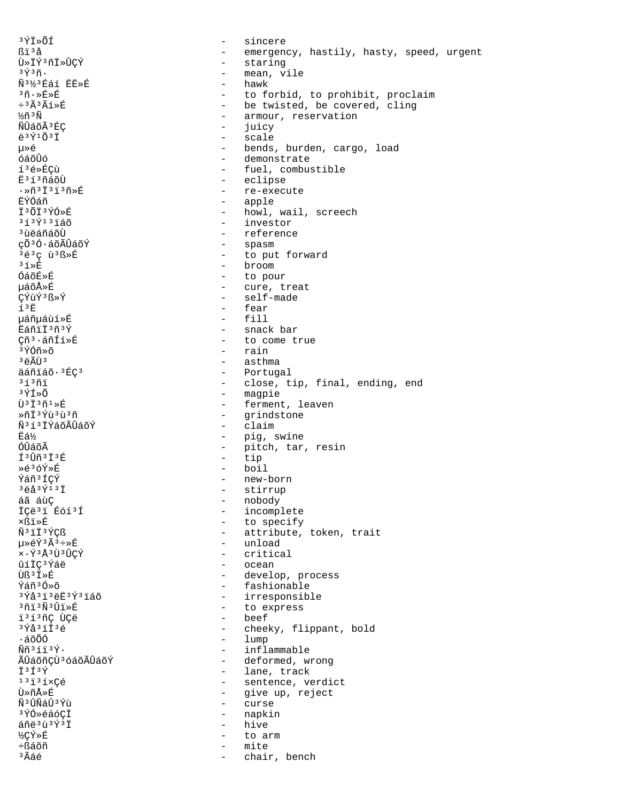3ÝÏ»ÕÍ sincere  $\equiv$ ßï<sup>3</sup>å - emergency, hastily, hasty, speed, urgent - staring Ù»ÏݪñÏ»ÛÇÝ - mean, vile  $3\,\rm \tilde{Y}\,$  $3\,\rm \tilde{n}$ . Ñ3½3Éáí ËË»É - hawk <sup>3</sup>ñ.»É»É - to forbid, to prohibit, proclaim - be twisted, be covered, cling  $\div$ <sup>3 $\tilde{A}$ 3 $\tilde{A}$ 1ȃ</sup>  $\frac{1}{2}$ ñ  $\tilde{N}$ - armour, reservation - juicy ÑÛáõÃ<sup>3</sup>ÉC - scale ë<sup>3</sup>Ý1Õ<sup>3</sup>Ï uȎ - bends, burden, cargo, load ด์ล์ดิบิด์ - demonstrate í<sup>3</sup>é»ÉCù - fuel, combustible - eclipse Ë<sup>313</sup>ñáõÙ - re-execute  $\cdot$ Ȗ<sup>3</sup>Ï<sup>3</sup>ï<sup>3</sup>ñ»É ËÝÓáñ - apple I3ÕI3ÝÓ»É - howl, wail, screech - investor  $313$  $\acute{Y}$  $13\acute{1}\acute{a}\acute{o}$ <sup>3</sup> ùëáñáõÙ - reference - spasm çõ<sup>3</sup>Ó·áõÃÛáõÝ - to put forward 3é3ç ù3ß»É  $31 \times E$ - broom - to pour ÓáõÉ»É - cure, treat uáõÅ≫É CÝùÝ3<sub>ß»</sub>Ý - self-made  $13E$ - fear  $-$  fill 栤µáùí»É Eáñii3ñ3Ý - snack bar - to come true Çñ<sup>3</sup>·áñÍí»É - rain 3 ÝÓñ≫õ - asthma  $3 \ddot{\text{e}} \tilde{\text{A}} \tilde{\text{U}}$  $3$ äáñiáõ·3ÉÇ3 - Portugal - close, tip, final, ending, end  $31371$ - magpie  $3\tilde{\Upsilon}$   $\tilde{\Upsilon}$ - ferment, leaven  $\tilde{U}$ <sup>3 $\tilde{I}$ 3 $\tilde{n}$ <sup>1</sup> $\gg$ É</sup> - grindstone  $*$ ñ T  $*$ vîi  $*$ îi  $*$ ñ Ñ3í3ÏÝáõÃÛáõÝ - claim Ëá½ - pig, swine - pitch, tar, resin<br>- pitch, tar, resin<br>- tip ÓÛáõÃ f<sup>3</sup>Ûñ<sup>3</sup>Ï<sup>3</sup>É - boil Ȏ3óÝ»É Ýáñ<sup>3</sup>ÍCÝ - new-born  $3 - 3 - 3 + 7 + 3$ - stirrup - nobody áã áùÇ - incomplete İÇë<sup>3</sup>i Éóí<sup>3</sup>Í - to specify ×ßï≫É - attribute, token, trait Ñ<sup>3</sup>iÏ<sup>3</sup>ÝCß น≫е́ิу ั้ัั้ง∔»ที่ - unload  $x \cdot \tilde{Y}$ <sup>3</sup> Å<sup>3</sup> Ù<sup>3</sup> ÛCÝ - critical - ocean ûíÏC3Ýáë - develop, process Ùß<sup>3</sup> I»É - fashionable Ýáñ<sup>3</sup>Ó»õ - irresponsible  $3\overline{Y}$ å $3\overline{1}$  $3\overline{e}$  $\overline{E}$  $3\overline{Y}$  $3\overline{1}$ áõ 3ñï3Ñ3Ûï»É - to express - beef i<sup>313</sup>ñÇ ÙÇë  $3\overline{Y}$ å $3\overline{1}\overline{1}$  $3\overline{6}$  $\sim$ cheeky, flippant, bold  $1$ ump ·áõÕÓ  $\tilde{N}$ ñ  $3$  í  $\tilde{1}$   $3\tilde{V}$ . - inflammable - deformed, wrong ÃÛáõñÇÙ<sup>3</sup> óáõÃÛáõÝ - lane, track †3f3Ý - sentence, verdict  $13735 \times C$  $\triangle$ - give up, reject นิ»กึ∆ิ»ที่ - curse พิ<sup>3</sup> บิพิลบิ<sup>3</sup> Yu - napkin ªÝÓ≫éáó¢Ï áñë 3 ù 3 Ý 3 Ï hive  $\sim$ ½ÇÝ»É to arm  $\sim$ ֧áõñ mite  $\sim$ <sup>3</sup>Ãáé chair, bench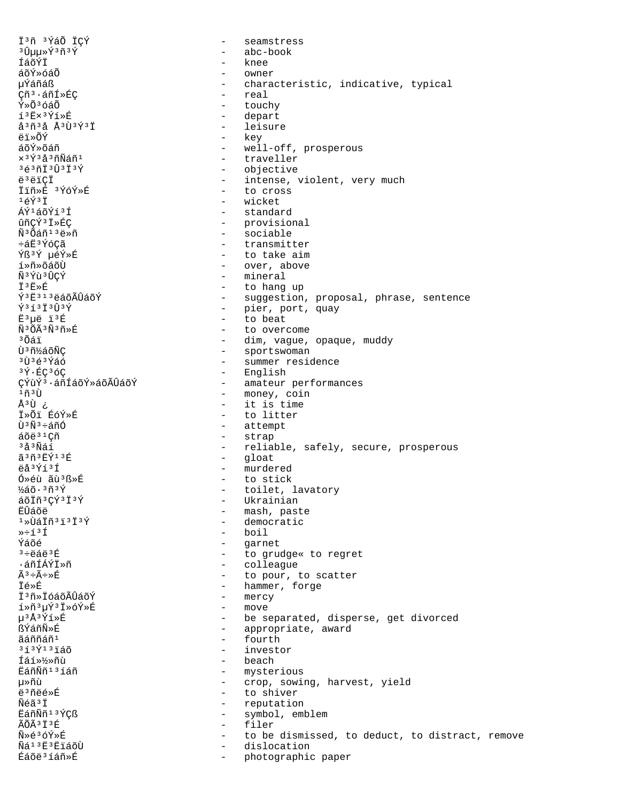İ3ñ 3ÝáÕ ICÝ  $\equiv$ seamstress  $30\mu$  $\mu$  $\frac{5}{4}$  $3\pi$  $3\pi$ abc-book  $\sim$ ÍáõÝÏ knee  $\equiv$ áõÝ»óáÕ owner µÝáñáß characteristic, indicative, typical  $\sim$ - real Çñ<sup>3</sup>·áñÍ»ÉÇ  $\tilde{Y} \times \tilde{O}^3$ óá $\tilde{O}$ - touchy í<sup>3</sup>Ë×<sup>3</sup>Ýí»É - depart - leisure å<sup>3</sup>ñ<sup>3</sup>å Å<sup>3</sup>Ù<sup>3</sup>Ý<sup>3</sup>Ï - key ëi»õÝ - well-off, prosperous ล์กีฬ์»ก็ล์ที - traveller  $x$ 3 $\sqrt{3}$   $\frac{3}{4}$ 3 $\widetilde{n}$  $\widetilde{N}$  $\widetilde{A}$  $\widetilde{n}$ 1  $36301303739$ - objective ë ë ë i Ci - intense, violent, very much 앖ȃ 3ÝóÝ»É - to cross  $1\,\acute{\rm e}\acute{\rm Y}$ 3 İ - wicket ÁÝ1áõÝí3Í - standard ûñÇÝ<sup>3</sup> Ï »ÉÇ - provisional Ñ<sup>3</sup>Õáñ<sup>13</sup>ë»ñ  $\frac{1}{2}$ sociable ևË3ÝóÇã - transmitter - to take aim Ýß3Ý µéÝ»É í»ñ»õáõÙ - over, above พื<sup>3</sup> ที่นิ<sup>3</sup> บิ๊CY์ - mineral 〒3克≫丘 - to hang up  $\hat{Y}$ <sup>3 $\hat{E}$ 313ë a õ $\hat{A}$ Û á õ $\hat{Y}$ </sup> - suggestion, proposal, phrase, sentence  $\tilde{Y}$ <sup>3</sup> $\tilde{1}$ <sup>3</sup> $\tilde{U}$ <sup>3</sup> $\tilde{Y}$ - pier, port, quay  $E^3$ µë ï $^3E$  $\sim$   $$ to beat Ñ3ÕÃ3Ñ3ñ»É - to overcome <sup>3</sup>Õáï - dim, vague, opaque, muddy - sportswoman Ù<sup>3</sup>ñ½áõÑÇ <sup>3</sup>Ù<sup>3</sup>é<sup>3</sup>Ýáó - summer residence - English 3Ý·ÉC3óC - amateur performances CÝùÝ<sup>3</sup>·áñÍáõÝ»áõÃÛáõÝ - money, coin  $1$ ក៍ $3$ ា ن Úً<sup>3</sup> - it is time T»Õi ÉóÝ»É - to litter - attempt  $\tilde{U}^3 \tilde{N}^3 \div \tilde{a} \tilde{n} \tilde{0}$  $áõe<sup>31</sup>Cñ$ - strap  $3a3\widetilde{N}$ áí - reliable, safely, secure, prosperous  $\tilde{a}$  3 ñ 3 ËÝ 1 3 É  $\sim$   $$ gloat - murdered ëå<sup>3</sup>Ýí<sup>3</sup>Í Ó»éù ãù<sup>3</sup>ß»É - to stick  $\frac{1}{2}$ áõ $\cdot$   $\frac{3}{1}$ ñ $\frac{3}{1}$ Ý - toilet, lavatory áõÏñ3CÝ3Ï3Ý - Ukrainian **Ë**Ûáõë - mash, paste - democratic <sup>ı</sup>»ÙáÏñ∃ïªÏªÝ - boil  $\rightarrow$   $\div$   $\uparrow$   $\uparrow$ - garnet Ýáõé  $3 + 44 + 36$ - to grudge« to regret - colleague ∙áñÍÁÝÏ≫ñ  $\tilde{A}^3 \div \tilde{A} \div \times \tilde{E}$  $\sim$   $$ to pour, to scatter - hammer, forge İé»É İ<sup>3</sup>ñ»İóáõÃÛáõÝ - mercy í»ñ3µÝ3Ï»óÝ»É  $\sim$ move µ3Å3Ýí»É be separated, disperse, get divorced  $\sim$ ßÝáñÑ»É - appropriate, award - fourth ãáññáñ<sup>1</sup>  $313$  $\tilde{Y}$  $13$  $\tilde{1}$ áõ - investor - beach Íáí»½»ñù ËáñÑñ<sup>13</sup>íáñ - mysterious µ≫ñù - crop, sowing, harvest, yield - to shiver ë<sup>3</sup>ñëé»É Ñéã<sup>3</sup>İ - reputation EáñÑñ<sup>13</sup>ÝCß  $\sim$ symbol, emblem ÃÕÃ<sup>3</sup>Ï<sup>3</sup>É filer  $\sim$ Ñ»é3óÝ»É to be dismissed, to deduct, to distract, remove  $\sim$ Ñá<sup>13</sup>E3E1áõÙ dislocation  $\overline{a}$ Éáõë<sup>3</sup>íáñ»É  $\overline{a}$ photographic paper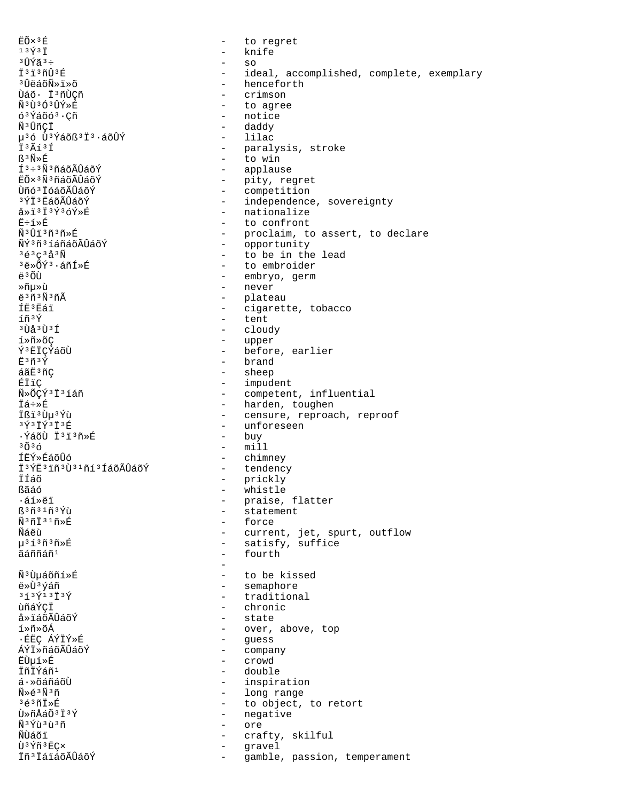EÕ×<sup>3</sup>É to regret  $\sim$  $13\overline{Y}3\overline{1}$  $\equiv$ knife <sup>3</sup>ÛÝã<sup>3</sup>÷  $\equiv$ SO Ï<sup>3</sup>i<sup>3</sup>ñÛ<sup>3</sup>É ideal, accomplished, complete, exemplary  $\sim$ <sup>3</sup>ÛëáõÑ»ï»õ henceforth  $\sim$ Ùáõ· Ï3ñÙÇñ crimson  $\sim$ Ñ3Ù3Ó3ÛÝ»É  $\overline{a}$ to agree  $6344003$ . $C\tilde{n}$ - notice - daddy ѪÛñCÏ µ<sup>3</sup>ó Ù<sup>3</sup>Ýáõß<sup>3</sup>Ï<sup>3</sup>·áõÛÝ - lilac  $\ddot{T}$  3 $\widetilde{A}$  f 3 $\ddot{T}$ - paralysis, stroke  $R^3$ Ñ» $E$ - to win - applause  $I^3 \div 3 \tilde{N}^3$ ñáõÃÛáõÝ EÕ×<sup>3</sup>Ñ<sup>3</sup>ñáõÃÛáõÝ - pity, regret  $\omega_{\rm{max}}$ Ùñó<sup>3</sup> IóáõÃÛáõÝ competition - independence, sovereignty 3ÝÏ3ËáõÃÛáõÝ  $a * i 3 i 3$   $i 3$   $j 3$   $j 6$   $j * 6$ - nationalize Ë÷í»É  $\sim$ to confront Ñ<sup>3</sup>Ûï<sup>3</sup>ñ<sup>3</sup>ñ»É - proclaim, to assert, to declare ÑÝ3ñ3íáñáõÃÛáõÝ  $\sim$ opportunity  $363C3a3N$ - to be in the lead  $3e^*\tilde{O}Y^3\cdot a\tilde{n}I*\tilde{E}$ - to embroider - embryo, germ  $\ddot{a}$  3  $\ddot{O}$ - never ≫ñบ≫บิ  $\ddot{e}$ <sup>3 $\tilde{n}$ 3 $\tilde{N}$ 3 $\tilde{n}$ Ã</sup> - plateau ÍË<sup>3</sup>Eái - cigarette, tobacco íñ3Ý - tent <sup>3</sup>Ùå 3Ù 3Í - cloudy - upper í»ñ»õÇ - before, earlier Ý<sup>3</sup> ËIÇÝáõÙ - brand  $E3n3Y$ áãË<sup>3</sup>ñC - sheep ÉÏïC - impudent Ñ»ÕÇÝ3Ï3íáñ - competent, influential - harden, toughen Ïá÷≫É - censure, reproach, reproof Ißi 3 Ùu 3 Ýù  $357373737$ - unforeseen ·ÝáõÙ Ï<sup>3</sup>ï<sup>3</sup>ñ»É  $-$  buy  $3036$  $-$  mill ÍËÝ≫ÉáõÛó  $\sim$   $$ chimney - tendency Ï<sup>3</sup>ÝË<sup>3</sup> iñ<sup>3</sup>Ù<sup>31</sup>ñí<sup>3</sup> ÍáõÃÛáõÝ İÍáõ - prickly ßãáó  $\sim$ whistle ∙áí»ëï - praise, flatter ß<sup>3</sup>ñ<sup>31</sup>ñ<sup>3</sup>Ýù  $\sim$ statement Ñ3ñÏ31ñ»É - force Ñáëù - current, jet, spurt, outflow น<sup>3</sup>1์<sup>3</sup>กั<sup>3</sup>กั» คิ - satisfy, suffice ãáññáñ<sup>1</sup> - fourth  $\overline{a}$ Ñ<sup>3</sup>Ùµáõñí»É  $\sim$ to be kissed - semaphore ë»Ù3ýáñ  $313$  $\frac{1}{1}$  $3\frac{1}{1}$  $3\frac{1}{1}$  $\equiv$ traditional ùñáÝÇÏ  $\sim$ chronic å»ïáõÃÛáõÝ  $\sim$ state í»ñ»õÁ  $\sim$ over, above, top ·ÉËÇ ÁÝÏÝ»É  $\equiv$ guess ÁÝÏ»ñáõÃÛáõÝ  $\sim$ company - crowd **ËÙuí**ȃ ÏñÏÝáñ<sup>1</sup> - double  $4 \cdot \sqrt{350}$ - inspiration  $\widetilde{N} \gg \widetilde{\triangle}$  3 $\widetilde{N}$  3 $\widetilde{r}$ - long range  $36371*E$ - to object, to retort Ù»ñÅáÕ<sup>3</sup>Ï<sup>3</sup>Ý - negative Ñ<sup>3</sup>Ýù<sup>3</sup>ù<sup>3</sup>ñ  $\sim$ ore ÑÙáõï  $\sim$ crafty, skilful Ù<sup>3</sup>Ýñ<sup>3</sup>ËC×  $\sim$ gravel İñ<sup>3</sup>İáiáõÃÛáõÝ  $\overline{\phantom{a}}$ gamble, passion, temperament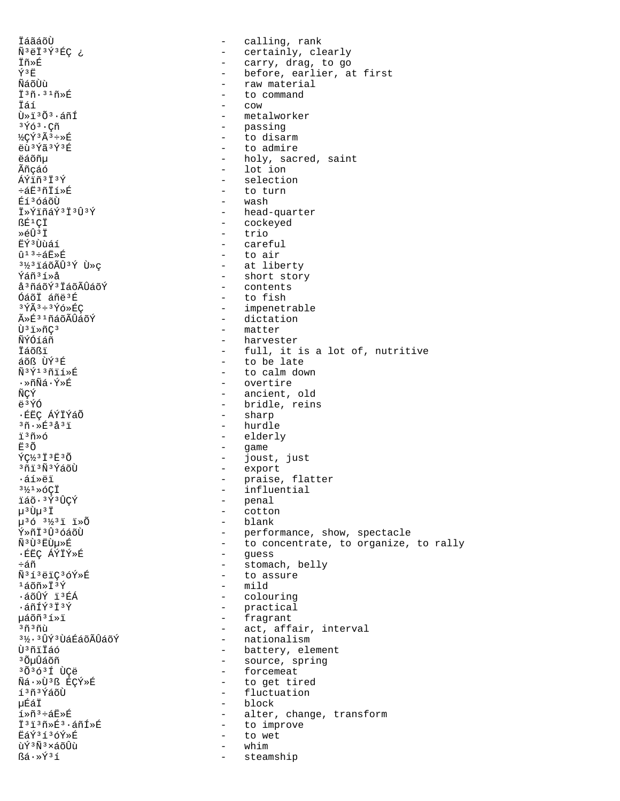İáãáõÙ - calling, rank Ñ<sup>3</sup>ëÏ<sup>3</sup>Ý3ÉÇ ¿ - certainly, clearly Īñ»É - carry, drag, to go - before, earlier, at first Ý3Ë ÑáõÙù - raw material  $\overline{1}$ <sup>3</sup> $\tilde{n}$ .<sup>31</sup> $\tilde{n}$ \* $\overline{E}$ - to command Ïáí  $\sim$   $\sim$   $\sim$  $\tilde{U}$ » i  $3\tilde{O}$  $3.4\tilde{n}$ Í - metalworker - passing  $3\,\rm \tilde{Y}$ ó $\,$ 3  $\cdot$  Cñ  $\frac{1}{2}C\acute{Y}$ <sup>3</sup> $\tilde{A}$ <sup>3</sup> $\div$ »E - to disarm - to admire  $\ddot{\rho}$ n 3 $\acute{\gamma}$ ã 3 $\acute{\gamma}$ 3 $\acute{\tau}$ - holy, sacred, saint **ëáõñu** Ãñcáó  $-$  lot ion ÁÝïñ3Ï3Ý - selection - to turn ևË3ñÏí»É Éí<sup>3</sup>óáõÙ - wash - head-quarter İ»ÝiñáÝ3İ3Û3Ý - cockeyed ßÉ<sup>1</sup>CÏ - trio  $*$  $6\hat{1}$  $*$  $\ddot{7}$ EݪÙùáí - careful - to air  $\hat{u}$ <sup>13</sup>ևË»É <sup>31/2</sup>3 LáõÃÛ<sup>3</sup>Ý Ù »ç - at liberty - short story Ýáñ3í»å a 3 ña o Ý 3 Ïa o à Û a o Ý - contents ÓáõÏ áñë3É - to fish  $3\overline{Y}$  $\widetilde{A}$  $3\div 3\overline{Y}$ ó»ÉC - impenetrable ûÉ31ñáõÃÛáõÝ - dictation - matter Ù<sup>3</sup>i»ñC<sup>3</sup> - harvester ÑÝÓíáñ - full, it is a lot of, nutritive Ïáõßï - to be late áõß ÙÝ3É  $\tilde{N}$ <sup>3</sup> $\tilde{Y}$ <sup>13</sup> $\tilde{n}$ ií»É - to calm down .≫ñÑá∙Ý≫É - overtire ÑCÝ - ancient, old - bridle, reins ë 3ÝÓ ·ÉËC ÁÝÏÝáÕ - sharp  $-$  hurdle  $30.853337$ ï3ñ»ó - elderly - game<br>- joust, just<br>- export Ë<sup>3</sup>Õ ÝC½3Ï3Ë3Õ <sup>3</sup>ñi<sup>3</sup>Ñ<sup>3</sup>ÝáõÙ - praise, flatter ᇒȑï - influential  $3\frac{1}{2}$  $3\frac{1}{2}$  $\frac{1}{2}$  $\frac{1}{2}$ - penal ïáõ·<sup>3</sup>Ý<sup>3</sup>ÛÇÝ μ<sup>3</sup>Ùμ<sup>3</sup>Ϊ  $\Delta \sim 10$ cotton - blank  $\mu$ <sup>3</sup> $6$ <sup>31</sup>⁄<sub>2</sub><sup>3</sup><sup>1</sup> <sup>1</sup>> $\tilde{0}$ Ý»ñi<sup>3</sup>Û<sup>3</sup>óáõÙ - performance, show, spectacle - to concentrate, to organize, to rally  $\tilde{N}$ <sup>3</sup> $\tilde{\Gamma}$ <sup>3</sup> $\tilde{\Gamma}$ - quess ∙ÉËÇ ÁÝÏÝ»É - stomach, belly  $\div$ áñ - to assure Ñ3í3ëïÇ3óÝ»É  $1\tilde{a}$ õñ»Ï $3\tilde{Y}$  $-$  mild - colouring ·áõÛÝ ï3ÉÁ - practical<br>- fragrant ·áñÍݪϪÝ µáõñ3í»ï - act, affair, interval  $3030$ 3½· 3ÛÝ 3 ÙáÉáõÃÛáõÝ - nationalism - battery, element Ù<sup>3</sup>ñïÏáó - source, spring <sup>3</sup>ÕuÛáõñ - forcemeat 303631 ÙCë - to get tired Ñá·»Ù3ß ÉCÝ»É - fluctuation í 3ñ 3 ÝáõÙ 搠Ï - block  $1*\tilde{n}^3$ ևE»É - alter, change, transform İ<sup>3</sup>i<sup>3</sup>ñ»É<sup>3</sup>·áñÍ»É - to improve ËáÝ3í3óÝ»É - to wet ùÝ3Ñ3×áõÛù whim  $\sim$  $\mathbb{S} \land \cdot \times \hat{\mathbb{Y}}^3 \land$ steamship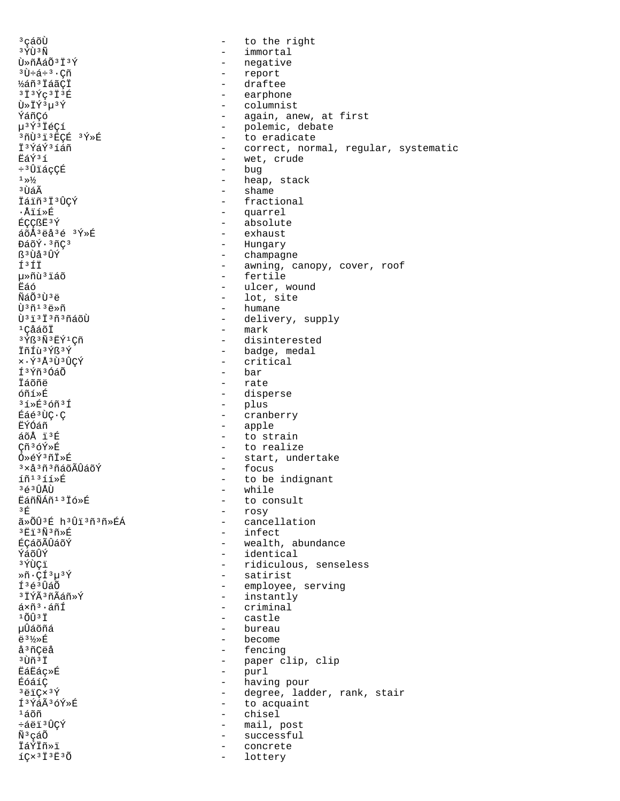<sup>3</sup> cáõÙ to the right  $\equiv$  $3 \tilde{Y} \tilde{U}$  $3 \tilde{N}$ - immortal Ù»ñÅáÕ<sup>3</sup>Ï<sup>3</sup>Ý - negative  $3\hat{U}$ և÷ $3\cdot$ Çñ - report ½áñ<sup>3</sup> Iáã¢I - draftee  $3134C313E$ - earphone Ù»ÏÝ3µ3Ý - columnist ÝáñCó - again, anew, at first - polemic, debate µ3Ý3ÏéCí 3ñÙ3ï3ËCÉ 3Ý»É - to eradicate İ<sup>3</sup>ÝáÝ<sup>3</sup>íáñ - correct, normal, regular, systematic - wet, crude  $F \leq \sqrt{735}$ - bug ÷<sup>3</sup>ÛïácCÉ  $^1 \gg ^1\!\!\!/\!\!{}^2_2$ - heap, stack  $-$  shame <sup>3</sup> ÙáÃ Ïáïñ<sup>3</sup>Ï<sup>3</sup>ÛÇÝ - fractional - quarrel ∙Åïí»É - absolute ÉÇÇßË<sup>3</sup>Ý - exhaust áõÅ3ëå3é 3Ý»É - Hungary ĐáõÝ·3ñC3 ß<sup>3</sup>Ùå<sup>3</sup>ÛÝ - champagne - awning, canopy, cover, roof f3ft uȖù<sup>3</sup>iáõ - fertile - ulcer, wound Ëáó  $\tilde{N}$ á $\tilde{O}$  $3\tilde{U}$  $3\tilde{e}$ - lot, site - humane  $\tilde{U}$ <sup>3 $\tilde{n}$ 13 $\tilde{e}$ » $\tilde{n}$ </sup> Ù<sup>31313</sup>ñ3ñáõÙ - delivery, supply - mark <sup>ı</sup>ÇåáõÏ 3 Ýß 3 Ñ 3 ËÝ 1 Çñ - disinterested - badge, medal ÏñÍù 3Ýß 3Ý x·Ý3Å3Ù3ÛCÝ - critical Í<sup>3</sup>Ýñ<sup>3</sup>ÓáÕ - bar Táõñë - rate - disperse  $661*$ - plus  $31*E$ 36ñ31 - cranberry Éáé<sup>3</sup>ÙC·C - apple FÝÓáñ  $a\tilde{o}$ Å  $i\tilde{o}$ - to strain - to realize Cñ3óÝ»É Ó»éÝ3ñÏ»É - start, undertake - focus <sup>3</sup>×å<sup>3</sup>ñ<sup>3</sup>ñáõÃÛáõÝ íñ<sup>13</sup>íí»É - to be indignant 3é3ÛÅÙ - while EáñÑÁñ<sup>13</sup> Ió»É - to consult - rosy  $3 \nightharpoonup$ ã»ÕÛ3É h3Ûï3ñ3ñ»ÉÁ - cancellation - infect <sup>3</sup>Ei<sup>3</sup>Ñ3ñ≫É ÉCáõÃÛáõÝ - wealth, abundance ÝáõΩิÝ - identical - ridiculous, senseless 3 ÝÙCï - satirist  $*\tilde{n} \cdot C\tilde{1}^3\mu^3\tilde{Y}$ - employee, serving Í<sup>3</sup>é<sup>3</sup>ÛáÕ  $-$  instantly <sup>3</sup> ÏÝÃ3ñÃáñ»Ý  $ax\tilde{n}$ <sup>3</sup>  $\cdot$  and  $-$  criminal  $1\tilde{O} \hat{U}$  $3\ddot{I}$ - castle µÛáõñá bureau  $\overline{a}$ **ë** 3½»丘  $\overline{a}$ become å<sup>3</sup>ñÇëå - fencing - paper clip, clip <sup>3</sup>Ùñ 3Ï **EáËáç**ȃ  $\sim$   $$ purl - having pour ÉóáíC  $3\ddot{\rho}$ i $C \times 3\acute{V}$ - degree, ladder, rank, stair ͪÝáêóÝ»É - to acquaint  $1\tilde{a}$ õñ - chisel - mail, post ևëï ªÛÇÝ Ñ<sup>3</sup>çáÕ  $\sim$ successful ÏáÝÏñ»ï concrete  $IQ \times 3I3E30$  $\sim$ lottery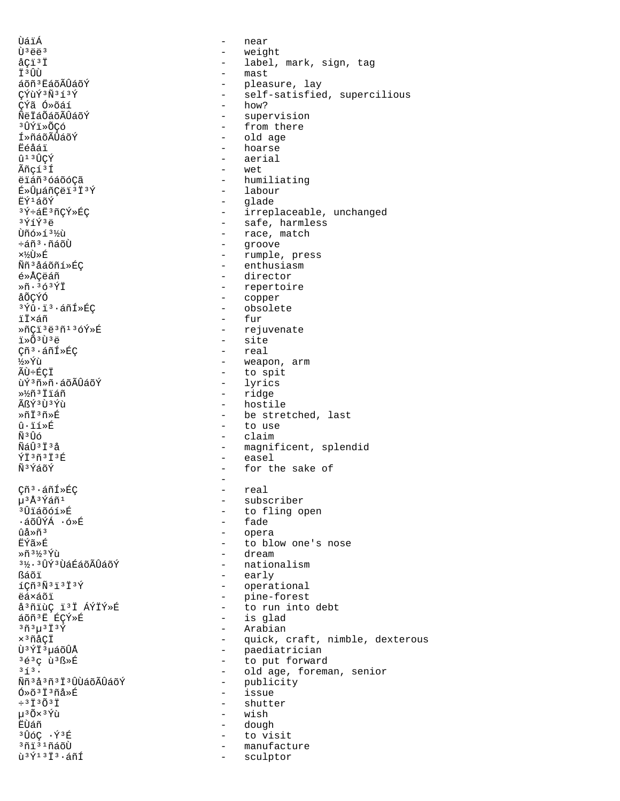ÙáïÁ - near  $\mathring{U}^3 \ddot{\mathbf{e}} \ddot{\mathbf{e}}^3$   $\mathring{U}^3 \ddot{\mathbf{e}} \ddot{\mathbf{e}}^3$   $\mathring{I}$   $\mathring{U}^3$   $\mathring{U}^3$   $\mathring{U}$   $\mathring{U}$   $\mathring{U}$   $\mathring{U}$   $\mathring{U}$   $\mathring{U}$   $\mathring{U}$   $\mathring{U}$   $\mathring{U}$   $\mathring{U}$   $\mathring{U}$   $\mathring{U}$   $\mathring{U}$   $\mathring{U}$   $\$ åÇï<sup>3</sup>Ï - label, mark, sign, tag<br>ï<sup>3</sup>ÛÙ - mast Ϊ<sup>3</sup>ÛÙ - mast<br>áõñ<sup>3</sup>ËáõÃÛáõÝ - mast - plea áõñªËáõÃÛáõÝ - pleasure, lay<br>CÝùݪѪíªÝ - pleasure, lay - pleasure, lay - self-satisfied, supercilious<br>- how? ÇÝã Ó»õáí<br>ÑëÏáÕáõÃÛáõÝ ÑëÏáÕáõÃÛáõÝ - supervision<br><sup>3</sup>ÛÝï»ÕCó - supervision - supervision ³ÛÝï»ÕÇó - from there Í»ñáõÃÛáõÝ - old age = old age = old age = old age = old age = old = old = old = old = old = old = old = old = <br>Ëéåáï = old = old = old = old = old = old = old = old = old = old = old = old = old = old = old = old = old = Ëéåáï - hoarse  $\hat{a}^{13}$ Û $\hat{v}$ Ý - aerial<br>Ãñcí<sup>3</sup>Í - wet - wet ëïáñ<sup>3</sup>óáõóÇã - humiliating - humiliating - humiliating - humiliating - humiliating - humiliating - humiliating - humiliating - humiliating - humiliating - humiliating - humiliating - humiliating - humiliating - humiliatin ɻ۵áñÇëïªÏªÝ<br>ËݪáõÝ ËݪáõÝ - glade - glade<br>قوات - glade - girrep <sup>3</sup>Ý÷áË<sup>3</sup>ñÇÝ»ÉÇ - irreplaceable, unchanged<br><sup>3</sup>ÝíÝ<sup>3</sup>ë  $3\acute{Y}$ í $\acute{Y}$ <sup>3</sup> $\acute{Y}$ í $\ddot{Y}$ ð - safe, harmless  $\tilde{U}$ ñó»í $3\%$ ù - race, match Ùñó»í<sup>3</sup>½ù - race, match<br>÷áñ<sup>3</sup>·ñáõÙ - race, match ÷áñ³·ñáõÙ - groove ×½Ù»É - rumple, press Ññªåáõñí»ÉÇ - enthusiasm - enthusiasm<br>é»ÅÇëáñ - enthusiasm - enthusiasm é»ÅÇëáñ - director »ñ·³ó³ÝÏ - repertoire åÕÇÝÓ - copper - obsolete ïÏ×áñ - fur<br>»ñÇïªëªñªåóÝ»É - fur - reju ȖÇïªëªñºåóÝ»É - rejuvenate<br>ï»ÕªÙªë - site<br>- real Çñª∙áñÍ»ÉÇ<br>½»Ýù - realisation e realisation e realisation e realisation e realisation e realisation e realisation e r ½»Ýù - weapon, arm - to spit<br>- lyrics ùݪñ»ñ∙áõÃÛáõÝ<br>»½ñªÏiáñ »½ñ³Ïïáñ - ridge ÃßÝ<sup>3</sup>Ù<sup>3</sup>Ýù - hostile<br>
> natile + hostile + hostile + hostile + hostile + hostile + hostile + hostile + hostile + hostile + hostile + hostile + hostile + hostile + hostile + hostile + hostile + hostile + hostile + hostile ȖÏ<sup>3</sup>ñ»É - be stretched, last<br>û·ïí»É - be stretched, last û·ïí»É - to use Ñ <sup>3</sup>Ûó - claim<br>ÑáÛ <sup>3</sup>Ï 3å - claim - claim - claim - magnificent, splendid<br>- easel ÝΪ<sup>3</sup>ñªÏªÉ - easel - easel<br>ѪÝáõÝ - - - - - - - - - - - - for th for the sake of the contract of the contract of the contract of the contract of the contract of Chīº·áñÍ»ÉC - real - real - real - real - real - real - real - real - real - real - real - real - real - real - real - real - real - real - real - real - real - real - real - real - real - real - real - real - real - real µ³Å³Ýáñ¹ - subscriber - to fling open<br>- fade ·áõÛÝÁ ·ó»É<br>ûå»ñª ûå»ñ³ - opera ËΫ́ã»É<br>
Ȗ<sup>31/3</sup> Ỳù<br>
- dream
- dream
-– dream<br>– nationalism  $3\frac{1}{2}$ · $3\hat{U}\hat{Y}$  $3\hat{U}$ áÉáõÃÛáõÝ<br>ßáõï  $\frac{1}{2}$  $\frac{1}{2}$  $\frac{1}{3}$  $\frac{1}{3}$  $\frac{1}{2}$  $\frac{1}{3}$  $\frac{1}{2}$  $\frac{1}{2}$  $\frac{1}{3}$  $\frac{1}{2}$  $\frac{1}{2}$  $\frac{1}{2}$  $\frac{1}{3}$  $\frac{1}{2}$  $\frac{1}{2}$  $\frac{1}{2}$  $\frac{1}{3}$  $\frac{1}{2}$  $\frac{1}{3}$  $\frac{1}{2}$  $\frac{1}{2}$  $\frac{1}{3}$  $\frac{1}{2}$  $\frac{1}{2}$  $\frac{1$ - operational ëá×áõï - pine-forest åªñïùÇ ïªÏ ÁÝÏÝ»É<br>áõñªË ÉÇÝ»É áõñ³Ë ÉÇÝ»É - is glad ³ñ³µ³Ï³Ý - Arabian x<sup>3</sup>ñåÇÏ - quick, craft, nimble, dexterous<br>Ù<sup>3</sup>ÝÏ<sup>3</sup>µáõÛÅ - paediatrician Ù³ÝϳµáõÛÅ - paediatrician  $\frac{363}{7}$ c ù $\frac{38}{7}$ .  $\frac{13}{7}$ <br> $\frac{3}{7}$ .  $\frac{13}{7}$  and  $\frac{3}{7}$ .  $\frac{1}{7}$  and  $\frac{3}{7}$ . <sup>3</sup>í<sup>3</sup>· - old age, foreman, senior<br>Ññ<sup>3</sup>å<sup>3</sup>ñ<sup>3</sup>ï<sup>3</sup>ÚÙáõÃÛáõÝ - - publicity Ññ<sup>3</sup>åªñªÏªÛÙáõÃÛáõÝ - publicity<br>Ó»õªÏªñå»É  $\frac{6*}{3}$ <sup>3</sup> $\frac{3}{1}$ <sup>3</sup>ñå»É - issue - issue - issue ÷³Ï³Õ³Ï - shutter µ³Õ׳Ýù - wish ËÙáñ - dough ³ÛóÇ ·Ý³É - to visit - manufacture ù<sup>3Ý13</sup>Ï<sup>3</sup>·áñÍ - sculptor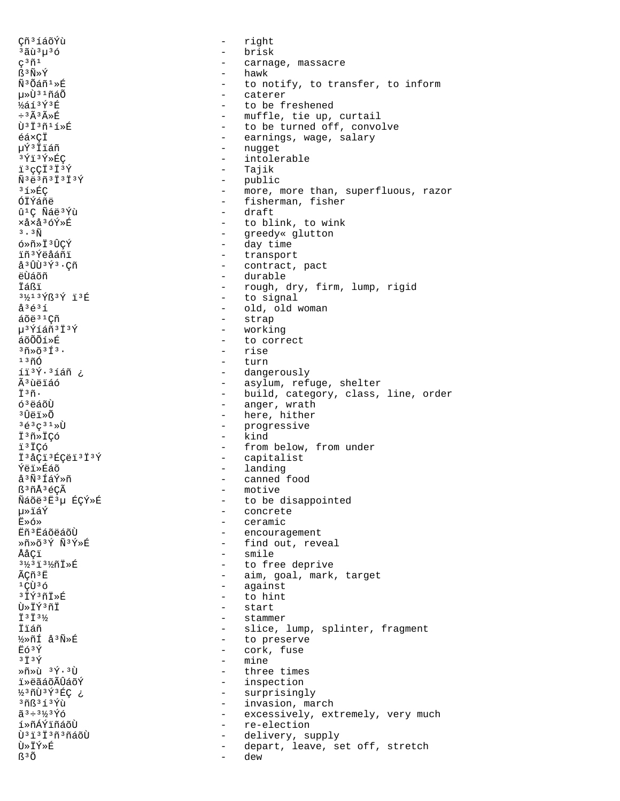Cñ<sup>3</sup>íáõÝù  $\sim$ right <sup>3</sup>ãù 3µ 3ó - brisk  $\frac{1}{2}$  .  $\varsigma^3 \tilde{n}^1$ carnage, massacre - hawk ß3Ñ»Ý Ñ<sup>3</sup>Õáñ<sup>1</sup>»É - to notify, to transfer, to inform µ»Ù31ñáÕ - caterer  $\frac{1}{2}$ áí $\frac{3}{4}$  $\frac{7}{8}$ in - to be freshened - muffle, tie up, curtail  $\div$ <sup>3</sup> $\widetilde{A}$ <sup>3</sup> $\widetilde{A}$ <sup>\*</sup> $E$ Ù<sup>3</sup>Ï3ñ1í»É - to be turned off, convolve - earnings, wage, salary éá×CÏ uݪÏïáñ - nugget - intolerable  $3\overline{Y}$ i $3\overline{Y}$ ȃC i<sup>3</sup>cCT<sup>3</sup>T<sup>3</sup>Ý - Tajik - public  $\tilde{N}$ <sup>3</sup> $\ddot{e}$ <sup>3</sup> $\tilde{T}$ <sup>3</sup> $\ddot{T}$ <sup>3</sup> $\acute{Y}$ - more, more than, superfluous, razor  $31*EC$ ÓÏÝáñë - fisherman, fisher - draft û<sup>1</sup>Ç Ñáë<sup>3</sup>Ýù xåxå<sup>3</sup>óÝ»É - to blink, to wink  $3 \cdot 3 \tilde{N}$ - greedy« glutton - day time ó»ñ»Ï3ÛÇÝ - transport ïñ<sup>3</sup>Ýëåáñï å<sup>3</sup>ÛÙ<sup>3</sup>Ý<sup>3</sup>.Çñ - contract, pact ëtiáõñ - durable **Tá**Ri - rough, dry, firm, lump, rigid 31/13939 13丘 - to signal  $\mathring{a}^3\mathring{e}^3\mathring{1}$ - old, old woman - strap áõë<sup>31</sup>Cñ - working µ<sup>3</sup>Ýíáñ<sup>3</sup>Ï<sup>3</sup>Ý - to correct áõÕÕí»É  $3\tilde{\rm n}\times\tilde{\rm O}3\tilde{\rm 1}3$ . - rise  $1300$ - turn íi3Ý.3íáñ ¿ - dangerously Ã<sup>3</sup>ùëïáó - asylum, refuge, shelter - build, category, class, line, order  $\ddot{T}$  3 $\ddot{\eta}$ . - anger, wrath  $63$ คล์ดีน้ - here, hither <sup>3</sup> ពិឝំ រ៉ »೧ - progressive  $363C31$ - kind I<sup>3</sup>ñ»ICó ï<sup>3</sup>ÏÇó - from below, from under - capitalist Ï<sup>3</sup>åÇï<sup>3</sup>ÉÇëï<sup>3</sup>Ï<sup>3</sup>Ý - landing **Ýëï**ȃáõ - canned food å<sup>3</sup>Ñ<sup>3</sup>ÍáÝ»ñ ß3ñÅ3éÇÃ - motive Ñáõë<sup>3</sup>Ë<sup>3</sup>µ ÉÇÝ»É - to be disappointed µ≫ïáÝ - concrete - ceramic  $Fix 6$ » - encouragement Ëñ ª ËáõëáõÙ - find out, reveal Ȗ»õ3Ý Ñ3Ý»É ÅåCï - smile 31/3131/n1>E - to free deprive ÃÇñ<sup>3</sup>E - aim, goal, mark, target - against  $1C\tilde{U}$  $36$  $3\overline{1}\overline{Y}$  $3\overline{1}\overline{1}$  $\overline{X}$  $\overline{E}$ - to hint Ù»ÏÝ3ñÏ - start  $\ddot{I}$  3  $\ddot{I}$  3  $\frac{1}{2}$ - stammer Ïïáñ - slice, lump, splinter, fragment ½»ñÍ å3Ñ»É - to preserve  $F\circ 3\circ$ - cork, fuse  $3\ddot{7}3\acute{y}$ - mine  $*\tilde{n}*\tilde{u}$   $3\tilde{Y}\cdot 3\tilde{U}$ - three times - inspection ï»ëãáõÃÛáõÝ ½3ñÙ3Ý3ÉÇ ¿ - surprisingly 3ñß3í3Ýù - invasion, march  $\tilde{a}^3 \div 3\frac{1}{2}3\,\tilde{Y}\tilde{0}$ - excessively, extremely, very much - re-election í»ñÁÝïñáõÙ Ù<sup>31313</sup>ñ3ñáõÙ  $\sim$ delivery, supply Ù≫ÏÝ≫É depart, leave, set off, stretch  $\sim$ ß<sup>3</sup>Õ dew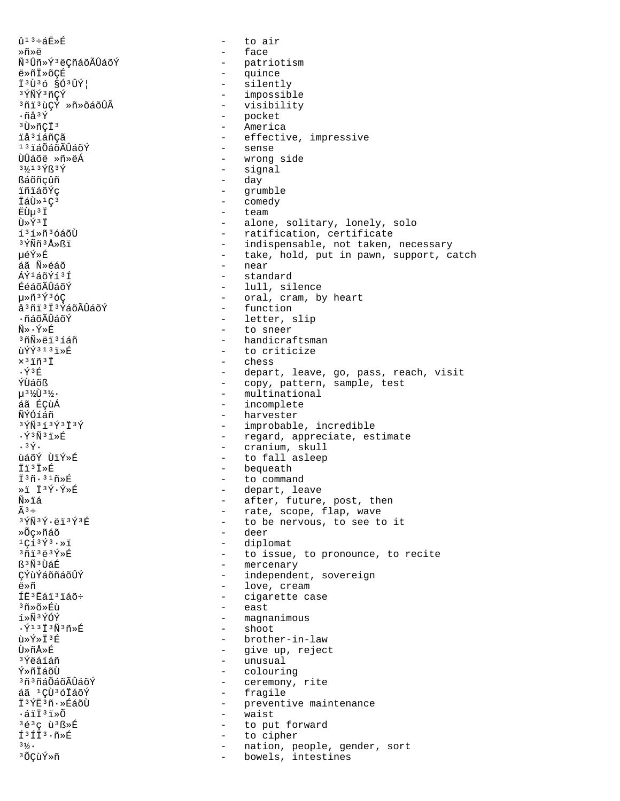$\hat{u}$ <sup>13</sup>ևË»É to air  $\sim$ - face Ȗ»ë Ñ<sup>3</sup>Ûñ»Ý<sup>3</sup>ëÇñáõÃÛáõÝ - patriotism  $\frac{1}{2}$ ë»ñÏ»õÇÉ quince - silently Ï<sup>3</sup>Ù<sup>3</sup>Ó §Ó<sup>3</sup>ÛÝ| - impossible 3 ÝÑÝ 3 ñÇÝ <sup>3</sup>ñi<sup>3</sup>ùÇÝ »ñ»õáõÛÃ - visibility  $\cdot$ ñå $3\acute{Y}$ - pocket - America  $3\overline{U}$ ȖC $\overline{I}$ 3 - effective, impressive iå<sup>3</sup>íáñCã 131áÕáõÃÛáõÝ - sense - wrong side ÙÛáõë »ñ»ëÁ - signal 31/13 YR 3 Y - day ßáõñçûñ - grumble ïñïáõÝc  $\omega_{\rm{max}}$ İáÙ»<sup>1</sup>Ç<sup>3</sup> comedy ËÙµ<sup>3</sup>Ï - team  $\tilde{U} \times \tilde{Y}$ <sup>3</sup> $\tilde{T}$ - alone, solitary, lonely, solo í<sup>3</sup>í»ñ<sup>3</sup>óáõÙ - ratification, certificate - indispensable, not taken, necessary 3 ÝÑñ 3 Å » ß ï µéÝ»É - take, hold, put in pawn, support, catch áã Ñ»éáõ - near - standard ี<br>∆ิ∨์≀ล์∩ัท์ ั<sup>3</sup> T ÉéáõÃÛáõÝ - lull, silence 毤3Ý3óC - oral, cram, by heart - function å 3 ñi 3 i 3 ÝáõÃÛáõÝ ∙ñáõÃÛáõÝ - letter, slip - to sneer Ñ» ⋅ Ý»É <sup>3</sup>ñÑ»ëï<sup>3</sup>íáñ - handicraftsman ùÝÝ313ï»É  $\sim$ to criticize  $\times$ <sup>3</sup> 1m<sup>3</sup> 1 - chess  $\cdot \tilde{Y}$ <sup>3</sup> $F$ - depart, leave, go, pass, reach, visit ÝÙáõß - copy, pattern, sample, test µ3½Ù3½. - multinational - incomplete áã ÉCùÁ - harvester ÑÝÓíáñ  $3 \hat{y} \hat{N} 3 1 3 \hat{y} 3 \hat{1} 3 \hat{y}$ - improbable, incredible  $\cdot$   $\tilde{Y}$ <sup>3</sup> $\tilde{N}$ <sup>3</sup> $\tilde{1}$   $\tilde{E}$ - regard, appreciate, estimate - cranium, skull  $.3\overline{Y}$ . - to fall asleep ùáõÝ ÙïÝ»É - bequeath Ïï<sup>3</sup>Ï≫É  $\overline{1}^3\tilde{n}$ .  $31\tilde{n}*\tilde{E}$  $\sim$ to command »i I<sup>3</sup>Ý·Ý»É - depart, leave - after, future, post, then Ñ≫ïá  $\tilde{A}^3 \div$ - rate, scope, flap, wave  $3\overline{\Upsilon} \widetilde{\rm N}$  $3\overline{\Upsilon}$  ·  $\ddot{\rm e}$   $1\overline{\phantom{0}}$   $3\overline{\Upsilon}$   $3\overline{\Upsilon}$ - to be nervous, to see to it - deer »Õc»ñáõ - diplomat  $1C_{1}^{2}3\overline{Y}3.8$  $371323$  $9 \times 7$ - to issue, to pronounce, to recite - mercenary ß<sup>3</sup>Ñ<sup>3</sup>ÙáÉ ÇÝùÝáõñáõÛÝ - independent, sovereign - love, cream ë»ñ ÍË<sup>3</sup> Ëáï<sup>3</sup> ïáõ÷ - cigarette case <sup>3</sup>ñ»õ»Éù  $\sim$ east í»Ñ3ÝÓÝ magnanimous  $\sim$  $\cdot$ Ý $^{13}$ I $^3$ Ñ $^3$ ñ»É - shoot ù»Ý»Ï3É - brother-in-law นิ»กึ∆ิ»ที - give up, reject - unusual <sup>3</sup>Ýëáíáñ Ý»ñÏáõÙ - colouring - ceremony, rite <sup>3</sup>ñªñáÕáõÃÛáõÝ - fragile áã <sup>1</sup>CÙ<sup>3</sup>óÏáõÝ I<sup>3</sup>ÝE<sup>3</sup>ñ · »ÉáõÙ - preventive maintenance  $\cdot$ áïÏ $3$ ï»Õ  $\sim$   $$ waist  $363c$   $\tilde{u}$  $3B$  $\tilde{E}$ to put forward  $\sim$  $f3f13.5*E$  $\sim$ to cipher  $3\frac{1}{2}$ . nation, people, gender, sort  $\sim$ <sup>3</sup>ÕÇùÝ»ñ  $\overline{a}$ bowels, intestines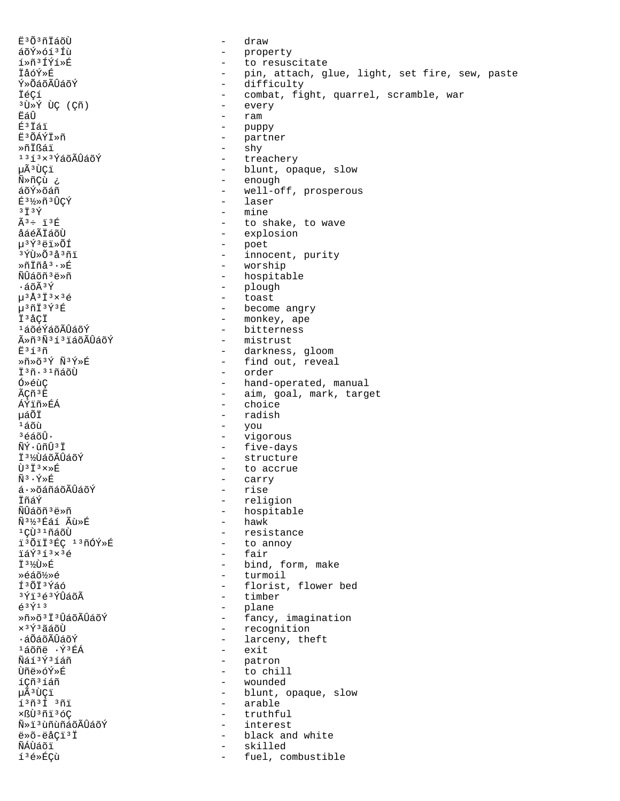E<sup>3</sup>Õ<sup>3</sup>ñĪáõÙ draw  $\sim$ áõÝ»óí3Íù  $\sim$ property í»ñ3ÍÝí»É  $\sim$  10  $\,$ to resuscitate - pin, attach, glue, light, set fire, sew, paste<br>- difficulty **ÏåóÝ**ȃ Ý»ÕáõÃÛáõÝ - combat, fight, quarrel, scramble, war İéÇí - every <sup>3</sup>Ù »Ý ÙÇ (Çñ) ËáÛ ram - puppy  $E3T51$ - partner ˪ÕÁÝÏ»ñ Ȗİßái - shy  $1313 \times 3$ ÝáõÃÛáõÝ - treachery µÃªÙÇï - blunt, opaque, slow - enough Ñ»ñÇù ¿  $\frac{1}{2}$  . áõÝ»õáñ well-off, prosperous É3½»ñ3ÛÇÝ laser  $\sim$ - mine  $3\ddot{1}3\acute{2}$  $\tilde{A}^3$  ÷  $i^3$ É - to shake, to wave - explosion åáéÃÏáõÙ µ<sup>3</sup>Ý3ëï»ÕÍ - poet - innocent, purity <sup>3</sup>ÝÙ»Õ<sup>3</sup>å<sup>3</sup>ñï  $*\tilde{\texttt{n}}$ İñå $3 \cdot *\tilde{\texttt{E}}$ - worship - hospitable ÑÛáõñ ªë»ñ - plough  $.5$  $\tilde{A}$  $\tilde{A}$  $\tilde{A}$  $u$ <sup>3</sup>Å<sup>3</sup> $\ddot{1}$ <sup>3</sup> $\times$ <sup>3</sup> $\acute{e}$  $\Delta \sim 10^{-11}$ toast - become angry  $u$ <sup>3</sup>ñÏ<sup>3</sup>Ý<sup>3</sup>É İ<sup>3</sup>åÇİ - monkey, ape - bitterness 1áõéÝáõÃÛáõÝ - mistrust ûñ3Ñ3í3ïáõÃÛáõÝ  $E^3$ í $^3$ ñ - darkness, gloom Ȗ»õ3Ý Ñ3Ý»É - find out, reveal Ï<sup>3</sup>ñ.<sup>31</sup>ñáõÙ - order - hand-operated, manual Ó»éùC - aim, goal, mark, target ÃCñ<sup>3</sup>Ë - choice ÁÝïñ»ÉÁ uáÕÏ - radish - you  $150$  $36600$  $\frac{1}{2}$  . vigorous - five-days ÑÝ·ûñÛ<sup>3</sup>Ï - structure Ï3½ÙáõÃÛáõÝ Ù<sup>3</sup>Ï<sup>3</sup>×>É - to accrue Ñ3 ·Ý≫É - carry  $\acute{\text{a}}\cdot\ast$ õáñáõÃÛáõÝ - rise ÏñáÝ - religion - hospitable ÑÛáõñ<sup>3</sup>ë»ñ - hawk N<sup>31</sup>2<sup>3</sup>Eai Au>É - resistance 1 ÇÙ <sup>31</sup>ñáõÙ i3ÕiÏ3ÉC 13ñÓÝ»É - to annoy ïáÝ3í3×3é - fair Ⅰ31⁄①》P - bind, form, make - turmoil Ȏáõ½»é Í<sup>3</sup>ÕÏ<sup>3</sup>Ýáó - florist, flower bed - timber 3Ýi3é3ÝÛáõÃ  $\acute{\text{e}}$ <sup>3 $\acute{\text{y}}$ <sup>13</sup></sup> - plane - Finne<br>- fancy, imagination Ȗ»õ<sup>3</sup>Ï<sup>3</sup>ÛáõÃÛáõÝ - recognition  $\times$ <sup>3 $\acute{\text{Y}}$ <sup>3</sup>ãáõÙ</sup> - larceny, theft ·áÕáõÃÛáõÝ <sup>1</sup>áõñë · Ý<sup>3</sup>ÉÁ - exit Ñáí3Ý3íáñ - patron Ùñë»óÝ»É  $\sim$  10  $\pm$ to chill íCñ<sup>3</sup>íáñ - wounded µÃªÙCï - blunt, opaque, slow  $1373137$ - arable xßÙ3ñï3óÇ  $\sim$ truthful ѻi3ùñùñáõÃÛáõÝ interest  $\equiv$ ë»õ-ëåÇï<sup>3</sup>Ï black and white  $\sim$ ÑÁÙáõï skilled í<sup>3</sup>é»ÉÇù fuel, combustible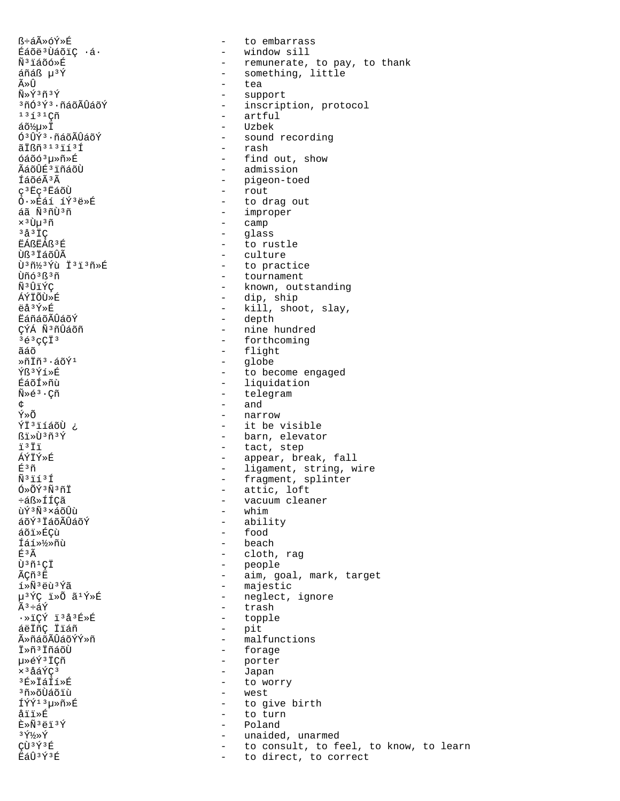ß÷áûóÝ»É Éáõë<sup>3</sup>ÙáõiÇ ·á· Ñ<sup>3</sup>iáõó»É áñáß µ<sup>3</sup>Ý Ã≫Û  $\tilde{N} \times \tilde{Y}$ <sup>3</sup> $\tilde{N}$ <sup>3</sup> $\tilde{Y}$ <sup>3</sup>ñÓ<sup>3</sup>Ý<sup>3</sup>·ñáõÃÛáõÝ  $1313$ áõ½u»Ï Ó<sup>3</sup>ÛÝ<sup>3</sup>·ñáõÃÛáõÝ  $\tilde{a}$   $\tilde{I}$  $\tilde{B}$  $\tilde{n}$  $3$   $1$   $3$   $\tilde{1}$  $1$  $3$  $\tilde{1}$  $6400<sup>3</sup>$ uȖ»É ÃáõÛÉ3ïñáõÙ ÍáõéêÃ c<sup>3</sup>Ec<sup>3</sup>EáõÙ Ó·»Éáí íÝ3ë»É áã Ñ3ñÙ3ñ x 3 Ùu 3 ñ  $3a3TC$ EÁßEÁß<sup>3</sup>É Ùß<sup>3</sup>ÏáõÛÃ Ù3ñ½3Ýù Ï3ï3ñ»É Ùñó 3 ß 3 ñ Ñ3ÛïÝC ÁÝÏÕÙ»É ëå3Ý»É **EáñáõÃÛáõÝ** ÇÝÁ Ñ<sup>3</sup>ñÛáõñ  $363$  cci<sup>3</sup> ãáõ  $*\tilde{\rm n} \tilde{\rm 1} \tilde{\rm n}^3 \cdot \tilde{\rm a} \tilde{\rm o} \tilde{\rm Y}^1$ Ýß3Ýí»É **ÉáõÍ**Ȗù  $\tilde{N} \geq \tilde{\epsilon}^3 \cdot \text{C} \tilde{n}$ උ Ý»Õ vi<sup>3</sup>iíáõÙ ¿ ßï»Ù3ñ3Ý ï3Ïï ÁÝÏÝ»É É3ñ  $\tilde{N}$ <sup>3</sup> $\tilde{1}$   $\tilde{1}$   $\tilde{1}$  $0*0*3*3*1*$ ևß»ÍÍ¢ã ùÝ3Ñ3×áõÛù áõݪ ÏáõÃÛáõÝ áõi»ÉCù Íáí»½»ñù  $E3 \tilde{A}$ Ù<sup>3</sup>ñ<sup>1</sup>CÏ ÃÇñ<sup>3</sup>E í»ÑªëùªÝã µ<sup>3</sup>ÝÇ ï»Õ ã<sup>1</sup>Ý»É  $\tilde{A}^3 \div \tilde{a} \tilde{Y}$ ·»ïÇÝ ï3å3É»É áëIñ¢ Iláñ ûñáõÃÛáõÝÝ»ñ IȖ<sup>3</sup>IñáõÙ 毂ݪÏÇñ  $\times$ <sup>3</sup>åáÝC<sup>3</sup>  $3F*TAT5*F$ <sup>3</sup>ที่» ก็นี้ล์ก็ว่า ÍÝÝ<sup>13</sup>u»ñ»É åïï»É **È**≫Ñ3ëï<sup>3</sup>Ý з ұ́½»ұ́ CÙ3Ý3É EáÛ3Ý3É

- to embarrass - window sill - remunerate, to pay, to thank - something, little - tea - support - inscription, protocol  $-$  artful - Uzbek - sound recording - rash - find out, show - admission - pigeon-toed  $-$  rout - to drag out - improper - camp - glass - to rustle - culture - to practice - tournament - known, outstanding - dip, ship - kill, shoot, slay, - depth - nine hundred - forthcoming - flight - globe<br>- to become engaged - liquidation - telegram  $-$  and - narrow - it be visible - barn, elevator - tact, step - appear, break, fall - ligament, string, wire - fragment, splinter - attic, loft - vacuum cleaner - whim - ability - food - beach - cloth, rag - people - aim, goal, mark, target - majestic - neglect, ignore - trash - topple - pit - malfunctions - forage - porter - Japan - to worry - west - to give birth - to turn - Poland - unaided, unarmed - to consult, to feel, to know, to learn

- to direct, to correct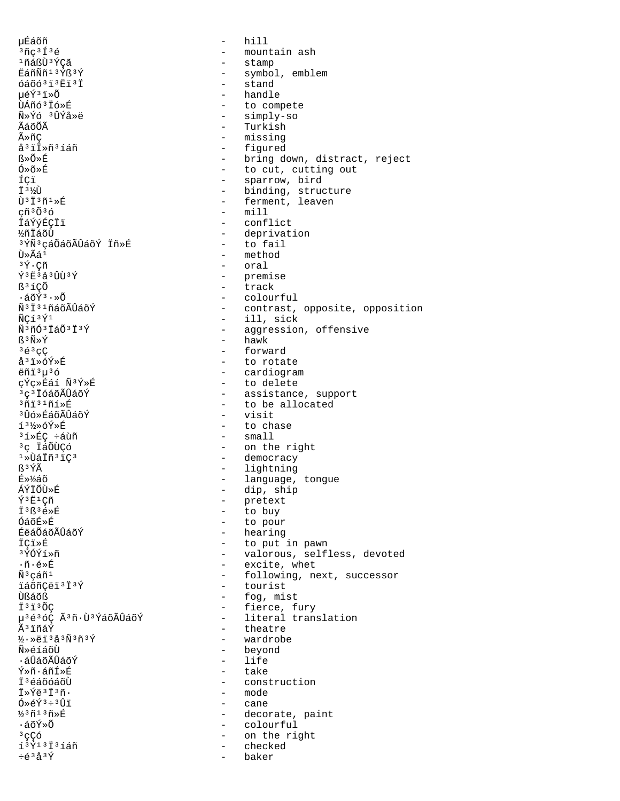น**E**ิล์oัñ hill  $\sim$  $37c313e$ - mountain ash 1ñáßÙ3ÝÇã - stamp - symbol, emblem EáñÑñ<sup>13</sup>Ýß<sup>3</sup>Ý - stand  $6406313E13T$ - handle µéݪï»Õ ÙÁñó<sup>3</sup> Ió»É - to compete - simply-so Ñ»Ýó 3ÛÝå»ë - Turkish ÃáõÕÃ - missing  $\widetilde{A} \gg \widetilde{n} C$ å<sup>3</sup>il»ñ<sup>3</sup>íáñ - figured - bring down, distract, reject  $R \times \widetilde{O} \times \widetilde{E}$ - to cut, cutting out Ó»õ»É ÍÇï - sparrow, bird - binding, structure I<sup>31</sup>  $\tilde{U}$ <sup>3</sup> $\tilde{I}$ <sup>3</sup> $\tilde{n}$ <sup>1</sup> $\gg$ É - ferment, leaven  $-$  mill  $\varphi$ ñ<sup>3</sup>Õ<sup>3</sup>Ó İáÝýÉÇİï - conflict - deprivation **½ñÏáõÙ** - to fail <sup>3</sup>ÝÑ<sup>3</sup>çáÕáõÃÛáõÝ Ïñ»É - method Ù»Ãá<sup>1</sup> - oral  $3\tilde{\Upsilon} \cdot C \tilde{n}$ - premise  $\hat{Y}$ <sup>3</sup> $\hat{E}$ <sup>3</sup> $\hat{A}$ <sup>3</sup> $\hat{U}$  $\hat{U}$ <sup>3</sup> $\hat{Y}$ - track ß<sup>3</sup>íCÕ - colourful  $\cdot$ áõÝ $3 \cdot \infty$ Õ Ñ<sup>3</sup>İ<sup>31</sup>ñáõÃÛáõÝ - contrast, opposite, opposition  $-$  ill, sick ÑÇí<sup>3</sup>Ý<sup>1</sup> - aggression, offensive Ñ3ñÓ3ÏáÕ3Ï3Ý  $-$  hawk ß<sup>3</sup>Ñ»Ý  $363C$ - forward - to rotate å<sup>3</sup>ï»óÝ»É ëñï<sup>3</sup>µ<sup>3</sup>ó - cardiogram çÝç»Éáí Ñ3Ý»É - to delete - assistance, support <sup>3</sup>ç<sup>3</sup> İóáõÃÛáõÝ - to be allocated  $3013105$ <sup>3</sup>Ūó»ÉáõÃÛáõÝ  $-$  visit  $13\frac{1}{2}$   $6\frac{1}{2}$   $\frac{1}{2}$  $-$  to chase  $-$  small <sup>3</sup>í»ÉC ÷áùñ - on the right <sup>3</sup>ç ÏáÕÙÇó - democracy  $1*U$ áiñ $31C3$ - lightning ß3ÝÃ - language, tongue É»¼áõ - dip, ship ÁÝÏÕÙ»É - pretext  $\tilde{Y}$ <sup>3</sup> $E$ <sup>1</sup>Cñ - to buy İ<sup>3</sup>ß<sup>3</sup>é»É - to pour ÓáõÉ≫É - hearing ÉëáÕáõÃÛáõÝ - to put in pawn İCi»É  $3\overline{Y}$ ∩ $\overline{Y}$ 1Ȗ - valorous, selfless, devoted  $\cdot$ ñ $\cdot$ é»É - excite, whet - following, next, successor Ѫcáñ1 - tourist ïáõñÇëï<sup>3</sup>Ï<sup>3</sup>Ý - fog, mist Ùßáõß - fierce, fury Ï<sup>3</sup>i<sup>3</sup>ÕÇ µ<sup>363</sup>óÇ Ã<sup>3</sup>ñ·Ù<sup>3</sup>ÝáõÃÛáõÝ - literal translation - theatre êïñáÝ - wardrobe  $\frac{1}{2}$ . ȑi 3å 3Ñ 3ñ 3Ý Ñ»éíáõÙ - beyond  $-$  life • ส์นิล์ดิลันิล์ดัห์ ∀ิ≫กั∙ล์กัf≫R์ - take - construction Ť3éáõóáõÙ  $\ddot{\tau}$ » $\acute{\tau}$ ä $3\ddot{\tau}$  $3\ddot{\tau}$ .  $- \mod P$  $0 \times 6 \tilde{Y}^3 \div 3 \hat{U} \tilde{I}$ - cane  $\frac{1}{2}$ <sup>3</sup> $\tilde{n}$ <sup>1</sup> $\tilde{n}$  $\tilde{n}$  $\tilde{n}$ - decorate, paint - colourful ∙áõÝ»Õ  $3qC$ ó - on the right í<sup>3</sup>Ý<sup>13</sup> I<sup>3</sup>íáñ - checked  $\div \acute{\mathrm{e}}^3\acute{\mathrm{a}}^3\acute{\mathrm{Y}}$ baker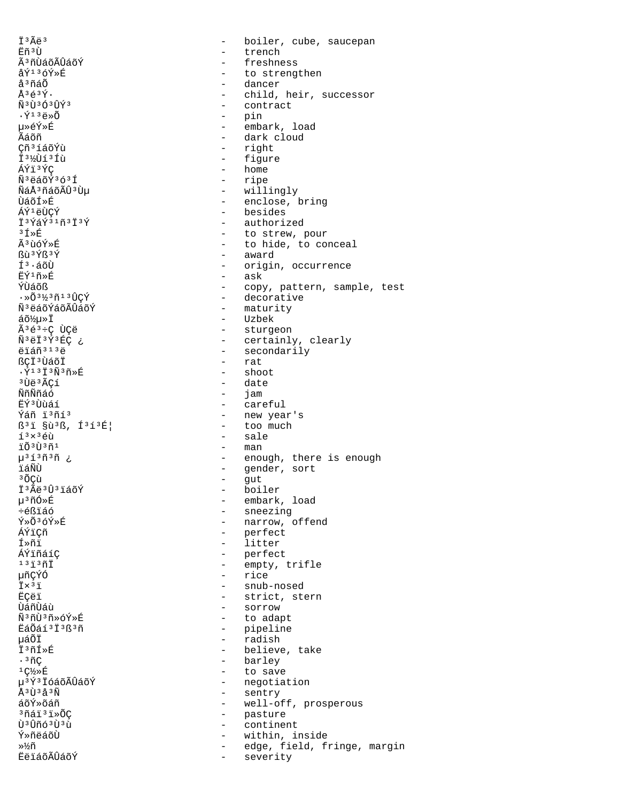İ<sup>3</sup>Ãë<sup>3</sup>  $E\tilde{n}$ <sup>3 $\tilde{U}$ </sup> Ã<sup>3</sup>ñÙáõÃÛáõÝ  $\mathring{\text{a}}\mathring{\text{Y}}$ <sup>13</sup> $\mathring{\text{c}}\mathring{\text{Y}}\mathring{\text{B}}$ å<sup>3</sup>ñáÕ  $Å3639.$  $\tilde{N}$ <sup>3</sup>Ù<sup>3</sup>Ó<sup>3</sup>ÛÝ<sup>3</sup>  $\cdot$ Ý $^{13}$ ë» $\tilde{0}$ uȎÝ»É Ãáõñ Cñ<sup>3</sup>íáõÝù T 31/11 5 3 Til ÁÝï3ÝC Ñ<sup>3</sup>ëáõÝ3ó3Í ÑáŪñáõÃÛªÙµ ÙáõÍ≫É ÁÝ<sup>1</sup>ëÙCÝ I3ÝáÝ31ñ3I3Ý  $3f$  » $E$  $\tilde{A}$ <sup>3</sup> บ้ค์ $\tilde{Y}$ » หิ  $R_1$  3  $\acute{\gamma}R_3\acute{\gamma}$  $1^3 \cdot 4$ õÙ ஈ้∀์1ñ»É ์<br>ที่นี่ล์∩ัห  $\cdot\,\ast\,\!\tilde{\mathrm{O}}\,{}^{3}\,\!{\rm M}\,{}^{3}\,\!\tilde{\mathrm{H}}\,{}^{1}\,{}^{3}\,\!\hat{\mathrm{H}}\mathrm{C}\,\!\acute{\mathrm{V}}$ Ñ<sup>3</sup>ëáõÝáõÃÛáõÝ áõ½µ»Ï Ã3é3÷Ç ÙÇë Ñ<sup>3</sup>ëÏ<sup>3</sup>Ý3ÉÇ ¿ ëïáñ<sup>313</sup>ë ßçï<sup>3</sup>ÙáõÏ  $\cdot$ Ý<sup>13</sup>I<sup>3</sup>Ñ<sup>3</sup>ñ»É <sup>3</sup>Ùë<sup>3</sup>ÃCí ÑñÑñáó πีΥ์<sup>3</sup>Ùùáí Ýáñ ï3ñí3 ß<sup>3</sup>i §ù<sup>3</sup>ß, Í<sup>3</sup>í<sup>3</sup>É!  $13 \times 36$ ù ïõ3ù3ñ1 µ<sup>3</sup>í3ñ3ñ ¿ ïáÑÙ <sup>3</sup>ÕCù İ<sup>3</sup>Ãë<sup>3</sup>Û<sup>3</sup>iáõÝ µ<sup>3</sup>ñÓ»É ֎ßïáó Ý»Õ3óÝ»É ÁÝiCñ fȖi ÁÝïñáíC  $13137$ 椀ÝÓ  $\ddot{\text{I}} \times$ <sup>3</sup> $\ddot{\text{I}}$ **ËÇëï** บิล์กีบัล<sub>ี</sub>น้ Ñ3ñÙ3ñ»óÝ»É EáÕáí 3 İ 3 ß 3 ñ μáÕΪ İ<sup>3</sup>ñÍ»É  $\cdot$ <sup>3</sup> $\tilde{\text{nc}}$  $1C\frac{1}{2} \times F$ u<sup>3</sup>Ý<sup>3</sup> IóáõÃÛáõÝ  $\AA$ <sup>3</sup>U  $^3$  $\AA$ <sup>3</sup> $\tilde{\rm N}$ áõÝ»õáñ <sup>3</sup>ñáï<sup>3</sup>ï»ÕC Ù<sup>3</sup>Ûñó<sup>3</sup>Ù<sup>3</sup>ù Ý»ñëáõÙ »½ñ **EëláõÃÛáõÝ** 

boiler, cube, saucepan  $\qquad \qquad \qquad \qquad$ trench freshness  $\equiv$ to strengthen  $\sim$ dancer  $\equiv$ child, heir, successor  $\overline{a}$ - contract - pin  $\mathbf{L}$ embark, load - dark cloud - right - figure  $-$  home - ripe - willingly - enclose, bring - besides  $\sim$ authorized - to strew, pour - to hide, to conceal - award - origin, occurrence - ask - copy, pattern, sample, test - decorative - maturity - Uzbek - sturgeon - certainly, clearly - secondarily - rat - shoot - date - jam - careful - new year's  $-$  too much - sale  $-$  man - enough, there is enough - gender, sort - gut - boiler - embark, load - sneezing - narrow, offend - perfect - litter - perfect - empty, trifle - rice - snub-nosed - strict, stern - sorrow to adapt  $\sim$ - pipeline  $\frac{1}{2}$ radish - believe, take - barley - to save - negotiation - sentry - well-off, prosperous - pasture continent  $\sim$  $\sim$ within, inside edge, field, fringe, margin  $\sim$  $\sim$ severity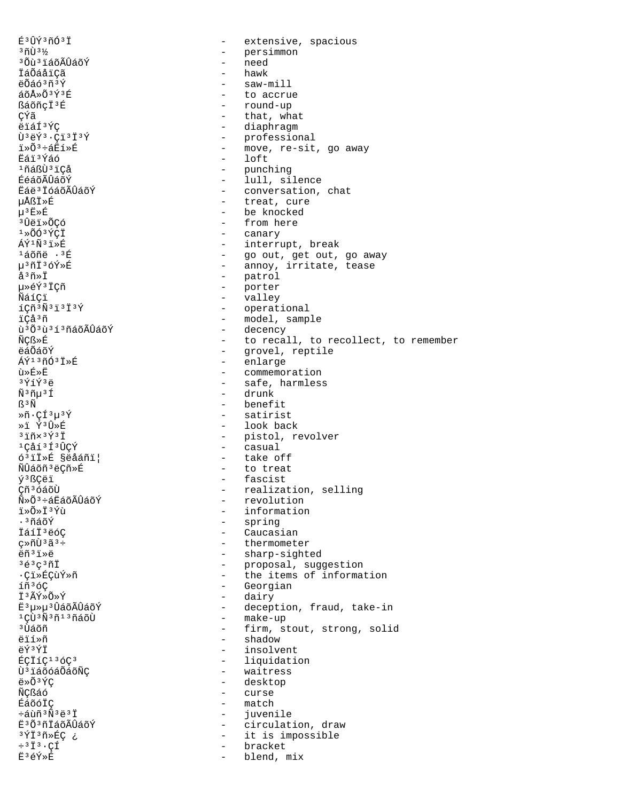É<sup>3</sup>ÛÝ<sup>3</sup>ñÓ<sup>3</sup>Ï extensive, spacious  $\qquad \qquad 3003\%$ - persimmon <sup>3</sup> Õù <sup>3</sup> LáõÃÛáõÝ  $\frac{1}{2}$  . need - hawk İáÕáåïÇã ëÕáó3ñ3Ý - saw-mill áõÅ»Õ3Ý3É - to accrue - round-up ßáõñçi<sup>3</sup>É çýã - that, what ëïáÍ<sup>3</sup>ÝC - diaphragm  $\hat{U}$ <sup>3</sup> $\hat{e}$  $\hat{Y}$ <sup>3</sup> ·  $C$ <sup>1</sup><sup>3</sup><sup>1</sup><sup>3</sup> $\hat{Y}$ - professional - move, re-sit, go away  $7 \times 03 + 27 \times 12$ **Eái**3Ýáó  $-$  loft - punching 1ñáßÙ 3 ï Cả - lull, silence ÉéáõÃÛáõÝ Ëáë<sup>3</sup> IóáõÃÛáõÝ - conversation, chat - treat, cure µÅßÏ≫É  $\mu^3 E \times E$ - be knocked - from here <sup>3</sup>Ûëï»ÕÇó - canary  $1*00*5C1$ - interrupt, break ÁÝ<sup>1</sup>Ñ3ï»É - go out, get out, go away<br>- annoy, irritate, tease <sup>1</sup>áõñë · 3É µ3ñÏ3óÝ»É - patrol  $\mathring{a}^3$ ñ»İ - porter uȎÝ3 ICñ - valley ÑáíCï  $1C\tilde{n}$  $3\tilde{N}$  $3\tilde{1}$  $3\tilde{1}$  $3\tilde{Y}$ - operational ïÇå<sup>3</sup>ñ - model, sample - decency ù<sup>3</sup>Õ<sup>3</sup>ù<sup>3</sup>í<sup>3</sup>ñáõÃÛáõÝ - to recall, to recollect, to remember ÑÇß»É - grovel, reptile ëáÕáõÝ - enlarge ÁÝ<sup>13</sup>ñÓ<sup>3</sup>Ï»É ù»É»Ë - commemoration 3ÝíÝ3ë - safe, harmless - drunk  $\tilde{N}$ <sup>3</sup> $\tilde{n}$  $\mu$ <sup>3</sup> $\tilde{1}$ ß∃Ñ  $-$  benefit  $*$ ñ  $*$  C $1313$ - satirist  $*$  73 $\hat{U}$ - look back  $3\overline{1}$ ñx $3\overline{Y}$  $3\overline{1}$ - pistol, revolver - casual 1Cåí<sup>3</sup>Í<sup>3</sup>ÛCÝ - take off ó<sup>3</sup>iİ»É §ëåáñi| - to treat ÑÛáõñ<sup>3</sup>ëÇñ»É - fascist ý<sup>3</sup>ßÇëï Çñ<sup>3</sup>óáõÙ - realization, selling - revolution Ñ»Õ3÷áËáõÃÛáõÝ - information ï»Õ»Ï3Ýù .<sup>3</sup>ñáõÝ - spring - Caucasian ÏáíÏ<sup>3</sup>ëóC cȖÙ3ã3÷ - thermometer - sharp-sighted  $\ddot{\rho}$ ñ<sup>3</sup>i» $\ddot{\rho}$ - proposal, suggestion  $363C371$ ∙Çï»ÉÇùÝ»ñ - the items of information - Georgian íñ<sup>3</sup>óC - dairy Ï3ÃݻջÝ Ë<sup>3</sup>µ»µ<sup>3</sup>ÛáõÃÛáõÝ - deception, fraud, take-in - make-up 1CU3Ñ3ñ13ñáõU - firm, stout, strong, solid <sup>3</sup>Ùáõñ ëïí»ñ - shadow AÝ3ÝŤ - insolvent - liquidation ÉÇÏíÇ<sup>13</sup>óÇ<sup>3</sup> Ù<sup>3</sup> láõóáÕáõÑÇ - waitress - desktop  $\ddot{e} \times \tilde{O}$ <sup>3</sup> $\acute{Y}C$ - curse ÑCßáó - match ÉáõóÏC ևùñ3Ñ3ë3Ï  $\sim$   $$ juvenile - circulation, draw E3Õ3ñĪáõÃÛáõÝ 3ÝÏ3ñ»ÉÇ ¿ - it is impossible - bracket  $\div$ <sup>3</sup> $\ddot{I}$ <sup>3</sup> · CÍ Ë3éÝ»É  $\overline{a}$ blend, mix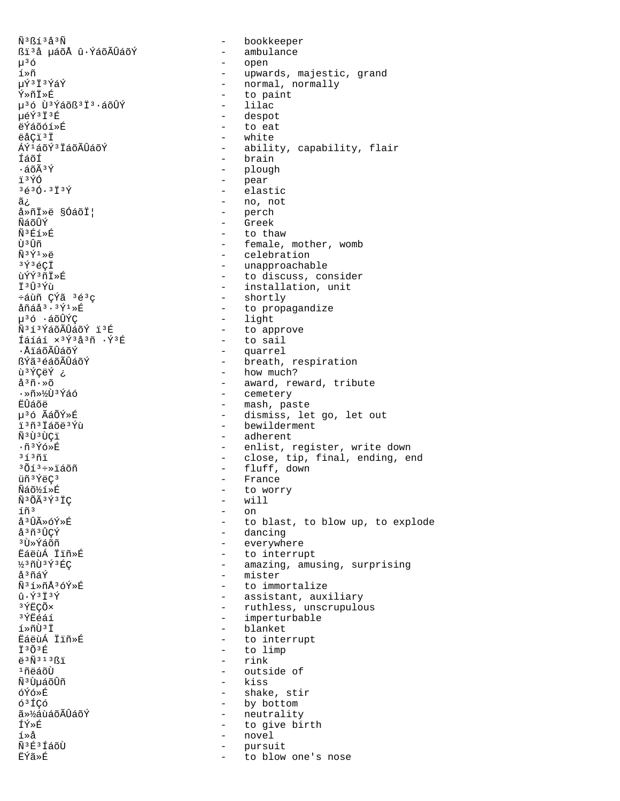$\tilde{N}$ <sup>3</sup> $\tilde{K}$ 13 å 3 $\tilde{N}$ ßi'å µáõÅ û ÝáõÃÛáõÝ  $\mu^3$ ó í»ñ µÝ3Ï3ÝáÝ Ý»ñÏ»É µ<sup>3</sup>ó Ù<sup>3</sup>Ýáõß<sup>3</sup>Ï<sup>3</sup>·áõÛÝ µéÝ3Ï3É ëÝáõóí»É ëåCï<sup>3</sup>Ï ÁÝ1áõÝ3 ÏáõÃÛáõÝ fáñf  $\cdot$ áõÃ $3\bar{Y}$ ï3ÝÓ  $3630.3139$ ã¿ å»ñÏ»ë §ÓáõÏ| ÑáõÛÝ Ñ3Éí»É tì 3 tìñ  $\tilde{N}$ <sup>3 $\tilde{Y}$ <sup>1</sup> $\gg$ ë</sup>  $3\acute{\gamma}$  $3\acute{\epsilon}$ CÏ ùÝÝ3ñÏ»É † 3 ปี 3 Y้า 1 ևùñ CÝã 3é3c  $\hat{a}$ ñá $\hat{a}$ <sup>3</sup> · <sup>3</sup> $\hat{Y}$ <sup>1</sup> » $\hat{E}$ µ3ó ∙áõÛÝÇ Ñ3í3ÝáõÃÛáõÝ ï3É Íáíáí x<sup>3</sup>Ý<sup>3</sup>å<sup>3</sup>ñ ·Ý<sup>3</sup>É ∙ÅïáõÃÛáõÝ ßÝã3éáõÃÛáõÝ ù <sup>3</sup>ÝÇëÝ ¿  $a^3 \tilde{n} \cdot \tilde{\infty}$ ∙»ñ»½ÙªÝáó ËÛáõë น<sup>3</sup>ó A๊á ÕÝ» หิ i<sup>3</sup>ñ<sup>3</sup> Iáõë<sup>3</sup>Ýù Ñ<sup>3</sup>Ù<sup>3</sup>ÙCï ·ñ3Ýó»É  $31371$ <sup>3</sup>Õí<sup>3</sup>÷»ïáõñ üñ<sup>3</sup>ÝëC<sup>3</sup> Ñáõ½í»É Ñ3ÕÃ3Ý3ÏÇ íñ<sup>3</sup> å<sup>3</sup>ÛûóÝ»É å<sup>3</sup>ñ<sup>3</sup>ÛCÝ <sup>3</sup>∏ิ่≫Y์ล์∩ักี EáeuÁ Iiñ»É  $337373E$ åªñáÝ Ñ3í»ñÅ3óÝ»É  $\hat{u} \cdot \hat{Y}$ <sup>3</sup> $\check{T}$ <sup>3</sup> $\check{Y}$ 3 ÝËÇÕ× 3ÝĖéáí í»ñÙ<sup>3</sup>Ï EáëùÁ Ïïñ»É  $\ddot{T}$  3 $\tilde{O}$  3 $\acute{F}$  $\ddot{e}$ <sup>3 $\tilde{N}$ 313 $\tilde{S}$ i</sup>  $1$ ñëáõÙ พี3บิบล์ก็บิที óÝó»É 6<sup>3</sup>ÍCó 㻽áùáõÃÛáõÝ ÍÝ≫É í»å Ñ<sup>3</sup>É<sup>3</sup>ÍáõÙ **ËÝã** ≫É  $\overline{a}$ 

- bookkeeper - ambulance - open - upwards, majestic, grand - normal, normally - to paint - lilac - despot - to eat - white - ability, capability, flair - brain - plough - pear - elastic - no, not - perch - Greek - to thaw - female, mother, womb - celebration - unapproachable - to discuss, consider - installation, unit - shortly - to propagandize - light - to approve - to sail - quarrel - breath, respiration - how much? - award, reward, tribute - cemetery - mash, paste - dismiss, let go, let out - bewilderment - adherent - enlist, register, write down - close, tip, final, ending, end - fluff, down - France - to worry  $-$  will  $-$  on - to blast, to blow up, to explode - dancing - everywhere - to interrupt - amazing, amusing, surprising - mister - to immortalize - assistant, auxiliary - ruthless, unscrupulous - imperturbable - blanket - to interrupt - to limp  $-$  rink - outside of - kiss - shake, stir - by bottom - neutrality - to give birth - novel pursuit to blow one's nose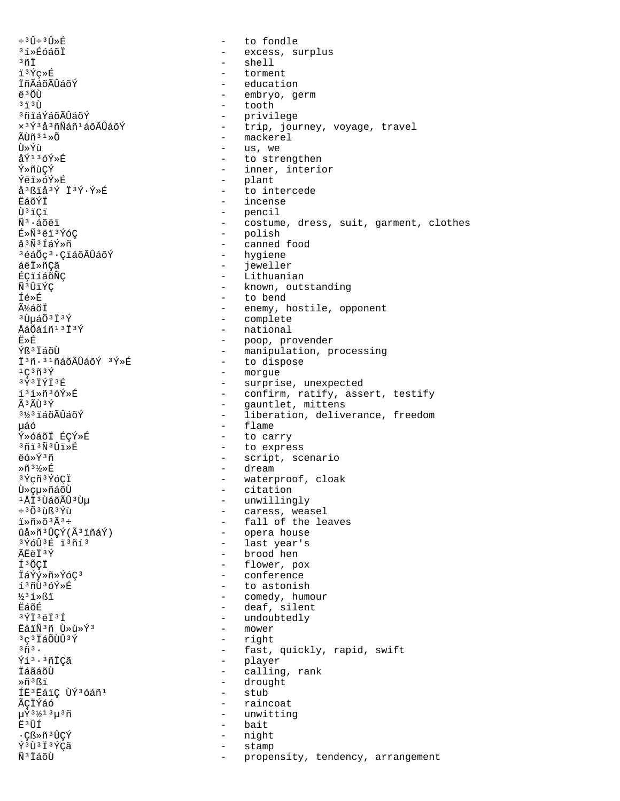$\div$ <sup>3</sup> $\hat{U}$  $\div$ <sup>3</sup> $\hat{U}$ <sup>\*</sup> $\hat{E}$ to fondle  $\equiv$ <sup>3</sup>í»ÉóáõÏ  $\equiv$ excess, surplus  $3\,\tilde{\mathrm{n}}\,\tilde{\mathrm{I}}$  $\sim$ shell i<sup>3</sup>Ýç»É torment İñÃáõÃÛáõÝ education  $\ddot{a}$  3  $\ddot{0}$  $\sim$ embryo, germ  $3\frac{1}{1}3\prod$  $\sim$ tooth <sup>3</sup>ñiáÝáõÃÛáõÝ - privilege x<sup>3</sup>Ý3å3ñÑáñ<sup>1</sup>áõÃÛáõÝ  $\sim$  10  $\pm$ trip, journey, voyage, travel - mackerel ÃÙñ 3 1 »Õ **Ti**»Ýn - us, we  $A\hat{V}$ 136 $\hat{V}$ »E - to strengthen Ý≫ñùCÝ - inner, interior Ýëï»óÝ»É - plant å<sup>3</sup>ßïå<sup>3</sup>Ý Ï<sup>3</sup>Ý·Ý»É  $\sim$   $$ to intercede **EáõÝÏ** - incense Ù<sup>3</sup>iÇi - pencil  $\omega_{\rm{max}}$  $\tilde{N}^3 \cdot \tilde{a}$ õëï costume, dress, suit, garment, clothes - polish É»Ñ3ëï3ÝóÇ å<sup>3</sup>Ñ<sup>3</sup>ÍáÝ»ñ  $\sim$ canned food - hygiene <sup>3</sup>éáÕç<sup>3</sup>·ÇïáõÃÛáõÝ áëÏ»ñÇã  $\sim$ jeweller - Lithuanian ÉCI1áõÑC - known, outstanding Ñ3ÛïÝC - to bend Íé»É üáõÏ - enemy, hostile, opponent  $3\tilde{U}$ uá $\tilde{O}3\tilde{I}3\tilde{Y}$ - complete - national ÅáÕáíñ<sup>13</sup>Ï3Ý - poop, provender<br>- manipulation, processing Ë≫É Ýß<sup>3</sup> IáõÙ Ï3ñ.31ñáõÃÛáõÝ 3Ý»É - to dispose  $1C3\widetilde{n}3\widetilde{Y}$ - morgue  $3\overline{Y}$  $3\overline{1}\overline{Y}$  $\overline{1}$  $3\overline{E}$ - surprise, unexpected - confirm, ratify, assert, testify í3í»ñ3óÝ»É  $\tilde{A}$  3  $\tilde{A}$ t i 3  $\tilde{Y}$  $\sim$  10  $\pm$ gauntlet, mittens 3½3ïáõÃÛáõÝ - liberation, deliverance, freedom - flame uáó Ý»óáõI ÉCÝ»É - to carry 3ñï3Ñ3Ûï»É - to express ëó»Ý3ñ - script, scenario  $\mathbb{R} \tilde{\mathrm{n}}^3 \mathcal{H} \mathbb{R}$ - dream 3 Ýçñ 3 ÝóÇÏ waterproof, cloak  $\sim$ - citation บ้»cµ»ñáõÙ <sup>1</sup>ÅI<sup>3</sup> ÙáõÃÛ<sup>3</sup> Ùµ - unwillingly  $\div$ <sup>3</sup> $\tilde{O}$ <sup>3</sup> $\tilde{u}$ ß<sup>3</sup>Ý $\tilde{u}$ - caress, weasel - fall of the leaves - opera house ûå»ñ<sup>3</sup>ÛÇÝ(Ã<sup>3</sup>ïñáÝ) - last year's <sup>3</sup>ÝóÛ<sup>3</sup>É ï<sup>3</sup>ñí<sup>3</sup> ÃFAT3Ý - brood hen - flower, pox ͪÕCÏ - conference İáÝý»ñ»ÝóÇ<sup>3</sup> - to astonish í3ñÙ3óÝ»É - comedy, humour  $\frac{1}{2}$ <sup>3</sup> $1$   $\frac{1}{5}$ **ËáõÉ** - deaf, silent  $3\overline{Y}$ İ $3\overline{e}$ İ $3\overline{1}$ undoubtedly  $\sim$ EáiÑ3ñ Ù »ù »Ý3  $\overline{a}$ mower 3 ç 3 İáÕÙÛ 3 Ý  $\sim$ right  $3\tilde{n}$  $3$ . - fast, quickly, rapid, swift Ýí<sup>3</sup>·<sup>3</sup>ñİÇã - player ÏáãáõÙ  $\sim$ calling, rank - drought Ȗ3Ri ÍË<sup>3</sup> ËáiC ÙÝ<sup>3</sup>Óáñ<sup>1</sup> - stub ÃÇÏÝáó  $\sim$ raincoat  $\mu \acute{\text{x}}$ <sup>31</sup>⁄2<sup>13</sup> $\mu$ <sup>3</sup> $\tilde{\text{n}}$  $\sim$ unwitting E<sup>3</sup>ÛÍ bait  $\sim$ ႧȖ<sup>3</sup>ÛÇÝ night  $\sim$ Ý3Ù3Ï3ÝÇã  $\overline{a}$ stamp Ñ<sup>3</sup> İáõÙ  $\sim$ propensity, tendency, arrangement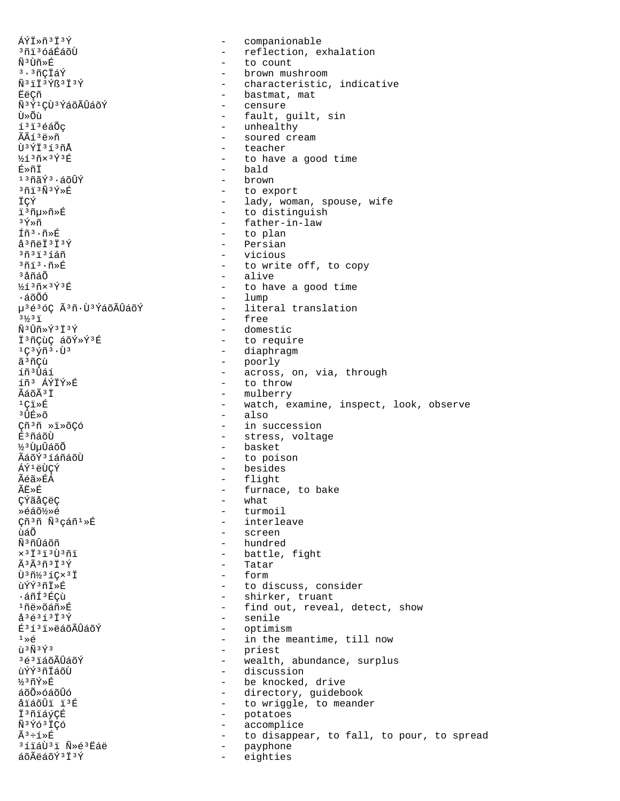ÁÝÏ»ñ3Ï3Ý companionable  $\sim$ <sup>3</sup>ñi 36áÉáõÙ - reflection, exhalation  $\tilde{\rm N}^{\,3}\,\dot{\rm U}\tilde{\rm n}\!\times\!\dot{\rm E}$  $\omega_{\rm{max}}$ to count - brown mushroom <sup>3</sup>·<sup>3</sup>ñCÏáÝ Ñ<sup>3</sup>iÏ<sup>3</sup>Ýß<sup>3</sup>Ï<sup>3</sup>Ý - characteristic, indicative - bastmat, mat EëÇñ Ñ<sup>3</sup>Ý<sup>1</sup>CÙ<sup>3</sup>ÝáõÃÛáõÝ - censure - fault, guilt, sin Ù≫Õù í<sup>3</sup>i<sup>3</sup>éáÕç - unhealthy ÃÃí 3ë»ñ - soured cream  $\tilde{1}$  $3\tilde{1}$  $3\tilde{1}$  $3\tilde{1}$  $3\tilde{1}$ - teacher  $\frac{1}{4}$   $\frac{1}{4}$   $\frac{3}{4}$   $\frac{3}{4}$   $\frac{1}{4}$   $\frac{3}{4}$   $\frac{1}{4}$   $\frac{1}{4}$   $\frac{1}{4}$   $\frac{1}{4}$   $\frac{1}{4}$   $\frac{1}{4}$   $\frac{1}{4}$   $\frac{1}{4}$   $\frac{1}{4}$   $\frac{1}{4}$   $\frac{1}{4}$   $\frac{1}{4}$   $\frac{1}{4}$   $\frac{1}{4}$   $\frac{1}{4}$   $\frac{1}{4}$  - to have a good time - bald É≫ñİ  $130000$ - brown - to export  $301303$ ÏÇÝ - lady, woman, spouse, wife i3ñµ»ñ»É - to distinguish - father-in-law  $3\tilde{\gamma}\times\tilde{n}$ Íñ<sup>3</sup>·ñ»É - to plan å<sup>3</sup>ñëÏ<sup>3</sup>Ï<sup>3</sup>Ý - Persian  $3031316n$ - vicious  $3\tilde{n}$ i $3\cdot\tilde{n}$ ȃ - to write off, to copy - alive <sup>3</sup>åñáÕ  $361371$ - to have a good time - lump ∙áõÕÓ u3é3óC Ã3ñ·Ù3ÝáõÃÛáõÝ - literal translation  $3\frac{1}{2}3\frac{1}{1}$ - free - domestic  $\tilde{N}$ <sup>3</sup>Ûñ»Ý<sup>3</sup>Ï<sup>3</sup>Ý - to require Ï<sup>3</sup>ñÇùÇ áõÝ»Ý3É - diaphragm  $1C$ <sup>3</sup> $\sqrt{r}$ <sup>3</sup> $\cdot$ U<sup>3</sup> - poorly<br>- across, on, via, through ã<sup>3</sup>ñCù íñ<sup>3</sup>Ûáí - to throw íñ<sup>3</sup> ÁÝİÝ»É - mulberry ÃáõÃ<sup>3</sup>Ï  $1$ Ci » $E$ - watch, examine, inspect, look, observe - also  $3$   $\hat{\Pi}$  $\hat{F}$  $\gg$  $\tilde{\Omega}$ Cñ3ñ »ï»õÇó - in succession É<sup>3</sup>ñáõÙ - stress, voltage <sup>33</sup>UuÛáõÕ - basket - to poison ÃáõÝ3 íáñáõÙ - besides ÁÝ<sup>1</sup>ëÙÇÝ - flight Ãéã»ÉÁ ÃË»É - furnace, to bake CÝãåÇëÇ - what - turmoil Ȏáõ½»é - interleave Çñ<sup>3</sup>ñ Ñ<sup>3</sup>çáñ<sup>1</sup>»É - screen ùáÕ - hundred <u> พิง</u>ก์ทิล์กัก  $x 3 7 3 7 3 1 3 1 3 1 1$ - battle, fight  $\tilde{A}$  3 $\tilde{A}$  3 $\tilde{H}$  3 $\tilde{I}$  3 $\tilde{Y}$ - Tatar - form  $\tilde{U}$ <sup>3</sup> $\tilde{n}$ <sup>3</sup> $i$ Cx<sup>3</sup> $\tilde{I}$ - to discuss, consider ùÝÝ3ñÏ»É - shirker, truant ∙áñͪÉÇù - find out, reveal, detect, show <sup>1</sup>ñë»õáñ»É  $a^{3}6^{3}1^{3}1^{3}9$ - senile É<sup>313</sup>i»ëáõÃÛáõÝ - optimism  $1 \times 6$ - in the meantime, till now  $\tilde{u}$ <sup>3 $\tilde{N}$ 3 $\tilde{Y}$ 3</sup> - priest wealth, abundance, surplus 3é3ïáõÃÛáõÝ  $\Delta \sim 10^{-11}$ ùÝÝ3ñÏáõÙ - discussion  $\frac{1}{3}$ 3ñ $\sqrt{2}$ ȃ - be knocked, drive ล์ก็ดั»ก์ล์ก็นิ้ก์ - directory, guidebook åïáõÛï ï3É - to wriggle, to meander - potatoes İ<sup>3</sup>ñiáýÇÉ Ñ<sup>3</sup>Ýó<sup>3</sup>ÏÇó  $\sim$   $$ accomplice  $\tilde{A}^3$ ֒»É - to disappear, to fall, to pour, to spread <sup>3</sup>íiáÙ<sup>3</sup>i Ñ >é<sup>3</sup>Ëáë - payphone áõÃëáõÝ3Ï3Ý  $\sim$ eighties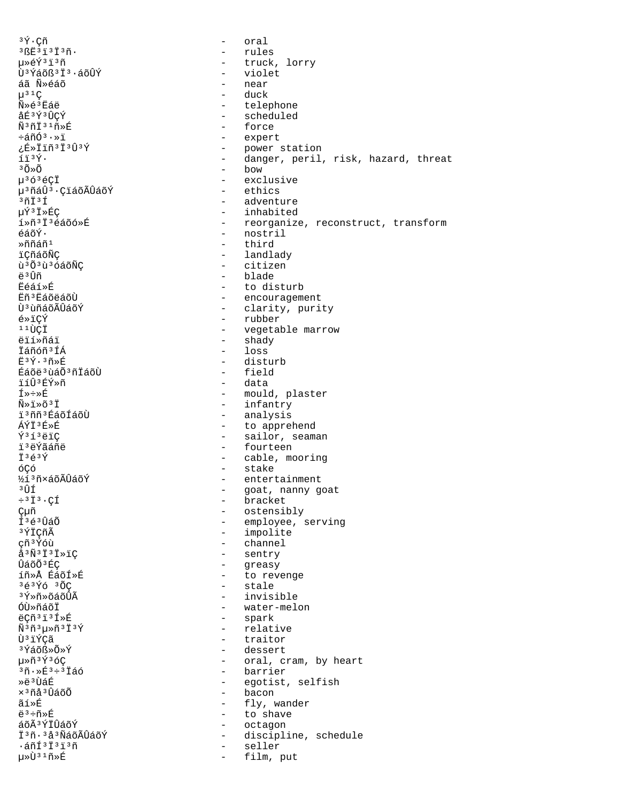$3\tilde{Y} \cdot C\tilde{n}$ oral  $\sim$  $3BE3I3I3n$ .  $\sim$ rules 毂Ý∃ï∃ñ - truck, lorry Ù<sup>3</sup>Ýáõß<sup>3</sup>Ï<sup>3</sup>·áõÛÝ  $\frac{1}{2}$  . violet near áã Ñ»éáõ  $\mu^{3}$ <sup>1</sup>C duck  $\tilde{N} \geq \tilde{e}^3$ Eáë - telephone åÉ3Ý3ÛCÝ - scheduled - force Ñ3ñÏ31ñ»É - expert ևñÓª·»ï ¿É»Ïïñ<sup>3</sup>Ï<sup>3</sup>Û<sup>3</sup>Ý - power station - danger, peril, risk, hazard, threat  $f$  $f$  $3$  $\circ$  $\circ$ .  $30\times0$  $-$  bow - exclusive  $\mu$ <sup>3</sup> $\acute{o}$ <sup>3</sup> $\acute{e}$ CI - ethics µ<sup>3</sup>ñáÛ<sup>3</sup>·ÇïáõÃÛáõÝ  $3ñI3f$ - adventure µÝ3Ï»ÉÇ - inhabited - reorganize, reconstruct, transform í»ñ<sup>3</sup>Ï<sup>3</sup>éáõó»É - nostril  $\tilde{\epsilon}$ áõÝ $\cdot$ »ก็กีล์กี1 - third - landlady iCñáõÑC ù<sup>3</sup>Õ<sup>3</sup>ù<sup>3</sup>ÓáõÑÇ - citizen <u>ឝ3 T៌ក</u> - blade **Féáí»É** - to disturb Eñ<sup>3</sup>EáõëáõÙ - encouragement - clarity, purity บิ<sup>3</sup> นิทีล์oีA็บิล์oีY์ é»ïÇÝ - rubber  $110C1$ - vegetable marrow  $\text{-}\qquad\text{shadow}$ ëií»ñáï - loss İáñóñ<sup>3</sup>ÍÁ  $E^3Y \cdot 3\tilde{n} \times E$ - disturb Éáõë<sup>3</sup> ùáÕ<sup>3</sup>ñÏáõÙ - field ïíÛ3ÉÝ»ñ - data ี ⊤ี≫÷≫π็ - mould, plaster - infantry  $\tilde{N} \gg \tilde{I} \gg \tilde{O}$ <sup>3</sup>  $\tilde{T}$ - analysis i<sup>3</sup>ññ<sup>3</sup>ÉáõÍáõÙ - to apprehend  $\overline{\mathbf{A}}\mathbf{\hat{V}}\mathbf{\hat{T}}$  3  $\mathbf{\hat{F}}$   $\mathbf{\hat{F}}$  $\tilde{Y}$ <sup>313</sup> $\ddot{\text{e}}$ IC - sailor, seaman - fourteen ïªëÝãáñë  $\ddot{I}$ <sup>3 $\acute{e}$ 3 $\acute{Y}$ </sup> - cable, mooring - stake óÇó ½í 3 ñ×áõÃÛáõÝ - entertainment зûí - goat, nanny goat - bracket  $\div$ <sup>3</sup> $\ddot{I}$ <sup>3</sup> · CÍ - ostensibly ǵñ - employee, serving Í<sup>3</sup>é<sup>3</sup>ÛáÕ - impolite 3 ÝÏCñÃ - channel cñ<sup>3</sup>Ýóù  $\overset{1}{\phantom{1}} \overset{3}{\phantom{1}} \overset{3}{\phantom{1}} \overset{7}{\phantom{1}} \overset{3}{\phantom{1}} \overset{1}{\phantom{1}} \overset{3}{\phantom{1}} \overset{1}{\phantom{1}} \overset{3}{\phantom{1}} \overset{1}{\phantom{1}} \overset{8}{\phantom{1}} \overset{1}{\phantom{1}} \overset{2}{\phantom{1}}$ - sentry - greasy ÛáõÕ<sup>3</sup>ÉC íñ»Å ÉáõÍ»É - to revenge - stale  $363\overline{Y}63\overline{0}$ <sup>3</sup>Ý»ñ»õáõÛÃ - invisible óù»ñáõÏ - water-melon - spark ëçñ 3 ï 3 Í »É - relative  $\tilde{N}$ <sup>3</sup> $\tilde{n}$ <sup>3</sup> $\mu$   $\tilde{n}$ <sup>3</sup> $\tilde{I}$ <sup>3</sup> $\tilde{Y}$ Ù<sup>3</sup>ïÝÇã  $\mathbf{L}$ traitor <sup>3</sup>Ýáõ߻ջÝ - dessert 毤<sup>3</sup>Ý3óC - oral, cram, by heart - barrier  $3\tilde{n} \cdot \sqrt{253} \div 3\tilde{1}$ áó Ȁ3TTÁR - egotist, selfish - bacon  $\times$ <sup>3</sup> $\tilde{\mathrm{m}}$ å $^3\hat{\mathrm{u}}$ ãõ $\tilde{\mathrm{0}}$ - fly, wander ãí»É  $\ddot{\texttt{e}}^{\,3} \div \tilde{\texttt{n}} \!\! \times \! \dot{\texttt{E}}$ - to shave áõÃ<sup>3</sup>ÝÏÛáõÝ  $\sim$   $$ octagon Ï3ñ. 3å3ÑáõÃÛáõÝ - discipline, schedule  $\cdot$ áñÍ $\frac{3\ddot{1}^3\ddot{1}^3\ddot{1}}{1^3}$ ñ seller  $\overline{a}$ µ»Ù31ñ»É  $\sim$ film, put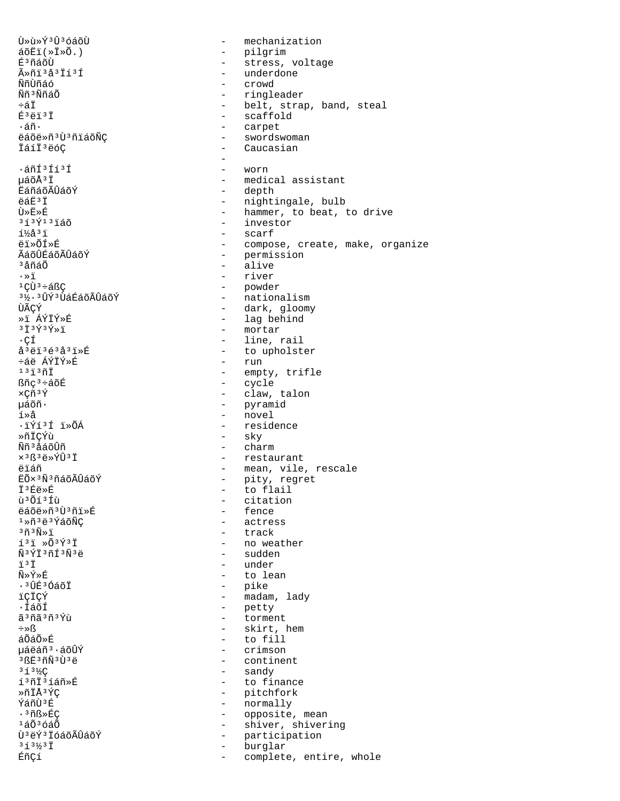น้»น้» ที่<sup>3</sup> นิ้<sup>3</sup> ด์ล์ดีน้ mechanization  $\sim$  $\tilde{a}$ õËï $(*\tilde{I}*\tilde{O}.)$ - pilgrim É<sup>3</sup>ñáõÙ stress, voltage  $\Delta \sim 10^{-10}$ - underdone ûñi 3 å 3 Ïí 3 Í ÑñÙñáó - crowd Ññ<sup>3</sup>ÑñáÕ - ringleader - belt, strap, band, steal ևÏ - scaffold É<sup>3</sup>ëï<sup>3</sup>Ï - carpet ۰áñ. ëáõë»ñ<sup>3</sup>Ù<sup>3</sup>ñïáõÑÇ - swordswoman ÏáíÏ<sup>3</sup>ëóC - Caucasian  $\cdot$ áñÍ $3$ Íí $3$ Í - worn µáõŪÏ - medical assistant - depth **EáñáõÃÛáõÝ** - nightingale, bulb ëáË<sup>3</sup>Ï - hammer, to beat, to drive ٻ˻É - investor  $313$  $\tilde{Y}$  $13$  $\tilde{1}$ ão  $1\frac{1}{2}$ å $3\frac{1}{2}$ - scarf ëi»õf»É - compose, create, make, organize - permission ÃáõÛÉáõÃÛáõÝ - alive <sup>3</sup>åñáÕ - river  $\cdot \times 7$  $1(1)3+48$ - powder - nationalism 3½. 3ÛÝ3ÙáÉáõÃÛáõÝ ÙÃCÝ - dark, gloomy - lag behind ȕ ÁÝÏÝ»É - mortar  $3\ddot{1}\,3\,\acute{2}\,3\,\acute{2}\times\ddot{1}$ - line, rail ۰ÇÍ - to upholster å<sup>3</sup>ëï<sup>3</sup>é<sup>3</sup>å<sup>3</sup>ï»É  $-$  run ևë ÁÝÏÝ»É  $13130$ - empty, trifle - cycle ßñç<sup>3</sup>÷áõÉ  $\times$ Cñ<sup>3</sup>Ý - claw, talon - pyramid uáõñ· - novel  $1 \times A$ .ïÝí3Í ï»ÕÁ - residence ȖÏCÝù - sky  $-$  charm Ññ<sup>3</sup>åáõÛñ - restaurant  $\times$ <sup>3</sup> $\text{B}$ <sup>3</sup> $\text{E}$ <sup>3</sup> $\text{V}$ Û<sup>3</sup>Ï - mean, vile, rescale ëïáñ - pity, regret<br>- to flail EÕ×3Ñ3ñáõÃÛáõÝ ݪÉë»É ù<sup>3</sup>Õí<sup>3</sup>Íù - citation - fence ëáõë»ñ<sup>3</sup>Ù3ñï»É - actress  $1*$ ñ  $3*$ ë $3*$ áõÑÇ - track  $3 \widetilde{n} 3 \widetilde{N} \gg 1$  $131 \times 03737$ - no weather  $\tilde{N}$ 3 $\tilde{Y}$  $\tilde{T}$ 3 $\tilde{n}$  $\tilde{T}$ 3 $\tilde{N}$ 3 $\tilde{\mu}$  $-$  sudden ïзï - under ѻݻÉ - to lean - pike .3ÛÉ3ÓáõÏ ïÇÏÇÝ - madam, lady - petty ∙ÍáõÍ - torment ã 3 ñã 3 ñ 3 Ýù - skirt, hem  $\div \gg \mathbb{S}$ áÕáÕ»É - to fill 栉áñ<sup>3</sup>·áõÛÝ - crimson  $3BE3nN3U3e$ - continent - sandy  $3.13\%$ C í<sup>3</sup>ñI<sup>3</sup>íáñ»É - to finance  $*$ ñ † å  $*$  $*$ C - pitchfork - normally ÝáñÙ 3É - opposite, mean  $\cdot$   $3 \tilde{\text{MS}} \times \tilde{\text{EC}}$ - shiver, shivering  $1\acute{\rm{a}}\tilde{\rm{O}}$  $3\acute{\rm{a}}\tilde{\rm{O}}$ Ù<sup>3</sup>ëÝ<sup>3</sup> ÏóáõÃÛáõÝ - participation - burglar  $313\frac{1}{2}$ ÉñÇí complete, entire, whole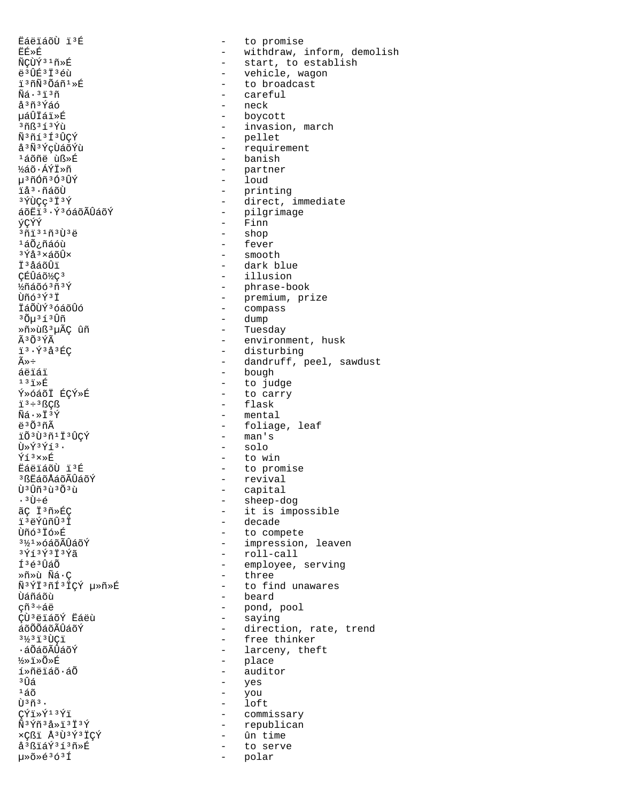ËáëïáõÙ ïªÉ<br>ËÉ≫É - to promise<br>ËÉ≫É - withdraw ïºñѺÕáñº»É - to broadcast<br>Ñá·ºïºñ - careful - careful  $\tilde{N}\tilde{a} \cdot {}^{3}$ i $^{3}$ ñ $^{3}$ ñ $^{5}$ s $^{5}$ á $^{5}$ ñ $^{5}$ ó $^{5}$ åªñªÝáó - neck → neck<br>µáÛÏáï»É - hovco páÛÏáï»É - boycott<br>
3ñR<sup>3{3{V</sup>ù - invasion ѪñíªÍªÛÇÝ - pellet<br>åªÑªÝcÙáõÝù - - require åªÑªÝçÙáõÝù - requirement<br>ªáõñëùß≫É - banish <sup>1</sup>áõñë ùß»É<br>¼áõ∙ÁÝÏ»ñ - banish - banish - banish ½áõ·ÁÝÏ»ñ - partner 槤ÓñºÓºÚÝ - loud<br>i康ñáõÙ - print ïå³·ñáõÙ - printing áõËïª∙ݪóáõÃÛáõÝ - pilgrimage ýÇÝÝ - Finn ็<sup>ว</sup>์กัï<sup>31</sup>ñ∃?บ้<sup>ว</sup>ืё - shop<br><sup>1</sup>ล์Õ¿ñáóù - feve: feve:  $\frac{1}{3}$ áÕ¿ñáóù  $\frac{1}{3}$ á $\frac{3}{4}$ á $\frac{3}{4}$ á $\frac{3}{4}$ ³Ýå³×áõÛ× - smooth Ϊ<sup>3</sup>åáõÛï - dark blue<br>CÉÛáõ½C<sup>3</sup> - dark blue CÉÛáõ½Ç<sup>3</sup> - illusion - illusion<br>½ñáõó<sup>3</sup>ñªÝ - illusion - phrase-b  $\frac{1}{2}$ ñáõó $\frac{363}{1}$ Ý<br>  $\frac{1}{1}$  - phrase-book<br>  $\frac{1}{1}$  - premium pr ÏáÕÙݪóáõÛó<br>ªÕuªíªÛñ - compass <sup>3</sup>Õuªí1û - compass  ${}^3\tilde{O}\mu$ <sup>3</sup>í ${}^3\tilde{U}$ ñ - dump  ${}^3\tilde{D}\mu$  ${}^3\tilde{U}$ ñ - Tuesc »ñ»ùß³µÃÇ ûñ - Tuesday - disturbing<br>û÷ dandruff, r áëïáï - bough <sup>13</sup>ï»É <sup>-</sup> to judge<br>Ý»óáõÏ ÉÇÝ»É - - - - to carry Ý»óáõÏ ÉÇÝ»É<br>ïª÷ªßCß - to carry - to carry  $\tilde{N}$ <sup>3</sup>÷<sup>3</sup>ßÇß - flask - flask - flask - flask - flask - flask - flask - flask - flask - flask - flask - flask - flask - flask - flask - flask - flask - flask - flask - flask - flask - flask - flask - flask - flask - Ñá⋅»Ï<sup>3</sup>Ý - mental<br>äªÕªñã - foliag ïÕ<sup>3</sup>Ù<sup>3</sup>ñ<sup>1</sup>Ï<sup>3</sup>ÛÇÝ<br>Ù»Ý<sup>3</sup>Ýí<sup>3</sup> Ù»Ý<sup>3</sup>Ýí<sup>3</sup>· - solo<br>Ýí<sup>3</sup>×»É – to wi Ýíª×»É<br>ËáëïáõÙ ïªÉ - to win − to win <sup>3</sup>ßËáõÅáõÃÛáõÝ<br>Ù<sup>3</sup>Ûñ<sup>3</sup>ù3Õ3ù  $\hat{U}^3 \hat{U} \hat{n}^3 \hat{U}^3 \hat{U}$ <br>  $\cdot \hat{U} \div \hat{e}$  - capital<br>
- sheep-d ° ---<br>•ªÙ÷é - sheep-dog<br>ãÇ Ïªñ»ÉÇ - sheep-dog - sheep-dog ïºëÝûñÛºÏ - decade<br>ÙñóºÏó»É - to comm ÙñóªÏó»É<br>ª½ª»óáõÃÛáõÝ - to compete<br>→ impression aý́íaýa]aýã - roll-call<br>faéaîãã - roll-call - employee, »ñ»ù Ñá·Ç - three Ùáñáõù  $\frac{1}{2}$  beard  $\frac{1}{2}$  beard  $\frac{1}{2}$  beard  $\frac{1}{2}$  beard  $\frac{1}{2}$ ÇÙªëïáõÝ Ëáëù<br>áõÕÕáõÃÛáõÝ ½»ï»Õ»É - place í»ñëïáõ·áÕ - auditor - auditor<br><sup>3</sup>Ñá - ves  $\frac{3}{14}$  $\frac{1}{6}$   $\frac{1}{6}$   $\frac{1}{6}$   $\frac{1}{6}$   $\frac{1}{6}$   $\frac{1}{6}$   $\frac{1}{6}$   $\frac{1}{6}$   $\frac{1}{6}$   $\frac{1}{6}$   $\frac{1}{6}$   $\frac{1}{6}$   $\frac{1}{6}$   $\frac{1}{6}$   $\frac{1}{6}$   $\frac{1}{6}$   $\frac{1}{6}$   $\frac{1}{6}$   $\frac{1}{6}$   $\frac{1}{6}$   $\frac{1}{6}$  <sup>1</sup>áõ - you  $\tilde{U}^3$ ñ $^3$ ·  $-$  loft<br> $C\tilde{Y}$ i» $\tilde{Y}^1$ <sup>3</sup> $\tilde{Y}$ i  $-$  comm CÝÏ»Ý<sup>13</sup>Ýï - commissary<br>Ñ<sup>3</sup>Ýñ<sup>3</sup>å»ï<sup>3</sup>Ï<sup>3</sup>Ý - republican ×Çßï Å<sup>3</sup>Ù<sup>3</sup>Ý<sup>3</sup>ÏÇÝ<br>å<sup>3</sup>ßïáÝ<sup>3</sup>í<sup>3</sup>ñ»É  $a^3B\ddot{a}\acute{a}^3\acute{a}^3\ddot{b}$ <br>  $\mu \ge \delta \ge 6^3\ddot{a}$   $\qquad \qquad -$  to serve

ËÉ»É - withdraw, inform, demolish<br>ÑÇÙÝ<sup>31</sup>ñ»É - - - - - - - - - - - - start, to establish ÑÇÙÝ<sup>31</sup>ñ»É - start, to establish<br>ë<sup>3</sup>ÛÉ<sup>3</sup>Ï<sup>3</sup>éù - - - - - vehicle, wagon ë<sup>3</sup>ÛÉ<sup>3</sup>Ï3éù - vehicle, wagon<br>ï<sup>3</sup>ñÑ<sup>3</sup>Õáñ<sup>1</sup>»É - roman - to broadcast  $3\tilde{m}$  $3\tilde{1}$  $3\tilde{1}$  $3\tilde{1}$  $1$  $\tilde{1}$  $\tilde{1}$  $\tilde{1}$  $\tilde{2}$  $\tilde{1}$  $\tilde{2}$  $\tilde{1}$  $\tilde{2}$  $\tilde{1}$  $\tilde{2}$  $\tilde{1}$  $\tilde{2}$  $\tilde{1}$  $\tilde{2}$  $\tilde{1}$  $\tilde{2}$  $\tilde{1}$  $\tilde{2}$  $\tilde{1}$  $\tilde{2}$  $\tilde{1}$  $\tilde{2}$  $\tilde{1$ <sup>3</sup>ÝÙÇç<sup>3</sup>Ï<sup>3</sup>Ý - direct, immediate Ùñó³Ý³Ï - premium, prize  $\tilde{A}^3$ Õ $^3$ Ý $\tilde{A}$ <sup>3</sup>  $\tilde{Y}^3$ å $^3$ ÉC  $^3$   $\tilde{Y}^3$ å $^3$ ÉC  $^3$   $^4$   $^3$   $^6$  $^3$ ÉC  $^3$   $^6$ û÷ (1999)<br>áëiái - dandruff, peel, sawdust<br>aëiái - bough - bough - foliage, leaf<br>- man's - to promise<br>- revival ãÇ Ï<sup>3</sup>ñ»ÉÇ<br>ï<sup>3</sup>ëÝûñÛ<sup>3</sup>Ï - it is impossible  $3\frac{1}{2}$ <sup>3</sup> $\frac{1}{2}$ <sup>3</sup> $\frac{1}{2}$   $\frac{1}{2}$   $\frac{1}{2}$   $\frac{1}{2}$   $\frac{1}{2}$   $\frac{1}{2}$   $\frac{1}{2}$   $\frac{1}{2}$   $\frac{1}{2}$   $\frac{1}{2}$   $\frac{1}{2}$   $\frac{1}{2}$   $\frac{1}{2}$   $\frac{1}{2}$   $\frac{1}{2}$   $\frac{1}{2}$   $\frac{1}{2}$   $\frac{1}{2}$   $\frac{1}{2}$   $\frac{1}{$ - employee, serving ѳÝϳñͳÏÇÝ µ»ñ»É - to find unawares <sup>-</sup> pond, pool<br>- saying φυσείασι μας.<br>áõÕÕáõÃÛáõÝ - direction, rate, trend<br>3½3i3ÙCi - free thinker <sup>3</sup>½<sup>3</sup>i<sup>3</sup>ÙÇï - free thinker<br>-áÕáõÃÛáõÝ - free thinker ·áÕáõÃÛáõÝ - larceny, theft - republican<br>- ûn time - polar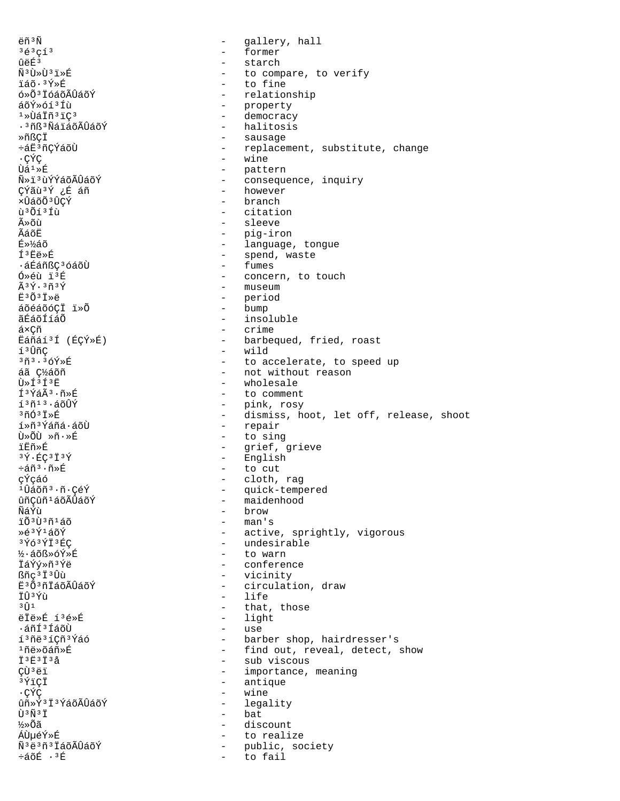ëñ<sup>3</sup>Ñ gallery, hall  $\equiv$  $363913$  $\equiv$ former ûëÉ<sup>3</sup>  $\equiv$ starch Ñ<sup>3</sup>Ù»Ù<sup>3</sup>ï»É to compare, to verify  $\sim$ ïáõ·<sup>3</sup>Ý»É to fine  $\sim$ ó»Õ<sup>3</sup> İóáõÃÛáõÝ relationship  $\sim$ áõÝ»óí3Íù - property  $1*U$ áÏñ $31C3$  $\sim$ democracy - halitosis ·<sup>3</sup>ñß<sup>3</sup>ÑáïáõÃÛáõÝ - sausage ȖßCÏ ևË3ñCÝáõÙ - replacement, substitute, change .CÝC - wine - pattern  $\hat{U}$ á $1 \times \hat{E}$ Ñ»ï3ùÝÝáõÃÛáõÝ  $\omega_{\rm{max}}$ consequence, inquiry - however çýãù 3 i fáñ xÛáõÕ<sup>3</sup>ÛÇÝ - branch ù<sup>3</sup>Õí<sup>3</sup>Íù - citation ûõù  $\sim$ sleeve ÃáõË - pig-iron - language, tongue É»¼áõ - spend, waste í<sup>3</sup>Ëë»É - fumes •áÉáñßCªóáõÙ - concern, to touch  $0 \times 6$ ù  $13E$  $\tilde{A}$   $3\tilde{V}$ .  $3\tilde{r}$  $3\tilde{V}$ - museum - period  $E^3$ Õ $3$ Iȑ áõéáõó¢Ï ï»Õ  $-$  bump ãÉáõÍíáÕ - insoluble  $\sim$   $$ á×Çñ crime Ëáñáí3Í (ÉÇÝ»É) - barbequed, fried, roast - wild í<sup>3</sup>ÛñÇ 3ñ3.3óÝ»É - to accelerate, to speed up áã C½áõñ - not without reason  $\tilde{U} \gg \tilde{I}^3 \tilde{I}^3 \tilde{E}$ - wholesale - to comment ͪÝáê·ñ»É - pink, rosy  $13013.500Y$ - dismiss, hoot, let off, release, shoot  $370378F$ - repair í»ñ<sup>3</sup>Ýáñá·áõÙ บิ≫Oปี »ñ.»É - to sing ïËñ»É  $\sim$  10  $\pm$ grief, grieve - English  $3\bar{Y}$   $\cdot$  EC  $3\bar{1}$   $3\bar{Y}$  $\div \tilde{a} \tilde{n}^3 \cdot \tilde{n} \times \tilde{E}$ - to cut çÝçáó cloth, rag  $\sim$ <sup>1</sup>Ûáõñ<sup>3</sup>·ñ·ÇéÝ - quick-tempered ûñçûñ<sup>1</sup>áõÃÛáõÝ - maidenhood **Ñล์Ý**น้ - brow  $-$  man's រ៉ុក៌៖ប៊ុះកង្ក - active, sprightly, vigorous Ȏ3Ý1áõÝ - undesirable  $3\overline{Y}63\overline{Y}13\overline{E}C$ ½·áõß»óÝ»É - to warn İáÝý»ñ<sup>3</sup>Ýë - conference ßñc<sup>3</sup>Ï<sup>3</sup>Ûù  $\Delta \sim 10^4$ vicinity Ë3Õ3ñÏáõÃÛáõÝ  $\omega_{\rm{max}}$ circulation, draw İÛ<sup>3</sup>Ýù life  $\equiv$  $3 \hat{1}$ that, those  $\overline{a}$ ëÏë»É í3é»É light  $\overline{a}$ ·áñí 3 ÍáõÙ  $\sim$ use í<sup>3</sup>ñë<sup>3</sup>íÇñ<sup>3</sup>Ýáó - barber shop, hairdresser's <sup>1</sup>ñë»õáñ»É - find out, reveal, detect, show - sub viscous  $\ddot{T}$  3 $\ddot{T}$  3 $\ddot{T}$  3 $\ddot{A}$ CÙ<sup>3</sup>ëï - importance, meaning - antique  $3\overline{Y}$ <sup>1</sup>CI .CÝC  $\mathcal{L}^{\mathcal{A}}$ wine ûñ»Ý3Ï3ÝáõÃÛáõÝ - legality - bat បិ<sup>3</sup> Ñ <sup>3</sup> Ï ½»õã  $\sim$ discount ÁÙµéÝ»É to realize  $\sim$ Ñ<sup>3</sup>ë<sup>3</sup>ñ<sup>3</sup> IáõÃÛáõÝ public, society  $\sim$  $\div$ áõÉ  $\cdot$ <sup>3</sup>É to fail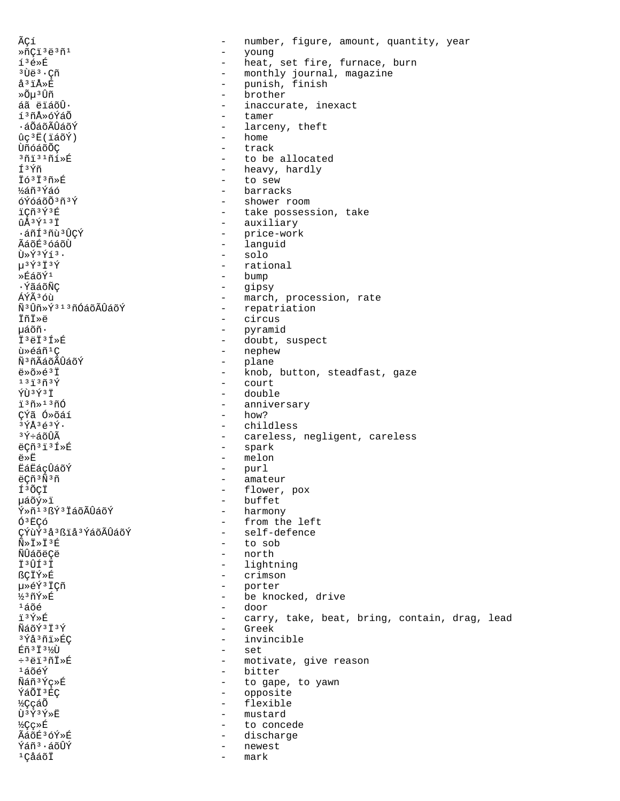ÃCí number, figure, amount, quantity, year  $\overline{a}$ ȖÇï<sup>3</sup>ë<sup>3</sup>ñ<sup>1</sup>  $\overline{a}$ young í3é»É  $\Delta \sim 10^{-11}$ heat, set fire, furnace, burn <sup>3</sup>Ùë<sup>3</sup> · Çñ - monthly journal, magazine å<sup>3</sup>ïÅ»É punish, finish  $\sim$ »Õµ3Ûñ brother  $\overline{a}$ áã ëïáõÛ.  $\equiv$ inaccurate, inexact í<sup>3</sup>ñÅ»óÝáÕ  $\mathbf{r}$ tamer ∙áÕáõÃÛáõÝ - larceny, theft - home  $\hat{u}$ c<sup>3</sup>Ë(iáõÝ) บ้ก็ด์ล์ดีดี C - track  $3713171*$ - to be allocated Í3Ýñ - heavy, hardly Ïó3Ï3ñ»É  $\Delta \sim 10^4$ to sew - barracks ½áñ3Ýáó óÝóáõÕ3ñ3Ý - shower room iCñ3Ý3É - take possession, take - auxiliary  $\hat{u}$ Å $3$ Ý $1$  $3$ Ï ·áñí 3 ñù 3 ÛÇÝ - price-work - languid ÃáõÉ3 óáõÙ  $\tilde{U} \times \tilde{Y}$ <sup>3</sup> $\tilde{Y}$ <sup>3</sup>. - solo  $u$ <sup>3 $\acute{\text{y}}$ 3 $\ddot{\text{y}}$ 3 $\acute{\text{y}}$ </sup> - rational  $*f450$ - bump - gipsy . ÝãáõÑC - march, procession, rate ÁÝÃ3 óù ѪÛñ»Ýª1ªñÓáõÃÛáõÝ - repatriation - circus ïñï»ë µáõñ· - pyramid İ<sup>3</sup>ëİ<sup>3</sup>Í»É  $\frac{1}{2}$ doubt, suspect - nephew ù»éáñ<sup>1</sup>Ç Ñ<sup>3</sup>ñÃáõÃÛáõÝ  $\sim$  10  $\,$ plane  $e^*\tilde{o}*\tilde{e}^3\tilde{1}$ - knob, button, steadfast, gaze  $137377$ - court **ÝTJ3Ý3T** - double - anniversary ึ<sub>1</sub> ึง กั≫ <sup>13</sup> กี∩์  $-$  how? CÝã Ó»õáí - childless  $3\overline{Y}$ Å $3\overline{A}3\overline{Y}$ . <sup>3</sup>Ý÷áõÛÃ - careless, negligent, careless ë¢ñ3ï3Í»É - spark - melon ë»Ë **ËáËáçÛáõÝ** - purl  $\omega_{\rm{max}}$ ëÇñ<sup>3</sup>Ñ<sup>3</sup>ñ amateur - flower, pox Í<sup>3</sup>ÕÇÏ - buffet µáõý»ï - harmony Ý»ñ<sup>13</sup>ßÝ<sup>3</sup>ÏáõÃÛáõÝ - from the left ÓªËCó - self-defence ÇÝùÝ 3 à 3 ß i å 3 Ý á õ Ã Û á õ Ý - to sob  $\tilde{N} \gg \tilde{T} \gg \tilde{T}$  3  $\tilde{E}$ **ÑÎ**Îล์กั<del>คื</del>Ce - north I<sup>3</sup>UI<sup>3</sup>I - lightning ßÇÏÝ»É - crimson 毂Ý3ÏÇñ  $\sim$   $$ porter  $\frac{1}{2}$ 3 ñÝ»É - be knocked, drive  $1406$ door  $\sim$ ï3Ý»É carry, take, beat, bring, contain, drag, lead  $\sim$ ÑáõÝ 3 Ï 3 Ý  $\equiv$ Greek <sup>3</sup>Ýå<sup>3</sup>ñï»ÉÇ invincible  $\equiv$ Éñ<sup>3</sup> İ<sup>31</sup><sup>2</sup>U  $\sim$ set - motivate, give reason ÷3ëï3ñÏ»É  $1$ áõéÝ - bitter Ñáñ3Ýc»É - to gape, to yawn ÝáÕÏ<sup>3</sup>ÉC - opposite - flexible *V*CcáÕ Ù3Ý3Ý»Ë mustard  $\sim$ ½Çç≫É  $\sim$ to concede ÃáõÉ3óÝ»É  $\sim$ discharge Ýáñ<sup>3</sup>·áõÛÝ newest  $\sim$ <sup>1</sup>ÇåáõÏ mark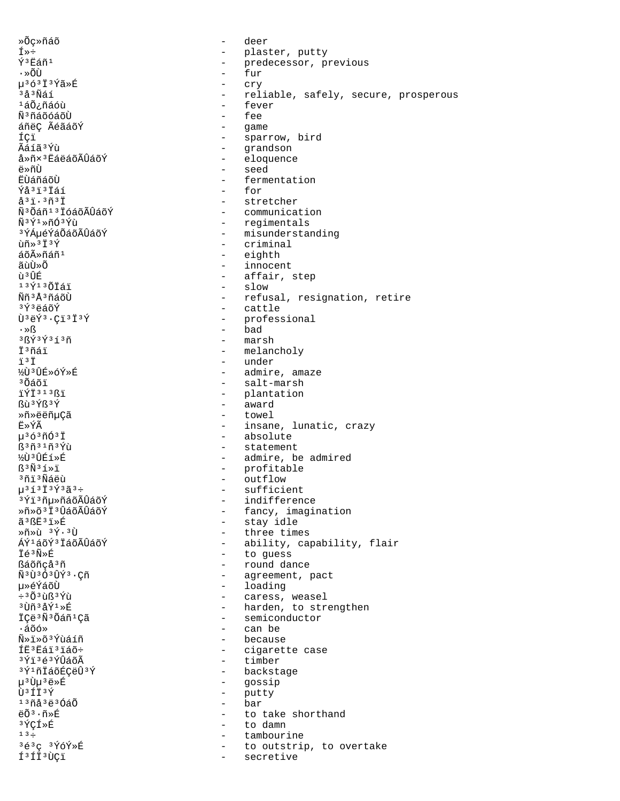»Õc»ñáõ deer  $\overline{a}$  $f*f$  $\qquad \qquad$ plaster, putty Ý<sup>3</sup>Eáñ<sup>1</sup>  $\sim$ predecessor, previous fur ∙»õù µ363Ï3Ýã»É cry  $\sim$ - reliable, safely, secure, prosperous  $3a3N41$  $140$ iñáóù - fever  $\mathbf{r}$ fee Ñ<sup>3</sup>ñáõóáõÙ - game áñëç ÃéãáõÝ - sparrow, bird ÍCï Ãáíã3Ýù - grandson - eloquence å»ñ×<sup>3</sup>ËáëáõÃÛáõÝ - seed ë»ñÙ **Ë**ÙáñáõÙ - fermentation - for Ýå<sup>3</sup>i<sup>3</sup>İáí  $a31.3631$ - stretcher Ñ<sup>3</sup> Õáñ<sup>13</sup> ÏóáõÃÛáõÝ - communication - regimentals Ñ3Ý1»ñÓ3Ýù - misunderstanding <sup>3</sup>ÝÁµéÝáÕáõÃÛáõÝ ùñ»<sup>3</sup>Ï<sup>3</sup>Ý  $-$  criminal - eighth áõûñáñ<sup>1</sup> ãน้นิ»oึ - innocent - affair, step <u>កំ 3 អិដ</u>្ឋ  $1371307777$ - slow <u> Ññ 3 Å 3 ñá õ</u>Ù - refusal, resignation, retire - cattle 3Ý3ëáõÝ  $\tilde{U}$ <sup>3</sup> $\tilde{e}$  $\tilde{Y}$ <sup>3</sup> $\cdot$ Ci<sup>3</sup>I<sup>3</sup> $\tilde{Y}$ - professional  $-$  bad  $\cdot \times S$  $-$  marsh  $38434313n$ İ<sup>3</sup>ñáï - melancholy - under  $\ddot{1}$   $3\ddot{1}$ ½Ù3ÛÉ»óÝ»É - admire, amaze - salt-marsh <sup>3</sup>Õáõï - plantation ïÝÏ313ßï - award **Bù**<sup>3</sup>Ýß<sup>3</sup>Ý Ȗ»ëëñµÇã - towel Ë»ÝÃ - insane, lunatic, crazy  $\mu$ <sup>3</sup> ó <sup>3</sup> $\tilde{\rm n}$ Ó <sup>3</sup> T - absolute - statement  $R^3$ ñ $31$ ñ $3$ Ýù ½Ù3ÛÉí»É - admire, be admired  $\mathbb{S}^3 \tilde{\mathrm{N}}^3 \tilde{\mathrm{1}} \times \tilde{\mathrm{1}}$ - profitable - outflow 3ñi 3Ñáëù  $\mu^{3}$ í<sup>3</sup> I<sup>3</sup>Ý<sup>3</sup>ã<sup>3</sup>÷ - sufficient <sup>3</sup>Ýi<sup>3</sup>ñµ»ñáõÃÛáõÝ - indifference Ȗ»õ<sup>3</sup>Ï<sup>3</sup>ÛáõÃÛáõÝ - fancy, imagination - stay idle ã3ßË3ï»É  $\sqrt{m}\times 1$   $3\sqrt{4}\cdot 31$ - three times ÁÝ1áõÝ3 ÏáõÃÛáõÝ - ability, capability, flair ⊤ี่⊨ี≏กั≫π์ - to guess - round dance ßáõñcå<sup>3</sup>ñ  $\tilde{\rm N}^{\,3}\,\tilde{\rm U}^{\,3}\,\tilde{\rm O}^{\,3}\,\tilde{\rm U}\,\tilde{\rm Y}^{\,3}\cdot{\rm C}\tilde{\rm D}$ - agreement, pact - loading µ≫éÝáõÙ - caress, weasel  $\div$ <sup>3</sup> $\tilde{O}$ <sup>3</sup> $\tilde{u}$ ß<sup>3</sup>Ý $\tilde{u}$ - harden, to strengthen  $3\tilde{U}\tilde{n}$  $3\tilde{A}\tilde{Y}$  $1\times\tilde{E}$ İÇë<sup>3</sup>Ñ<sup>3</sup>Õáñ<sup>1</sup>Çã - semiconductor ∙áõó» - can be Ñ»ï»õ3Ýùáíñ  $\sim$ because ÍE<sup>3</sup>Eái<sup>3</sup>iáõ÷ - cigarette case - timber 3Ýï3é3ÝÛáõÃ - backstage 3Ý1ñÏáõÉÇëÛ3Ý - gossip u<sup>3</sup>Uu<sup>3</sup>eȃ  $\overrightarrow{1}$ 3  $\overrightarrow{1}$  3  $\overrightarrow{V}$ - putty bar  $13043e3040$  $\mathcal{L}^{\mathcal{A}}$  $e\tilde{O}^3 \cdot \tilde{n} * \tilde{E}$  $\sim$ to take shorthand 3 ÝÇÍ»É  $\sim$ to damn  $13 \div$ tambourine  $\sim$ 3é3c 3ÝóÝ»É to outstrip, to overtake  $\sim$ f<sup>3</sup>fi<sup>3</sup>ÙÇï secretive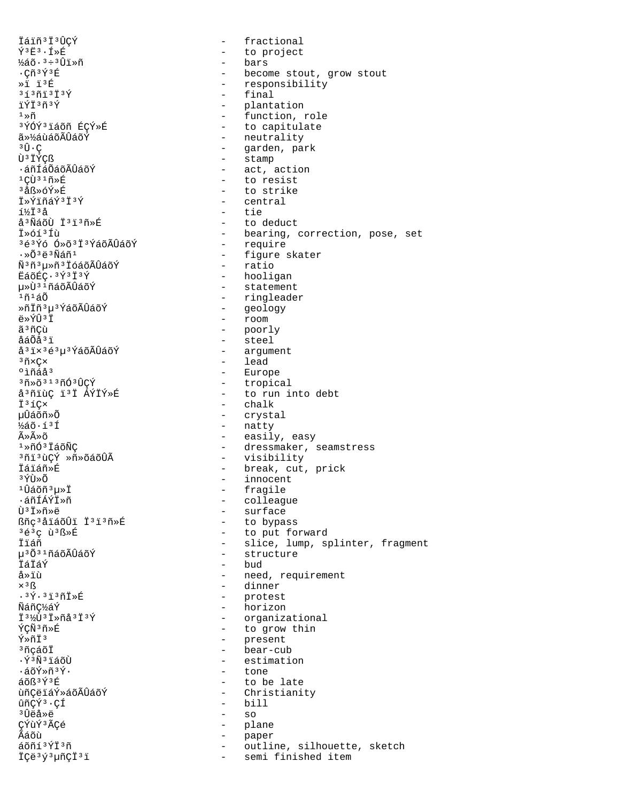İáiñ<sup>3</sup>İ<sup>3</sup>ÛCÝ  $\Delta \phi$ fractional  $\tilde{Y}$ <sup>3</sup> $E$ <sup>3</sup> ·  $I$  » $E$ - bars  $\frac{1}{2}$ áõ $\cdot$ <sup>3</sup>÷<sup>3</sup>Ûï»ñ  $\cdot$ Cñ $\frac{35}{4}$ z $\frac{6}{4}$  $*1 13E$ - final  $313013137$ ïÝÏ3ñ3Ý  $1 \times \tilde{n}$ <sup>3</sup>ÝÓÝ<sup>3</sup>iáõñ ÉÇÝ»É 㻽áùáõÃÛáõÝ  $3 \hat{\Pi} \cdot C$ - stamp Ù<sup>3</sup>IÝCß .áñÍáÕáõÃÛáõÝ  $^1\mathrm{C}\mathbf{\hat{U}}$ <br/> $^3$   $^1\mathrm{\tilde{n}*\tilde{E}}$ <sup>3</sup>åß»óÝ»É Ï»ÝïñáÝ3Ï3Ý - central - tie í½Ïªå å<sup>3</sup>ÑáõÙ Ï<sup>3</sup>ï<sup>3</sup>ñ»É İ»óíªÍù 3é3Ýó Ó»õ3Ï3ÝáõÃÛáõÝ .»õªëªÑáñ1 - ratio Ѫñªu»ñªÏóáõÃÛáõÝ ËáõÉC·<sup>3</sup>Ý<sup>3</sup>Ï<sup>3</sup>Ý u»Ù<sup>3 1</sup>ñáõÃÛáõÝ 1ñ1áÕ Ȗİñ 3 u 3 ÝáõÃÛáõÝ - geology - room ë»ÝÛ3Ï - poorly<br>- steel ã<sup>3</sup>ñÇù åáÕåªï å<sup>3</sup>i×<sup>3</sup>é<sup>3</sup>µ<sup>3</sup>ÝáõÃÛáõÝ - lead  $3$ ñ $\times$ C $\times$ - Europe °ìñáå<sup>3</sup> з<sub>П</sub>́≫õзıзпо́зџ̂С́У å<sup>3</sup>ñïùC ï<sup>3</sup>Ï ÁÝÏÝ»É - chalk Ï<sup>3</sup>íC× - crystal นปีล์oัñ»Õ - natty  $1/25$  $0.53$  $5$ Ã≫Ã≫õ  $1*$ ñÓ $3$ ÏáõÑC <sup>3</sup>ñi<sup>3</sup>ùÇÝ »ñ»õáõÛÃ İáïáñ»É  $3\tilde{\gamma}$ tt $\tilde{\gamma}$ - fragile  $10a\tilde{\omega}$ n  $3\mu$ » İ ∙áñÍÁÝÏ»ñ - surface Ù<sup>3</sup>İ»ñ»ë ßñç<sup>3</sup>åïáõÛï Ï<sup>3</sup>ï<sup>3</sup>ñ»É 3é3c ù3ß»É İiáñ น<sup>3</sup> 0 ั<sup>31</sup>ทีล์ 0 ัAปีล์ 0 ัY İáÏáÝ - bud å»ïù - dinner  $\times$ <sup>3</sup> $\overline{\mathbb{S}}$ - protest  $.3\overline{Y}$ .  $3\overline{1}$  $3\overline{1}$  $\overline{X}$  $\overline{E}$ - horizon Ñáñ¢½áÝ Ï<sup>31</sup><sup>2</sup>U<sup>3</sup> I»ñå<sup>3</sup> I<sup>3</sup>Ý ÝÇÑ3ñ»É  $\tilde{Y} \times \tilde{n} \ddot{T}$ <sup>3</sup> - present <sup>3</sup>ñcáõÏ ·ÝªÑªïáõÙ - tone ∙áõÝ»ñªÝ∙  $A\tilde{R}$ 3 $\tilde{Y}$ 3 $E$ ùñCëiáÝ»áõÃÛáõÝ ûñCÝ<sup>3</sup>·CÍ  $-$  bill  $-$  so ªÛëå≫ë ÇÝùÝ<sup>3</sup>ÃÇé - plane Ãáõù  $\sim$ paper  $\omega_{\rm{max}}$ áõñí 3ÝÏ 3ñ - semi finished item ÏÇë<sup>3</sup>ý<sup>3</sup>µñÇÏ<sup>3</sup>i

- to project - become stout, grow stout - responsibility - plantation - function, role - to capitulate - neutrality - garden, park - act, action - to resist - to strike - to deduct - bearing, correction, pose, set - require - figure skater - hooligan - statement - ringleader - argument - tropical - to run into debt - easily, easy - dressmaker, seamstress - visibility - break, cut, prick - innocent - colleague - to bypass - to put forward - slice, lump, splinter, fragment - structure - need, requirement - organizational - to grow thin - bear-cub - estimation - to be late - Christianity outline, silhouette, sketch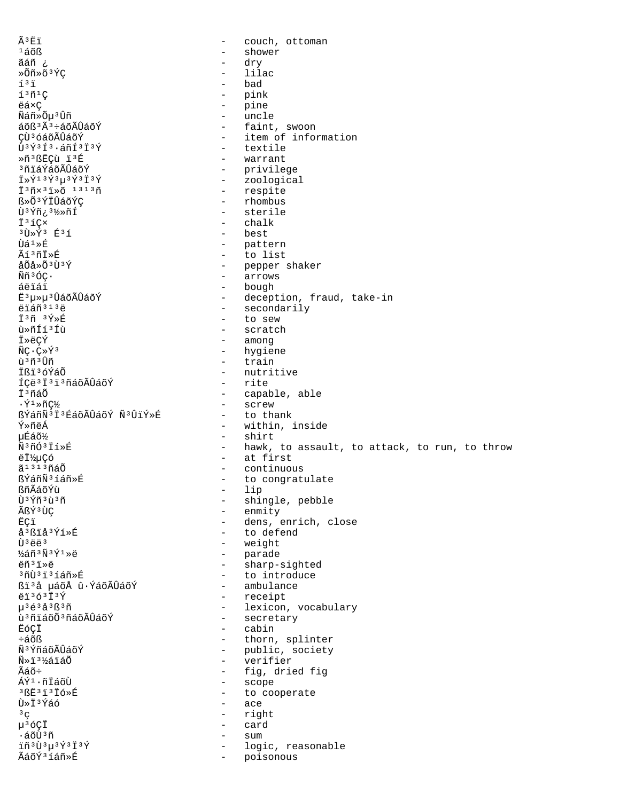Ã3Ëï couch, ottoman  $\equiv$  $1405$  $\qquad \qquad$ shower ãáñ ¿  $\equiv$ dry »Õñ»õªÝÇ lilac  $\sim$  $1<sup>3</sup>$   $1<sup>1</sup>$ bad  $\sim$  $1301C$  $\sim$ pink ëá×Ç - pine Ñáñ»Õµ3Ûñ - uncle - faint, swoon  $a\delta B$ <sup>3 $\tilde{A}$ 3 ÷ $a\delta A\tilde{U}a\tilde{O}\tilde{Y}$ </sup> CÙ<sup>3</sup> óáõÃÛáõÝ - item of information Ù3Ý3Í3.áñÍ3Ï3Ý - textile Ȗ3ßËCù ï3É - warrant - privilege <sup>3</sup>ñiáÝáõÃÛáõÝ - zoological Ï»Ý<sup>13</sup>Ý<sup>3</sup>µ<sup>3</sup>Ý<sup>3</sup>Ï<sup>3</sup>Ý - respite I<sup>3</sup>ñx<sup>3</sup>i»õ<sup>1313</sup>ñ - rhombus ß»Õ<sup>3</sup>ÝÏÛáõÝÇ - sterile ป้<sup>3</sup> Y์ก็¿<sup>31</sup>⁄2» กิโ Ï<sup>3</sup>íÇ× - chalk - best  $3\tilde{U}*\tilde{Y}$ 3  $E31$  $\hat{U} \hat{a}^1 \times \hat{E}$ - pattern - to list Ãí<sup>3</sup>ñİ»É - pepper shaker åÕå»Õ<sup>3</sup>Ù<sup>3</sup>Ý - arrows Ññ3ÓC· - bough áëïáï ∄็<sup>3</sup>น≫น<sup>3</sup> ∪ิล์ดัA๊∪ิล์ดัΥ์ - deception, fraud, take-in - secondarily ëïáñ<sup>313</sup>ë İ3ñ 3Ý»É - to sew ù»ñÍí3Íù - scratch - among İ»ëÇÝ - hygiene  $\tilde{N}C \cdot C \times \tilde{Y}$ <sup>3</sup> - train ù 3 ñ 3 Ûñ Ißi<sup>3</sup>óÝáÕ - nutritive ÍÇë<sup>3</sup> İ<sup>3</sup> i<sup>3</sup>ñáõÃÛáõÝ - rite - capable, able ϪñáÕ - screw  $\cdot$ Ý $\cdot$ ×ñC½ ßÝáñÑ<sup>3</sup>Ï<sup>3</sup>ÉáõÃÛáõÝ Ñ<sup>3</sup>ÛïÝ»É - to thank Ý»ñëÁ - within, inside uÉáõ% - shirt Ñ3ñÓ3Ïí»É - hawk, to assault, to attack, to run, to throw - at first ëϽµÇó - continuous ã<sup>1313</sup>ñáÕ ßÝáñÑ3íáñ»É - to congratulate  $-$  lip ßñÃáõÝù Ù<sup>3</sup>Ýñ<sup>3</sup>ù<sup>3</sup>ñ - shingle, pebble - enmity ÃßÝ3ÙÇ - dens, enrich, close EÇi - to defend å<sup>3</sup>ßïå<sup>3</sup>Ýí»É - weight  $\tilde{U}$ <sup>3</sup> $\tilde{A}$ <sup>3</sup> - parade  $\frac{1}{4}$ ล์กั $3$ Ñ $3$ Ý $1$ Ȁ - sharp-sighted ëñ<sup>3</sup>ï»ë - to introduce - ambulance ßi'å µáõÅ û·ÝáõÃÛáõÝ - receipt  $\ddot{e}$ i3ó3 $\ddot{1}$ 3 $\acute{Y}$ - lexicon, vocabulary  $\mu$ <sup>3</sup>é<sup>3</sup>å<sup>3</sup>ß<sup>3</sup>ñ - secretary ù<sup>3</sup>ñiáõÕ<sup>3</sup>ñáõÃÛáõÝ - cabin ËóÇÏ - thorn, splinter ևõß - public, society Ñ<sup>3</sup>ÝñáõÃÛáõÝ Ñ»ï3½áïáÕ  $\sim$ verifier Ãáõ÷ - fig, dried fig - scope ÁÝ<sup>1</sup>·ñĪáõÙ - to cooperate  $3RF313T6\times F$ Ù»Ï<sup>3</sup>Ýáó - ace - right  $3^{\circ}$ µ<sup>3</sup>óÇÏ - card ∙áõÙªñ  $\sim$ sum ïñ 3Ù 3µ 3Ý 3Ï 3Ý logic, reasonable  $\sim$ ÃáõÝ3íáñ»É  $\sim$ poisonous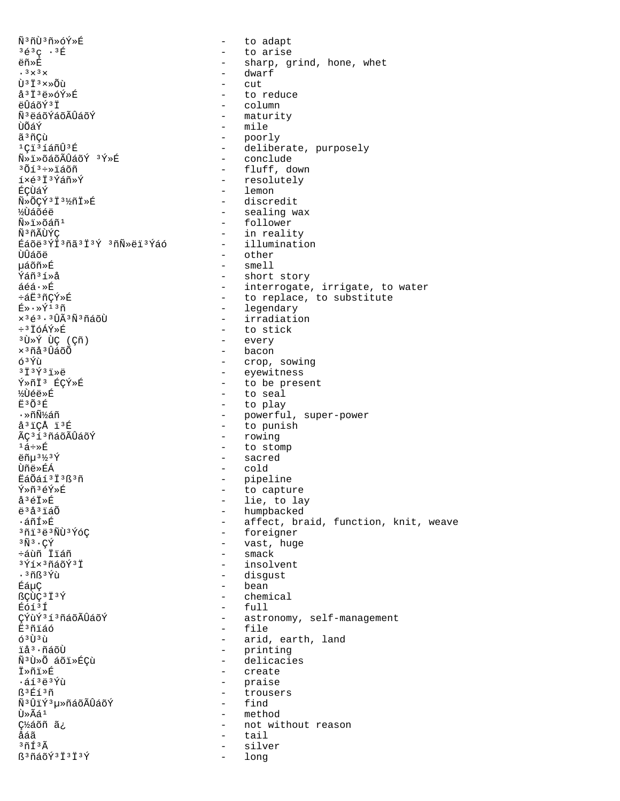Ñ3ñÙ3ñ»óÝ»É - to adapt  $363C.3E$ - to arise ëñ»É - sharp, grind, hone, whet - dwarf  $\cdot$  3  $\times$  3  $\times$ Ù<sup>3</sup>İ3x»Õù cut. å<sup>3</sup>İ<sup>3</sup>ë»óÝ»É to reduce ëÛáõݪÏ - column Ñ<sup>3</sup>ëáõÝáõÃÛáõÝ - maturity - mile ÙÕáÝ - poorly ã 3 ñCù - deliberate, purposely <sup>1</sup>Ci<sup>3</sup>íáñÙ<sup>3</sup>É - conclude  $\tilde{N}$ »i»õáõÃÛáõÝ 3Ý»É - fluff, down  $3013 \div 2150$ - resolutely íxé<sup>3</sup>İ<sup>3</sup>Ýáñ»Ý - lemon ÉÇÙáÝ - discredit Ñ»ÕÇÝ3Ï3½ñÏ»É - sealing wax **½**Ùáõéë - follower Ñ»ï»õáñ<sup>1</sup> Ñ<sup>3</sup>ñÃÙÝC - in reality - illumination Éáõë<sup>3</sup>ÝÏ3ñã<sup>3</sup>Ï<sup>3</sup>Ý 3ñÑ»ëï<sup>3</sup>Ýáó - other ÙÛáõë µáõñ»É - smell - short story  $\sqrt{2}$  $\frac{2}{3}$  $\frac{2}{3}$  $\frac{2}{3}$ - interrogate, irrigate, to water  $áéá \cdot \hat{E}$ ևË3ñCÝ»É - to replace, to substitute - legendary  $E \rightarrow \sqrt{13} \tilde{n}$  $\times$ <sup>3</sup>é<sup>3</sup>·<sup>3</sup>ÛÃ<sup>3</sup>Ñ<sup>3</sup>ñáõÙ - irradiation - to stick ֻÏóÁÝ»É <sup>3</sup>Ù »Ý ÙÇ (Çñ) - every - bacon  $\times$ <sup>3</sup> $\tilde{\mathrm{u}}$ å<sup>3</sup> $\hat{\mathrm{u}}$ áõ $\tilde{\mathrm{0}}$  $63\,\mathrm{\acute{Y}}\$ u - crop, sowing - eyewitness  $3\overline{1}$  $3\overline{Y}$  $3\overline{1}$  $\gg$ ë - to be present Ý»ñÏ3 ÉÇÝ»É - to seal ½Ùéë»É - to play កុះរ∩័ះក៌ - powerful, super-power ∙ »กิÑั¼ล์กี - to punish å<sup>3</sup>iCÅ ï<sup>3</sup>É ÃC<sup>3</sup>í<sup>3</sup>ñáõÃÛáõÝ - rowing - to stomp  $1\acute{a}$ ÷»É - sacred ëñu<sup>31/3</sup>Ý - cold Ùñë»ÉÁ EáÕáí 3 İ 3 ß 3 ñ - pipeline Ý»ñ3éÝ»É  $\omega_{\rm{max}}$ to capture - lie, to lay å<sup>3</sup>éÏ»É - humpbacked ë<sup>3</sup>å<sup>3</sup>iáÕ - affect, braid, function, knit, weave ∙áñÍ≫É - foreigner 3ñi3ë3ÑÙ3ÝóÇ - vast, huge  $3\tilde{N}$  $3\cdot$  C $\tilde{Y}$ ևùñ Ïïáñ  $-$  smack  $3\tilde{\gamma}$ íx $3\tilde{\eta}$ áõÝ $3\tilde{\gamma}$ - insolvent - disgust  $.3$ ñß $3$ Ýù - bean ÉáµÇ ßÇÙÇ<sup>3</sup>Ï<sup>3</sup>Ý - chemical Éóí3Í  $-$  full ÇÝùÝ313ñáõÃÛáõÝ - astronomy, self-management - file Ë<sup>3</sup>ñïáó  $63\tilde{U}$  $3\tilde{u}$ - arid, earth, land ïå<sup>3</sup>·ñáõÙ - printing Ñ3Ù»Õ áõï»ÉÇù - delicacies Ï≫ñi≫É - create - praise  $.513437$ - trousers  $R$  $3F$  $13F$ Ñ<sup>3</sup>ÛïÝ<sup>3</sup>µ»ñáõÃÛáõÝ - find - method Ù»Ãáª - not without reason ǽáõñ ã¿ - tail åáã  $3\tilde{n}$ í $3\tilde{A}$ silver  $\sim$ ß<sup>3</sup>ñáõÝ<sup>3</sup>Ï<sup>3</sup>Ï<sup>3</sup>Ý long  $\sim$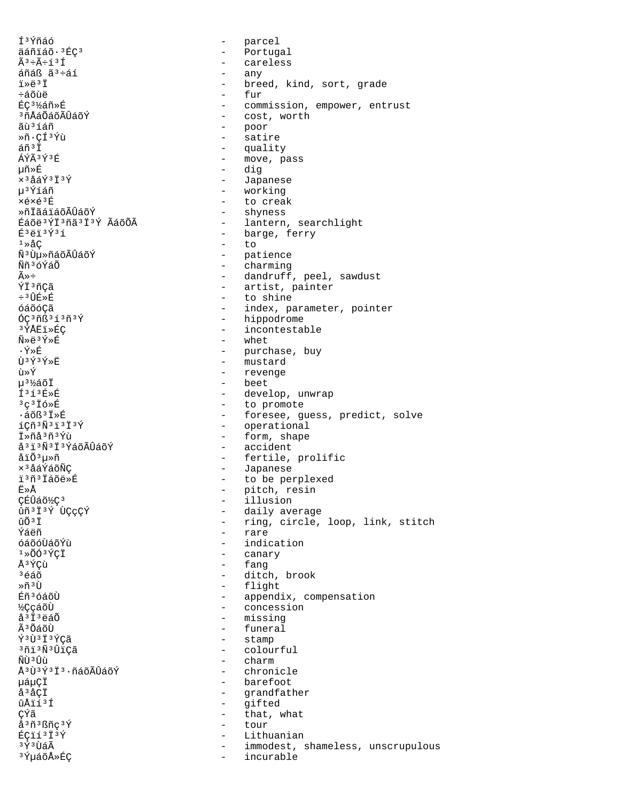Í<sup>3</sup>Ýñáó parcel  $\equiv$ - Portugal äáñiáõ·3ÉÇ3 - careless  $\tilde{A}^3$  ÷ $\tilde{A}$ ֒ $^3$ Í áñáß ã<sup>3</sup>÷áí  $\sim$ any ï»ë3Ï breed, kind, sort, grade  $\sim$ ևõùë fur  $\sim$ ÉC<sup>31</sup>⁄áñ»É - commission, empower, entrust <sup>3</sup>ñÅáÕáõÃÛáõÝ - cost, worth - poor ãù 3 í áñ - satire Ȗ•CͪÝù  $563\ddot{}$ - quality  $\tilde{A} \tilde{V} \tilde{A}$  3 $\tilde{V}$  3 $\tilde{E}$ - move, pass 椯É - dig x<sup>3</sup>åáÝ<sup>3</sup>Ï<sup>3</sup>Ý - Japanese - working น<sup>ง</sup>ิ์<br>Yíáñ - to creak xéxé<sup>3</sup>É - shyness ȖİãáïáõÃÛáõÝ - lantern, searchlight Éáõë<sup>3</sup>ÝÏ<sup>3</sup>ñã<sup>3</sup>Ï<sup>3</sup>Ý ÃáõÕÃ - barge, ferry  $E$ <sup>3</sup>ëï<sup>3</sup>Ý<sup>3</sup>í  $1 \times \text{AC}$  $\sim$  $t \circ$ - patience ѪÙµ»ñáõÃÛáõÝ - charming Ññ<sup>3</sup>óÝáÕ - dandruff, peel, sawdust  $\widetilde{\mathbb{A}} \gg \div$ ÝÏ3ñÇã - artist, painter - to shine  $\div$ <sup>3</sup> $\hat{U}$ E $\gg$ É óáõóCã - index, parameter, pointer  $6C3nB313n3Y$ - hippodrome - incontestable ªÝÅËï≫ÉÇ - whet Ñ»ë3Ý»É  $\cdot$ Ý»É - purchase, buy - mustard Ù3Ý3Ý»Ë ù»Ý - revenge - beet µ<sup>3</sup>½áõÏ  $f3f3f$ - develop, unwrap - to promote  $3c316\times E$ - foresee, guess, predict, solve  $\cdot$ áõß $3$ Iȃ - operational  $1C\widetilde{n}$ <sup>3 $\widetilde{N}$ <sup>3</sup> $1$ <sup>3</sup> $1$ <sup>3</sup> $\acute{Y}$ </sup> - form, shape İ»ñå3ñ3Ýù å<sup>3</sup> i <sup>3</sup>Ñ<sup>3</sup> i <sup>3</sup>ÝáõÃÛáõÝ - accident - fertile, prolific åïÕªµ»ñ - Japanese ×<sup>3</sup>åáÝáõÑÇ ï3ñ3Ïáõë»É - to be perplexed Ë≫Å - pitch, resin - illusion CÉÛáõ½Ç<sup>3</sup> ûñ<sup>3</sup>Ï<sup>3</sup>Ý ÙÇÇÇÝ - daily average - ring, circle, loop, link, stitch  $\hat{U}$  $\tilde{O}$  $\tilde{J}$  $\tilde{J}$ - rare Ýáëñ - indication ด์ล์ดัดบิล์ดั<sup></sup>ขั้น  $1*00*2C1$ - canary - fang Å<sup>3</sup>ÝCù - ditch, brook <sup>3</sup>éáõ - flight Ȗ3Ù Éñ<sup>3</sup>óáõÙ - appendix, compensation - concession **½**ÇçáõÙ - missing å<sup>3</sup>Ï<sup>3</sup>ëáÕ - funeral Ã<sup>3</sup>ÕáõÙ - stamp Ý3Ù3Ï3ÝCã <sup>3</sup>ñi<sup>3</sup>Ñ<sup>3</sup>ÛiÇã - colourful ÑÙ <sup>3</sup>Ûù - charm Å<sup>3</sup>Ù<sup>3</sup>Ý<sup>3</sup>Ï<sup>3</sup>·ñáõÃÛáõÝ - chronicle uáuCÏ - barefoot  $\mathring{a}$   $\mathring{a}$   $\mathring{c}$   $\mathring{I}$ - grandfather - gifted ûÅïí3Í ÇÝã - that, what å<sup>3</sup>ñ<sup>3</sup>ßñc<sup>3</sup>Ý  $\sim$ tour ÉÇïí<sup>3</sup>Ï<sup>3</sup>Ý  $\sim$ Lithuanian <sup>3</sup>Ý3ÙáÃ immodest, shameless, unscrupulous  $\sim$ <sup>3</sup>ݵáõÅ»ÉÇ incurable  $\sim$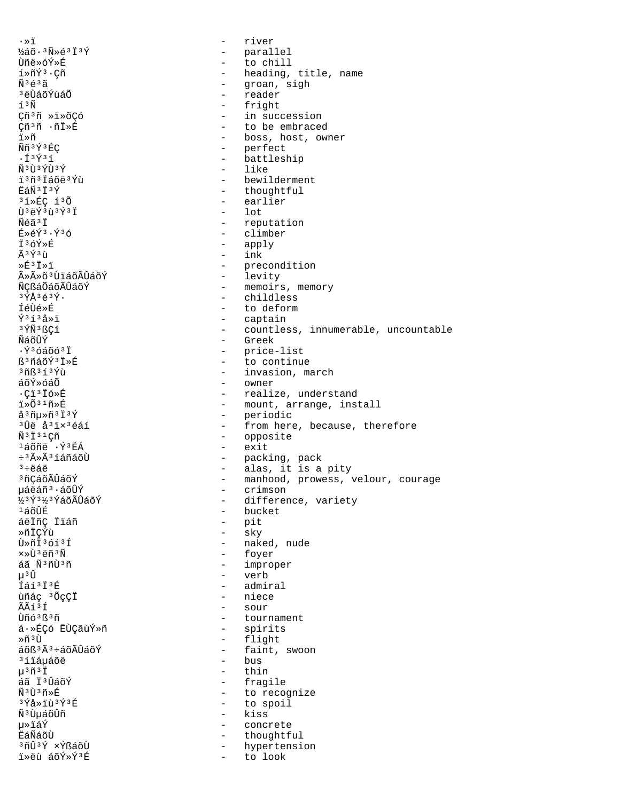$\cdot \times 1$  $-$  river ½áõ·3Ñ»é3Ï3Ý - parallel  $\omega_{\rm{max}}$ Ùñë»óÝ»É to chill  $1*\tilde{n}\tilde{Y}^3\cdot\zeta\tilde{n}$ - heading, title, name  $\tilde{N}$ <sup>3 $\tilde{e}$ <sup>3 $\tilde{a}$ </sup></sup> - groan, sigh - reader <sup>3</sup>ëÙáõÝùáÕ - fright í<sup>3</sup>Ñ Çñ<sup>3</sup>ñ »ï»õÇó - in succession - to be embraced Çñ<sup>3</sup>ñ ∙ñÏ»É - boss, host, owner ï≫ñ - perfect  $\widetilde{N}$ ñ  $3\sqrt{3}$  $\widetilde{R}$ C - battleship  $. f 3 \times 3 f$  $\tilde{N}$ <sup>3</sup> U 3  $\tilde{Y}$ U 3  $\tilde{Y}$ - like - bewilderment ï<sup>3</sup>ñ<sup>3</sup> Iáõë<sup>3</sup>Ýù - thoughtful 臄3Ï3Ý - earlier  $31*EC 130$  $-$  lot Ù 3ëÝ 3ù 3Ý 3Ï Ñéã<sup>3</sup>Ï - reputation - climber  $E*\in \tilde{Y}^3 \cdot \tilde{Y}^3$ ó - apply Ï3óÝ»É  $-$  ink  $\tilde{A}$  3  $\tilde{Y}$  3  $\tilde{U}$  $*\mathsf{F}^3$   $*\mathsf{F}^3$ - precondition - levity ûûõ<sup>3</sup>ÙiáõÃÛáõÝ - memoirs, memory พี่ตรส์ดีล์ดัมิที่ลัดห์  $3\overline{Y}$ Å $363\overline{Y}$ . - childless **féùé»É** - to deform  $\tilde{Y}$ <sup>313</sup>å»ï - captain - countless, innumerable, uncountable 3ÝÑ3ßCí - Greek ÑáõÛÝ  $\cdot$ Ý $3660031$ - price-list ß<sup>3</sup>ñáõÝ<sup>3</sup>Ï»É - to continue  $3783537$ - invasion, march - owner áõÝ»óáÕ - realize, understand  $\cdot$ Ci $^3$ İó»É  $1*0*1**F$ - mount, arrange, install  $a^{3}$ ñu»ñ $3137$ - periodic - from here, because, therefore <sup>3</sup>Ûë å<sup>3</sup>ïx<sup>3</sup>éáí - opposite  $\tilde{N}$ <sup>3</sup> I<sup>3</sup> <sup>1</sup> Cñ - exit <sup>1</sup>áõñë ·Ý<sup>3</sup>ÉÁ - packing, pack<br>- alas, it is a pity ÷<sup>3</sup>ûÃ<sup>3</sup>íáñáõÙ  $3 \div 46$ - manhood, prowess, velour, courage <sup>3</sup>ñÇáõÃÛáõÝ 栉áñ<sup>3</sup>·áõÛÝ - crimson 123 Ý 312 3 Ý á õ Ã Û á õ Ý - difference, variety - bucket  $1\tilde{a}$ õÛÉ áëIñÇ Iláñ - pit - sky ȖÏCÝù - naked, nude  $\tilde{1} \times \tilde{1} \times \tilde{1} \times \tilde{1} \times \tilde{1}$  $x \times \tilde{1}^3$  4ñ  $^3 \tilde{N}$ - foyer - improper áã Ñ3ñÙ3ñ μ<sup>3</sup>Û - verb fáí<sup>3</sup>İ<sup>3</sup>É - admiral - niece ùñác 3 ÕçÇÏ ÃÃí3Í - sour Ùñó<sup>3</sup>ß<sup>3</sup>ñ - tournament - spirits á·»ÉÇó ËÙÇãùÝ»ñ  $*ñ$ <sup>3</sup>U - flight  $a\delta B$ <sup>3 $\tilde{A}$ 3 ÷ $a\delta A\tilde{U}a\delta Y$ </sup> - faint, swoon <sup>3</sup>íïáµáõë  $-$  bus  $\mu$ <sup>3 $\tilde{\Pi}$ 3 $\ddot{\Gamma}$ </sup>  $-$  thin  $53$   $\overline{1}$   $\overline{1}$  $\overline{1}$  $\overline{2}$  $\overline{1}$  $\overline{2}$  $\overline{0}$  $\overline{5}$  $\overline{0}$ - fragile พื®ทิ®ค์≽ที - to recognize  $3\overline{\Upsilon}$ å»ïù $3\overline{\Upsilon}$ 3Ŕ - to spoil - kiss Ñ<sup>3</sup>ÙµáõÛñ µ≫ïáÝ - concrete **EáÑáõÙ** - thoughtful - hypertension <sup>3</sup>ñÛ<sup>3</sup>Ý ×ÝßáõÙ ï»ëù áõÝ»Ý3É - to look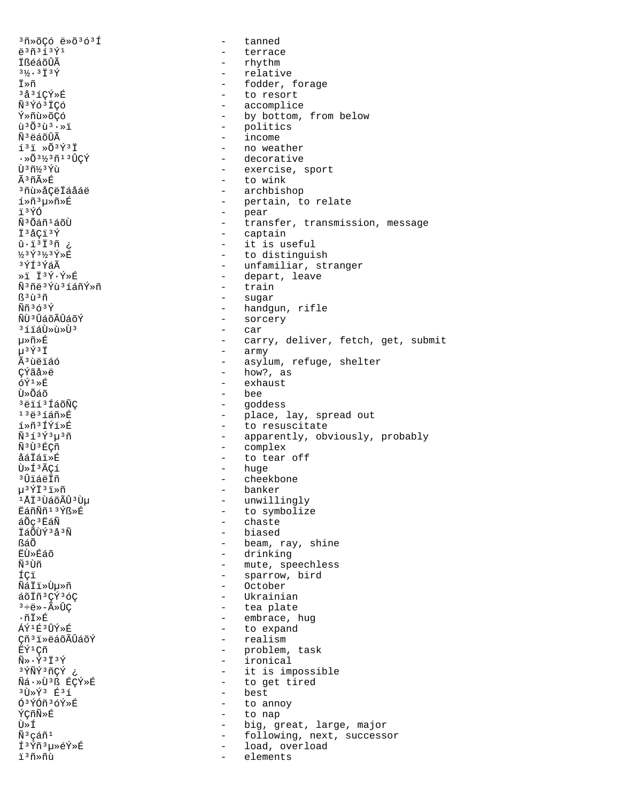3ñ»õCó ë»õ3ó3Í tanned  $\sim$  $e^{3}\tilde{n}^{3}$ 13 $\tilde{Y}^{1}$ - terrace İßéáõÛÃ - rhythm - relative  $3\frac{1}{2}$ .  $3\frac{1}{1}3\frac{1}{1}$ Ï≫ñ - fodder, forage - to resort 3å3íCÝ»É Ñ<sup>3</sup>Ýó<sup>3</sup>ÏCó - accomplice - by bottom, from below Ý»ñù»õÇó - politics  $\tilde{u}$ <sup>3</sup> $\tilde{O}$ <sup>3</sup> $\tilde{u}$ <sup>3</sup> $\cdot$   $\tilde{u}$ - income Ñ<sup>3</sup>ëáõÛÃ  $\tilde{1}$ <sup>3</sup> $\tilde{1}$   $\gg$   $\tilde{0}$   $\tilde{3}$   $\tilde{Y}$   $\tilde{1}$ - no weather - decorative  $\cdot$  » $\tilde{0}$  31/3 $\tilde{1}$ 1 3 $\hat{U}$ CÝ บิ๊ \* กี½ \* ขิ้น - exercise, sport - to wink Ã3ñûÉ - archbishop <sup>3</sup>ñù»åCëÏáåáë - pertain, to relate í»ñ3µ»ñ»É ï3ÝÓ  $\omega_{\rm{eff}}$ pear - Pear<br>- transfer, transmission, message Ñ<sup>3</sup>Õáñ<sup>1</sup>áõÙ - captain İ<sup>3</sup>åCi<sup>3</sup>Ý - it is useful  $\hat{u}$ . 1313 $\tilde{n}$ ½3Ý3½3Ý»É - to distinguish - unfamiliar, stranger ªÝͪÝáÃ - depart, leave - train Ñ∃กีё 3 Yิน 3 1 ล์กีY์ > กี - sugar ß<sup>3</sup>ù3ñ  $\tilde{N}\tilde{n}$ <sup>363 $\tilde{Y}$ </sup> - handgun, rifle ŇÙªÛáõÃÛáõÝ - sorcery ªíïáÙ»ù»Ùª  $\sim$ car 毤»É  $\sim$ carry, deliver, fetch, get, submit - army  $\mu$ <sup>3</sup> $\acute{\text{Y}}$ <sup>3</sup> $\ddot{\text{I}}$ Ã<sup>3</sup>ùëïáó - asylum, refuge, shelter **C**Ýãå»ë  $-$  how?, as  $6\bar{Y}^1$ » $\bar{F}$ - exhaust - bee นิ»ก็ล์กี - goddess <sup>3</sup>ëïí<sup>3</sup>ÍáõÑC  $132352m$ - place, lay, spread out  $1*7*7*7*F$ - to resuscitate  $\tilde{N}$ <sup>3</sup> $1$ <sup>3 $\tilde{Y}$ 3 $u$ <sup>3 $\tilde{n}$ </sup></sup> - apparently, obviously, probably Ñ<sup>3</sup>Ù<sup>3</sup>ÉCñ - complex  $\frac{1}{2}$  . åáÏáï»É to tear off - huge ٻͪÃÇí <sup>3</sup>ÛïáëÏñ - cheekbone - banker µ3ÝÏ3ï»ñ <sup>1</sup>ÅÏ<sup>3</sup>ÙáõÃÛ<sup>3</sup>Ùµ - unwillingly EáñÑñ<sup>13</sup>Ýß»É - to symbolize - chaste áÕc<sup>3</sup>ËáÑ - biased ÏáÕÙݪåªÑ - beam, ray, shine **RáÕ E**Uȃáõ - drinking ѪÙñ - mute, speechless - sparrow, bird ÍÇï - October ÑáÏï≫Ùµ≫ñ - Ukrainian áõÏñ<sup>3</sup>ÇÝ<sup>3</sup>óC  $^3\div\ddot{\ominus}\!\!\!\! \times -\widetilde{\mathbf{A}}\!\!\!\! \times \mathbf{\widehat{U}}\mathbf{\mathbf{\mathbb{C}}}$ - tea plate - embrace, hug  $\cdot$ ñÏ»É - to expand ÁÝ1É3ÛÝ»É Çñ<sup>3</sup>i»ëáõÃÛáõÝ - realism ËÝ<sup>1</sup>Cñ - problem, task  $\tilde{N} \gg \tilde{Y}$ <sup>3</sup> I <sup>3</sup> Ý - ironical 3 ÝÑÝ 3 ñÇÝ - it is impossible - to get tired Ñá·»Ù3ß ÉCÝ»É  $3\overline{1}3\overline{1}3$   $\overline{1}3\overline{1}$ - best  $63$ ÝÓñ $36$ Ý»É - to annoy ÝÇñÑ»É  $\sim$   $$ to nap - big, great, large, major Ù≫Í  $\tilde{\rm N}^{\,3}\,\varsigma$ áñ $^{\rm 1}$ - following, next, successor Í<sup>3</sup>Ýñ<sup>3</sup>µ»éÝ»É load, overload  $\sim$ i<sup>3</sup>ñ»ñù elements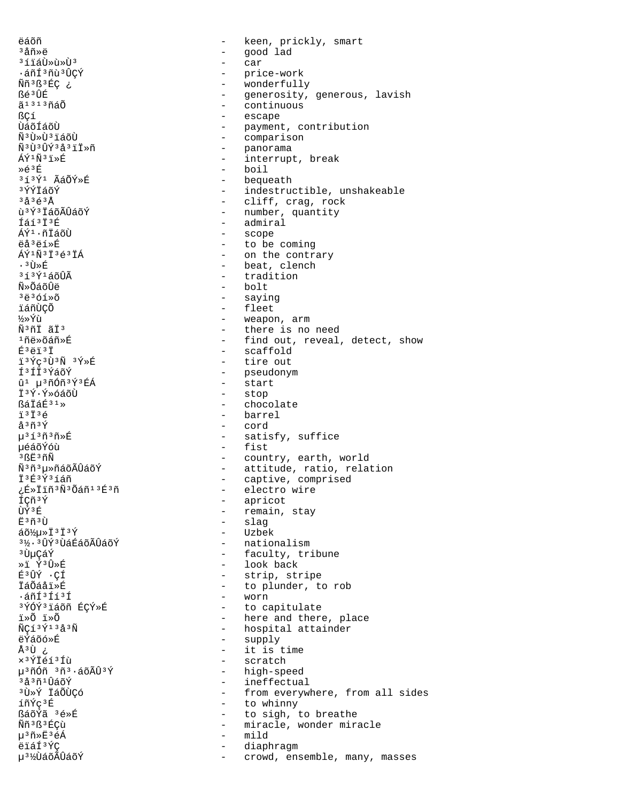ëáõñ keen, prickly, smart  $\overline{a}$ <sup>3</sup>åñ»ë  $\equiv$ good lad <sup>3</sup>íïáÙ»ù»Ù<sup>3</sup>  $\sim$ car .áñí 3ñù 3 ÛÇÝ - price-work Ññ<sup>3</sup>ß<sup>3</sup>ÉÇ ¿ - wonderfully - generosity, generous, lavish ßé3ÛÉ - continuous ã<sup>1313</sup>ñáÕ - escape အ ÙáõÍáõÙ - payment, contribution - comparison Ѫٻ٪ïáõÙ - panorama  $\tilde{N}$ 3 $\tilde{1}$ 13 $\tilde{1}$ 1 $\tilde{Y}$ 3 $\tilde{A}$ 3 $\tilde{1}$  $\tilde{T}$  $\tilde{R}$ - interrupt, break - boil  $\ast \in$ <sup>3</sup> $E$ 313Ý1 ÃáÕÝ»É - bequeath <sup>3</sup>ÝÝÏáõÝ - indestructible, unshakeable  $3\overset{1}{\alpha}$  $3\overset{1}{\beta}$  $3\overset{3}{\beta}$ - cliff, crag, rock - number, quantity ù<sup>3</sup>Ý3 IáõÃÛáõÝ - admiral Íáí<sup>3</sup>Ï<sup>3</sup>É - scope ÁÝ<sup>1</sup>·ñĪáõÙ ëå<sup>3</sup>ëí»É - to be coming - on the contrary ÁÝ<sup>1</sup>Ñ<sup>3</sup>Ï<sup>3</sup>é<sup>3</sup>ÏÁ - beat, clench . आोे≫ सि - tradition  $353\bar{y}$ 1 ล์กั $\hat{1}$ นิ Ñิ≫Õล์õินิือื  $-$  holt - saying  $3 - 3 - 61$ - fleet ïáñÙCÕ - weapon, arm ½»Ýù - there is no need Ñ<sup>3</sup>ñÏ ãÏ<sup>3</sup> - find out, reveal, detect, show 񤉯õáñ»É - scaffold  $E^3$ ëï $^3$ Ï - tire out i3Ýc3Ù3Ñ 3Ý»É ͪÍϪÝáõÝ - pseudonym - start  $\hat{u}$ <sup>1</sup>  $\mu$ <sup>3</sup> ñÓñ<sup>3</sup>Ý<sup>3</sup> ÉÁ Ī<sup>3</sup>Ý·Ý»óáõÙ - stop - chocolate  $R\tilde{A}$ Tar $\tilde{R}$ <sup>31</sup> $\ast$  $\ddot{1}$   $3\ddot{1}$   $3\ddot{6}$  $-$  harrel - cord  $A303V$  $u^{3}$ í $3$ ñ $3$ ñ»É - satisfy, suffice - fist 悠õÝóù  $3BE3n\tilde{N}$ - country, earth, world - attitude, ratio, relation<br>- captive, comprised Ñ3ñ3µ»ñáõÃÛáõÝ İ3É3Ý3íáñ - electro wire ¿É»Ïïñ3Ñ3Õáñ13É3ñ - apricot ÍCñ<sup>3</sup>Ý UTY<sup>3</sup>E - remain, stay - slag πុំ ៖ កុំ ៖ ⊺្រ  $a\tilde{o} \frac{1}{2} \mu \ast \tilde{I} \frac{3}{2} \tilde{I} \frac{3}{2} \tilde{Y}$ - Uzbek - nationalism 3½·3ÛÝ3ÙáÉáõÃÛáõÝ <sup>3</sup> ปั้นCล์Y์ - faculty, tribune - look back »i Ý3Û»É - strip, stripe É3ÛÝ · CÍ - to plunder, to rob İáÕáåi»É - worn .áñͪÍíªÍ <sup>3</sup>ÝÓÝ<sup>3</sup>iáõñ ÉÇÝ»É - to capitulate - here and there, place ï»Õ ï»Õ - hospital attainder  $\tilde{N}C13\tilde{Y}13\mathring{a}3\tilde{N}$ - supply ëÝáõó»É ن Úً<sup>3</sup> - it is time - scratch x<sup>3</sup>ÝÏéí<sup>3</sup>Íù µ<sup>3</sup>ñÓñ 3ñ<sup>3</sup>·áõÃÛ<sup>3</sup>Ý - high-speed - ineffectual <sup>3</sup>å<sup>3</sup>ñ 1 ÛáõÝ <sup>3</sup>Ū»Ý ÏáÕÙCÓ - from everywhere, from all sides - to whinny íñÝc<sup>3</sup>É ßáõÝã 3é»É - to sigh, to breathe Ññ<sup>3</sup>ß<sup>3</sup>ÉÇù - miracle, wonder miracle µ3ñ»Ë3éÁ  $\sim$ mild ëïáͪÝÇ diaphragm µ<sup>31</sup>⁄2UďãõÃÛáõÝ  $\sim$ crowd, ensemble, many, masses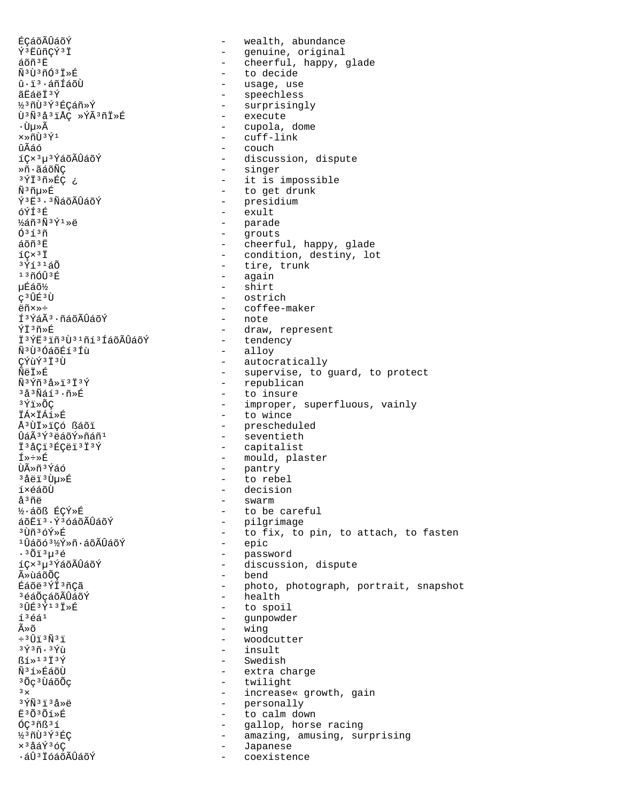ÉCÁÕÃÛÁÕÝ wealth, abundance  $\sim$ Ý<sup>3</sup> EûñÇÝ<sup>3</sup> İ - genuine, original  $\omega_{\rm{max}}$ cheerful, happy, glade áõñ<sup>3</sup>E - to decide Ñ<sup>3</sup>Ù<sup>3</sup>ñÓ<sup>3</sup>Ï»É û·ï<sup>3</sup>·áñÍáõÙ - usage, use ãËáëÏ<sup>3</sup>Ý - speechless ½3ñÙ3Ý3ÉCáñ»Ý - surprisingly Ù<sup>3</sup>Ñ3å3ïÅÇ »ÝÃ3ñÏ»É - execute - cupola, dome ∙Ùu»Ã - cuff-link  $x \times \widetilde{n}$ tī 3  $\sqrt{1}$ ทินีล์ก์ - couch íCx3u3ÝáõÃÛáõÝ - discussion, dispute - singer Ȗ·ãáõÑC 3ÝÏ3ñ»ÉÇ ¿ - it is impossible - to get drunk Ѫñµ»É Ý3Ë3 · 3ÑáõÃÛáõÝ - presidium óÝÍ3É  $\frac{1}{2}$  and  $\frac{1}{2}$ exult - parade ½áñ3Ñ3Ý1»ë  $0313n$  $\sim$ grouts - cheerful, happy, glade  $A\tilde{O}$ ñ<sup>3</sup> $F$  $ICx$ <sup>3</sup> $I$ - condition, destiny, lot  $3\acute{y}$   $1\acute{a}$   $\tilde{0}$ - tire, trunk - again  $130013E$ - shirt uÉáõ%  $C$ <sup>3</sup>ÛÉ<sup>3</sup>Ù - ostrich ëñ×»÷ - coffee-maker Í<sup>3</sup>ÝáÃ<sup>3</sup>·ñáõÃÛáõÝ - note ÝÏ3ñ»É - draw, represent - tendency Ï<sup>3</sup>ÝË<sup>3</sup>iñ<sup>3</sup>Ù<sup>31</sup>ñí<sup>3</sup>ÍáõÃÛáõÝ - alloy Ñ3Ù3ÓáõÉí3Íù - autocratically CÝùÝ<sup>3</sup>Ï<sup>3</sup>Ù ÑëÏ»É - supervise, to guard, to protect - republican  $\tilde{N}$ <sup>3</sup> $\tilde{Y}$ ñ<sup>3</sup>å » i <sup>3</sup> i <sup>3</sup> $\tilde{Y}$ - to insure <sup>3</sup>å<sup>3</sup>Ñáí<sup>3</sup>·ñ»É - improper, superfluous, vainly  $3\bar{Y}$ i » $\tilde{O}C$ **TÁxTÁí»É** - to wince - prescheduled Å<sup>3</sup>ÙÏ»ïCó ßáõï  $\hat{U}$ áÃ $3\hat{Y}$  $3\hat{e}$ áõÝ»ñáñ $1$ - seventieth - capitalist I<sup>3</sup>åCi<sup>3</sup>ÉCëi<sup>3</sup>I<sup>3</sup>Ý - mould, plaster Í≫÷≫É - pantry Ùûñ<sup>3</sup>Ýáó <sup>3</sup>åëï<sup>3</sup>Ùµ»É  $\sim$ to rebel í×éáõÙ - decision å<sup>3</sup>ñë - swarm ½·áõß ÉÇÝ»É - to be careful - pilgrimage áõËï3·Ý3óáõÃÛáõÝ - to fix, to pin, to attach, to fasten <sup>3</sup>Ùñ<sup>3</sup>óÝ»É - epic <sup>1</sup>Ûáõó<sup>3</sup>½Ý»ñ·áõÃÛáõÝ  $.3013u36$ - password íCx<sup>3</sup>u<sup>3</sup>ÝáõÃÛáõÝ - discussion, dispute - bend Ã≫ùáõÕÇ Éáõë<sup>3</sup>ÝÏ<sup>3</sup>ñÇã  $\sim$   $$ photo, photograph, portrait, snapshot - health <sup>3</sup>éáÕçáõÃÛáõÝ 30 丘 3 至 1 3 ± > 丘 - to spoil  $13641$ - gunpowder ûõ - wing  $\div$  3  $\hat{U}$   $\hat{i}$  3  $\hat{N}$  3  $\hat{i}$ - woodcutter  $3\overline{Y}3\overline{n}$ .  $3\overline{Y}i\overline{j}$ - insult  $R1*13730$ - Swedish Ñ<sup>3</sup>í»ÉáõÙ - extra charge - twilight <sup>3</sup> Õç<sup>3</sup> ÙáõÕç - increase« growth, gain  $3 \times$  $3 \hat{Y} \tilde{N}$  $3 \hat{1}$  $3 \hat{a} \times \tilde{e}$ - personally Ë3Õ3Õí»É  $\sim$   $$ to calm down ÓC3ñß3í  $\sim$   $$ gallop, horse racing ½3ñÙ3Ý3ÉÇ amazing, amusing, surprising  $\sim$ x<sup>3</sup>åáÝ<sup>3</sup>óÇ Japanese ·áÛ<sup>3</sup> İóáõÃÛáõÝ coexistence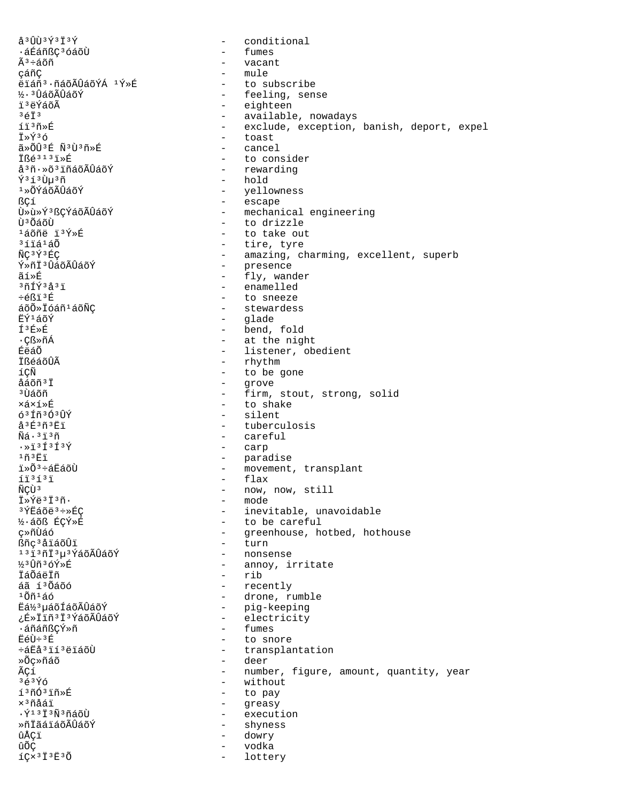$a^{3}$ UU3 $x^{3}$   $1^{3}x$ conditional  $\sim$ ᇃáñßÇ<sup>3</sup>óáõÙ fumes  $\sim$  $\tilde{\mathbb{A}}^3 \div \tilde{\mathbb{a}} \tilde{\text{OH}}$  $\sim$   $$ vacant - mule çáñÇ ëiáñ<sup>3</sup>·ñáõÃÛáõÝÁ<sup>1</sup>Ý»É to subscribe ½·3 ÛáõÃÛáõÝ - feeling, sense ï<sup>3</sup>ëÝáõÃ - eighteen  $3673$ - available, nowadays  $f\ddot{i}$   $3\tilde{n}$   $\tilde{n}$ - exclude, exception, banish, deport, expel - toast †»Ý36 ã»ÕÛ3É Ñ3Ù3ñ»É - cancel TR 43131 > F - to consider - rewarding å<sup>3</sup>ñ·»õ<sup>3</sup>iñáõÃÛáõÝ - hold Ý∃íªÙ̀µªñ - yellowness<br>- escape  $1*$ ÕÝáõÃÛáõÝ အ - mechanical engineering Ù»ù»Ý3 ßÇÝáõÃÛáõÝ Ù<sup>3</sup>ÕáõÙ - to drizzle <sup>1</sup>áõñë ï<sup>3</sup>Ý»É - to take out  $31i440$ - tire, tyre ÑC3Ý3ÉC - amazing, charming, excellent, superb Ý»ñÏ3ÛáõÃÛáõÝ - presence - fly, wander ลี เื ≫ นี้ - enamelled  $3717$  $3337$ - to sneeze  $\div$ éßï<sup>3É</sup>  $\frac{1}{2}$   $\frac{1}{2}$   $\frac{1}{2}$   $\frac{1}{2}$   $\frac{1}{2}$   $\frac{1}{2}$   $\frac{1}{2}$   $\frac{1}{2}$   $\frac{1}{2}$   $\frac{1}{2}$   $\frac{1}{2}$   $\frac{1}{2}$   $\frac{1}{2}$   $\frac{1}{2}$   $\frac{1}{2}$   $\frac{1}{2}$   $\frac{1}{2}$   $\frac{1}{2}$   $\frac{1}{2}$   $\frac{1}{2}$   $\frac{1}{2}$   $\frac{1}{2}$  - stewardess ËÝ<sup>1</sup>áõÝ - glade - bend, fold **f**<sup>3</sup>É≫É - at the night ∙Çß≫ñÁ - listener, obedient ÉëáÕ  $-$  rhythm İßéáõÛÃ íÇÑ  $\overline{a}$ to be gone åáõñ<sup>3</sup>İ  $\sim$ grove - firm, stout, strong, solid <sup>3</sup> โว้ล์กัก ×á×í»É - to shake  $637730309$  $-$  silent ងំ<sup>3</sup> F<sup>3</sup> កំ<sup>3</sup> Fi - tuberculosis  $\tilde{N}$ á $\cdot$  $3\ddot{1}$  $3\tilde{n}$ - careful  $\cdot$  >  $1313137$ - carp - paradise<br>- movement, transplant  $1\tilde{n}$  $\tilde{n}$  $\tilde{n}$ i»Õ<sup>3</sup>÷áËáõÙ  $-$  flax  $113131$ ÑCÙ<sup>3</sup> - now, now, still - mode İ»Ýë li in. <sup>3</sup>ÝËáõë<sup>3</sup>÷»ÉÇ - inevitable, unavoidable - to be careful ½·áõß ÉÇÝ»É - greenhouse, hotbed, hothouse ç≫ñÙáó - turn ßñc<sup>3</sup>åïáõÛï 1313กับมงช์ล์อัมินิลอี - nonsense ½3Ûñ3óÝ»É - annoy, irritate - rib İáÕáëÏñ - recently áã í<sup>3</sup> Õáõó - drone, rumble ∸õñ∸áó Eá½3 µáõÍáõÃÛáõÝ - pig-keeping ¿É»Ïïñ<sup>3</sup>Ï<sup>3</sup>ÝáõÃÛáõÝ  $\Delta \sim 1$ electricity ·áñáñßçÝ»ñ fumes  $\overline{a}$ ËéÙ÷<sup>3</sup>É  $\sim$ to snore ևËå<sup>3</sup>ïí<sup>3</sup>ëïáõÙ - transplantation - deer »Õç»ñáõ ÃÇí - number, figure, amount, quantity, year - without  $363\overline{Y}6$ - to pay  $13nO3nR$  $\times$  $^3$ ñåáj - greasy  $\cdot$ Ý $^{13}$ Ï $^{3}$ Ñ $^{3}$ ñáõÙ  $\sim$  10  $\pm$ execution ȖİãáïáõÃÛáõÝ  $\sim$ shyness ûÅÇï  $\sim$ dowry ûõç vodka íÇx<sup>3</sup>Ï<sup>3</sup>Ë<sup>3</sup>Õ lottery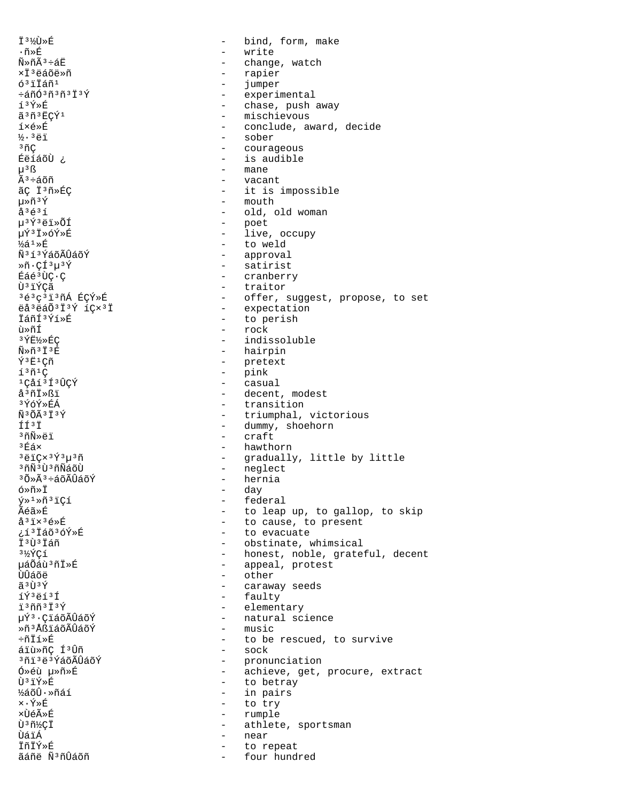**İ3%Ù»É** bind, form, make  $\equiv$  $\cdot$ ñ»É  $\qquad \qquad$ write  $\widetilde{N} \gg \widetilde{n} \widetilde{A}^3 \div \widetilde{a} E$ change, watch  $\sim$ ×Ï<sup>3</sup>ëáõë»ñ rapier  $\sim$  $63$ iláñ $1$  $\sim$ jumper  $\div$ áñó $3$ ñ $3$ ñ $3$ Ï $3$ Ý experimental  $\sim$ í3Ý»É - chase, push away ã 3ñ 3ECÝ1 - mischievous - conclude, award, decide í×é»É - sober  $\frac{1}{2}$ .  $\frac{3}{1}$  $3nC$ - courageous ÉëíáõÙ ¿ - is audible - mane  $u^3$   $\beta$  $\tilde{A}^3 \div 4 \tilde{a}$ oñ  $\sim$ vacant ãç İ<sup>3</sup>ñ»Éc - it is impossible  $\hbox{-} \quad$  mouth  $\mu \ast \tilde{n} \ast \tilde{Y}$  $\mathring{a}^3 \mathring{e}^3 \mathring{1}$ - old, old woman µ3Ý3ëï»ÕÍ - poet - live, occupy µÝ3Ï»óÝ»É - to weld  $\frac{1}{2}$ á<sup>1</sup> »É Ñ313ÝáõÃÛáõÝ - approval  $*\tilde{n} \cdot \tilde{\mathsf{C}} \tilde{1}^3 \mu^3 \tilde{Y}$ - satirist Éáé<sup>3</sup>ÙC·C - cranberry - traitor Ù iÝCã 3é3c3ï3ñÁ ÉCÝ»É - offer, suggest, propose, to set - expectation ëå<sup>3</sup>ëáÕ<sup>3</sup>Ï<sup>3</sup>Ý íCx<sup>3</sup>Ï ÏáñͪÝí»É - to perish ù»ñÍ - rock 3 Y˽»ÉÇ  $\sim$ indissoluble - hairpin  $\tilde{N} \gg \tilde{n}$ <sup>3</sup> I<sup>3</sup>E  $\tilde{Y}$ <sup>3</sup> $E$ <sup>1</sup>Çñ - pretext  $1301C$  $\sim$ pink 1Cåí3Í3ÛÇÝ  $\sim$ casual å<sup>3</sup>ñÏ»ßï - decent, modest - transition ªÝóÝ≫ÉÁ  $\tilde{N}$  3  $\tilde{O}$   $\tilde{\Delta}$  3  $\tilde{T}$  3  $\tilde{V}$ - triumphal, victorious  $f f 3 f$ - dummy, shoehorn <sup>3</sup>ñÑ»ëï - craft  $3Eax$ - hawthorn  $3\rho$ iCx $3\rho$  $3\mu$  $3\rho$  $\sim$  10  $\pm$ gradually, little by little - neglect <sup>3</sup>ñÑ<sup>3</sup>Ù<sup>3</sup>ñÑáõÙ - hernia <sup>3</sup>Õ»Ã<sup>3</sup>÷áõÃÛáõÝ ó»ñ»Ï day  $\sim$  $\sqrt{y} \times 1 \times \tilde{n}$ <sup>3</sup>iÇí  $\sim$ federal Ãéã»É - to leap up, to gallop, to skip  $a^31x^36$ ȃ - to cause, to present ¿í<sup>3</sup> Iáõ<sup>3</sup>óÝ»É - to evacuate **T313Táñ**  $\Delta \sim 10^{-11}$ obstinate, whimsical  $3\frac{1}{2}$  $C_1$ - honest, noble, grateful, decent - appeal, protest uáÕáù 3 ñ İ »É  $-$  other ÙÛáõë ã 3 Ù 3 Ý  $\sim$  10  $\,$ caraway seeds - faulty íÝ3ëí3Í ï<sup>3</sup>ññ<sup>3</sup>Ï<sup>3</sup>Ý - elementary µÝ3·ÇïáõÃÛáõÝ - natural science - music Ȗ3ÅßïáõÃÛáõÝ ֖İí»É - to be rescued, to survive áïù»ñÇ Í<sup>3</sup>Ûñ  $-$  sock - pronunciation <sup>3</sup>ñï ªë ª ÝáõÃÛáõÝ Ó»éù µ»ñ»É - achieve, get, procure, extract - to betray  $\tilde{\Pi}$ 3 i  $\tilde{Y} \times \tilde{E}$ - in pairs ½áõÛ·»ñáí ×∙Ý≫É  $\mathcal{L}^{\mathcal{A}}$ to try ×ÙéûÉ  $\sim$ rumple Ù<sup>3</sup>ñ½Çİ athlete, sportsman  $\sim$ ÙáïÁ  $\sim$ near **İñİÝ»É** to repeat ãáñë Ñ3ñÛáõñ  $\equiv$ four hundred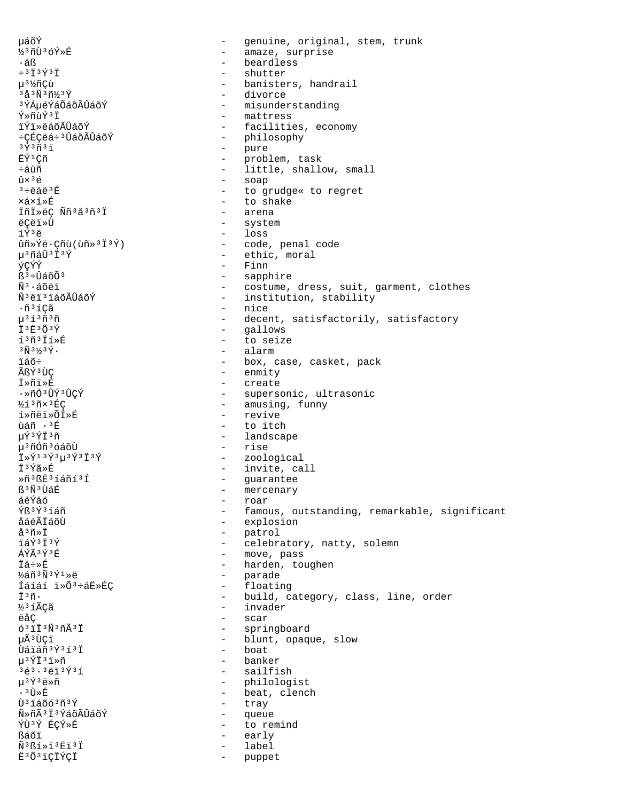uáõÝ genuine, original, stem, trunk  $\equiv$ ½3ñÙ3óÝ»É - amaze, surprise - beardless ∙áß  $\div$ <sup>3</sup> $\ddot{\mathrm{T}}$ <sup>3</sup> $\acute{\mathrm{T}}$ <sup>3</sup> $\ddot{\mathrm{T}}$ shutter µ<sup>3</sup>½ñÇù banisters, handrail  $3\frac{1}{9}3\frac{1}{9}3\frac{1}{9}43\frac{1}{9}$ - divorce <sup>3</sup>ÝÁµéÝáÕáõÃÛáõÝ - misunderstanding  $\tilde{Y} \times \tilde{n}$ nd $\tilde{Y}$ <sup>3</sup> $\tilde{T}$ - mattress - facilities, economy ïÝï»ëáõÃÛáõÝ - philosophy ւÉÇëá÷<sup>3</sup>ÛáõÃÛáõÝ - pure  $3\overline{y}3\overline{n}3\overline{1}$ FÝ1Cñ - problem, task - little, shallow, small  $\div$ ล์นิที - soap  $\hat{u} \times 36$  $3 \div 44$   $\div 3E$ - to grudge« to regret ×á×í»É - to shake İñİ»ëÇ Ññ<sup>3</sup>å3ñ3Ï - arena ëÇëï»Ù - system - loss íÝ3ë  $\hat{u}$ ñ»Ýë·Çñ $\hat{u}$ ( $\hat{u}$ ñ»<sup>3</sup>Ï<sup>3</sup>Ý) - code, penal code - ethic, moral µ3ñáÛ3Ï3Ý ýÇÝÝ  $-$  Finn - sapphire  $R^3 + \hat{L} \leq \tilde{R} \leq \tilde{R}$  $\tilde{N}^3$ ·áõëï - costume, dress, suit, garment, clothes ѪëïªïáõÃÛáõÝ - institution, stability - nice  $\cdot$ ñ $\rm{^3}$ í $\rm{C\tilde{a}}$ - decent, satisfactorily, satisfactory  $\mu$ <sup>313 $\tilde{n}$ 3 $\tilde{n}$ </sup> - gallows İ3Ë3Õ3Ý - to seize í3ñ3İí»É  $3\tilde{N}$  $3\frac{1}{3}$  $3\tilde{Y}$ . - alarm - box, case, casket, pack ïáõ÷ ÃßÝ3ÙC - enmity İ»ñï»É - create .ȖÓªÛݪÛCÝ - supersonic, ultrasonic - amusing, funny 1/13 ñ x 3 ÉC - revive í»ñëï»ÕÍ»É กล์กี . 3 นิ่ - to itch uÝ3ÝÏ3ñ - landscape 榤ÓñªóáõÙ - rise - zoological Ï»Ý<sup>13</sup>Ý<sup>3</sup>µ<sup>3</sup>Ý<sup>3</sup>Ï<sup>3</sup>Ý - invite, call Ï<sup>3</sup>Ýã»É Ȗ3ßË3íáñí3Í - guarantee - mercenary ß<sup>3</sup>Ñ<sup>3</sup>ÙáÉ áéÝáó - roar Ýß<sup>3</sup>Ý3íáñ - famous, outstanding, remarkable, significant - explosion åáéÃÏáõÙ - patrol  $A^3$ ñ»Ť  $7593739$ - celebratory, natty, solemn - move, pass  $\tilde{A} \tilde{V} \tilde{A}$  3 $\tilde{V}$  3 $\tilde{E}$ Ïá÷≫É - harden, toughen - parade ½áñ3Ñ3Ý1»ë Íáíáí i»Õ3÷áË»ÉÇ  $\frac{1}{2}$  and  $\frac{1}{2}$ floating - build, category, class, line, order Ï3ñ. ½3íÃÇã - invader scar  $\sim$  $6311303041$  $\sim$ springboard µÃ3ÙÇï - blunt, opaque, slow - boat Ùáiáñ<sup>3</sup>Ý3í3I µ3ÝÏ3ï»ñ - banker 3é3.3ëï3Ý3í - sailfish - philologist  $\mu$ <sup>3 $\check{\Upsilon}$ 3 $\ddot{\theta}$ Ȗ</sup> - beat, clench  $.3$   $\overline{1}$   $\times$   $\overline{E}$ - tray  $\tilde{U}$ <sup>3</sup>iáõó<sup>3</sup>ñ<sup>3</sup>Ý Ñ»ñÃ3Ï3ÝáõÃÛáõÝ  $\sim$ queue ÝÙ3Ý ÉÇÝ»É  $\sim$ to remind early ßáõï  $\sim$  $\tilde{N}$ <sup>3</sup> $\tilde{S}$  $\tilde{1}$   $\tilde{R}$  $\tilde{1}$   $\tilde{S}$  $\tilde{1}$ label  $\overline{a}$ Ë3Õ3iÇÏÝÇÏ  $\sim$ puppet

ëåÇ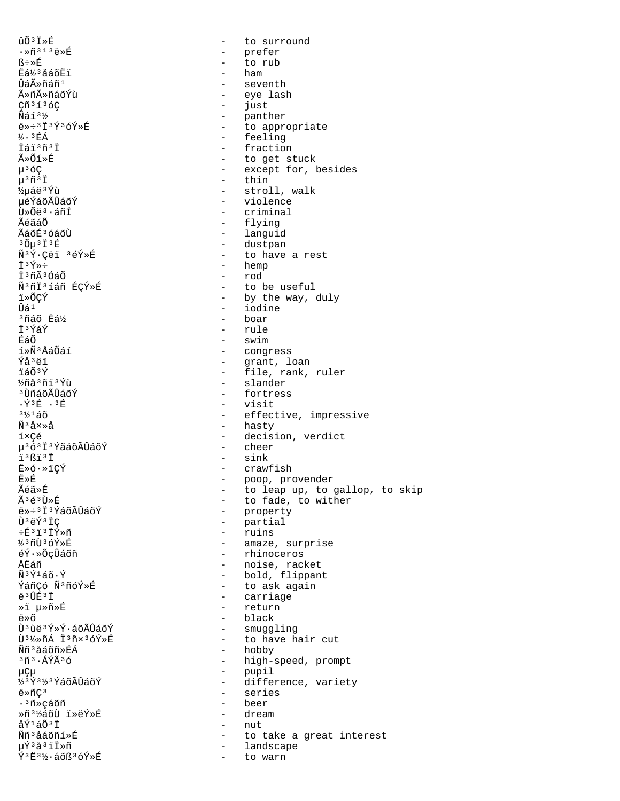ûõ3Ï»É to surround  $\sim$  $\cdot$ Ȗ<sup>313</sup>ë»É - prefer ß÷≫É  $\sim$ to rub Eá1/3 åáõËi ham  $\sim$ Ûáûñáñ<sup>1</sup> seventh  $\sim$ ûñûñáõÝù - eye lash Cñ<sup>3</sup>í<sup>3</sup>óC - just  $\widetilde{\mathrm{N}}$ áí $3\frac{1}{2}$ - panther  $e*+3\overline{1}3\overline{1}3\overline{0}3\overline{0}4\overline{1}$ - to appropriate **1/3** EÁ - feeling  $\ddot{\tau}$ ล์ $\ddot{\tau}$   $3\ddot{\tau}$ - fraction ûÕí»É - to get stuck  $u^3$ óC - except for, besides  $\mu$ <sup>3 $\tilde{\Pi}$ 3 $\ddot{\tilde{\Gamma}}$ </sup>  $-$  thin ½uáë3Ýù - stroll, walk µéÝáõÃÛáõÝ - violence Ù»Õë3·áñÍ - criminal - flying ÃéãáÕ - languid ÃáõÉ3 óáõÙ - dustpan  $30u^3$   $13E$ Ñ<sup>3</sup>Ý·Çëï 3éÝ»É - to have a rest ΪªÝ»÷ - hemp Ï3ñÃ3ÓáÕ - rod Ñ3ñÏ3íáñ ÉCÝ»É - to be useful - by the way, duly ï»õCÝ  $\hat{U}$ á<sup>1</sup> - iodine <sup>3</sup>ñáõ Eá½ - boar - rule İ<sup>3</sup>ÝáÝ  $-$  swim ÉáÕ - congress í»Ñ3ÅáÕáí - grant, loan<br>- file, rank, ruler Ýå<sup>3</sup>ëï ïáõ<sup>3</sup>Ý %ñå3ñï3Ýù - slander <sup>3</sup> ÙñáõÃÛáõÝ - fortress - visit  $\cdot$   $\sqrt{3}$   $\overline{E}$   $\cdot$   $\overline{3}$   $\overline{E}$  $3\frac{1}{2}$  $1\frac{1}{2}$  $0$ - effective, impressive - hasty  $\tilde{N}$ <sup>3</sup> $\tilde{A} \times \tilde{A}$ íxCé - decision, verdict - cheer µ<sup>363</sup>Ï<sup>3</sup>ÝãáõÃÛáõÝ  $-$  sink ï3ßï3Ï - crawfish Ë»ó.»ïÇÝ - poop, provender<br>- to leap up, to gallop, to skip Ë≫É Ãéã»É - to fade, to wither êéªÙ»É ë»÷3 I3ÝáõÃÛáõÝ - property - partial Ù ªëÝ ªÏC - ruins փªïªÏÝ»ñ - amaze, surprise 1/3 ñÙ 3 óÝ »É - rhinoceros éÝ·»ÕçÛáõñ ÅËáñ - noise, racket - bold, flippant  $\tilde{N}$ <sup>3 $\tilde{Y}$ 1 á $\tilde{o}$   $\cdot$   $\tilde{Y}$ </sup> - to ask again ÝáñÇó Ñ3ñóÝ»É ë<sup>3</sup>ÛÉ<sup>3</sup>Ï - carriage - return ȕ µ»ñ»É - black ë»õ Ù<sup>3</sup>ùë<sup>3</sup>ݻݷáõÃÛáõÝ - smuggling - to have hair cut Ù3½»ñÁ Ï3ñx3óÝ»É - hobby Ññ<sup>3</sup>åáõñ»ÉÁ - high-speed, prompt  $3\tilde{n}$  $3.4$ ÝÃ $3\tilde{o}$ - pupil μÇμ ½3Ý3½3ÝáõÃÛáõÝ - difference, variety - series  $e^*\overline{C}$ <sup>3</sup> ∙<sup>3</sup>ñ»cáõñ - beer - dream Ȗ3½áõÙ ï»ëÝ»É åݪáÕªÏ  $\sim$ nut Ññ<sup>3</sup>åáõñí»É to take a great interest  $\sim$ - landscape µÝªåªïÏ»ñ  $\tilde{Y}$ <sup>3</sup> $E$ <sup>3</sup> $\frac{1}{2}$ . áõß<sup>3</sup>óÝ»É  $\sim$ to warn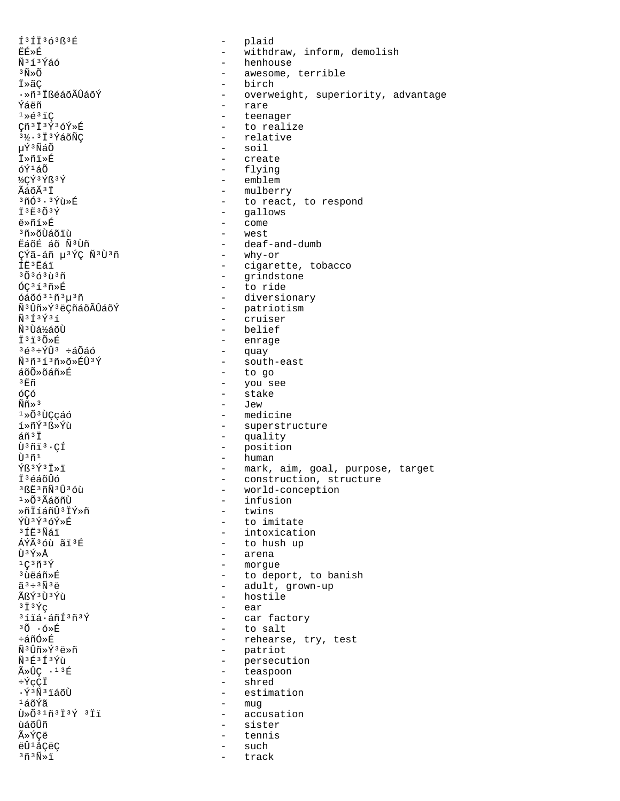$131136383E$ ËÉ≫É Ñ3í3Ýáó  $3\tilde{\text{N}}\times\tilde{\text{O}}$ İ»ãç ·»ñ<sup>3</sup> İßéáõÃÛáõÝ Ýáëñ  $1*637C$ Cñ<sup>3</sup>I<sup>3</sup>Ý<sup>3</sup>óÝ»É 31/2 - 3 I 3 YáõÑÇ นิ์<sup>รา</sup>ฟิล์ดี ⊺ื่≫ก็⊺ื่≫E็  $6\tilde{Y}^1\tilde{a}\tilde{0}$ ½CÝ3Ýß3Ý ÃáõÃ<sup>3</sup>Ï  $3\tilde{\rm n}$ Ó $3.3\tilde{\rm Y}$ ù »É İ<sup>3</sup>E3Õ3Ý ë»ñí»É <sup>3</sup>ñ»õÙáõïù EáõÉ áõ Ñ3Ùñ ÇÝã-áñ µ<sup>3</sup>ÝÇ Ñ<sup>3</sup>Ù<sup>3</sup>ñ íË<sup>3</sup>Ëáï  $30363137$  $6C31378F$  $64003103130$ Ñ<sup>3</sup>Ûñ»Ý<sup>3</sup>ëCñáõÃÛáõÝ  $\tilde{N}$ <sup>3 $\tilde{1}$ 3 $\tilde{Y}$ 3 $\tilde{1}$ </sup> Ñ<sup>3</sup>Ùá½áõÙ Ï<sup>3</sup>ï3Õ≫É  $3\acute{e}3\div\acute{Y}\hat{U}3$   $\div\acute{a}\tilde{O}\acute{a}\acute{O}$  $\tilde{N}$ <sup>3</sup> $\tilde{n}$ <sup>3</sup> $\tilde{1}$ <sup>3</sup> $\tilde{n}$ <sup>3</sup> $\tilde{p}$ <sup>3</sup> $\tilde{Y}$ áõÕ»õáñ»É  $3\,\mathrm{F}\mathrm{m}$ óCó  $\widetilde{\mathrm{Nm}} \gg 3$  $1*0*$  $1*$  $\tilde{Y}$ 3 $R*$  $\tilde{Y}$ i  $\tilde{a}$ ñ $\tilde{a}$  i Ù<sup>3</sup>ñï<sup>3</sup>·CÍ បិ<sup>3</sup>ñ<sup>1</sup>  $\hat{Y}\hat{B}$ <sup>3 $\hat{Y}$ 3 $\hat{I}$  >  $\hat{I}$ </sup> Ï<sup>3</sup>éáõÛó 3 BE3 ñÑ 3 Û 3 óù  $1*0*3A$ áõñÙ ȖİíáñÛ<sup>3</sup>IÝ»ñ ÝÙ3Ý3óÝ»É ា ក៏កាំងាំ កែង ÁÝÃ36ù ãï3É  $\tilde{U}$ 3 $\tilde{V} \times \tilde{\Delta}$  $1C3\tilde{n}3\tilde{Y}$ <sup>3</sup> ùëáñ»É  $\tilde{a}$ <sup>3</sup> ÷ <sup>3</sup> $\tilde{N}$ <sup>3</sup> $\ddot{e}$ ÃßÝ3Ù3Ýù  $3\ddot{1}$   $3\ddot{Y}$  $C$  $3114.4$  $\tilde{m}$  $133$  $30.6*E$ ևñÓ»É Ñ3Ûñ»Ý3ë»ñ Ñ3É3Í3Ýù  $\tilde{A} \times \hat{U} C$  . 13 E  $\div \tilde{Y}$ CCI . Ý3Ñ3ïáõÙ ∸áõÝã  $\tilde{U} \times \tilde{O}$ <sup>31</sup> $\tilde{H}$ <sup>313</sup> $\tilde{Y}$ <sup>311</sup> ùáõÛñ ûÝÇë ëÛ<sup>1</sup>åÇëÇ  $3\tilde{n}$  $3\tilde{N}$  $3\tilde{k}$ 

 $\Delta$ plaid withdraw, inform, demolish  $\sim$   $-$ - henhouse - awesome, terrible  $-$  birch - overweight, superiority, advantage - rare - teenager - to realize - relative  $-$  soil  $-$  create - flying - emblem - mulberry - to react, to respond - gallows  $-$  come - west - deaf-and-dumb - why-or - cigarette, tobacco - grindstone - to ride - diversionary - patriotism - cruiser - belief - enrage - quay - south-east - to go - you see - stake - Jew - medicine - superstructure - quality - position  $-$ human - mark, aim, goal, purpose, target<br>- construction, structure - world-conception - infusion - twins - to imitate - intoxication - to hush up - arena - morgue - to deport, to banish - adult, grown-up - hostile - ear - car factory - to salt - rehearse, try, test - patriot - persecution - teaspoon - shred - estimation  $-$  muq - accusation - sister tennis  $\sim$ - such track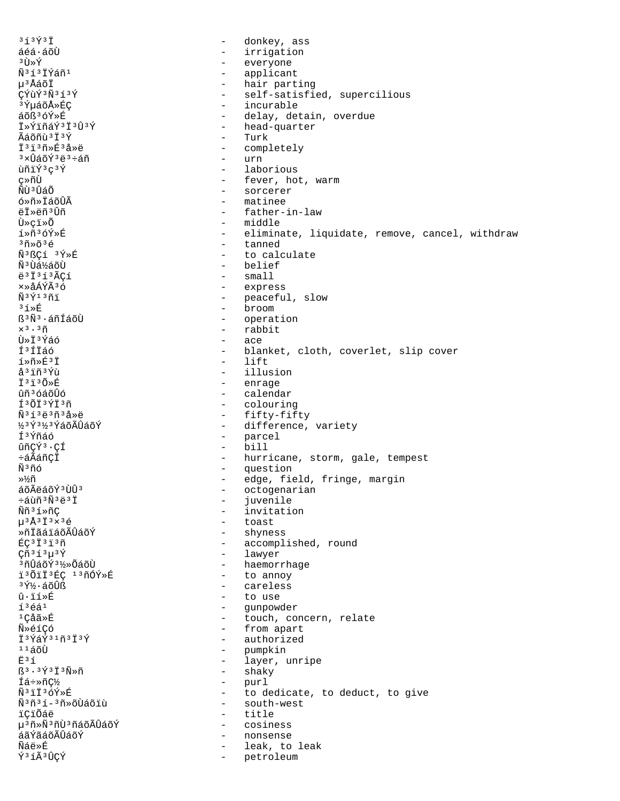$353931$ donkey, ass  $\qquad \qquad$ áéá·áõÙ  $\equiv$ irrigation  $3 \tilde{U} \times \tilde{Y}$ - everyone - applicant Ñ3í3İÝáñ1 µ3ÅáõÏ - hair parting CÝùÝ3Ñ3í3Ý - self-satisfied, supercilious <sup>3</sup>ݵáõÅ»ÉÇ - incurable áõß<sup>3</sup>óÝ»É - delay, detain, overdue Ï»ÝïñáÝ3Ï3Û3Ý - head-quarter - Turk Ãáõñù 3 Ï 3 Ý  $73730*F33*F$ - completely  $-$  urn  $3 \times \hat{1}$ ล์กั $\hat{7}$  $3 \overset{1}{\leftrightarrow} 3 \overset{1}{\leftrightarrow} 6 \overset{1}{\land} 3$ ùñïÝ3c3Ý - laborious - fever, hot, warm ç≫ñÙ - sorcerer ÑÙ<sup>3</sup>ÛáÕ ó»ñ»ÏáõÛÃ - matinee ëï»ëñ<sup>3</sup>Ûñ - father-in-law Ù»çï»Õ - middle í»ñ3óÝ»É - eliminate, liquidate, remove, cancel, withdraw  $3\tilde{\rm n}$ » $\tilde{\rm o}$  $3\tilde{\rm e}$ - tanned - to calculate Ñ<sup>3</sup>ßCí <sup>3</sup>Ý»É ѪÙá½áõÙ - belief  $-$  small  $\ddot{e}$ <sup>3</sup> $\ddot{1}$ <sup>3</sup> $\ddot{1}$ <sup>3</sup> $\ddot{A}$ C1 xȌÁÝÃ36 - express  $\tilde{N}$ <sup>3 $\tilde{Y}$ 13 $\tilde{n}$ i</sup> - peaceful, slow  $\frac{1}{2}$  $3.1 \times E$ ß<sup>3</sup>Ñ<sup>3</sup>·áñÍáõÙ - operation - rabbit  $\times$ <sup>3</sup>  $\cdot$ <sup>3</sup> $\tilde{\rm n}$ Ù»Ï3Ýáó  $\sim$ ace Í<sup>3</sup>ÍIáó blanket, cloth, coverlet, slip cover  $\sim$ í»ñ»É3Ï  $-$  lift å<sup>3</sup> iñ<sup>3</sup>Ýù - illusion  $\ddot{T}$ <sup>3</sup> $\ddot{1}$ <sup>3</sup> $\tilde{O}$ <sup>\*</sup> $\ddot{R}$ - enrage - calendar ûñ<sup>3</sup>óáõÛó - colouring í3ÕÏ3ÝÏ3ñ - fifty-fifty  $\tilde{N}$ <sup>313</sup> $\ddot{e}$ <sup>3 $\tilde{n}$ 32 $\dot{e}$ </sup> <u>Ӽҙұ҄ҙӃҙұ҄ӑѻ҇Ӑ</u>҇ѱ҈ӓѻ҈Ѵ - difference, variety Í<sup>3</sup>Ýñáó - parcel  $-$  bill ûñÇÝ<sup>3</sup>·CÍ - hurricane, storm, gale, tempest ևÃáñÇÏ - question Ѫñó - edge, field, fringe, margin »½ñ áõÃëáõÝ 3 Ù Û 3 - octogenarian ևùñ<sup>3</sup>Ñ<sup>3</sup>ë<sup>3</sup>Ï  $\sim$ juvenile Ññ<sup>3</sup>í»ñÇ - invitation  $\mu$ <sup>3</sup>Å<sup>3</sup>I<sup>3</sup>×<sup>3</sup>é - toast - shyness ȖİãáïáõÃÛáõÝ  $EC$ <sup>3 $1$ 3 $1$ 3 $\tilde{n}$ </sup> - accomplished, round  $C\tilde{n}$ <sup>313</sup> $\mu$ <sup>3</sup> $\tilde{Y}$ - lawyer - haemorrhage <sup>3</sup>nûáõÝ<sup>31</sup>⁄2»ÕáõÙ i3ÕiÏ3ÉC 13ñÓÝ»É - to annoy 3ݽ∙áõÛß - careless  $\hat{u} \cdot \tilde{z}$  $\sim$ to use  $13641$  $\sim$  10  $\pm$ qunpowder <sup>1</sup>Çåã»É - touch, concern, relate - from apart Ñ»éíÇó İ<sup>3</sup>ÝáÝ<sup>31</sup>ñ<sup>3</sup>İ<sup>3</sup>Ý - authorized  $1140$ - pumpkin - layer, unripe Ë<sup>3</sup>í  $53.37313N*$ - shaky - purl Íá÷»ñC½  $\tilde{N}$ <sup>3</sup> $\tilde{i}$   $\tilde{T}$ <sup>3</sup> $\tilde{C}$  $\tilde{V}$  $\gg$  $\tilde{E}$ - to dedicate, to deduct, to give - south-west Ñ<sup>3</sup>ñ<sup>3</sup>í-<sup>3</sup>ñ»õÙáõiù ïÇïÕáë  $\sim$ title µ<sup>3</sup>ñ»Ñ<sup>3</sup>ñÙ<sup>3</sup>ñáõÃÛáõÝ  $\sim$ cosiness áãÝãáõÃÛáõÝ nonsense  $\sim$ Ñáë»É leak, to leak Ý3 íà 3 ÛÇÝ petroleum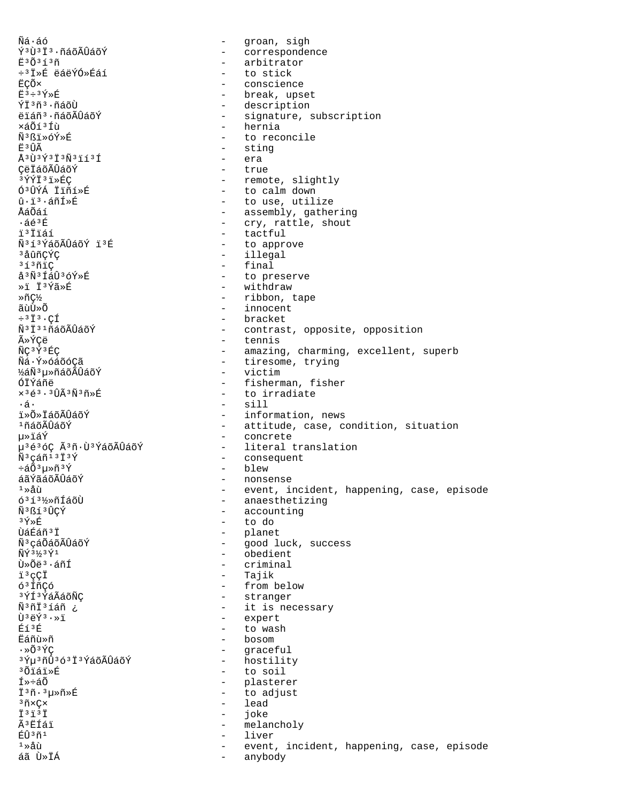Ñá∙áó - groan, sigh ݪ٪Ϫ·ñáõÃÛáõÝ - correspondence - arbitrator  $E^3$ Õ $^3$ í $^3$ ñ ÷<sup>3</sup> Ï »É ëáëÝÓ »Éáí - to stick ËÇÕ× - conscience  $F^3$  =  $3\overline{Y}$  »  $F$ - break, upset - description ÝÏ3ñ3.ñáõÙ - signature, subscription ëïáñ<sup>3</sup>·ñáõÃÛáõÝ - hernia xáõíªÍù - to reconcile Ñ3ßï»óÝ»É Ë<sup>3</sup>ÛÃ - sting  $\frac{1}{4}3\overrightarrow{1}3\overrightarrow{1}3\overrightarrow{1}3\overrightarrow{1}3\overrightarrow{1}3\overrightarrow{1}$ - era - true CëIáõÃÛáõÝ 3ÝÝÏ3ï»ÉC - remote, slightly Ó3ÛÝÁ Ïïñí»É - to calm down - to use, utilize û·ï<sup>3</sup>·áñÍ»É - assembly, gathering ÅáÕáí - cry, rattle, shout  $.563F$  $-$  tactful ï<sup>3</sup>Ïïáí Ñ<sup>313</sup>ÝáõÃÛáõÝ ï<sup>3</sup>É - to approve <sup>3</sup>åûñÇÝÇ - illegal  $3137$ - final  $a^3\tilde{N}^3\tilde{1}\tilde{a}\hat{U}^3\tilde{0}\tilde{Y}*\tilde{F}$ - to preserve »i İ3Ýã»É - withdraw - ribbon, tape ȖC½ ãùÙ≫õ - innocent  $\div$ <sup>3</sup> $\ddot{I}$ <sup>3</sup> · CÍ - bracket Ñ<sup>3</sup>Ï<sup>31</sup>ñáõÃÛáõÝ - contrast, opposite, opposition - tennis ûÝÇë - amazing, charming, excellent, superb ÑÇ<sup>3</sup>Ý<sup>3</sup>ÉÇ - tiresome, trying Ñá·Ý»óáõóÇã ½áÑ3µ»ñáõÃÛáõÝ - victim ÓÏÝáñë - fisherman, fisher  $\times$ <sup>3</sup>é<sup>3</sup>·<sup>3</sup>ÛÃ<sup>3</sup>Ñ<sup>3</sup>ñ»É - to irradiate  $\cdot$ á $\cdot$  $-$  sill *i*» Č» ĽáõÃÛáõÝ - information, news - attitude, case, condition, situation  $1$ ñáõÃÛáõÝ - concrete น≫ïล์Ý µ<sup>363</sup>óÇ Ã3ñ·Ù3ÝáõÃÛáõÝ - literal translation - consequent  $\tilde{N}$ <sup>3</sup>çáñ<sup>13</sup>Ï<sup>3</sup>Ý - blew ևÕ3µ»ñ3Ý - nonsense áãÝãáõÃÛáõÝ - event, incident, happening, case, episode<br>- anaesthetizing  $1 \times \mathring{a}$ ù 6<sup>3</sup>1<sup>31</sup>/>ñÍáõÙ - accounting Ñ3ßí3ÛCÝ - to do  $3\overline{Y}*\overline{F}$ - planet บิล์ที่ล์กั 3 Tั - good luck, success Ñ<sup>3</sup>cáÕáõÃÛáõÝ ÑÝ 31/3Ý1 - obedient  $\tilde{U} \times \tilde{O}$ ë  $3 \cdot 5$ ñÍ - criminal - Tajik ï3çÇÏ - from below ó<sup>3</sup>ÍñCó - stranger ªÝͪÝáÃáõÑÇ - it is necessary Ñ3ñÏ3íáñ ¿ - expert  $\tilde{U}$ <sup>3</sup>ëÝ<sup>3</sup>·»ï - to wash Éí<sup>3</sup>É - bosom **Eáñù**Ȗ  $\cdot \times 0.35$ C - graceful <sup>3</sup>ݵ<sup>3</sup>ñÛ<sup>3</sup>ó<sup>3</sup>Ï<sup>3</sup>ÝáõÃÛáõÝ - hostility <sup>3</sup>Õiáï»É - to soil - plasterer f»÷áõ - to adjust ⊥ี<sup>3</sup>กั·<sup>3</sup>น≫กั≫É - lead  $3$ ñxC $\times$  $\ddot{I}$ <sup>3 $\ddot{I}$ </sup>  $\sim$   $$ joke Ã<sup>3</sup> EÍái - melancholy ÉÛ3ñ1 liver  $\sim$  $1 \times 2$ บ้ event, incident, happening, case, episode áã Ù»ÏÁ  $\sim$ anybody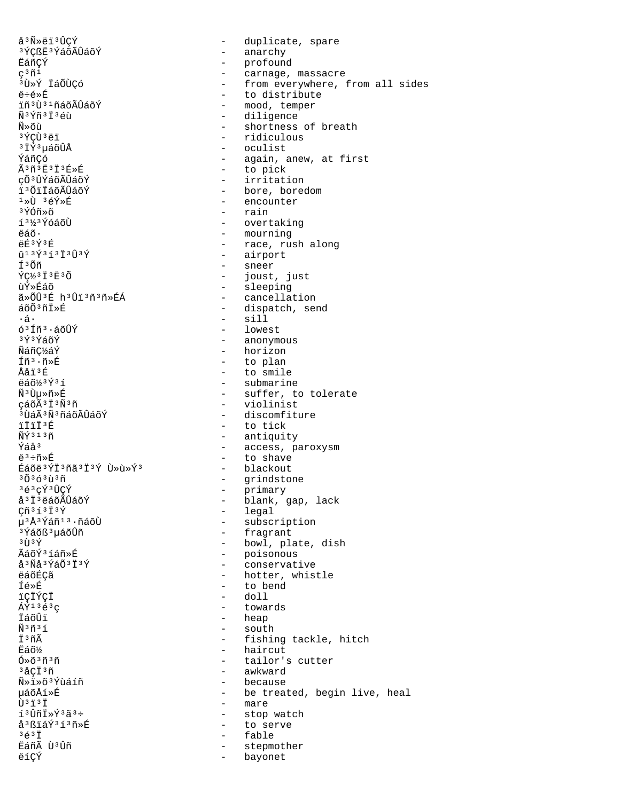å<sup>3</sup>Ñ»ëï<sup>3</sup>ÛCÝ <sup>3</sup>ÝCßË<sup>3</sup>ÝáõÃÛáõÝ EáñÇÝ  $\zeta^3\tilde{n}^{\dot{1}}$ <sup>3</sup>Ù»Ý ÏáÕÙÇó ë÷é»É ïñ<sup>3</sup>Ù<sup>31</sup>ñáõÃÛáõÝ Ñ3Ýñ3Ï3éù Ñิ≫õน้ з ́у́Стта ё ї  $3\,\tilde{1}\,\tilde{Y}$  $3\,\tilde{u}$ ล์õ $\hat{U}$ Å ÝáñCó  $\tilde{A}$ <sup>3</sup> $\tilde{n}$ <sup>3</sup> $\tilde{E}$ <sup>3</sup> $\tilde{I}$ <sup>3 $\tilde{E}$ </sup><sup>3 $\tilde{E}$ </sup> çÕ<sup>3</sup>ÛÝáõÃÛáõÝ i<sup>3</sup>ÕiÏáõÃÛáõÝ  $1\times\overline{U}$   $3\in\widetilde{Y}\times\widetilde{E}$ 3ÝÓñ»õ í<sup>31/3</sup>ÝóáõÙ ëáõ. ëÉ<sup>3</sup>Ý3É  $013\bar{Y}313\bar{1}303\bar{Y}$ Í<sup>3</sup>Õñ  $\overline{Y}C\overline{3}$   $\overline{1}$   $\overline{3}$   $\overline{E}$   $\overline{3}$   $\overline{0}$ ùÝ≫Éáõ ã»ÕÛ3É h3Ûï3ñ3ñ»ÉÁ áõÕªñÏ»É ۰á۰  $63$ Íñ $3.4$ õÛÝ 3Ý3ÝáõÝ Ñáñ¢½áÝ Íñ<sup>3</sup>·ñ»É Ååï<sup>3</sup>É ëáõ½3Ý3í Ñ<sup>3</sup>Ùu≫ñ»É çáõÃ<sup>3</sup>Ï<sup>3</sup>Ñ<sup>3</sup>ñ  $3$ ījáÃ $3$ Ñ $3$ ñáõÃÛáõÝ  $57573E$  $\tilde{\rm N}\tilde{\rm Y}$ <sup>313 $\tilde{\rm n}$ </sup> Ýáå<sup>3</sup>  $e^3$ ֖»É Éáõë<sup>3</sup>ÝÏ<sup>3</sup>ñã<sup>3</sup>Ï<sup>3</sup>Ý Ù »ù »Ý<sup>3</sup>  $3030303n$ 3é3cÝ3ÛCÝ å<sup>3</sup> İ<sup>3</sup> ëáõÃÛáõÝ  $C\tilde{n}$ <sup>31313 $\tilde{Y}$ </sup> µ<sup>3</sup>Å<sup>3</sup>Ýáñ<sup>13</sup>·ñáõÙ <sup>3</sup>Ýáõß 3 µáõÛñ  $3$  TT  $3\sqrt{ }$  $\tilde{A}$ ล์กั $\tilde{Y}$ 3 ไล้ทั» นิ่  $a^3$ Ñå $3$ ÝáÕ $3\ddot{1}$  $3\acute{Y}$ ëáõÉçã Íé»É ïÇÏÝÇÏ  $\tilde{A}\tilde{Y}$ <sup>13 $\tilde{e}$ 3 $\sigma$ </sup> ÏáõÛï  $\tilde{N}$ <sup>3 $\tilde{n}$ <sup>3 $\tilde{1}$ </sup></sup> İ3ñÃ Ëáõ½ <sup>3</sup>åCİ<sup>3</sup>ñ Ñ»ï»õªÝùáíñ µáõÅí≫É  $\tilde{U}$ <sup>3</sup> $\ddot{1}$ <sup>3 $\ddot{T}$ </sup> í<sup>3</sup>Ûñİ»Ý3ã3÷ å<sup>3</sup>ßïáÝ<sup>3</sup>í<sup>3</sup>ñ»É  $3631$ Eáñà Ù<sup>3</sup>Ûñ ëíÇÝ

- duplicate, spare - anarchy - profound<br>- carnage, massacre - from everywhere, from all sides - to distribute - mood, temper - diligence - shortness of breath - ridiculous - oculist - again, anew, at first - to pick - irritation - bore, boredom - encounter - rain - overtaking - mourning - race, rush along - airport - sneer - joust, just - sleeping - cancellation - dispatch, send  $-$  sill - lowest - anonymous - horizon - to plan - to smile - submarine - suffer, to tolerate - violinist - discomfiture - to tick - antiquity - access, paroxysm - to shave - blackout - grindstone - primary - Frimmer<br>- blank, gap, lack - legal - subscription - fragrant - bowl, plate, dish - poisonous - conservative - hotter, whistle - to bend  $-$  doll - towards - heap - south - fishing tackle, hitch - haircut - tailor's cutter - awkward - because - be treated, begin live, heal - mare - stop watch - to serve - fable - stepmother - bayonet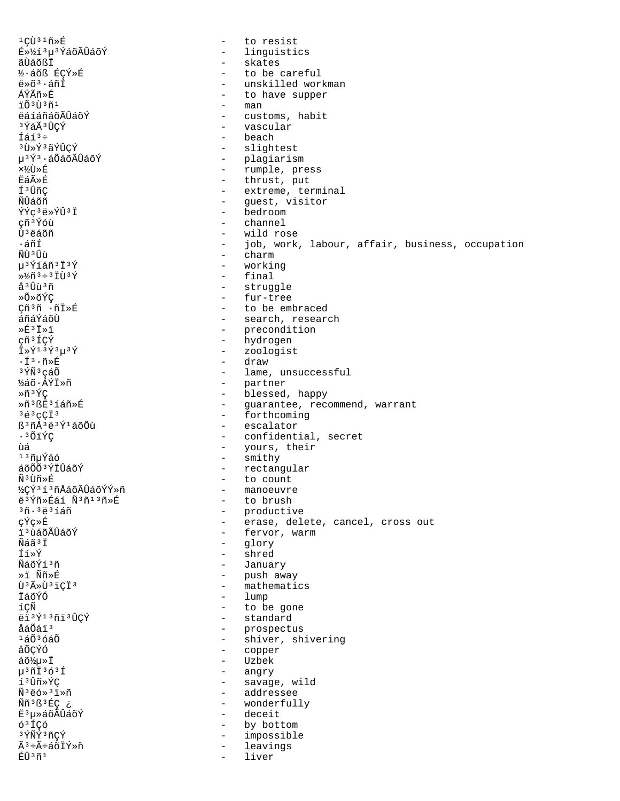$1C\tilde{U}$ <sup>31</sup> $\tilde{n}$  $\tilde{E}$ - to resist - linguistics E»113µ3ÝáõÃÛáõÝ ãÙáõßÏ - skates ½·áõß ÉÇÝ»É - to be careful  $e^{*\delta^3} \cdot \tilde{a}$ ní - unskilled workman ÁÝÃñ»É - to have supper  $-$  man jõ3tī3ñ1 ëáíáñáõÃÛáõÝ - customs, habit 3 Ýáà 3 ÛÇÝ - vascular Íáí<sup>3</sup>÷  $-$  beach **3U**\*Y3ãÝÛCÝ - slightest u<sup>3</sup>Ý<sup>3</sup>·áÕáõÃÛáõÝ - plagiarism - rumple, press ×¼Ù»É - thrust, put **ËáÃ**≫É - extreme, terminal Í<sup>3</sup>ÛñC ÑÛáõñ - guest, visitor - bedroom ÝÝç<sup>3</sup>ë»ÝÛ<sup>3</sup>Ï çñ<sup>3</sup>Ýóù channel  $\overline{a}$ Ù<sup>3</sup>ëáõñ - wild rose ∙áñÍ - job, work, labour, affair, business, occupation  $-$  charm ÑÙ 3 Ûù µ<sup>3</sup>Ýíáñ<sup>3</sup>Ï<sup>3</sup>Ý - working - final  $*^{1/2}$ ñ 3 ÷ 3 I Ù 3 Ý - struggle å <sup>3</sup> Uù <sup>3</sup> ñ ≫Õ≫õÝC - fur-tree Cñ3ñ ∴ñÏ»É - to be embraced áñáÝáõÙ - search, research - precondition  $\times \hat{E}^3$   $\bar{I} \times \ddot{I}$ - hydrogen çñ<sup>3</sup>ÍÇÝ - zoologist  $\ddot{\mathbf{I}} \times \acute{\mathbf{Y}}$ <sup>13</sup> $\acute{\mathbf{Y}}$ <sup>3</sup> $\ddot{\mathbf{Y}}$ - draw  $\cdot$ í $\cdot$ ñ»É <sup>3</sup>ÝÑ<sup>3</sup>çáÕ - lame, unsuccessful ½áõ·ÁÝÏ»ñ - partner - blessed, happy Ȗ3ÝC Ȗ3ßË3íáñ»É - guarantee, recommend, warrant - forthcoming  $363$  CCT  $3$  $B^3$ ñÅ $3e^3$ ý $160$ - escalator .3ÕïÝC - confidential, secret - yours, their<br>- smithy ùá <sup>13</sup>ñuÝáó - rectangular áõÕÕ3ÝÏÛáõÝ - to count ѪÙñ»É ½çÝ3í3ñÅáõÃÛáõÝÝ»ñ - manoeuvre ë3Ýñ»Éáí Ñ3ñ13ñ»É - to brush - productive<br>- erase, delete, cancel, cross out  $3\tilde{n}$ .  $3\tilde{e}$  $3\tilde{1}\tilde{a}\tilde{n}$ çÝç»É - fervor, warm ï ªùáõÃÛáõÝ - glory พีล์ลัง†ั fí»Ý - shred - January NáõÝí3ñ - push away<br>- mathematics ȕ Ññ»É Ù<sup>3</sup>ûÙ<sup>3</sup>iCÏ<sup>3</sup>  $-$  lump ÏáõÝÓ íÇÑ - to be gone - standard ëï 3Ý13ñï 3ÛÇÝ åáÕáï<sup>3</sup> - prospectus - shiver, shivering  $1\acute{a}\tilde{O}3\acute{o}\acute{a}\tilde{O}$ - copper åÕÇÝÓ - Uzbek áõ½u»Ï - angry  $\mu$ <sup>3</sup> $\tilde{\text{1}}$ <sup>3</sup> $\tilde{\text{0}}$ <sup>3 $\tilde{\text{1}}$ </sup> - savage, wild í3ûñ»ÝC - addressee  $\tilde{N}$ <sup>3</sup> $\ddot{e}$ ó»<sup>3</sup> $\ddot{1}$ Ȗ Ññ<sup>3</sup>ß<sup>3</sup>ÉC ¿ - wonderfully - deceit Ë3µ»áõÃÛáõÝ ó<sup>3</sup>ÍÇó - by bottom 3 ÝÑÝ 3 ñÇÝ  $\sim$ impossible Ã3÷Ã÷áõÏÝ»ñ  $\sim$ leavings ÉÛ3ñ1 liver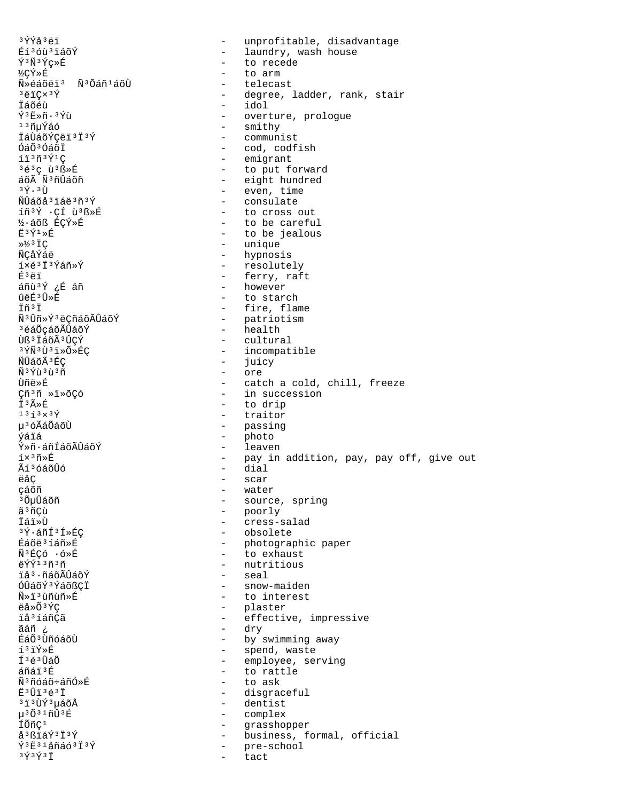3ÝÝå3ëï unprofitable, disadvantage  $\sim$ Éí<sup>3</sup>óù<sup>3</sup>iáõÝ - laundry, wash house  $\acute{\textbf{Y}}$  3 $\tilde{\textbf{N}}$ 3 $\acute{\textbf{Y}}$ ç»É - to recede ½ÇÝ»É to arm Ñ»éáõëï<sup>3</sup> Ñ<sup>3</sup>Õáñ<sup>1</sup>áõÙ telecast  $3 \ddot{e}$ iC $\times$  $3 \acute{Y}$ - degree, ladder, rank, stair  $-$  idol İáõéù  $\tilde{Y}$ <sup>3</sup> $F$ » $\tilde{n}$ .  $\tilde{Y}$  $\tilde{Y}$ - overture, prologue - smithy <sup>ı ∍</sup>ñuÝáó - communist ÏáÙáõÝCëï 3Ï 3Ý ÓáÕ<sup>3</sup>ÓáõĪ - cod, codfish - emigrant  $1130391C$ 3é3c ù3ß»丘 - to put forward áõÃ Ñ3ñÛáõñ - eight hundred - even, time  $3\,\rm \tilde{Y}$ .  $3\,\rm \tilde{U}$ - consulate ÑÛáõå<sup>3</sup>iáë<sup>3</sup>ñ<sup>3</sup>Ý - to cross out íñ<sup>3</sup>Ý · ÇÍ ù<sup>3</sup>ß »É ½·áõß ÉÇÝ»É - to be careful - to be jealous  $E^3$ Ý $^1$ ȃ - unique  $\frac{3}{2}$   $\frac{1}{2}$   $\frac{1}{2}$   $\frac{1}{2}$   $\frac{1}{2}$ ÑCåÝáë - hypnosis í×é<sup>3</sup> İ<sup>3</sup>Ýáñ»Ý - resolutely - ferry, raft É3ëï áñù<sup>3Ý</sup> ¿É áñ - however ûëɪÛ»É - to starch Iñ<sup>3</sup>I - fire, flame Ñ<sup>3</sup>Ûñ»Ý<sup>3</sup>ëÇñáõÃÛáõÝ - patriotism - health <sup>3</sup>éáÕçáõÃÛáõÝ Ùß<sup>3</sup> ÏáõÃ<sup>3</sup>ÛÇÝ - cultural - incompatible 3 ÝÑ 3 Ù 3 ï »Õ »ÉÇ - juicy ÑÛáõÃ<sup>3</sup>ÉÇ Ñ<sup>3</sup>Ýù<sup>3</sup>ù<sup>3</sup>ñ - ore Ùñë»É - catch a cold, chill, freeze - in succession Cñ<sup>3</sup>ñ »ï»õÇó - to drip Ï3ûÉ - traitor  $1353\times37$ - passing น<sup>3</sup> óÃáÕáõÙ váiá - photo - leaven Ý»ñ·áñÍáõÃÛáõÝ - pay in addition, pay, pay off, give out  $1 \times 3$ ñ»É - dial Ãí<sup>3</sup>óáõÛó ëåÇ - scar çáõñ - water <sup>3</sup> ÕµÛáõñ - source, spring - poorly ã<sup>3</sup>ñCù - cress-salad İái»Ù - obsolete <sup>3</sup>Ý∙áñÍ<sup>3</sup>Í»ÉC - photographic paper Éáõë<sup>3</sup>íáñ»É  $\tilde{N}$ <sup>3</sup> $FCA$   $\cdot$   $6 \times F$ - to exhaust ëÝÝ<sup>13</sup>ñ3ñ - nutritious - seal ïå<sup>3</sup>·ñáõÃÛáõÝ - snow-maiden ÓÛáõݪÝáõßÇİ - to interest Ñ»ï3ùñùñ»É ëå»Õ<sup>3</sup>ÝÇ - plaster  $\omega_{\rm{max}}$ *iå*<sup>3</sup>íáñÇã effective, impressive - dry ãáñ ¿ ÉáÕ<sup>3</sup>ÙñóáõÙ - by swimming away í3ïÝ»É - spend, waste - employee, serving f 3é 3 Úa Õ áñái3É - to rattle - to ask  $\tilde{N}$ <sup>3</sup> $\tilde{n}$ óáõ÷á $\tilde{n}$ Ó»É - disgraceful  $F3$ U<sub>1</sub> $363T$ - dentist <sup>3</sup> i <sup>3</sup>ÙY์ <sup>3</sup>uáõÅ - complex  $\mu$ <sup>3</sup> $\tilde{O}$ <sup>31</sup> $\tilde{n}\hat{U}$ <sup>3</sup> $\tilde{E}$  $\omega_{\rm{eff}}$ ÍÕñÇ<sup>1</sup> grasshopper - business, formal, official å<sup>3</sup>ßïáÝ<sup>3</sup>Ï<sup>3</sup>Ý  $\tilde{Y}$ <sup>3</sup> $\tilde{E}$ <sup>31</sup>åñáó<sup>3 $\tilde{T}$ 3 $\tilde{Y}$ </sup> - pre-school  $3\, \tilde{Y}$  $3\, \tilde{Y}$  $3\, \tilde{I}$ tact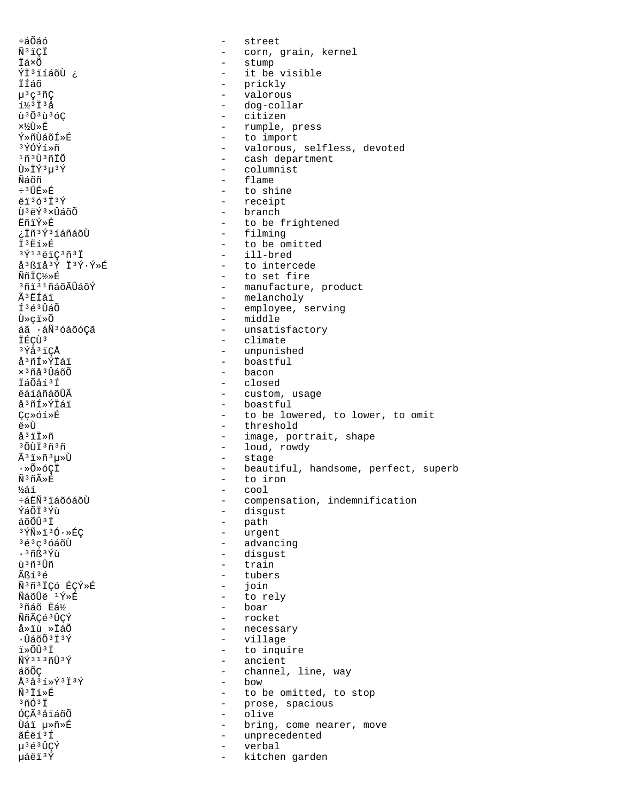$\div$ áÕáó street  $\sim$ Ñ<sup>3</sup>iCİ - corn, grain, kernel İá×Õ  $-$  stump ÝÏ<sup>3</sup>ïíáõÙ ¿ it be visible  $\sim$ İÍáõ - prickly  $\mu$ <sup>3</sup> $\varsigma$ <sup>3</sup> $\tilde{n}$  $\zeta$  $\sim$ valorous  $1/3$   $1/3$   $\Delta$ - dog-collar ù<sup>3</sup>Õ<sup>3</sup>ù<sup>3</sup>óC - citizen - rumple, press ×%Ù»É - to import Ý»ñÙáõÍ»É <sup>3</sup>Ý∩์Ý́า์ »ñ - valorous, selfless, devoted 1ที่ งิทิงที่ที่กี - cash department Ù»ÏÝ3µ3Ý - columnist Ñáõñ - flame ÷<sup>3</sup>ÛÉ»É - to shine ëï363Ï3Ý - receipt  $-$  branch Ù<sup>3</sup>ëÝ<sup>3</sup>×ÛáõÕ ËñïÝ»É - to be frightened - filming ¿Ïñ<sup>3</sup>Ý3íáñáõÙ İ<sup>3</sup>E1»É - to be omitted - ill-bred  $3\overline{Y}$ 13ëïC3ñ3Ï å<sup>3</sup>ßïå<sup>3</sup>Ý Ï<sup>3</sup>Ý·Ý»É - to intercede Nñic½»É - to set fire <sup>3</sup>ñi<sup>31</sup>ñáõÃÛáõÝ - manufacture, product Ã3ËÍái - melancholy  $I^3$ é $^3$ ÛáÕ - employee, serving - middle Ù≫çï≫Õ áã ·áÑ3óáõóÇã - unsatisfactory - climate IÉÇÙ3 3Ýå3ïÇÅ - unpunished - boastful å<sup>3</sup>ñÍ»ÝÏáï  $\times$ <sup>3</sup> $\tilde{\rm n}$ å<sup>3</sup> $\hat{\rm U}$ áõ $\tilde{\rm O}$ - bacon İáÕåí<sup>3</sup>Í - closed - custom, usage ëáíáñáõÛÃ - boastful å<sup>3</sup>ñÍ»ÝÏáï Cc»óí»É - to be lowered, to lower, to omit - threshold Ť«Ä å<sup>3</sup>iI»ñ - image, portrait, shape - loud, rowdy <sup>3</sup>ÕÙÏ<sup>3</sup>ñ3ñ - stage  $\tilde{A}$ <sup>3</sup>i» $\tilde{n}$ <sup>3</sup> $\mu$ »Ù - beautiful, handsome, perfect, superb ∙»Õ»óÇÏ Ñ3ñûÉ to iron  $\sim$ ½áí  $\overline{a}$ cool ևËÑ3 LáõóáõÙ  $\overline{a}$ compensation, indemnification - disgust ÝáÕÏ3Ýù - path áõÕÛªÏ  $3\overline{\text{Y}}\text{\scriptsize{\textsf{N}}}\text{\scriptsize{\textsf{*}}}\text{\scriptsize{\textsf{1}}}3\text{\scriptsize{\textsf{0}}}\text{\scriptsize{\textsf{-}}}\text{\scriptsize{\textsf{*}}}\text{\scriptsize{\textsf{E}}}\text{\scriptsize{\textsf{C}}}$ - urgent - advancing  $363c3660$  $.36837$ - disgust ù <sup>3</sup>ñ <sup>3</sup> Úñ - train - tubers Ãßí3é Ñ3ñ3ÏÇó ÉÇÝ»É  $\sim$ join ÑáõÛë <sup>1</sup>Ý»É  $\frac{1}{2}$  and  $\frac{1}{2}$ to rely 3ñáõ Eá½ - boar ÑñÃÇé 3 ÛÇÝ - rocket - necessary å»ïù »ÏáÕ  $\cdot$ ÛáõÕ $3\overline{1}$  $3\overline{Y}$  $\sim$ village ï»õû3ï - to inquire  $\tilde{\rm N}\tilde{\rm Y}$ 313 $\tilde{\rm n}$ Û3 $\tilde{\rm Y}$ - ancient áõÕC  $\sim$ channel, line, way - bow  $A$ 3 $A$ 3 $1 \times \sqrt{7}$ 3 $7 \times \sqrt{7}$  $\widetilde{N}$ <sup>3</sup> $\ddot{T}$   $\uparrow$   $\uparrow$   $\uparrow$ - to be omitted, to stop  $3\tilde{\mathrm{m}}\tilde{\mathrm{O}}3\,\tilde{\mathrm{I}}$ - prose, spacious ÓÇÃ<sup>3</sup>åïáõÕ  $\sim$ olive บ้ล์ï µ»กั»É bring, come nearer, move  $\sim$ ãÉëíªÍ  $\sim$ unprecedented µ3é3ÛÇÝ verbal 栉ï<sup>3</sup>Ý kitchen garden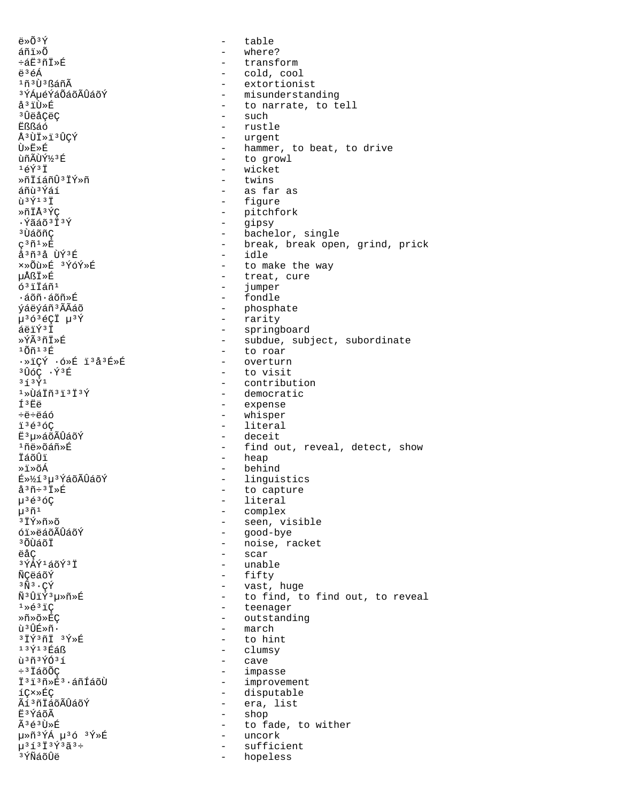$\ddot{e} \times \widetilde{O} \times \widetilde{Y}$ table  $\sim$ áñï»õ - where? ևË3ñÏ»É - transform ë<sup>3</sup>éÁ - cold, cool 1ñ3Ù3ßáñÃ - extortionist - misunderstanding <sup>3</sup>ÝÁµéÝáÕáõÃÛáõÝ - to narrate, to tell å<sup>3</sup>iÙ»É <sup>3</sup>󑌂ëÇ - such - rustle **Ëßßáó** Å<sup>3</sup>ÙI»ï<sup>3</sup>ÛCÝ - urgent Ù≫Ë≫É - hammer, to beat, to drive - to growl ùñÃÙݽ3É  $16\overline{Y}$  $3\overline{1}$ - wicket ȖİíáñÛ3İÝ»ñ - twins - as far as áñù 'Ýáí  $\tilde{u}$ <sup>3</sup> $\tilde{Y}$ <sup>13</sup> $\ddot{I}$ - figure ȖÏÅ3ÝÇ - pitchfork ·Ýãáõ3Ï3Ý  $\frac{1}{2}$ gipsy - bachelor, single <sup>3</sup> ÙáõñÇ  $\varsigma$ <sup>3</sup> $\tilde{n}$ <sup>1</sup>  $\triangleright$  $\tilde{E}$ - break, break open, grind, prick å<sup>3</sup>ñ<sup>3</sup>å ÙÝ<sup>3</sup>É - idle ×»Õù»É 3ÝóÝ»É - to make the way µÅßÏ»F - treat, cure  $6311$ añ<sup>1</sup>  $\sim$   $$ iumper - fondle  $\cdot$ áõñ $\cdot$ áõñ»É - phosphate ýáëýáñ<sup>3</sup>ÃÃáõ µ363éÇÏ µ3Ý - rarity - springboard áëïÝ<sup>3</sup>Ï - subdue, subject, subordinate ≫ÝêñÏ≫É - to roar  $10n13E$ - overturn · »iÇÝ · ó »É i 3å 3É »É <sup>3</sup>ÛóÇ · Ý<sup>3</sup>É - to visit  $3\overline{1}3\overline{Y}1$ - contribution  $1*U$ áiñ $31313$ - democratic - expense f3Ëë - whisper  $+4+46$  $13636C$ - literal  $E^3u \times a\tilde{o}$ ÃÛáõÝ - deceit 񤉯õáñ»É - find out, reveal, detect, show - heap İáõÛi - behind ≫ï≫õÁ - linguistics É»½í 3µ 3 ÝáõÃÛáõÝ  $a^3\tilde{n}$ :  $\bar{1}\times\tilde{E}$ - to capture - literal  $\mu$ <sup>3</sup> $\acute{\text{e}}$ <sup>3</sup> $\acute{\text{o}}$ C - complex  $\mu^3 \tilde{n}^1$ - seen, visible <sup>3</sup>ΪÝ≫ñ≫õ - good-bye óï»ëáõÃÛáõÝ - noise, racket <sup>3</sup> ÕÙáõÏ - scar ëåC  $3\overline{\acute{Y}}\acute{A}\acute{Y}^1\acute{a}\tilde{o}\acute{Y}^3\ddot{I}$ - unable - fifty ÑÇëáõÝ  $3\tilde{N}$  $3\cdot$ ÇÝ - vast, huge  $\tilde{\rm N}^{\,3}\,\hat{\rm U}\,\tilde{\rm I}\,\tilde{\rm Y}^{\,3}\,\mu\!\gg\!\tilde{\rm n}\!\gg\!\tilde{\rm E}$ - to find, to find out, to reveal - teenager  $1*631C$ Ȗ»õ»ÉÇ - outstanding ù 3 ÛÉ»ñ. march  $\sim$  $3\overline{1}\overline{Y}$  $3\overline{1}\overline{1}$   $3\overline{Y}$  $\overline{X}$ - to hint  $13$ Ý $13$ Éáß - clumsy - cave ù 3ñ 3 ÝÓ 31 - impasse  $\div$ <sup>3</sup> ÏáõÕC - improvement Ï<sup>3</sup>ï3ñ»É3.áñÍáõÙ - disputable íC×»ÉC Ãí ªñÏáõÃÛáõÝ - era, list Ë3ÝáõÃ - shop Ã3é3Ù»É - to fade, to wither μ»ñ<sup>3</sup>ÝÁ μ<sup>3</sup>ó <sup>3</sup>Ý»É - uncork  $\mu^{3}$ í<sup>3</sup> İ $3$ Ý $3$ ã $3$  ÷ sufficient  $\overline{a}$ <sup>3</sup>*YÑáõÛë* hopeless  $\sim$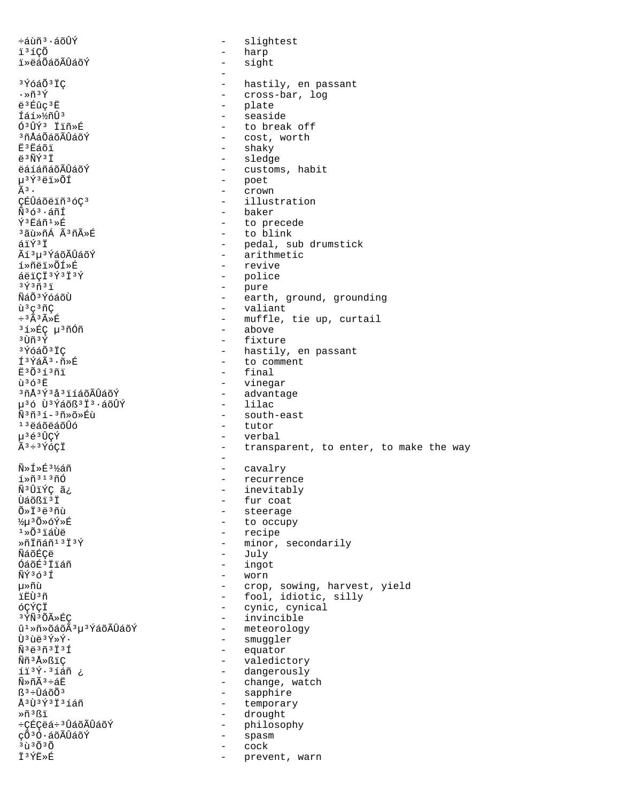$\div$ áùñ $\overline{3} \cdot 4$ õÛÝ slightest  $\equiv$ i<sup>3</sup>íÇÕ  $\qquad \qquad$ harp ï»ëáÕáõÃÛáõÝ  $\equiv$ sight <sup>3</sup>ÝóáÕ<sup>3</sup>ÏC hastily, en passant - cross-bar, log  $\cdot \times \widetilde{n} \times \widetilde{Y}$ ë<sup>3</sup>Éûc<sup>3</sup>E - plate - seaside Íáí» ½ñÛ3  $63$  $\hat{U}$  $\hat{Y}$  $3$   $\hat{T}$  $\hat{T}$  $\hat{B}$  $\hat{E}$ - to break off <sup>3</sup>ñÅáÕáõÃÛáõÝ - cost, worth ₽₹3₽áõi - shaky - sledge  $\ddot{a}$   $3 \tilde{N} \tilde{V}$   $3 \ddot{T}$ ëáíáñáõÃÛáõÝ - customs, habit µ<sup>3</sup>Ý3ëï»ÕÍ - poet  $\omega_{\rm{max}}$  $\tilde{A}$ з. crown - illustration ÇÉÛáõëïñ<sup>3</sup>óÇ<sup>3</sup> - baker  $\tilde{N}^3$ ó $^3$ ·áñÍ ݪËáñ1»É - to precede - to blink <sup>3</sup>ãù»ñÁ Ã<sup>3</sup>ñûÉ - pedal, sub drumstick áïÝ3Ï Ãí 3 u 3 ÝáõÃÛáõÝ - arithmetic í»ñëï»ÕÍ»É - revive  $4e$ ici $3f$ 373 - police - pure  $3\sqrt{3}\pi3\sqrt{3}$ - earth, ground, grounding ÑáÕ<sup>3</sup>ÝóáõÙ - valiant  $\tilde{u}^3c^3\tilde{n}C$  $\div$ <sup>3</sup> $\tilde{A}$ <sup>3</sup> $\tilde{A}$ <sup>\*</sup> $E$ - muffle, tie up, curtail - above <sup>3</sup>í»ÉÇ µ<sup>3</sup>ñÓñ - fixture  $3 \tilde{U} \tilde{n}$  $3 \tilde{Y}$ - hastily, en passant <sup>3</sup>ÝóáÕ<sup>3</sup>ÏC Í<sup>3</sup>ÝáÃ<sup>3</sup>·ñ»É - to comment E30313ñi - final  $\overline{u}$ <sup>3</sup> $\overline{6}$ <sup>3</sup> $\overline{E}$ - vinegar <sup>3</sup>ñÅ<sup>3</sup>Ý3å3ïíáõÃÛáõÝ - advantage - lilac µ<sup>3</sup>ó Ù<sup>3</sup>Ýáõß<sup>3</sup>Ï<sup>3</sup>·áõÛÝ  $\tilde{N}$ <sup>3 $\tilde{n}$ <sup>3 $\tilde{1}$ -<sup>3 $\tilde{n}$ </sup>» $\tilde{\alpha}$ » $\tilde{E}$ ù</sup></sup> - south-east - tutor  $13$ ëáõëáõÛó  $u^3 \notin 3 \hat{U} C \hat{Y}$ - verbal Ã3÷3ÝóÇÏ - transparent, to enter, to make the way  $\sim$ ѻͻÉ3½áñ - cavalry - recurrence  $1*ñ$ <sup>313</sup>ñÓ Ñ<sup>3</sup>ÛïÝÇ ã¿ - inevitably Ùáõßï<sup>3</sup>Ï - fur coat - steerage  $0*13e3n\tilde{u}$ - to occupy ½μ3Õ»óÝ»É - recipe  $1\times$ Õ $^3$ iáÙë  $*\|$ İñáñ $^{13}$ İ $^3$ Ý - minor, secondarily **ÑáõÉCë** - July - ingot ÓáõÉ3İiáñ ÑÝ363Í - worn µ≫ñù - crop, sowing, harvest, yield - fool, idiotic, silly ïËÙ3ñ óÇÝÇÏ - cynic, cynical - invincible 3 ÝÑ 3 Õà »ÉÇ - meteorology  $\hat{u}^1 * \tilde{n} * \tilde{o}$ áõÃ $3\mu$ <sup>3</sup>ÝáõÃÛáõÝ - smuggler Ù3ùë3Ý»Ý. - equator  $\tilde{N}$ <sup>3</sup> $\tilde{e}$ <sup>3 $\tilde{n}$ 3 $\tilde{I}$ 3 $\tilde{I}$ </sup> - valedictory Ññ<sup>3</sup>Å»ßiC - dangerously íï3Ý.3íáñ ¿ - change, watch  $\widetilde{N} \gg \widetilde{D} \widetilde{A}^3 \div \widetilde{A} E$ - sapphire  $R^3 + \hat{H} \leq \tilde{O} \tilde{O}^3$ - temporary Å3Ù3Ý3Ï3íáñ Ȗ3ßï - drought - philosophy ւÉÇëá÷<sup>3</sup>ÛáõÃÛáõÝ çõ<sup>3</sup>Ó·áõÃÛáõÝ  $\sim$ spasm  $3\tilde{u}$  $3\tilde{0}$  $3\tilde{0}$ cock İ<sup>3</sup>ÝË»É prevent, warn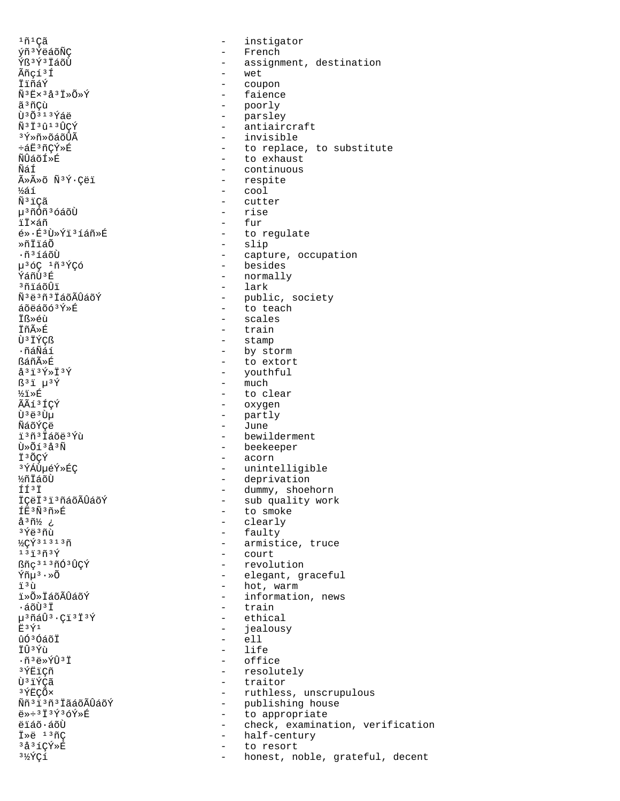$1ñ$ <sup>1</sup> $C\tilde{a}$ ýñ<sup>3</sup>ÝëáõÑC Ýß<sup>3</sup>Ý3 ÏáõÙ Ãñçí<sup>3</sup>Í ÏïñáÝ  $\tilde{N}$ <sup>3</sup>Ex<sup>3</sup>å<sup>3</sup>I»Õ»Ý ãªñÇù Ù 30313Ýáë Ñ<sup>3</sup>Ï<sup>3</sup>û<sup>13</sup>ÛCÝ <sup>3</sup>Ý»ñ»õáõÛÃ  $-5F36C$ Ý»É พัπิสต์ f » คี ÑáÍ ûûõ Ñ<sup>3</sup>Ý·Çëï ½áí Ñ<sup>3</sup>iÇã µ<sup>3</sup>ñÓñ<sup>3</sup>óáõÙ ïÏ×áñ é»·É3Ù»Ýï3íáñ»É ȖÏïáÕ .ñ3íáõÙ µ36C 1ñ3ÝÇó ห์ล์กักา\$ที่ งก็รัล๊ก็วั ѪëªñªÏáõÃÛáõÝ  $áõëáõ<sub>o</sub>3<sub>Y</sub> * f$ İß»éù **İñÃ**ȃ Ù<sup>3</sup> IÝÇß  $\cdot$ ñáÑáí ßáñûÉ  $a^{3}i^{3}\acute{Y}*\ddot{I}^3\acute{Y}$  $B^3$ i  $\mu^3$ Ý ½ï≫É ÃÃí 3 ÍCÝ  $\tilde{U}^3$ ë $^3$ Uu ÑáõÝCë i<sup>3</sup>ñ<sup>3</sup> Iáõë<sup>3</sup>Ýù Ù»Õí 3å 3Ñ I3ÕÇÝ 3ÝÁÙµéÝ»ÉÇ ½ñÏáõÙ  $f f 3 f$ İÇëİ<sup>3</sup>i<sup>3</sup>ñáõÃÛáõÝ ÍE3Ñ3ñ»É å<sup>3</sup>ñ½ ¿ <sup>3</sup>Ýë 3ñù  $\frac{1}{2}C\hat{Y}$ <sup>31313</sup>ñ  $131373$ ßñc<sup>313</sup>ñÓ<sup>3</sup>ÛCÝ Ýñµ<sup>3</sup>·»Õ ï3ù i»Õ»ÏáõÃÛáõÝ ∙áõÙªÏ µ<sup>3</sup>ñáÛ<sup>3</sup>·Çï<sup>3</sup>Ï<sup>3</sup>Ý  $F3\overline{Y}1$ ûó<sup>3</sup>ÓáõÏ ÏÛ<sup>3</sup>Ýù  $\cdot$ ñ'ë»ÝÛ'Ï 3 ÝËICñ กิ๊ะ รัγ์ตลั 3ÝFCÕ× Ññ<sup>3</sup>i3ñ3iãáõÃÛáõÝ  $e^{*\div 3}I^3\tilde{Y}^3\tilde{O}Y*\tilde{E}$ ëïáõ·áõÙ İ»ë <sup>13</sup>ñÇ 3å3íÇÝ»É  $3\frac{1}{2}$ ÝÇí

instigator  $\equiv$  $\equiv$ French - assignment, destination - wet coupon  $\sim$ - faience - poorly - parsley - antiaircraft - invisible - to replace, to substitute - to exhaust - continuous - respite  $\overline{\phantom{0}}$   $\overline{\phantom{0}}$   $\overline{\phantom{0}}$   $\overline{\phantom{0}}$   $\overline{\phantom{0}}$   $\overline{\phantom{0}}$   $\overline{\phantom{0}}$   $\overline{\phantom{0}}$   $\overline{\phantom{0}}$   $\overline{\phantom{0}}$   $\overline{\phantom{0}}$   $\overline{\phantom{0}}$   $\overline{\phantom{0}}$   $\overline{\phantom{0}}$   $\overline{\phantom{0}}$   $\overline{\phantom{0}}$   $\overline{\phantom{0}}$   $\overline{\phantom{0}}$   $\overline{\$ - cutter - rise  $-$  fur - to regulate - slip - capture, occupation - besides - normally  $-$  lark - public, society - to teach - scales - train - stamp - by storm - to extort - youthful  $-$  much - to clear - oxygen - partly - June - bewilderment - beekeeper - acorn - unintelligible - deprivation - dummy, shoehorn<br>- sub quality work - to smoke - clearly - faulty - armistice, truce - court - revolution - elegant, graceful - hot, warm - information, news - train - ethical  $\sim$ jealousy  $-$  ell  $-$  life - office - resolutely - traitor - ruthless, unscrupulous - publishing house - to appropriate - check, examination, verification half-century  $\sim$ to resort  $\sim$ honest, noble, grateful, decent  $\sim$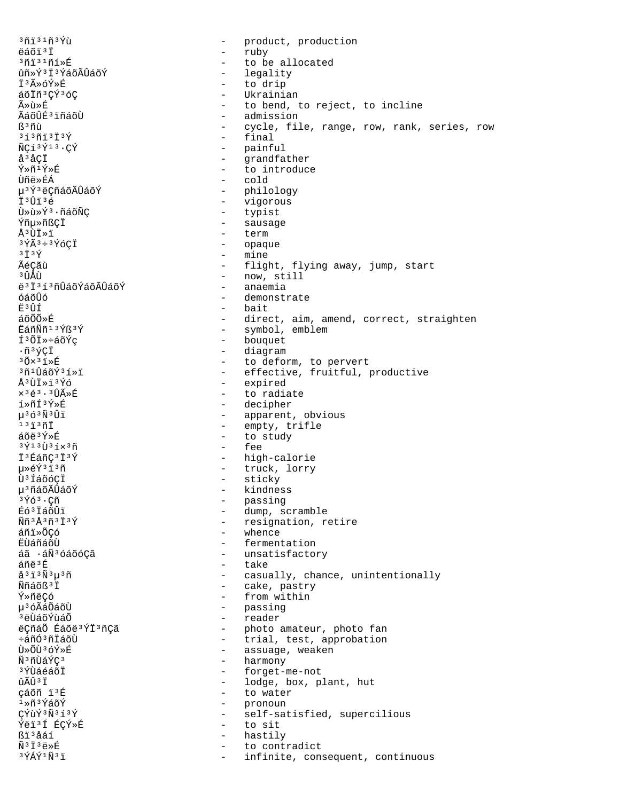<sup>3</sup>ñi<sup>31</sup>ñ<sup>3</sup>Ýù - product, production ëáõï<sup>3</sup>Ï - ruby  $3713171*E$ - to be allocated ûñ»Ý3Ï3ÝáõÃÛáõÝ - legality Ī3ûóÝ»É - to drip áõÏñ<sup>3</sup>ÇÝ3óÇ - Ukrainian ûù»É - to bend, to reject, to incline ÃáõÛÉ3 ïñáõÙ - admission ß<sup>3</sup>ñù - cycle, file, range, row, rank, series, row  $353973737$ - final  $\tilde{N}C13\tilde{Y}13\cdot C\tilde{Y}$ - painful  $a^3$   $\acute{a}$   $CI$ - grandfather Ý»ñ<sup>1</sup>Ý»É - to introduce **Ùñë»ÉÁ** - cold µ<sup>3</sup>Ý<sup>3</sup>ëÇñáõÃÛáõÝ - philology Ï<sup>3</sup>Ûï<sup>3</sup>é  $\frac{1}{2}$ vigorous - typist Ù»ù»Ý3·ñáõÑÇ - sausage Ýñµ»ñßÇÏ Å<sup>3</sup>UI»ï  $\sim$ term  $3\tilde{Y}$  $\tilde{A}$  $3\div 3\tilde{Y}$ óCI  $\sim$ opaque - mine  $3\ddot{7}3\acute{y}$ ÃéCãù - flight, flying away, jump, start - now, still <sup>3</sup> TÎ ÅTT ë 3 Ï 3 í 3 ñÛáõÝáõÃÛáõÝ - anaemia - demonstrate óáõÛó Ë3ÛÍ - bait áõÕÕ»É - direct, aim, amend, correct, straighten - symbol, emblem ËáñÑñ<sup>13</sup>Ýß<sup>3</sup>Ý - bouquet ͪÕÏ»÷áõÝç  $\cdot$ ñ $\sqrt[3]{C}$ ï - diagram  $30x31\times E$ - to deform, to pervert 3ñ1ÛáõÝ3í»ï - effective, fruitful, productive Å<sup>3</sup>ÙÏ»ï<sup>3</sup>Ýó - expired - to radiate  $\times$ <sup>3</sup> $\stackrel{3}{\leftarrow}$ <sup>3</sup> $\stackrel{3}{\leftarrow}$   $\stackrel{3}{\leftarrow}$   $\stackrel{3}{\leftarrow}$   $\stackrel{3}{\leftarrow}$   $\stackrel{3}{\leftarrow}$   $\stackrel{3}{\leftarrow}$ í»ñͪÝ»É - decipher  $\mu$ <sup>3</sup>  $\tilde{O}$ <sup>3</sup> $\tilde{N}$ <sup>3</sup> $\hat{U}$ i - apparent, obvious  $13137$ - empty, trifle  $\tilde{a}$ õë $\tilde{Y}$ ȃ - to study  $3\overline{Y}$ 13Ù $3\overline{1} \times 3\overline{1}$ - fee - high-calorie İ<sup>3</sup>ÉáñC<sup>3</sup>İ<sup>3</sup>Ý 毂Ý3ï3ñ - truck, lorry - sticky Ù<sup>3</sup> ÍáõóÇÏ µ<sup>3</sup>ñáõÃÛáõÝ - kindness  $3\overline{Y}63$ . Çñ - passing - dump, scramble Éó<sup>3</sup> IáõÛi - resignation, retire Ññ3Å3ñ3Ï3Ý - whence áñi»ÕCó - fermentation **E**UáñáõU áã ·áÑ3óáõóCã - unsatisfactory - take áñë 3É  $a^{3}$ i $^{3}$ Ñ $^{3}$  $\mu$  $^{3}$ ñ - casually, chance, unintentionally - cake, pastry Ññáõß<sup>3</sup>İ - from within Ý≫ñëÇó µ<sup>3</sup>óÃáÕáõÙ - passing <sup>3</sup>ëÙáõÝùáÕ - reader ëÇñáÕ Éáõë<sup>3</sup>ÝÏ<sup>3</sup>ñÇã - photo amateur, photo fan - trial, test, approbation ևñÓ<sup>3</sup>ñİáõÙ - assuage, weaken Ù»ÕÙ3óÝ»É - harmony Ñ<sup>3</sup>ñÙáÝC<sup>3</sup> <sup>3</sup>ÝÙáéáõÏ - forget-me-not î Ã Î 3 Ï - lodge, box, plant, hut cáõñ i'k - to water  $1*ñ$  $3YaõY$ - pronoun CÝùÝ3Ñ3í3Ý self-satisfied, supercilious  $\sim$   $-$ Ýëï3Í ÉÇÝ»É  $\sim$ to sit ዦåáí hastily  $\sim$  $\tilde{N}$ <sup>3</sup> $\ddot{I}$ <sup>3</sup> $\ddot{e}$ <sup>» $\acute{E}$ </sup>  $\sim$ to contradict  $3\overline{\acute{\chi}}\acute{\acute{\chi}}\acute{\chi}^1\widetilde{\mathrm{N}}^3\ddot{\mathrm{1}}$  $\sim$ infinite, consequent, continuous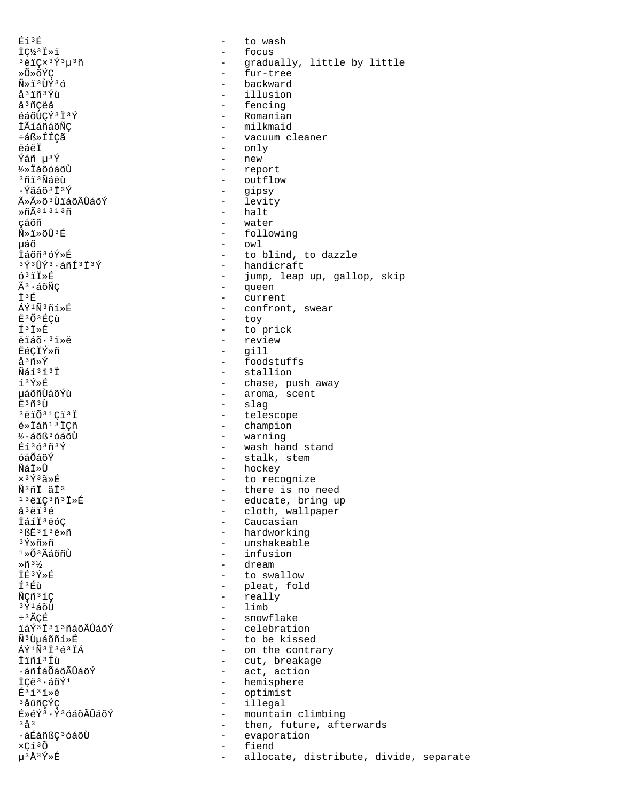Éí3É to wash  $\sim$ İǽ3İ»i - focus  $3 \ddot{e} \ddot{1} \dot{\varphi} \times 3 \acute{\Upsilon}^3 \mu^3 \tilde{n}$ - gradually, little by little - fur-tree »Õ»õÝÇ Ñ»ï3ÙÝ3ó - backward å<sup>3</sup> iñ<sup>3</sup>Ýù illusion å<sup>3</sup>ñCëå - fencing éáõÙÇÝ3Ï3Ý - Romanian - milkmaid **İÃíáñáõÑC** ևß»ÍÍÇã - vacuum cleaner ëáëİ - only - new  $\tilde{Y}$ ล์ก็บ $3\tilde{Y}$ - report **1/2** TáõóáõÙ <sup>3</sup>ñi 3Ñáëù - outflow ·Ýãáõ<sup>3</sup>Ï<sup>3</sup>Ý  $\sim$   $$ gipsy - levity ûûõ<sup>3</sup>ÙiáõÃÛáõÝ - halt  $*\tilde{n}$  $\tilde{A}$ <sup>31313</sup> $\tilde{n}$ çáõñ - water - following  $\widetilde{N} \gg \widetilde{1} \gg \widetilde{O} \widehat{U}$ <sup>3</sup> E - owl uáõ Īáõñ3óÝ»É - to blind, to dazzle  $3\overline{Y}$  $3\overline{U}\overline{Y}$  $3.4\overline{X}$  $13\overline{Y}$ - handicraft  $63$ ii» $E$ - jump, leap up, gallop, skip Ã<sup>3</sup>·áõÑC - queen İ3É - current ÁÝ1Ñ3ñí»É - confront, swear Ë3Õ3ÉCÙ - toy  $I^3I*E$ - to prick - review ëïáõ·<sup>3</sup>ï»ë **EéCIÝ»ñ** gill  $\Delta \sim 10^{-1}$ - foodstuffs å<sup>3</sup>ñ»Ý Ñáí<sup>3</sup>i<sup>3</sup>İ - stallion í3Ý»É - chase, push away µáõñÙáõÝù - aroma, scent - slag πុំ ះក័ះπិ  $3\overline{5}$   $\overline{1}$   $\overline{0}$   $3\overline{1}$   $\overline{0}$   $\overline{1}$   $\overline{1}$   $\overline{1}$   $\overline{1}$ - telescope - champion  $\xi \times \overline{1} \land \overline{1} \times \overline{1} \times \overline{1}$  $\frac{1}{2}$ . áõß<sup>3</sup> óáõÙ - warning Éí3ó3ñ3Ý - wash hand stand óáÕáõÝ - stalk, stem - hockey ÑáÏ»Û ×<sup>3</sup>Ý3ã»É - to recognize Ñ<sup>3</sup>ñİ ãİ<sup>3</sup> - there is no need - educate, bring up  $13\rho$ iç $3\rho$  $1\pi$ - cloth, wallpaper å<sup>3</sup>ëï<sup>3</sup>é ÏáíÏ<sup>3</sup>ëóC - Caucasian - hardworking  $3BE3I3E*n$ - unshakeable <sup>3</sup>Ý»ñ»ñ  $1*0*3*4*7*1*1*$  $-$  infusion  $*$ ñ<sup>31</sup>⁄2 - dream İÉ3Ý»É - to swallow Í<sup>3</sup>Éù - pleat, fold - really ÑÇñ<sup>3</sup>íÇ  $-$  limb 3Ý1áõÙ ÷<sup>3</sup>ÃCÉ - snowflake ïáݪϪïªñáõÃÛáõÝ - celebration ѪÙµáõñí»É - to be kissed - on the contrary ÁÝ<sup>1</sup>Ñ<sup>3</sup>I<sup>3</sup>é<sup>3</sup>IÁ - cut, breakage Ïïñí 3 Íù - act, action ∙áñÍáÕáõÃÛáõÝ - hemisphere ICë<sup>3</sup>·áõÝ<sup>1</sup> - optimist  $F353$ - illegal <sup>3</sup>åûñCÝC É»éÝ3·Ý3óáõÃÛáõÝ - mountain climbing  $3a^{3}$  $\sim$ then, future, afterwards ᇃáñßÇ<sup>3</sup>óáõÙ - evaporation xÇí3Õ fiend  $\sim$ µ3Å3Ý»É allocate, distribute, divide, separate  $\sim$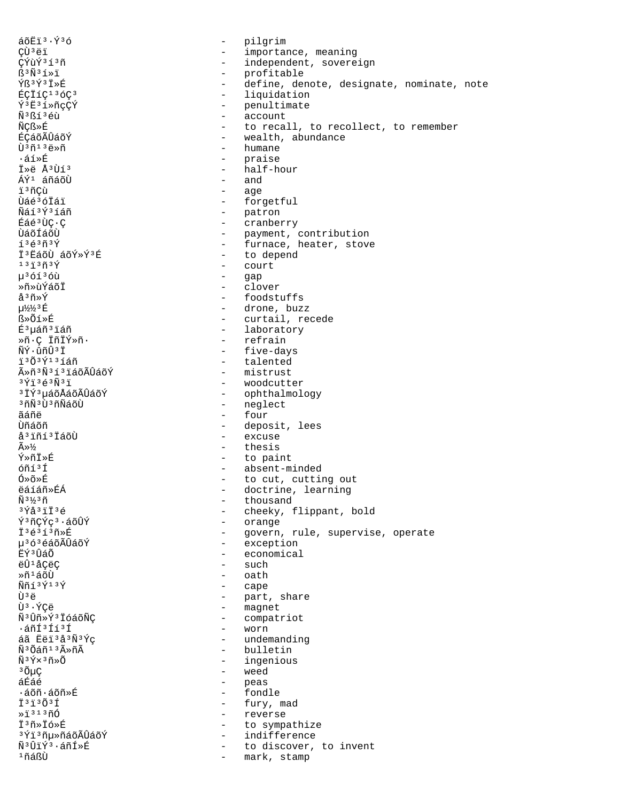áõËï<sup>3</sup>·Ý<sup>3</sup>ó - pilgrim - pilgrim<br>CÙ<sup>3</sup>ëï - importar CÙºëï - importance, meaning<br>CÝùݺíºñ - independent, sovere CÝùÝ<sup>313</sup>ñ - independent, sovereign<br>
S<sup>3</sup>Ñ<sup>31</sup>»ï - - - - - - - - profitable ß<sup>3</sup>Ñ<sup>3</sup>í»ï - profitable - profitable<br>Ýß<sup>3</sup>Ý<sup>3</sup>Ï»É - define, der Ýß³Ý³Ï»É - define, denote, designate, nominate, note ÉÇÏíǹ³ódz - liquidation Ý<sup>3</sup>Ë<sup>3</sup>í»ñçÇÝ - penultimate<br>Ñ<sup>3</sup>ßí<sup>3</sup>éù - penultimate - penultimate  $\tilde{N}^{3}B\tilde{\Omega}^{3}$ éù  $\tilde{N}CB\gg\tilde{E}$  account  $\tilde{N}CB\gg\tilde{E}$ ÑÇᯐ - to recall, to recollect, to remember ÉÇáõÃÛáõÝ - wealth, abundance<br>ti<sup>3</sup>ñ13ë »ñ - wealth, abundance Ù<sup>3</sup>ñ<sup>13</sup>ë»ñ - humane<br>Gaireadh - humane - humane - humane atȃ - praise - praise - praise - praise<br>Äaltien - half-h - half-hour<br>- and ÁÝ<sup>1</sup> áñáõÙ ïºñÇù - age<br>ÙáéºóÏái - component - age Ùáé<sup>3</sup>óÏái - forgetful - forgetful<br>Ñáí<sup>3Ý3</sup>íáñ - - patron Ñáí³Ý³íáñ - patron Éáé³ÙÇ·Ç - cranberry ÙáõÍáõÙ - payment, contribution í<sup>3</sup>é<sup>3</sup>ñ<sup>3</sup>Ý - furnace, heater, stove  $\ddot{I}$ <sup>3</sup>ËáõÙ áõÝ»Ý<sup>3</sup>É  $\ddot{I}$  - to depend<br>
13j3ñ3ý - court  $13\overline{1}3\overline{1}3\overline{Y}$  - court<br> $u^36\overline{1}36\overline{u}$  - gap µ<sup>3</sup>óí<sup>3</sup>óù - gap<br>»ñ»ùÝáõī - clor »ñ»ùÝáõÏ - clover å³ñ»Ý - foodstuffs  $\mu^{1/2}$ <sup>2</sup>  $\neq$   $\mu^{1/2}$ <sup>3</sup> É  $\leq$   $\leq$   $\leq$   $\mu^{1/2}$ <sub>2</sub>  $\leq$   $\leq$   $\leq$   $\mu^{1/2}$ <sub>2</sub>  $\leq$   $\mu^{1/2}$ <sub>2</sub>  $\leq$   $\mu^{1/2}$ <sub>2</sub>  $\leq$   $\mu^{1/2}$ <sub>2</sub>  $\leq$   $\mu^{1/2}$ <sub>2</sub>  $\leq$   $\mu^{1/2}$ <sub>2</sub>  $\leq$   $\mu^{1/2}$ <sub>2</sub>  $\leq$   $\mu^{1$ ß»Õí»É - curtail, recede É<sup>3</sup>µáñ<sup>3</sup>iáñ - laboratory - laboratory - laboratory »ñ·Ç ÏñÏÝ»ñ· - refrain ÑÝ·ûñÛ³Ï - five-days - talented<br>- mistrust ûñ3Ñ3í3ïáõÃÛáõÝ<br>3Ýï3é3Ñ3ï <sup>3</sup>Ýï<sup>3</sup>é<sup>3</sup>Ñ<sup>3</sup>ï - woodcutter<br><sup>3</sup>ÏÝ<sup>3</sup>µáõÅáõÃÛáõÝ - e ophthalmol <sup>3</sup>ÏÝ<sup>3</sup>µáõÅáõÃÛáõÝ - ophthalmology<br>3ñÑ3Ù3ñÑáõÙ - neqlect <sup>ว</sup>กีฬิ<sup>ว</sup>ข้<sup>ว</sup>กีฬิล์oืบ้<br>ลีล์กี⊖ื่ - neglect<br>− four ãáñë  $\overline{a}$ ñë  $\overline{b}$   $\overline{b}$   $\overline{c}$   $\overline{d}$   $\overline{b}$   $\overline{d}$   $\overline{d}$   $\overline{d}$   $\overline{d}$   $\overline{d}$   $\overline{d}$   $\overline{d}$   $\overline{d}$   $\overline{d}$   $\overline{d}$   $\overline{d}$   $\overline{d}$   $\overline{d}$   $\overline{d}$   $\overline{d}$   $\overline{d}$   $\overline{d}$   $\overline{d}$ Ùñáõñ - deposit, lees<br>å'iñí'ÏáõÙ - - - - excuse å³ïñí³ÏáõÙ - excuse  $\widetilde{A} \gg \frac{1}{2}$  - thesis Ý»ñÏ»É - to paint  $\frac{6\pi i}{3}$ <sup>5</sup>  $\frac{6\pi i}{3}$ <sup>5</sup>  $\frac{1}{2}$   $\frac{1}{2}$  absent-minded  $\frac{6}{2}$   $\frac{6}{2}$  to cut, cutting Ó»õ»É - to cut, cutting out<br>Čáíáñ»ÉÁ - - to cut, cutting out ëáíáñ»ÉÁ - doctrine, learning<br>Ñ<sup>31</sup>⁄3ñ - dousand - thousand  $\tilde{N}$ <sup>3</sup> $\frac{1}{2}$ <sup>3</sup> $\tilde{Y}$ <sup>3</sup> $\tilde{Z}$ <sup>3</sup> $\tilde{Z}$ <sup>3</sup> $\tilde{Z}$ <sup>3</sup> $\tilde{Z}$ <sup>3</sup> $\tilde{Z}$ <sup>3</sup> $\tilde{Z}$ <sup>3</sup> $\tilde{Z}$ <sup>3</sup> $\tilde{Z}$ <sup>3</sup>Ýå<sup>3</sup>ïÏ<sup>3</sup>é<br>Ý<sup>3</sup>ñCÝc<sup>3</sup>·áõÛÝ - cheeky, flippant, bold Ý<sup>3</sup>ñÇÝç<sup>3</sup>·áõÛÝ - orange - orange<br>Ï<sup>3</sup>é<sup>3</sup>í<sup>3</sup>ñ»É - overn Ϊ<sup>3</sup>é<sup>3</sup>í<sup>3</sup>ñ»É - Govern, rule, supervise, operate<br>u<sup>3</sup>ó<sup>3</sup>éáõÃÛáõÝ - - exception 榢ªéáõÃÛáõÝ - exception<br>#vªûâõ  $E\acute{Y}^{3}\hat{U}$ áÕ - economical - economical - economical - economical - economical - such ëÛ¹åÇëÇ - such Ȗ<sup>1</sup>áõÙ - oath<br>Ññí<sup>19</sup>Ý<sup>19</sup>Ý - oath - cape Ññí<sup>3Ý13Ý</sup> - cape<br>Ù<sup>3</sup>ë - part Ù³ë - part, share Ù³·ÝÇë - magnet  $\tilde{N}$ <sup>3</sup>Ûñ»Ý<sup>3</sup>ÏóáõÑÇ - compatriot - compatriot - compatriot ·áñͳÍí³Í - worn áã Ëëï³å³Ñ³Ýç - undemanding Ñ<sup>3</sup>Õáñ<sup>13</sup>ûñà - bulletin<br>Ñ<sup>3</sup>Ý×<sup>3</sup>ñ»Õ - ingenious  $\tilde{N}$ <sup>3</sup>Ý×<sup>3</sup>ñ»Õ - ingenious<br><sup>3</sup>ÕuC - weed - weed <sup>3</sup>ÕμÇ - weed<br>áÉáé - peas áÉáé - peas ·áõñ·áõñ»É - fondle  $\frac{1}{2}$ <sup>3</sup> $\frac{1}{2}$ <sup>3</sup> $\frac{1}{2}$ <sup>3</sup> $\frac{1}{2}$ <sup>3</sup> $\frac{1}{2}$ <sup>3</sup> $\frac{1}{2}$ <sup>3</sup> $\frac{1}{2}$ <sup>3</sup> $\frac{1}{2}$ <sup>3</sup> $\frac{1}{2}$ <sup>3</sup> $\frac{1}{2}$ <sup>3</sup> $\frac{1}{2}$ <sup>3</sup> $\frac{1}{2}$ <sup>3</sup> $\frac{1}{2}$ <sup>3</sup> $\frac{1}{2}$ <sup>3</sup> $\frac{1}{2}$ <sup>3</sup> $\frac{1}{2}$ <sup>3</sup> $\frac{1}{2}$ <sup>3</sup> $\frac{1}{2}$ <sup>3</sup> $\frac{1$ ȕ<sup>313</sup>ñÓ - reverse<br>Ï<sup>3</sup>ñ»Ïó»É - reverse - reverse Ϊ<sup>3</sup>ñ»Ïó»É<br><sup>3</sup>Ýï<sup>3</sup>ñu»ñáõÃÛáõÝ - ho sympathize <sup>3</sup>Ýï<sup>3</sup>ñµ»ñáõÃÛáõÝ - indifference<br>Ñ<sup>3</sup>ÛïÝ<sup>3</sup>∙áñÍ»É - - - - to discover, ѳÛïݳ·áñÍ»É - to discover, to invent - mark, stamp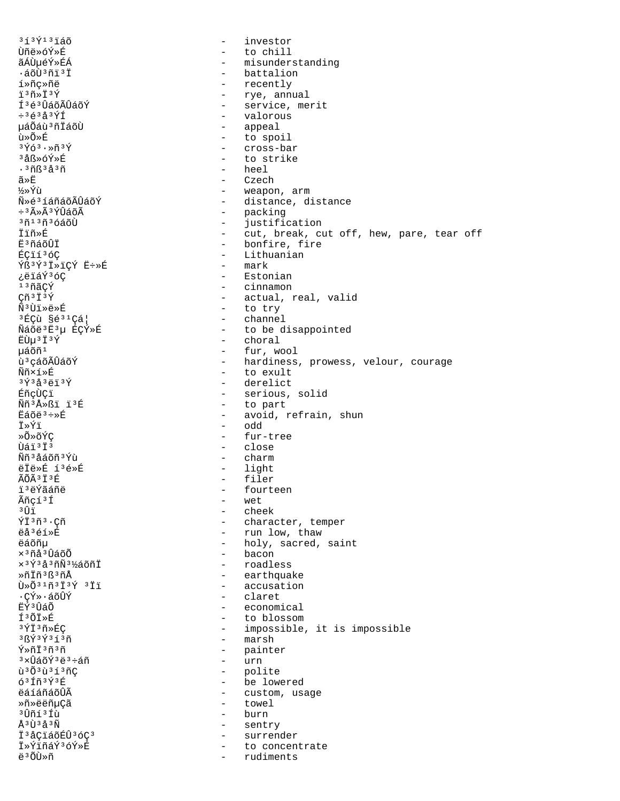$313913760$ investor  $\sim$ Ùñë»óÝ»É - to chill ãÁÙµéÝ»ÉÁ - misunderstanding - battalion ·áõÙªñïªÏ - recently í»ñç»ñë - rye, annual ï3ñ»Ï3Ý - service, merit ͪéªÛáõÃÛáõÝ  $\div$ <sup>3</sup> $\acute{e}$ <sup>3</sup> $\acute{d}$ <sup>3</sup> $\acute{Y}$ Í - valorous µáÕáù 3 ñÏáõÙ - appeal - to spoil นิ≫∩ั≫π็  $3\bar{y}63.8\bar{y}3\bar{y}$ - cross-bar  $3A8\times6Y\times F$ - to strike  $.3<sup>8</sup>$   $\AA$   $3<sup>8</sup>$   $\AA$   $3<sup>8</sup>$   $\AA$ - heel - Czech ã≫Ë - weapon, arm ½»Ýù Ñ»é3íáñáõÃÛáõÝ - distance, distance - packing<br>- packing<br>- instific  $\div$ <sup>3</sup> $\tilde{A} \times \tilde{A}$ <sup>3</sup>ÝÛáõÃ  $30130300$ justification - cut, break, cut off, hew, pare, tear off İïñ»É - bonfire, fire **Ē**'ñáõÛÏ - Lithuanian ÉCI136C  $\tilde{Y} \tilde{B}$  3  $\tilde{Y}$  3  $\tilde{I}$  >  $i \in \tilde{Y}$   $\tilde{E}$  + >  $\tilde{E}$  $-$  mark ¿ëïáÝ3óC  $-$  Estonian - cinnamon 13ñãCÝ  $C\tilde{n}$ <sup>3</sup> $\tilde{I}$ <sup>3</sup> $\tilde{Y}$ - actual, real, valid  $N^3$ Ùï»ë»É - to try  $3E$ Cù §é $31$ Cá¦ - channel Ñáõë3Ë3µ ÉÇÝ»É - to be disappointed - choral ËÙμ<sup>3</sup>Ï<sup>3</sup>Ý µáõñ<sup>1</sup> - fur, wool - hardiness, prowess, velour, courage ù<sup>3</sup> çáõÃÛáõÝ - to exult Ññ×í»É - derelict  $3\acute{\gamma}3\acute{a}3\ddot{e}13\acute{\gamma}$ - serious, solid ÉñçÙÇï - to part Nñ<sup>3</sup>Å»ßi ï<sup>3</sup>É - avoid, refrain, shun  $E\tilde{a}$ õë $3 \div B$  $-$  odd †»Ýi »õ»õÝC - fur-tree Ùáï<sup>3</sup>Ï<sup>3</sup> - close  $-$  charm ÑñªåáõñªÝù - light ëÏë»É í3é»É - filer ÃÕÃ<sup>3</sup>Ï<sup>3</sup>É i<sup>3</sup>ëÝãáñë - fourteen Ãñçí<sup>3</sup>Í - wet  $3$   $\hat{1}$   $\hat{1}$ - cheek ÝÏ3ñ3.Cñ - character, temper - run low, thaw ëå<sup>3</sup>éí»É - holy, sacred, saint ëáõñu  $\times$ <sup>3</sup> $\tilde{\rm n}$ å<sup>3</sup> $\hat{\rm U}$ áõ $\tilde{\rm O}$ - bacon - roadless  $x$ <sup>3 $\acute{\gamma}$ 3å<sup>3</sup>ñÑ<sup>31</sup>⁄áõñĪ</sup> - earthquake Ȗİñ 3 ß 3 ñÅ - accusation Ù»Õ31ñ3Ï3Ý 3Ïï ∙çÝ»∙áõÛÝ - claret **ËÝ**3 ÛáÕ - economical íªõï»É - to blossom 3ÝÏ3ñ»ÉC - impossible, it is impossible - marsh 3 BÝ 3 Ý 3 í 3 ñ Ý»ñİ3ñ3ñ - painter  $-$  urn <sup>3</sup>xÛáõÝ 3ë 3÷áñ ù 303ù 313ñC - polite - be lowered  $63f$ ñ $3f3f$ - custom, usage ëáíáñáõÛÃ - towel Ȗ»ëëñuCã  $-$  burn <sup>3</sup>Ûñí 3 Íù Å<sup>3</sup>Ù3å3Ñ  $\sim$   $$ sentry Ï<sup>3</sup>åÇïáõÉÛ<sup>3</sup>óÇ<sup>3</sup> surrender  $\sim$ İ»ÝiñáÝ3óÝ»É - to concentrate ë 3 ÕÙ»ñ rudiments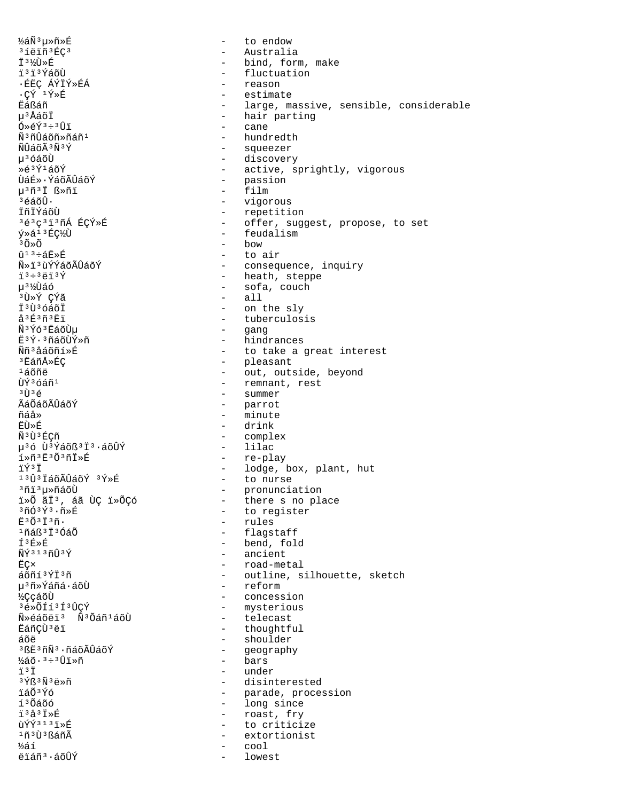่½ล์Ñั<sup>3</sup>u»ñ»É to endow  $\sim$ 31ëiñ3ÉC3 Australia  $\sim$ i3½Ù»É - bind, form, make ï<sup>3</sup>ï<sup>3</sup>ÝáõÙ - fluctuation ·ÉËÇ ÁÝÏÝ»ÉÁ reason  $\cdot$ çý  $\frac{1 \circ \mathbb{R}}{4}$ estimate Ëáßáñ - large, massive, sensible, considerable u<sup>3</sup>ÅáõÏ - hair parting - cane  $0*6Y^3*30I$ Ñ<sup>3</sup>ñÛáõñ»ñáñ<sup>1</sup> - hundredth ÑÛáõÃ 3Ñ 3Ý - squeezer น<sup>3</sup> ด์ล์ดีน้ - discovery Ȏ3Ý1áõÝ - active, sprightly, vigorous - passion ÙáÉ»·ÝáõÃÛáõÝ  $-$  film µ<sup>3</sup>ñ<sup>3</sup>İ ß»ñï 3éáõÛ∙ - vigorous - repetition İñİÝáõÙ - offer, suggest, propose, to set 3é3ç3ï3ñÁ ÉÇÝ»É - feudalism ý»á<sup>13</sup>ÉǽÙ  $30\times0$ bow - to air  $\hat{u}$ <sup>13</sup>ևË»É ѻi,ùÝÝáõÃÛáõÝ - consequence, inquiry - heath, steppe  $\frac{1}{1}$  3  $\div$  3  $\frac{1}{1}$  3  $\frac{1}{1}$  3  $\frac{1}{1}$ - sofa, couch น<sup>31</sup>⁄ีเปิล์ด์  $-$  all <sup>3</sup>Ù»Ý CÝã I<sup>3</sup>Ù<sup>3</sup>óáõI - on the sly å<sup>3</sup>É<sup>3</sup>ñ<sup>3</sup>Ëï - tuberculosis Ñ<sup>3</sup>Ýó<sup>3</sup>ËáõÙµ  $\omega_{\rm{max}}$ gang - hindrances E3Ý·3ñáõÙÝ»ñ - to take a great interest Ññ<sup>3</sup>åáõñí»É - pleasant<br>- out, outside, beyond <sup>3</sup>EáñÅ»ÉÇ  $1400$ ñë - remnant, rest ÙÝ<sup>3</sup>óáñ<sup>1</sup> - summer  $3$  if  $3$   $\leq$ - parrot ÃáÕáõÃÛáõÝ - minute ñáå» में रॉग्रें - drink Ñ3Ù3ÉCñ - complex - lilac µ36 Ù3Ýáõß3Ï3.áõÛÝ - re-play í»ñ3Ë3Õ3ñÏ»É - lodge, box, plant, hut ïÝ3Ï  $1303$ İáõÃÛáõÝ  $3Y*E$ - to nurse <sup>3</sup>ñï 3µ≫ñáõÙ - pronunciation - there s no place i»õ ãi3, áã ÙÇ i»õÇó  $3\tilde{\mathrm{n}}\tilde{\mathrm{O}}3\tilde{\mathrm{Y}}3\cdot\tilde{\mathrm{n}}\mathrm{*}\tilde{\mathrm{E}}$ - to register - rules  $F303736$ . - flagstaff <sup>1</sup>ñáß<sup>3</sup> Ï 3ÓáÕ  $f3$  $F$  $\frac{1}{2}$  $F$ - bend, fold  $\tilde{N}$  $\tilde{Y}$ 313 $\tilde{Y}$ - ancient **ËC×** - road-metal - outline, silhouette, sketch áõñí 3ÝÏ 3ñ - reform µ<sup>3</sup>ñ»Ýáñá∙áõÙ - concession ½ÇçáõÙ 3é»ÕÍí3Í3ÛÇÝ - mysterious - telecast Ñ»éáõëi<sup>3</sup> Ñ<sup>3</sup>Õáñ<sup>1</sup>áõÙ - thoughtful ËáñÇÙ ªëï - shoulder áõë <sup>3</sup>ßË<sup>3</sup>ñÑ<sup>3</sup>·ñáõÃÛáõÝ - geography - bars  $\frac{1}{2}$ áõ $\cdot$   $3 \div 3$ Ûï»ñ ïЗŤ - under  $3\overline{Y}R3\overline{N}3\overline{B}3\overline{N}$ - disinterested - parade, procession ï ล์∩ั<sup>3</sup> Ý์ก์ - long since í<sup>3</sup>Õáõó ï3å3Ï»É - roast, fry ùÝÝ313ï»É  $\omega_{\rm{max}}$ to criticize 1ñ3Ù3ßáñÃ  $\sim$ extortionist ½áí cool ëïáñ<sup>3</sup>·áõÛÝ lowest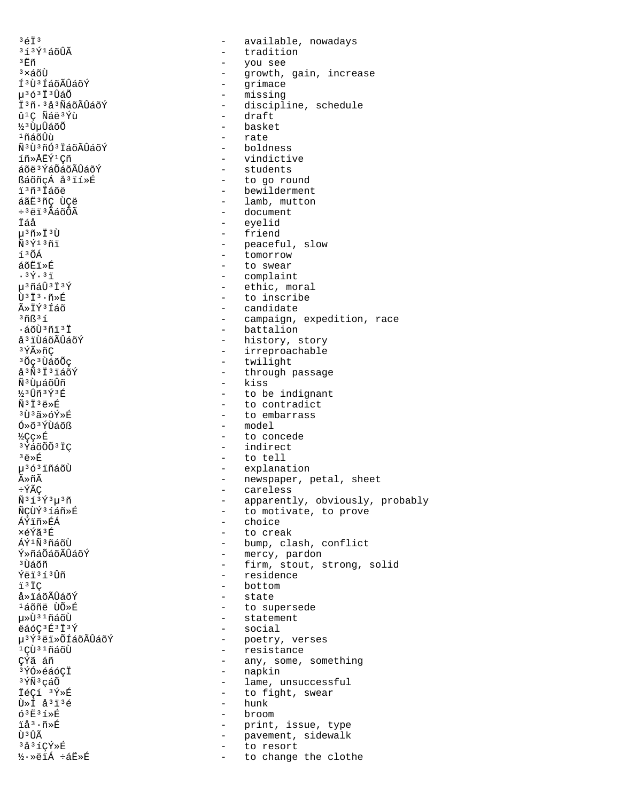$3613$  $313$  $\tilde{Y}$  $14\tilde{0}\tilde{U}$  $\tilde{A}$  $^3\mathrm{\,E}$ ñ  $3\times$ áõÙ Í<sup>3</sup>Ù<sup>3</sup> ÍáõÃÛáõÝ µ363Ï3ÛáÕ Ï<sup>3</sup>ñ·<sup>3</sup>å<sup>3</sup>ÑáõÃÛáõÝ û<sup>1</sup>Ç Ñáë<sup>3</sup>Ýù ½ª ÙuÛáõÕ 1ที่ล์ดีนิ้น พิ<sup>ง</sup>บิ<sup>ง</sup>กั0<sup>3</sup> ไล์อิA็บิล์อีร์ íñ»ÅEÝ<sup>1</sup>Cñ áõë<sup>3</sup>ÝáÕáõÃÛáõÝ ßáõñçÁ å<sup>3</sup>ïí»É i'ñ'iáõë áãË3ñÇ ÙÇë ÷<sup>3</sup>ëï<sup>3</sup>ÃáõÕÃ Ïáå  $\mu$ <sup>3</sup> $\tilde{\rm n}$ »Ï<sup>3</sup>Ù  $\tilde{N}$ <sup>3 $\tilde{Y}$ <sup>13</sup> $\tilde{n}$ i</sup> í<sup>3</sup>ÕÁ áõËï»É  $.3\overline{Y}.3\overline{1}$ น<sup>3</sup>กัล์บิ๊<sup>3</sup> I้<sup>3</sup>Ý  $\tilde{U}$ <sup>3</sup> $\tilde{I}$ <sup>3</sup> $\cdot$  $\tilde{n}$  $\triangleright$  $\tilde{E}$ ûÏݪÍáõ  $3ñB31$  $\cdot$ áõÙ $3$ ñï $3$ Ï å<sup>3</sup> i ÙáõÃÛáõÝ 3 ÝûñÇ <sup>3</sup>Õç<sup>3</sup>ÙáõÕç å<sup>3</sup>Ñ<sup>3</sup>Ï<sup>3</sup>ïáõÝ Ñ<sup>3</sup> ÙµáõÛñ ½3Ûñ3Ý3É  $\tilde{N}$ <sup>3 $\ddot{T}$ </sup> $3\ddot{\rho}$ » $\acute{R}$ <sup>3</sup>∏ិន័≫∩ััั×นิ  $0*$  $6*$  $\tilde{Y}$ Una $\tilde{O}$ ß **½Cc≫丘** 3 ÝáõÕÕ 3 ÏC  $3e^{*E}$ µ<sup>363</sup>iñáõÙ ûñÃ ÷ÝÃÇ  $\tilde{N}$ <sup>313 $\tilde{Y}$ <sup>3</sup> $\mu$ <sup>3</sup> $\tilde{n}$ </sup> ÑÇÙÝ<sup>3</sup>íáñ»É ÁÝïñ»ÉÁ xéÝã 3É ี<br>มีที่<sup>3</sup>กัล์กับ Ý»ñáÕáõÃÛáõÝ <sup>3</sup> ปีล์õñ Ýëï<sup>313</sup>Ûñ ï<sup>3</sup>ÏC å»ïáõÃÛáõÝ <sup>1</sup>áõñë ÙÕ»É µ»Ù31ñáõÙ ëáóÇ3É3İ3Ý µ<sup>3</sup>Ý<sup>3</sup>ëï»ÕÍáõÃÛáõÝ  $1$ CÙ $31$ ñáõÙ ÇÝã áñ <sup>3</sup>ÝÓ»éáóCÏ <sup>3</sup>ÝÑ<sup>3</sup>çáÕ  $TAC1$   $3\overline{Y}$  $R$  $\tilde{U} \times \tilde{I}$   $\tilde{a}$ <sup>3</sup> $\tilde{1}$ <sup>3</sup> $\tilde{e}$  $63E31*E$ iå<sup>3</sup>·ñ»É Ù <sup>3</sup>ÛÃ 3å3íÇÝ»É ½·»ëïÁ ÷áË»É

available, nowadays  $\sim$ - tradition - you see growth, gain, increase  $\sim$ - grimace - missing - discipline, schedule - draft - basket - rate  $-$  boldness - vindictive - students - to go round - bewilderment - lamb, mutton - document  $\overline{a}$ eyelid - friend - peaceful, slow - tomorrow - to swear - complaint - ethic, moral - to inscribe - candidate - campaign, expedition, race - battalion - history, story - irreproachable - twilight - through passage - kiss - to be indignant - to contradict - to embarrass  $- \mod 2$ - to concede - indirect - to tell - explanation - newspaper, petal, sheet - careless - apparently, obviously, probably - to motivate, to prove - choice - to creak - bump, clash, conflict - mercy, pardon - firm, stout, strong, solid - residence - bottom - state - to supersede - statement - social - poetry, verses - resistance - any, some, something - napkin - lame, unsuccessful - to fight, swear - hunk - broom - print, issue, type  $\sim$ pavement, sidewalk to resort  $\overline{a}$ to change the clothe  $\sim$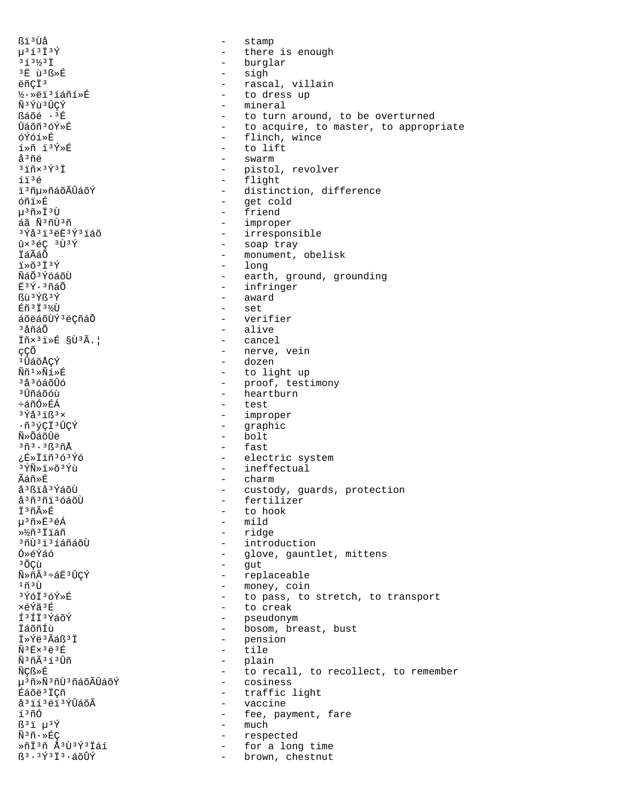ßi<sup>3</sup>Ùå stamp  $\equiv$  $\mu$ <sup>313</sup> $\ddot{1}$ <sup>3</sup> $\acute{Y}$  $\frac{1}{2}$  . there is enough - burglar  $313/31$ 3E ù3ß»É sigh  $\sim$ ëñCÏ<sup>3</sup> rascal, villain  $\sim$ ½·»ëï3íáñí»É - to dress up Ñ<sup>3</sup>Ýù<sup>3</sup>ÛCÝ - mineral ßáõé ·<sup>3</sup>É - to turn around, to be overturned Ûáõñ3óÝ»É - to acquire, to master, to appropriate - flinch, wince óÝóí≫É  $1 \times 2 = 13$   $\sqrt{2} \times 12$ - to lift - swarm  $A^3$ ñÄ  $3\overline{1}$ ñx $3\overline{Y}$  $3\overline{1}$ - pistol, revolver - flight íï3é - distinction, difference i 3 ñµ»ñáõÃÛáõÝ - get cold óñi≫É - friend  $\mu$ <sup>3</sup> $\tilde{\Pi}$ » $\ddot{\Pi}$ <sup>3</sup> $\tilde{\Pi}$ áã Ñ3ñÙ3ñ - improper  $3\overline{Y}$ å $3\overline{1}$  $3\overline{e}$  $\overline{E}$  $3\overline{Y}$  $3\overline{1}$ áõ - irresponsible  $\hat{u}\times$ <sup>3</sup>éC <sup>3</sup>Ù<sup>3</sup>Ý - soap tray - monument, obelisk İáÃáÕ - long  $1*63737$ พีล์ดี<sup>3</sup> ที่คลักบิ - earth, ground, grounding - infringer  $F3V.3960$ - award Bù 3 ÝB 3 Ý - set Éñ<sup>3</sup> I<sup>31</sup>⁄0 - verifier áõëáõÙݪëÇñáÕ - alive ªåñáÕ - cancel Iñx31»É §Ù3Ã.| çÇÕ - nerve, vein - dozen <sup>1</sup>ÛáõÅÇÝ Ññ1»Ñí»É - to light up <sup>3</sup>å<sup>3</sup>óáõÛó - proof, testimony - heartburn <sup>3</sup> บิทิล์ดีด์บ้ ևñÓ»ÉÁ - test - improper  $3\overline{Y}$  $A$  $3\overline{Y}$  $R$  $3x$ - graphic ·ñ3vci3ûcý Ñ»ÕáõÛë  $-$  bolt  $3\tilde{n}$  $3.3\tilde{k}$  $3\tilde{n}$ Å - fast ¿É»ÏïñªóªÝó - electric system - ineffectual 3ÝÑ»ï»õ3Ýù Ãáñ»É - charm å<sup>3</sup>ßïå<sup>3</sup>ÝáõÙ - custody, guards, protection - fertilizer å<sup>3</sup>ñ<sup>3</sup>ñi<sup>3</sup>óáõÙ İ3ñûÉ - to hook µ3ñ»Ė3éÁ  $-$  mild - ridge »½ñªÏiáñ <sup>3</sup>ñÙ<sup>3</sup>i<sup>3</sup>íáñáõÙ - introduction **Ó»éÝáó** - glove, gauntlet, mittens - gut <sup>3</sup>ÕCù - replaceable - money, coin  $1$ ñ $3$ Ù 3 Yóï 3 óÝ »É - to pass, to stretch, to transport xéÝã3É - to creak Í<sup>3</sup>Íİ<sup>3</sup>ÝáõÝ  $\frac{1}{2}$ pseudonym İáõñÍù - bosom, breast, bust I»Ýë<sup>3</sup>Ãáß<sup>3</sup>I - pension  $\tilde{N}$ <sup>3</sup> $E$ ×<sup>3</sup> $E$ <sup>3</sup> $E$  $\sim$ tile - plain Ñ<sup>3</sup>ñÃ3í3Ûñ ÑCß»É - to recall, to recollect, to remember - cosiness µ<sup>3</sup>ñ»Ñ<sup>3</sup>ñÙ<sup>3</sup>ñáõÃÛáõÝ Éáõë<sup>3</sup>ICñ - traffic light å<sup>3</sup>ií<sup>3</sup>ëi<sup>3</sup>ÝÛáõÃ - vaccine í,ñó - fee, payment, fare much  $B^3$ i  $\mu^3$ Ý  $\sim$  $\tilde{N}^3 \tilde{n} \cdot \Re{\mathbb{E}}$ C respected  $\sim$  $\mathcal{L} = \mathcal{L}$ ȖÏ3ñ Å3Ù3Ý3Ïáí for a long time  $B$ <sup>3</sup> · <sup>3</sup> $\tilde{Y}$ <sup>3</sup>  $\tilde{I}$ <sup>3</sup> · áõ $\hat{U}\hat{Y}$ brown, chestnut  $\sim$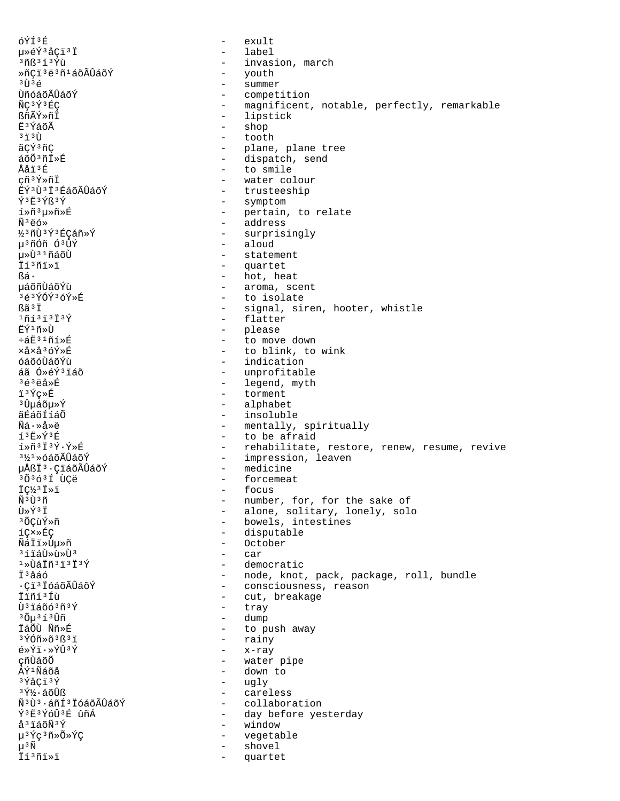óÝÍ3É  $\left( \frac{1}{2} + \frac{1}{2} \right)$  $\sim$ uȎÝ3åÇï3Ï  $\equiv$ label  $305313Y$ ù - invasion, march - youth<br>- summer ȖÇï 3ë 3ñ 1 á õ Ã Û á õ Ý  $3$   $\overline{1}$  $3$   $\overline{6}$ - competition ÙñóáõÃÛáõÝ ÑC3Ý3ÉC - magnificent, notable, perfectly, remarkable - lipstick ßñÃÝ»ñÏ - shop **ក៏**ះγ៍áõÃ - tooth  $3, 3, 7$ ãCÝ<sup>3</sup>ñC - plane, plane tree - dispatch, send  $a\tilde{o}\tilde{o}$ <sup>3 $\tilde{n}$ Iȃ</sup> - to smile Ååï3É çñ<sup>3</sup>Ý»ñÏ - water colour EÝ3Ù3Ï3ÉáõÃÛáõÝ - trusteeship Ý3Ë3Ýß3Ý - symptom í»ñ3µ»ñ»É - pertain, to relate - address  $\tilde{N}$ <sup>3</sup> $\ddot{e}$ ó» - surprisingly ½3ñÙ3Ý3ÉÇáñ»Ý - aloud u<sup>3</sup>ñÓñ Ó<sup>3</sup>ÛÝ u»Ù<sup>31</sup>ñáõÙ - statement İí<sup>3</sup>ñi»ï - quartet - hot, heat Rá. นล์õñปั้ล์õิทน - aroma, scent - to isolate 3é3ÝÓÝ3óÝ»É ßã<sup>3</sup>İ - signal, siren, hooter, whistle  $10131313$ - flatter ËÝ<sup>ı</sup>ñ»Ù - please ևË31ñí»É - to move down - to blink, to wink xåxå<sup>3</sup>óÝ»É óáõóÙáõÝù - indication áã Ó»éÝ3ïáõ - unprofitable  $363e3E$ - legend, myth - torment ï3Ýc»É - alphabet <sup>3</sup>Ûuáõu≫Ý - insoluble ãÉáõÍíáÕ - mentally, spiritually  $\tilde{\mathrm{M}}$ ล์ $\cdot$ >ล้» $\ddot{\mathrm{a}}$  $13E*Y3E$ - to be afraid  $1*\tilde{n}$ <sup>3</sup> $1$ <sup>3</sup> $\tilde{Y}$ · $\tilde{Y}$ \* $E$ - rehabilitate, restore, renew, resume, revive - impression, leaven 3½1»óáõÃÛáõÝ - medicine µÅßÏ<sup>3</sup>·ÇïáõÃÛáõÝ 3Õ3ó3Í ÙÇë forcemeat  $\sim$  10  $\pm$ IC<sup>1</sup>/3 I > 1 - focus พืชนิงก - number, for, for the sake of - alone, solitary, lonely, solo Ù»Ý3Ï - bowels, intestines <sup>3</sup>ÕÇùÝ»ñ - disputable íC×»ÉC - October ÑáÏï≫Ùu≫ñ  $3512$  $-$  car  $1*0$ áiñ $31313$ - democratic - node, knot, pack, package, roll, bundle ݪåáó - consciousness, reason ·ÇiªÏóáõÃÛáõÝ - cut, breakage Ïïñí<sup>3</sup>Íù Ù<sup>3</sup>iáõó<sup>3</sup>ñ<sup>3</sup>Ý tray  $\sim$  $30\mu$  $3130$ ñ  $\sim$ dump ÏáÕÙ Ññ»É - to push away - rainy  $3\overline{Y}$ Óñ» õ $3\overline{S}$  $3\overline{I}$  $-$  x-ray é»Ýï.»ÝÛ3Ý cñÙáõÕ - water pipe ÁÝ<sup>1</sup>Ñáõå - down to - ugly  $3\overline{Y}$ åCï $3\overline{Y}$ - careless  $3\tilde{Y}$ % $\cdot$ áõÛß Ñ<sup>3</sup>Ù<sup>3</sup>·áñÍ<sup>3</sup>ÏóáõÃÛáõÝ - collaboration Ý3Ë3ÝóÛ3É ûñÁ - day before yesterday - window å<sup>3</sup>ïáõÑ<sup>3</sup>Ý µ<sup>3</sup>Ýç<sup>3</sup>ñ»Õ»ÝÇ  $\sim$   $$ vegetable  $\mu$ <sup>3</sup> $\tilde{N}$ shovel  $\sim$ İí3ñï»ï  $\sim$ quartet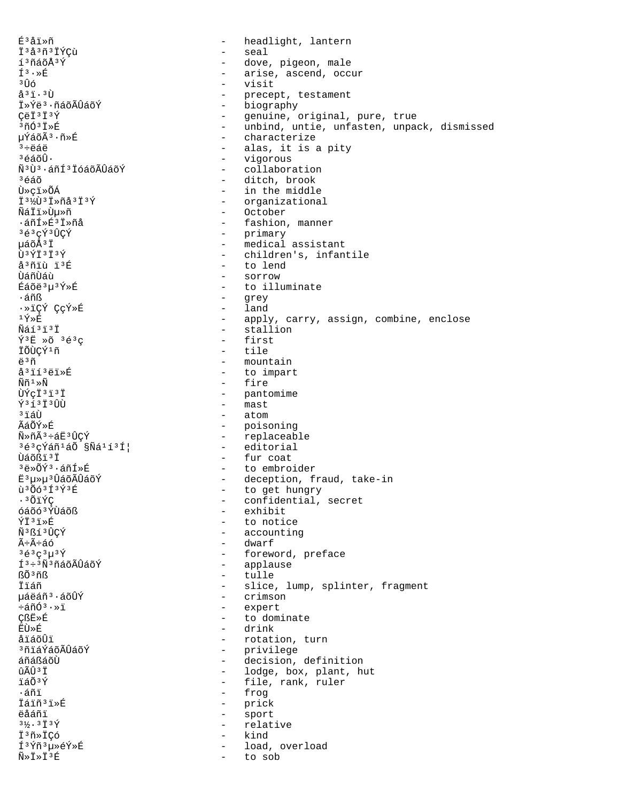É<sup>3</sup>åï»ñ  $\Delta$ headlight, lantern Ï3å3ñ3ÏÝÇù - seal í<sup>3</sup>ñáõÅ<sup>3</sup>Ý - dove, pigeon, male  $f^3 \cdot x$ É - arise, ascend, occur з Ûб  $\sim$ visit  $a^3i \cdot 3\overline{U}$ precept, testament  $\sim$ - biography I»Ýë3·ñáõÃÛáõÝ - genuine, original, pure, true CëÏ<sup>3</sup>Ï<sup>3</sup>Ý - unbind, untie, unfasten, unpack, dismissed  $30037*$ - characterize µÝáõÃ3 · ñ»É - alas, it is a pity  $3 + 44$ - vigorous  $365$  $\tilde{6}$  $\tilde{1}$ . Ñ<sup>3</sup>Ù<sup>3</sup>·áñÍ<sup>3</sup>ÏóáõÃÛáõÝ - collaboration - ditch, brook <sup>3</sup>éáõ - in the middle Ù»ci»õÁ Ï<sup>31</sup><sub>2</sub>Ù<sup>3</sup>Ï»ñå<sup>3</sup>Ï<sup>3</sup>Ý - organizational - October ÑáÏï»Ùµ»ñ ·áñÍ»É<sup>3</sup>İ»ñå - fashion, manner - primary<br>- medical assistant 3é3çÝ3ÛÇÝ µáõÅ<sup>3</sup>Ï - children's, infantile ÙªÝϪϪÝ å<sup>3</sup>ñïù ï<sup>3</sup>É - to lend - sorrow บิล์กีบิล์น้ Éáõë3µ3Ý»É - to illuminate - grey ∙áñß ·»ïCÝ CcÝ»É  $-$  land  $1\,\acute{\chi}_{\gg}\acute{E}$ - apply, carry, assign, combine, enclose - stallion Ñáí3ï3Ï  $\tilde{Y}$ <sup>3</sup>Ë » $\tilde{O}$  <sup>3</sup> $\tilde{e}$ <sup>3</sup> $\sigma$ - first ÏÕÙÇÝ<sup>1</sup>ñ  $+$ ile ë<sup>3</sup>ñ - mountain å<sup>3</sup>ïí<sup>3</sup>ëï»É - to impart  $\widetilde{\rm N}\widetilde{\rm n}$ <sup>1</sup>» $\widetilde{\rm N}$ - fire - pantomime ÙÝcÏ<sup>3</sup>ï<sup>3</sup>Ï - mast  $\sqrt{3}$  $\frac{2}{3}$  $\frac{1}{1}$  $\frac{3}{11}$  $\frac{1}{11}$ - atom  $3.75$  $\tilde{A}$ ล์ $\tilde{O}$ Ý»É - poisoning Ñ»ñÃ3÷áË3ÛCÝ - replaceable - editorial  $363 \zeta \acute{Y} \acute{a} \tilde{n}$ <sup>1</sup>áÕ §Ñá<sup>1</sup>í3ͦ - fur coat Ùáõßï<sup>3</sup>Ï - to embroider <sup>3</sup>ë»ÕÝ3.áñÍ»É - deception, fraud, take-in E<sup>3</sup>µ»µ<sup>3</sup>ÛáõÃÛáõÝ ù 306 313 Ý 3É - to get hungry - confidential, secret .3ÕïÝÇ óáõó<sup>3</sup>ÝÙáõß - exhibit - to notice ÝÏ<sup>3</sup>ï≫É - accounting Ñ3ßí3ÛCÝ - dwarf Ã÷Ã÷áó  $363C3u39$ - foreword, preface - applause  $I^3 \div 3 \tilde{N}^3$ ñáõÃÛáõÝ - tulle ßÕ<sup>3</sup>ñß - slice, lump, splinter, fragment Ïïáñ - crimson 栉áñ<sup>3</sup>·áõÛÝ - expert ևñÓª·»ï **CßË**ȃ - to dominate **EÙ**ȃ - drink åïáõÛï - rotation, turn <sup>3</sup>ñiáÝáõÃÛáõÝ - privilege áñáßáõÙ - decision, definition ûÃÛ 3 Ï - lodge, box, plant, hut ïáõªÝ - file, rank, ruler - frog  $.5ñi$ - prick Táiñ3i»É ëåáñï  $\sim$   $$ sport  $3\frac{1}{2}$ .  $3\ddot{1}3\ddot{1}$ relative  $\sim$   $-$ Ï3ñ»ÏÇó kind  $\sim$ Í<sup>3</sup>Ýñ<sup>3</sup>µ»éÝ»É load, overload  $\widetilde{N} \gg \widetilde{I} \gg \widetilde{I}^3 \widetilde{E}$ to sob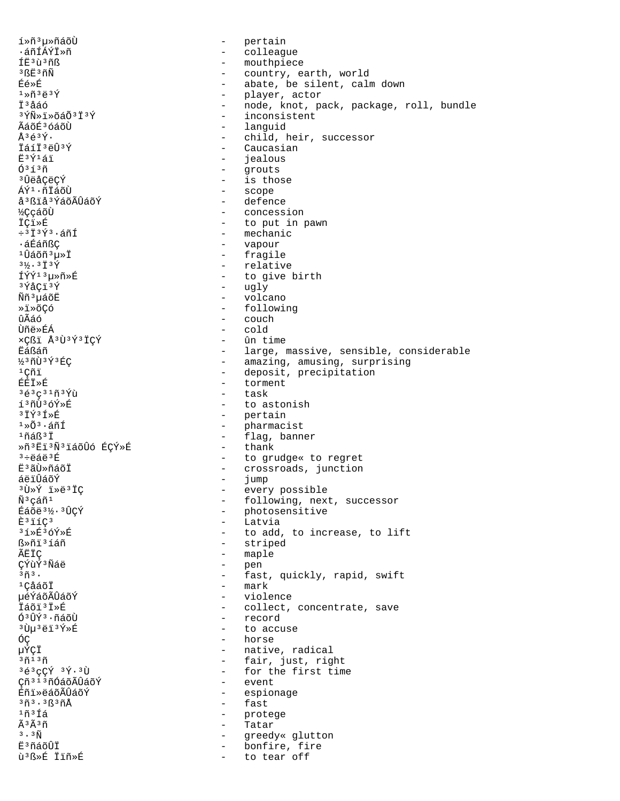1Ȗ<sup>3</sup>u»ñáõÙ - pertain ∙áñÍÁÝÏ»ñ - colleague - mouthpiece ÍË3ù3ñß - country, earth, world 3ßË3ñÑ - abate, be silent, calm down Éé≫É - player, actor  $1*7*3*3*7$ - node, knot, pack, package, roll, bundle Ťªåáó - inconsistent  $3\overline{\Upsilon}$ Ñ»ï»õáÕ $3\overline{\Upsilon}$  $3\overline{\Upsilon}$ - languid ÃáõÉ3 óáõÙ - child, heir, successor  $\lambda$ 3 $\leq$ 3 $\sqrt{$ .  $T51737737$ - Caucasian - *iealous*  $F3V151$ - grouts  $0313n$ - is those <sup>3</sup>󑌂ëÇÝ - scope ÁÝ<sup>1</sup>·ñÏáõÙ - defence å<sup>3</sup>ßiå<sup>3</sup>ÝáõÃÛáõÝ - concession **½**ÇçáõÙ - to put in pawn İÇi»É - mechanic  $\div$ <sup>313 $\acute{Y}$ 3. áñÍ</sup> ᇃáñßÇ - vapour - fragile ⊥ûáõñ 3u »Ï - relative  $3\frac{1}{6}$ .  $3\frac{1}{1}$  $3\frac{1}{1}$ - to give birth fýý13u»ñ»É - ugly  $3\bar{y}$ å $C13\bar{y}$ - volcano N์ก็<sup>3</sup>นล์oืE - following ȕ»õCó ûÃáó - couch **Ùñë**ȃÁ - cold - ûn time xÇßï Å<sup>3</sup>Ù<sup>3</sup>Ý3ÏÇÝ - large, massive, sensible, considerable Ëáßáñ - amazing, amusing, surprising<br>- deposit, precipitation ½3ñÙ3Ý3ÉC  $1C\tilde{n}1$ - torment **ÉÉÏ**ȃ - task  $363c31939$  $1371369*F$ - to astonish  $379358$ - pertain  $1*03*4n1$ - pharmacist  $1ñAR3I$ - flag, banner  $-$  thank Ȗ<sup>3</sup>Eï<sup>3</sup>Ñ<sup>3</sup>iáõÛó ÉÇÝ»É - to grudge« to regret  $3 \div 44 + 3E$ - crossroads, junction Ë<sup>3</sup>ãÙ»ñáõÏ - jump<br>- every possible áëïÛáõÝ <sup>3</sup>Ù»Ý ï»ë<sup>3</sup>ÏÇ - following, next, successor  $\tilde{N}^3$ çáñ $^1$ - photosensitive Éáõë<sup>31</sup>/2·<sup>3</sup>ÛÇÝ - Latvia  $E$ <sup>3</sup> $i$ <sup>1</sup> $C$ <sup>3</sup> - to add, to increase, to lift 3í≫É3óÝ≫É - striped ᯤi3íáñ ÃËÏC - maple CÝùÝ<sup>3</sup>Ñáë - pen - fast, quickly, rapid, swift  $3\tilde{n}$  3.  $-$  mark <sup>1</sup>CảáõÏ µéÝáõÃÛáõÝ - violence İáõi<sup>3</sup>İ»É - collect, concentrate, save - record Ó<sup>3</sup>ÛÝ<sup>3</sup>·ñáõÙ <sup>3</sup>Ùµ<sup>3</sup>ëï<sup>3</sup>Ý»É - to accuse - horse ÓÇ µÝÇÏ - native, radical - fair, just, right  $37137$ 3é3çÇÝ 3Ý.3Ù - for the first time - event Cñ<sup>313</sup>ñÓáõÃÛáõÝ - espionage Éñi»ëáõÃÛáõÝ - fast  $3\tilde{n}$  $3.3\tilde{k}$  $3\tilde{n}$ Å  $1ñ$  $3f$ á - protege Ã3Ã3ñ Tatar  $\sim$  $3 \cdot 3 \tilde{\rm N}$  $\sim$  100  $\mu$ greedy« glutton - bonfire, fire E<sup>3</sup>ñáõÛÏ ù 3B »É İïñ »É to tear off  $\sim$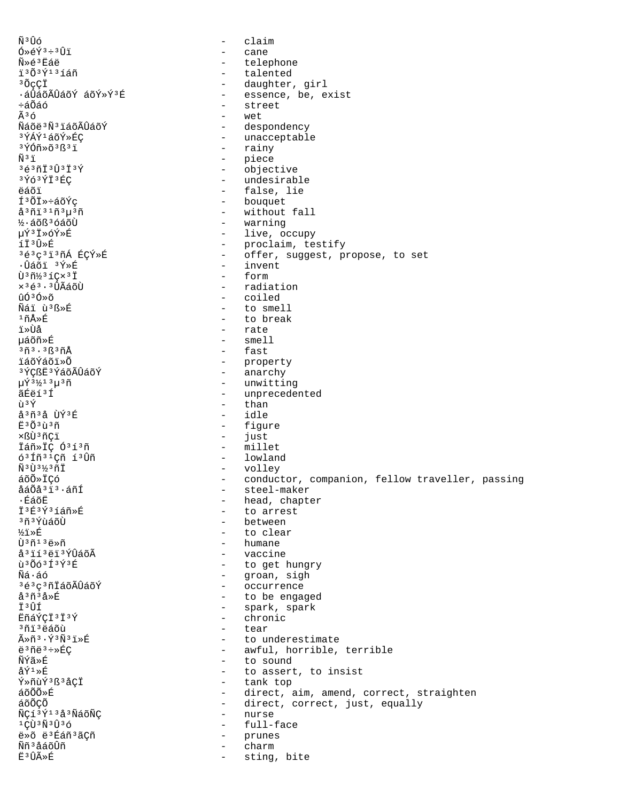$\tilde{N}^3 \hat{U}$ ố claim  $\sim$  $0*6Y^3*3Y1$ cane  $\sim$ Ñ»é3Ëáë  $\sim$ telephone ï3Õ3Ý13íáñ - talented <sup>3</sup>ÕçÇÏ - daughter, girl - essence, be, exist ·áÛáõÃÛáõÝ áõÝ»Ý3É - street ևÕáó  $\tilde{A}$  3  $\tilde{O}$  $tan$ Ñáõë3Ñ3ïáõÃÛáõÝ - despondency - unacceptable 3ÝÁÝ1áõÝ≫ÉC  $3\overline{Y}$ Óñ»õ $3\overline{B}3\overline{1}$ - rainy - piece  $\tilde{N}$  3  $\ddot{1}$  $36301303739$ - objective  $3\overline{Y}63\overline{Y}\overline{I}3\overline{E}C$ - undesirable - false, lie ëáõï Í<sup>3</sup>ÕÏ»÷áõÝç - bouquet  $a^{3}$ ñi $3^{1}$ ñ $3\mu^{3}$ ñ - without fall ½·áõß<sup>3</sup>óáõÙ  $\sim$   $$ warning µÝ3Ï»óÝ»É - live, occupy íÏ<sup>3</sup>Û»É - proclaim, testify 3é3ç3ï3ñÁ ÉÇÝ»É  $\sim$ offer, suggest, propose, to set ∙Ûáõï <sup>3</sup>Ý»É - invent  $\tilde{U}$ <sup>3</sup> $\tilde{n}$ <sup>1</sup>/<sub>2</sub><sup>3</sup> $\tilde{T}$ - form  $\times$ <sup>363.3</sup> $\hat{U}$ Ãáõ $\hat{U}$  $-$  radiation ûóªó»õ - coiled Nai ù B > E - to smell 1ñÅ»É - to break - rate ï≫Ùå µáõñ»É - smell - fast 3ñ3.3ß3ñÅ - property<br>- anarchy *iáo*Ýáõi»õ <sup>3</sup>ÝÇßË<sup>3</sup>ÝáõÃÛáõÝ µÝ 3½1 3µ 3ñ - unwitting - unprecedented ãÉëí3Í - than n 3Ý å<sup>3</sup>ñ<sup>3</sup>å ÙÝ<sup>3</sup>É  $-$  idle - figure  $F303137$ - just xßÙ<sup>3</sup>ñCï Ïáñ»ÏÇ Ó3í3ñ - millet - lowland 6<sup>3</sup> Iñ<sup>31</sup>Cñ í<sup>3</sup>Ùñ Ñ3Ù3½3ñÏ - volley - conductor, companion, fellow traveller, passing áõÕ»ÏÇó - steel-maker åáÕå<sup>3</sup>i<sup>3</sup>·áñÍ - head, chapter ∙ÉáõĖ I3É3Ý3íáñ»É - to arrest - between <sup>3</sup>ñ ª ÝùáõÙ - to clear ½ï≫É  $\tilde{\Pi}$ 3 $\tilde{\Pi}$ 13 $\tilde{\Xi}$ » $\tilde{\Pi}$ - humane å<sup>3</sup>ií<sup>3</sup>ëi<sup>3</sup>ÝÛáõÃ - vaccine - to get hungry  $\tilde{u}$ <sup>3</sup> $\tilde{O}$  $\tilde{O}$ <sup>3 $\tilde{I}$ 3 $\tilde{Y}$ <sup>3 $\tilde{E}$ </sup></sup> - groan, sigh Ñá∙áó 3é3ç3ñİáõÃÛáõÝ  $\omega_{\rm{max}}$ occurrence - to be engaged å<sup>3</sup>ñ<sup>3</sup>å»É Ï3ÛÍ - spark, spark EñáÝÇÏ<sup>3</sup>Ï<sup>3</sup>Ý chronic  $\overline{a}$ <sup>3</sup>ñi<sup>3</sup>ëáõù  $\sim$ tear  $\tilde{A} \gg \tilde{n}^3 \cdot \tilde{Y}^3 \tilde{N}^3 \tilde{1} \gg \tilde{E}$ - to underestimate ë<sup>3</sup>ñë<sup>3</sup>÷»ÉÇ - awful, horrible, terrible - to sound ÑÝã≫É  $A\tilde{V}^1 \times \tilde{E}$ - to assert, to insist - tank top Ý»ñùÝ3ß3åÇÏ  $\tilde{a} \tilde{c} \tilde{0} \tilde{0} \tilde{c}$ - direct, aim, amend, correct, straighten áõÕCÕ - direct, correct, just, equally ÑÇí 3Ý13å 3ÑáõÑÇ - nurse  $1 \bigcirc \widehat{U}$   $3 \bigcirc \widehat{N}$   $3 \bigcirc \widehat{U}$   $3 \bigcirc$ full-face  $\sim$ ë»õ ë<sup>3</sup>Éáñ<sup>3</sup>ãÇñ prunes  $\sim$ Ññ<sup>3</sup>åáõÛñ charm Ë<sup>3</sup>ÛÃ≫É sting, bite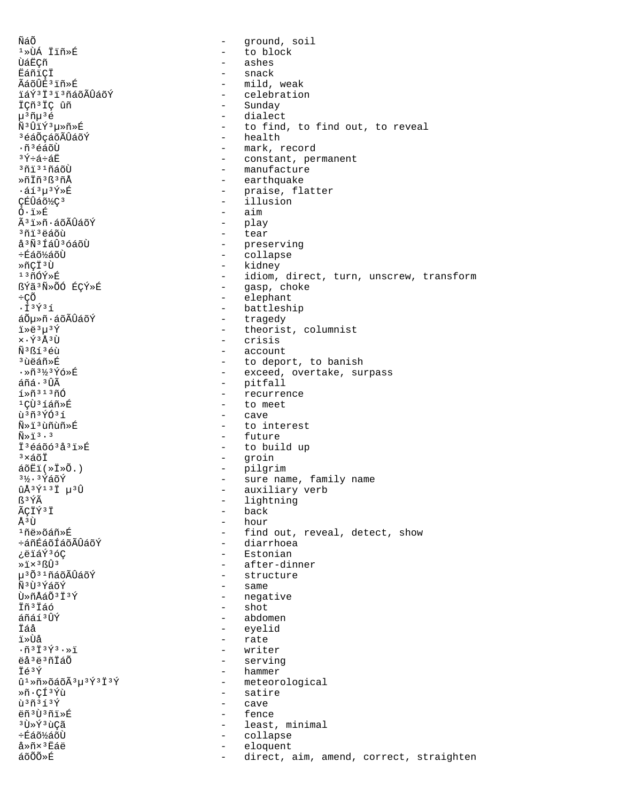ÑáÕ - ground, soil ¹»ÙÁ Ïïñ»É - to block - ashes ËáñïÇÏ - snack ÃáõÛÉ<sup>3</sup>Ïñ»É - mild, weak<br>ïáÝ3Ï3ï3ñáõÃÛáõÝ - - celebratio ïáÝ<sup>3</sup>Ï<sup>3</sup>ï<sup>3</sup>ñáõÃÛáõÝ - celebration<br>ÏÇñ<sup>3</sup>ÏÇ ûñ - Sunday - Sunday ÏÇñ³ÏÇ ûñ - Sunday µ<sup>3</sup>ñµ<sup>3</sup>é<br>Ñ<sup>3</sup>ÛïÝ<sup>3</sup>µ»ñ»É - dialect - to find, to find out, to reveal<br>- health ªéáÕçáõÃÛáõÝ<br>∙ñªéáõो .ñªéáõÙ - mark, record<br><sup>3Ý÷á÷á¤̃ - mark, record</sup> ³Ý÷á÷áË - constant, permanent <sup>3</sup>ñï<sup>31</sup>ñáõÙ - manufacture<br>»ñÏñ<sup>3</sup>ß<sup>3</sup>ñÅ - - - - earthquake - earthquake ·áí³µ³Ý»É - praise, flatter ÇÉÛáõ½Ç<sup>3</sup> - illusion<br>Ó·i»É - illusion - illusion – aim óï»ñ·áõÃÛáõÝ - play <sup>3</sup>ñïºëáõù - tear<br>åºÑºÍáÛºóáõÙ - exercións - pres åªÑªÍáÛªóáõÙ - preserving<br>÷Éáõ½áõÙ - - - - collapse ÷Éáõ½áõÙ - collapse »ñÇϳ٠- kidney <sup>13</sup>ñÓÝ»É - idiom, direct, turn, unscrew, transform<br>ßÝã<sup>3</sup>Ñ»ÕÓ ÉCÝ»É - - - - - - - - qasp, choke ßÝã³Ñ»ÕÓ ÉÇÝ»É - gasp, choke ÷ÇÕ - elephant -Í<sup>3</sup>Ý3í - battleship<br>áÕu»ñ·áõÃÛáõÝ - - - - traqedy áÕµ»ñ·áõÃÛáõÝ - tragedy<br>ï»ë3µ3Ý - theorist ï»ë<sup>3</sup>µ<sup>3</sup>Ý - theorist, columnist<br>x⋅Ý<sup>3</sup>Å<sup>3</sup>Ù - crisis  $\times$  $\cdot$  $\hat{Y}$ <sup>3</sup>Å<sup>3</sup>Ù<br> $\tilde{N}$ <sup>3</sup> $\tilde{Y}$ <sup>3</sup>A1)  $\tilde{Y}$  = crisis Ñ<sup>3</sup>ßí<sup>3</sup>éù - account<br><sup>3</sup>ùëáñ»É - account - to depo: <sup>3</sup>ùëáñ»É - to deport, to banish<br>·»ñ<sup>3}</sup>%<sup>3</sup>Ýó»É - - - - - - - - - exceed, overtake, sui ·»ñª½ªÝó»É - exceed, overtake, surpass<br>áñá·ªÛà - - - - - - - - - pitfall áñá·<sup>3</sup>Ûà - pitfall<br>í»ñ<sup>313</sup>ñÓ - pitfall - pedirre:  $\frac{1 \cdot \pi^{313} \pi^{6}}{1 \cdot \pi^{313} \pi^{2}}$  - recurrence <sup>1</sup>Çῢ<sup>3</sup>íáñ»É - to meet<br>ù<sup>3</sup>ñ<sup>3</sup>ÝÓ<sup>3</sup>í - cave - cave ùªñªÝÓªí - cave<br>Ñ»ïªùñùñ»É - to im Ñ»ï<sup>3</sup>ùñùñ»É - to interest<br>Ñ»ï<sup>3</sup>⋅<sup>3</sup> ѻﳷ³ - future - to build up <sup>3</sup>×áõÏ - groin<br>áõËï(»Ï»Õ.) - pilgri áõËï(»Ï»Õ.) - pilgrim <sup>31</sup>/<sub>2</sub><sup>3</sup>*Y*.<sup>3</sup>*Y*aõÝ - sure name, family name ûÅ<sup>3</sup>Ý<sup>13</sup>Ï µ<sup>3</sup>Û - auxiliary verb<br>
5<sup>3</sup>ÝÃ - lightning  $B^3\acute{Y}\tilde{A}$  - lightning  $\tilde{A}\tilde{C}\tilde{T}\tilde{Y}^3\tilde{T}$  - back  $\tilde{A}$ ÇÏݺÏ - back - back - back - back ų٠- hour - find out, reveal, detect, show<br>- diarrhoea ևñÉáõÍáõÃÛáõÝ<br>¿ëïáݪóÇ ¿ëïáÝ<sup>3</sup>óÇ - Estonian<br>»ï×<sup>3</sup>ßÛ<sup>3</sup> - Estonian - Estonian ȕ×<sup>3</sup>ßÛ<sup>3</sup><br>μ<sup>3</sup>Õ<sup>31</sup>ñáõÃÛáõÝ - - - after-dinner µ<sup>3</sup>Õ<sup>31</sup>ñáõÃÛáõÝ - structure<br>Ñ<sup>3</sup>Ù3ÝáõÝ - - same - same  $\tilde{N}$ <sup>3</sup> t͡j <sup>s</sup>áõÝ - same<br>
tì »ñÅáÕ<sup>3</sup>Ï <sup>3</sup>Ý - nega Ù»ñÅáÕ<sup>3</sup>Ï<sup>3</sup>Ý - negative<br>Ïñ<sup>3</sup>Ïáó - shot - shot Ïñ<sup>3</sup>Ïáó - shot<br>áñáí<sup>3</sup>ÛÝ - shot - abdo áñáí³ÛÝ - abdomen Ïáå - eyelid ï»Ùå - rate ·ñ³Ï³Ý³·»ï - writer ëåªëªñÏáÕ - serving - serving - serving - serving - serving - serving - serving - serving - serving - serving <br>Té<sup>3</sup>Ý - hammer  $\ddot{\mathbf{I}} \in 3\acute{\gamma}$ <br> $\hat{\mathbf{u}} \times \widetilde{\mathbf{I}} \times \widetilde{\mathbf{I}} \times \widetilde{\mathbf{I}} \times \widetilde{\mathbf{I}} \times \widetilde{\mathbf{I}} \times \widetilde{\mathbf{I}} \times \widetilde{\mathbf{I}} \times \widetilde{\mathbf{I}} \times \widetilde{\mathbf{I}} \times \widetilde{\mathbf{I}} \times \widetilde{\mathbf{I}} \times \widetilde{\mathbf{I}} \times \widetilde{\mathbf{I}} \times \widetilde{\mathbf{I}} \times \widetilde{\mathbf{I}} \times \widetilde{\mathbf{I$  $\hat{u}^1 \times \tilde{n} \times \tilde{d}$ õáõÃ $^3\mu^3 \tilde{Y}^3 \tilde{Y}$  - meteorological - meteorological Ȗ·ÇÍ<sup>3</sup>Ýù - satire<br>ù<sup>3</sup>ñ<sup>3</sup>í<sup>3</sup>Ý - cave ùªñªíªÝ - cave<br>ëñªÙªñi»É - fenc ëñªÙªñï»É - fence<br>ªÙ»ÝªùCã - fence - fence <sup>3</sup>ٻݪùÇã - least, minimal<br>÷Éáõ½áõÙ - least, minimal÷Éáõ½áõÙ ÷Éáõ½áõÙ - collapse å»ñ×<sup>3</sup>Ëáë - eloquent<br>áõÕõ»É - eloquent direct, aim, amend, correct, straighten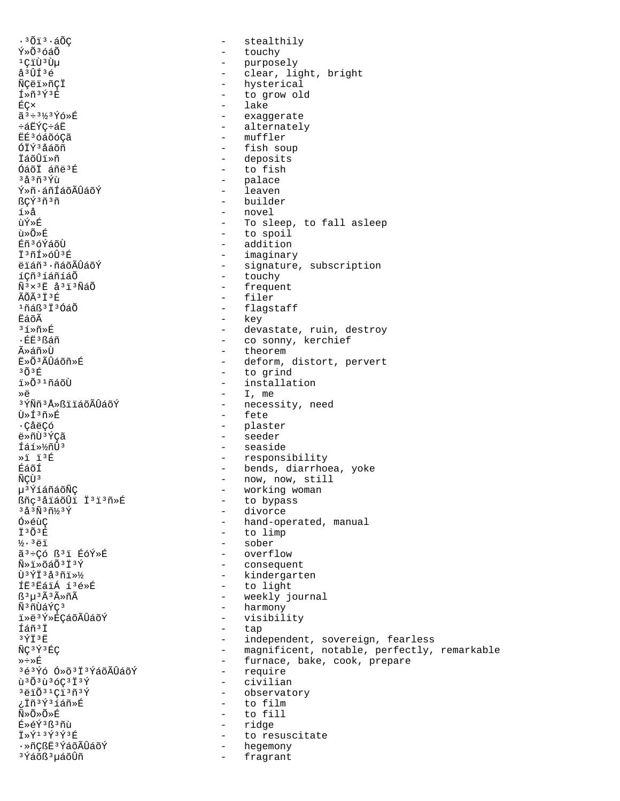$.3013.50C$ stealthily  $\sim$ Ý»Õ<sup>3</sup>óáÕ - touchy - purposely<br>- clear <sup>ı</sup>ÇïÙ<sup>3</sup>Ùµ clear, light, bright å<sup>3</sup>ÛÍ<sup>3</sup>é - hysterical ÑÇëï»ñÇÏ Í»ñ3Ý3É - to grow old - lake ÉÇ× ã 3÷ 31/3 Ýó »É - exaggerate - alternately ևËÝC÷áË - muffler EE<sup>3</sup> óáõóCã ÓTÝ3åáõñ - fish soup - deposits - to fish Óáõİ áñë<sup>3</sup>É - palace <sup>3</sup>å<sup>3</sup>ñ<sup>3</sup>Ýù - leaven Ý»ñ·áñÍáõÃÛáõÝ ßÇÝ3ñ3ñ - builder - novel í»å - To sleep, to fall asleep ùÝ≫É - to spoil นิ≫∩ั≫หิ Éñ<sup>3</sup>óÝáõÙ - addition - imaginary Ï3ñÍ»óÛ3É - signature, subscription ëiáñ<sup>3</sup>·ñáõÃÛáõÝ - touchy íCñ<sup>3</sup>íáñíáÕ - frequent  $\tilde{N}$ <sup>3</sup> $\times$ <sup>3 $\dot{E}$ </sup>  $\tilde{A}$ <sup>3 $\ddot{I}$ </sup><sup>3 $\tilde{N}$  $\tilde{A}$  $\tilde{O}$ </sup> ÃÕÃ<sup>3</sup>Ï<sup>3</sup>É - filer  $1$ ñáß $3\ddot{1}$  $3$ ÓáÕ - flagstaff - key ËáõÃ  $31 \times 10$ - devastate, ruin, destroy - co sonny, kerchief ·ÉË3ßáñ - theorem ûáñ»Ù - deform, distort, pervert Ë»Õ3ÃÛáõñ»É  $303F$ - to grind i»Õ<sup>31</sup>ñáõÙ - installation  $-$  I, me ≫ö <sup>3</sup>ÝÑñ<sup>3</sup>Å≫ßïïáõÃÛáõÝ - necessity, need - fete  $\tilde{H} \times \tilde{H}^3 \tilde{H} \times \tilde{H}$ - plaster . Cả<sub>n</sub>cá - seeder ë»ñù3ÝCã - seaside Íáí»½ñÛ3  $*1 13E$ - responsibility - bends, diarrhoea, yoke ÉáõÍ - now, now, still ÑCÙ<sup>3</sup> - working woman µ<sup>3</sup>ÝíáñáõÑÇ Bñç<sup>3</sup>åïáõÛï Ï<sup>3</sup>ï<sup>3</sup>ñ»É - to bypass - divorce  $3\overset{1}{\tilde{a}}\overset{3}{\tilde{N}}\overset{3}{\tilde{n}}\overset{7}{\tilde{N}}\overset{3}{\tilde{Y}}$ - hand-operated, manual Ó»éùC - to limp **İ3Õ3Ŕ**  $\frac{1}{2}$ . 3ëi - sober ãª÷Có ߪï ÉóÝ»É - overflow - consequent  $\tilde{N}$ » i » õá $\tilde{O}$ <sup>3</sup> i  $\tilde{Y}$ Ù<sup>3</sup>ÝÏ<sup>3</sup>å<sup>3</sup>ñ﻽ - kindergarten - to light ÍË3ËáïÁ í3é»É - weekly journal  $B^3\mu^3\tilde{A}^3\tilde{A} \times \tilde{n}\tilde{A}$ Ñ3ñÙáÝÇ3 - harmony iȑ3Ý»ÉÇáõÃÛáõÝ  $\sim$   $$ visibility Íáñ<sup>3</sup>İ  $\sim$ tap - independent, sovereign, fearless  $3\,\mathrm{Y}\ddot{\mathrm{T}}$   $3\,\mathrm{E}$ - magnificent, notable, perfectly, remarkable ÑC3Ý3ÉC - furnace, bake, cook, prepare ≫÷≫É - require 3é3Ýó Ó»õ3Ï3ÝáõÃÛáõÝ - civilian  $\tilde{u}$ <sup>3</sup> $\tilde{0}$ <sup>3</sup> $\tilde{u}$ <sup>3</sup> $\tilde{6}$ C<sup>3</sup> $\tilde{1}$ <sup>3</sup> $\tilde{Y}$ - observatory *;* Iñ<sup>3</sup>Ý31áñ»É - to film ѻջÕ»É - to fill É»éÝ3ß3ñù - ridge Ï»Ý<sup>13</sup>Ý<sup>3</sup>Ý<sup>3</sup>É  $\sim$   $$ to resuscitate - hegemony ·»ñÇßË3ÝáõÃÛáõÝ <sup>3</sup>Ýáõß<sup>3</sup>µáõÛñ fragrant  $\sim$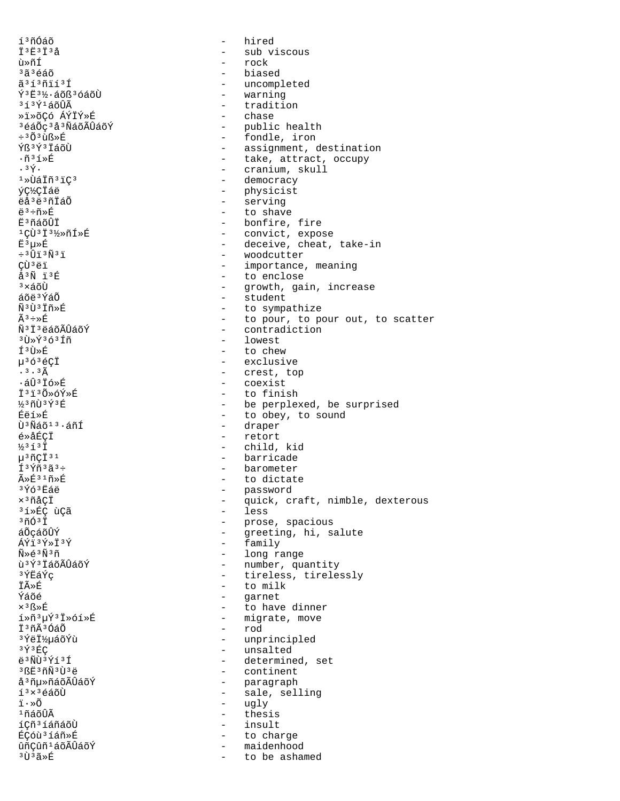í<sup>3</sup>ñÓáõ Ï<sup>3Ë3</sup>Ï<sup>3</sup>å ù»ñÍ  $3\tilde{a}$  $3\tilde{e}$ áõ ã3í3ñïí3Í Ý<sup>3</sup>Ë<sup>31</sup>⁄2·áõß<sup>3</sup>óáõÙ  $313$  $\acute{Y}$  $14$ õÛÃ ȕ»õÇó ÁÝÏÝ»É <sup>3</sup>éáÕç<sup>3</sup>å<sup>3</sup>ÑáõÃÛáõÝ  $\div$ <sup>3</sup> $\tilde{O}$ <sup>3</sup> $\tilde{H}$ <sup>8</sup> ÝR3Ý3 TÁÕIT  $\cdot$ ñ3í» $E$  $.3\overline{Y}$ .  $1*U$ áÏñ $31C3$ ýç½çiáë ëå<sup>3</sup>ë<sup>3</sup>ñÏáÕ  $e^3$ ֖»É **Ē**<sup>3</sup>ñáõÛİ 1CÙ3I3½»ñÍ»É Ë<sup>3</sup>μ»É  $\div$ <sup>3</sup>Ûï<sup>3</sup>Ñ<sup>3</sup>ï CÙ ªëï  $A^3\widetilde{N}$   $\ddot{1}^3\widetilde{R}$  $3 \times 5$ nti áõë<sup>3</sup>ÝáÕ Ñ3Ù3Ïñ»É  $\tilde{A}^3 \div B$ Ñ<sup>3</sup>İ<sup>3</sup>ëáõÃÛáõÝ 3Ù»Ý3ó3Íñ Í<sup>3</sup>Ù»É  $\mu$ <sup>3</sup> $6$ <sup>3</sup> $6$  $\zeta$ <sup>†</sup>  $.3.3<sub>A</sub>$  $\cdot$ áÛ<sup>3</sup>Ïó»É †ිi3Õ»óÝ»Ŕ  $330398$ Fëi»É  $\tilde{U}$ <sup>3</sup> $\tilde{N}$ áõ $1$ <sup>3</sup> $\cdot$ áñÍ é»åÉCİ  $\frac{1}{2}$ <sup>3</sup> $\tilde{1}$ <sup>3</sup> $\tilde{1}$  $\mu$ <sup>3</sup> $\tilde{\Pi}$ C $\tilde{\Gamma}$ <sup>31</sup> f<sup>3</sup>Ýñ<sup>3</sup>ã<sup>3</sup>÷  $\tilde{A} \times \tilde{E}^{3}$ <sup>1</sup> $\tilde{n} \times \tilde{E}$ 3Ýó3Ëáë x<sup>3</sup>ñåÇÏ <sup>3</sup>í»ÉÇ ùÇã  $3\tilde{n}$ Ó $3\tilde{1}$ áÕcáõÛÝ  $\overline{\Lambda}\overline{Y}$ i 3 $\overline{Y}$ » i 3 $\overline{Y}$  $\widetilde{N}$ ≫∈์<sup>3</sup> $\widetilde{N}$ <sup>3</sup>ñ น<sup>3</sup>Ý3 ไล์oัA้บิล์oัÝ ªÝËáÝç **İÃ**ȃ Ýáõé ×<sup>3</sup>ß»É í»ñ3µÝ3Ï»óí»É İ<sup>3</sup>ñÃ<sup>3</sup>ÓáÕ <sup>3</sup>ÝëϽµáõÝù  $3\hat{Y}$  $3\hat{E}C$  $43$  $\tilde{N}$ t)  $3\tilde{Y}$   $13\tilde{Y}$ 3 RE3 ñÑ 3 Ù 3 ë å<sup>3</sup>ñu»ñáõÃÛáõÝ  $1<sup>3</sup> \times 3$ éáõÙ  $i \cdot \hat{\circ}$  $1$ ñáõÛÃ íçñ<sup>3</sup>íáñáõÙ ÉÇóù 3 í áñ »É ûñçûñ<sup>1</sup>áõÃÛáõÝ <sup>3</sup>Ù3ã≫É

hired  $\equiv$  $\equiv$ sub viscous - rock biased - uncompleted - warning - tradition - chase - public health - fondle, iron - assignment, destination - take, attract, occupy - cranium, skull - democracy - physicist - serving - to shave - bonfire, fire - convict, expose - deceive, cheat, take-in - woodcutter - importance, meaning - to enclose - growth, gain, increase - student - to sympathize - to pour, to pour out, to scatter  $\omega_{\rm{max}}$ contradiction - lowest to chew  $\overline{a}$ - exclusive - crest, top - coexist - to finish - be perplexed, be surprised - to obey, to sound - draper - retort  $\omega_{\rm{max}}$ child, kid - barricade - barometer - to dictate - password  $\frac{1}{2}$ quick, craft, nimble, dexterous - less - prose, spacious  $\sim$ greeting, hi, salute - family - long range - number, quantity  $\sim$   $$ tireless, tirelessly - to milk  $\sim$ garnet to have dinner  $\sim$ - migrate, move - rod - unprincipled - unsalted - determined, set - continent - paragraph - sale, selling - ugly  $\sim$ thesis  $\sim$ insult to charge  $\sim$ - maidenhood to be ashamed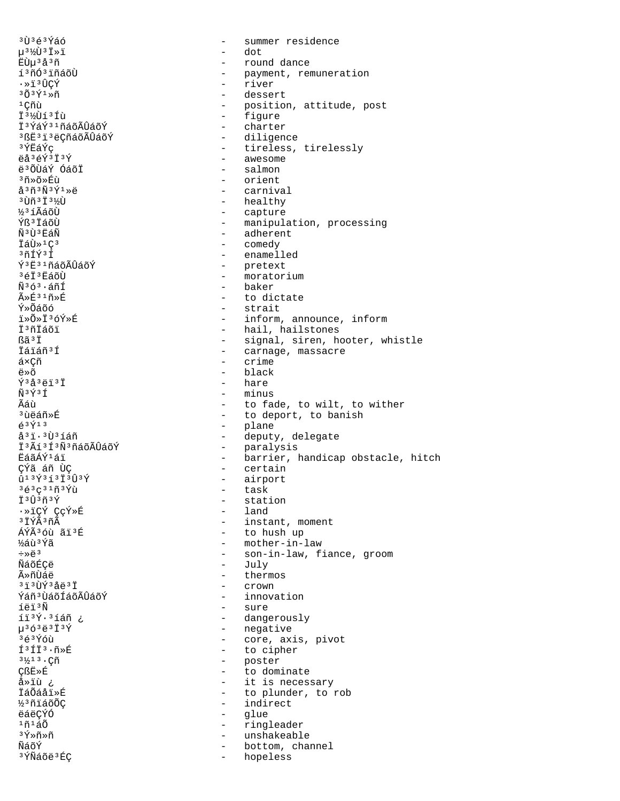$3\tilde{U}$  $363\tilde{Y}$ áó summer residence  $\equiv$ µ3½Ù3Ï»ï dot  $\equiv$ EÙµ 3 å 3 ñ - round dance - payment, remuneration<br>- river í<sup>3</sup>ñÓ<sup>3</sup> iñáõÙ .ȕ3ÛCÝ  $303\overline{Y}$  $3\overline{X}$ - dessert  $1$ Çñù - position, attitude, post - figure I31/Dí3 Íù - charter ϪÝáݪ1ñáõÃÛáõÝ <sup>3</sup>ßE<sup>3</sup>i<sup>3</sup>ëÇñáõÃÛáõÝ - diligence 3ÝËáÝc - tireless, tirelessly ëå<sup>3</sup>éÝ<sup>3</sup>Ï<sup>3</sup>Ý - awesome ë 30 UAÝ 0 á o L - salmon - orient ªñ»õ»Éù  $a^{3}$ ñ $3\tilde{N}$  $3\tilde{Y}$  $3\approx$ - carnival  $3 \tilde{U} \tilde{n}$  $3 \tilde{I}$  $3 \frac{1}{2} \tilde{U}$ - healthy ½3íÃáõÙ - capture - manipulation, processing Ýß<sup>3</sup> IáõÙ Ñ<sup>3</sup>Ù<sup>3</sup>EáÑ - adherent İáÙ»<sup>1</sup>C<sup>3</sup> - comedy - enamelled  $3ñf$ Ý $3f$ ݪ˪1ñáõÃÛáõÝ - pretext - moratorium  $3673750$ - baker  $\tilde{N}$ <sup>363</sup> $\cdot$  $\tilde{A}$  $\tilde{n}$  $\tilde{T}$  $\tilde{A} \ge \tilde{E}^{31} \tilde{n} \ge \tilde{E}$ - to dictate Ý≫Õáõó - strait i»Õ»Ï3óÝ»É - inform, announce, inform İ<sup>3</sup>ñİáõi - hail, hailstones ßã<sup>3</sup>İ - signal, siren, hooter, whistle İáïáñ<sup>3</sup>Í - carnage, massacre á×Çñ crime  $\overline{a}$ - black ë»õ  $\tilde{Y}$ <sup>3</sup>å<sup>3</sup>ëï<sup>3</sup>Ï - hare - minus Ñ 3Ý 3 Í Ãáù - to fade, to wilt, to wither <sup>3</sup>บิคล์กั≫นี - to deport, to banish - plane  $63713$  $a^3$ i. $i$ Ù $3$ íáñ - deputy, delegate - paralysis Ï<sup>3</sup>Ãí<sup>3</sup>Í<sup>3</sup>Ñ<sup>3</sup>ñáõÃÛáõÝ - barrier, handicap obstacle, hitch ËáãÁݪáï - certain çýã áñ Ùç - airport  $013\bar{Y}313\bar{1}303\bar{Y}$  $363q3193q1$ - task İ<sup>3</sup>Û3ñ3Ý - station ·»ïÇÝ ÇçÝ»É - land 3ÏÝÃ3ñÃ - instant, moment - to hush up ÁÝÃ36ù ãï3É - mother-in-law ½áù 3Ýã  $\div \gg \stackrel{.}{\ominus} 3$ - son-in-law, fiance, groom - July ÑáõÉCë - thermos ûñÙáë  $3130$ Ý $34031$  $\omega_{\rm{max}}$ crown - innovation Ýáñ<sup>3</sup> ÙáõÍáõÃÛáõÝ íëï<sup>3Ñ</sup> - sure íi3Ý.3íáñ ¿ - dangerously - negative  $\mu$ <sup>3</sup> $6$ <sup>3</sup> $\ddot{e}$ <sup>3</sup> $\ddot{1}$ <sup>3</sup> $\acute{Y}$  $363$   $6\hat{u}$ - core, axis, pivot  $f3f73.97$ - to cipher - poster  $3\frac{1}{2}$ 13. $\tilde{C}$ ñ **ÇßË»É**  $\sim$  10  $\,$ to dominate iȕù ¿ - it is necessary İáÕáåï»É - to plunder, to rob 1/3 ñiáõÕC - indirect ëáëÇÝÓ  $\sim$ glue  $1\tilde{n}$ 1áÕ  $\sim$ ringleader  $3\overline{Y}*\widetilde{n}*\widetilde{n}$  $\sim$ unshakeable ÑáõÝ bottom, channel <sup>3</sup>ÝÑáõë<sup>3</sup>ÉÇ  $\sim$ hopeless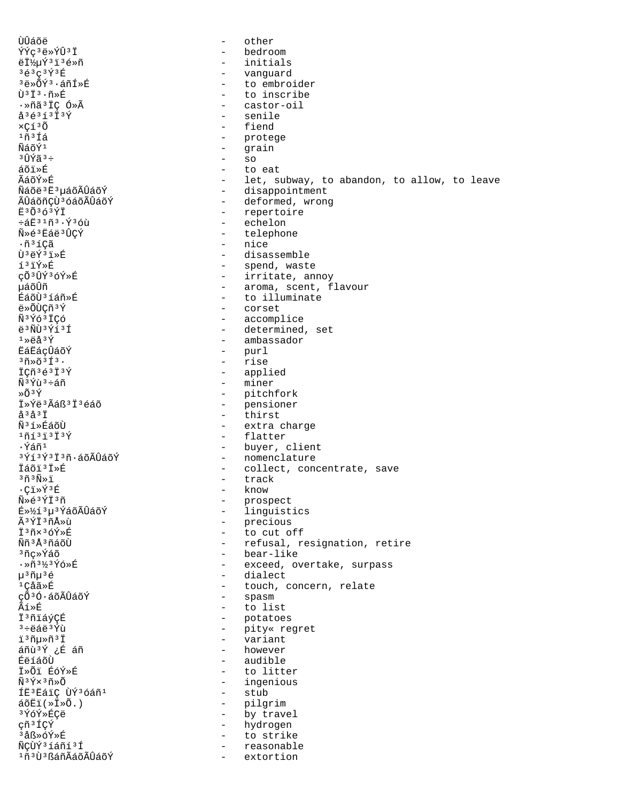ÙÛáõë - other<br>ÝÝc<sup>3</sup>ë»ÝÛ<sup>3</sup>Ï - other - other ÝÝç³ë»ÝÛ³Ï - bedroom ëϽµÝ³ï³é»ñ - initials <sup>3</sup>é<sup>3</sup>ç<sup>3</sup>ݪÉ<br><sup>3</sup>ë»Õݪ·áñÍ»É - vanguard - vanguard <sup>3</sup>ë»ÕÝ<sup>3</sup>·áñÍ»É - to embroider<br>Ù<sup>3</sup>Ï<sup>3</sup>·ñ»É - to inscribe Ù<sup>3</sup>Ï<sup>3</sup>·ñ»É<br>·»ñã<sup>3</sup>ÏÇ Ó»Ã → → → → → castor-oil ·»ñã³ÏÇ Ó»Ã - castor-oil  $\lambda^3$ é ${}^{3}$ í ${}^{3}$  ${}^{j}$  ${}^{j}$ <sup> $\lambda$ </sup> ${}^{j}$   ${}^{j}$   ${}^{j}$   ${}^{j}$   ${}^{j}$   ${}^{j}$   ${}^{j}$   ${}^{j}$   ${}^{j}$   ${}^{j}$   ${}^{j}$   ${}^{j}$   ${}^{j}$   ${}^{j}$   ${}^{j}$   ${}^{j}$   ${}^{j}$   ${}^{j}$   ${}^{j}$   ${}^{j}$   ${}^{j}$   ${}^{j}$   ${}^{j}$   ${}^{j}$   ${}^{j}$   ${}^{j}$   $\times$ Çí $^{3}$ Õ - fiend<br> $\times$ çí $^{3}$ Ó - fiend  $\frac{1}{11}$ î $\frac{1}{11}$ î (1 ÑáõÝ<sup>1</sup> - grain<br><sup>3</sup>ÛÝã<sup>3</sup>÷ - so - so  $\frac{3 \hat{U} \hat{Y} \tilde{a}^3 \div \tilde{a}}{2}$  - so  $\tilde{a} \tilde{0} \tilde{1} \times \tilde{E}$  - to áõï»É - to eat ÃáõÝ»É<br>ÑáõÝ»É - let, subway, to abandon, to allow, to leave<br>ÑáõëªËªµáõÃÛáõÝ - disappointment Ñáõë<sup>3</sup>Ë<sup>3</sup>µáõÃÛáõÝ - disappointment<br>ÃÛáõñÇÙ<sup>3</sup>óáõÃÛáõÝ - - deformed, wrong ÃÛáõñÇÙªóáõÃÛáõÝ - deformed, wrong<br>˪ÕªóªÝÏ - repertoire  $\ddot{E}$ <sup>3</sup>Õ<sup>3</sup>Ó<sup>3ÝÏ</sup> - repertoire<br>÷áË<sup>31</sup>ñ<sup>3</sup>⋅Ý<sup>3</sup>Óù - - echelon ևË<sup>31</sup>ñº·Ýºóù - echelon - echelon<br>Ñ»éºËáëºÛÇÝ - - telephoi Ñ»é³Ëáë³ÛÇÝ - telephone .ñªíÇã - nice<br>Ùªë́ýªï≫É - disa: Ùºëݺï»É - disassemble<br>íºïÝ»É - spend, wast í<sup>3</sup>ïÝ»É - spend, waste<br>cÕ<sup>3</sup>ÛÝ<sup>3</sup>ÓÝ»É - - - - - - - - - - - irritate, an çÕ<sup>3</sup>ÛÝ<sup>3</sup>ÓÝ»É - irritate, annoy<br>uáõÛñ - aroma scent f µáõÛñ - aroma, scent, flavour  $E$ áõÙ $i$ íáñ»É  $-$  to illuminate  $E$ <sup>s</sup>óÙCñ<sup>3</sup>Ý  $-$  corset ë»ÕÙÇñ<sup>3</sup>Ý - corset<br>Ñ<sup>3</sup>Ýó<sup>3</sup>ÏCó - corset - accompl Ñ<sup>3</sup>Ýó<sup>3</sup>ÏÇó - accomplice - accomplice - accomplice - accomplice - accomplice - accomplice - accomplice - accomplice - accomplice - accomplice - accomplice - accomplice - accomplice - accomplice - accomplice - accomplice ë<sup>3</sup>ÑÙ<sup>3</sup>Ýí<sup>3</sup>Í - determined, set<br><sup>1</sup>»ëå<sup>3</sup>Ý <sup>1</sup>ȑå<sup>3</sup>Ý - ambassador<br>ËáËáçÛáõÝ - extraordio - purl  $\ddot{E}$ á $\ddot{E}$ á $\ddot{E}$ á $\ddot{E}$ á $\ddot{E}$  1958 - purl<br> $\ddot{E}$  1958 - purl  $3\tilde{n}$ »õ $3\tilde{1}$ 3·  $-$  rise<br> $\tilde{C}\tilde{n}$ 3é3 $\tilde{1}$ 3 $\tilde{Y}$  - appl ÏÇñ<sup>3</sup>é<sup>3</sup>Ï<sup>3</sup>Ý - applied<br>Ñ<sup>3Ý</sup>ù<sup>3</sup>÷áñ - - miner ѺŶùº÷áñ - miner<br>»ÕºÝ - miner - miner »Õ<sup>3</sup>Ý - pitchfork<br>Ï»Ýë<sup>3</sup>Ãáß<sup>3</sup>Ï<sup>3</sup>éáõ - - pensioner  $\ddot{\textbf{i}} \times \textbf{Y}$ ë<sup>3</sup>Ãáß<sup>3</sup> $\ddot{\textbf{i}}$ <sup>3</sup>éáõ - pensioner<br><sup>33</sup>å<sup>3</sup>i - thirst  $\hat{a}$ <sup>3</sup>å<sup>3</sup>Ï - thirst - thirst - thirst - thirst - thirst - thirst - thirst - thirst - thirst - thirst - thirst - thirst - thirst - thirst - thirst - thirst - thirst - thirst - thirst - thirst - thirst - thirst - thirs Ñ<sup>3</sup>í»ÉáõÙ - extra charge<br>1ñí<sup>3</sup>í3Í<sup>3</sup>Ý - extra charge <sup>1</sup>ñí<sup>3</sup>ï<sup>3</sup>Í<sup>3</sup>Ý - flatter<br>Úañ<sup>1</sup> - huyer, e ·Ýáñ¹ - buyer, client <sup>3</sup>Ýí<sup>3</sup>ݪϪñ·áõÃÛáõÝ - nomenclature<br>ÏáõïªÏ»É - collect, con Ïáõï³Ï»É - collect, concentrate, save  $3\tilde{n}$ <sup>3</sup>ñ<sup>3</sup>Ñ»ï - track<br>  $\cdot$ Cï»Ý<sup>3</sup>É - know ·Çï»ÝªÉ - know<br>Ñ»éªÝϪñ - prosi Ñ»é<sup>3</sup>ÝÏ<sup>3</sup>ñ - prospect<br>É»½í<sup>3</sup>µ<sup>3</sup>ÝáõÃÛáõÝ - hinguist É»½í³µ³ÝáõÃÛáõÝ - linguistics Ã<sup>3</sup>ÝÏ<sup>3</sup>ñÅ»ù - precious<br>Ï<sup>3</sup>ñx<sup>3</sup>óÝ»É - to cut o Ϊ<sup>3</sup>ñ×<sup>3</sup>óÝ»É - to cut off<br>Ññ<sup>3å3</sup>ñáõÙ - refusal r Ññ<sup>3</sup>ŪñáõÙ - refusal, resignation, retire<br>ªñc»Ýáõ - - - - - bear-like <sup>3</sup>ñç»Ýáõ - bear-like<br>Añ<sup>31</sup>⁄3Ýó»É - bear-like - bear-like - exceed, overtake, surpass µ³ñµ³é - dialect <sup>1</sup>Çåã»É - touch, concern, relate<br>cÕ<sup>3</sup>Ó·áõÃÛáõÝ - - spasm çÕªÓ∙áõÃÛáõÝ<br>Ãí»É ̒ȃ - to list Ï<sup>3</sup>ñïáýÇÉ - potatoes<br><sup>3</sup>÷ëãë<sup>3</sup>Ýù - pity« re ³÷ëáë³Ýù - pity« regret ï³ñµ»ñ³Ï - variant áñù<sup>9</sup>Ý ¿É áñ - however - however<br>Éë1áõÙ - audible ÉëíáõÙ - audible<br>Ï»ÕïÉóÝ»É - audible - to litt Ï»Õï ÉóÝ»É - to litter – ingenious<br>– stub ÍË<sup>3</sup>ËáïÇ ÙÝ<sup>3</sup>Óáñ<sup>1</sup><br>áõËï(»Ï»Õ.) áõËï(»Ï»Õ.) - pilgrim ³ÝóÝ»ÉÇë - by travel çñ³ÍÇÝ - hydrogen ³åß»óÝ»É - to strike - reasonable <sup>1</sup>ñ<sup>3</sup>Ù<sup>3</sup>ßáñÃáõÃÛáõÝ - extortion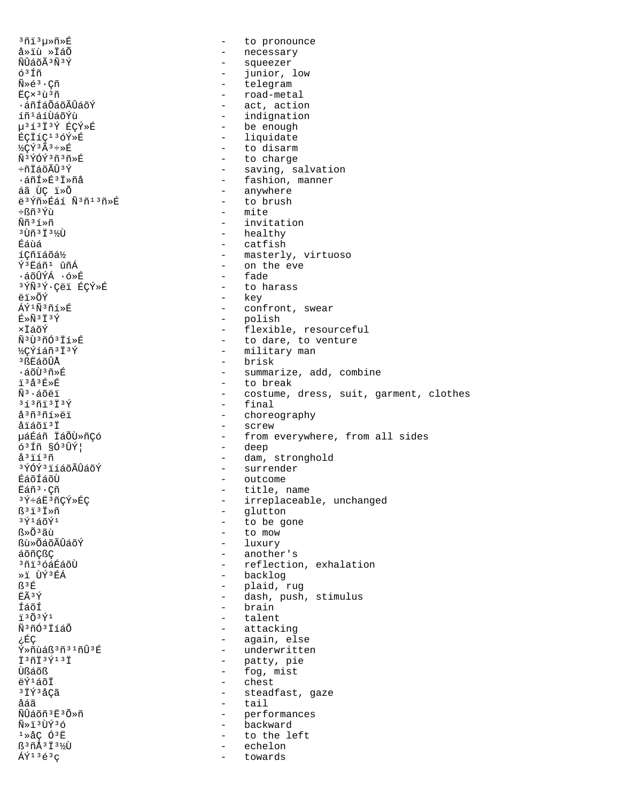<sup>3</sup>ñi<sup>3</sup>u»ñ»É - to pronounce - necessary å»ïù »ÏáÕ - squeezer ÑÛáõÃ 3Ñ 3Ý - junior, low ó<sup>3</sup>Íñ - telegram  $\tilde{N} * \tilde{e}^3 \cdot \tilde{C} \tilde{n}$ - road-metal ECx<sup>3</sup>ù<sup>3</sup>ñ ·áñÍáÕáõÃÛáõÝ - act, action - indignation íñ<sup>1</sup>áíÙáõÝù µ31313Ý ÉÇÝ»É - be enough ÉCIÍC<sup>13</sup>óÝ»É - liquidate  $\frac{1}{2}$ CÝ<sup>3</sup>Ã<sup>3</sup>÷»F - to disarm - to charge กั<sup>ร</sup>ท์ก์ที่<sup>3</sup>กั<sup>ร</sup>ที่ - saving, salvation  $\div$ ñÏáõÃÛ $3$ Ý - fashion, manner ∙áñÍ»É3Ï»ñå - anywhere áã ÙÇ ï»Õ ë<sup>3</sup>Ýñ»Éáí Ñ<sup>3</sup>ñ<sup>13</sup>ñ»É - to brush - mite ֧ñªÝù  $\widetilde{N}$ ñ  $3.5 \times \widetilde{N}$ - invitation - healthy 3 Ùñ 3 Ï 3 1⁄0  $-$  catfish Éáùá íCñïáõá½ - masterly, virtuoso - on the eve ݪËáñ1 ûñÁ ·áõÛÝÁ ·ó»É - fade 3ÝÑ3Ý·Cëi ÉCÝ»É - to harass - key ëï»õÝ ÁÝ1Ñ3ñí»É - confront, swear - polish<br>- flexible, resourceful  $E \gg \widetilde{N}$ <sup>3</sup>  $\ddot{I}$ <sup>3</sup> $\acute{Y}$ ×ÏáõÝ - to dare, to venture Ñ3Ù3ñÓ3Ïí»É - military man ½¢Ýíáñ 3 Ï 3Ý - brisk <sup>3</sup> ßEิล์õÛÅ  $\cdot$ áõÙ $^3$ ñ»É - summarize, add, combine - to break i<sup>3</sup>å<sup>3</sup>f\*f - costume, dress, suit, garment, clothes  $\tilde{N}^3$   $\cdot$   $\tilde{a}$   $\tilde{c}$   $\tilde{a}$   $\tilde{a}$   $\tilde{b}$  $-$  final  $3537373739$ - choreography å<sup>3</sup>ñ<sup>3</sup>ñí»ëï åïáõï<sup>3†</sup> - screw uáÉáñ ÏáÕÙ»ñCó - from everywhere, from all sides - deep  $631n$   $\delta$ <sup>3</sup> $\hat{U}$ <sup>2</sup> - dam, stronghold å<sup>3</sup>ïí<sup>3</sup>ñ - surrender 3ÝÓÝ3ïíáõÃÛáõÝ ÉáõÍáõÙ - outcome Ëáñ<sup>3</sup>·Cñ - title, name - irreplaceable, unchanged 3Ý÷áË3ñÇÝ»ÉÇ - glutton  $B^3$ i $^3$ iȖ - to be gone ึงγ์1а́∩ัγ์1 - to mow หิ»ก็<sup>3</sup>ลีบ้ - luxury **Bù»ÕáõÃÛáõÝ** áõñCßC - another's <sup>3</sup>ñi<sup>3</sup>óáÉáõÙ - reflection, exhalation - backlog »i ÙݪÉÁ - plaid, rug<br>- dash, push, stimulus ß3É EÃ<sup>3</sup>Ý - brain ÍáõÍ  $730341$ - talent Ñ<sup>3</sup>ñÓ<sup>3</sup>ÏíáÕ - attacking - again, else çÉÇ Ý»ñùáß3ñ31ñÛ3É - underwritten - patty, pie Ï3ñÏ3Ý13Ï - fog, mist นิßล์oัß - chest  $\frac{1}{2}$  $\sqrt{150}$  $3I\acute{Y}$  $3A\acute{C}\acute{a}$ - steadfast, gaze åáã  $-$  tail ÑÛáõñ 3Ë 3Õ »ñ - performances - backward Ñ»ï3ÙÝ3ó  $1 \times \text{\AA} \subset \text{\AA}^3$  E - to the left ß<sup>3</sup>ñÅ<sup>3</sup> Ï<sup>3</sup>½Ù - echelon  $\tilde{A}\tilde{Y}$ <sup>13 $\tilde{e}$ 3 $\sigma$ </sup> towards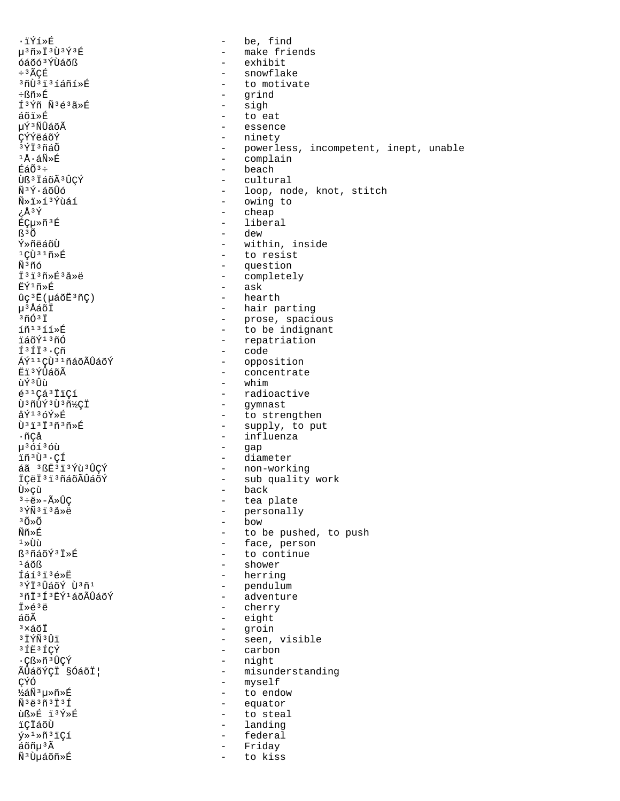.ïÝí»É µ3ñ»Ï3Ù3Ý3É óáõó<sup>3</sup>ÝÙáõß ÷<sup>3</sup>ÃÇÉ <sup>3</sup>ñÙ<sup>3</sup>i<sup>3</sup>íáñí»É ֧ñ»É Í<sup>3</sup>Ýñ Ñ<sup>3</sup>é<sup>3</sup>ã»É áõï»É uÝ3ÑÛáõÃ CÝÝëáõÝ  $3\overline{Y}$  $\overline{1}$  $3\overline{1}$  $\overline{2}$  $\overline{1}$  $1\text{\AA} \cdot \text{\AA} \widetilde{\text{N}} \times \text{\AA}$  $E\sin^3$ Ùß<sup>3</sup> ÏáõÃ<sup>3</sup>ÛÇÝ ѪÝ·áõÛó Ñ»ï»í3Ýùáí τÅ₹ Éǵ»ñ<sup>3</sup>É  $R^3$  $\tilde{O}$ Ý»ñëáõÙ  $1C\tilde{U}$ <sup>31</sup> $\tilde{n}$ <sup>\*</sup>E Ѫñó İ3i3ñ»É3å»ë πี่Υ์<sup>1</sup>ñ»É  $uc^3E( u\tilde{a}\tilde{o}\tilde{E}^3\tilde{n}C)$ u<sup>3</sup>ÅáõÏ  $3\tilde{\mathrm{m}}\tilde{\mathrm{O}}3\,\tilde{\mathrm{I}}$ íñ<sup>13</sup>íí»É ïáõÝ<sup>13</sup>ñÓ  $f<sup>3</sup>f<sup>1</sup>$   $\cdot$   $C<sub>n</sub>$ ÁÝ<sup>11</sup>ÇÙ<sup>31</sup>ñáõÃÛáõÝ Ëï3ÝÛáõÃ ùݪÛù  $631$ Çá $31$ icí Ù<sup>3</sup>ñÙÝ<sup>3</sup>Ù<sup>3</sup>ñ½CI  $\hat{A}\hat{Y}^1$   $\hat{O}\hat{Y}*\hat{E}$  $\tilde{U}$ <sup>3</sup> $\tilde{1}$ <sup>3 $\tilde{T}$ 3 $\tilde{n}$ 3 $\tilde{n}$  » $\tilde{E}$ </sup>  $\cdot$ ñCå µ36136ù ïñ<sup>3</sup>Ù<sup>3</sup>.CÍ áã 3 ßË 3 ï 3 Ý ù 3 Û Ç Ý İÇëİ<sup>3</sup>i<sup>3</sup>ñáõÃÛáõÝ Ù≫çù  $3 \div \ddot{\theta}$   $\gg -\widetilde{A} \gg \widehat{U} C$  $3\,\tilde{Y}\tilde{N}$  $3\,\tilde{1}$  $3\,\tilde{a}$  $\gg$ ë  $3000$ Ññ»É  $1 \times 1$ ß<sup>3</sup>ñáõÝ<sup>3</sup>Ï»É  $140B$ Íáí<sup>3</sup>i<sup>3</sup>é»Ė <sup>3</sup>ÝÏ<sup>3</sup>ÛáõÝ Ù<sup>3</sup>ñ<sup>1</sup> <sup>3</sup>ñİ<sup>3</sup>Í<sup>3</sup>EÝ<sup>1</sup>áõÃÛáõÝ İ»é3ë áõÃ  $3\times$ áõÏ **3 ÏÝÑ 3 Ûï** <sup>3</sup> IE<sup>3</sup> ICY .Cᯤ3ÛCÝ ÃÛáõÝÇĪ §ÓáõĪ| CÝÓ ½áÑ3u»ñ»É  $\tilde{N}$ <sup>3</sup> $\tilde{e}$ <sup>3 $\tilde{n}$ 3 $\tilde{1}$ 3 $\tilde{1}$ </sup> ùᯐ ï3Ý»É ïçïáõÙ ý»<sup>1</sup>»ñ<sup>3</sup>iÇí áõñµ<sup>3</sup>Ã  $\tilde{\rm N}^3\tilde{\rm U}$ µáõñ»É

be, find  $\sim$ - make friends - exhibit - snowflake - to motivate - grind - sigh - to eat - essence - ninety - powerless, incompetent, inept, unable - complain - beach - cultural - loop, node, knot, stitch - owing to - cheap liberal  $\overline{a}$ - dew - within, inside - to resist - question - completely - ask - hearth - hair parting - prose, spacious<br>- to be indignant - repatriation - code - opposition - concentrate - whim - radioactive - gymnast - to strengthen - supply, to put - influenza - gap - diameter - non-working<br>- sub quality work - back - tea plate - personally - bow - to be pushed, to push - face, person - to continue - shower - herring - pendulum<br>- adventure - cherry - eight - groin - seen, visible - carbon - night - misunderstanding - myself - to endow - equator - to steal - landing - federal Friday  $\sim$ to kiss  $\sim$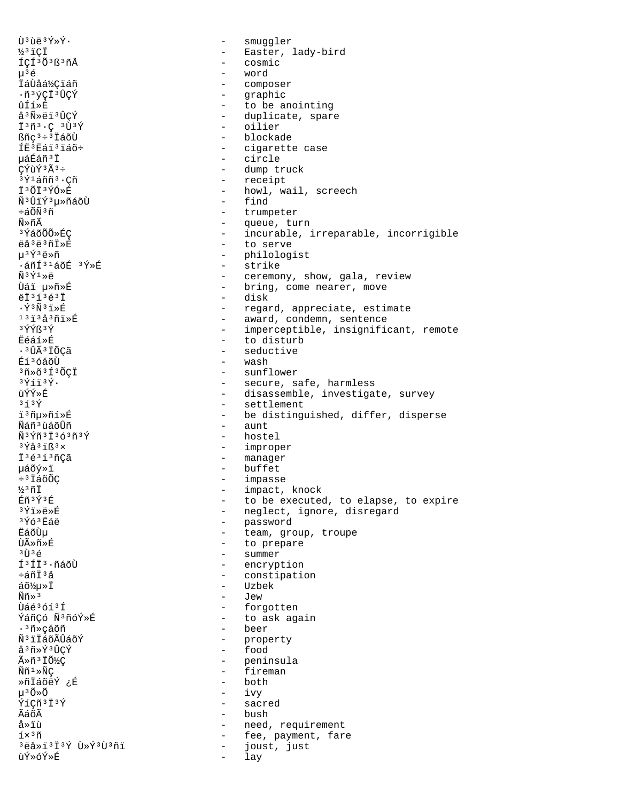$\tilde{U}$ <sup>3</sup> $\tilde{u}$ ë<sup>3</sup>Ý»Ý. smuqqler  $\equiv$ ½3iCİ - Easter, lady-bird - cosmic ÍÇÍ<sup>3</sup>Õ<sup>3</sup>ß<sup>3</sup>ñÅ  $\mu^3$ é word - composer İáÙåá½Çiáñ ·ñ3ýçī3ÛÇÝ - graphic - to be anointing ûÍí»É å<sup>3</sup>Ñ»ëï<sup>3</sup>ÛCÝ - duplicate, spare  $\overline{1}$ <sup>3</sup> $\tilde{n}$ <sup>3</sup> ·  $\overline{C}$ <sup>3</sup> $\overline{U}$ <sup>3</sup> $\overline{Y}$ - oilier  $\mathbb{S}\tilde{n}c^3 \div 3\tilde{1} \tilde{a} \tilde{o} \tilde{U}$ - blockade fr<sup>3</sup>Eái<sup>3</sup>iáõ÷ - cigarette case นล์Éิล์ที<sup>3</sup> T - circle  $C\tilde{Y}$ ù $\tilde{Y}$ <sup>3</sup> $\tilde{A}$ <sup>3</sup>÷ - dump truck - receipt  $3\acute{\gamma}$ 1 áññ $3\cdot$ Cñ - howl, wail, screech İ3ÕÏ3ÝÓ»É Ñ<sup>3</sup>ÛïÝ<sup>3</sup>µ»ñáõÙ  $-$  find - trumpeter ևõѪñ - queue, turn Ñ»ñÃ - incurable, irreparable, incorrigible <sup>3</sup>ÝáõÕÕ»ÉÇ ëå<sup>3</sup>ë<sup>3</sup>ñİ»É - to serve - philologist  $u^3 \check{Y}^3$ ë»ñ  $\cdot$ áñÍ $31$ áõÉ  $3\overline{Y}$ ȃ - strike  $\widetilde{N}$ 3 $\acute{Y}$ 1 $\gg$ Å - ceremony, show, gala, review ปิล์ï u»ñ»É - bring, come nearer, move - disk  $eI^3$ <sup>13</sup> $e^3I$  $\cdot$   $\tilde{Y}$ <sup>3</sup> $\tilde{N}$ <sup>3</sup> $\tilde{1}$   $\gg$   $\tilde{E}$ - regard, appreciate, estimate  $13132301$ - award, condemn, sentence - imperceptible, insignificant, remote **3ÝÝß3Ý** - to disturb **Eéáí**ȃ · 3 ÛÃ 3 ÏÕÇã - seductive Éí<sup>3</sup>óáõÙ - wash  $3\tilde{n}*\tilde{o}3\tilde{1}3\tilde{o}CI$ - sunflower - secure, safe, harmless  $3\overline{Y}$ íï $3\overline{Y}$ . - disassemble, investigate, survey ùÝÝ≫É - settlement  $353V$ i3ñu»ñí»É - be distinguished, differ, disperse  $-$  aunt พิล์กี<sup>3</sup> บิล์กีบิกี Ñ3Ýñ3Ï363ñ3Ý - hostel - improper  $3\overline{Y}$ å $3\overline{1}$ ß $3\times$ - manager İ<sup>3</sup>é3í3ñÇã - buffet µáõý»ï  $\div$ <sup>3</sup> IáõÕÇ - impasse ½3ñÏ - impact, knock - to be executed, to elapse, to expire Éñ3Ý3É - neglect, ignore, disregard  $3\overline{Y}$ iȑ» $\overline{E}$ - password 3Ýó3Ëáë - team, group, troupe ËáõÙu - to prepare นิธิ»กั»ที่  $3$  TT  $3$   $\leq$ - summer Í<sup>3</sup>ÍI<sup>3</sup>·ñáõÙ - encryption - constipation ևñݪå - Uzbek  $a\delta\$ u\*\ddot{I}  $\widetilde{\rm N}\widetilde{\rm n}$ »  $^3$  $\sim$   $-$ Jew Ùáé3óí3Í - forgotten - to ask again ÝáñÇó Ñ3ñóÝ»É - beer .<sup>3</sup>ñ»çáõñ Ñ<sup>3</sup>iÏáõÃÛáõÝ - property - food å<sup>3</sup>ñ»Ý<sup>3</sup>ÛÇÝ - peninsula ûñ<sup>3</sup> ÏÕ½Ç  $\widetilde{\rm N}\widetilde{\rm n}$ <sup>1</sup> $\gg\widetilde{\rm N}{\rm C}$ - fireman  $-$  both ȖÏáõëÝ ¿É  $\mu^3 \tilde{O} \times \tilde{O}$  $-$  ivy ÝíCñ<sup>3</sup>Ï<sup>3</sup>Ý - sacred  $-$  bush ÃáõÃ - need, requirement å»ïù - fee, payment, fare  $1\times$ <sup>3</sup> $\tilde{n}$ <sup>3</sup>ëå»ï<sup>3</sup>Ï<sup>3</sup>Ý Ù»Ý<sup>3</sup>Ù<sup>3</sup>ñï  $\sim$   $$ joust, just ùÝ≫óÝ≫É  $\overline{a}$ lay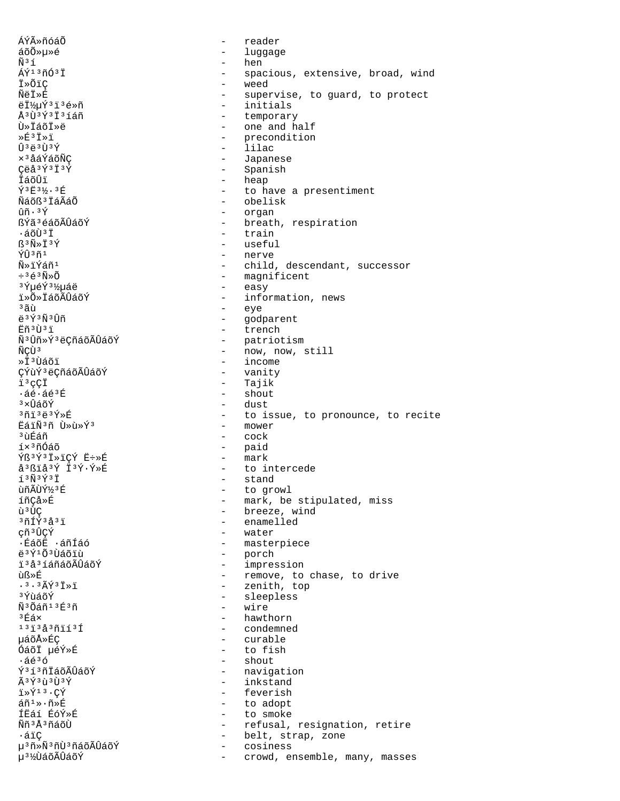ÁÝûñóáÕ reader  $\overline{a}$ áõÕ»µ»é  $\overline{a}$ luggage Ñ3í hen  $\equiv$ ÁÝ<sup>13</sup>ñÓ<sup>3</sup>Ï spacious, extensive, broad, wind İ»ÕiÇ weed ÑëÏ»É supervise, to guard, to protect  $\sim$ ëϽµÝ3ï3é»ñ - initials Å<sup>3</sup>Ù<sup>3</sup>Ý3Ï3íáñ - temporary - one and half Ù»ÏáõÏ»ë - precondition  $\sqrt{F}$ <sup>3</sup> T $\sqrt{7}$  $\hat{U}$ 3  $\hat{A}$ 3 $\hat{U}$ 3 $\hat{V}$ - lilac - Japanese  $\times$ <sup>3</sup> åáÝáõÑC Ceå<sup>3</sup>Ý<sup>3</sup>Ï<sup>3</sup>Ý - Spanish - heap İáõÛi Ý3E31/2.3E - to have a presentiment Ñáõß<sup>3</sup> ÏáÃáÕ - obelisk  $\hat{u}\tilde{n} \cdot 3\hat{Y}$  $\sim$ organ ßÝã3éáõÃÛáõÝ - breath, respiration ∙áõÙªÏ - train  $\mathbb{S}^3 \widetilde{\mathbb{N}} \times \mathbb{T}^3 \widetilde{\mathbb{Y}}$ - useful - nerve ÝÛ 3ñ 1 ѻiÝáñ<sup>1</sup> - child, descendant, successor - magnificent  $-363$ Ñ»Õ - easy <sup>3</sup>ÝuéÝ3¼uáë ï»Õ»ÏáõÃÛáõÝ - information, news - eye  $3\tilde{a}$ ù ë<sup>3</sup>Ý3Ñ3Ûñ - godparent - trench Ëñ 3 Ù 3 ï - patriotism<br>- now, now, still Ñ<sup>3</sup>Ûñ»Ý<sup>3</sup>ëÇñáõÃÛáõÝ ÑCÙ<sup>3</sup> - income »İ<sup>3</sup>Ùáõï ÇÝùÝ<sup>3</sup>ëÇñáõÃÛáõÝ - vanity - Tajik ï3çÇÏ - shout  $\cdot$ áé $\cdot$ áé $^3$ É - dust <sup>3</sup>xนิล์กัห์  $371323$  $9$ - to issue, to pronounce, to recite ËáïÑ3ñ Ù»ù»Ý3 - mower <sup>3</sup> ùÉáñ - cock íתñÓáõ - paid  $-$  mark Ýß3Ý3Ï»ïÇÝ Ë÷»É - to intercede å<sup>3</sup>ßïå<sup>3</sup>Ý Ï<sup>3</sup>Ý·Ý»É - stand  $13\tilde{N}$  $3\tilde{Y}$  $3\tilde{T}$ ùñÃÙݽ3É - to growl - mark, be stipulated, miss íñCå»É ù<sup>3</sup>ÙC - breeze, wind - enamelled <sup>3</sup>ñÍÝ3å3ï çñ<sup>3</sup>ÛÇÝ - water - masterpiece ∙ÉáõË ∙áñÍáó  $537103$ - porch - impression i 3å 3 í áñáõÃÛáõÝ - remove, to chase, to drive ùß≫É  $.3.3$  $\tilde{A}$  $\tilde{Y}$  $3$  $\tilde{I}$  $\gg$  $\tilde{I}$ - zenith, top - sleepless <sup>3</sup>ÝùáõÝ Ñ<sup>3</sup>Õáñ<sup>13</sup>É3ñ  $\sim$ wire 3Éá× hawthorn  $\sim$  $131343911131$ - condemned µáõÅ≫ÉÇ - curable ÓáõÏ µéÝ»É - to fish - shout  $\cdot$ áé $^3$ ó ݪíªñİáõÃÛáõÝ - navigation - inkstand  $\tilde{A}$  3  $\tilde{Y}$  3  $\tilde{U}$  3  $\tilde{Y}$  $\overline{1} \times \overline{Y}$ <sup>13</sup>.CY - feverish  $\tilde{a}$ ñ $\frac{1}{2}$ » $\cdot$ ñ» $\tilde{E}$ - to adopt ÍËáí ÉóÝ»É - to smoke Ññ<sup>3</sup>Å3ñáõÙ - refusal, resignation, retire belt, strap, zone ∙áïÇ  $\sim$ µ<sup>3</sup>ñ»Ñ<sup>3</sup>ñÙ<sup>3</sup>ñáõÃÛáõÝ cosiness  $\overline{a}$ µ<sup>31</sup>⁄2UdoÃUdoÝ  $\sim$ crowd, ensemble, many, masses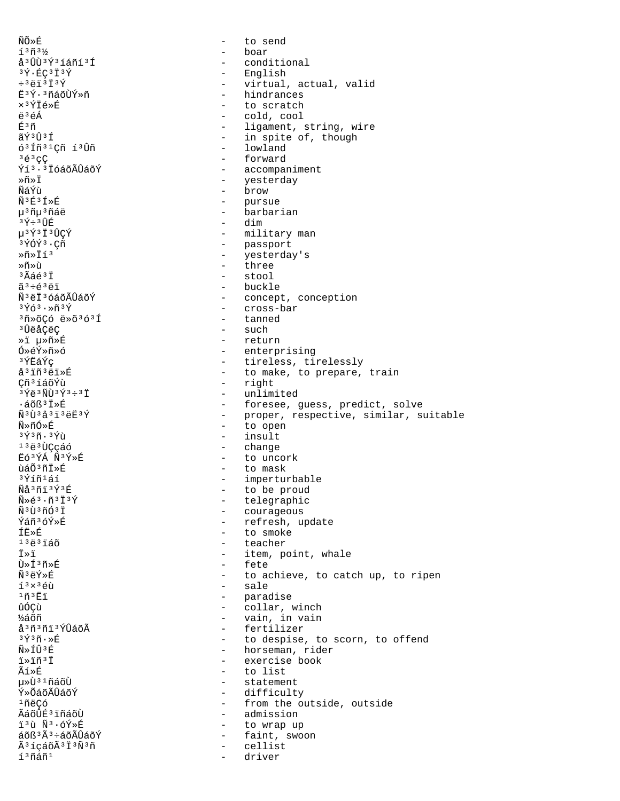ÑÕ»É to send  $\sim$  $13n3/$ - boar å<sup>3</sup>ÛÙ<sup>3</sup>Ý<sup>3</sup>íáñí<sup>3</sup>Í  $\frac{1}{2}$ conditional - English  $3\bar{Y}$   $\cdot$  EC  $3\bar{1}$   $3\bar{Y}$  $\div$ <sup>3</sup> $\ddot{e}$ i<sup>3</sup> $\ddot{I}$ <sup>3</sup> $\acute{Y}$ - virtual, actual, valid - hindrances Ë3Ý·3ñáõÙÝ»ñ ×<sup>3</sup>ÝÏé»É - to scratch ë<sup>3</sup>éÁ - cold, cool - ligament, string, wire <u> ជិះ ក</u> - in spite of, though ãݪÛªÍ - lowland 6<sup>3</sup> Iñ<sup>31</sup>Cñ í<sup>3</sup>Ùñ  $363C$ - forward Ýí<sup>3.3</sup> IóáõÃÛáõÝ - accompaniment - yesterday ≫ñ»Ï - brow ÑáÝù  $\tilde{N}$ <sup>3</sup> $E$ <sup>3</sup> $\tilde{I}$  » $E$ - pursue - barbarian µ<sup>3</sup>ñµ<sup>3</sup>ñáë  $3\acute{Y}$   $\div$   $3\acute{U}$  $\acute{E}$  $-$  dim µ3Ý3Ï3ÛCÝ - military man - passport  $3\overline{Y}$ ÓÝ $3$ ·Cñ  $*\tilde{n}*\tilde{r}$ - yesterday's - three ≫ñ»ù - stool  $3\tilde{A}$ áé $3\tilde{I}$  $33 + 634$  $-$  buckle ѪëϪóáõÃÛáõÝ - concept, conception - cross-bar  $3\bar{Y}63 \cdot \pi 3\bar{Y}$ 3ñ»õÇó ë»õ3ó3Í - tanned - such <sup>3</sup>󑌂ëÇ - return »i µ»ñ»É Ó»éÝ»ñ»ó - enterprising - tireless, tirelessly <sup>3</sup>ÝËáÝç å<sup>3</sup> iñ<sup>3</sup>ëi»É - to make, to prepare, train - right Çñ<sup>3</sup>íáõÝù  $3\overline{Y}$ ë $3\overline{N}$ U $3\overline{Y}$  $3\div 3\overline{1}$ - unlimited - foresee, guess, predict, solve  $\cdot$ áõß $3\overline{1}\times\overline{E}$  $\tilde{N}$ 31323534 - proper, respective, similar, suitable - to open พื≫กั∩์»É - insult  $3\overline{Y}$  $3\overline{n}$ .  $3\overline{Y}$ u 13ë3ÙCcáó - change ËÓ3ÝÁ Ñ3Ý»É - to uncork - to mask ùáÕ<sup>3</sup>ñÏ»É <sup>3</sup>Ýíñ<sup>1</sup>áí - imperturbable Ñå3ñï3Ý3É - to be proud  $\widetilde{N} \geq \widetilde{e}^3 \cdot \widetilde{n}^3 \widetilde{1}^3 \widetilde{Y}$ - telegraphic Ñ<sup>3</sup>Ù3ñÓ3Ï - courageous - refresh, update Ýáñ3óÝ»É - to smoke ŤË≫É  $1383160$ - teacher ⊤⊤⊤ - item, point, whale - fete ٻͪñ»É ѪëÝ»É - to achieve, to catch up, to ripen - sale  $1<sup>3</sup> \times 3$  éù  $1\tilde{n}$  $1\tilde{E}$ - paradise ûóçù  $\omega_{\rm{max}}$ collar, winch ½áõñ - vain, in vain å<sup>3</sup>ñ<sup>3</sup>ñi<sup>3</sup>ÝÛáõÃ - fertilizer  $3\overline{Y}$  $3\overline{n}\cdot\mathbb{R}$ - to despise, to scorn, to offend - horseman, rider Ñ»ÍÛ3É - exercise book ï»ïñ<sup>3</sup>Ï Ãí≫É - to list น»บ้<sup>31</sup>ก็ล์ก็บ้ - statement - difficulty Ý»ÕáõÃÛáõÝ  $1ñ$ ëCó - from the outside, outside ÃáõÛÉ<sup>3</sup> ïñáõÙ - admission i3ù Ñ3.óÝ»É  $\sim$ to wrap up - faint, swoon áõß<sup>3</sup>Ã<sup>3</sup>÷áõÃÛáõÝ Ã<sup>3</sup>íçáõÃ<sup>3</sup>Ï<sup>3</sup>Ñ<sup>3</sup>ñ  $\sim$ cellist í<sup>3</sup>ñáñ<sup>1</sup> driver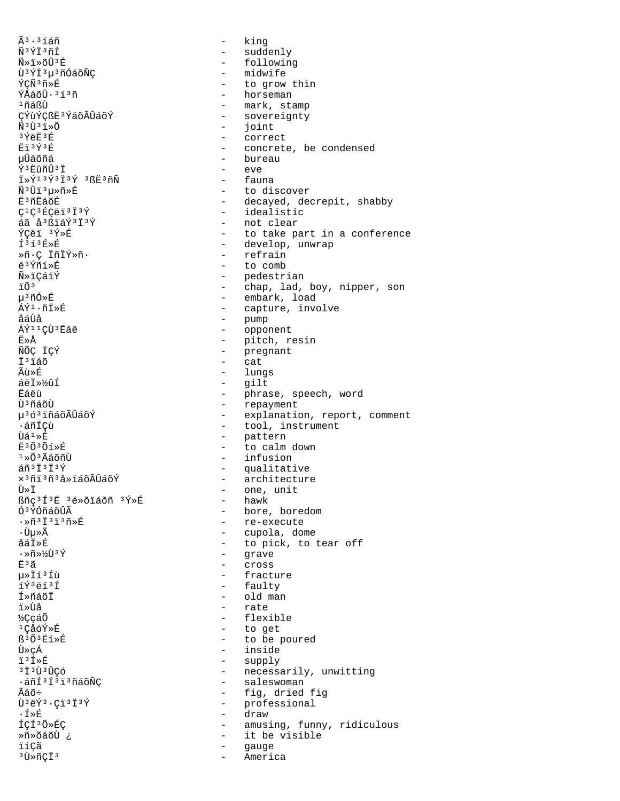$\tilde{A}^3 \cdot 3$ íáñ Ñ3ÝÏ3ñÍ Ñ»ï»õÛ3É Ù<sup>3</sup>ÝÏ<sup>3</sup>µ<sup>3</sup>ñÓáõÑÇ ÝÇÑ3ñ»É ÝÅáõÛ·3í3ñ  $1ñáBÙ$ CÝùÝCßË<sup>3</sup>ÝáõÃÛáõÝ  $\tilde{N}$ <sup>3 $\tilde{U}$ <sup>3</sup> $\tilde{1}$   $\gg$   $\tilde{O}$ </sup> 3ÝëF3É **Ēï3Ý3É** นปิล์õñล์  $\hat{Y}$ <sup>3</sup> $E$ ûñÛ<sup>3</sup>Ï  $\ddot{\mathbf{I}} \times \acute{\mathbf{Y}}$ 13 $\acute{\mathbf{Y}}$ 3 $\ddot{\mathbf{I}}$ 3 $\acute{\mathbf{Y}}$ 3 $\ddot{\mathbf{S}}$  $\ddot{\mathbf{E}}$ 3 $\tilde{\mathbf{n}}$ Ñ  $\tilde{\rm N}^3\hat{\rm U}\tilde{\rm 1}^3\mu{\rm \ast}\tilde{\rm n}{\rm \ast}\hat{\rm E}$ Ë<sup>3</sup>ñËáõÉ  $C^1C^3$ ÉCëï<sup>3</sup>Ï<sup>3</sup>Ý áã å<sup>3</sup>ßïáÝ<sup>3</sup>Ï<sup>3</sup>Ý ÝCëï 3Ý»É  $I<sup>3</sup>I<sup>3</sup>E<sub>»</sub>E$ Ȗ C ÏñÏÝ»ñ · ë<sup>3</sup>Ýñí»É **Ñ**ȕÇáïÝ  $\ddot{1}$   $\ddot{0}$   $\ddot{3}$ µ<sup>3</sup>ñÓ»É ÁÝ<sup>1</sup>·ñĪ»É åáÙå ÁÝ<sup>11</sup>ÇÙ<sup>3</sup>Ëáë Ë≫Å ÑÕÇ ÏÇÝ İ<sup>3</sup>iáõ  $\tilde{A}$ ù » $\tilde{E}$ áëÏ»%ûÍ Ëáëù Ù<sup>3</sup>ñáõÙ u<sup>363</sup>iñáõÃÛáõÝ ∙áñÍCù  $\tilde{U}$ á $1 \times \tilde{E}$ Ë3Õ3Õí»É  $1*0*3$ ÃáõñÙ  $ar\tilde{a} \tilde{n}$   $ar\tilde{b}$ x<sup>3</sup>ñi<sup>3</sup>ñ<sup>3</sup>å»iáõÃÛáõÝ Ù≫Ï ßñç<sup>3</sup>Í<sup>3</sup>Ë 3é»õiáõñ 3Ý»É Ó<sup>3</sup>ÝÓñáõÛÃ  $\cdot \times 537373586$ ∙Ùu»Ã åáÏ»É  $\cdot \times \tilde{n} \times \sqrt[k]{\pi} \times \tilde{Y}$ Ë<sup>3</sup>ã u»Ïí3Íù íÝ3ëí3Í Í»ñáõÏ ï»Ùå ½ççáõ 1CåóÝ»É **ß**<sup>3</sup>Õ<sup>3</sup>E1»É Ù»çÁ ï<sup>3</sup>Í»É зїзр̀зр̂Со́ ·áñͪϪïªñáõÑC Ãáõ÷  $\hat{U}$ <sup>3</sup> $\hat{e}$  $\hat{Y}$ <sup>3</sup> $\cdot$ C $\hat{I}$ <sup>3</sup> $\hat{I}$ <sup>3</sup> $\hat{Y}$ ∙Í≫É ící<sup>3</sup>Õ»ÉC Ȗ»õáõÙ ¿ ïíçã <sup>3</sup>Ū»ñÇÏ<sup>3</sup>

king  $\equiv$  $\equiv$ suddenly - following - midwife - to grow thin - horseman - mark, stamp - sovereignty - joint - correct - concrete, be condensed - bureau - eve - fauna - to discover - decayed, decrepit, shabby - idealistic - not clear - to take part in a conference - develop, unwrap - refrain - to comb - pedestrian - chap, lad, boy, nipper, son - embark, load - capture, involve - pump<br>- opponent - pitch, resin - pregnant  $\omega_{\rm{eff}}$ cat - lungs - gilt - phrase, speech, word - repayment - explanation, report, comment - tool, instrument - pattern - to calm down - infusion - qualitative - architecture - one, unit - hawk - bore, boredom - re-execute - cupola, dome - to pick, to tear off - qrave - cross - fracture - faulty - old man - rate - flexible - to get - to be poured - inside - supply - necessarily, unwitting - saleswoman - fig, dried fig - professional - draw - amusing, funny, ridiculous - it be visible gauge America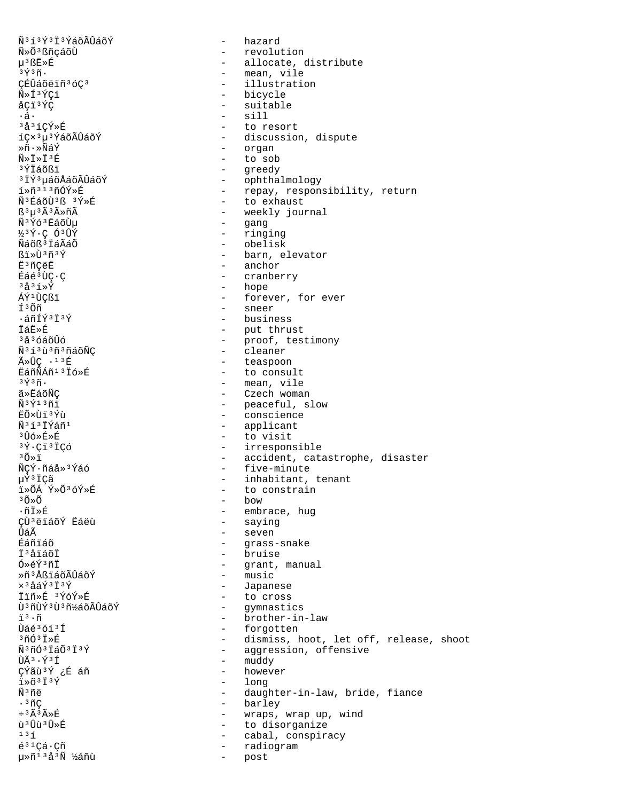ѳí³Ý³Ï³ÝáõÃÛáõÝ - hazard Ñ»Õ<sup>3</sup>ßñçáõÙ - revolution - revolution<br>µ<sup>3</sup>ßË»É - revolution - revolution δν φορά του Στριτού (1991)<br>
δεν φορά του διάφθρου της διαφορείας της διαφορείας της διαφορείας στο διαφορείο (1991)<br>
δεν φορά του διαφορείο (1992)<br>
δεν φορά του διαφορείο (1993) åÇï<sup>3</sup>ÝÇ - suitable - suitable - suitable - suitable - suitable - suitable - suitable - suitable - suitable - suitable - suitable - suitable - suitable - suitable - suitable - suitable - suitable - suitable - suitable - su  $\cdot$ á·  $\frac{1}{3}$ <sup>3</sup> $\frac{3}{4}$ <sup>3</sup> $\frac{7}{5}$   $\frac{8}{10}$   $\frac{1}{10}$   $\frac{1}{10}$   $\frac{1}{10}$   $\frac{1}{10}$   $\frac{1}{10}$   $\frac{1}{10}$   $\frac{1}{10}$   $\frac{1}{10}$   $\frac{1}{10}$   $\frac{1}{10}$   $\frac{1}{10}$   $\frac{1}{10}$   $\frac{1}{10}$   $\frac{1}{10}$   $\frac{1}{10}$   $\frac{$ <sup>3</sup>å<sup>3</sup>íÇÝ»É - to resort<br>íC×<sup>3</sup>µ<sup>3</sup>ÝáõÃÛáõÝ - - discussion Ȗ•»ÑáÝ - organ<br>Ñ»Ť»ŤªÉ - organ - organ - organ ѻϻÏ<sup>3</sup>É - to sob<br>ªÝÏáõßï - areedy <sup>3</sup>ÝÏáõßï - greedy<br><sup>3</sup>ÏÝ<sup>3</sup>uáõÅáõÃÛáõÝ - - ophtha  $\tilde{N}$ <sup>3</sup>Ýó<sup>3</sup>ËáõÙµ - gang<br>1⁄<sub>2</sub>3Ý⋅Ç Ó<sup>3</sup>ÛÝ - ring: ½<sup>3</sup>Ý·Ç Ó<sup>3</sup>ÛÝ - ringing - ringing<br>Ñáõß<sup>3</sup>ÏáÃáÕ - ringing - obelisk Ñáõß³ÏáÃáÕ - obelisk ˳ñÇëË - anchor  $E\ddot{a}e^{3}\dot{U}\dot{C}\cdot\dot{C}$  - cranberry<br> $\dot{a}^{3}\dot{A}^{3}S\cdot\dot{Y}$  - hope <sup>3</sup>å<sup>3</sup>í»Ý - hope - hope - hope - hope - hope - hope - hope - hope - hope - hope - hope - hope - hope - hope - hope - hope - hope - hope - hope - hope - hope - hope - hope - hope - hope - hope - hope - hope - hope - hope -Τ<sup>3</sup>Õñ - sneer<br>-áñÍÝ<sup>3</sup>Ï<sup>3</sup>Ý - sneer - busine iandrija - business - business - business - business - business - business - business - business -ÏáË»É - put thrust  $\widetilde{N}$ <sup>3</sup>íªãºñªñáõÑÇ - cleaner  $\tilde{A} \times \hat{U} \mathcal{C}$  · <sup>13</sup>É  $\tilde{E}$  - teaspoon  $\tilde{E}$ áñÑÁñ<sup>13</sup> i o consul ËáñÑÁñ<sup>13</sup>Ïó»É - to consult<br>3Ý3ñ. - mean.vile <sup>∍</sup>ݪñ· - mean, vile<br>ã≫ËáõÑC - - mean, vile ËÕ×ÙÏ<sup>∍</sup>Ýù<br>พี<sup>3</sup>วั<sup>ร</sup>์กับ - conscience ѳí³ÏÝáñ¹ - applicant <sup>3</sup>Ûó»É»É - to visit<br><sup>3</sup>Ý·Cï<sup>3</sup>ÏCó - to visit  $3\tilde{O}\times\tilde{O}$  - bow<br>  $-\tilde{B}$  - bow - bow - bow - embr ÇÙªëïáõÝ Ëáëù<br>ÛáÃ Ûáà - seven ϳåïáõÏ - bruise ȖªÅßïáõÃÛáõÝ ׳åáÝ³Ï³Ý - Japanese ÏÏñ»É <sup>3</sup>ÝóÝ»É<br>Ù<sup>3</sup>ñÙÝ<sup>3</sup>Ù<sup>3</sup>ñ½áõÃÛáõÝ - - eymnasti Ù³ñÙݳٳñ½áõÃÛáõÝ - gymnastics Ùáé<sup>3</sup>óí<sup>3</sup>Í - forgotten<br><sup>3</sup>ñÓ<sup>3Ï</sup>»É - dismiss, l ÇÝãù<sup>3</sup>Ý ¿É áñ<br>ï»õ<sup>3ï3Ý</sup>  $\tilde{\mathbf{u}} \approx 5^3 \tilde{\mathbf{I}}^3 \tilde{\mathbf{Y}}$  - long<br>  $\tilde{\mathbf{w}}$ <sup>3</sup>ñ<sup>3</sup>ñ<sup>2</sup> - daug ·<sup>3</sup>ñÇ - barley<br>÷<sup>3</sup>êûÉ - wraps. 毤<sup>13</sup>å<sup>3</sup>Ñ ½áñù - post

p<sup>3</sup>ßË»É - allocate, distribute<br><sup>3</sup>Ý<sup>3</sup>ñ· - - - - - - - - - mean, vile ³Ý³ñ· - mean, vile ÇÉÛáõëïñ<sup>3</sup>óÇ<sup>3</sup> - illustration<br>Ñ»Í<sup>3</sup>ÝÇí - - - - - bicycle íÇ×<sup>3</sup>µ<sup>3</sup>ÝáõÃÛáõÝ - discussion, dispute<br>»ñ•»ÑáÝ - crgan <sup>3</sup>ÏÝ<sup>3</sup>µáõÅáõÃÛáõÝ - ophthalmology<br>í»ñ<sup>313</sup>ñÓÝ»É - - - - repay, respon í»ñ<sup>313</sup>ñÓÝ»É - repay, responsibility, return<br>Ñ<sup>3É</sup>áõÙ<sup>3</sup>ß 3Ý»É - - - to exhaust  $\tilde{N}$ <sup>3</sup>ÉáõÙ<sup>3</sup>ß <sup>3</sup>Ý»É - to exhaust<br>B<sup>3</sup>µ<sup>3</sup>Ã<sup>3</sup>ûñÃ ß<sup>3</sup>µ<sup>3</sup>êÃ∗ñÃ<br>ѪÝóªËáõÙµ - weekly journal ßï»Ù<sup>3</sup>ñ<sup>3</sup>Ý - barn, elevator<br>Ë<sup>3</sup>ñCëË - → → → anchor ÁÝ<sup>1</sup>ÙÇßï - forever, for ever<br>
f<sup>3</sup>Õñ - sneer <sup>3</sup>å<sup>3</sup>óáõÛó - proof, testimony ã»ËáõÑÇ - Czech woman  $\tilde{N}$ <sup>3</sup> $\tilde{Y}$ <sup>1</sup> 3 $\tilde{n}$  in the peaceful, slow  $\tilde{E}$  - peaceful, slow  $\tilde{E}$ <sup>3</sup>Ý·Çï<sup>3</sup>ÏÇó - irresponsible<br><sup>3</sup>Õ»ï - accident, cata <sup>3</sup>Õ»ï - accident, catastrophe, disaster<br>ÑÇÝ·ñáå»<sup>3</sup>Ýáó - - five-minute  $\tilde{N}\tilde{\varphi}\tilde{Y}$ <sup>3</sup> <sup>1</sup> five-minute  $\mu\tilde{Y}$ <sup>3</sup>  $\tilde{T}\tilde{C}\tilde{A}$  and  $\tilde{Y}$  five-minute µÝªÏÇã - inhabitant, tenant<br>ï»ÕÁ ݻժóÝ»É - inhabitant, tenant ï»ÕÁ Ý»Õ<sup>3</sup>óÝ»É - to constrain<br>3Õ»Õ - to constrain - embrace, hug<br>- saying Éáñiáõ - grass-snake<br>Ëlastistic - grass-snake - grant, manual<br>- music ve a served a served a served a served a served a served a served a served a served as served as served as  $\tilde{u}$  - brother-in-law  $\tilde{u}$  - forgotten  $3\tilde{\text{n}}(3^3\tilde{\text{i}})\tilde{\text{s}}$ É - dismiss, hoot, let off, release, shoot<br> $\tilde{\text{n}}$ <sup>3</sup>ñÓ<sup>3</sup>ÏaÕ<sup>3</sup>Ï3Ý - aggression, offensive Ñ<sup>3</sup>ñÓ<sup>3</sup>ÏáÕ<sup>3</sup>Ï<sup>3</sup>Ý - aggression, offensive<br>ÙÃ<sup>3</sup>·Ý<sup>3</sup>Í - muddy - muddy<br>- however Ñ<sup>3</sup>ñë - daughter-in-law, bride, fiance<br>→ harlev - harlev ÷<sup>3</sup>Ã<sup>3</sup>ûÉ - wraps, wrap up, wind<br>ù<sup>3</sup>Ûù<sup>3</sup>Û̀»É - - - - - - - - - to disorganize ù<sup>3</sup>Ûù<sup>3</sup>Û»É - to disorganize<br>
131 - cabal, conspira <sup>13</sup>í - cabal, conspiracy<br>é<sup>31</sup>Çá·Çñ - cabal, conspiracy - radiogram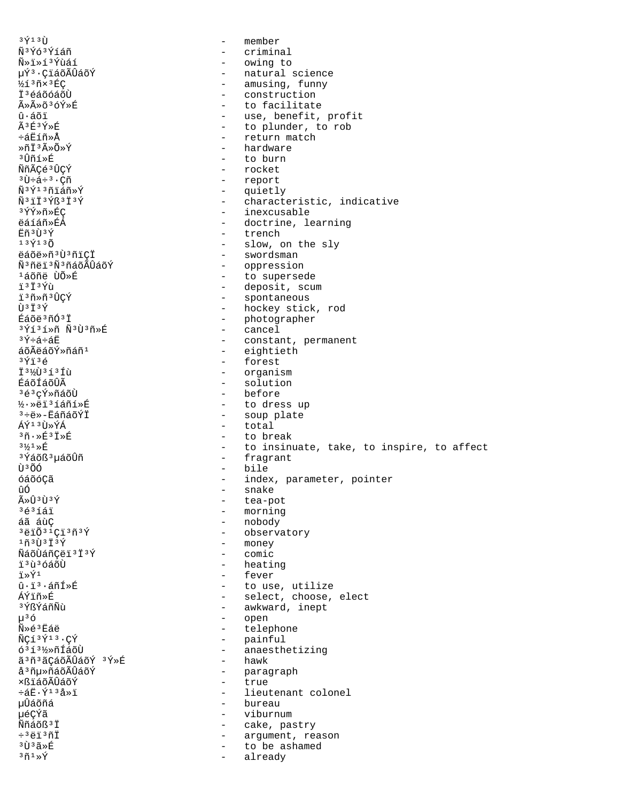aýıa<del>ù</del> - member<br>Ñ<sup>aý</sup>óªÝíáñ - member - crimin ѳÝó³Ýíáñ - criminal Ñ»ï»í³Ýùáí - owing to µÝ³·ÇïáõÃÛáõÝ - natural science ½í³ñ׳ÉÇ - amusing, funny Ϊ<sup>3</sup>éáõóáõÙ - construction<br>ûûõ<sup>3</sup>óÝ»É - construction - construction ûûõ<sup>3</sup>óÝ»É - to facilitate<br>û∙áõï - use, benefit, û·áõï - use, benefit, profit<br>Ã<sup>3</sup>É3Ý»É - lo plunder, to rob êɪÝ»É - to plunder, to rob<br>÷áËíñ»Å - to plunder, to rob և蒖ȁ - return match ȖϪûÕ»Ý - hardware - hardware - hardware<br>ªûñí»É - to burn <sup>3</sup>Ûñí»É - to burn<br>ÑñÃCé<sup>3</sup>ÛCÝ - to burn - to burn ÑñÃÇé<sup>3</sup>ÛÇÝ - rocket<br><sup>3</sup>Ù÷á÷<sup>3</sup>∙Cñ - report <sup>3</sup>Ù÷á÷<sup>3</sup>·Çñ - report - report<br>Ñ<sup>3</sup>Ý<sup>13</sup>ñiáñ»Ý - auietl Ñ<sup>3</sup>Ý<sup>13</sup>ñiáñ»Ý - quietly - quietly<br>Ñ<sup>3</sup>ïÏ<sup>3</sup>Ýß<sup>3</sup>Ï<sup>3</sup>Ý Ñ<sup>3</sup>ïÏ<sup>3</sup>Ýß<sup>3</sup>Ï<sup>3</sup>Ý - characteristic, indicative<br><sup>3</sup>ÝÝ»ñ»ÉC - characteristic, indicative <sup>3</sup>ÝÝ»ñ»ÉÇ - inexcusable - inexcusable<br>ëáíáñ»ÉÁ - inexcusable - doctrine, le ëáíáñ»ÉÁ - doctrine, learning<br>ËñªÙªÝ - doctrine, learning  $\frac{1}{2}$  $\frac{1}{2}$  $\frac{3}{2}$   $\frac{1}{2}$  $\frac{3}{2}$   $\frac{1}{2}$   $\frac{3}{2}$   $\frac{1}{2}$   $\frac{1}{2}$   $\frac{1}{2}$   $\frac{1}{2}$   $\frac{1}{2}$   $\frac{1}{2}$   $\frac{1}{2}$   $\frac{1}{2}$   $\frac{1}{2}$   $\frac{1}{2}$   $\frac{1}{2}$   $\frac{1}{2}$   $\frac{1}{2}$   $\frac{1}{2}$   $\frac{1}{2}$   $\frac{$  $13\acute{Y}13\acute{0}$ <br> $\ddot{\theta}a\ddot{\theta}e\ddot{\theta}a\ddot{\theta}3\ddot{\theta}3\ddot{\theta}1\ddot{\theta}$  - slow, on the sly ëáõë»ñªÙªñïÇÏ<br>ѪñëïªÑªñáõÃÛáõÝ - swordsman - swordsman ѪñëïªÑªñáõÃÛáõÝ - oppression<br>1áõñë ÙÕ»É <sup>1</sup>áõñë ÙÕ»É - to supersede<br>jijivî ï<sup>3</sup>Ï<sup>3</sup>Ýù - deposit, scum<br>ï<sup>3</sup>ñ»ñ<sup>3</sup>ÛCÝ - spontaneous ï<sup>3</sup>ñ»ñ<sup>3</sup>ÛÇÝ - spontaneous<br>tradistribution - spontaneous<br>- hockey sticle Ù<sup>3</sup>Ï<sup>3</sup>Ý - hockey stick, rod<br>Éáõë<sup>3</sup>ñÓ<sup>3</sup>Ï - hotographer - photographer<br>- cancel <sup>з</sup>Ýíªí»ñ Ѫῢªñ»É<br>ªÝ÷á÷áЁ <sup>3</sup>Ý÷á÷áË - constant, permanent<br>áõÃëáõÝ»ñáñ<sup>1</sup> - constant, permanent áõÃëáõÝ»ñáñ<sup>1</sup> - eightieth<br><sup>3</sup>Ýï<sup>3</sup>é - forest <sup>3</sup>Ýï<sup>3</sup>é - forest<br>ï<sup>3½</sup>Ù<sup>3</sup>íªíù - rorgani; Ϊ<sup>3</sup>½Ù<sup>3</sup>íªÍù - organism - organism<br>ÉáõÍáõÛà - solution ÉáõÍáõÛà - solution<br><sup>3</sup>é<sup>3</sup>cÝ»ñáõÙ - - - - - - - - - - before <sup>3</sup>é<sup>3</sup>çÝ»ñáõÙ - before<br>½•»ëi<sup>3</sup>íáñí»É - to dre: ½·»ëï³íáñí»É - to dress up <sup>3</sup>֑»-ËáñáõÝÏ - soup plate<br>áý≀ in»ýá - soup plate ÁÝ<sup>13</sup>Ù»ÝÁ - total<br><sup>3</sup>ñ∙»É<sup>3Ï»É - to bre</sup>  $35\cdot\sqrt{2}$  $35\cdot\sqrt{2}$ <br> $35\cdot\sqrt{2}$  - to break<br> $3\cdot\sqrt{2}$  - to insin  $3\frac{1}{2}$  $3\frac{1}{2}$  $\frac{1}{2}$  $\frac{1}{2}$  $\frac{1}{2}$  to insinuate, take, to inspire, to affect  $3\frac{1}{2}$  and  $\frac{1}{2}$  fragrant <sup>3</sup>Ýáõß<sup>3</sup>µáõÛñ - fragrant<br>Ù<sup>3</sup>ÕÓ - bile ÙºÕÓ - bile<br>ÓáõóCã - bile - bile - bile óáõóÇã - index, parameter, pointer ûÓ - snake<br>ûûªÙªÝ - snake - snake ûÛ<sup>3</sup>Ù<sup>3</sup>Ý - tea-pot<br>}é<sup>3</sup>íáï - tea-pot <sup>3</sup>é<sup>3</sup>íáï - morning - morning<br>áã áùC - mobody - nobody áã áùÇ - nobody  $3\overline{e}i\overline{0}3^1\overline{y}i\overline{3}y$ <br> $1\overline{f}3\overline{f}3\overline{y}$  - observatory<br> $1\overline{f}3\overline{f}3\overline{y}$  - money - money<br>- comic ÑáõÙáñÇëï<sup>3Ï3Ý</sup><br>ï<sup>3</sup>ùªóáõÙ ïªùªóáõÙ - heating<br>ï»Ý<sup>1</sup> - fever ï»Ý<sup>1</sup> - fever<br>û·ïª·áñÍ»É - touse û·ï<sup>3</sup>·áñÍ»É - to use, utilize<br>ÁÝiñ»É - select, choose, ÁÝïñ»É - select, choose, elect <sup>3</sup>ÝßÝáñÑù - awkward, inept<br>µ<sup>3</sup>Ó - open µ³ó - open Ñ»é<sup>3</sup>Ëáë - telephone - telephone<br>ÑCí<sup>3Ý13</sup>·CÝ - - - - painful  $\tilde{N}$ Çí $\tilde{Y}$ <sup>13</sup>·ÇÝ - painful<br>  $\tilde{O}$ <sup>3</sup>í<sup>3</sup>½»ñÍáõÙ - anaesth - anaesthetizing<br>- hawk ãªñªãÇáõÃÛáõÝ ªÝ»É<br>åªñu»ñáõÃÛáõÝ – paragraph<br>– true ×ßïáõÃÛáõÝ<br>÷á˷ݪªå»ï ևË•Ý<sup>13</sup>å»ï - lieutenant colonel<br>uÛáõñá - lieutenant colonel - bureau µéÇÝã - viburnum Ññáõß<sup>3</sup>Ï - cake, pastry<br>÷<sup>3</sup>ëï<sup>3</sup>ñÏ - - - - - - - - - - - - arqument, rea ÷³ëï³ñÏ - argument, reason  $3\tilde{D}$  $3\tilde{D}$  $3\tilde{B}$   $\tilde{E}$   $\tilde{B}$   $\tilde{B}$   $\tilde{B}$   $\tilde{B}$   $\tilde{B}$   $\tilde{B}$   $\tilde{B}$   $\tilde{B}$   $\tilde{B}$   $\tilde{B}$   $\tilde{B}$   $\tilde{B}$   $\tilde{B}$   $\tilde{B}$   $\tilde{B}$   $\tilde{B}$   $\tilde{B}$   $\tilde{B}$   $\tilde{B}$   $\tilde{B}$   $\tilde$ - already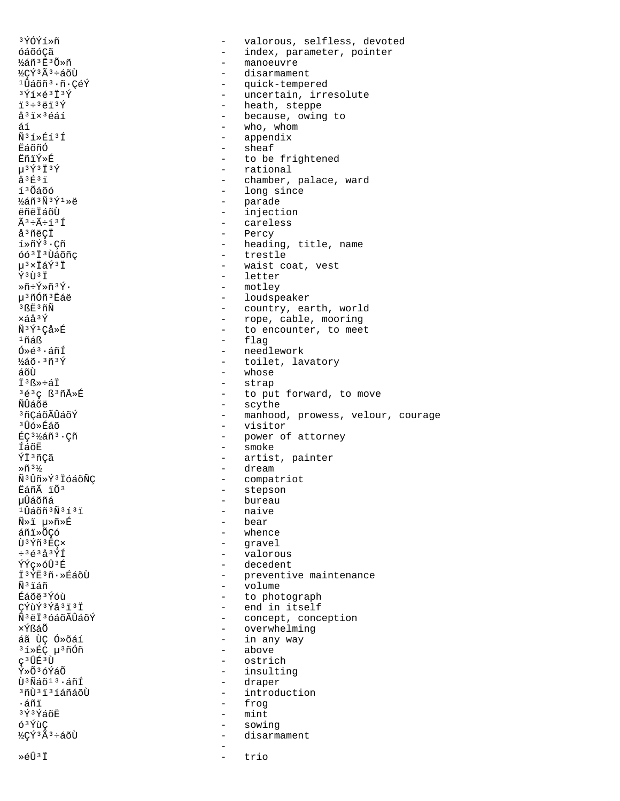3ÝÓÝí»ñ valorous, selfless, devoted  $\overline{a}$ óáõóCã  $\qquad \qquad$ index, parameter, pointer - manoeuvre ½áñ3Ë3Õ»ñ ½ÇÝ3Ã3÷áõÙ disarmament <sup>1</sup>Ûáõñ<sup>3</sup>·ñ·ÇéÝ - quick-tempered  $3\overline{Y}1\times\overline{e}3\overline{1}3\overline{Y}$ - uncertain, irresolute - heath, steppe  $73 + 3473$ - because, owing to å<sup>3</sup>ix<sup>3</sup>éáí  $-$  who, whom áí  $\tilde{N}$ <sup>3</sup> $1$   $\times$   $\tilde{E}$  $1$ <sup>3</sup> $\tilde{I}$ - appendix ⊭ีล์กัก∩์ - sheaf FñiÝ»É - to be frightened  $\mu$ <sup>3</sup> $\acute{\gamma}$ <sup>3</sup> $\ddot{\ddagger}$ <sup>3 $\acute{\gamma}$ </sup> - rational  $a^3E^3I$  $\omega_{\rm{max}}$ chamber, palace, ward - long since í<sup>3</sup>Õáõó ½áñ3Ñ3Ý1»ë - parade - injection ëñëÏáõÙ - careless  $\tilde{A}^3$  ÷ $\tilde{A}$ ÷ í  $^3$  Í - Percy å<sup>3</sup>ñëÇÏ  $1*\tilde{n}\tilde{Y}$ <sup>3</sup>·C $\tilde{n}$ - heading, title, name óó<sup>3</sup>I<sup>3</sup>Ùáõñç - trestle µ<sup>3</sup>×ÏáÝ<sup>3</sup>Ï - waist coat, vest  $\overline{Y}$  3  $\overline{1}$  3  $\overline{T}$ - letter  $*\tilde{n}$ ÷Ý»ñ3Ý. - motley น<sup>3</sup>ที0์ที<sup>3</sup> ชื่อค - loudspeaker  $3BE3n\widetilde{N}$ - country, earth, world xáå<sup>3</sup>Ý - rope, cable, mooring - to encounter, to meet Ñ<sup>3</sup>Ý<sup>1</sup>Çå»É - flag  $1$ ñáß  $0 \times 6^3 \cdot 4\tilde{n}$ í - needlework ½áõ·3ñ3Ý - toilet, lavatory áõÙ - whose - strap  $\ddot{T}$ <sup>3</sup> $R$ <sup>\*</sup> $\ddot{P}$ - to put forward, to move 3é3c B3ñÅ»É - scythe Ñินิล์õё <sup>3</sup>ñCáõÃÛáõÝ - manhood, prowess, velour, courage <sup>3</sup> Ûó ≫Éáõ - visitor ÉC<sup>31</sup>/áñ<sup>3</sup>·Cñ - power of attorney - smoke ÍáõË ÝÏ3ñÇã - artist, painter - dream  $*\tilde{n}^3\frac{1}{2}$ - compatriot Ñ<sup>3</sup>Ûñ»Ý<sup>3</sup> IóáõÑÇ - stepson Eáñà ïÕ3 - bureau µÛáõñá - naive <sup>1</sup>Ûáõñ<sup>3</sup>Ñ<sup>3</sup>í<sup>3</sup>i - bear Ñ»ï µ»ñ»É - whence áñi»õcó - qravel Ù<sup>3</sup>Ýñ<sup>3</sup>EC×  $-36339$ - valorous - decedent ÝÝc»óÛ3É Ï<sup>3</sup>ÝË3ñ.»ÉáõÙ - preventive maintenance Ñ∃ïáñ  $\omega_{\rm{max}}$ volume - to photograph Éáõë<sup>3</sup>Ýóù - end in itself CÝùÝ3Ýå3ï3Ï Ñ<sup>3</sup>ëÏ<sup>3</sup>óáõÃÛáõÝ - concept, conception ×ÝßáÕ - overwhelming áã ÙÇ Ó»õáí - in any way - above <sup>3</sup>í»ÉÇ µ<sup>3</sup>ñÓñ ç<sup>3</sup>ÛÉ<sup>3</sup>Ù  $\sim$ ostrich Ý»Õ<sup>3</sup>óÝáÕ - insulting บิงพีล์กับ 3 . ล์กี f - draper <sup>3</sup>ñÙ<sup>3</sup>i<sup>3</sup>íáñáõÙ - introduction - frog  $\cdot$ áñï 3Ý3ÝáõË  $-$  mint ó<sup>3</sup>ÝùC  $\equiv$ sowing ½ÇÝ3Ã3÷áõÙ  $\equiv$ disarmament Ȏû3Ï trio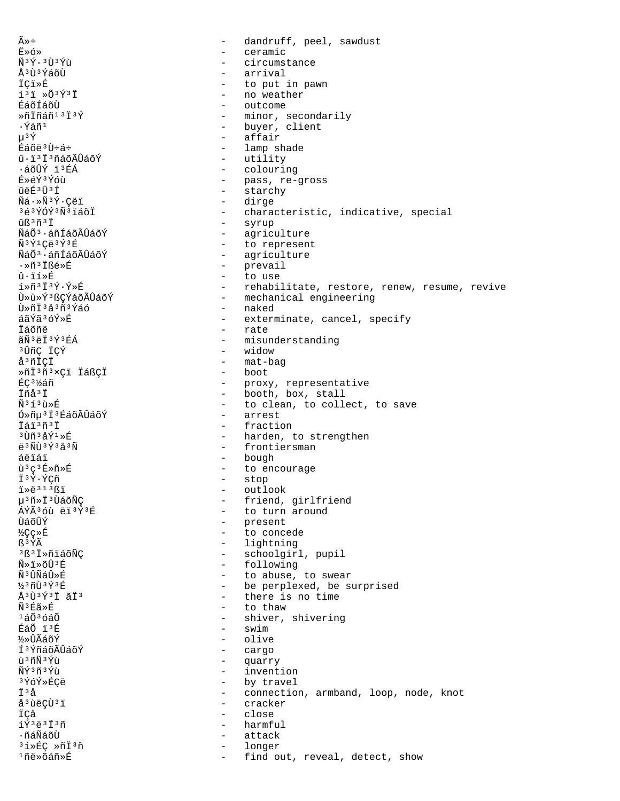$\widetilde{A} \gg \div$ dandruff, peel, sawdust  $\equiv$  $E \times 6 \times$  $\sim$ ceramic  $\tilde{N}$ <sup>3 $\tilde{Y}$ . 3 $\tilde{U}$ <sup>3 $\tilde{Y}$ ù</sup></sup>  $\sim$ circumstance Å<sup>3</sup>Ù<sup>3</sup>ÝáõÙ arrival **İÇi**ȃ - to put in pawn  $13\overline{1}$   $\rightarrow$   $03\overline{1}$ - no weather ÉáõÍáõÙ - outcome - minor, secondarily Ȗİñáñ<sup>13</sup>İ3Ý ∙Ýáñ1 - buyer, client - affair  $u^3 \hat{Y}$ Éáõë3Ù÷á÷ - lamp shade - utility û·ï'ï'ñáõÃÛáõÝ ∙áõÛÝ ïªÉÁ - colouring - pass, re-gross<br>- starchy É»éÝ3Ýóù ûëÉ3Û3Í - dirge  $\tilde{N}$ á $\cdot \times \tilde{N}$ <sup>3</sup>Ý·Çëï 3é3ÝÓÝ3Ñ3ïáõÏ - characteristic, indicative, special ûß<sup>3</sup>ñ<sup>3</sup>Ï - syrup ÑáÕ<sup>3</sup>·áñÍáõÃÛáõÝ - agriculture Ñ<sup>3</sup>Ý<sup>1</sup>Çë<sup>3</sup>Ý<sup>3</sup>É - to represent - agriculture ÑáÕ<sup>3</sup>·áñÍáõÃÛáõÝ .ȖªÏßé»É - prevail - to use  $\hat{\mathbf{n}} \cdot \hat{\mathbf{i}}$   $\hat{\mathbf{r}}$  $1*7*7*7*7*7*F$ - rehabilitate, restore, renew, resume, revive บิ่»น้» ที่<sup>3</sup> หิตท์ล์ดี A๊บิล์ดีที่ - mechanical engineering - naked Ù»ñÏ'àªñ'Ýáó áãÝãªóÝ»É - exterminate, cancel, specify - rate İáõñë ãÑ ªëÏ ªÝ ªÉÁ - misunderstanding - widow <sup>3</sup>ÛñÇ İÇÝ - mat-bag å<sup>3</sup>ñİÇİ ȖÏ3ñ3xÇï ÏáßÇÏ - boot ÉC<sup>31</sup>⁄áñ - proxy, representative - booth, box, stall Ïñå<sup>3</sup>Ï - to clean, to collect, to save  $\tilde{N}$ <sup>3</sup> $\tilde{1}$ <sup>3</sup> $\tilde{1}$ <sup>3</sup> $\tilde{R}$  $6*$ ñu<sup>3</sup> $\ddot{1}$ <sup>3</sup> $\acute{2}$ áõÃ $\hat{0}$ áõÝ - arrest Tái3ñ3T  $-$  fraction  $3$ Ùñ $3$ åÝ $1$ ȃ - harden, to strengthen - frontiersman  $\ddot{e}$ <sup>3</sup> $\tilde{N}\dot{U}$ <sup>3</sup> $\acute{Y}$ <sup>3</sup> $\ddot{d}$ <sup>3</sup> $\tilde{N}$ - bough áëïáï ù<sup>3</sup>ç<sup>3</sup>É»ñ»É - to encourage - stop Ï3Ý·ÝÇñ  $i * e^{313}$ ki - outlook - friend, girlfriend µ<sup>3</sup>ñ»Ï<sup>3</sup>ÙáõÑC ÁÝÃ36ù ëï3Ý3É - to turn around - present ÙáõÛÝ **½Cc»丘**  $\sim$  10  $\,$ to concede - lightning R<sup>3</sup>ÝÃ 3ß3Ï»ñiáõÑC - schoolgirl, pupil - following  $\tilde{N} \gg \tilde{1} \gg \tilde{C} \hat{U}$ <sup>3</sup> E ѪÛÑáÛ»É - to abuse, to swear - be perplexed, be surprised ½3ñÙ3Ý3É - there is no time Å<sup>3</sup>Ù<sup>3</sup>Ý<sup>3</sup>Ï ãÏ<sup>3</sup> ѪÉã»É - to thaw  $1\acute{a}\tilde{0}$  $3\acute{o}\acute{a}\tilde{0}$ - shiver, shivering  $-$  swim ÉáÕ ï3É ½»ÛÃáõÝ - olive Í<sup>3</sup>ÝñáõÃÛáõÝ - cargo - quarry ù 3 ñÑ 3 Ýù ÑÝ3ñ3Ýù - invention - by travel 3ÝóÝ»ÉCë İЗå - connection, armband, loop, node, knot å<sup>3</sup>ùëCÙ<sup>3</sup>ï - cracker  $\sim$   $-$ ÏÇå close íÝ3ë3Ï3ñ harmful  $\sim$ ∙ñáÑáõÙ attack  $\sim$ 31ȃÇ »ñÏ3ñ longer  $\sim$ <sup>1</sup>ñë»õáñ»É find out, reveal, detect, show  $\sim$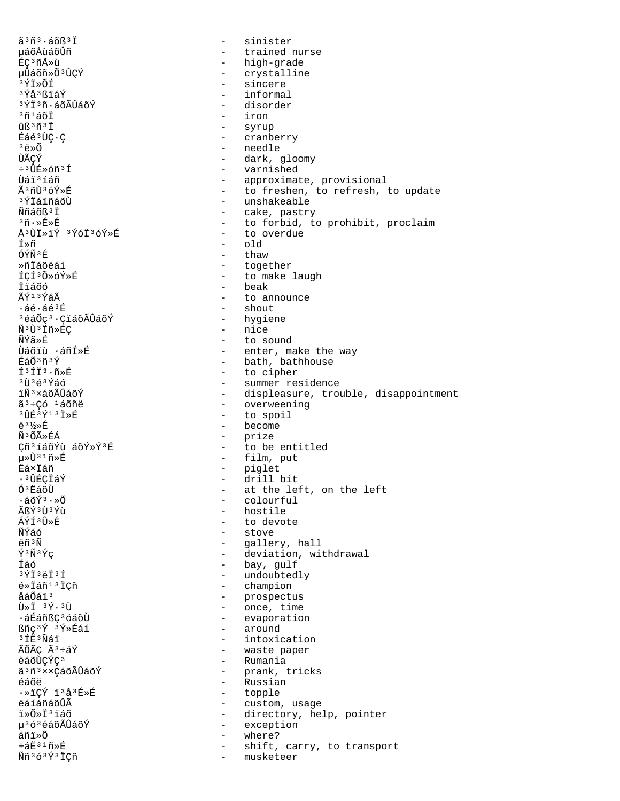$\tilde{a}$ <sup>3 $\tilde{n}$ 3.  $\tilde{a}$   $\tilde{o}$ ß<sup>3 $\tilde{T}$ </sup></sup> sinister  $\sim$ uáõÅùáõÛñ - trained nurse ÉÇ<sup>3</sup>ñÅ»ù - high-grade µÛáõñ»Õ<sup>3</sup>ÛÇÝ - crystalline - sincere 3ÝŤ≫ÕÍ  $3\bar{y}$ å $3\bar{R}$ iá $\bar{Y}$ - informal <sup>3</sup>ÝÏ<sup>3</sup>ñ·áõÃÛáõÝ - disorder - iron  $36140$ - syrup  $<sup>1</sup>$  $R<sup>3</sup>$  $<sup>7</sup>$  $<sup>7</sup>$ </sup></sup></sup> - cranberry Éáé<sup>3</sup>ÙC·C  $3\overrightarrow{a} \times \widetilde{0}$ - needle **TIÃCÝ** - dark, gloomy  $\div$ <sup>3</sup>ÛÉ»óñ<sup>3</sup>Í - varnished Ùái<sup>3</sup>íáñ - approximate, provisional - to freshen, to refresh, to update Ã3ñÙ3óÝ»É - unshakeable <sup>3</sup>ÝÏáïñáõÙ - cake, pastry<br>- to forbid, to prohibit, proclaim Ññáõß<sup>3</sup>İ  $35.85$ - to overdue Å<sup>3</sup>ÙÏ»ïÝ <sup>3</sup>ÝóÏ<sup>3</sup>óÝ»É ิ ⊤ึิ≫ñ  $-$  old ÓÝÑ3É - thaw ≫ñŤáõëáí - together - to make laugh ÍCÍ3Õ»óÝ»É - beak İïáõó - to announce ÃÝ13ÝáÃ  $\cdot$ áé $\cdot$ áé $^3$ É  $-$  shout <sup>3</sup>éáÕç<sup>3</sup>·ÇiáõÃÛáõÝ - hygiene - nice Ñ3Ù3Ïñ»ÉÇ - to sound ÑÝã≫É - enter, make the way Ùáõiù ·áñÍ»É - bath, bathhouse ÉáÕªñªÝ f<sup>3</sup>fi<sup>3</sup>·ñ»É - to cipher - summer residence  $3\tilde{1}$  $363\tilde{1}$  $46$ - displeasure, trouble, disappointment ïѪ×áõÃÛáõÝ - overweening ã<sup>3</sup>÷Có <sup>1</sup>áõñë  $3$   $\hat{1}$   $\hat{1}$  $\hat{2}$   $3$   $\hat{4}$   $3$   $\hat{5}$   $3$   $\hat{7}$   $3$   $\hat{1}$  $\hat{5}$   $\hat{1}$ - to spoil - become <u> 수 3 1</u>/<sub>≫</sub> 도 Ñ3ÕûÉÁ - prize Çñ<sup>3</sup>íáõÝù áõÝ»Ý<sup>3</sup>É - to be entitled - film, put µ»Ù31ñ»É - piglet<br>- drill bit Ëá×Ïáñ . 3 ÛÉCÏáÝ Ó<sup>3</sup>EáõÙ - at the left, on the left  $\cdot$ áõÝ $^3 \cdot \tilde{\otimes}$ Õ - colourful ÃRÝ3Ù3Ýù - hostile - to devote ÁÝÍ3Û»É - stove **ÑÝáó**  $\ddot{\rho}$ កំ $\ddot{\text{M}}$ - gallery, hall  $\tilde{Y}$ <sup>3 $\tilde{N}$ 3 $\tilde{Y}$ C</sup> - deviation, withdrawal - bay, gulf Íáó - undoubtedly  $3\overline{Y}13\overline{e}13\overline{1}$ - champion é»Ïáñ<sup>13</sup>ICñ - prospectus<br>- once, time åáÕáï<sup>3</sup>  $\tilde{U} * \tilde{I}$   $3 \tilde{Y} \cdot 3 \tilde{U}$ - evaporation ᇃáñßç<sup>3</sup>óáõÙ - around ßñç<sup>3</sup>Ý 3Ý»Éáí <sup>3</sup>ÍË<sup>3</sup>Ñáï - intoxication ÃÕÃÇ Ã3÷áÝ - waste paper - Rumania èáõÙCÝC3 ã 3 ñ 3 x x Cá õ Ã Û á õ Ý - prank, tricks - Russian éáõë  $\cdot \times 1$   $\Gamma$   $\sqrt{Y}$   $\uparrow$   $3 \land 3 \not\vdash \times \mathbb{R}$ - topple ëáíáñáõÛÃ - custom, usage - directory, help, pointer i»Õ»Ï<sup>3</sup>ïáõ - exception µ<sup>3</sup>óªéáõÃÛáõÝ áñi≫Õ  $\sim$ where?  $\div$ áË $31$ ñ»É shift, carry, to transport Ññ<sup>363</sup>Ý<sup>3</sup>İÇñ musketeer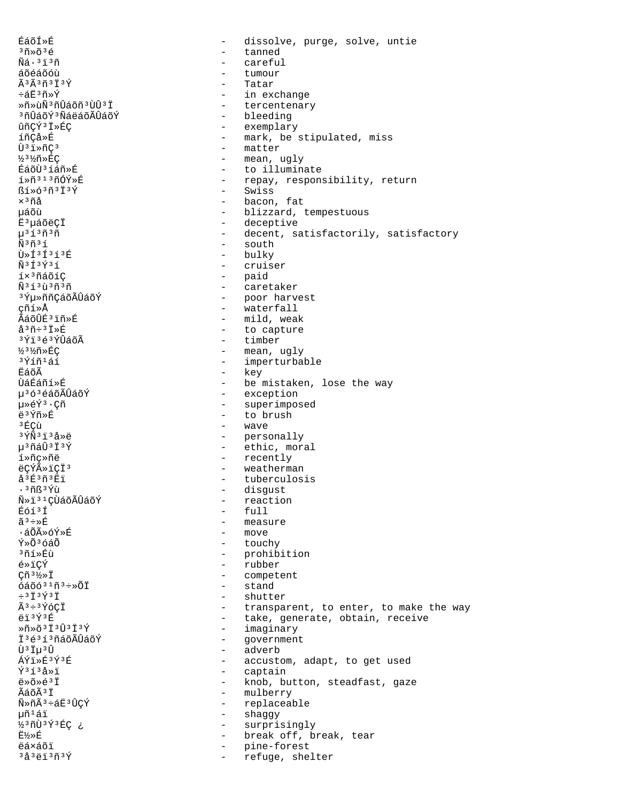ÉáõÍ»É dissolve, purge, solve, untie  $\qquad \qquad 300036$  $\equiv$ tanned  $\tilde{N}$ á $\cdot$  $3\tilde{1}$  $3\tilde{n}$ careful  $\equiv$ áõéáõóù tumour Ã3Ã3ñ3Ï3Ý Tatar  $\sim$  $\div$ áË $^3$ ñ»Ý in exchange  $\sim$ Ȗ»ùÑ3ñÛáõñ3ÙÛ3Ï - tercentenary <sup>3</sup>ñÛáõÝ<sup>3</sup>ÑáëáõÃÛáõÝ - bleeding - exemplary ûñÇÝ<sup>3</sup> Ï»ÉÇ - mark, be stipulated, miss íñCå»É  $\tilde{U}$ <sup>3</sup> $\tilde{I}$ <sup>3</sup> $\tilde{D}$ - matter - mean, ugly 33%ñ»ÉC ÉáõÙ3íáñ»É - to illuminate  $1*$ ñ<sup>313</sup>ñÓÝ»É - repay, responsibility, return - Swiss  $\frac{1}{2}$   $\frac{1}{2}$   $\frac{1}{2}$   $\frac{1}{2}$   $\frac{1}{2}$   $\frac{1}{2}$   $\frac{1}{2}$   $\frac{1}{2}$  $\times$ <sup>3</sup> $\tilde{n}$ å - bacon, fat µáõù - blizzard, tempestuous Ë<sup>3</sup>µáõëÇÏ - deceptive  $\mu$ <sup>313 $\tilde{n}$ 3 $\tilde{n}$ </sup> - decent, satisfactorily, satisfactory  $-$  south  $\tilde{N}$ <sup>3 $\tilde{n}$ 3 $\tilde{1}$ </sup>  $\tilde{U}$ » $\tilde{T}$ 3 $\tilde{T}$ 3 $\tilde{T}$ 3 $\tilde{R}$ - bulky  $\tilde{N}$ <sup>3</sup> $\tilde{f}$ <sup>3</sup> $\tilde{Y}$ <sup>3</sup> $\tilde{f}$ - cruiser - paid íx<sup>3</sup>ñáõíC - caretaker  $\tilde{N}$ <sup>313</sup> $\tilde{n}$ <sup>3</sup> $\tilde{n}$ <sup>3</sup>ݵ»ññCáõÃÛáõÝ - poor harvest cñí»Å - waterfall ÃáõÛÉ3 ïñ»É - mild, weak  $a^3\tilde{n}$ :  $3\tilde{l}$   $\times$   $E$  $\sim$ to capture - timber 3Ýï3é3ÝÛáõÃ ½3½ñ»ÉC - mean, ugly <sup>3</sup>Ýíñ<sup>1</sup>áí - imperturbable **E**áõÃ - key **􇃇ñí**ȃ - be mistaken, lose the way - exception µ<sup>3</sup>ó<sup>3</sup>éáõÃÛáõÝ - superimposed 毂Ý3 · Çñ - to brush ë3Ýñ»É  $3F$ Cù - wave  $3\,\tilde{\rm Y}\tilde{\rm N}$  $3\,\tilde{\rm 1}$  $3\,\tilde{\rm A}\!\gg\!\tilde{\rm e}$ - personally µ3ñáÛ3Ï3Ý - ethic, moral - recently í»ñc»ñë ëÇÝûïÇÏ3  $\frac{1}{2}$  . weatherman  $a^3E^3\tilde{n}^3E1$ tuberculosis  $\sim$  $\cdot$   $\frac{3\pi}{5}$   $\frac{3\pi}{10}$ disgust  $\sim$ ѻi31ÇÙáõÃÛáõÝ  $\sim$ reaction Éóí<sup>3</sup>Í  $-$  full - measure  $ilde{a}$ <sup>3</sup> ÷ » $E$ - move ∙áÕÃ≫óÝ≫Ŕ - touchy  $\tilde{Y} \times \tilde{O}$  3  $\tilde{O} \times \tilde{O}$ <sup>3</sup>ที1์ ≫Eึบ้ - prohibition - rubber é»ïCÝ - competent  $\widetilde{\text{cn}}^3\frac{1}{2}\times\ddot{\text{I}}$  $\,$  stand  $6a\tilde{0}631\tilde{n}3 \div x\tilde{0}\tilde{1}$  $\div$ <sup>3</sup> $\ddot{\mathrm{T}}$ <sup>3</sup> $\acute{\mathrm{T}}$ <sup>3</sup> $\ddot{\mathrm{T}}$ - shutter  $\tilde{A}^3 \div 3 \tilde{Y}$ óCÏ - transparent, to enter, to make the way ëï3Ý3É - take, generate, obtain, receive - imaginary  $*\tilde{n}*\tilde{o}^3\tilde{1}^3\hat{U}^3\tilde{1}^3\tilde{Y}$ İ3é3í3ñáõÃÛáõÝ - government - adverb Ù<sup>3</sup> Iu<sup>3</sup>Û - accustom, adapt, to get used  $A\tilde{V}$ i» $E3\tilde{V}3\tilde{E}$  $\sqrt{3}$  1  $3\frac{1}{2}$   $\sqrt{1}$  $\sim$  10  $\,$ captain  $\ddot{\rho} \times \ddot{\Omega} \times \ddot{\Omega}$ - knob, button, steadfast, gaze - mulberry  $\widetilde{A}$ ล์ $\widetilde{A}$  $\widetilde{A}$  $\widetilde{J}$  $\widetilde{T}$ Ñ»ñÃ3÷áË3ÛÇÝ - replaceable - shaggy µñ<sup>1</sup>áï  $\sim$   $-$ ½3ñÙ3Ý3ÉÇ ¿ surprisingly E½»É - break off, break, tear ëáxáõï pine-forest  $\sim$  $3\text{a}^3$ ëï $3\text{m}^3$ Ý  $\sim$ refuge, shelter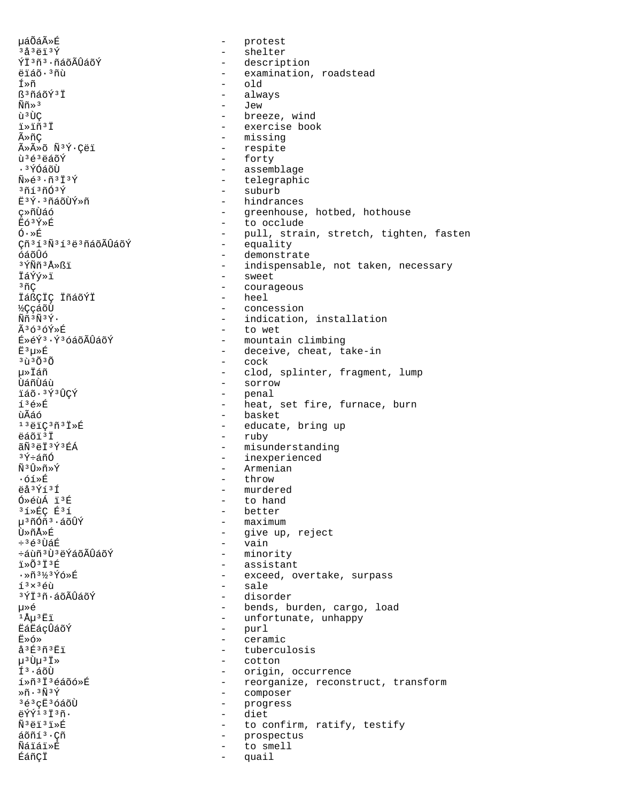uáÕáûÉ protest  $\sim$  $3a3e13f$  $\frac{1}{2}$  . shelter - description ÝÏ3ñ3.ñáõÃÛáõÝ - examination, roadstead ëïáõ·<sup>3</sup>ñù Í≫ñ  $old$ ß<sup>3</sup>ñáõÝ<sup>3</sup>Ï always  $\widetilde{\text{N}}\widetilde{\text{n}} \gg 3$ - Jew ù<sup>3</sup>ÙC - breeze, wind - exercise book ï»ïñ'ï - missing ûñC ûûõ Ñ<sup>3</sup>Ý·Cëï - respite  $\tilde{u}$ <sup>3</sup> $\tilde{e}$ <sup>3</sup> $\tilde{e}$ ãõÝ - forty - assemblage . 3 ÝÓáõÙ  $\tilde{N} \geq \tilde{e}^3 \cdot \tilde{n}^3 \tilde{I}^3 \tilde{Y}$ - telegraphic - suburb  $3013003$ Ë3Ý·3ñáõÙÝ»ñ - hindrances ç»ñÙáó - greenhouse, hotbed, hothouse - to occlude **Eó**3Ý»É  $\acute{\mathrm{O}}\cdot\!\ast\acute{\mathrm{E}}$ - pull, strain, stretch, tighten, fasten Çñ<sup>313</sup>Ñ<sup>313</sup>ë<sup>3</sup>ñáõÃÛáõÝ  $\sim$ equality óáõÛó - demonstrate <sup>3</sup>ÝÑñ<sup>3</sup>Å≫ßï - indispensable, not taken, necessary - sweet İáÝý»ï <sup>3</sup>ñÇ - courageous TáßCIC IñáõÝI - heel **KCcáõÙ** - concession  $\tilde{N}\tilde{n}$ <sup>3 $\tilde{N}$ 3 $\tilde{Y}$ .</sup> - indication, installation Ã3ó3óÝ»É - to wet É»éÝ3·Ý3óáõÃÛáõÝ - mountain climbing  $E^3\mu\nu E$ - deceive, cheat, take-in  $3\tilde{u}$  $3\tilde{0}$  $3\tilde{0}$ - cock µ≫Ïáñ - clod, splinter, fragment, lump - sorrow **Uanuau** - penal ïáõ·3Ý3ÛCÝ  $f^3$  $6$  $\rightarrow$  $R$ - heat, set fire, furnace, burn - basket บินิล์ก์  $13\rho$ iC $3\rho$  $1\times$ É - educate, bring up ëáõï<sup>3</sup>Ï - ruby ãÑ ªëÏ ªÝ ªÉÁ - misunderstanding - inexperienced ªÝ÷áñÓ - Armenian  $\tilde{N}$ <sup>3</sup> $\hat{U}$ Ȗ»Ý  $\cdot$ óí»É - throw ëå<sup>3</sup>Ýí<sup>3</sup>Í - murdered Ó»éùÁ ï3É  $\sim$ to hand  $31*EC E31$ - better - maximum µ<sup>3</sup>ñÓñ<sup>3</sup>·áõÛÝ - give up, reject Ù»ñÅ»É - vain  $+363$ tì $56$ ևùñ 3 Ù 3 ëÝáõÃÛáõÝ - minority - assistant i»õ3ï3É ·»ñ3½3Ýó»É - exceed, overtake, surpass - sale  $1<sup>3</sup> \times 3$ éù 3ÝÏ3ñ∙áõÃÛáõÝ  $\frac{1}{2}$  . disorder - bends, burden, cargo, load 毂  $1\text{\AA}\mu$ <sup>3</sup> $\text{\AA}$ - unfortunate, unhappy - purl **ËáËáçÛáõÝ**  $F \times 6 \times$  $\sim$ ceramic å<sup>3</sup>É<sup>3</sup>ñ<sup>3</sup>Eï - tuberculosis  $\mu$ <sup>3</sup>U $\mu$ <sup>3</sup>I<sup>\*</sup> - cotton ͪ·áõÙ - origin, occurrence í»ñ<sup>3</sup>I<sup>3</sup>éáõó»É - reorganize, reconstruct, transform - composer  $*$ ñ  $*$   $*$   $*$   $*$   $*$  $363cE3660$ - progress eÝÝ13Ï3ñ.  $\sim$   $^{-1}$ diet Ñ<sup>3</sup>ëï<sup>3</sup>ï»É to confirm, ratify, testify  $\sim$ áõñí<sup>3</sup>·Çñ  $\sim$ prospectus Ñáïáï»É to smell ÉáñÇÏ quail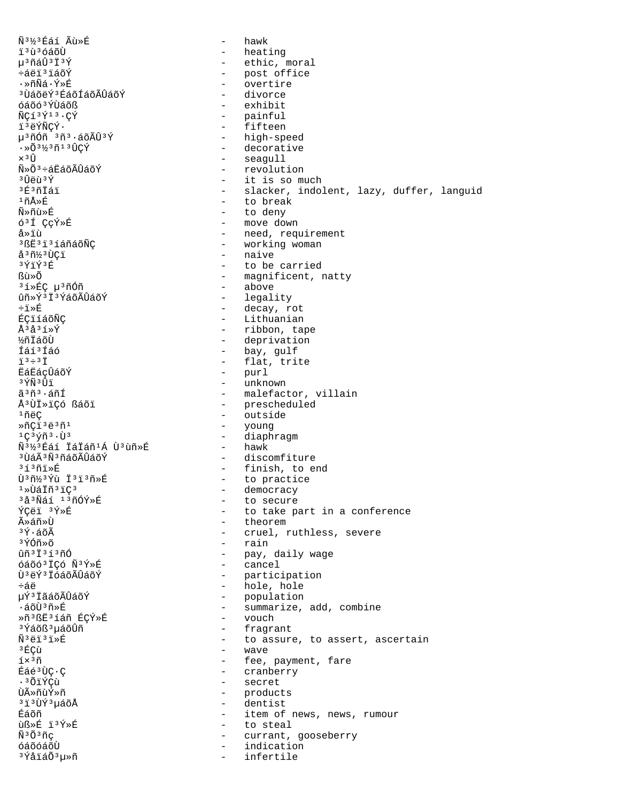ѳ½³Éáí Ãù»É - hawk ïºùºóáõÙ - heating<br>µºñáÛºïºÝ - heating - heating - heating - heating - heating - heating - heating - heating - heating - heating µ<sup>3</sup>ñáÛ<sup>3</sup>Ï<sup>3</sup>Ý - ethic, moral<br>÷áëï<sup>3</sup>ïáõÝ - - - - post office ÷áëï³ïáõÝ - post office ·»ñÑá·Ý»É - overtire <sup>3</sup>ÙáõëÝ<sup>3</sup>ÉáõÍáõÃÛáõÝ - divorce<br>óáõó<sup>3</sup>ÝÙáõß óáõó<sup>3</sup>ÝÙáõß - exhibit<br>ÑCí<sup>3</sup>Ý<sup>13</sup>·CÝ - exhibit - painful ÑÇí<sup>3Ý13</sup>·ÇÝ - painful - painful<br>ï<sup>3</sup>ëÝÑÇÝ· - - - - fifteen ï³ëÝÑÇÝ· - fifteen µ<sup>3</sup>ñÓñ <sup>3</sup>ñ<sup>3</sup>·áõÃÛ<sup>3</sup>Ý - high-speed<br>·»Õ<sup>3½3</sup>ñ<sup>13</sup>ÛCÝ - - decorative  $\cdot \times 0.3\frac{1}{2}3\frac{1}{1}30\frac{1}{1}$   $\times 30.3\frac{1}{1}30$   $\times 30.3\frac{1}{1}30$   $\times 30.3\frac{1}{1}30$   $\times 30.3\frac{1}{1}30$   $\times 30.3\frac{1}{1}30$   $\times 30.3\frac{1}{1}30$   $\times 30.3\frac{1}{1}30$   $\times 30.3\frac{1}{1}30$   $\times 30.3\frac{1}{1}30$   $\times 30.3\frac{1}{1}$ ×<sup>3</sup>Û - seagull<br>Ñ»Õ<sup>3</sup>÷áËáõÃÛáõÝ - revolut Ñ»Õ<sup>3</sup>÷áËáõÃÛáõÝ - revolution<br>∂ÛëùªÝ - it is so mu <sup>3</sup>Ûëù<sup>3</sup>Ý - it is so much<br><sup>3É</sup><sup>3</sup>ñÏáï - it is so much  $3E^3$ ñÏáï  $-$  slacker, indolent, lazy, duffer, languid<br> $1 \text{ nA}$ ȃ <sup>1</sup>ñÅ»É - to break<br>Ñ»ñù»É - to denv Ñ»ñù»É - to deny ó³Í ÇçÝ»É - move down å»ïù i need, requirement<br>3gË3ï3íáñáõÑÇ i completed, requirement <sup>3</sup>ßË<sup>3</sup>ï<sup>3</sup>íáñáõÑÇ - e working woman<br>å<sup>3</sup>ñ½<sup>3</sup>ÙCï åªñ½ªÙÇï - naive - naive<br>ªÝïݪÉ - to be  $3\overline{Y}$ i $\overline{Y}$ <sup>3</sup> $\overline{Y}$ <sup>3</sup> $\overline{Y}$ <sup>3</sup> $\overline{Y}$ <sup>3</sup> $\overline{Y}$ <sup>3</sup> $\overline{Y}$ <sup>3</sup> $\overline{Y}$ <sup>3</sup> $\overline{Y}$ <sup>3</sup> $\overline{Y}$ <sup>3</sup> $\overline{Y}$ <sup>3</sup> $\overline{Y}$ <sup>3</sup> $\overline{Y}$ <sup>3</sup> $\overline{Y}$ <sup>3</sup> $\overline{Y}$ <sup>3</sup> $\overline{Y}$ <sup>3</sup> $\overline{Y}$ <sup>3</sup> $\overline{Y}$ <sup>3</sup> $\overline{Y}$ - magnificent, natty<br>- above <sup>3</sup>í»ÉÇ μ<sup>3</sup>ñÓñ<br>ûñ»Ý<sup>3</sup>Ï<sup>3</sup>ÝáõÃÛáõÝ ûñ»ÝªÏªÝáõÃÛáõÝ - legality<br>÷ï»É - decay.r ֕ȃ - decay, rot ÉÇïíáõÑÇ - Lithuanian Å<sup>3</sup>å<sup>3</sup>í»Ý - ribbon, tape<br>1. ribbon, tape - ribbon, tape - ribbon, tape - ribbon, tape - ribbon, tape - ribbon, tape - ribbon, tape - ri ½ñÏáõÙ - deprivation<br>ÍáíªÍáó - component - bay, qulf Íáí<sup>3</sup>Íáó - bay, gulf<br>j<sup>3</sup>÷<sup>3†</sup> - flat.tri ï<sup>3</sup>÷<sup>3</sup>Ï - flat, trite<br>ËáËáçÛáõÝ - purl ËáËáçÛáõÝ - purl <sup>3</sup>ÝÑ<sup>3</sup>Úï - unknown - unknown<br>ãªñª·áñÍ - malefact ãªñª·áñÍ - malefactor, villain<br>ŪÙÏ»ïÇó ßáõï - - - - - - - - prescheduled - prescheduled  $\frac{1}{10}$ ëÇ - outside - outside - outside - outside -  $\frac{1}{10}$ ȖÇïºëºñº<br>1Cºvñº·Ùº - young - young - young -- diaphragm<br>- hawk Ѫ½ªÉáí ÏáÏáñªÁ Ùªùñ»É<br>ªÙáêѪñáõÃÛáõÝ <sup>3</sup>ÙáÃ<sup>3</sup>Ñ<sup>3</sup>ñáõÃÛáõÝ - discomfiture<br><sup>313</sup>ñi»É - finish, to e  $313$ ñï»É<br>  $\tilde{U}$ <sup>3</sup>ñ½<sup>3</sup>Ýù Ï<sup>3</sup>ï3ñ»É - finish, to end Ù<sup>3</sup>ñ½<sup>3</sup>Ýù Ï<sup>3</sup>ï<sup>3</sup>ñ»É - to practice<br><sup>1</sup>»ÙáÏñ<sup>3</sup>ïÇ<sup>3</sup> - democracy ¹»ÙáÏñ³ïdz - democracy <sup>3</sup>å<sup>3</sup>Ñáí <sup>13</sup>ñÓÝ»É - to secure<br>ÝCëï <sup>3</sup>Ý»É - e to take pa ÝÇëï <sup>3</sup>Ý»É - to take part in a conference<br>ûáñ»Ù ûáñ»Ù - theorem → theorem → theorem → theorem → theorem → theorem → theorem → theorem → theorem → theorem → theorem → theorem → theorem → theorem → theorem → theorem → theorem → theorem → theorem → theorem → theorem → th  $3\acute{Y}\cdot\acute{a}\tilde{O}\tilde{A}$ <br> $3\acute{Y}\cdot\acute{a}\tilde{O}\tilde{A}$  - cruel, ruthless, severe<br> $3\acute{Y}\cdot\acute{O}\tilde{O}\tilde{O}$ <sup>3</sup>ÝÓñ»õ - rain<br>ûñ<sup>3†3</sup>í<sup>3</sup>ñÓ - pay, daily wage<br>- cancel óáõóªÏÇó ѪÝ»É<br>ÙªëݪÏóáõÃÛáõÝ - participation <sup>-</sup><br>1995 - hole, hole +áë<br>1995 - hole, hole + hole, hole + hole + hole + hole + hole + hole + hole + hole + hole + hole + hole + hole + h µÝ³ÏãáõÃÛáõÝ - population ·áõÙ³ñ»É - summarize, add, combine »ñ³ß˳íáñ ÉÇÝ»É - vouch <sup>3</sup>Ýáõß<sup>3</sup>µáõÛñ - fragrant - fragrant<br>Ñ<sup>3</sup>ëï<sup>3</sup>ï»É - - fragrant  $\tilde{N}^3$ ëï $\tilde{N}^3$ ëï $\tilde{N}^3$ ëï $\tilde{N}^3$ ëï $\tilde{N}^3$ ëï $\tilde{N}^3$ ëï $\tilde{N}^3$  ${}^{3}$ ÉÇù  ${}^{1}$  ${}^{5}$  ${}^{2}$ ñ  ${}^{5}$  $i \times 3\tilde{n}$ <br> $\tilde{E}$ áé $i$ ÙC·C  $\tilde{E}$  - fee, payment, fare Éáé³ÙÇ·Ç - cranberry <sup>3</sup>ÕïÝÇù - secret<br>tìûñnÝ»ñ - secret ÙûñùÝ»ñ → products<br><sup>3 ï 3</sup>ÙÝ 3 uáõÅ → → → → dentist <sup>3</sup>ï<sup>3</sup>ÙÝ<sup>3</sup>µáõÅ - dentist<br>Éáõñ - item of Éáõñ  $\frac{1}{2}$ Éáõñ  $\frac{1}{2}$ y en  $\frac{1}{2}$  en  $\frac{1}{2}$  to steal the steal by entries in  $\frac{1}{2}$ ùᯐ ï³Ý»É - to steal ѳճñç - currant, gooseberry - indication<br>- infertile <sup>3</sup>ÝåïáÕ<sup>3</sup>µ»ñ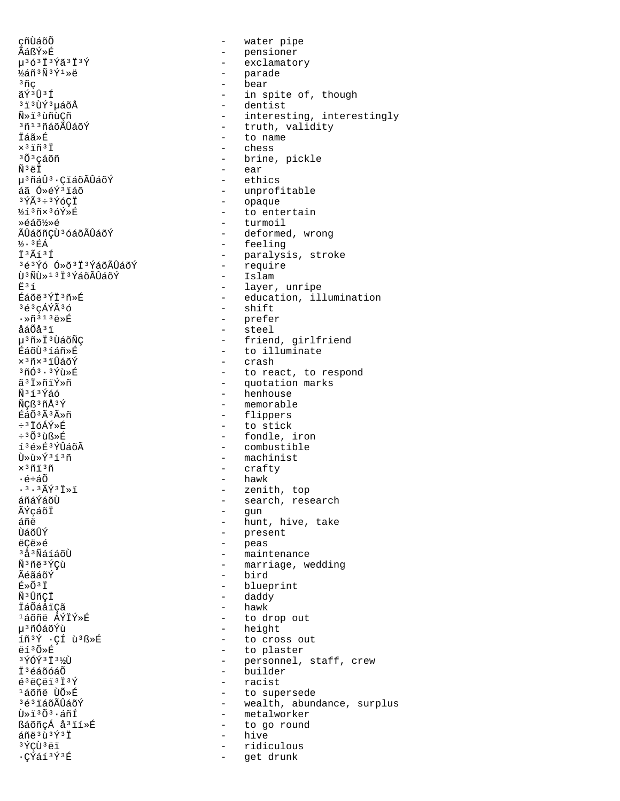cñÙáõÕ ÃáßÝ»É  $\mu$ <sup>3</sup> 6<sup>3</sup> I<sup>3</sup> Ý ã<sup>3</sup> I<sup>3</sup> Ý ½áñ3Ñ3Ý1»ë  $3\tilde{n}$ ç ãÝ3Û3Í <sup>313</sup>ÙÝ3µáõÅ Ñ»ï3ùñùCñ <sup>3</sup>ñ<sup>13</sup>ñáõÃÛáõÝ Táã≫É  $\times$ <sup>3</sup> $\tilde{1}$ ñ<sup>3</sup> $\tilde{1}$ <sup>3</sup>Õ<sup>3</sup>cáõñ ѪëÏ µ<sup>3</sup>ñáÛ<sup>3</sup>·ÇiáõÃÛáõÝ áã Ó»éÝ3ïáõ 3ÝÃ3÷3ÝóÇÏ ½í3ñ×3óÝ»É Ȏáõ½»é ÃÛáõñÇÙ<sup>3</sup> óáõÃÛáõÝ  $\frac{1}{2}$ .  $\frac{3}{2}$ EÁ T3Ãí3Í 3é3Ýó Ó»õ3Ï3ÝáõÃÛáõÝ īì 3Ñī̀) » 1 3 Ï 3 ÝáõÃÛáõÝ  $\mathbf{F}$  3 1 Éáõë3ÝÏ3ñ»É  $363c\tilde{A}\tilde{Y}\tilde{A}36$  $\cdot$ Ȗ<sup>313</sup>ë»É åáÕåªï µ<sup>3</sup>ñ»Ï<sup>3</sup>ÙáõÑÇ ÉáõÙ3íáñ»É x<sup>3</sup>ñx<sup>3</sup>iÛáõÝ  $3703.37$ usk ã i»ñiÝ»ñ <u> พิ</u>รารห์ลด์ ÑCß<sup>3</sup>ñÅ<sup>3</sup>Ý ÉáÕ<sup>3</sup>Ã<sup>3</sup>ûñ ÷3ŤóÁÝ»É  $\div$ <sup>3</sup> $0$ <sup>3</sup> $\overline{u}$ ᯐ í3é»É3ÝÛáõÃ Ù»ù»Ýªíªñ  $\times$  3 ñi 3 ñ ∙é÷áõ  $.3.3$  $\tilde{A}$  $\tilde{Y}$  $3$  $\tilde{I}$  $\gg$  $\tilde{I}$ áñáÝáõÙ ÃÝçáõÏ áñë นิล์ก็นิ่ห์ ëCë»é <sup>3</sup>å<sup>3</sup>ÑáíáõÙ Ñ3ñë3ÝCù ÃéãáõÝ É»Õ<sup>3</sup>Ï Ñ<sup>3</sup>ÛñÇİ İáÕáåïÇã <sup>1</sup>áõñë ÁÝİÝ»É µ3ñÓáõÝù íñ<sup>3</sup>Ý · CÍ ù<sup>3</sup>ß »É ëí3Õ»É  $3\sqrt{7}$   $\sqrt{7}$   $3\sqrt{7}$   $3\sqrt{7}$ Ï<sup>3</sup>éáõóáÕ  $638CZ13739$  $1500 - 150$ 3é3ïáõÃÛáõÝ Ù»ïªÕª∙áñÍ ßáõñçÁ å<sup>3</sup>ïí»É áñë 3ù 3Ý 3Ï 3 ÝÇÙ 3 ë ï ·ÇÝáí3Ý3É

water pipe  $\overline{a}$ - pensioner  $\Delta \sim 10^4$ exclamatory - parade bear  $\overline{a}$ in spite of, though  $\sim$ - dentist - interesting, interestingly - truth, validity - to name - chess - brine, pickle - ear - ethics - unprofitable - opaque - to entertain - turmoil - deformed, wrong - feeling - paralysis, stroke - require - Islam - layer, unripe - education, illumination - shift - prefer - steel - friend, girlfriend - to illuminate - crash - to react, to respond - quotation marks - henhouse - memorable - flippers - to stick - fondle, iron - combustible - machinist - crafty - hawk - zenith, top - search, research - gun - hunt, hive, take - present - peas - maintenance - marriage, wedding - bird - blueprint - daddy - hawk - to drop out - height - to cross out - to plaster - personnel, staff, crew - builder - racist - to supersede - wealth, abundance, surplus - metalworker  $\sim$ to go round hive  $\sim$ ridiculous  $\sim$ get drunk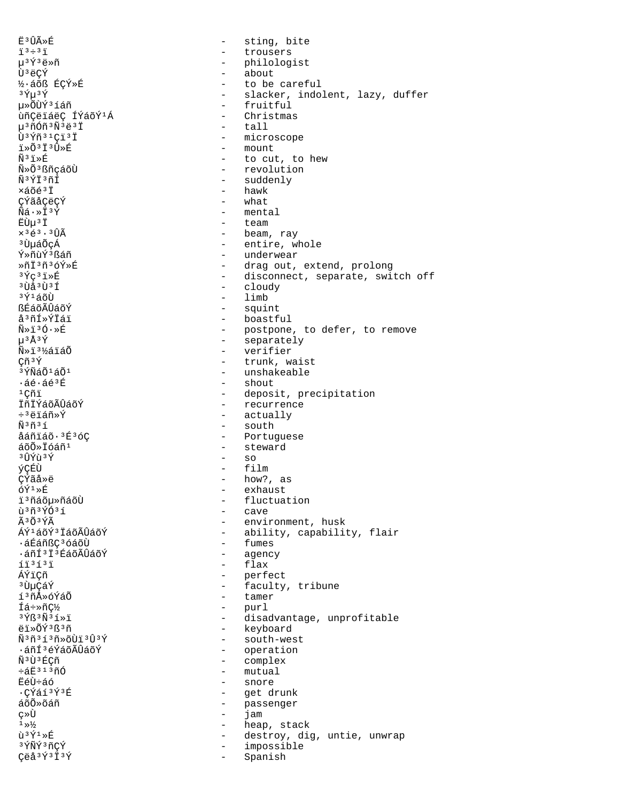Ë<sup>3</sup>ÛûÉ sting, bite  $\equiv$  $i^3$  +  $i^3$   $i^1$  $\equiv$ trousers  $\mu$ <sup>3</sup>Ý<sup>3</sup>ë»ñ - philologist Ù<sup>3</sup>ëÇÝ  $\frac{1}{2}$ about ½·áõß ÉÇÝ»É - to be careful  $3 \tilde{Y} \mu 3 \tilde{Y}$ - slacker, indolent, lazy, duffer µ»ÕÙÝ3íáñ - fruitful ùñÇëïáëÇ ÍÝáõÝ1Á - Christmas  $\mu$ <sup>3</sup> $\tilde{n}$ Óñ<sup>3 $\tilde{N}$ <sup>3</sup>ë<sup>3</sup>Ï</sup> - tall Ù<sup>3</sup>Ýñ<sup>31</sup>Cï<sup>3</sup>I - microscope ำ»∩ั<sup>3</sup>⊺ั<sup>3</sup> µิิ» F - mount  $\widetilde{N}$ <sup>3</sup> $\widetilde{L}$ - to cut, to hew Ñ»Õ<sup>3</sup>ßñcáõÙ - revolution Ñ3ÝÏ3ñÍ - suddenly  $-$  hawk ×áõé<sup>3</sup>Ï ÇÝãåÇëÇÝ - what - mental  $\tilde{N}\tilde{a}\cdot\pi\tilde{I}^3\tilde{Y}$ ËÙu<sup>3</sup>Ï  $\frac{1}{2}$  and  $\frac{1}{2}$ team  $\times$ <sup>3</sup> $\xi$ <sup>3</sup> · <sup>3</sup> $\hat{U}$  $\tilde{A}$ - beam, ray <sup>3</sup> UµáÕçÁ - entire, whole - underwear Ý»ñùÝ3ßáñ ȖÏ3ñ3óÝ»É - drag out, extend, prolong  $3\overline{Y}C$  $3\overline{1}$  $\overline{X}$  $\overline{E}$ - disconnect, separate, switch off  $3$  $\prod$  $A$  $3$  $\prod$  $3$  $\prod$ - cloudy  $3\tilde{Y}$  $1\tilde{A}$ ÕÙ  $-$  limb ᐠõÃÛáõÝ - squint å<sup>3</sup>ñÍ»ÝÏáï - boastful - postpone, to defer, to remove<br>- separately  $\tilde{N}$ ȕ3Ó $\cdot$ ȃ  $\mu$ <sup>3</sup>Å<sup>3</sup>Ý  $N*13$ /áiáÕ - verifier Çñ<sup>3</sup>Ý - trunk, waist 3 ÝÑáÕ<sup>1</sup>áÕ<sup>1</sup> - unshakeable  $\cdot$ áé $\cdot$ áé $^3$ É - shout  $1C\widetilde{n}$ i - deposit, precipitation - recurrence ÏñÏÝáõÃÛáõÝ - actually  $\div$ <sup>3</sup>ëïáñ»Ý - south พีรกรร åáñïáõ·3É3óC - Portuguese - steward áõÕ»Ïóáñ<sup>1</sup>  $-$  so <sup>3</sup>ÛÝù 3Ý  $-$  film ýÇÉÙ **C**Ýãå»ë - how?, as  $\tilde{O} \tilde{Y}^1 \gg \tilde{E}$ - exhaust i<sup>3</sup>ñáõµ»ñáõÙ  $\sim$ fluctuation ù 3 ñ 3 Ý Ó 3 í - cave  $\tilde{A}$  3  $\tilde{O}$  3  $\tilde{V}$  $\tilde{A}$ - environment, husk ÁÝ<sup>1</sup>áõÝ<sup>3</sup> ÏáõÃÛáõÝ - ability, capability, flair - fumes ᇃáñßC<sup>3</sup>óáõÙ ·áñí3i3ÉáõÃÛáõÝ - agency - flax  $113131$ ÁÝï¢ñ - perfect - faculty, tribune ªῢµÇáÝ - tamer í3ñÅ»óÝáÕ - purl Íá÷»ñ¢½ - disadvantage, unprofitable  $3\overline{Y}$ ß $3\overline{N}$  $3\overline{1}$  $3\overline{1}$ - keyboard ëï»õÝ3ß3ñ  $\tilde{N}$ <sup>3</sup> $\tilde{n}$ <sup>3</sup> $\tilde{1}$ <sup>3</sup> $\tilde{n}$ <sup>3</sup> $\tilde{V}$ - south-west ·áñͪéÝáõÃÛáõÝ - operation - complex Ñ<sup>3</sup>Ù<sup>3</sup>ÉCñ - mutual ևË313ñÓ - snore ËéÙ÷áó .CÝáí 3Ý 3É - get drunk - passenger áõÕ»õáñ ç»Ù  $\sim$   $^{-1}$ jam  $1 \frac{1}{2}$  $\sim$ heap, stack  $\tilde{u}^3 \tilde{Y}^1 \gg \tilde{E}$ destroy, dig, untie, unwrap  $\sim$ 3 ÝÑÝ 3 ñÇÝ impossible  $\overline{a}$ Çëå<sup>3</sup>Ý<sup>3</sup>Ï<sup>3</sup>Ý  $\sim$ Spanish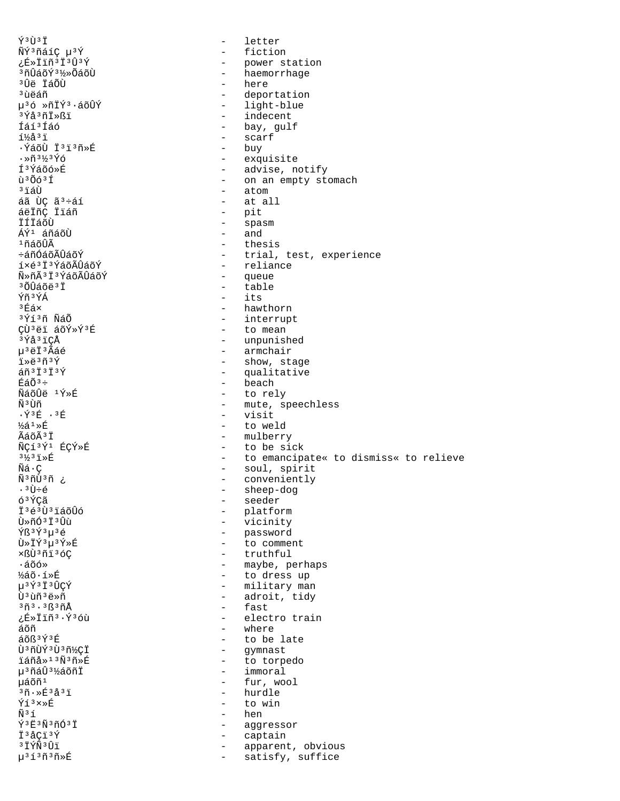Υ<sup>3</sup>Ù<sup>3</sup>Ï ÑÝ3ñáíÇ µ3Ý ¿É»Ïïñ<sup>3</sup>Ï<sup>3</sup>Û3Ý <sup>3</sup>ñÛáõÝ<sup>31</sup>⁄2»ÕáõÙ <sup>3</sup>Ûë ÏáÕÙ <sup>3</sup>นิคล์ที µ36 »ñİÝ3.áõÛÝ <sup>3</sup>Ýå<sup>3</sup>ñÏ»ßï Íáí<sup>3</sup>Íáó í½å'ï ·ÝáõÙ Ï'i'ñ»É  $\cdot$ Ȗ3½3Ýó Í<sup>3</sup>Ýáõó»É ù<sup>3</sup>Õó<sup>3</sup>Í <sup>3</sup>ïáÙ áã ÙÇ ã<sup>3</sup>÷áí áëIñÇ Iláñ İÍİáõÙ ÁÝ<sup>1</sup> áñáõÙ  $1$ ñáõÛÃ ևñÓáõÃÛáõÝ í×é<sup>3</sup>I<sup>3</sup>ÝáõÃÛáõÝ Ñ»ñêϪÝáõÃÛáõÝ  $30140437$ Ýñ<sup>3</sup>ÝÁ  $3EAx$ 3Ýí3ñ ÑáÕ ÇÙ<sup>3</sup>ëï áõÝ»Ý3É <sup>3</sup>Ýå<sup>3</sup>iÇÅ µ<sup>3</sup>ëÏ<sup>3</sup>Ãáé ï»ë3ñ3Ý  $\tilde{a} \tilde{n}$ <sup>3 $\ddagger$ </sup> $\tilde{1}$ <sup>3 $\acute{Y}$ </sup>  $EáÕ<sup>3</sup> ÷$ ÑáõÛë <sup>1</sup>Ý»É ѪÙñ  $.946.36$  $\frac{1}{2}$   $\approx$   $\frac{1}{2}$ ÃáõÃ<sup>3</sup>Ï ÑCí3Ý1 ÉCÝ»É  $3\frac{1}{2}3\frac{1}{1}\,\times\!\!\stackrel{\frown}{\mathrm{E}}$  $\tilde{N}\tilde{a}\cdot\tilde{\varsigma}$ Ñ<sup>3</sup>ñÙ3ñ ¿ . ªÙ÷é 6<sup>3</sup>ÝCã I<sup>3</sup>é<sup>3</sup>Ù<sup>3</sup>iáõÛó Ù»ñӪϪÛù Ýß<sup>3</sup>Ý<sup>3</sup>µ<sup>3</sup>é Ù»ÏÝ3u3Ý»É xßÙ3ñï3óC  $\cdot$ áõó» ½áõ·í»É µ3Ý3Ï3ÛÇÝ Ù 3 ùñ 3 ë »ñ 3ñ3.3<sub>ß</sub>3ñÅ ¿É»Ïïñ3·Ý3óù áõñ áõß<sup>3</sup>Ý3É Ù 3 ñÙÝ 3 Ù 3 ñ½CÏ iáñå»<sup>13</sup>Ñ3ñ»É µ<sup>3</sup>ñáÛ<sup>3</sup>½áõñÏ uáõñ<sup>1</sup>  $30.853237$  $\hat{Y}$ í $3 \times \hat{E}$  $\tilde{N}$ <sup>3</sup> $\tilde{1}$ Y3Ë3Ñ3ñÓ3Ï Ï<sup>3</sup>åÇï<sup>3</sup>Ý **3İÝÑ3Ûï** µ<sup>313</sup>ñ<sup>3</sup>ñ»É

letter  $\equiv$  $\equiv$ fiction  $\omega_{\rm{max}}$ power station - haemorrhage - here deportation  $\overline{a}$ - light-blue - indecent - bay, gulf - scarf - buy - exquisite - advise, notify - on an empty stomach  $-$  atom at all  $\sim$  $\overline{a}$ pit  $\sim$ spasm and  $\sim$ - thesis - trial, test, experience - reliance - queue - table  $-$  its - hawthorn - interrupt - to mean - unpunished - armchair - show, stage - qualitative - beach - to rely - mute, speechless - visit - to weld - mulberry - to be sick - to emancipate« to dismiss« to relieve - soul, spirit - conveniently sheep-dog  $\sim$ - seeder - platform  $\Delta \sim 10^{-11}$ vicinity - password - to comment - truthful - maybe, perhaps - to dress up - military man - adroit, tidy fast  $\sim$ - electro train - where - to be late - gymnast  $\Delta \sim 10^{-11}$ to torpedo - immoral - fur, wool - hurdle - to win - hen  $\sim$ aggressor  $\sim$ captain apparent, obvious  $\sim$  $\sim$ satisfy, suffice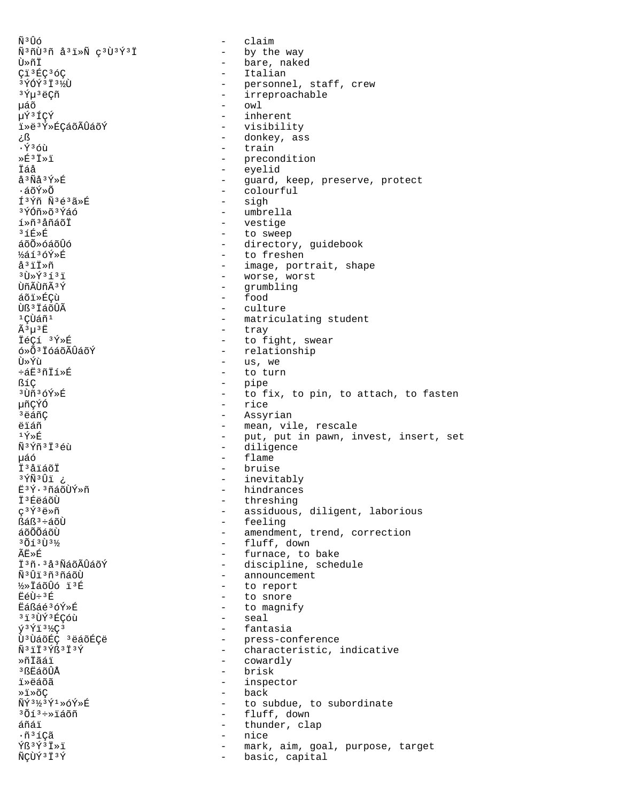$\tilde{N}^3 \hat{U}$ ố  $\alpha$ laim Ñ<sup>3</sup>ñÙ<sup>3</sup>ñ å<sup>3</sup>ï»Ñ ç<sup>3</sup>Ù<sup>3</sup>Ý<sup>3</sup>Ï - by the way - bare, naked Ù≫ñÏ - Italian Çï<sup>3</sup>ÉÇ<sup>3</sup>ÓÇ - personnel, staff, crew<br>- irreproachable 3 ÝÓÝ 3 Ï 31%Ù <sup>3</sup>ݵ<sup>3</sup>ëÇñ  $\text{owl}$ μáõ µÝ3ÍÇÝ - inherent - visibility iȑ3Ý»ÉÇáõÃÛáõÝ - donkey, ass £ ج  $\cdot$   $\acute{\mathrm{v}}$   $\mathrm{3}$   $\acute{\mathrm{c}}$   $\mathrm{h}$ - train  $\sqrt{F}$ <sup>3</sup> $\sqrt{r}$ - precondition - eyelid İáå å<sup>3</sup>Ñå<sup>3</sup>Ý»É - guard, keep, preserve, protect - colourful ∙áõÝ»õ Í3Ýñ Ñ3é3ã»É - sigh - umbrella <sup>3</sup>ÝÓñ»õªÝáó - vestige í»ñ<sup>3</sup>åñáõÏ - to sweep  $3f$   $\hat{E}$   $\gg$   $\hat{E}$ áõÕ»óáõÛó - directory, guidebook - to freshen ½áíªóÝ»É  $A^3$ i $\ddot{T}$ Ȗ - image, portrait, shape - worse, worst  $31x^{6}$   $\sqrt{353}$ - qrumbling บิกี มีบิกี มี <sup>3</sup> Y  $-$  food áõi»ÉCù - culture Ùß<sup>3</sup> IáõÛÃ  $1$ CÙáñ $1$ - matriculating student  $\tilde{A}^3 \mu^3 E$  $\frac{1}{2}$  . tray 쎂í 3Ý»É - to fight, swear - relationship ó»Õ<sup>3</sup> İóáõÃÛáõÝ Ù≫Ýù  $\sim$ us, we ևË3ñİí»É  $\sim$ to turn ßíç - pipe <sup>3</sup>Ùñ<sup>3</sup>óÝ»É  $\Delta \sim 10^{-11}$ to fix, to pin, to attach, to fasten 椀ÝÓ - rice <sup>3</sup>ëáñC - Assyrian **A**iáñ - mean, vile, rescale  $1\bar{Y}*\hat{E}$ - put, put in pawn, invest, insert, set - diligence Ñ<sup>3</sup>Ýñ<sup>3</sup>Ï<sup>3</sup>éù - flame μáó - bruise İ<sup>3</sup>åïáõÏ ¿ ïÜ<sup>3</sup>Ñ¥ - inevitably E3Ý·3ñáõÙÝ»ñ - hindrances İ<sup>3</sup>ÉeáõÙ - threshing  $\varphi$ <sup>3</sup>Ý<sup>3</sup>ë»ñ - assiduous, diligent, laborious - feeling ßáß<sup>3</sup>÷áõÙ áõÕõáõÙ - amendment, trend, correction  $301373$ - fluff, down  $\widetilde{A} \overline{F} \gg \widetilde{F}$ - furnace, to bake Ï3ñ·3å3ÑáõÃÛáõÝ - discipline, schedule - announcement Ñ<sup>3</sup>Ûï3ñ3ñáõÙ - to report ½»ÏáõÛó ï3É - to snore ËéÙ÷<sup>3</sup>É Eáßáé3óÝ»É - to magnify <sup>313</sup>ÙÝ<sup>3</sup>ÉÇÓù seal  $\sim$  $\hat{y}$ <sup>3</sup> $\hat{Y}$ <sup>13</sup> $\frac{1}{2}$ <sup>3</sup> - fantasia Ù<sup>3</sup> ÙáõÉÇ 3 ëáõÉÇë - press-conference - characteristic, indicative  $\tilde{N}$ <sup>3</sup> $i$ I<sup>3</sup> $\acute{Y}S$ <sup>3</sup>I<sup>3</sup> $\acute{Y}$ - cowardly ≫ñŤãáï <sup>3</sup> ßEิล์õÛÂ - brisk - inspector ï»ëáõã - back  $*1*6C$  $\tilde{\rm N}\tilde{\rm Y}$ <sup>31</sup>⁄<sub>2</sub><sup>3</sup> $\tilde{\rm Y}$ <sup>1</sup> >  $\tilde{\rm O}\tilde{\rm Y}$ >F - to subdue, to subordinate - fluff, down ªÕíª÷»ïáõñ thunder, clap áñáï  $\sim$  $\cdot$ ñ $31$ Çã nice  $\sim$  $\hat{Y}$ ß<sup>3</sup> $\hat{Y}$ <sup>3</sup> $\hat{I}$  » i mark, aim, goal, purpose, target  $\sim$ ÑÇÙÝ 3 Ï 3 Ý  $\sim$ basic, capital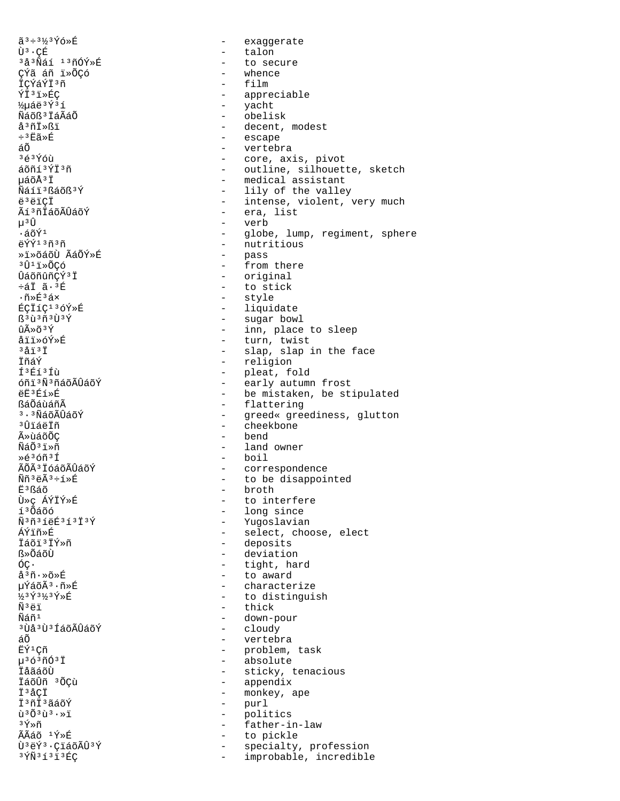ã 3÷3½3Ýó»É Ù<sup>3</sup>·CÉ <sup>3</sup>å<sup>3</sup>Ñáí <sup>13</sup>ñÓÝ»É çýã áñ ï»ÕÇó İÇÝáÝİ3ñ ÝÏ<sup>3</sup>ï»ÉC 1/2uáë 3Ý 31 Ñáõß<sup>3</sup> IáÃáÕ å<sup>3</sup>ñÏ»ßï ֻËã»É áõ  $363\overline{Y}$ ói áõñí 3ÝÏ 3ñ µáõÅ3Ï Ñáíï3ßáõß3Ý ë<sup>3</sup>ëïÇÏ Ãí<sup>3</sup>ñĪáõÃÛáõÝ µ<sup>3</sup>U  $\cdot$ áõÝ<sup>1</sup> ëÝÝ<sup>13</sup>ñ3ñ »i»õáõÙ ÃáÕÝ»É <sup>3</sup>Û<sup>1</sup>ï≫ÕCó ÛáõñûñCÝ<sup>3</sup>Ï  $\div$ ái  $\tilde{a} \cdot {}^{3}E$  $\cdot$ ñ»É $^3$ áx ÉCÏíC<sup>13</sup>óÝ»É  $\mathbb{S}^3\tilde{\mathfrak{u}}^3\tilde{\mathfrak{n}}^3\tilde{\mathfrak{V}}^3\tilde{\mathfrak{Y}}$ ûûõ<sup>3</sup>Ý åïï»óÝ»É  $3a131$ ÏñáÝ Í<sup>3</sup>Éí<sup>3</sup>Íù óñi 3Ñ 3ñáõÃÛáõÝ  $\rho$  $F^3$  $f^5$  $\triangleright$  $f$ ßáÕáùáñÃ  $3.3$ ÑáõÃÎláõÝ ານີ້ເລ້າຕັ **ûùáõÕC** ÑáÕªï»ñ Ȏ3óñ3Í ÃÕÃ<sup>3</sup> İóáõÃÛáõÝ  $\tilde{N}\tilde{n}$ <sup>3</sup> $\ddot{e}\tilde{A}$ <sup>3</sup> $\div$ í $\ast$ É Ë<sup>3</sup>ßáõ Ù»ç ÁÝÏÝ»É í<sup>3</sup>Õáõó Ñ3ñ3íëÉ3í3Ï3Ý ÁÝïñ≫É ⊺ืล์oï 'IÝ»ñ ß»ÕáõÙ óс.  $a^3\tilde{n} \cdot \tilde{\gg} \tilde{E}$ µÝáõÃ3 · ñ»É ½3Ý3½3Ý≫É Ñ<sup>3</sup>ëï Ñáñ<sup>1</sup> <sup>3</sup> Ùå 3 Ù 3 Í á õ Ã Û á õ Ý áÕ ËÝ<sup>1</sup>Çñ  $\mu$ <sup>3</sup> ó<sup>3</sup> $\tilde{\text{m}}$ Ó<sup>3</sup> Ï İåãáõÙ İáõÛñ 3ÕCù İ<sup>3</sup>åCİ İ<sup>3</sup>ñİ<sup>3</sup>ãáõÝ  $\tilde{u}$ <sup>3</sup> $\tilde{O}$ <sup>3</sup> $\tilde{u}$ <sup>3</sup> $\cdot$ <sup>2</sup> 3Ý≫ñ ÃÃáõ <sup>1</sup>Ý»É Ù<sup>3</sup>ëÝ<sup>3</sup>·ÇïáõÃÛ<sup>3</sup>Ý  $3\,\tilde{Y}\tilde{N}$  $3\,\tilde{1}$  $3\,\tilde{1}$  $3\,\tilde{E}$ C

 $\sim$ exaqqerate - talon - to secure whence film - appreciable - yacht - obelisk - decent, modest - escape - vertebra - core, axis, pivot - outline, silhouette, sketch - medical assistant - lily of the valley - intense, violent, very much - era, list - verb - globe, lump, regiment, sphere - nutritious - pass - from there - original - to stick - style - liquidate - sugar bowl - inn, place to sleep - turn, twist - slap, slap in the face - religion - pleat, fold  $\omega_{\rm{max}}$ early autumn frost - be mistaken, be stipulated - flattering - greed« greediness, glutton - cheekbone - bend - land owner - boil - correspondence - to be disappointed - broth - to interfere - long since - Yugoslavian - select, choose, elect - deposits - deviation - tight, hard - to award - characterize - to distinguish - thick - down-pour - cloudy - vertebra - problem, task - absolute - sticky, tenacious - appendix - monkey, ape - purl  $\sim$   $$ politics - father-in-law - to pickle  $\frac{1}{2}$  and  $\frac{1}{2}$ specialty, profession  $\sim$ improbable, incredible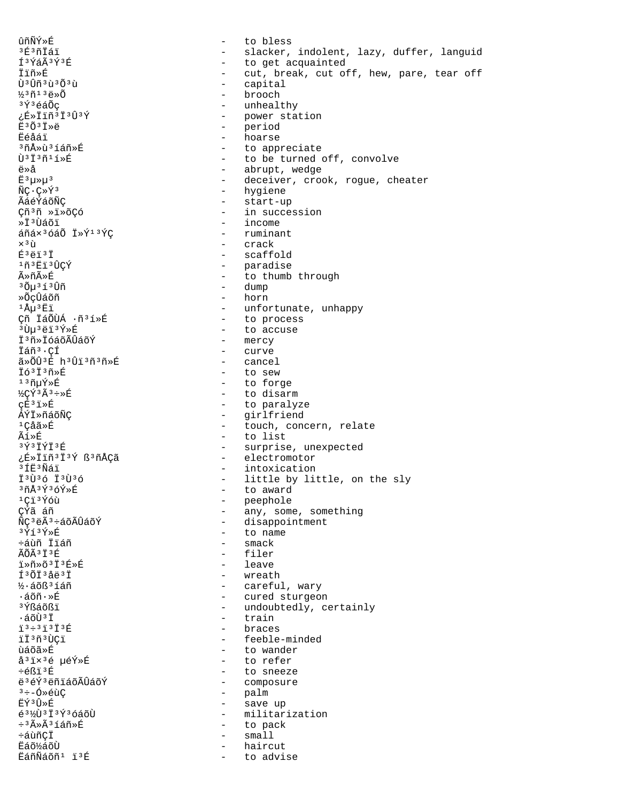ûñÑÝ»É to bless  $\sim$ <sup>3</sup>É<sup>3</sup>ñÏáï - slacker, indolent, lazy, duffer, languid Í3ÝáÃ3Ý3É - to get acquainted - cut, break, cut off, hew, pare, tear off İïñ»É Ù<sup>3</sup>Ûñ<sup>3</sup>ù<sup>3</sup>Õ<sup>3</sup>ù  $\sim$ capital  $\frac{1}{2}$ <sup>3</sup> $\tilde{n}$ <sup>13</sup> $\ddot{e}$ <sup>> $\tilde{0}$ </sup> brooch <sup>3</sup>Ý<sup>3</sup>éáÕç - unhealthy γε<sup>5</sup>εΙμης - power station - period  $E^3$ Õ $3$ Iȑ - hoarse Ëéåáï <sup>3</sup>กี∆ิ่≫บิ<sup>3</sup> โล์กี≫นิ่ - to appreciate  $\tilde{\Pi}$ <sup>3 $\tilde{\Pi}$ 3 $\tilde{\Pi}$ 3 $\tilde{\Pi}$ 11 $\tilde{\Pi}$ </sup> - to be turned off, convolve ë»å - abrupt, wedge  $E^3\mu\nu\mu^3$ - deceiver, crook, rogue, cheater - hygiene  $\tilde{N}C\cdot C\gg\tilde{Y}^3$ - start-up ÃáéÝáõÑÇ Çñ<sup>3</sup>ñ »ï»õÇó - in succession - income ≫ϪÙáõï áñáx3óáÕ Ï»Ý13ÝÇ  $-$  ruminant - crack  $\times$ <sup>3</sup> ù - scaffold  $E^3$ ëï $^3$ Ï <sup>1</sup>ñ3Ëï3ÛCÝ - paradise - to thumb through ûñûÉ - dump 3 ()ัน <sup>3</sup> 1 <sup>3</sup> นิที »ÕcÛáõñ - horn  $1\text{\AA}\mu$  $3\text{\AA}\ddot{1}$ - unfortunate, unhappy Çñ ÏáÕÙÁ ·ñ3í»É - to process - to accuse <sup>3</sup>Ùµ<sup>3</sup>ëï<sup>3</sup>Ý»É - mercy Ï3ñ»ÏóáõÃÛáõÝ - curve Ïáñ<sup>3</sup>·ÇÍ ã»ÕÛ3É h3Ûï3ñ3ñ»É - cancel Ió<sup>3</sup>I<sup>3</sup>ñ»É - to sew  $13$ ñuÝ»É - to forge - to disarm ½ÇÝ3Ã3÷»É - to paralyze CÉ<sup>3</sup>i≫É - girlfriend ÁÝÏ»ñáõÑC  $1$ Cả $\tilde{a} \times \tilde{E}$ - touch, concern, relate ̒ȃ - to list 3Ý3ÏÝÏ3É - surprise, unexpected - electromotor ¿É»Ïïñ<sup>3</sup>Ï<sup>3</sup>Ý ß<sup>3</sup>ñÅÇã  $3fE3N61$ - intoxication - little by little, on the sly I3Ù36 I3Ù36  $3 \tilde{n} \AA 3 \tilde{Y} 3 \tilde{O} \tilde{Y} \Phi \tilde{E}$ - to award  $1C13Y60$ - peephole - any, some, something ¢ŕã áñ - disappointment ÑÇ<sup>3</sup>ëÃ<sup>3</sup>÷áõÃÛáõÝ - to name 3Ýí3Ý≫É  $-$  smack ÷ล์บิกี ⊺ัันล์กี ÃÕÃ 3 Ť 3 É  $-$  filer iȖ»õ<sup>3</sup>i3É»É - leave Í3ÕÏ3åë3Ï - wreath - careful, wary ½·áõß<sup>3</sup>íáñ - cured sturgeon ∙áõñ∙»É <sup>3</sup>Ýßáõßï - undoubtedly, certainly ∙áõÙªÏ - train - braces  $73 - 373737$ ïÏ3ñ3ÙCï - feeble-minded - to wander ùáõã»É - to refer å<sup>3</sup>ix<sup>3</sup>é µéÝ»É ֎ßï<sup>3</sup>É - to sneeze - composure ë<sup>3</sup>éÝ<sup>3</sup>ëñiáõÃÛáõÝ - palm  $3 \div -6 \times 6$ ùC - save up ËݪÛ≫É - militarization é<sup>31</sup><sub>2</sub>Ù<sup>3</sup>Ï<sup>3</sup>Ý<sup>3</sup>óáõÙ ֻûêíáñ»É  $\sim$  100  $\mu$ to pack ևùñÇÏ  $small1$  $\sim$ Ëáõ½áõÙ haircut EáñÑáõñ<sup>1</sup> ï<sup>3</sup>É to advise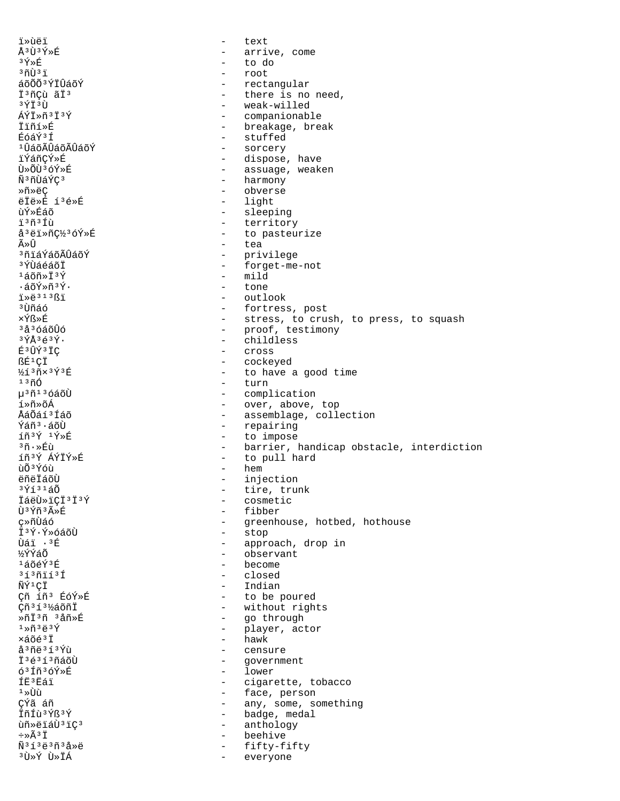*i*»ùëï  $\sim$ text Å3Ù3Ý»É - arrive, come  $3\,\textcolor{red}{\tilde{\text{Y}}}\!\!\times\!\!\hat{\text{E}}$ - to do  $30031$ root áõÕÕ<sup>3</sup>ÝÏÛáõÝ - rectangular - there is no need, İ<sup>3</sup>ñÇù ãÏ<sup>3</sup> - weak-willed 3ÝÏ3Ù ÁÝI»ñ3İ3Ý - companionable - breakage, break ⊺ืiñí≫É - stuffed EóáÝ3f <sup>1</sup>ÛáõÃÛáõÃÛáõÝ - sorcery ïÝáñCÝ»É - dispose, have Ù»ÕÙ3óÝ»É - assuage, weaken - harmony Ñ<sup>3</sup>ñÙáÝÇ<sup>3</sup> - obverse ≫ñ»ëC ëÏë»É í3é»É - light - sleeping ùÝ≫Éáõ - territory ï3ñ3Íù å<sup>3</sup>ëï»ñǽ3óÝ»É - to pasteurize - tea ûÛ - privilege <sup>3</sup>ñiáÝáõÃÛáõÝ - forget-me-not <sup>3</sup>ÝÙáéáõŤ  $-$  mild  $1505 \times 737$  $.5$  $\tilde{\gamma}$  $\tilde{\gamma}$  $\tilde{\gamma}$  $\tilde{\gamma}$ .  $-$  tone  $1*8:31381$ - outlook <sup>3</sup>Ùñáó - fortress, post ×Ýß≫É - stress, to crush, to press, to squash <sup>3</sup>å<sup>3</sup>óáõÛó - proof, testimony - childless  $3\overline{Y}$ Å $363\overline{Y}$ . É<sup>3</sup>ÛÝ<sup>3</sup>ÏÇ cross  $\sim$ ßÉ<sup>1</sup>ÇÏ - cockeyed  $\frac{1}{2}$ í $\frac{3}{1}$ x $\frac{3}{1}$ ý $\frac{3}{1}$ É - to have a good time  $-$  turn  $1300$ µ<sup>3</sup>ñ<sup>13</sup>óáõÙ - complication - over, above, top í»ñ»õÁ - assemblage, collection ÅáÕáí3Íáõ - repairing  $\tilde{Y}$ ล์ก็ $\tilde{3} \cdot \tilde{4}$ ก็ไ  $\tilde{1}\tilde{n}^3\tilde{Y}$   $\tilde{1}\tilde{Y}\$ - to impose  $3\tilde{n} \cdot \mathbb{R}$ ù - barrier, handicap obstacle, interdiction - to pull hard íñ3Ý ÁÝÏÝ»É  $-$  hem ùÕ<sup>3</sup>Ýóù ëñëÏáõÙ - injection  $3\acute{q}$ í $31\acute{a}\tilde{0}$ - tire, trunk İáëÙ»ïÇÏ<sup>3</sup>Ï<sup>3</sup>Ý - cosmetic - fibber Ù3Ýñ3ûÉ ç»ñÙáó - greenhouse, hotbed, hothouse - stop Ï<sup>3</sup>Ý·Ý»óáõÙ - approach, drop in บิล*์* : <sup>3 ค</sup> ¥ิ¥ิ¥ล์∩ั - observant  $1406f$ - become  $31371131$ - closed  $-$  Indian ÑݪÇÏ - to be poured Çñ íñ<sup>3</sup> ÉóÝ»É Çñ<sup>313</sup>½áõñÏ - without rights ȖÏ3ñ 3åñ»É - go through  $1\times\widetilde{n}$   $3\overset{..}{\in}$   $3\overset{..}{Y}$ - player, actor - hawk xáõé<sup>3</sup>Ï å<sup>3</sup>ñë<sup>313</sup>Ýù - censure - government ϪéªíªñáõÙ - lower  $63f$ ñ $36$ Ý» $f$ **TR3RAT** - cigarette, tobacco - face, person  $1 \times 1$ CÝã áñ - any, some, something - badge, medal ÏñÍù3Ýß3Ý - anthology ùñ»ëïáÙ3ïÇ3  $\div \times \widetilde{A}^3 \ddot{1}$ beehive  $\sim$  $\tilde{\rm N}^3$ í 3 ë 3 ñ 3 å » ë fifty-fifty  $\sim$ ÀĬ«Ú»Ý Ú»  $\sim$ everyone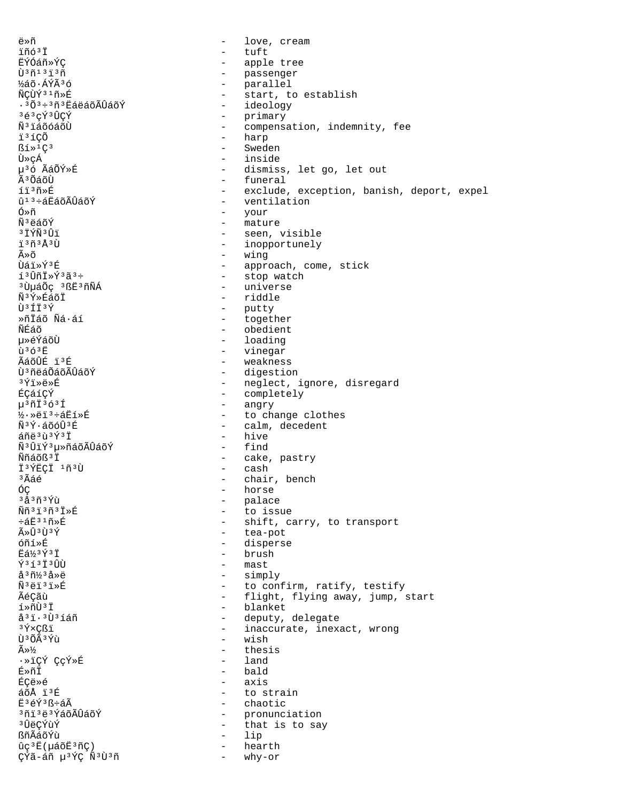ื่⇔กั love, cream  $\overline{a}$ ïñó<sup>3</sup>Ï tuft  $\overline{a}$ **ËÝÓáñ**»ÝC apple tree  $\sim$  $\tilde{U}$ <sup>3 $\tilde{n}$ 13 $\tilde{1}$ 3 $\tilde{n}$ </sup> - passenger ½áõ·ÁÝÃ3ó  $\sim$   $$ parallel ÑCÙÝ<sup>31</sup>ñ»É  $\sim$   $$ start, to establish - ideology  $\cdot$  3 $\tilde{O}$ 3÷3ñ3 $\tilde{E}$ áëáõÃÛáõÝ 3é3çÝ3ÛÇÝ - primary Ñ<sup>3</sup>iáõóáõÙ  $\sim$ compensation, indemnity, fee - harp ï<sup>3</sup>íCÕ  $R1*1C3$ - Sweden Ù»cÁ - inside u<sup>3</sup>ó ÃáÕÝ»É - dismiss, let go, let out  $\tilde{A}$ <sup>3</sup> $\tilde{O}$ á $\tilde{O}$ Ù - funeral - exclude, exception, banish, deport, expel íï3ñ»É û<sup>13</sup>÷áËáõÃÛáõÝ  $\sim$ ventilation Ó≫ñ  $\sim$  10  $\,$ your - mature Ñ<sup>3</sup>ëáõÝ <sup>3</sup>ÏÝÑ<sup>3</sup>Ûï - seen, visible ï<sup>3</sup>ñ<sup>3</sup>Å<sup>3</sup>Ù - inopportunely ûõ - wing  $\hat{U}$ ล์ $\hat{i} * \hat{Y}$  $\hat{E}$ - approach, come, stick - stop watch  $130nI*Y3a3+$ <sup>3</sup>UuáÕc <sup>3</sup>BË<sup>3</sup>ñÑÁ - universe - riddle ѪÝ»ÉáõÏ - putty Ù3ÍÏ3Ý ȖÏáõ Ñá·áí  $\omega_{\rm{max}}$ together  $\omega_{\rm{max}}$ ÑÉáõ obedient 毂ÝáõÙ  $\equiv$ loading  $\tilde{u}$ <sup>3</sup> $6$ <sup>3</sup> $\tilde{E}$  $\sim$ vinegar ÃáõÛÉ ï3É  $\overline{a}$ weakness Ù<sup>3</sup>ñëáÕáõÃÛáõÝ - digestion <sup>3</sup>Ýï≫ë»É - neglect, ignore, disregard - completely ÉCáíCÝ  $\mu$ <sup>3</sup> $\tilde{\text{1}}$ <sup>3</sup> $\tilde{\text{0}}$ <sup>3 $\tilde{\text{1}}$ </sup> - angry  $\frac{1}{2}$   $\cdot$   $\times$   $e^{i3}$   $\cdot$   $\frac{1}{2}$   $\frac{1}{2}$   $\frac{1}{2}$   $\frac{1}{2}$ - to change clothes  $\tilde{N}$ <sup>3 $\tilde{V}$ . ล์กัด์นิ $3\tilde{E}$ </sup> - calm, decedent  $\tilde{a}$ ñë $3\tilde{u}$  $3\tilde{Y}$  $3\tilde{T}$ - hive - find Ñ<sup>3</sup>ÛïÝ<sup>3</sup>µ»ñáõÃÛáõÝ - cake, pastry Ññáõß 3 Ï Ï<sup>3</sup>ÝËÇÏ 1ñ3Ù - cash  $^3\tilde{\rm A}$ áé - chair, bench ÓÇ horse  $\overline{a}$ <sup>3</sup>å<sup>3</sup>ñ<sup>3</sup>Ýù  $\sim$ palace Ññ<sup>3</sup>i<sup>3</sup>ñ<sup>3</sup>i»É  $\frac{1}{2}$  and  $\frac{1}{2}$ to issue - shift, carry, to transport  $\div$ áË $31$ ñ»É  $\tilde{A} \times \hat{U}$ 3 $\tilde{U}$ 3 $\tilde{Y}$ - tea-pot - disperse ก์กั1» F **FA** 3 Y 3 T - brush - mast  $\tilde{Y}$ <sup>3</sup> $\tilde{1}$ <sup>3</sup> $\hat{U}$ å<sup>3</sup>ñ½3å»ë  $\Delta \sim 10^4$ simply Ñ<sup>3</sup>ëï<sup>3</sup>ï»É to confirm, ratify, testify  $\sim$ flight, flying away, jump, start ÃéÇãù  $\sim$ í»ñÙ<sup>3</sup>Ï blanket  $\sim$ å<sup>3</sup>i·<sup>3</sup>Ù<sup>3</sup>íáñ deputy, delegate  $\sim$ 3 Ý×Çßï inaccurate, inexact, wrong  $\sim$ Ù<sup>3</sup>ÕÃ3Ýù  $\equiv$ wish  $\equiv$  $\widetilde{A} \gg \frac{1}{2}$ thesis  $-$  land ·»iÇÝ ÇçÝ»É É≫ñÏ - bald - axis **ÉCA»Á**  $50<sup>2</sup>$   $5<sup>3</sup>$   $F$ - to strain E3éÝ3ß÷áÃ - chaotic <sup>3</sup>ñï ªë ªÝáõÃÛáõÝ  $\sim$ pronunciation **3** ÛëÇÝùÝ  $\sim$ that is to say ßñÃáõÝù lip  $\sim$ ûç<sup>3</sup>Ë(µáõË<sup>3</sup>ñÇ) hearth ÇÝã-áñ µ<sup>3</sup>ÝÇ Ñ<sup>3</sup>Ù<sup>3</sup>ñ  $\overline{a}$ why-or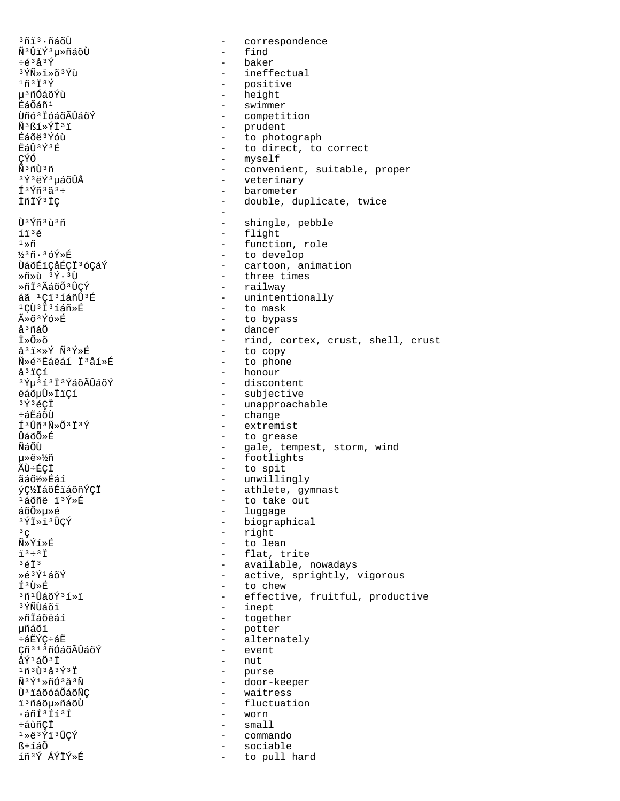<sup>3</sup>ñi<sup>3</sup>·ñáõÙ correspondence  $\sim$ - find Ñ<sup>3</sup>ÛïÝ<sup>3</sup>µ»ñáõÙ  $\div 633\hat{Y}$ - baker 3 *ÝÑ*ȕ»õ<sup>3</sup>Ýù - ineffectual  $1$ ñ $3$ Ï $3$ Ý - positive - height µ<sup>3</sup>ñÓáõÝù - swimmer ÉáÕáñ<sup>1</sup> Ùñó<sup>3</sup> IóáõÃÛáõÝ - competition - prudent Ñ3ßí»ÝÏ3ï - to photograph Éáõë 3 Ýóù **ËáÛ**3Ý3Ŕ - to direct, to correct - myself CÝÓ <u> Ñ 3 ñ Ù 3 ñ</u> - convenient, suitable, proper <sup>3</sup>Ý3ëÝ3µáõÛÅ  $\omega_{\rm{max}}$ veterinary f<sup>3</sup>Ýñ<sup>3</sup>ã<sup>3</sup>÷ - barometer ÏñÏÝ<sup>3</sup>ÏÇ - double, duplicate, twice  $\sim$ Ù<sup>3</sup>Ýñ<sup>3</sup>ù<sup>3</sup>ñ  $\sim$ shingle, pebble - flight íï<sup>3</sup>é  $1\!\!\times\!\!\tilde{\mathrm{n}}$ - function, role - to develop  $33\tilde{n} \cdot 36\tilde{Y}$ ȃ - cartoon, animation ÙáõÉiÇåÉÇİ<sup>3</sup>óÇáÝ - three times  $\gg$ ñ $\gg$ ù  $\frac{3 \times 3}{1}$ Ȗİ3ÃáõÕ3ÛCÝ - railway - unintentionally áã <sup>1</sup>Ci<sup>3</sup>íáñÛ<sup>3</sup>É <sup>1</sup>CÙ<sup>3</sup>İ<sup>3</sup>íáñ»É - to mask ûõ3Ýó»É - to bypass - dancer å<sup>3</sup>ñáÕ Ï≫Õ≫õ - rind, cortex, crust, shell, crust - to copy å<sup>3</sup>i×»Ý Ñ<sup>3</sup>Ý»É - to phone Ñ»é'Ëáëáí Ï'åí»É å<sup>3</sup>ïCí - honour <sup>3</sup>ݵ<sup>3</sup>í<sup>3</sup>Ť<sup>3</sup>ÝáõÃÛáõÝ - discontent - subjective ëáõµÛ»ÏïÇí - unapproachable  $3\acute{Y}$  $3\acute{e}$ CÏ - change ÷ล์#ัล์กับ  $f3f\H3\tilde{N}\$ - extremist บิล์õÕ»É - to grease - gale, tempest, storm, wind<br>- footlights ÑáÕÙ 毉»½ñ - to spit ÃÙ÷ÉÇİ - unwillingly ãáõ½»Éáí - athlete, gymnast ýç½ÏáõÉïáõñÝçÏ - to take out <sup>1</sup>áõñë ï<sup>3</sup>Ý»É - luggage áõÕ»µ»é - biographical 3ÝÏ»ï3ÛÇÝ - right  $3^{\circ}$ Ñ»Ýí»É - to lean - flat, trite  $73 \div 37$  $3613$ - available, nowadays Ȏ3Ý1áõÝ - active, sprightly, vigorous - to chew ͪÙ»É 3ñ1ÛáõÝ3í»ï - effective, fruitful, productive <sup>3</sup>ÝÑÙáõï - inept - together ȖÏáõëáí - potter 椠õï - alternately ևĖÝÇ÷áĖ - event Çñ<sup>313</sup>ñÓáõÃÛáõÝ  $-$  nut åÝ<sup>1</sup>áÕ<sup>3</sup>Ï  $1 9 3 1 3 4 3 4 3 7 3 1$ - purse  $\tilde{N}$ <sup>3 $\tilde{Y}$ 1 $\ast$ ñ ( $\tilde{3}$ 4 $\tilde{3}$ </sup> - door-keeper - waitress Ù<sup>3</sup> LáõóáÕáõÑC i<sup>3</sup>ñáõu»ñáõÙ - fluctuation .áñͪÍíªÍ - worn ևùñÇÏ  $-$  small 1ȑ3Ýï3ÛÇÝ - commando ß÷íáÕ - sociable íñ3Ý ÁÝÏÝ»É to pull hard  $\sim$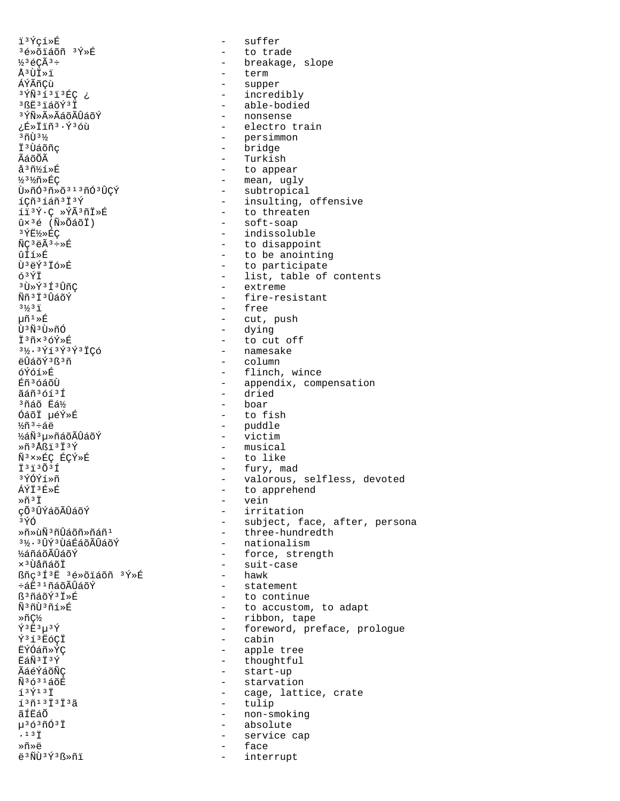ï3Ýcí»É 3é»õiáõñ 3Ý»É  $\frac{1}{2}$ <sup>3</sup> éCÃ<sup>3</sup> ÷ Å3ÙÏ»ï ÁÝÃñÇù 3 YÑ 3 1 3 1 3 EÇ ¿ <sup>3</sup>ßE<sup>3</sup>iáõÝ<sup>3</sup>I 3 ÝѻûÃáõÃÛáõÝ ¿É»Ïïñ3·Ý3óù  $303\%$ İ<sup>3</sup>Ùáõñc ÃáõÕÃ  $a^3$ ñ $3$ í $\ast$ É ½3½ñ»ÉÇ Ù»ñÓ3ñ»õ313ñÓ3ÛÇÝ íÇñ<sup>3</sup>íáñ<sup>3</sup>Ï<sup>3</sup>Ý íï<sup>3</sup>Ý·Ç »ÝÃ<sup>3</sup>ñÏ»É  $\hat{u}\times$ <sup>3</sup>é (Ñ»ÕáõÏ) 3 YE½ > ÉÇ  $\widetilde{N}C^3$ ë $\widetilde{A}^3 \div \triangleright \acute{E}$ ûÍí≫É Ù3ëÝ3Ïó»É  $63\overline{Y}$  $3\tilde{1} \times \tilde{1} \times 3 \tilde{1} \cdot \tilde{1} \cdot \tilde{1} \cdot \tilde{1} \cdot \tilde{1}$ Ññ<sup>3</sup>Ï<sup>3</sup>ÛáõÝ  $3\frac{1}{3}$   $\frac{1}{1}$  $\mu \tilde{n}^{\, 1} \! \ast \! \tilde{E}$ Ù<sup>3</sup>Ñ<sup>3</sup>Ù»ñÓ İ3ñx3óÝ»É  $3\frac{1}{2}$ .  $3\frac{1}{1}3\frac{1}{2}3\frac{1}{1}3\frac{1}{1}$ CÓ ëÛáõÝ3ß3ñ **6Ý6í »fi Eิก**ั<sup>3</sup> ด์ล์ดีน้ ãáñ<sup>3</sup>óí<sup>3</sup>Í 3ñáõ Ëá½ ÓáõÏ µéÝ»É  $\frac{1}{6}$ ก็  $\frac{3}{6}$  ÷ ลึ ค ½áÑ3u≫ñáõÃÛáõÝ  $*\tilde{n}$   $3$ Åßï  $3$ Ï $3$ Ý Ñ<sup>3</sup>×»ÉÇ ÉÇÝ»É  $\ddot{1}$   $3\ddot{1}$   $3\ddot{0}$   $3\ddot{1}$ 3ÝÓÝí»ñ ÁÝÏ<sup>3</sup>É»É Ȗ3Ï çõ<sup>3</sup>ÛÝáõÃÛáõÝ 3ÝÓ Ȗ»ùѪñÛáõñ»ñáñª 3½·3ÛÝ3ÙáÉáõÃÛáõÝ **1⁄อ์ก็ล์ก็มีบิล์กีฬ์**  $\times$  $3$ ŨåñáõÏ ßñç<sup>3</sup>Í<sup>3</sup>Ë 3é»õïáõñ 3Ý»É և˪iñáõÃÛáõÝ ß<sup>3</sup>ñáõÝ<sup>3</sup>Ï»É Ñ3ñÙ3ñí»É Ȗǽ  $\tilde{Y}$ <sup>3</sup> $E$ <sup>3</sup> $\mu$ <sup>3</sup> $\tilde{Y}$ Ý3í3E6CI ĖÝÓáñ»ÝC 臄3Ï3Ý ÃáéÝáõÑC  $\widetilde{N}$ 3631 $\n 5$ õE  $139137$  $1371313137$ ãÍËáÕ µ363ñÓ3Ï  $.13$   $\ddot{1}$ Ȗ»ë ë<sup>3</sup>ÑÙ<sup>3</sup>Ý<sup>3</sup>ß»ñï

suffer  $\sim$ - to trade - breakage, slope term - supper - incredibly - able-bodied - nonsense - electro train - persimmon - bridge - Turkish - to appear - mean, ugly - subtropical - insulting, offensive - to threaten - soft-soap - indissoluble - to disappoint - to be anointing - to participate - list, table of contents - extreme - fire-resistant - free - cut, push - dying - to cut off - namesake - column - flinch, wince - appendix, compensation - dried - boar - to fish - puddle - victim - musical - to like - fury, mad - valorous, selfless, devoted - to apprehend - vein - irritation - subject, face, after, persona - three-hundredth - nationalism - force, strength - suit-case - hawk - statement - to continue - to accustom, to adapt - ribbon, tape - foreword, preface, prologue - cabin - apple tree - thoughtful - start-up - starvation - cage, lattice, crate - tulip - non-smoking - absolute  $\sim$ service cap face

interrupt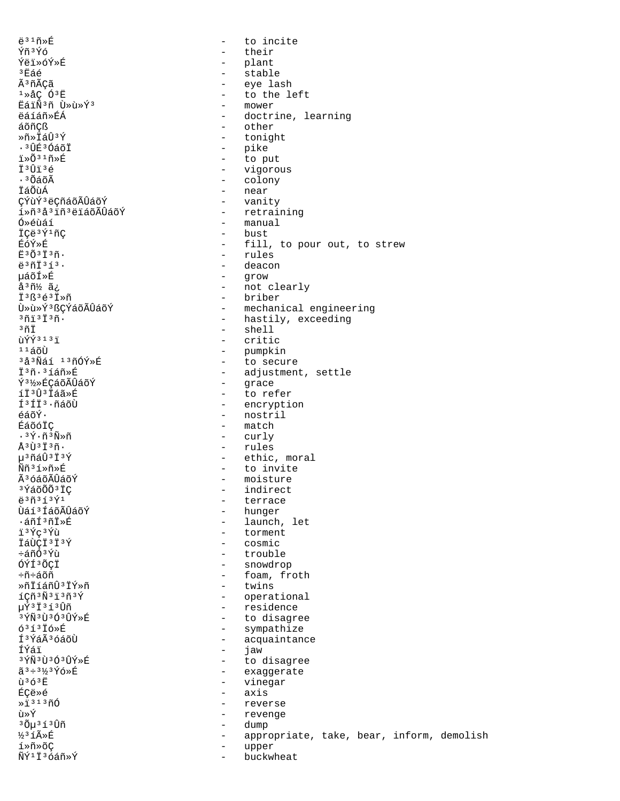$\ddot{e}$ <sup>31 $\tilde{n}$ ȃ</sup> Ýñ<sup>3</sup>Ýó Ýëï»óÝ»É  $^3E$ áé Ã<sup>3</sup>ñÃCã  $1 \times AC$  0<sup>3</sup>E EáiÑ3ñ Ù»ù»Ý3 ëáíáñ»ÉÁ áõñCß Ȗ»İáÛ3Ý  $.3$  $\hat{H}$  $\hat{H}$  $3$  $\hat{O}$  $\hat{A}$  $\hat{O}$  $\hat{T}$  $1 \times 0316 \times F$ İ<sup>3</sup>Ûï3é  $\cdot$  3  $\tilde{O}$ á $\tilde{O}$ Ã ÏáÕùÁ ÇÝùÝ<sup>3</sup>ëÇñáõÃÛáõÝ í»ñ<sup>3</sup>å<sup>3</sup>iñ<sup>3</sup>ëiáõÃÛáõÝ Ó»éùáí İCë<sup>3</sup>Ý<sup>1</sup>ñC ÉóÝ»É  $F303736$ ë<sup>3</sup>ñÏ<sup>3</sup>í<sup>3</sup>. uáõÍ»É  $\frac{1}{4}$  $\frac{3}{1}\frac{1}{2}$   $\frac{3}{4}$ ;  $I^3R^36^3I^*\overline{n}$ Ù»ù»Ý3 ßCÝáõÃÛáõÝ  $301313n$ .  $3\,\tilde{\mathrm{nl}}$ ùÝÝ<sup>313</sup>ï  $1140$ <sup>3</sup>å<sup>3</sup>Ñáí <sup>13</sup>ñÓÝ»É I<sup>3</sup>ñ·<sup>3</sup>íáñ»É Ý3½»ÉCáõÃÛáõÝ íÏ3Û3Ïáã»É f 3 f t 3 . ñáõÙ  $A\tilde{A} \tilde{\alpha} \tilde{V}$ . ÉáõóÏC  $\cdot$   $\sqrt[3]{7} \cdot \widetilde{1}$   $\sqrt[3]{8} \times \widetilde{1}$  $\mathring{A}$ <sup>3</sup> $\mathring{U}$ <sup>3 $\mathring{I}$ 3 $\mathring{\mathrm{n}}$ .</sup> µ3ñáÛ3Ï3Ý Ññ3í»ñ»É Ã<sup>3</sup>óáõÃÛáõÝ <sup>3</sup>ÝáõÕÕ<sup>3</sup>ÏC  $e^{3}\tilde{n}^{3}$ 13 $\tilde{Y}^{1}$ Ùáí 3 ÍáõÃÛáõÝ ∙áñͪñÏ≫É ï3Ýc3Ýù ÏáÙCÏ<sup>3</sup>Ï<sup>3</sup>Ý ÷ล์กี∩์<sup>3</sup>Yิบั ÓÝͪÕCÏ ֖÷áõñ ȖÏíáñÛªÏÝ»ñ íÇñ<sup>3</sup>Ñ<sup>3</sup>ï<sup>3</sup>ñ<sup>3</sup>Ý µÝ3Ï3í3Ûñ 3 ÝÑ 3 Ù 3 Ó 3 ÛÝ »É  $631316$ ȃ Í<sup>3</sup>ÝáÃ<sup>3</sup>óáõÙ ÍÝáï 3ÝÑ3Ù3Ó3ÛÝ»É  $\tilde{a}^3 \div 3\frac{1}{3} \tilde{Y} 6 \times \tilde{E}$  $\mathbf{\hat{n}}$   $363\mathbf{\hat{E}}$ **ÉCA»A**  $\frac{1}{2}$ <sup>313</sup> $\tilde{n}$ 0 ù»Ý <sup>3</sup>Õµ<sup>3</sup>í3Ûñ ½3íûÉ í»ñ»õC ÑÝ<sup>1</sup>İ<sup>3</sup>óáñ»Ý

 $\Delta$ to incite  $\equiv$ their - plant - stable - eye lash - to the left - mower - doctrine, learning - other - tonight - pike - to put - vigorous - colony - near - vanity - retraining - manual - bust - fill, to pour out, to strew - rules - deacon - grow - not clearly - briber - mechanical engineering - hastily, exceeding - shell - critic - pumpkin - to secure - adjustment, settle - grace - to refer - encryption - nostril  $-$  match - curly - rules - ethic, moral - to invite - moisture - indirect - terrace - hunger - launch, let - torment - cosmic - trouble - snowdrop - foam, froth - twins - operational - residence - to disagree - sympathize - acquaintance  $\sim$ jaw - to disagree - exaggerate - vinegar - axis - reverse - revenge - dump appropriate, take, bear, inform, demolish  $\sim$ upper

 $\sim$ 

buckwheat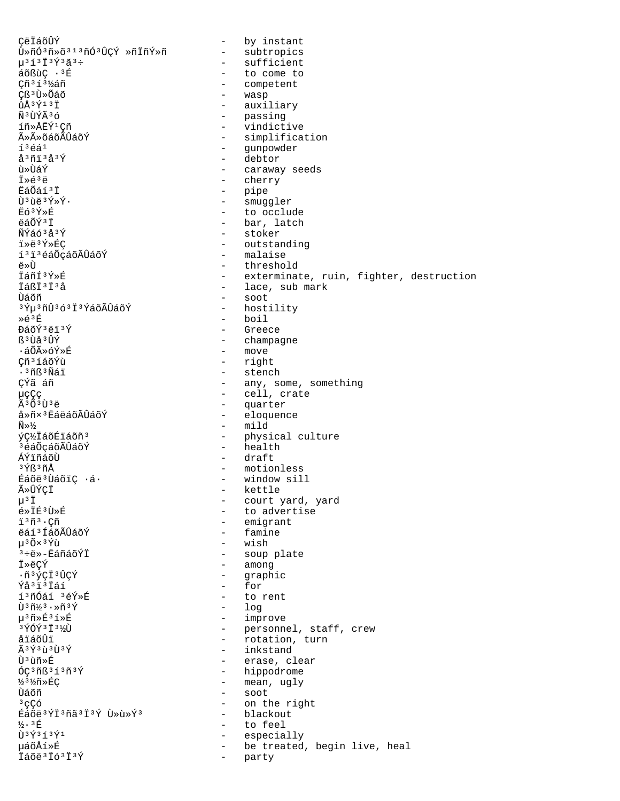CëÏáõÛÝ - by instant - subtropics Ù»ñÓªñ»õªıªñÓªÛÇÝ »ñÏñÝ»ñ  $\mu$ <sup>313</sup> 13 $\acute{Y}$ <sup>3</sup> $\tilde{a}$ <sup>3</sup> + - sufficient - to come to áõßùÇ ·<sup>3</sup>É Çñ<sup>313</sup>½áñ - competent Cß<sup>3</sup>Ù»Õáõ - wasp - auxiliary  $\hat{u}$ Å $3$ Ý $1$  $3$ Ï - passing Ñ<sup>3</sup>ÙÝÃ36 - vindictive íñ»ÅËÝ<sup>1</sup>Cñ - simplification ûûõáõÃÛáõÝ  $13641$ - qunpowder - debtor  $A3013A30$ นิ≫เปิล์ิ¥์ - caraway seeds  $\ddot{I} * \acute{e}^3 \ddot{e}$ - cherry - pipe<br>- smuggler EáÕáí3Ï Ù3ùë3Ý»Ý. - to occlude Ëó3Ý»É - bar, latch ëáÕÝ<sup>3</sup>Ï - stoker ÑÝáó 3 å 3 Ý - outstanding ï»ë3Ý»ÉC - malaise í<sup>3</sup>i<sup>3</sup>éáŐçáõÃÛáõÝ ِ آ⊼م - threshold Táñf3Ý»É - exterminate, ruin, fighter, destruction - lace, sub mark TÁRT3T3Å - soot ปัล์ดัที <sup>3</sup>Ýu<sup>3</sup>ñÛ<sup>3</sup>ó<sup>3</sup>Ï<sup>3</sup>ÝáõÃÛáõÝ - hostility Ȏ3É - boil - Greece ĐáõÝ 3ëï 3Ý - champagne ß<sup>3</sup>Ùå<sup>3</sup>ÛÝ - move ∙áÕÃ≫óÝ≫É Çñ<sup>3</sup>íáõÝù - right - stench .<sup>3</sup>ñß<sup>3</sup>Ñái - any, some, something ÇÝã áñ - cell, crate 懀ç - quarter  $\tilde{A}$  3 $\tilde{O}$  3 $\tilde{I}$  3 $\tilde{A}$ - eloquence å»ñ×<sup>3</sup>ËáëáõÃÛáõÝ  $-$  mild  $\widetilde{N} \gg 1/2$ ýC½IáõÉiáõñ<sup>3</sup> - physical culture - health <sup>3</sup>éáÕçáõÃÛáõÝ - draft ÁÝïñáõÙ - motionless 3Ýß3ñÅ Éáõë<sup>3</sup>ÙáõiÇ ·á· - window sill - kettle ûÛÝÇÏ - court yard, yard  $\mu$ <sup>3</sup>  $\ddot{\text{I}}$ - to advertise é»İÉ3Ù»É - emigrant i<sup>3</sup>ñ<sup>3</sup>·Cñ ëáí 3 ÍáõÃÛáõÝ - famine น<sup>3</sup>0X<sup>3</sup>Ýเบิ - wish - soup plate  $3 + 8 - E$ áñáõÝÏ - among İ»ëCÝ - graphic ·ñ<sup>3</sup>ýçÏ<sup>3</sup>ÛÇÝ - for Ýå<sup>3</sup>ï<sup>3</sup>Ïáí - to rent í<sup>3</sup>ñÓáí <sup>3</sup>éÝ»É Ù 3 ñ1/3 · »ñ 3 Ý  $log$ - improve µ3ñ»É3í»É - personnel, staff, crew<br>- rotation, turn 3 YÓÝ 3 I 3 1/2U åïáõÛï - inkstand  $\tilde{A}$ 3 $\tilde{Y}$ 3 $\tilde{U}$ 3 $\tilde{Y}$ - erase, clear Ù ª ùñ »É - hippodrome  $6C3nB313n3Y$ - mean, ugly 33%ñ»ÉC - soot ปัล์ดัที  $3<sub>CC</sub>$ - on the right - blackout Éáõë<sup>3</sup>ÝÏ<sup>3</sup>ñã<sup>3</sup>Ï<sup>3</sup>Ý Ù »ù »Ý<sup>3</sup>  $\frac{1}{2}$ . 3 $E$ - to feel Ù 3 Ý 3 í 3 Ý 1 - especially µáõÅí»É - be treated, begin live, heal Iáõë<sup>3</sup>Ió<sup>3</sup>I<sup>3</sup>Ý  $\sim$ party